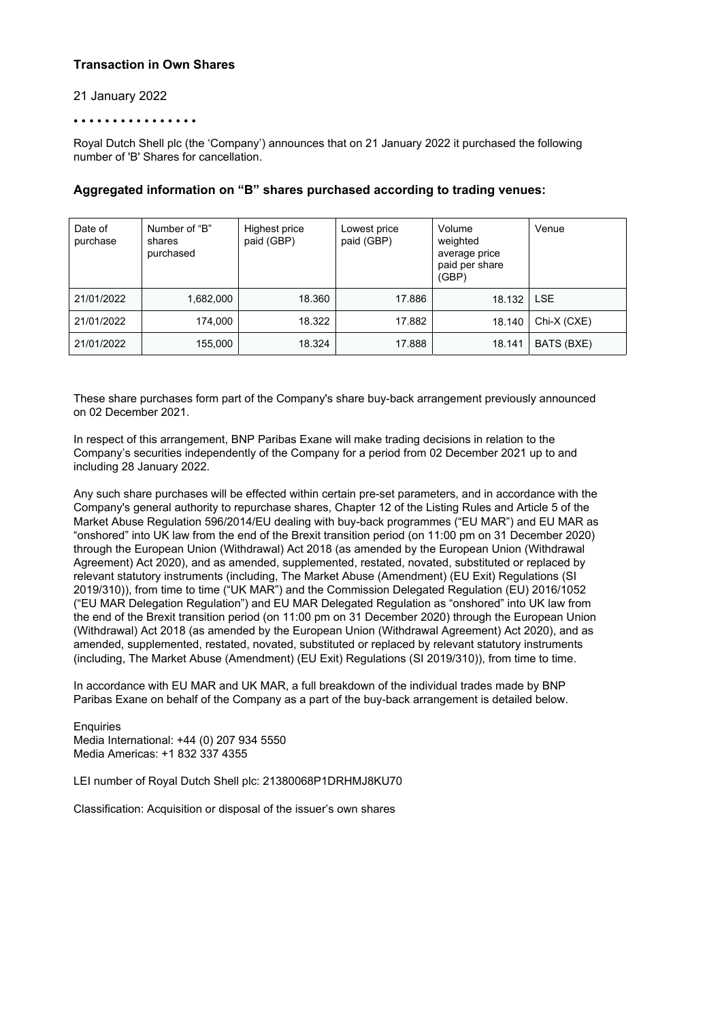## **Transaction in Own Shares**

### 21 January 2022

#### • • • • • • • • • • • • • • • •

Royal Dutch Shell plc (the 'Company') announces that on 21 January 2022 it purchased the following number of 'B' Shares for cancellation.

| Date of<br>purchase | Number of "B"<br>shares<br>purchased | Highest price<br>paid (GBP) | Lowest price<br>paid (GBP) | Volume<br>weighted<br>average price<br>paid per share<br>(GBP) | Venue       |
|---------------------|--------------------------------------|-----------------------------|----------------------------|----------------------------------------------------------------|-------------|
| 21/01/2022          | 1,682,000                            | 18.360                      | 17.886                     | 18.132                                                         | <b>LSE</b>  |
| 21/01/2022          | 174,000                              | 18.322                      | 17.882                     | 18.140                                                         | Chi-X (CXE) |
| 21/01/2022          | 155,000                              | 18.324                      | 17.888                     | 18.141                                                         | BATS (BXE)  |

## **Aggregated information on "B" shares purchased according to trading venues:**

These share purchases form part of the Company's share buy-back arrangement previously announced on 02 December 2021.

In respect of this arrangement, BNP Paribas Exane will make trading decisions in relation to the Company's securities independently of the Company for a period from 02 December 2021 up to and including 28 January 2022.

Any such share purchases will be effected within certain pre-set parameters, and in accordance with the Company's general authority to repurchase shares, Chapter 12 of the Listing Rules and Article 5 of the Market Abuse Regulation 596/2014/EU dealing with buy-back programmes ("EU MAR") and EU MAR as "onshored" into UK law from the end of the Brexit transition period (on 11:00 pm on 31 December 2020) through the European Union (Withdrawal) Act 2018 (as amended by the European Union (Withdrawal Agreement) Act 2020), and as amended, supplemented, restated, novated, substituted or replaced by relevant statutory instruments (including, The Market Abuse (Amendment) (EU Exit) Regulations (SI 2019/310)), from time to time ("UK MAR") and the Commission Delegated Regulation (EU) 2016/1052 ("EU MAR Delegation Regulation") and EU MAR Delegated Regulation as "onshored" into UK law from the end of the Brexit transition period (on 11:00 pm on 31 December 2020) through the European Union (Withdrawal) Act 2018 (as amended by the European Union (Withdrawal Agreement) Act 2020), and as amended, supplemented, restated, novated, substituted or replaced by relevant statutory instruments (including, The Market Abuse (Amendment) (EU Exit) Regulations (SI 2019/310)), from time to time.

In accordance with EU MAR and UK MAR, a full breakdown of the individual trades made by BNP Paribas Exane on behalf of the Company as a part of the buy-back arrangement is detailed below.

**Enquiries** Media International: +44 (0) 207 934 5550 Media Americas: +1 832 337 4355

LEI number of Royal Dutch Shell plc: 21380068P1DRHMJ8KU70

Classification: Acquisition or disposal of the issuer's own shares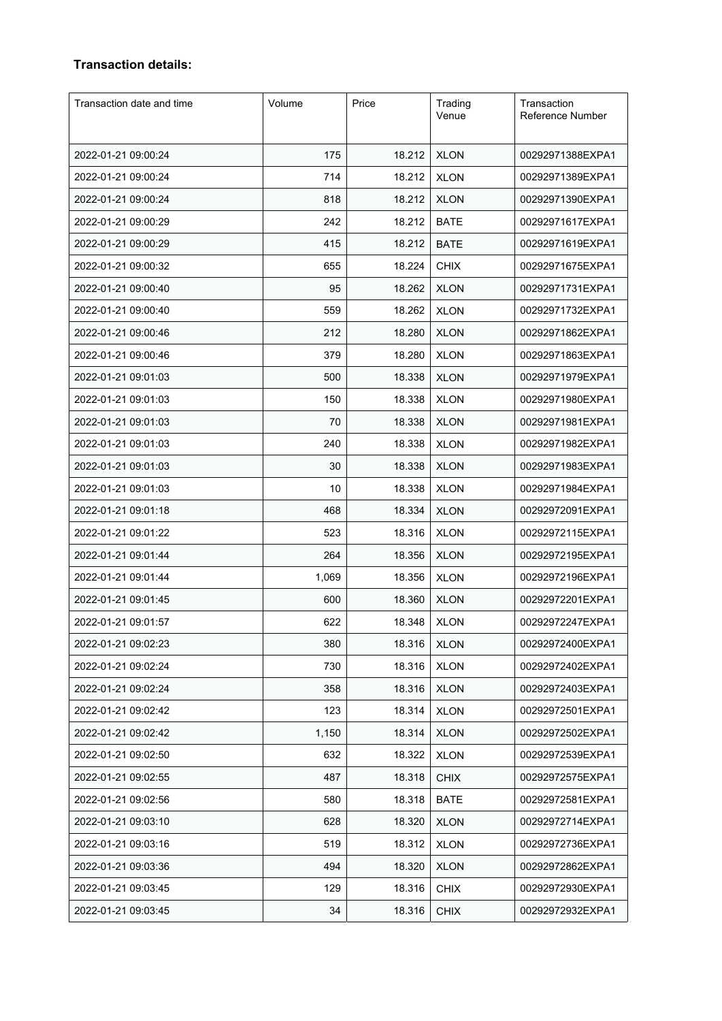# **Transaction details:**

| Transaction date and time | Volume | Price  | Trading<br>Venue | Transaction<br>Reference Number |
|---------------------------|--------|--------|------------------|---------------------------------|
| 2022-01-21 09:00:24       | 175    | 18.212 | <b>XLON</b>      | 00292971388EXPA1                |
| 2022-01-21 09:00:24       | 714    | 18.212 | <b>XLON</b>      | 00292971389EXPA1                |
| 2022-01-21 09:00:24       | 818    | 18.212 | <b>XLON</b>      | 00292971390EXPA1                |
| 2022-01-21 09:00:29       | 242    | 18.212 | <b>BATE</b>      | 00292971617EXPA1                |
| 2022-01-21 09:00:29       | 415    | 18.212 | <b>BATE</b>      | 00292971619EXPA1                |
| 2022-01-21 09:00:32       | 655    | 18.224 | <b>CHIX</b>      | 00292971675EXPA1                |
| 2022-01-21 09:00:40       | 95     | 18.262 | <b>XLON</b>      | 00292971731EXPA1                |
| 2022-01-21 09:00:40       | 559    | 18.262 | <b>XLON</b>      | 00292971732EXPA1                |
| 2022-01-21 09:00:46       | 212    | 18.280 | <b>XLON</b>      | 00292971862EXPA1                |
| 2022-01-21 09:00:46       | 379    | 18.280 | <b>XLON</b>      | 00292971863EXPA1                |
| 2022-01-21 09:01:03       | 500    | 18.338 | <b>XLON</b>      | 00292971979EXPA1                |
| 2022-01-21 09:01:03       | 150    | 18.338 | <b>XLON</b>      | 00292971980EXPA1                |
| 2022-01-21 09:01:03       | 70     | 18.338 | <b>XLON</b>      | 00292971981EXPA1                |
| 2022-01-21 09:01:03       | 240    | 18.338 | <b>XLON</b>      | 00292971982EXPA1                |
| 2022-01-21 09:01:03       | 30     | 18.338 | <b>XLON</b>      | 00292971983EXPA1                |
| 2022-01-21 09:01:03       | 10     | 18.338 | <b>XLON</b>      | 00292971984EXPA1                |
| 2022-01-21 09:01:18       | 468    | 18.334 | <b>XLON</b>      | 00292972091EXPA1                |
| 2022-01-21 09:01:22       | 523    | 18.316 | <b>XLON</b>      | 00292972115EXPA1                |
| 2022-01-21 09:01:44       | 264    | 18.356 | <b>XLON</b>      | 00292972195EXPA1                |
| 2022-01-21 09:01:44       | 1,069  | 18.356 | <b>XLON</b>      | 00292972196EXPA1                |
| 2022-01-21 09:01:45       | 600    | 18.360 | <b>XLON</b>      | 00292972201EXPA1                |
| 2022-01-21 09:01:57       | 622    | 18.348 | <b>XLON</b>      | 00292972247EXPA1                |
| 2022-01-21 09:02:23       | 380    | 18.316 | <b>XLON</b>      | 00292972400EXPA1                |
| 2022-01-21 09:02:24       | 730    | 18.316 | <b>XLON</b>      | 00292972402EXPA1                |
| 2022-01-21 09:02:24       | 358    | 18.316 | <b>XLON</b>      | 00292972403EXPA1                |
| 2022-01-21 09:02:42       | 123    | 18.314 | <b>XLON</b>      | 00292972501EXPA1                |
| 2022-01-21 09:02:42       | 1,150  | 18.314 | <b>XLON</b>      | 00292972502EXPA1                |
| 2022-01-21 09:02:50       | 632    | 18.322 | <b>XLON</b>      | 00292972539EXPA1                |
| 2022-01-21 09:02:55       | 487    | 18.318 | <b>CHIX</b>      | 00292972575EXPA1                |
| 2022-01-21 09:02:56       | 580    | 18.318 | <b>BATE</b>      | 00292972581EXPA1                |
| 2022-01-21 09:03:10       | 628    | 18.320 | <b>XLON</b>      | 00292972714EXPA1                |
| 2022-01-21 09:03:16       | 519    | 18.312 | <b>XLON</b>      | 00292972736EXPA1                |
| 2022-01-21 09:03:36       | 494    | 18.320 | <b>XLON</b>      | 00292972862EXPA1                |
| 2022-01-21 09:03:45       | 129    | 18.316 | <b>CHIX</b>      | 00292972930EXPA1                |
| 2022-01-21 09:03:45       | 34     | 18.316 | <b>CHIX</b>      | 00292972932EXPA1                |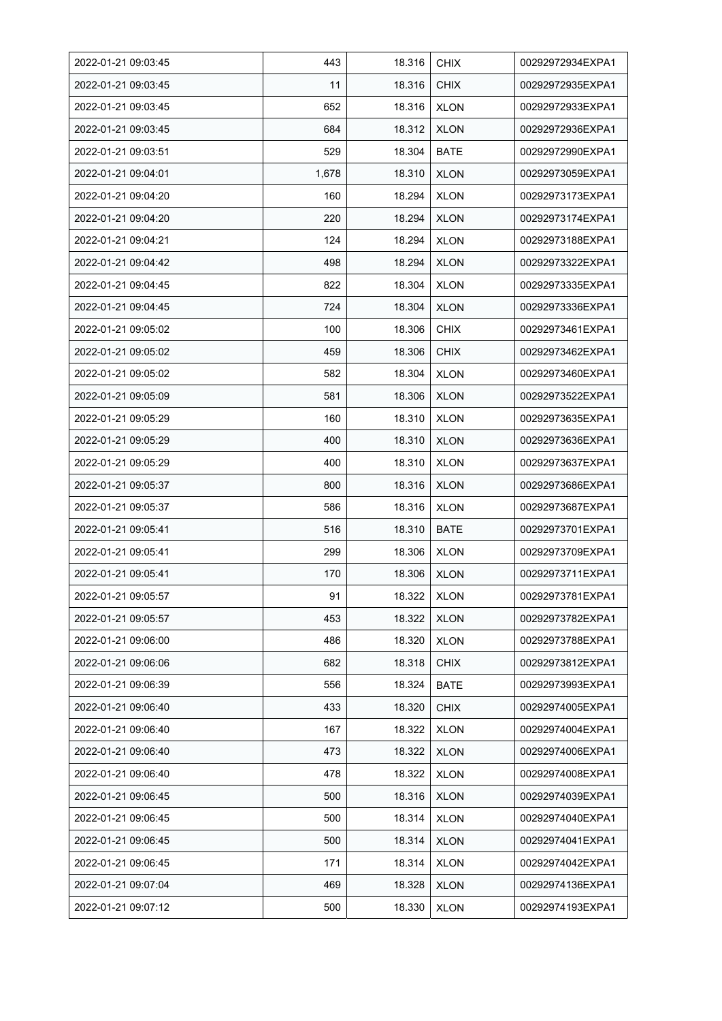| 2022-01-21 09:03:45 | 443   | 18.316 | <b>CHIX</b> | 00292972934EXPA1 |
|---------------------|-------|--------|-------------|------------------|
| 2022-01-21 09:03:45 | 11    | 18.316 | <b>CHIX</b> | 00292972935EXPA1 |
| 2022-01-21 09:03:45 | 652   | 18.316 | <b>XLON</b> | 00292972933EXPA1 |
| 2022-01-21 09:03:45 | 684   | 18.312 | <b>XLON</b> | 00292972936EXPA1 |
| 2022-01-21 09:03:51 | 529   | 18.304 | BATE        | 00292972990EXPA1 |
| 2022-01-21 09:04:01 | 1,678 | 18.310 | <b>XLON</b> | 00292973059EXPA1 |
| 2022-01-21 09:04:20 | 160   | 18.294 | <b>XLON</b> | 00292973173EXPA1 |
| 2022-01-21 09:04:20 | 220   | 18.294 | <b>XLON</b> | 00292973174EXPA1 |
| 2022-01-21 09:04:21 | 124   | 18.294 | <b>XLON</b> | 00292973188EXPA1 |
| 2022-01-21 09:04:42 | 498   | 18.294 | <b>XLON</b> | 00292973322EXPA1 |
| 2022-01-21 09:04:45 | 822   | 18.304 | <b>XLON</b> | 00292973335EXPA1 |
| 2022-01-21 09:04:45 | 724   | 18.304 | <b>XLON</b> | 00292973336EXPA1 |
| 2022-01-21 09:05:02 | 100   | 18.306 | <b>CHIX</b> | 00292973461EXPA1 |
| 2022-01-21 09:05:02 | 459   | 18.306 | <b>CHIX</b> | 00292973462EXPA1 |
| 2022-01-21 09:05:02 | 582   | 18.304 | <b>XLON</b> | 00292973460EXPA1 |
| 2022-01-21 09:05:09 | 581   | 18.306 | <b>XLON</b> | 00292973522EXPA1 |
| 2022-01-21 09:05:29 | 160   | 18.310 | <b>XLON</b> | 00292973635EXPA1 |
| 2022-01-21 09:05:29 | 400   | 18.310 | <b>XLON</b> | 00292973636EXPA1 |
| 2022-01-21 09:05:29 | 400   | 18.310 | <b>XLON</b> | 00292973637EXPA1 |
| 2022-01-21 09:05:37 | 800   | 18.316 | <b>XLON</b> | 00292973686EXPA1 |
| 2022-01-21 09:05:37 | 586   | 18.316 | <b>XLON</b> | 00292973687EXPA1 |
| 2022-01-21 09:05:41 | 516   | 18.310 | <b>BATE</b> | 00292973701EXPA1 |
| 2022-01-21 09:05:41 | 299   | 18.306 | <b>XLON</b> | 00292973709EXPA1 |
| 2022-01-21 09:05:41 | 170   | 18.306 | <b>XLON</b> | 00292973711EXPA1 |
| 2022-01-21 09:05:57 | 91    | 18.322 | <b>XLON</b> | 00292973781EXPA1 |
| 2022-01-21 09:05:57 | 453   | 18.322 | <b>XLON</b> | 00292973782EXPA1 |
| 2022-01-21 09:06:00 | 486   | 18.320 | <b>XLON</b> | 00292973788EXPA1 |
| 2022-01-21 09:06:06 | 682   | 18.318 | <b>CHIX</b> | 00292973812EXPA1 |
| 2022-01-21 09:06:39 | 556   | 18.324 | <b>BATE</b> | 00292973993EXPA1 |
| 2022-01-21 09:06:40 | 433   | 18.320 | <b>CHIX</b> | 00292974005EXPA1 |
| 2022-01-21 09:06:40 | 167   | 18.322 | <b>XLON</b> | 00292974004EXPA1 |
| 2022-01-21 09:06:40 | 473   | 18.322 | <b>XLON</b> | 00292974006EXPA1 |
| 2022-01-21 09:06:40 | 478   | 18.322 | <b>XLON</b> | 00292974008EXPA1 |
| 2022-01-21 09:06:45 | 500   | 18.316 | <b>XLON</b> | 00292974039EXPA1 |
| 2022-01-21 09:06:45 | 500   | 18.314 | <b>XLON</b> | 00292974040EXPA1 |
| 2022-01-21 09:06:45 | 500   | 18.314 | <b>XLON</b> | 00292974041EXPA1 |
| 2022-01-21 09:06:45 | 171   | 18.314 | <b>XLON</b> | 00292974042EXPA1 |
| 2022-01-21 09:07:04 | 469   | 18.328 | <b>XLON</b> | 00292974136EXPA1 |
| 2022-01-21 09:07:12 | 500   | 18.330 | <b>XLON</b> | 00292974193EXPA1 |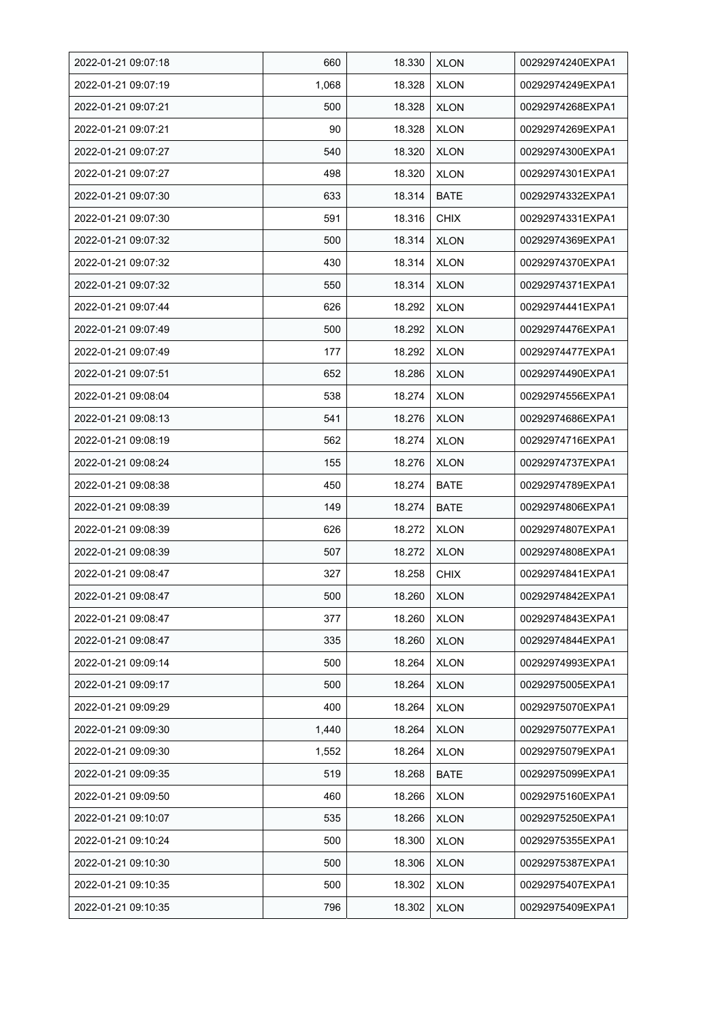| 2022-01-21 09:07:18 | 660   | 18.330 | <b>XLON</b> | 00292974240EXPA1 |
|---------------------|-------|--------|-------------|------------------|
| 2022-01-21 09:07:19 | 1,068 | 18.328 | <b>XLON</b> | 00292974249EXPA1 |
| 2022-01-21 09:07:21 | 500   | 18.328 | <b>XLON</b> | 00292974268EXPA1 |
| 2022-01-21 09:07:21 | 90    | 18.328 | <b>XLON</b> | 00292974269EXPA1 |
| 2022-01-21 09:07:27 | 540   | 18.320 | <b>XLON</b> | 00292974300EXPA1 |
| 2022-01-21 09:07:27 | 498   | 18.320 | <b>XLON</b> | 00292974301EXPA1 |
| 2022-01-21 09:07:30 | 633   | 18.314 | BATE        | 00292974332EXPA1 |
| 2022-01-21 09:07:30 | 591   | 18.316 | <b>CHIX</b> | 00292974331EXPA1 |
| 2022-01-21 09:07:32 | 500   | 18.314 | <b>XLON</b> | 00292974369EXPA1 |
| 2022-01-21 09:07:32 | 430   | 18.314 | <b>XLON</b> | 00292974370EXPA1 |
| 2022-01-21 09:07:32 | 550   | 18.314 | <b>XLON</b> | 00292974371EXPA1 |
| 2022-01-21 09:07:44 | 626   | 18.292 | <b>XLON</b> | 00292974441EXPA1 |
| 2022-01-21 09:07:49 | 500   | 18.292 | <b>XLON</b> | 00292974476EXPA1 |
| 2022-01-21 09:07:49 | 177   | 18.292 | <b>XLON</b> | 00292974477EXPA1 |
| 2022-01-21 09:07:51 | 652   | 18.286 | <b>XLON</b> | 00292974490EXPA1 |
| 2022-01-21 09:08:04 | 538   | 18.274 | <b>XLON</b> | 00292974556EXPA1 |
| 2022-01-21 09:08:13 | 541   | 18.276 | <b>XLON</b> | 00292974686EXPA1 |
| 2022-01-21 09:08:19 | 562   | 18.274 | <b>XLON</b> | 00292974716EXPA1 |
| 2022-01-21 09:08:24 | 155   | 18.276 | <b>XLON</b> | 00292974737EXPA1 |
| 2022-01-21 09:08:38 | 450   | 18.274 | BATE        | 00292974789EXPA1 |
| 2022-01-21 09:08:39 | 149   | 18.274 | <b>BATE</b> | 00292974806EXPA1 |
| 2022-01-21 09:08:39 | 626   | 18.272 | <b>XLON</b> | 00292974807EXPA1 |
| 2022-01-21 09:08:39 | 507   | 18.272 | <b>XLON</b> | 00292974808EXPA1 |
| 2022-01-21 09:08:47 | 327   | 18.258 | <b>CHIX</b> | 00292974841EXPA1 |
| 2022-01-21 09:08:47 | 500   | 18.260 | <b>XLON</b> | 00292974842EXPA1 |
| 2022-01-21 09:08:47 | 377   | 18.260 | <b>XLON</b> | 00292974843EXPA1 |
| 2022-01-21 09:08:47 | 335   | 18.260 | <b>XLON</b> | 00292974844EXPA1 |
| 2022-01-21 09:09:14 | 500   | 18.264 | <b>XLON</b> | 00292974993EXPA1 |
| 2022-01-21 09:09:17 | 500   | 18.264 | <b>XLON</b> | 00292975005EXPA1 |
| 2022-01-21 09:09:29 | 400   | 18.264 | <b>XLON</b> | 00292975070EXPA1 |
| 2022-01-21 09:09:30 | 1,440 | 18.264 | <b>XLON</b> | 00292975077EXPA1 |
| 2022-01-21 09:09:30 | 1,552 | 18.264 | <b>XLON</b> | 00292975079EXPA1 |
| 2022-01-21 09:09:35 | 519   | 18.268 | BATE        | 00292975099EXPA1 |
| 2022-01-21 09:09:50 | 460   | 18.266 | <b>XLON</b> | 00292975160EXPA1 |
| 2022-01-21 09:10:07 | 535   | 18.266 | <b>XLON</b> | 00292975250EXPA1 |
| 2022-01-21 09:10:24 | 500   | 18.300 | <b>XLON</b> | 00292975355EXPA1 |
| 2022-01-21 09:10:30 | 500   | 18.306 | <b>XLON</b> | 00292975387EXPA1 |
| 2022-01-21 09:10:35 | 500   | 18.302 | <b>XLON</b> | 00292975407EXPA1 |
| 2022-01-21 09:10:35 | 796   | 18.302 | <b>XLON</b> | 00292975409EXPA1 |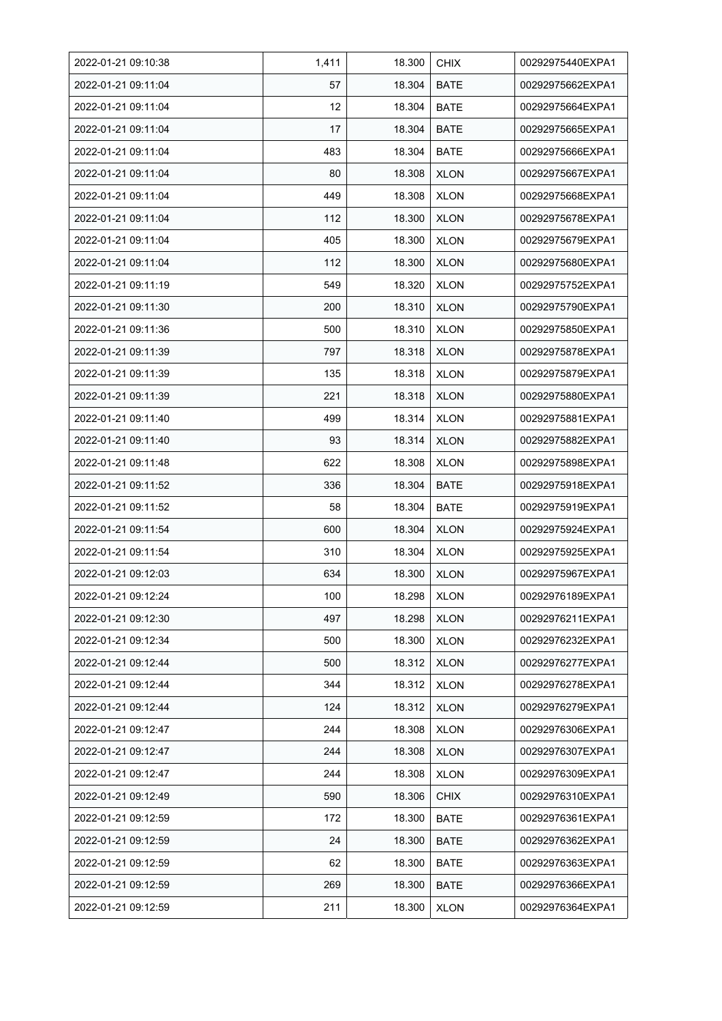| 2022-01-21 09:10:38 | 1,411 | 18.300 | <b>CHIX</b> | 00292975440EXPA1 |
|---------------------|-------|--------|-------------|------------------|
| 2022-01-21 09:11:04 | 57    | 18.304 | <b>BATE</b> | 00292975662EXPA1 |
| 2022-01-21 09:11:04 | 12    | 18.304 | <b>BATE</b> | 00292975664EXPA1 |
| 2022-01-21 09:11:04 | 17    | 18.304 | <b>BATE</b> | 00292975665EXPA1 |
| 2022-01-21 09:11:04 | 483   | 18.304 | <b>BATE</b> | 00292975666EXPA1 |
| 2022-01-21 09:11:04 | 80    | 18.308 | <b>XLON</b> | 00292975667EXPA1 |
| 2022-01-21 09:11:04 | 449   | 18.308 | <b>XLON</b> | 00292975668EXPA1 |
| 2022-01-21 09:11:04 | 112   | 18.300 | <b>XLON</b> | 00292975678EXPA1 |
| 2022-01-21 09:11:04 | 405   | 18.300 | <b>XLON</b> | 00292975679EXPA1 |
| 2022-01-21 09:11:04 | 112   | 18.300 | <b>XLON</b> | 00292975680EXPA1 |
| 2022-01-21 09:11:19 | 549   | 18.320 | <b>XLON</b> | 00292975752EXPA1 |
| 2022-01-21 09:11:30 | 200   | 18.310 | <b>XLON</b> | 00292975790EXPA1 |
| 2022-01-21 09:11:36 | 500   | 18.310 | <b>XLON</b> | 00292975850EXPA1 |
| 2022-01-21 09:11:39 | 797   | 18.318 | <b>XLON</b> | 00292975878EXPA1 |
| 2022-01-21 09:11:39 | 135   | 18.318 | <b>XLON</b> | 00292975879EXPA1 |
| 2022-01-21 09:11:39 | 221   | 18.318 | <b>XLON</b> | 00292975880EXPA1 |
| 2022-01-21 09:11:40 | 499   | 18.314 | <b>XLON</b> | 00292975881EXPA1 |
| 2022-01-21 09:11:40 | 93    | 18.314 | <b>XLON</b> | 00292975882EXPA1 |
| 2022-01-21 09:11:48 | 622   | 18.308 | <b>XLON</b> | 00292975898EXPA1 |
| 2022-01-21 09:11:52 | 336   | 18.304 | BATE        | 00292975918EXPA1 |
| 2022-01-21 09:11:52 | 58    | 18.304 | <b>BATE</b> | 00292975919EXPA1 |
| 2022-01-21 09:11:54 | 600   | 18.304 | <b>XLON</b> | 00292975924EXPA1 |
| 2022-01-21 09:11:54 | 310   | 18.304 | <b>XLON</b> | 00292975925EXPA1 |
| 2022-01-21 09:12:03 | 634   | 18.300 | <b>XLON</b> | 00292975967EXPA1 |
| 2022-01-21 09:12:24 | 100   | 18.298 | <b>XLON</b> | 00292976189EXPA1 |
| 2022-01-21 09:12:30 | 497   | 18.298 | <b>XLON</b> | 00292976211EXPA1 |
| 2022-01-21 09:12:34 | 500   | 18.300 | <b>XLON</b> | 00292976232EXPA1 |
| 2022-01-21 09:12:44 | 500   | 18.312 | <b>XLON</b> | 00292976277EXPA1 |
| 2022-01-21 09:12:44 | 344   | 18.312 | <b>XLON</b> | 00292976278EXPA1 |
| 2022-01-21 09:12:44 | 124   | 18.312 | <b>XLON</b> | 00292976279EXPA1 |
| 2022-01-21 09:12:47 | 244   | 18.308 | <b>XLON</b> | 00292976306EXPA1 |
| 2022-01-21 09:12:47 | 244   | 18.308 | <b>XLON</b> | 00292976307EXPA1 |
| 2022-01-21 09:12:47 | 244   | 18.308 | <b>XLON</b> | 00292976309EXPA1 |
| 2022-01-21 09:12:49 | 590   | 18.306 | <b>CHIX</b> | 00292976310EXPA1 |
| 2022-01-21 09:12:59 | 172   | 18.300 | <b>BATE</b> | 00292976361EXPA1 |
| 2022-01-21 09:12:59 | 24    | 18.300 | <b>BATE</b> | 00292976362EXPA1 |
| 2022-01-21 09:12:59 | 62    | 18.300 | BATE        | 00292976363EXPA1 |
| 2022-01-21 09:12:59 | 269   | 18.300 | <b>BATE</b> | 00292976366EXPA1 |
| 2022-01-21 09:12:59 | 211   | 18.300 | <b>XLON</b> | 00292976364EXPA1 |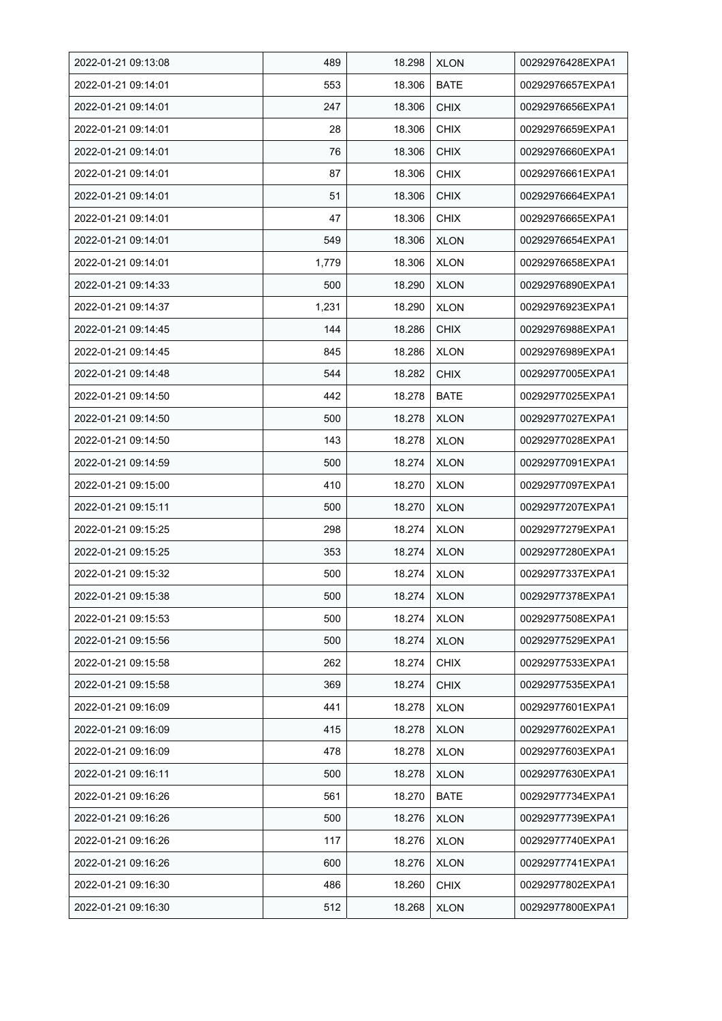| 2022-01-21 09:13:08 | 489   | 18.298 | <b>XLON</b> | 00292976428EXPA1 |
|---------------------|-------|--------|-------------|------------------|
| 2022-01-21 09:14:01 | 553   | 18.306 | <b>BATE</b> | 00292976657EXPA1 |
| 2022-01-21 09:14:01 | 247   | 18.306 | <b>CHIX</b> | 00292976656EXPA1 |
| 2022-01-21 09:14:01 | 28    | 18.306 | <b>CHIX</b> | 00292976659EXPA1 |
| 2022-01-21 09:14:01 | 76    | 18.306 | <b>CHIX</b> | 00292976660EXPA1 |
| 2022-01-21 09:14:01 | 87    | 18.306 | <b>CHIX</b> | 00292976661EXPA1 |
| 2022-01-21 09:14:01 | 51    | 18.306 | <b>CHIX</b> | 00292976664EXPA1 |
| 2022-01-21 09:14:01 | 47    | 18.306 | <b>CHIX</b> | 00292976665EXPA1 |
| 2022-01-21 09:14:01 | 549   | 18.306 | <b>XLON</b> | 00292976654EXPA1 |
| 2022-01-21 09:14:01 | 1,779 | 18.306 | <b>XLON</b> | 00292976658EXPA1 |
| 2022-01-21 09:14:33 | 500   | 18.290 | <b>XLON</b> | 00292976890EXPA1 |
| 2022-01-21 09:14:37 | 1,231 | 18.290 | <b>XLON</b> | 00292976923EXPA1 |
| 2022-01-21 09:14:45 | 144   | 18.286 | <b>CHIX</b> | 00292976988EXPA1 |
| 2022-01-21 09:14:45 | 845   | 18.286 | <b>XLON</b> | 00292976989EXPA1 |
| 2022-01-21 09:14:48 | 544   | 18.282 | <b>CHIX</b> | 00292977005EXPA1 |
| 2022-01-21 09:14:50 | 442   | 18.278 | BATE        | 00292977025EXPA1 |
| 2022-01-21 09:14:50 | 500   | 18.278 | <b>XLON</b> | 00292977027EXPA1 |
| 2022-01-21 09:14:50 | 143   | 18.278 | <b>XLON</b> | 00292977028EXPA1 |
| 2022-01-21 09:14:59 | 500   | 18.274 | <b>XLON</b> | 00292977091EXPA1 |
| 2022-01-21 09:15:00 | 410   | 18.270 | <b>XLON</b> | 00292977097EXPA1 |
| 2022-01-21 09:15:11 | 500   | 18.270 | <b>XLON</b> | 00292977207EXPA1 |
| 2022-01-21 09:15:25 | 298   | 18.274 | <b>XLON</b> | 00292977279EXPA1 |
| 2022-01-21 09:15:25 | 353   | 18.274 | <b>XLON</b> | 00292977280EXPA1 |
| 2022-01-21 09:15:32 | 500   | 18.274 | <b>XLON</b> | 00292977337EXPA1 |
| 2022-01-21 09:15:38 | 500   | 18.274 | <b>XLON</b> | 00292977378EXPA1 |
| 2022-01-21 09:15:53 | 500   | 18.274 | <b>XLON</b> | 00292977508EXPA1 |
| 2022-01-21 09:15:56 | 500   | 18.274 | <b>XLON</b> | 00292977529EXPA1 |
| 2022-01-21 09:15:58 | 262   | 18.274 | <b>CHIX</b> | 00292977533EXPA1 |
| 2022-01-21 09:15:58 | 369   | 18.274 | <b>CHIX</b> | 00292977535EXPA1 |
| 2022-01-21 09:16:09 | 441   | 18.278 | <b>XLON</b> | 00292977601EXPA1 |
| 2022-01-21 09:16:09 | 415   | 18.278 | <b>XLON</b> | 00292977602EXPA1 |
| 2022-01-21 09:16:09 | 478   | 18.278 | <b>XLON</b> | 00292977603EXPA1 |
| 2022-01-21 09:16:11 | 500   | 18.278 | <b>XLON</b> | 00292977630EXPA1 |
| 2022-01-21 09:16:26 | 561   | 18.270 | <b>BATE</b> | 00292977734EXPA1 |
| 2022-01-21 09:16:26 | 500   | 18.276 | <b>XLON</b> | 00292977739EXPA1 |
| 2022-01-21 09:16:26 | 117   | 18.276 | <b>XLON</b> | 00292977740EXPA1 |
| 2022-01-21 09:16:26 | 600   | 18.276 | <b>XLON</b> | 00292977741EXPA1 |
| 2022-01-21 09:16:30 | 486   | 18.260 | <b>CHIX</b> | 00292977802EXPA1 |
| 2022-01-21 09:16:30 | 512   | 18.268 | <b>XLON</b> | 00292977800EXPA1 |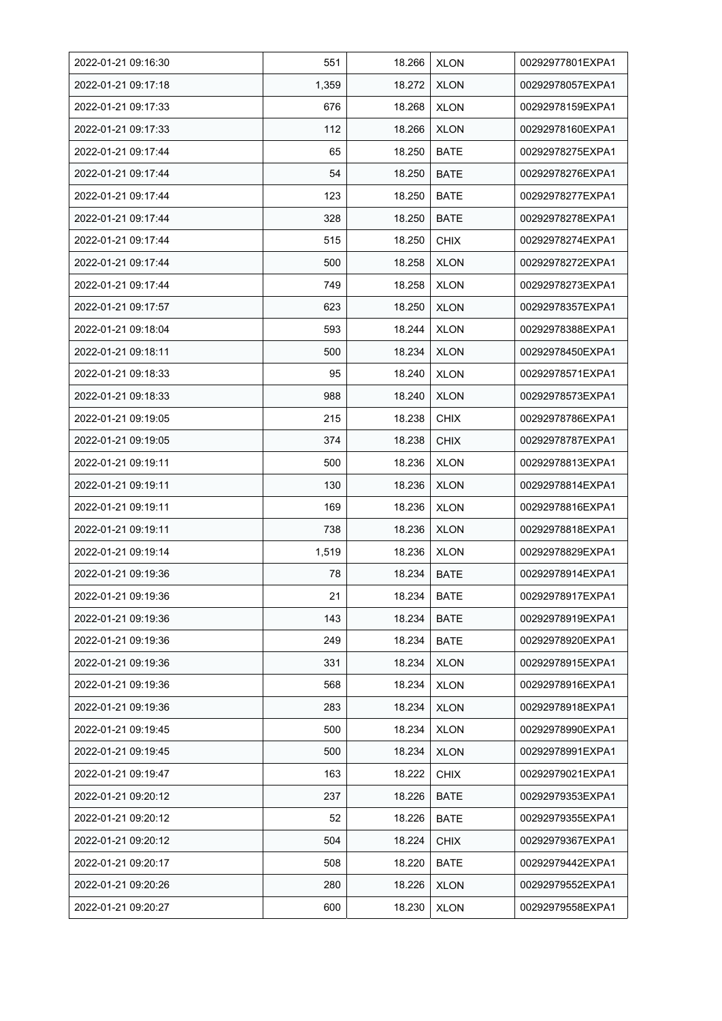| 2022-01-21 09:16:30 | 551   | 18.266 | <b>XLON</b> | 00292977801EXPA1 |
|---------------------|-------|--------|-------------|------------------|
| 2022-01-21 09:17:18 | 1,359 | 18.272 | <b>XLON</b> | 00292978057EXPA1 |
| 2022-01-21 09:17:33 | 676   | 18.268 | <b>XLON</b> | 00292978159EXPA1 |
| 2022-01-21 09:17:33 | 112   | 18.266 | <b>XLON</b> | 00292978160EXPA1 |
| 2022-01-21 09:17:44 | 65    | 18.250 | <b>BATE</b> | 00292978275EXPA1 |
| 2022-01-21 09:17:44 | 54    | 18.250 | <b>BATE</b> | 00292978276EXPA1 |
| 2022-01-21 09:17:44 | 123   | 18.250 | <b>BATE</b> | 00292978277EXPA1 |
| 2022-01-21 09:17:44 | 328   | 18.250 | <b>BATE</b> | 00292978278EXPA1 |
| 2022-01-21 09:17:44 | 515   | 18.250 | <b>CHIX</b> | 00292978274EXPA1 |
| 2022-01-21 09:17:44 | 500   | 18.258 | <b>XLON</b> | 00292978272EXPA1 |
| 2022-01-21 09:17:44 | 749   | 18.258 | <b>XLON</b> | 00292978273EXPA1 |
| 2022-01-21 09:17:57 | 623   | 18.250 | <b>XLON</b> | 00292978357EXPA1 |
| 2022-01-21 09:18:04 | 593   | 18.244 | <b>XLON</b> | 00292978388EXPA1 |
| 2022-01-21 09:18:11 | 500   | 18.234 | <b>XLON</b> | 00292978450EXPA1 |
| 2022-01-21 09:18:33 | 95    | 18.240 | <b>XLON</b> | 00292978571EXPA1 |
| 2022-01-21 09:18:33 | 988   | 18.240 | <b>XLON</b> | 00292978573EXPA1 |
| 2022-01-21 09:19:05 | 215   | 18.238 | <b>CHIX</b> | 00292978786EXPA1 |
| 2022-01-21 09:19:05 | 374   | 18.238 | <b>CHIX</b> | 00292978787EXPA1 |
| 2022-01-21 09:19:11 | 500   | 18.236 | <b>XLON</b> | 00292978813EXPA1 |
| 2022-01-21 09:19:11 | 130   | 18.236 | <b>XLON</b> | 00292978814EXPA1 |
| 2022-01-21 09:19:11 | 169   | 18.236 | <b>XLON</b> | 00292978816EXPA1 |
| 2022-01-21 09:19:11 | 738   | 18.236 | <b>XLON</b> | 00292978818EXPA1 |
| 2022-01-21 09:19:14 | 1,519 | 18.236 | <b>XLON</b> | 00292978829EXPA1 |
| 2022-01-21 09:19:36 | 78    | 18.234 | <b>BATE</b> | 00292978914EXPA1 |
| 2022-01-21 09:19:36 | 21    | 18.234 | <b>BATE</b> | 00292978917EXPA1 |
| 2022-01-21 09:19:36 | 143   | 18.234 | BATE        | 00292978919EXPA1 |
| 2022-01-21 09:19:36 | 249   | 18.234 | <b>BATE</b> | 00292978920EXPA1 |
| 2022-01-21 09:19:36 | 331   | 18.234 | <b>XLON</b> | 00292978915EXPA1 |
| 2022-01-21 09:19:36 | 568   | 18.234 | <b>XLON</b> | 00292978916EXPA1 |
| 2022-01-21 09:19:36 | 283   | 18.234 | <b>XLON</b> | 00292978918EXPA1 |
| 2022-01-21 09:19:45 | 500   | 18.234 | <b>XLON</b> | 00292978990EXPA1 |
| 2022-01-21 09:19:45 | 500   | 18.234 | <b>XLON</b> | 00292978991EXPA1 |
| 2022-01-21 09:19:47 | 163   | 18.222 | <b>CHIX</b> | 00292979021EXPA1 |
| 2022-01-21 09:20:12 | 237   | 18.226 | BATE        | 00292979353EXPA1 |
| 2022-01-21 09:20:12 | 52    | 18.226 | BATE        | 00292979355EXPA1 |
| 2022-01-21 09:20:12 | 504   | 18.224 | <b>CHIX</b> | 00292979367EXPA1 |
| 2022-01-21 09:20:17 | 508   | 18.220 | <b>BATE</b> | 00292979442EXPA1 |
| 2022-01-21 09:20:26 | 280   | 18.226 | XLON        | 00292979552EXPA1 |
| 2022-01-21 09:20:27 | 600   | 18.230 | <b>XLON</b> | 00292979558EXPA1 |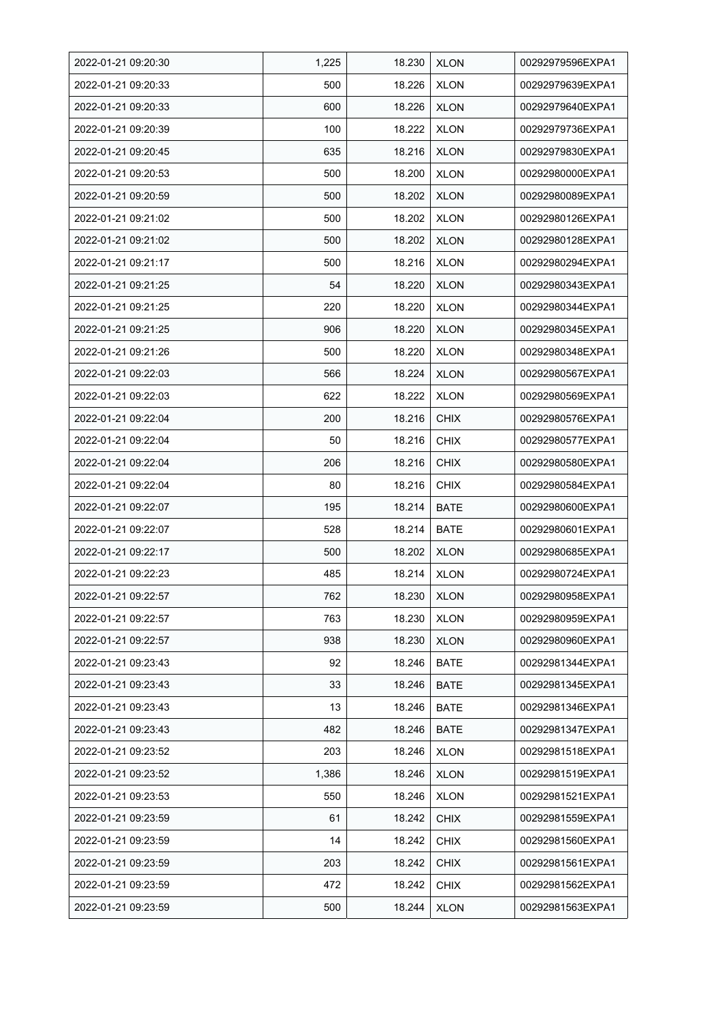| 2022-01-21 09:20:30 | 1,225 | 18.230 | <b>XLON</b> | 00292979596EXPA1 |
|---------------------|-------|--------|-------------|------------------|
| 2022-01-21 09:20:33 | 500   | 18.226 | <b>XLON</b> | 00292979639EXPA1 |
| 2022-01-21 09:20:33 | 600   | 18.226 | <b>XLON</b> | 00292979640EXPA1 |
| 2022-01-21 09:20:39 | 100   | 18.222 | <b>XLON</b> | 00292979736EXPA1 |
| 2022-01-21 09:20:45 | 635   | 18.216 | <b>XLON</b> | 00292979830EXPA1 |
| 2022-01-21 09:20:53 | 500   | 18.200 | <b>XLON</b> | 00292980000EXPA1 |
| 2022-01-21 09:20:59 | 500   | 18.202 | <b>XLON</b> | 00292980089EXPA1 |
| 2022-01-21 09:21:02 | 500   | 18.202 | <b>XLON</b> | 00292980126EXPA1 |
| 2022-01-21 09:21:02 | 500   | 18.202 | <b>XLON</b> | 00292980128EXPA1 |
| 2022-01-21 09:21:17 | 500   | 18.216 | <b>XLON</b> | 00292980294EXPA1 |
| 2022-01-21 09:21:25 | 54    | 18.220 | <b>XLON</b> | 00292980343EXPA1 |
| 2022-01-21 09:21:25 | 220   | 18.220 | <b>XLON</b> | 00292980344EXPA1 |
| 2022-01-21 09:21:25 | 906   | 18.220 | <b>XLON</b> | 00292980345EXPA1 |
| 2022-01-21 09:21:26 | 500   | 18.220 | <b>XLON</b> | 00292980348EXPA1 |
| 2022-01-21 09:22:03 | 566   | 18.224 | <b>XLON</b> | 00292980567EXPA1 |
| 2022-01-21 09:22:03 | 622   | 18.222 | <b>XLON</b> | 00292980569EXPA1 |
| 2022-01-21 09:22:04 | 200   | 18.216 | <b>CHIX</b> | 00292980576EXPA1 |
| 2022-01-21 09:22:04 | 50    | 18.216 | <b>CHIX</b> | 00292980577EXPA1 |
| 2022-01-21 09:22:04 | 206   | 18.216 | <b>CHIX</b> | 00292980580EXPA1 |
| 2022-01-21 09:22:04 | 80    | 18.216 | <b>CHIX</b> | 00292980584EXPA1 |
| 2022-01-21 09:22:07 | 195   | 18.214 | <b>BATE</b> | 00292980600EXPA1 |
| 2022-01-21 09:22:07 | 528   | 18.214 | <b>BATE</b> | 00292980601EXPA1 |
| 2022-01-21 09:22:17 | 500   | 18.202 | <b>XLON</b> | 00292980685EXPA1 |
| 2022-01-21 09:22:23 | 485   | 18.214 | <b>XLON</b> | 00292980724EXPA1 |
| 2022-01-21 09:22:57 | 762   | 18.230 | <b>XLON</b> | 00292980958EXPA1 |
| 2022-01-21 09:22:57 | 763   | 18.230 | <b>XLON</b> | 00292980959EXPA1 |
| 2022-01-21 09:22:57 | 938   | 18.230 | <b>XLON</b> | 00292980960EXPA1 |
| 2022-01-21 09:23:43 | 92    | 18.246 | <b>BATE</b> | 00292981344EXPA1 |
| 2022-01-21 09:23:43 | 33    | 18.246 | BATE        | 00292981345EXPA1 |
| 2022-01-21 09:23:43 | 13    | 18.246 | <b>BATE</b> | 00292981346EXPA1 |
| 2022-01-21 09:23:43 | 482   | 18.246 | <b>BATE</b> | 00292981347EXPA1 |
| 2022-01-21 09:23:52 | 203   | 18.246 | <b>XLON</b> | 00292981518EXPA1 |
| 2022-01-21 09:23:52 | 1,386 | 18.246 | <b>XLON</b> | 00292981519EXPA1 |
| 2022-01-21 09:23:53 | 550   | 18.246 | <b>XLON</b> | 00292981521EXPA1 |
| 2022-01-21 09:23:59 | 61    | 18.242 | <b>CHIX</b> | 00292981559EXPA1 |
| 2022-01-21 09:23:59 | 14    | 18.242 | <b>CHIX</b> | 00292981560EXPA1 |
| 2022-01-21 09:23:59 | 203   | 18.242 | <b>CHIX</b> | 00292981561EXPA1 |
| 2022-01-21 09:23:59 | 472   | 18.242 | <b>CHIX</b> | 00292981562EXPA1 |
| 2022-01-21 09:23:59 | 500   | 18.244 | <b>XLON</b> | 00292981563EXPA1 |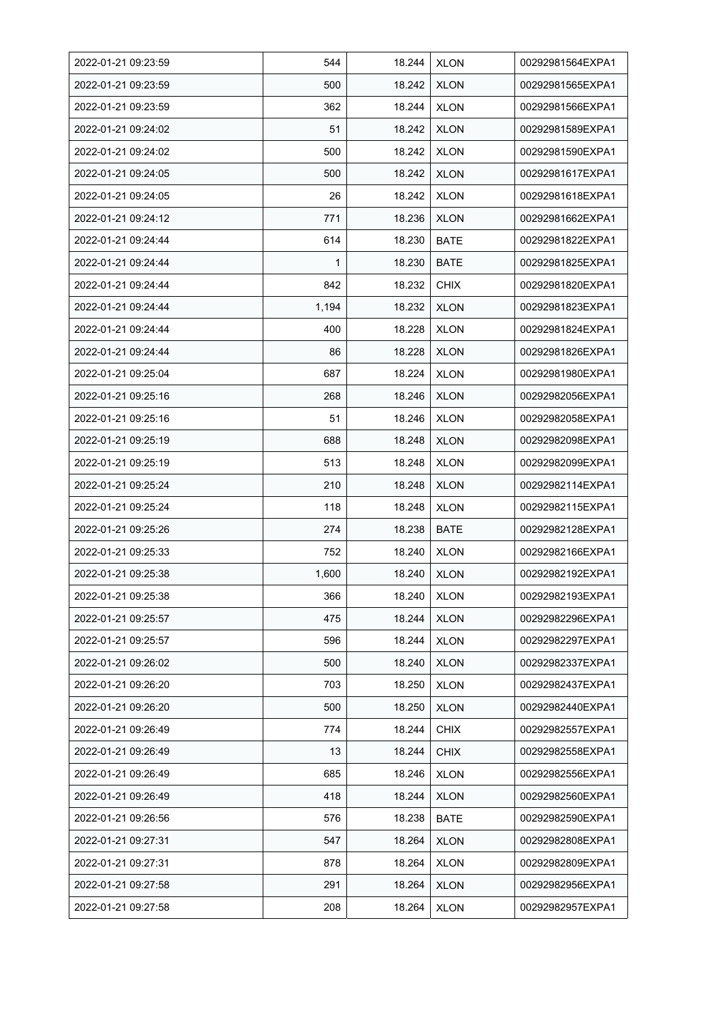| 2022-01-21 09:23:59 | 544   | 18.244 | <b>XLON</b> | 00292981564EXPA1 |
|---------------------|-------|--------|-------------|------------------|
| 2022-01-21 09:23:59 | 500   | 18.242 | <b>XLON</b> | 00292981565EXPA1 |
| 2022-01-21 09:23:59 | 362   | 18.244 | <b>XLON</b> | 00292981566EXPA1 |
| 2022-01-21 09:24:02 | 51    | 18.242 | <b>XLON</b> | 00292981589EXPA1 |
| 2022-01-21 09:24:02 | 500   | 18.242 | <b>XLON</b> | 00292981590EXPA1 |
| 2022-01-21 09:24:05 | 500   | 18.242 | <b>XLON</b> | 00292981617EXPA1 |
| 2022-01-21 09:24:05 | 26    | 18.242 | <b>XLON</b> | 00292981618EXPA1 |
| 2022-01-21 09:24:12 | 771   | 18.236 | <b>XLON</b> | 00292981662EXPA1 |
| 2022-01-21 09:24:44 | 614   | 18.230 | <b>BATE</b> | 00292981822EXPA1 |
| 2022-01-21 09:24:44 | 1     | 18.230 | <b>BATE</b> | 00292981825EXPA1 |
| 2022-01-21 09:24:44 | 842   | 18.232 | <b>CHIX</b> | 00292981820EXPA1 |
| 2022-01-21 09:24:44 | 1,194 | 18.232 | <b>XLON</b> | 00292981823EXPA1 |
| 2022-01-21 09:24:44 | 400   | 18.228 | <b>XLON</b> | 00292981824EXPA1 |
| 2022-01-21 09:24:44 | 86    | 18.228 | <b>XLON</b> | 00292981826EXPA1 |
| 2022-01-21 09:25:04 | 687   | 18.224 | <b>XLON</b> | 00292981980EXPA1 |
| 2022-01-21 09:25:16 | 268   | 18.246 | <b>XLON</b> | 00292982056EXPA1 |
| 2022-01-21 09:25:16 | 51    | 18.246 | <b>XLON</b> | 00292982058EXPA1 |
| 2022-01-21 09:25:19 | 688   | 18.248 | <b>XLON</b> | 00292982098EXPA1 |
| 2022-01-21 09:25:19 | 513   | 18.248 | <b>XLON</b> | 00292982099EXPA1 |
| 2022-01-21 09:25:24 | 210   | 18.248 | <b>XLON</b> | 00292982114EXPA1 |
| 2022-01-21 09:25:24 | 118   | 18.248 | <b>XLON</b> | 00292982115EXPA1 |
| 2022-01-21 09:25:26 | 274   | 18.238 | <b>BATE</b> | 00292982128EXPA1 |
| 2022-01-21 09:25:33 | 752   | 18.240 | <b>XLON</b> | 00292982166EXPA1 |
| 2022-01-21 09:25:38 | 1,600 | 18.240 | <b>XLON</b> | 00292982192EXPA1 |
| 2022-01-21 09:25:38 | 366   | 18.240 | <b>XLON</b> | 00292982193EXPA1 |
| 2022-01-21 09:25:57 | 475   | 18.244 | <b>XLON</b> | 00292982296EXPA1 |
| 2022-01-21 09:25:57 | 596   | 18.244 | <b>XLON</b> | 00292982297EXPA1 |
| 2022-01-21 09:26:02 | 500   | 18.240 | <b>XLON</b> | 00292982337EXPA1 |
| 2022-01-21 09:26:20 | 703   | 18.250 | <b>XLON</b> | 00292982437EXPA1 |
| 2022-01-21 09:26:20 | 500   | 18.250 | <b>XLON</b> | 00292982440EXPA1 |
| 2022-01-21 09:26:49 | 774   | 18.244 | <b>CHIX</b> | 00292982557EXPA1 |
| 2022-01-21 09:26:49 | 13    | 18.244 | <b>CHIX</b> | 00292982558EXPA1 |
| 2022-01-21 09:26:49 | 685   | 18.246 | <b>XLON</b> | 00292982556EXPA1 |
| 2022-01-21 09:26:49 | 418   | 18.244 | <b>XLON</b> | 00292982560EXPA1 |
| 2022-01-21 09:26:56 | 576   | 18.238 | BATE        | 00292982590EXPA1 |
| 2022-01-21 09:27:31 | 547   | 18.264 | <b>XLON</b> | 00292982808EXPA1 |
| 2022-01-21 09:27:31 | 878   | 18.264 | <b>XLON</b> | 00292982809EXPA1 |
| 2022-01-21 09:27:58 | 291   | 18.264 | <b>XLON</b> | 00292982956EXPA1 |
| 2022-01-21 09:27:58 | 208   | 18.264 | <b>XLON</b> | 00292982957EXPA1 |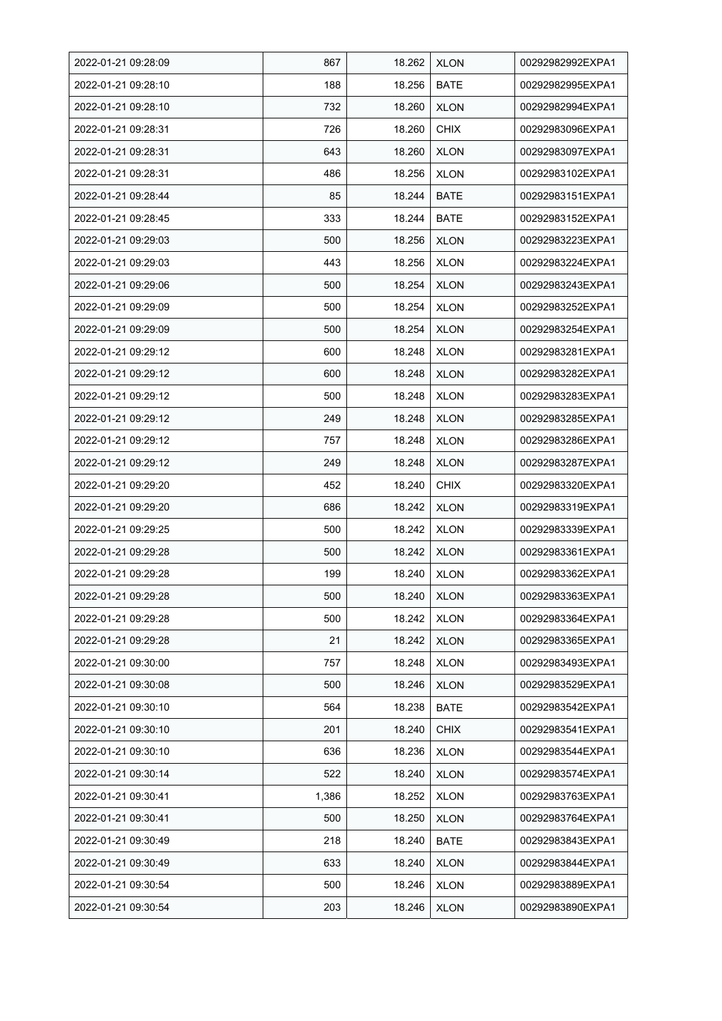| 2022-01-21 09:28:09 | 867   | 18.262 | <b>XLON</b> | 00292982992EXPA1 |
|---------------------|-------|--------|-------------|------------------|
| 2022-01-21 09:28:10 | 188   | 18.256 | <b>BATE</b> | 00292982995EXPA1 |
| 2022-01-21 09:28:10 | 732   | 18.260 | <b>XLON</b> | 00292982994EXPA1 |
| 2022-01-21 09:28:31 | 726   | 18.260 | <b>CHIX</b> | 00292983096EXPA1 |
| 2022-01-21 09:28:31 | 643   | 18.260 | <b>XLON</b> | 00292983097EXPA1 |
| 2022-01-21 09:28:31 | 486   | 18.256 | <b>XLON</b> | 00292983102EXPA1 |
| 2022-01-21 09:28:44 | 85    | 18.244 | BATE        | 00292983151EXPA1 |
| 2022-01-21 09:28:45 | 333   | 18.244 | <b>BATE</b> | 00292983152EXPA1 |
| 2022-01-21 09:29:03 | 500   | 18.256 | <b>XLON</b> | 00292983223EXPA1 |
| 2022-01-21 09:29:03 | 443   | 18.256 | <b>XLON</b> | 00292983224EXPA1 |
| 2022-01-21 09:29:06 | 500   | 18.254 | <b>XLON</b> | 00292983243EXPA1 |
| 2022-01-21 09:29:09 | 500   | 18.254 | <b>XLON</b> | 00292983252EXPA1 |
| 2022-01-21 09:29:09 | 500   | 18.254 | <b>XLON</b> | 00292983254EXPA1 |
| 2022-01-21 09:29:12 | 600   | 18.248 | <b>XLON</b> | 00292983281EXPA1 |
| 2022-01-21 09:29:12 | 600   | 18.248 | <b>XLON</b> | 00292983282EXPA1 |
| 2022-01-21 09:29:12 | 500   | 18.248 | <b>XLON</b> | 00292983283EXPA1 |
| 2022-01-21 09:29:12 | 249   | 18.248 | <b>XLON</b> | 00292983285EXPA1 |
| 2022-01-21 09:29:12 | 757   | 18.248 | <b>XLON</b> | 00292983286EXPA1 |
| 2022-01-21 09:29:12 | 249   | 18.248 | <b>XLON</b> | 00292983287EXPA1 |
| 2022-01-21 09:29:20 | 452   | 18.240 | <b>CHIX</b> | 00292983320EXPA1 |
| 2022-01-21 09:29:20 | 686   | 18.242 | <b>XLON</b> | 00292983319EXPA1 |
| 2022-01-21 09:29:25 | 500   | 18.242 | <b>XLON</b> | 00292983339EXPA1 |
| 2022-01-21 09:29:28 | 500   | 18.242 | <b>XLON</b> | 00292983361EXPA1 |
| 2022-01-21 09:29:28 | 199   | 18.240 | <b>XLON</b> | 00292983362EXPA1 |
| 2022-01-21 09:29:28 | 500   | 18.240 | <b>XLON</b> | 00292983363EXPA1 |
| 2022-01-21 09:29:28 | 500   | 18.242 | <b>XLON</b> | 00292983364EXPA1 |
| 2022-01-21 09:29:28 | 21    | 18.242 | <b>XLON</b> | 00292983365EXPA1 |
| 2022-01-21 09:30:00 | 757   | 18.248 | <b>XLON</b> | 00292983493EXPA1 |
| 2022-01-21 09:30:08 | 500   | 18.246 | <b>XLON</b> | 00292983529EXPA1 |
| 2022-01-21 09:30:10 | 564   | 18.238 | <b>BATE</b> | 00292983542EXPA1 |
| 2022-01-21 09:30:10 | 201   | 18.240 | <b>CHIX</b> | 00292983541EXPA1 |
| 2022-01-21 09:30:10 | 636   | 18.236 | <b>XLON</b> | 00292983544EXPA1 |
| 2022-01-21 09:30:14 | 522   | 18.240 | <b>XLON</b> | 00292983574EXPA1 |
| 2022-01-21 09:30:41 | 1,386 | 18.252 | <b>XLON</b> | 00292983763EXPA1 |
| 2022-01-21 09:30:41 | 500   | 18.250 | <b>XLON</b> | 00292983764EXPA1 |
| 2022-01-21 09:30:49 | 218   | 18.240 | <b>BATE</b> | 00292983843EXPA1 |
| 2022-01-21 09:30:49 | 633   | 18.240 | <b>XLON</b> | 00292983844EXPA1 |
| 2022-01-21 09:30:54 | 500   | 18.246 | <b>XLON</b> | 00292983889EXPA1 |
| 2022-01-21 09:30:54 | 203   | 18.246 | <b>XLON</b> | 00292983890EXPA1 |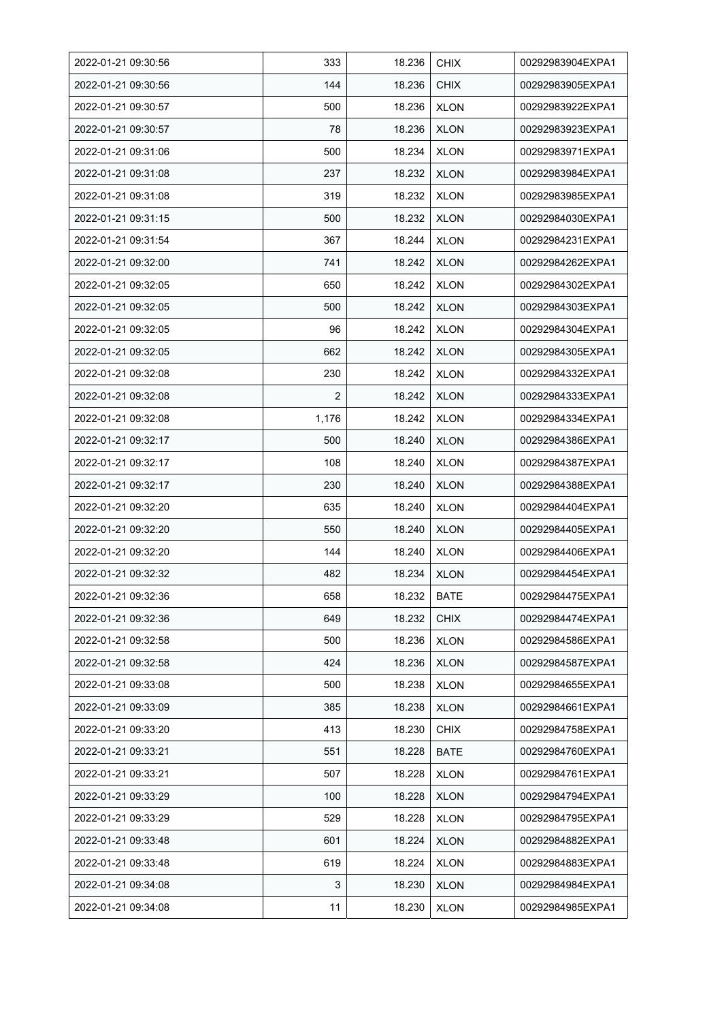| 2022-01-21 09:30:56 | 333            | 18.236 | <b>CHIX</b> | 00292983904EXPA1 |
|---------------------|----------------|--------|-------------|------------------|
| 2022-01-21 09:30:56 | 144            | 18.236 | <b>CHIX</b> | 00292983905EXPA1 |
| 2022-01-21 09:30:57 | 500            | 18.236 | <b>XLON</b> | 00292983922EXPA1 |
| 2022-01-21 09:30:57 | 78             | 18.236 | <b>XLON</b> | 00292983923EXPA1 |
| 2022-01-21 09:31:06 | 500            | 18.234 | <b>XLON</b> | 00292983971EXPA1 |
| 2022-01-21 09:31:08 | 237            | 18.232 | <b>XLON</b> | 00292983984EXPA1 |
| 2022-01-21 09:31:08 | 319            | 18.232 | <b>XLON</b> | 00292983985EXPA1 |
| 2022-01-21 09:31:15 | 500            | 18.232 | <b>XLON</b> | 00292984030EXPA1 |
| 2022-01-21 09:31:54 | 367            | 18.244 | <b>XLON</b> | 00292984231EXPA1 |
| 2022-01-21 09:32:00 | 741            | 18.242 | <b>XLON</b> | 00292984262EXPA1 |
| 2022-01-21 09:32:05 | 650            | 18.242 | <b>XLON</b> | 00292984302EXPA1 |
| 2022-01-21 09:32:05 | 500            | 18.242 | <b>XLON</b> | 00292984303EXPA1 |
| 2022-01-21 09:32:05 | 96             | 18.242 | <b>XLON</b> | 00292984304EXPA1 |
| 2022-01-21 09:32:05 | 662            | 18.242 | <b>XLON</b> | 00292984305EXPA1 |
| 2022-01-21 09:32:08 | 230            | 18.242 | <b>XLON</b> | 00292984332EXPA1 |
| 2022-01-21 09:32:08 | $\overline{2}$ | 18.242 | <b>XLON</b> | 00292984333EXPA1 |
| 2022-01-21 09:32:08 | 1,176          | 18.242 | <b>XLON</b> | 00292984334EXPA1 |
| 2022-01-21 09:32:17 | 500            | 18.240 | <b>XLON</b> | 00292984386EXPA1 |
| 2022-01-21 09:32:17 | 108            | 18.240 | <b>XLON</b> | 00292984387EXPA1 |
| 2022-01-21 09:32:17 | 230            | 18.240 | <b>XLON</b> | 00292984388EXPA1 |
| 2022-01-21 09:32:20 | 635            | 18.240 | <b>XLON</b> | 00292984404EXPA1 |
| 2022-01-21 09:32:20 | 550            | 18.240 | <b>XLON</b> | 00292984405EXPA1 |
| 2022-01-21 09:32:20 | 144            | 18.240 | <b>XLON</b> | 00292984406EXPA1 |
| 2022-01-21 09:32:32 | 482            | 18.234 | <b>XLON</b> | 00292984454EXPA1 |
| 2022-01-21 09:32:36 | 658            | 18.232 | <b>BATE</b> | 00292984475EXPA1 |
| 2022-01-21 09:32:36 | 649            | 18.232 | <b>CHIX</b> | 00292984474EXPA1 |
| 2022-01-21 09:32:58 | 500            | 18.236 | <b>XLON</b> | 00292984586EXPA1 |
| 2022-01-21 09:32:58 | 424            | 18.236 | <b>XLON</b> | 00292984587EXPA1 |
| 2022-01-21 09:33:08 | 500            | 18.238 | <b>XLON</b> | 00292984655EXPA1 |
| 2022-01-21 09:33:09 | 385            | 18.238 | <b>XLON</b> | 00292984661EXPA1 |
| 2022-01-21 09:33:20 | 413            | 18.230 | <b>CHIX</b> | 00292984758EXPA1 |
| 2022-01-21 09:33:21 | 551            | 18.228 | <b>BATE</b> | 00292984760EXPA1 |
| 2022-01-21 09:33:21 | 507            | 18.228 | <b>XLON</b> | 00292984761EXPA1 |
| 2022-01-21 09:33:29 | 100            | 18.228 | <b>XLON</b> | 00292984794EXPA1 |
| 2022-01-21 09:33:29 | 529            | 18.228 | <b>XLON</b> | 00292984795EXPA1 |
| 2022-01-21 09:33:48 | 601            | 18.224 | <b>XLON</b> | 00292984882EXPA1 |
| 2022-01-21 09:33:48 | 619            | 18.224 | <b>XLON</b> | 00292984883EXPA1 |
| 2022-01-21 09:34:08 | 3              | 18.230 | <b>XLON</b> | 00292984984EXPA1 |
| 2022-01-21 09:34:08 | 11             | 18.230 | <b>XLON</b> | 00292984985EXPA1 |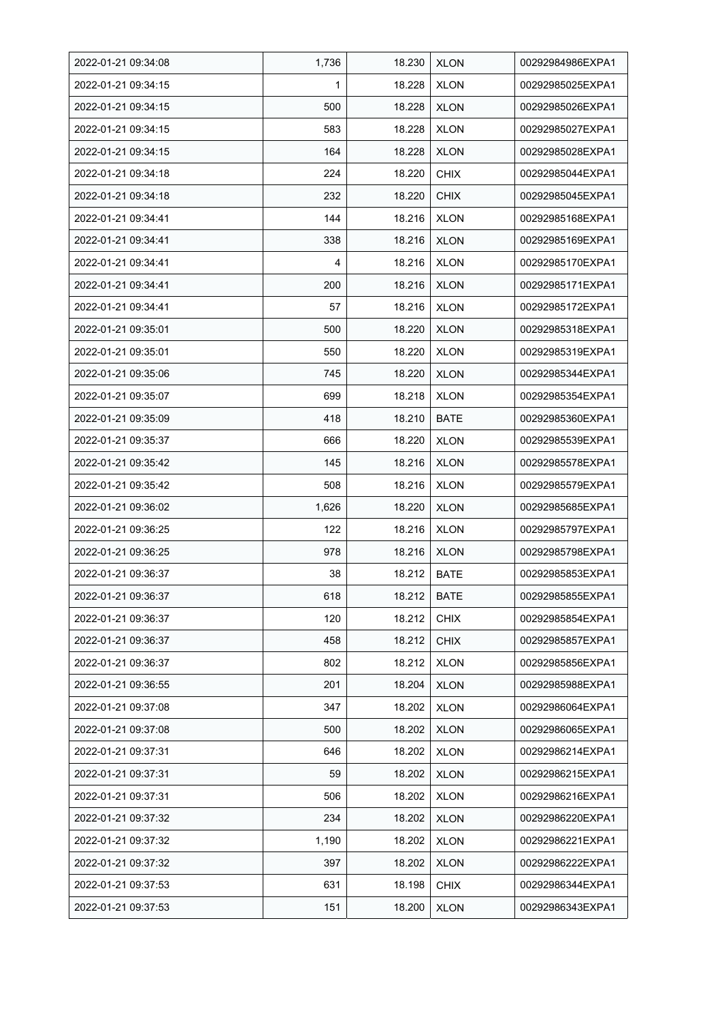| 2022-01-21 09:34:08 | 1,736 | 18.230 | <b>XLON</b> | 00292984986EXPA1 |
|---------------------|-------|--------|-------------|------------------|
| 2022-01-21 09:34:15 | 1     | 18.228 | <b>XLON</b> | 00292985025EXPA1 |
| 2022-01-21 09:34:15 | 500   | 18.228 | <b>XLON</b> | 00292985026EXPA1 |
| 2022-01-21 09:34:15 | 583   | 18.228 | <b>XLON</b> | 00292985027EXPA1 |
| 2022-01-21 09:34:15 | 164   | 18.228 | <b>XLON</b> | 00292985028EXPA1 |
| 2022-01-21 09:34:18 | 224   | 18.220 | <b>CHIX</b> | 00292985044EXPA1 |
| 2022-01-21 09:34:18 | 232   | 18.220 | <b>CHIX</b> | 00292985045EXPA1 |
| 2022-01-21 09:34:41 | 144   | 18.216 | <b>XLON</b> | 00292985168EXPA1 |
| 2022-01-21 09:34:41 | 338   | 18.216 | <b>XLON</b> | 00292985169EXPA1 |
| 2022-01-21 09:34:41 | 4     | 18.216 | <b>XLON</b> | 00292985170EXPA1 |
| 2022-01-21 09:34:41 | 200   | 18.216 | <b>XLON</b> | 00292985171EXPA1 |
| 2022-01-21 09:34:41 | 57    | 18.216 | <b>XLON</b> | 00292985172EXPA1 |
| 2022-01-21 09:35:01 | 500   | 18.220 | <b>XLON</b> | 00292985318EXPA1 |
| 2022-01-21 09:35:01 | 550   | 18.220 | <b>XLON</b> | 00292985319EXPA1 |
| 2022-01-21 09:35:06 | 745   | 18.220 | <b>XLON</b> | 00292985344EXPA1 |
| 2022-01-21 09:35:07 | 699   | 18.218 | <b>XLON</b> | 00292985354EXPA1 |
| 2022-01-21 09:35:09 | 418   | 18.210 | <b>BATE</b> | 00292985360EXPA1 |
| 2022-01-21 09:35:37 | 666   | 18.220 | <b>XLON</b> | 00292985539EXPA1 |
| 2022-01-21 09:35:42 | 145   | 18.216 | <b>XLON</b> | 00292985578EXPA1 |
| 2022-01-21 09:35:42 | 508   | 18.216 | <b>XLON</b> | 00292985579EXPA1 |
| 2022-01-21 09:36:02 | 1,626 | 18.220 | <b>XLON</b> | 00292985685EXPA1 |
| 2022-01-21 09:36:25 | 122   | 18.216 | <b>XLON</b> | 00292985797EXPA1 |
| 2022-01-21 09:36:25 | 978   | 18.216 | <b>XLON</b> | 00292985798EXPA1 |
| 2022-01-21 09:36:37 | 38    | 18.212 | <b>BATE</b> | 00292985853EXPA1 |
| 2022-01-21 09:36:37 | 618   | 18.212 | <b>BATE</b> | 00292985855EXPA1 |
| 2022-01-21 09:36:37 | 120   | 18.212 | <b>CHIX</b> | 00292985854EXPA1 |
| 2022-01-21 09:36:37 | 458   | 18.212 | <b>CHIX</b> | 00292985857EXPA1 |
| 2022-01-21 09:36:37 | 802   | 18.212 | <b>XLON</b> | 00292985856EXPA1 |
| 2022-01-21 09:36:55 | 201   | 18.204 | <b>XLON</b> | 00292985988EXPA1 |
| 2022-01-21 09:37:08 | 347   | 18.202 | <b>XLON</b> | 00292986064EXPA1 |
| 2022-01-21 09:37:08 | 500   | 18.202 | <b>XLON</b> | 00292986065EXPA1 |
| 2022-01-21 09:37:31 | 646   | 18.202 | <b>XLON</b> | 00292986214EXPA1 |
| 2022-01-21 09:37:31 | 59    | 18.202 | <b>XLON</b> | 00292986215EXPA1 |
| 2022-01-21 09:37:31 | 506   | 18.202 | <b>XLON</b> | 00292986216EXPA1 |
| 2022-01-21 09:37:32 | 234   | 18.202 | <b>XLON</b> | 00292986220EXPA1 |
| 2022-01-21 09:37:32 | 1,190 | 18.202 | <b>XLON</b> | 00292986221EXPA1 |
| 2022-01-21 09:37:32 | 397   | 18.202 | <b>XLON</b> | 00292986222EXPA1 |
| 2022-01-21 09:37:53 | 631   | 18.198 | <b>CHIX</b> | 00292986344EXPA1 |
| 2022-01-21 09:37:53 | 151   | 18.200 | <b>XLON</b> | 00292986343EXPA1 |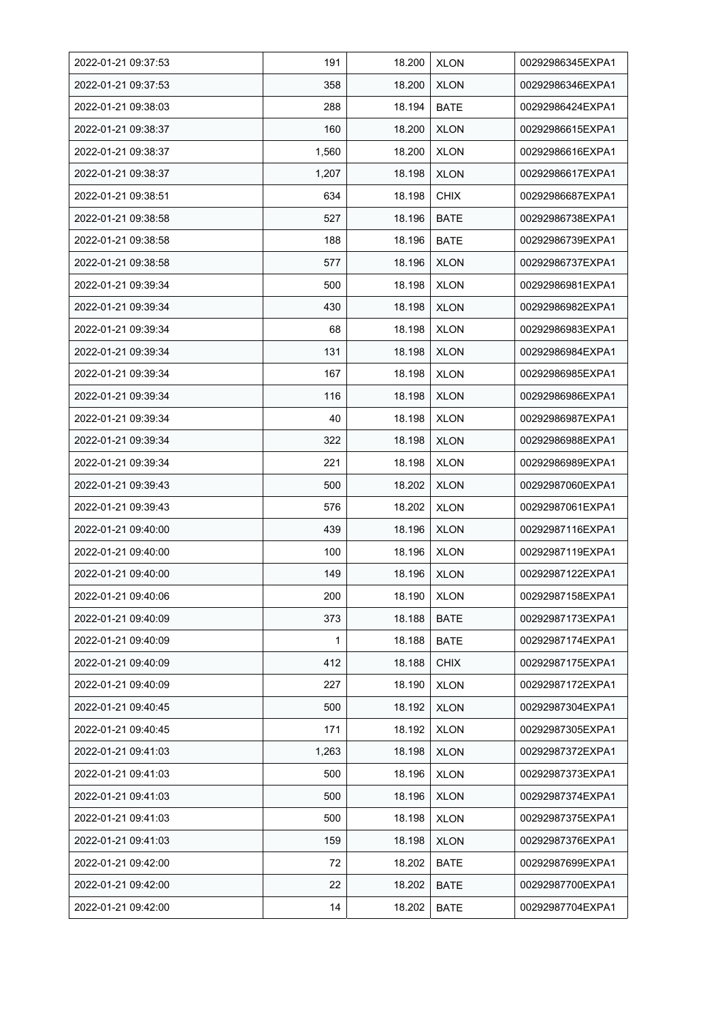| 2022-01-21 09:37:53 | 191   | 18.200 | <b>XLON</b> | 00292986345EXPA1 |
|---------------------|-------|--------|-------------|------------------|
| 2022-01-21 09:37:53 | 358   | 18.200 | <b>XLON</b> | 00292986346EXPA1 |
| 2022-01-21 09:38:03 | 288   | 18.194 | <b>BATE</b> | 00292986424EXPA1 |
| 2022-01-21 09:38:37 | 160   | 18.200 | <b>XLON</b> | 00292986615EXPA1 |
| 2022-01-21 09:38:37 | 1,560 | 18.200 | <b>XLON</b> | 00292986616EXPA1 |
| 2022-01-21 09:38:37 | 1,207 | 18.198 | <b>XLON</b> | 00292986617EXPA1 |
| 2022-01-21 09:38:51 | 634   | 18.198 | <b>CHIX</b> | 00292986687EXPA1 |
| 2022-01-21 09:38:58 | 527   | 18.196 | <b>BATE</b> | 00292986738EXPA1 |
| 2022-01-21 09:38:58 | 188   | 18.196 | <b>BATE</b> | 00292986739EXPA1 |
| 2022-01-21 09:38:58 | 577   | 18.196 | <b>XLON</b> | 00292986737EXPA1 |
| 2022-01-21 09:39:34 | 500   | 18.198 | <b>XLON</b> | 00292986981EXPA1 |
| 2022-01-21 09:39:34 | 430   | 18.198 | <b>XLON</b> | 00292986982EXPA1 |
| 2022-01-21 09:39:34 | 68    | 18.198 | <b>XLON</b> | 00292986983EXPA1 |
| 2022-01-21 09:39:34 | 131   | 18.198 | <b>XLON</b> | 00292986984EXPA1 |
| 2022-01-21 09:39:34 | 167   | 18.198 | <b>XLON</b> | 00292986985EXPA1 |
| 2022-01-21 09:39:34 | 116   | 18.198 | <b>XLON</b> | 00292986986EXPA1 |
| 2022-01-21 09:39:34 | 40    | 18.198 | <b>XLON</b> | 00292986987EXPA1 |
| 2022-01-21 09:39:34 | 322   | 18.198 | <b>XLON</b> | 00292986988EXPA1 |
| 2022-01-21 09:39:34 | 221   | 18.198 | <b>XLON</b> | 00292986989EXPA1 |
| 2022-01-21 09:39:43 | 500   | 18.202 | <b>XLON</b> | 00292987060EXPA1 |
| 2022-01-21 09:39:43 | 576   | 18.202 | <b>XLON</b> | 00292987061EXPA1 |
| 2022-01-21 09:40:00 | 439   | 18.196 | <b>XLON</b> | 00292987116EXPA1 |
| 2022-01-21 09:40:00 | 100   | 18.196 | <b>XLON</b> | 00292987119EXPA1 |
| 2022-01-21 09:40:00 | 149   | 18.196 | <b>XLON</b> | 00292987122EXPA1 |
| 2022-01-21 09:40:06 | 200   | 18.190 | <b>XLON</b> | 00292987158EXPA1 |
| 2022-01-21 09:40:09 | 373   | 18.188 | <b>BATE</b> | 00292987173EXPA1 |
| 2022-01-21 09:40:09 | 1     | 18.188 | <b>BATE</b> | 00292987174EXPA1 |
| 2022-01-21 09:40:09 | 412   | 18.188 | <b>CHIX</b> | 00292987175EXPA1 |
| 2022-01-21 09:40:09 | 227   | 18.190 | <b>XLON</b> | 00292987172EXPA1 |
| 2022-01-21 09:40:45 | 500   | 18.192 | <b>XLON</b> | 00292987304EXPA1 |
| 2022-01-21 09:40:45 | 171   | 18.192 | <b>XLON</b> | 00292987305EXPA1 |
| 2022-01-21 09:41:03 | 1,263 | 18.198 | <b>XLON</b> | 00292987372EXPA1 |
| 2022-01-21 09:41:03 | 500   | 18.196 | <b>XLON</b> | 00292987373EXPA1 |
| 2022-01-21 09:41:03 | 500   | 18.196 | <b>XLON</b> | 00292987374EXPA1 |
| 2022-01-21 09:41:03 | 500   | 18.198 | <b>XLON</b> | 00292987375EXPA1 |
| 2022-01-21 09:41:03 | 159   | 18.198 | <b>XLON</b> | 00292987376EXPA1 |
| 2022-01-21 09:42:00 | 72    | 18.202 | BATE        | 00292987699EXPA1 |
| 2022-01-21 09:42:00 | 22    | 18.202 | <b>BATE</b> | 00292987700EXPA1 |
| 2022-01-21 09:42:00 | 14    | 18.202 | <b>BATE</b> | 00292987704EXPA1 |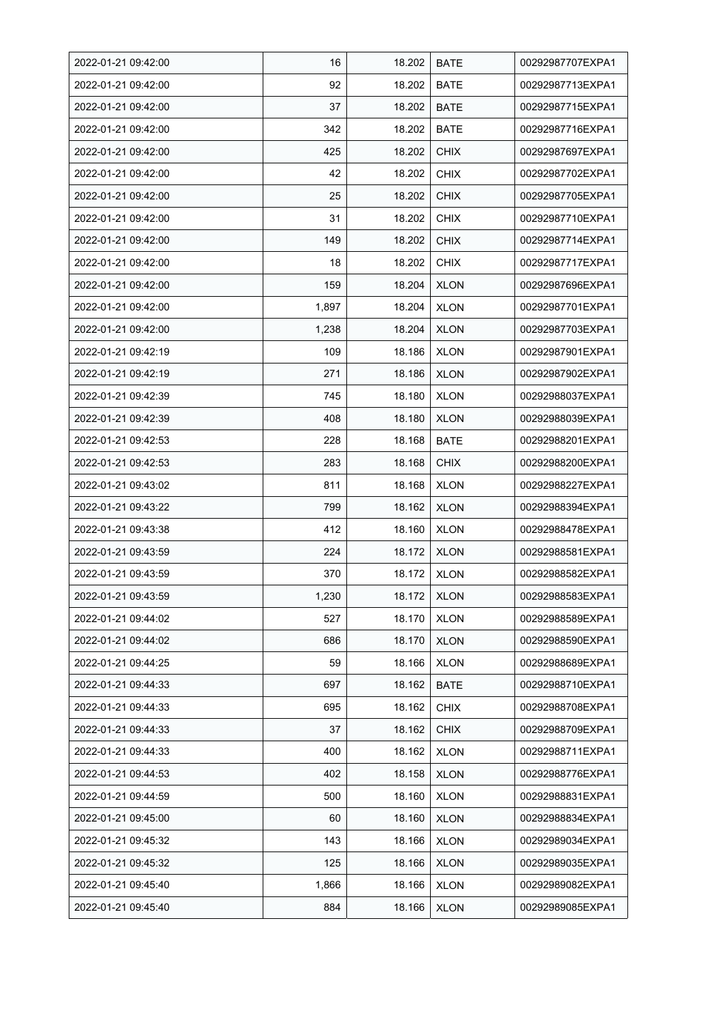| 2022-01-21 09:42:00 | 16    | 18.202 | <b>BATE</b> | 00292987707EXPA1 |
|---------------------|-------|--------|-------------|------------------|
| 2022-01-21 09:42:00 | 92    | 18.202 | <b>BATE</b> | 00292987713EXPA1 |
| 2022-01-21 09:42:00 | 37    | 18.202 | <b>BATE</b> | 00292987715EXPA1 |
| 2022-01-21 09:42:00 | 342   | 18.202 | <b>BATE</b> | 00292987716EXPA1 |
| 2022-01-21 09:42:00 | 425   | 18.202 | <b>CHIX</b> | 00292987697EXPA1 |
| 2022-01-21 09:42:00 | 42    | 18.202 | <b>CHIX</b> | 00292987702EXPA1 |
| 2022-01-21 09:42:00 | 25    | 18.202 | <b>CHIX</b> | 00292987705EXPA1 |
| 2022-01-21 09:42:00 | 31    | 18.202 | <b>CHIX</b> | 00292987710EXPA1 |
| 2022-01-21 09:42:00 | 149   | 18.202 | <b>CHIX</b> | 00292987714EXPA1 |
| 2022-01-21 09:42:00 | 18    | 18.202 | <b>CHIX</b> | 00292987717EXPA1 |
| 2022-01-21 09:42:00 | 159   | 18.204 | <b>XLON</b> | 00292987696EXPA1 |
| 2022-01-21 09:42:00 | 1,897 | 18.204 | <b>XLON</b> | 00292987701EXPA1 |
| 2022-01-21 09:42:00 | 1,238 | 18.204 | <b>XLON</b> | 00292987703EXPA1 |
| 2022-01-21 09:42:19 | 109   | 18.186 | <b>XLON</b> | 00292987901EXPA1 |
| 2022-01-21 09:42:19 | 271   | 18.186 | <b>XLON</b> | 00292987902EXPA1 |
| 2022-01-21 09:42:39 | 745   | 18.180 | <b>XLON</b> | 00292988037EXPA1 |
| 2022-01-21 09:42:39 | 408   | 18.180 | <b>XLON</b> | 00292988039EXPA1 |
| 2022-01-21 09:42:53 | 228   | 18.168 | <b>BATE</b> | 00292988201EXPA1 |
| 2022-01-21 09:42:53 | 283   | 18.168 | <b>CHIX</b> | 00292988200EXPA1 |
| 2022-01-21 09:43:02 | 811   | 18.168 | <b>XLON</b> | 00292988227EXPA1 |
| 2022-01-21 09:43:22 | 799   | 18.162 | <b>XLON</b> | 00292988394EXPA1 |
| 2022-01-21 09:43:38 | 412   | 18.160 | <b>XLON</b> | 00292988478EXPA1 |
| 2022-01-21 09:43:59 | 224   | 18.172 | <b>XLON</b> | 00292988581EXPA1 |
| 2022-01-21 09:43:59 | 370   | 18.172 | <b>XLON</b> | 00292988582EXPA1 |
| 2022-01-21 09:43:59 | 1,230 | 18.172 | <b>XLON</b> | 00292988583EXPA1 |
| 2022-01-21 09:44:02 | 527   | 18.170 | <b>XLON</b> | 00292988589EXPA1 |
| 2022-01-21 09:44:02 | 686   | 18.170 | <b>XLON</b> | 00292988590EXPA1 |
| 2022-01-21 09:44:25 | 59    | 18.166 | <b>XLON</b> | 00292988689EXPA1 |
| 2022-01-21 09:44:33 | 697   | 18.162 | <b>BATE</b> | 00292988710EXPA1 |
| 2022-01-21 09:44:33 | 695   | 18.162 | <b>CHIX</b> | 00292988708EXPA1 |
| 2022-01-21 09:44:33 | 37    | 18.162 | <b>CHIX</b> | 00292988709EXPA1 |
| 2022-01-21 09:44:33 | 400   | 18.162 | <b>XLON</b> | 00292988711EXPA1 |
| 2022-01-21 09:44:53 | 402   | 18.158 | <b>XLON</b> | 00292988776EXPA1 |
| 2022-01-21 09:44:59 | 500   | 18.160 | <b>XLON</b> | 00292988831EXPA1 |
| 2022-01-21 09:45:00 | 60    | 18.160 | <b>XLON</b> | 00292988834EXPA1 |
| 2022-01-21 09:45:32 | 143   | 18.166 | <b>XLON</b> | 00292989034EXPA1 |
| 2022-01-21 09:45:32 | 125   | 18.166 | <b>XLON</b> | 00292989035EXPA1 |
| 2022-01-21 09:45:40 | 1,866 | 18.166 | <b>XLON</b> | 00292989082EXPA1 |
| 2022-01-21 09:45:40 | 884   | 18.166 | <b>XLON</b> | 00292989085EXPA1 |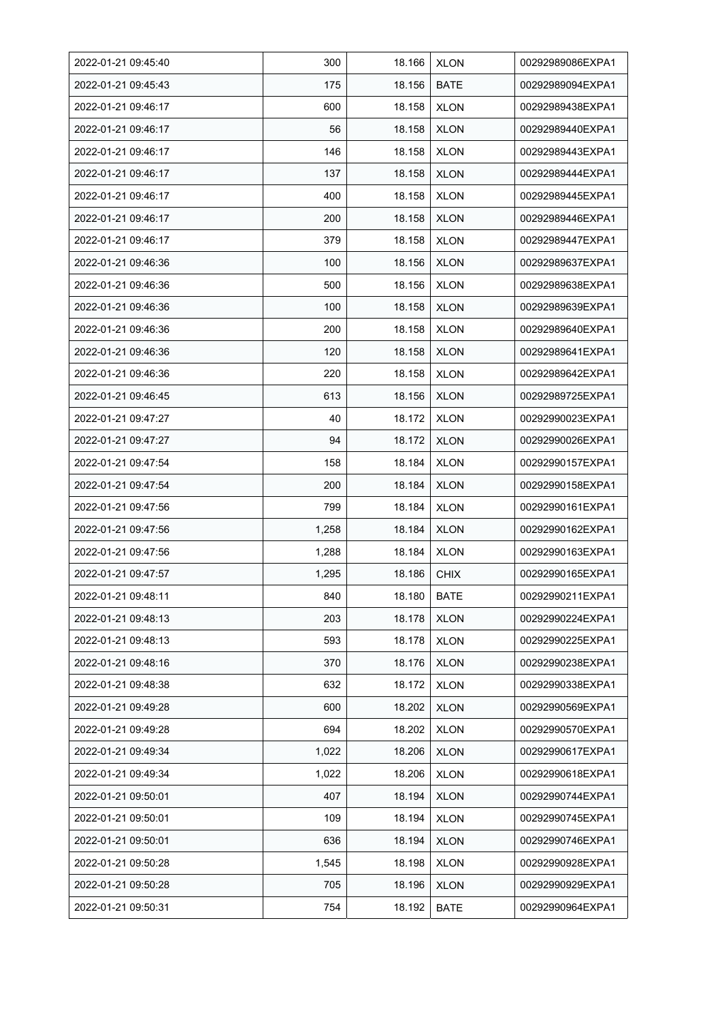| 2022-01-21 09:45:40 | 300   | 18.166 | <b>XLON</b> | 00292989086EXPA1 |
|---------------------|-------|--------|-------------|------------------|
| 2022-01-21 09:45:43 | 175   | 18.156 | <b>BATE</b> | 00292989094EXPA1 |
| 2022-01-21 09:46:17 | 600   | 18.158 | <b>XLON</b> | 00292989438EXPA1 |
| 2022-01-21 09:46:17 | 56    | 18.158 | <b>XLON</b> | 00292989440EXPA1 |
| 2022-01-21 09:46:17 | 146   | 18.158 | <b>XLON</b> | 00292989443EXPA1 |
| 2022-01-21 09:46:17 | 137   | 18.158 | <b>XLON</b> | 00292989444EXPA1 |
| 2022-01-21 09:46:17 | 400   | 18.158 | <b>XLON</b> | 00292989445EXPA1 |
| 2022-01-21 09:46:17 | 200   | 18.158 | <b>XLON</b> | 00292989446EXPA1 |
| 2022-01-21 09:46:17 | 379   | 18.158 | <b>XLON</b> | 00292989447EXPA1 |
| 2022-01-21 09:46:36 | 100   | 18.156 | <b>XLON</b> | 00292989637EXPA1 |
| 2022-01-21 09:46:36 | 500   | 18.156 | <b>XLON</b> | 00292989638EXPA1 |
| 2022-01-21 09:46:36 | 100   | 18.158 | <b>XLON</b> | 00292989639EXPA1 |
| 2022-01-21 09:46:36 | 200   | 18.158 | <b>XLON</b> | 00292989640EXPA1 |
| 2022-01-21 09:46:36 | 120   | 18.158 | <b>XLON</b> | 00292989641EXPA1 |
| 2022-01-21 09:46:36 | 220   | 18.158 | <b>XLON</b> | 00292989642EXPA1 |
| 2022-01-21 09:46:45 | 613   | 18.156 | <b>XLON</b> | 00292989725EXPA1 |
| 2022-01-21 09:47:27 | 40    | 18.172 | <b>XLON</b> | 00292990023EXPA1 |
| 2022-01-21 09:47:27 | 94    | 18.172 | <b>XLON</b> | 00292990026EXPA1 |
| 2022-01-21 09:47:54 | 158   | 18.184 | <b>XLON</b> | 00292990157EXPA1 |
| 2022-01-21 09:47:54 | 200   | 18.184 | <b>XLON</b> | 00292990158EXPA1 |
| 2022-01-21 09:47:56 | 799   | 18.184 | <b>XLON</b> | 00292990161EXPA1 |
| 2022-01-21 09:47:56 | 1,258 | 18.184 | <b>XLON</b> | 00292990162EXPA1 |
| 2022-01-21 09:47:56 | 1,288 | 18.184 | <b>XLON</b> | 00292990163EXPA1 |
| 2022-01-21 09:47:57 | 1,295 | 18.186 | <b>CHIX</b> | 00292990165EXPA1 |
| 2022-01-21 09:48:11 | 840   | 18.180 | <b>BATE</b> | 00292990211EXPA1 |
| 2022-01-21 09:48:13 | 203   | 18.178 | <b>XLON</b> | 00292990224EXPA1 |
| 2022-01-21 09:48:13 | 593   | 18.178 | <b>XLON</b> | 00292990225EXPA1 |
| 2022-01-21 09:48:16 | 370   | 18.176 | <b>XLON</b> | 00292990238EXPA1 |
| 2022-01-21 09:48:38 | 632   | 18.172 | <b>XLON</b> | 00292990338EXPA1 |
| 2022-01-21 09:49:28 | 600   | 18.202 | <b>XLON</b> | 00292990569EXPA1 |
| 2022-01-21 09:49:28 | 694   | 18.202 | <b>XLON</b> | 00292990570EXPA1 |
| 2022-01-21 09:49:34 | 1,022 | 18.206 | <b>XLON</b> | 00292990617EXPA1 |
| 2022-01-21 09:49:34 | 1,022 | 18.206 | <b>XLON</b> | 00292990618EXPA1 |
| 2022-01-21 09:50:01 | 407   | 18.194 | <b>XLON</b> | 00292990744EXPA1 |
| 2022-01-21 09:50:01 | 109   | 18.194 | <b>XLON</b> | 00292990745EXPA1 |
| 2022-01-21 09:50:01 | 636   | 18.194 | <b>XLON</b> | 00292990746EXPA1 |
| 2022-01-21 09:50:28 | 1,545 | 18.198 | <b>XLON</b> | 00292990928EXPA1 |
| 2022-01-21 09:50:28 | 705   | 18.196 | <b>XLON</b> | 00292990929EXPA1 |
| 2022-01-21 09:50:31 | 754   | 18.192 | <b>BATE</b> | 00292990964EXPA1 |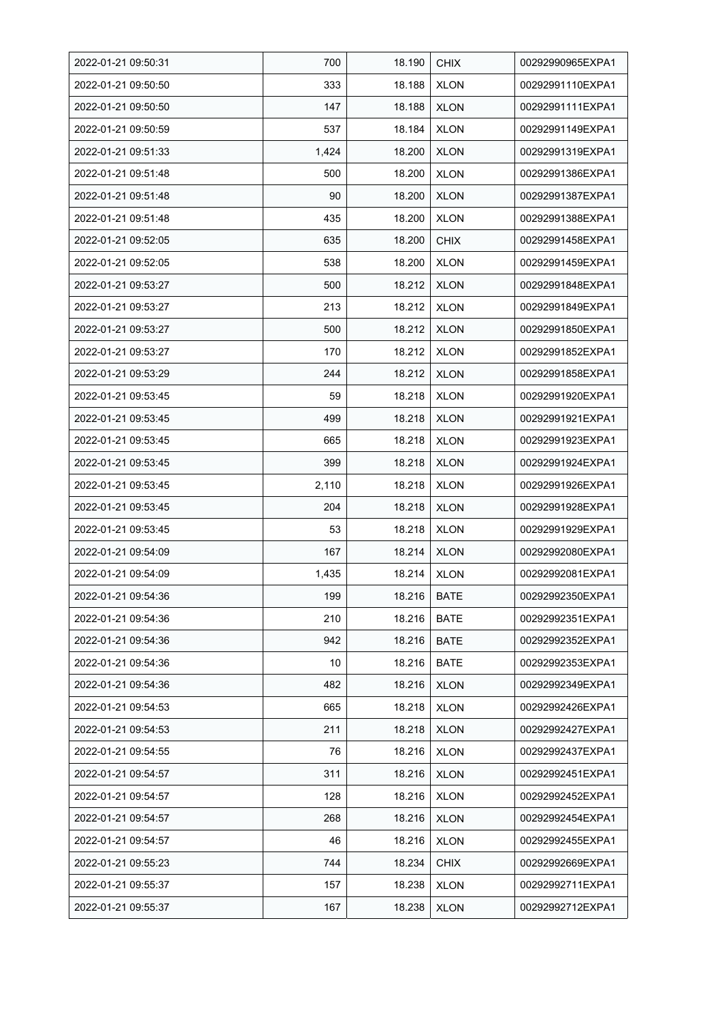| 2022-01-21 09:50:31 | 700   | 18.190 | <b>CHIX</b> | 00292990965EXPA1 |
|---------------------|-------|--------|-------------|------------------|
| 2022-01-21 09:50:50 | 333   | 18.188 | <b>XLON</b> | 00292991110EXPA1 |
| 2022-01-21 09:50:50 | 147   | 18.188 | <b>XLON</b> | 00292991111EXPA1 |
| 2022-01-21 09:50:59 | 537   | 18.184 | <b>XLON</b> | 00292991149EXPA1 |
| 2022-01-21 09:51:33 | 1,424 | 18.200 | <b>XLON</b> | 00292991319EXPA1 |
| 2022-01-21 09:51:48 | 500   | 18.200 | <b>XLON</b> | 00292991386EXPA1 |
| 2022-01-21 09:51:48 | 90    | 18.200 | <b>XLON</b> | 00292991387EXPA1 |
| 2022-01-21 09:51:48 | 435   | 18.200 | <b>XLON</b> | 00292991388EXPA1 |
| 2022-01-21 09:52:05 | 635   | 18.200 | <b>CHIX</b> | 00292991458EXPA1 |
| 2022-01-21 09:52:05 | 538   | 18.200 | <b>XLON</b> | 00292991459EXPA1 |
| 2022-01-21 09:53:27 | 500   | 18.212 | <b>XLON</b> | 00292991848EXPA1 |
| 2022-01-21 09:53:27 | 213   | 18.212 | <b>XLON</b> | 00292991849EXPA1 |
| 2022-01-21 09:53:27 | 500   | 18.212 | <b>XLON</b> | 00292991850EXPA1 |
| 2022-01-21 09:53:27 | 170   | 18.212 | <b>XLON</b> | 00292991852EXPA1 |
| 2022-01-21 09:53:29 | 244   | 18.212 | <b>XLON</b> | 00292991858EXPA1 |
| 2022-01-21 09:53:45 | 59    | 18.218 | <b>XLON</b> | 00292991920EXPA1 |
| 2022-01-21 09:53:45 | 499   | 18.218 | <b>XLON</b> | 00292991921EXPA1 |
| 2022-01-21 09:53:45 | 665   | 18.218 | <b>XLON</b> | 00292991923EXPA1 |
| 2022-01-21 09:53:45 | 399   | 18.218 | <b>XLON</b> | 00292991924EXPA1 |
| 2022-01-21 09:53:45 | 2,110 | 18.218 | <b>XLON</b> | 00292991926EXPA1 |
| 2022-01-21 09:53:45 | 204   | 18.218 | <b>XLON</b> | 00292991928EXPA1 |
| 2022-01-21 09:53:45 | 53    | 18.218 | <b>XLON</b> | 00292991929EXPA1 |
| 2022-01-21 09:54:09 | 167   | 18.214 | <b>XLON</b> | 00292992080EXPA1 |
| 2022-01-21 09:54:09 | 1,435 | 18.214 | <b>XLON</b> | 00292992081EXPA1 |
| 2022-01-21 09:54:36 | 199   | 18.216 | <b>BATE</b> | 00292992350EXPA1 |
| 2022-01-21 09:54:36 | 210   | 18.216 | BATE        | 00292992351EXPA1 |
| 2022-01-21 09:54:36 | 942   | 18.216 | <b>BATE</b> | 00292992352EXPA1 |
| 2022-01-21 09:54:36 | 10    | 18.216 | BATE        | 00292992353EXPA1 |
| 2022-01-21 09:54:36 | 482   | 18.216 | <b>XLON</b> | 00292992349EXPA1 |
| 2022-01-21 09:54:53 | 665   | 18.218 | <b>XLON</b> | 00292992426EXPA1 |
| 2022-01-21 09:54:53 | 211   | 18.218 | <b>XLON</b> | 00292992427EXPA1 |
| 2022-01-21 09:54:55 | 76    | 18.216 | <b>XLON</b> | 00292992437EXPA1 |
| 2022-01-21 09:54:57 | 311   | 18.216 | <b>XLON</b> | 00292992451EXPA1 |
| 2022-01-21 09:54:57 | 128   | 18.216 | <b>XLON</b> | 00292992452EXPA1 |
| 2022-01-21 09:54:57 | 268   | 18.216 | <b>XLON</b> | 00292992454EXPA1 |
| 2022-01-21 09:54:57 | 46    | 18.216 | <b>XLON</b> | 00292992455EXPA1 |
| 2022-01-21 09:55:23 | 744   | 18.234 | <b>CHIX</b> | 00292992669EXPA1 |
| 2022-01-21 09:55:37 | 157   | 18.238 | <b>XLON</b> | 00292992711EXPA1 |
| 2022-01-21 09:55:37 | 167   | 18.238 | <b>XLON</b> | 00292992712EXPA1 |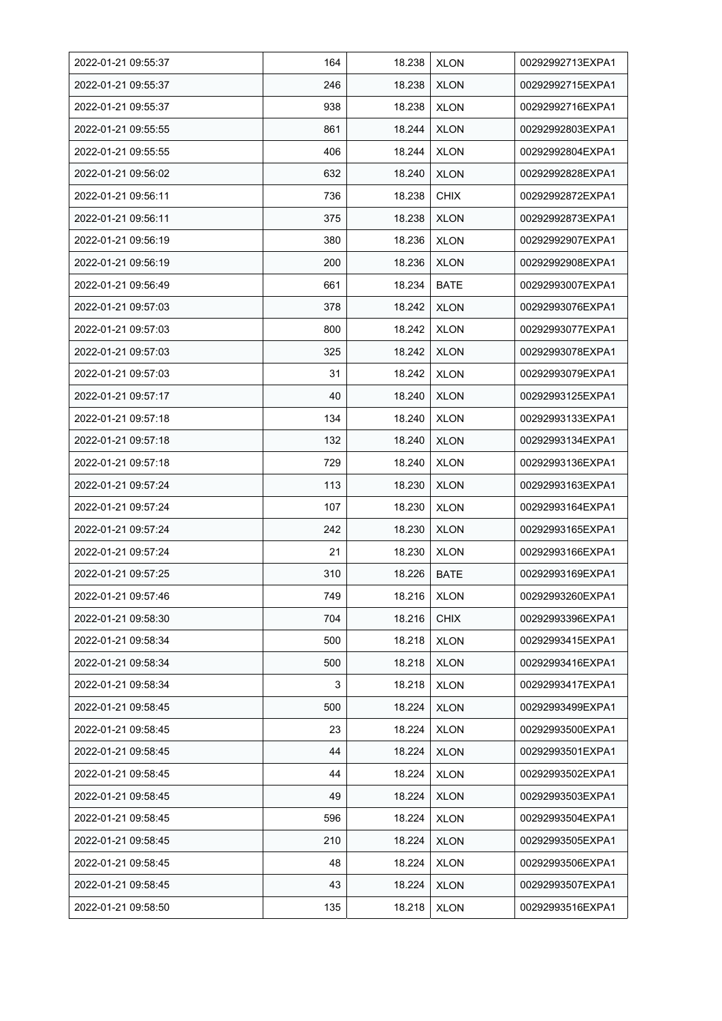| 2022-01-21 09:55:37 | 164 | 18.238 | <b>XLON</b> | 00292992713EXPA1 |
|---------------------|-----|--------|-------------|------------------|
| 2022-01-21 09:55:37 | 246 | 18.238 | <b>XLON</b> | 00292992715EXPA1 |
| 2022-01-21 09:55:37 | 938 | 18.238 | <b>XLON</b> | 00292992716EXPA1 |
| 2022-01-21 09:55:55 | 861 | 18.244 | <b>XLON</b> | 00292992803EXPA1 |
| 2022-01-21 09:55:55 | 406 | 18.244 | <b>XLON</b> | 00292992804EXPA1 |
| 2022-01-21 09:56:02 | 632 | 18.240 | <b>XLON</b> | 00292992828EXPA1 |
| 2022-01-21 09:56:11 | 736 | 18.238 | <b>CHIX</b> | 00292992872EXPA1 |
| 2022-01-21 09:56:11 | 375 | 18.238 | <b>XLON</b> | 00292992873EXPA1 |
| 2022-01-21 09:56:19 | 380 | 18.236 | <b>XLON</b> | 00292992907EXPA1 |
| 2022-01-21 09:56:19 | 200 | 18.236 | <b>XLON</b> | 00292992908EXPA1 |
| 2022-01-21 09:56:49 | 661 | 18.234 | <b>BATE</b> | 00292993007EXPA1 |
| 2022-01-21 09:57:03 | 378 | 18.242 | <b>XLON</b> | 00292993076EXPA1 |
| 2022-01-21 09:57:03 | 800 | 18.242 | <b>XLON</b> | 00292993077EXPA1 |
| 2022-01-21 09:57:03 | 325 | 18.242 | <b>XLON</b> | 00292993078EXPA1 |
| 2022-01-21 09:57:03 | 31  | 18.242 | <b>XLON</b> | 00292993079EXPA1 |
| 2022-01-21 09:57:17 | 40  | 18.240 | <b>XLON</b> | 00292993125EXPA1 |
| 2022-01-21 09:57:18 | 134 | 18.240 | <b>XLON</b> | 00292993133EXPA1 |
| 2022-01-21 09:57:18 | 132 | 18.240 | <b>XLON</b> | 00292993134EXPA1 |
| 2022-01-21 09:57:18 | 729 | 18.240 | <b>XLON</b> | 00292993136EXPA1 |
| 2022-01-21 09:57:24 | 113 | 18.230 | <b>XLON</b> | 00292993163EXPA1 |
| 2022-01-21 09:57:24 | 107 | 18.230 | <b>XLON</b> | 00292993164EXPA1 |
| 2022-01-21 09:57:24 | 242 | 18.230 | <b>XLON</b> | 00292993165EXPA1 |
| 2022-01-21 09:57:24 | 21  | 18.230 | <b>XLON</b> | 00292993166EXPA1 |
| 2022-01-21 09:57:25 | 310 | 18.226 | <b>BATE</b> | 00292993169EXPA1 |
| 2022-01-21 09:57:46 | 749 | 18.216 | <b>XLON</b> | 00292993260EXPA1 |
| 2022-01-21 09:58:30 | 704 | 18.216 | <b>CHIX</b> | 00292993396EXPA1 |
| 2022-01-21 09:58:34 | 500 | 18.218 | <b>XLON</b> | 00292993415EXPA1 |
| 2022-01-21 09:58:34 | 500 | 18.218 | <b>XLON</b> | 00292993416EXPA1 |
| 2022-01-21 09:58:34 | 3   | 18.218 | <b>XLON</b> | 00292993417EXPA1 |
| 2022-01-21 09:58:45 | 500 | 18.224 | <b>XLON</b> | 00292993499EXPA1 |
| 2022-01-21 09:58:45 | 23  | 18.224 | <b>XLON</b> | 00292993500EXPA1 |
| 2022-01-21 09:58:45 | 44  | 18.224 | <b>XLON</b> | 00292993501EXPA1 |
| 2022-01-21 09:58:45 | 44  | 18.224 | <b>XLON</b> | 00292993502EXPA1 |
| 2022-01-21 09:58:45 | 49  | 18.224 | <b>XLON</b> | 00292993503EXPA1 |
| 2022-01-21 09:58:45 | 596 | 18.224 | <b>XLON</b> | 00292993504EXPA1 |
| 2022-01-21 09:58:45 | 210 | 18.224 | <b>XLON</b> | 00292993505EXPA1 |
| 2022-01-21 09:58:45 | 48  | 18.224 | <b>XLON</b> | 00292993506EXPA1 |
| 2022-01-21 09:58:45 | 43  | 18.224 | <b>XLON</b> | 00292993507EXPA1 |
| 2022-01-21 09:58:50 | 135 | 18.218 | <b>XLON</b> | 00292993516EXPA1 |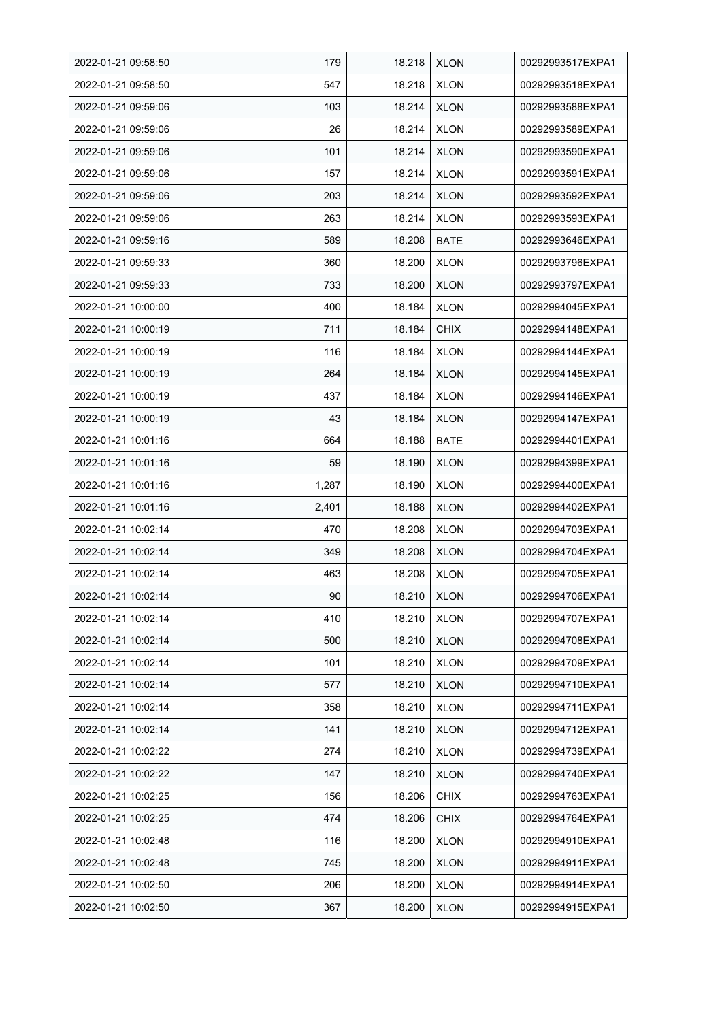| 2022-01-21 09:58:50 | 179   | 18.218 | <b>XLON</b> | 00292993517EXPA1 |
|---------------------|-------|--------|-------------|------------------|
| 2022-01-21 09:58:50 | 547   | 18.218 | <b>XLON</b> | 00292993518EXPA1 |
| 2022-01-21 09:59:06 | 103   | 18.214 | <b>XLON</b> | 00292993588EXPA1 |
| 2022-01-21 09:59:06 | 26    | 18.214 | <b>XLON</b> | 00292993589EXPA1 |
| 2022-01-21 09:59:06 | 101   | 18.214 | <b>XLON</b> | 00292993590EXPA1 |
| 2022-01-21 09:59:06 | 157   | 18.214 | <b>XLON</b> | 00292993591EXPA1 |
| 2022-01-21 09:59:06 | 203   | 18.214 | <b>XLON</b> | 00292993592EXPA1 |
| 2022-01-21 09:59:06 | 263   | 18.214 | <b>XLON</b> | 00292993593EXPA1 |
| 2022-01-21 09:59:16 | 589   | 18.208 | <b>BATE</b> | 00292993646EXPA1 |
| 2022-01-21 09:59:33 | 360   | 18.200 | <b>XLON</b> | 00292993796EXPA1 |
| 2022-01-21 09:59:33 | 733   | 18.200 | <b>XLON</b> | 00292993797EXPA1 |
| 2022-01-21 10:00:00 | 400   | 18.184 | <b>XLON</b> | 00292994045EXPA1 |
| 2022-01-21 10:00:19 | 711   | 18.184 | <b>CHIX</b> | 00292994148EXPA1 |
| 2022-01-21 10:00:19 | 116   | 18.184 | <b>XLON</b> | 00292994144EXPA1 |
| 2022-01-21 10:00:19 | 264   | 18.184 | <b>XLON</b> | 00292994145EXPA1 |
| 2022-01-21 10:00:19 | 437   | 18.184 | <b>XLON</b> | 00292994146EXPA1 |
| 2022-01-21 10:00:19 | 43    | 18.184 | <b>XLON</b> | 00292994147EXPA1 |
| 2022-01-21 10:01:16 | 664   | 18.188 | BATE        | 00292994401EXPA1 |
| 2022-01-21 10:01:16 | 59    | 18.190 | <b>XLON</b> | 00292994399EXPA1 |
| 2022-01-21 10:01:16 | 1,287 | 18.190 | <b>XLON</b> | 00292994400EXPA1 |
| 2022-01-21 10:01:16 | 2,401 | 18.188 | <b>XLON</b> | 00292994402EXPA1 |
| 2022-01-21 10:02:14 | 470   | 18.208 | <b>XLON</b> | 00292994703EXPA1 |
| 2022-01-21 10:02:14 | 349   | 18.208 | <b>XLON</b> | 00292994704EXPA1 |
| 2022-01-21 10:02:14 | 463   | 18.208 | <b>XLON</b> | 00292994705EXPA1 |
| 2022-01-21 10:02:14 | 90    | 18.210 | <b>XLON</b> | 00292994706EXPA1 |
| 2022-01-21 10:02:14 | 410   | 18.210 | <b>XLON</b> | 00292994707EXPA1 |
| 2022-01-21 10:02:14 | 500   | 18.210 | <b>XLON</b> | 00292994708EXPA1 |
| 2022-01-21 10:02:14 | 101   | 18.210 | <b>XLON</b> | 00292994709EXPA1 |
| 2022-01-21 10:02:14 | 577   | 18.210 | <b>XLON</b> | 00292994710EXPA1 |
| 2022-01-21 10:02:14 | 358   | 18.210 | <b>XLON</b> | 00292994711EXPA1 |
| 2022-01-21 10:02:14 | 141   | 18.210 | <b>XLON</b> | 00292994712EXPA1 |
| 2022-01-21 10:02:22 | 274   | 18.210 | <b>XLON</b> | 00292994739EXPA1 |
| 2022-01-21 10:02:22 | 147   | 18.210 | <b>XLON</b> | 00292994740EXPA1 |
| 2022-01-21 10:02:25 | 156   | 18.206 | <b>CHIX</b> | 00292994763EXPA1 |
| 2022-01-21 10:02:25 | 474   | 18.206 | <b>CHIX</b> | 00292994764EXPA1 |
| 2022-01-21 10:02:48 | 116   | 18.200 | <b>XLON</b> | 00292994910EXPA1 |
| 2022-01-21 10:02:48 | 745   | 18.200 | <b>XLON</b> | 00292994911EXPA1 |
| 2022-01-21 10:02:50 | 206   | 18.200 | <b>XLON</b> | 00292994914EXPA1 |
| 2022-01-21 10:02:50 | 367   | 18.200 | <b>XLON</b> | 00292994915EXPA1 |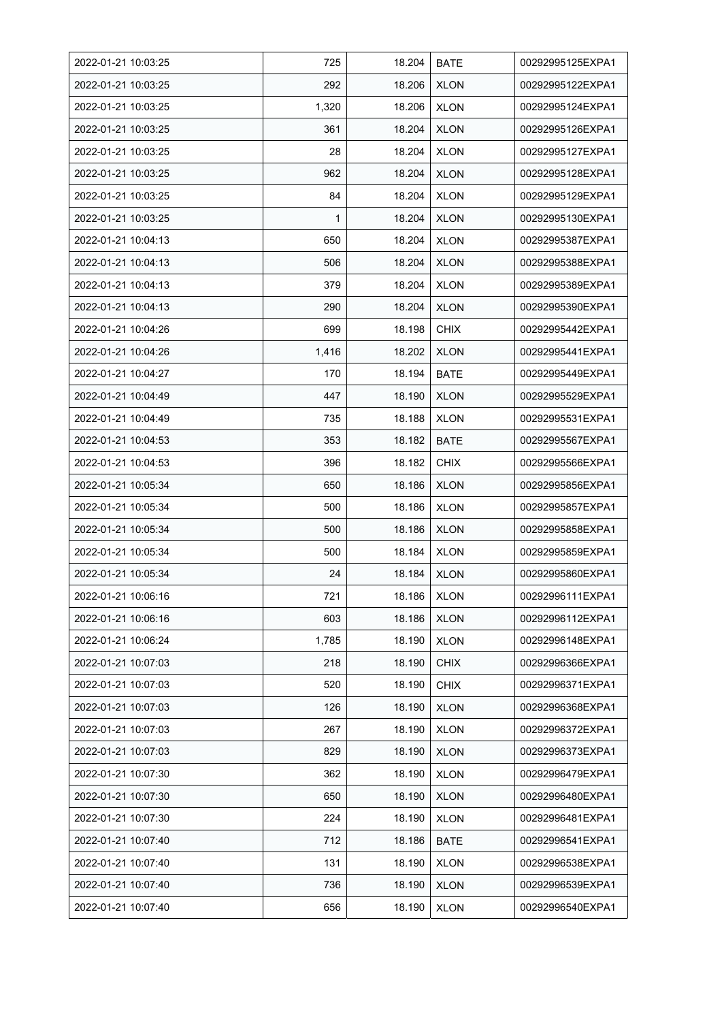| 2022-01-21 10:03:25 | 725   | 18.204 | <b>BATE</b> | 00292995125EXPA1 |
|---------------------|-------|--------|-------------|------------------|
| 2022-01-21 10:03:25 | 292   | 18.206 | <b>XLON</b> | 00292995122EXPA1 |
| 2022-01-21 10:03:25 | 1,320 | 18.206 | <b>XLON</b> | 00292995124EXPA1 |
| 2022-01-21 10:03:25 | 361   | 18.204 | <b>XLON</b> | 00292995126EXPA1 |
| 2022-01-21 10:03:25 | 28    | 18.204 | <b>XLON</b> | 00292995127EXPA1 |
| 2022-01-21 10:03:25 | 962   | 18.204 | <b>XLON</b> | 00292995128EXPA1 |
| 2022-01-21 10:03:25 | 84    | 18.204 | <b>XLON</b> | 00292995129EXPA1 |
| 2022-01-21 10:03:25 | 1     | 18.204 | <b>XLON</b> | 00292995130EXPA1 |
| 2022-01-21 10:04:13 | 650   | 18.204 | <b>XLON</b> | 00292995387EXPA1 |
| 2022-01-21 10:04:13 | 506   | 18.204 | <b>XLON</b> | 00292995388EXPA1 |
| 2022-01-21 10:04:13 | 379   | 18.204 | <b>XLON</b> | 00292995389EXPA1 |
| 2022-01-21 10:04:13 | 290   | 18.204 | <b>XLON</b> | 00292995390EXPA1 |
| 2022-01-21 10:04:26 | 699   | 18.198 | <b>CHIX</b> | 00292995442EXPA1 |
| 2022-01-21 10:04:26 | 1,416 | 18.202 | <b>XLON</b> | 00292995441EXPA1 |
| 2022-01-21 10:04:27 | 170   | 18.194 | <b>BATE</b> | 00292995449EXPA1 |
| 2022-01-21 10:04:49 | 447   | 18.190 | <b>XLON</b> | 00292995529EXPA1 |
| 2022-01-21 10:04:49 | 735   | 18.188 | <b>XLON</b> | 00292995531EXPA1 |
| 2022-01-21 10:04:53 | 353   | 18.182 | <b>BATE</b> | 00292995567EXPA1 |
| 2022-01-21 10:04:53 | 396   | 18.182 | <b>CHIX</b> | 00292995566EXPA1 |
| 2022-01-21 10:05:34 | 650   | 18.186 | <b>XLON</b> | 00292995856EXPA1 |
| 2022-01-21 10:05:34 | 500   | 18.186 | <b>XLON</b> | 00292995857EXPA1 |
| 2022-01-21 10:05:34 | 500   | 18.186 | <b>XLON</b> | 00292995858EXPA1 |
| 2022-01-21 10:05:34 | 500   | 18.184 | <b>XLON</b> | 00292995859EXPA1 |
| 2022-01-21 10:05:34 | 24    | 18.184 | <b>XLON</b> | 00292995860EXPA1 |
| 2022-01-21 10:06:16 | 721   | 18.186 | <b>XLON</b> | 00292996111EXPA1 |
| 2022-01-21 10:06:16 | 603   | 18.186 | <b>XLON</b> | 00292996112EXPA1 |
| 2022-01-21 10:06:24 | 1,785 | 18.190 | <b>XLON</b> | 00292996148EXPA1 |
| 2022-01-21 10:07:03 | 218   | 18.190 | <b>CHIX</b> | 00292996366EXPA1 |
| 2022-01-21 10:07:03 | 520   | 18.190 | <b>CHIX</b> | 00292996371EXPA1 |
| 2022-01-21 10:07:03 | 126   | 18.190 | <b>XLON</b> | 00292996368EXPA1 |
| 2022-01-21 10:07:03 | 267   | 18.190 | <b>XLON</b> | 00292996372EXPA1 |
| 2022-01-21 10:07:03 | 829   | 18.190 | <b>XLON</b> | 00292996373EXPA1 |
| 2022-01-21 10:07:30 | 362   | 18.190 | <b>XLON</b> | 00292996479EXPA1 |
| 2022-01-21 10:07:30 | 650   | 18.190 | <b>XLON</b> | 00292996480EXPA1 |
| 2022-01-21 10:07:30 | 224   | 18.190 | <b>XLON</b> | 00292996481EXPA1 |
| 2022-01-21 10:07:40 | 712   | 18.186 | <b>BATE</b> | 00292996541EXPA1 |
| 2022-01-21 10:07:40 | 131   | 18.190 | <b>XLON</b> | 00292996538EXPA1 |
| 2022-01-21 10:07:40 | 736   | 18.190 | <b>XLON</b> | 00292996539EXPA1 |
| 2022-01-21 10:07:40 | 656   | 18.190 | <b>XLON</b> | 00292996540EXPA1 |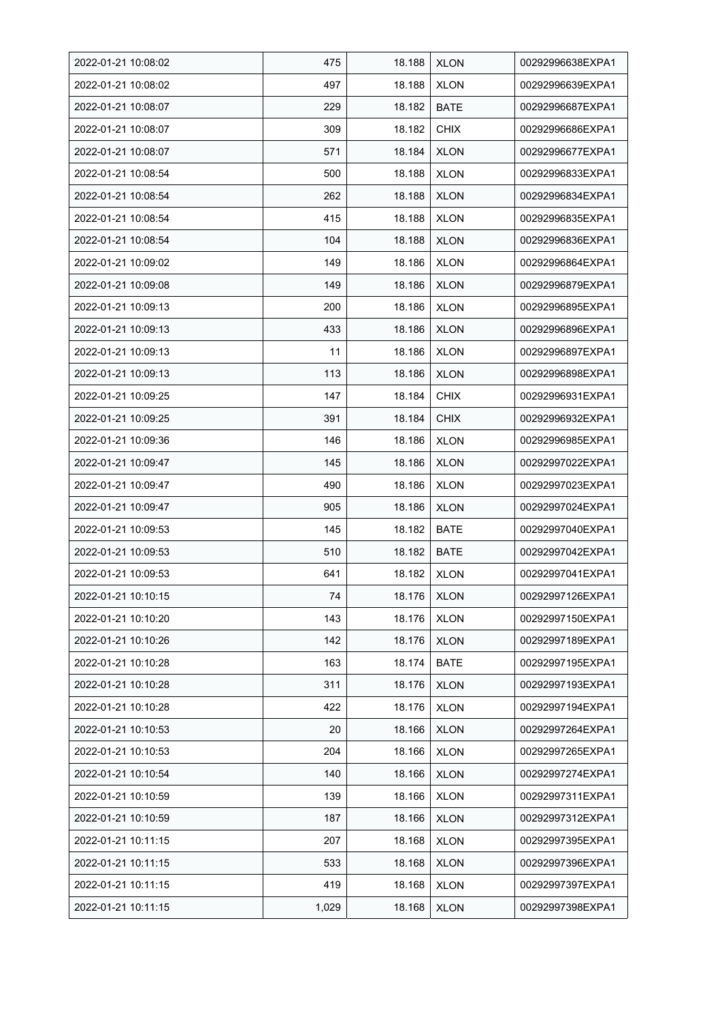| 2022-01-21 10:08:02 | 475   | 18.188 | <b>XLON</b> | 00292996638EXPA1 |
|---------------------|-------|--------|-------------|------------------|
| 2022-01-21 10:08:02 | 497   | 18.188 | <b>XLON</b> | 00292996639EXPA1 |
| 2022-01-21 10:08:07 | 229   | 18.182 | <b>BATE</b> | 00292996687EXPA1 |
| 2022-01-21 10:08:07 | 309   | 18.182 | <b>CHIX</b> | 00292996686EXPA1 |
| 2022-01-21 10:08:07 | 571   | 18.184 | <b>XLON</b> | 00292996677EXPA1 |
| 2022-01-21 10:08:54 | 500   | 18.188 | <b>XLON</b> | 00292996833EXPA1 |
| 2022-01-21 10:08:54 | 262   | 18.188 | <b>XLON</b> | 00292996834EXPA1 |
| 2022-01-21 10:08:54 | 415   | 18.188 | <b>XLON</b> | 00292996835EXPA1 |
| 2022-01-21 10:08:54 | 104   | 18.188 | <b>XLON</b> | 00292996836EXPA1 |
| 2022-01-21 10:09:02 | 149   | 18.186 | <b>XLON</b> | 00292996864EXPA1 |
| 2022-01-21 10:09:08 | 149   | 18.186 | <b>XLON</b> | 00292996879EXPA1 |
| 2022-01-21 10:09:13 | 200   | 18.186 | <b>XLON</b> | 00292996895EXPA1 |
| 2022-01-21 10:09:13 | 433   | 18.186 | <b>XLON</b> | 00292996896EXPA1 |
| 2022-01-21 10:09:13 | 11    | 18.186 | <b>XLON</b> | 00292996897EXPA1 |
| 2022-01-21 10:09:13 | 113   | 18.186 | <b>XLON</b> | 00292996898EXPA1 |
| 2022-01-21 10:09:25 | 147   | 18.184 | <b>CHIX</b> | 00292996931EXPA1 |
| 2022-01-21 10:09:25 | 391   | 18.184 | <b>CHIX</b> | 00292996932EXPA1 |
| 2022-01-21 10:09:36 | 146   | 18.186 | <b>XLON</b> | 00292996985EXPA1 |
| 2022-01-21 10:09:47 | 145   | 18.186 | <b>XLON</b> | 00292997022EXPA1 |
| 2022-01-21 10:09:47 | 490   | 18.186 | <b>XLON</b> | 00292997023EXPA1 |
| 2022-01-21 10:09:47 | 905   | 18.186 | <b>XLON</b> | 00292997024EXPA1 |
| 2022-01-21 10:09:53 | 145   | 18.182 | <b>BATE</b> | 00292997040EXPA1 |
| 2022-01-21 10:09:53 | 510   | 18.182 | <b>BATE</b> | 00292997042EXPA1 |
| 2022-01-21 10:09:53 | 641   | 18.182 | <b>XLON</b> | 00292997041EXPA1 |
| 2022-01-21 10:10:15 | 74    | 18.176 | <b>XLON</b> | 00292997126EXPA1 |
| 2022-01-21 10:10:20 | 143   | 18.176 | <b>XLON</b> | 00292997150EXPA1 |
| 2022-01-21 10:10:26 | 142   | 18.176 | <b>XLON</b> | 00292997189EXPA1 |
| 2022-01-21 10:10:28 | 163   | 18.174 | BATE        | 00292997195EXPA1 |
| 2022-01-21 10:10:28 | 311   | 18.176 | <b>XLON</b> | 00292997193EXPA1 |
| 2022-01-21 10:10:28 | 422   | 18.176 | <b>XLON</b> | 00292997194EXPA1 |
| 2022-01-21 10:10:53 | 20    | 18.166 | <b>XLON</b> | 00292997264EXPA1 |
| 2022-01-21 10:10:53 | 204   | 18.166 | <b>XLON</b> | 00292997265EXPA1 |
| 2022-01-21 10:10:54 | 140   | 18.166 | <b>XLON</b> | 00292997274EXPA1 |
| 2022-01-21 10:10:59 | 139   | 18.166 | <b>XLON</b> | 00292997311EXPA1 |
| 2022-01-21 10:10:59 | 187   | 18.166 | <b>XLON</b> | 00292997312EXPA1 |
| 2022-01-21 10:11:15 | 207   | 18.168 | <b>XLON</b> | 00292997395EXPA1 |
| 2022-01-21 10:11:15 | 533   | 18.168 | <b>XLON</b> | 00292997396EXPA1 |
| 2022-01-21 10:11:15 | 419   | 18.168 | <b>XLON</b> | 00292997397EXPA1 |
| 2022-01-21 10:11:15 | 1,029 | 18.168 | <b>XLON</b> | 00292997398EXPA1 |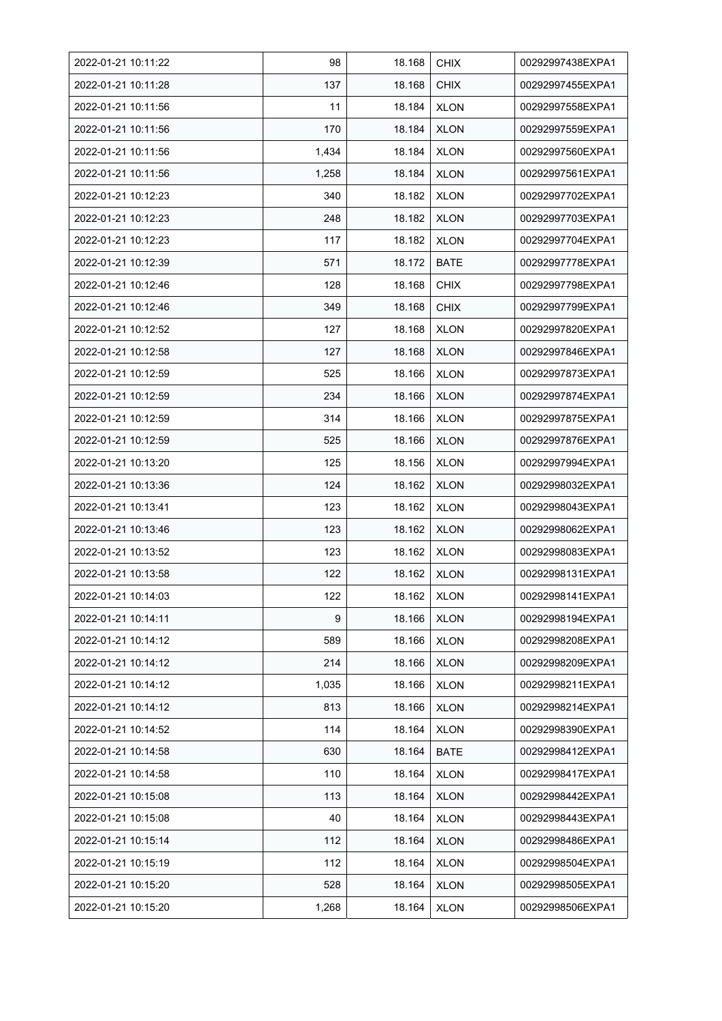| 2022-01-21 10:11:22 | 98    | 18.168 | <b>CHIX</b> | 00292997438EXPA1 |
|---------------------|-------|--------|-------------|------------------|
| 2022-01-21 10:11:28 | 137   | 18.168 | <b>CHIX</b> | 00292997455EXPA1 |
| 2022-01-21 10:11:56 | 11    | 18.184 | <b>XLON</b> | 00292997558EXPA1 |
| 2022-01-21 10:11:56 | 170   | 18.184 | <b>XLON</b> | 00292997559EXPA1 |
| 2022-01-21 10:11:56 | 1,434 | 18.184 | <b>XLON</b> | 00292997560EXPA1 |
| 2022-01-21 10:11:56 | 1,258 | 18.184 | <b>XLON</b> | 00292997561EXPA1 |
| 2022-01-21 10:12:23 | 340   | 18.182 | <b>XLON</b> | 00292997702EXPA1 |
| 2022-01-21 10:12:23 | 248   | 18.182 | <b>XLON</b> | 00292997703EXPA1 |
| 2022-01-21 10:12:23 | 117   | 18.182 | <b>XLON</b> | 00292997704EXPA1 |
| 2022-01-21 10:12:39 | 571   | 18.172 | <b>BATE</b> | 00292997778EXPA1 |
| 2022-01-21 10:12:46 | 128   | 18.168 | <b>CHIX</b> | 00292997798EXPA1 |
| 2022-01-21 10:12:46 | 349   | 18.168 | <b>CHIX</b> | 00292997799EXPA1 |
| 2022-01-21 10:12:52 | 127   | 18.168 | <b>XLON</b> | 00292997820EXPA1 |
| 2022-01-21 10:12:58 | 127   | 18.168 | <b>XLON</b> | 00292997846EXPA1 |
| 2022-01-21 10:12:59 | 525   | 18.166 | <b>XLON</b> | 00292997873EXPA1 |
| 2022-01-21 10:12:59 | 234   | 18.166 | <b>XLON</b> | 00292997874EXPA1 |
| 2022-01-21 10:12:59 | 314   | 18.166 | <b>XLON</b> | 00292997875EXPA1 |
| 2022-01-21 10:12:59 | 525   | 18.166 | <b>XLON</b> | 00292997876EXPA1 |
| 2022-01-21 10:13:20 | 125   | 18.156 | <b>XLON</b> | 00292997994EXPA1 |
| 2022-01-21 10:13:36 | 124   | 18.162 | <b>XLON</b> | 00292998032EXPA1 |
| 2022-01-21 10:13:41 | 123   | 18.162 | <b>XLON</b> | 00292998043EXPA1 |
| 2022-01-21 10:13:46 | 123   | 18.162 | <b>XLON</b> | 00292998062EXPA1 |
| 2022-01-21 10:13:52 | 123   | 18.162 | <b>XLON</b> | 00292998083EXPA1 |
| 2022-01-21 10:13:58 | 122   | 18.162 | <b>XLON</b> | 00292998131EXPA1 |
| 2022-01-21 10:14:03 | 122   | 18.162 | <b>XLON</b> | 00292998141EXPA1 |
| 2022-01-21 10:14:11 | 9     | 18.166 | <b>XLON</b> | 00292998194EXPA1 |
| 2022-01-21 10:14:12 | 589   | 18.166 | <b>XLON</b> | 00292998208EXPA1 |
| 2022-01-21 10:14:12 | 214   | 18.166 | <b>XLON</b> | 00292998209EXPA1 |
| 2022-01-21 10:14:12 | 1,035 | 18.166 | <b>XLON</b> | 00292998211EXPA1 |
| 2022-01-21 10:14:12 | 813   | 18.166 | <b>XLON</b> | 00292998214EXPA1 |
| 2022-01-21 10:14:52 | 114   | 18.164 | <b>XLON</b> | 00292998390EXPA1 |
| 2022-01-21 10:14:58 | 630   | 18.164 | BATE        | 00292998412EXPA1 |
| 2022-01-21 10:14:58 | 110   | 18.164 | <b>XLON</b> | 00292998417EXPA1 |
| 2022-01-21 10:15:08 | 113   | 18.164 | <b>XLON</b> | 00292998442EXPA1 |
| 2022-01-21 10:15:08 | 40    | 18.164 | <b>XLON</b> | 00292998443EXPA1 |
| 2022-01-21 10:15:14 | 112   | 18.164 | <b>XLON</b> | 00292998486EXPA1 |
| 2022-01-21 10:15:19 | 112   | 18.164 | <b>XLON</b> | 00292998504EXPA1 |
| 2022-01-21 10:15:20 | 528   | 18.164 | <b>XLON</b> | 00292998505EXPA1 |
| 2022-01-21 10:15:20 | 1,268 | 18.164 | <b>XLON</b> | 00292998506EXPA1 |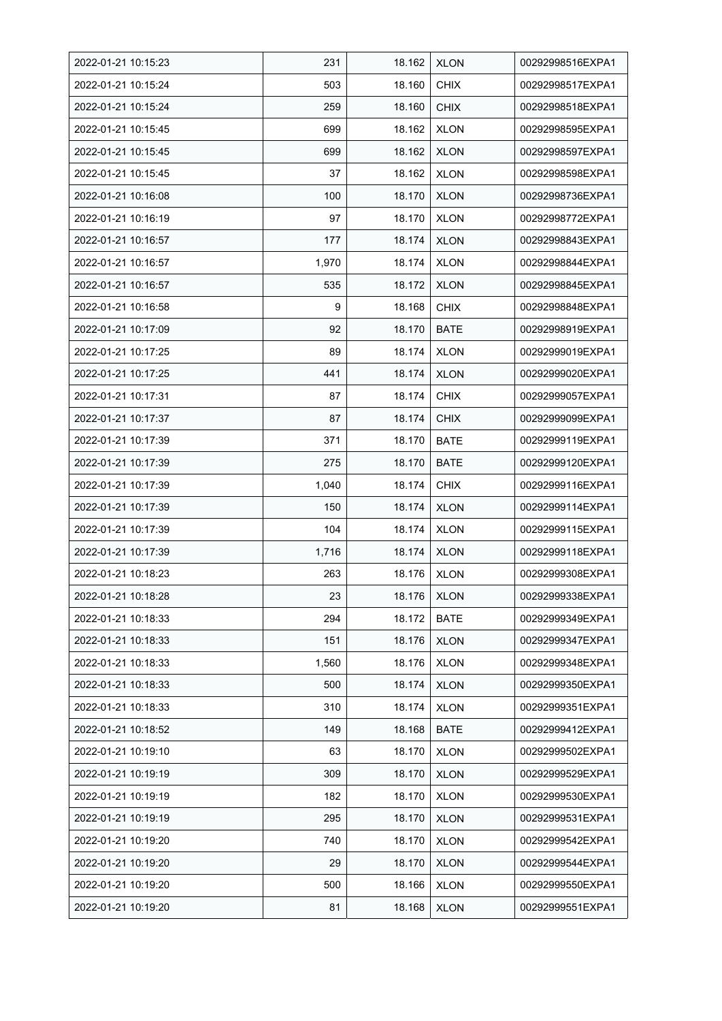| 2022-01-21 10:15:23 | 231   | 18.162 | <b>XLON</b> | 00292998516EXPA1 |
|---------------------|-------|--------|-------------|------------------|
| 2022-01-21 10:15:24 | 503   | 18.160 | <b>CHIX</b> | 00292998517EXPA1 |
| 2022-01-21 10:15:24 | 259   | 18.160 | <b>CHIX</b> | 00292998518EXPA1 |
| 2022-01-21 10:15:45 | 699   | 18.162 | <b>XLON</b> | 00292998595EXPA1 |
| 2022-01-21 10:15:45 | 699   | 18.162 | <b>XLON</b> | 00292998597EXPA1 |
| 2022-01-21 10:15:45 | 37    | 18.162 | <b>XLON</b> | 00292998598EXPA1 |
| 2022-01-21 10:16:08 | 100   | 18.170 | <b>XLON</b> | 00292998736EXPA1 |
| 2022-01-21 10:16:19 | 97    | 18.170 | <b>XLON</b> | 00292998772EXPA1 |
| 2022-01-21 10:16:57 | 177   | 18.174 | <b>XLON</b> | 00292998843EXPA1 |
| 2022-01-21 10:16:57 | 1,970 | 18.174 | <b>XLON</b> | 00292998844EXPA1 |
| 2022-01-21 10:16:57 | 535   | 18.172 | <b>XLON</b> | 00292998845EXPA1 |
| 2022-01-21 10:16:58 | 9     | 18.168 | <b>CHIX</b> | 00292998848EXPA1 |
| 2022-01-21 10:17:09 | 92    | 18.170 | <b>BATE</b> | 00292998919EXPA1 |
| 2022-01-21 10:17:25 | 89    | 18.174 | <b>XLON</b> | 00292999019EXPA1 |
| 2022-01-21 10:17:25 | 441   | 18.174 | <b>XLON</b> | 00292999020EXPA1 |
| 2022-01-21 10:17:31 | 87    | 18.174 | <b>CHIX</b> | 00292999057EXPA1 |
| 2022-01-21 10:17:37 | 87    | 18.174 | <b>CHIX</b> | 00292999099EXPA1 |
| 2022-01-21 10:17:39 | 371   | 18.170 | <b>BATE</b> | 00292999119EXPA1 |
| 2022-01-21 10:17:39 | 275   | 18.170 | <b>BATE</b> | 00292999120EXPA1 |
| 2022-01-21 10:17:39 | 1,040 | 18.174 | <b>CHIX</b> | 00292999116EXPA1 |
| 2022-01-21 10:17:39 | 150   | 18.174 | <b>XLON</b> | 00292999114EXPA1 |
| 2022-01-21 10:17:39 | 104   | 18.174 | <b>XLON</b> | 00292999115EXPA1 |
| 2022-01-21 10:17:39 | 1,716 | 18.174 | <b>XLON</b> | 00292999118EXPA1 |
| 2022-01-21 10:18:23 | 263   | 18.176 | <b>XLON</b> | 00292999308EXPA1 |
| 2022-01-21 10:18:28 | 23    | 18.176 | <b>XLON</b> | 00292999338EXPA1 |
| 2022-01-21 10:18:33 | 294   | 18.172 | <b>BATE</b> | 00292999349EXPA1 |
| 2022-01-21 10:18:33 | 151   | 18.176 | <b>XLON</b> | 00292999347EXPA1 |
| 2022-01-21 10:18:33 | 1,560 | 18.176 | <b>XLON</b> | 00292999348EXPA1 |
| 2022-01-21 10:18:33 | 500   | 18.174 | <b>XLON</b> | 00292999350EXPA1 |
| 2022-01-21 10:18:33 | 310   | 18.174 | <b>XLON</b> | 00292999351EXPA1 |
| 2022-01-21 10:18:52 | 149   | 18.168 | <b>BATE</b> | 00292999412EXPA1 |
| 2022-01-21 10:19:10 | 63    | 18.170 | <b>XLON</b> | 00292999502EXPA1 |
| 2022-01-21 10:19:19 | 309   | 18.170 | <b>XLON</b> | 00292999529EXPA1 |
| 2022-01-21 10:19:19 | 182   | 18.170 | <b>XLON</b> | 00292999530EXPA1 |
| 2022-01-21 10:19:19 | 295   | 18.170 | <b>XLON</b> | 00292999531EXPA1 |
| 2022-01-21 10:19:20 | 740   | 18.170 | <b>XLON</b> | 00292999542EXPA1 |
| 2022-01-21 10:19:20 | 29    | 18.170 | <b>XLON</b> | 00292999544EXPA1 |
| 2022-01-21 10:19:20 | 500   | 18.166 | <b>XLON</b> | 00292999550EXPA1 |
| 2022-01-21 10:19:20 | 81    | 18.168 | <b>XLON</b> | 00292999551EXPA1 |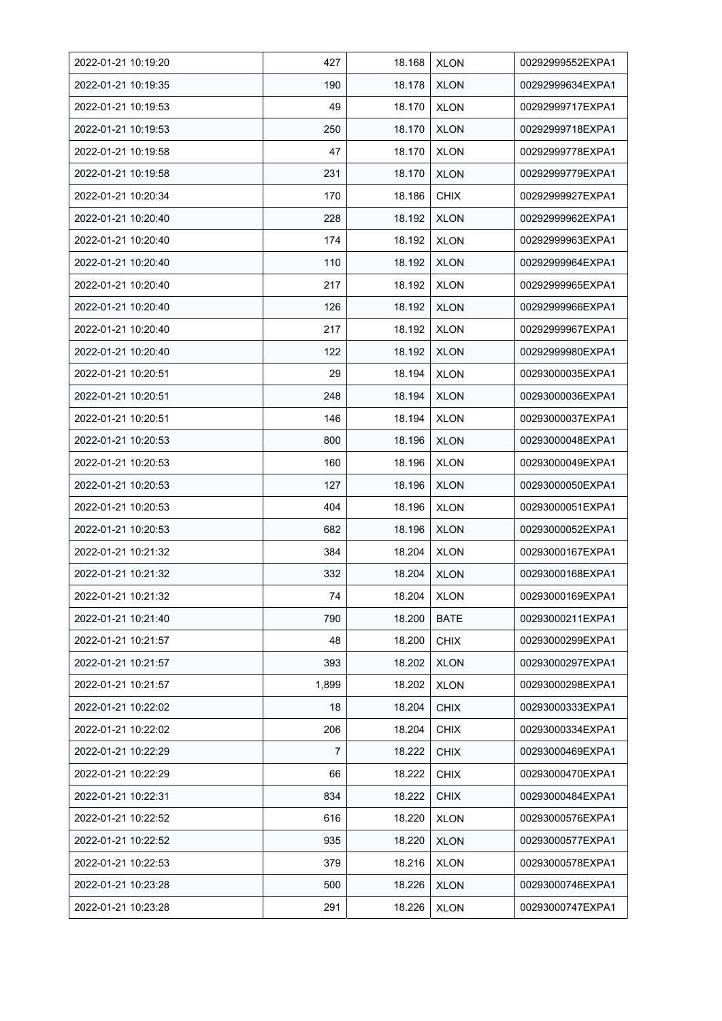| 2022-01-21 10:19:20 | 427   | 18.168 | <b>XLON</b> | 00292999552EXPA1 |
|---------------------|-------|--------|-------------|------------------|
| 2022-01-21 10:19:35 | 190   | 18.178 | <b>XLON</b> | 00292999634EXPA1 |
| 2022-01-21 10:19:53 | 49    | 18.170 | <b>XLON</b> | 00292999717EXPA1 |
| 2022-01-21 10:19:53 | 250   | 18.170 | <b>XLON</b> | 00292999718EXPA1 |
| 2022-01-21 10:19:58 | 47    | 18.170 | <b>XLON</b> | 00292999778EXPA1 |
| 2022-01-21 10:19:58 | 231   | 18.170 | <b>XLON</b> | 00292999779EXPA1 |
| 2022-01-21 10:20:34 | 170   | 18.186 | <b>CHIX</b> | 00292999927EXPA1 |
| 2022-01-21 10:20:40 | 228   | 18.192 | <b>XLON</b> | 00292999962EXPA1 |
| 2022-01-21 10:20:40 | 174   | 18.192 | <b>XLON</b> | 00292999963EXPA1 |
| 2022-01-21 10:20:40 | 110   | 18.192 | <b>XLON</b> | 00292999964EXPA1 |
| 2022-01-21 10:20:40 | 217   | 18.192 | <b>XLON</b> | 00292999965EXPA1 |
| 2022-01-21 10:20:40 | 126   | 18.192 | <b>XLON</b> | 00292999966EXPA1 |
| 2022-01-21 10:20:40 | 217   | 18.192 | <b>XLON</b> | 00292999967EXPA1 |
| 2022-01-21 10:20:40 | 122   | 18.192 | <b>XLON</b> | 00292999980EXPA1 |
| 2022-01-21 10:20.51 | 29    | 18.194 | <b>XLON</b> | 00293000035EXPA1 |
| 2022-01-21 10:20:51 | 248   | 18.194 | <b>XLON</b> | 00293000036EXPA1 |
| 2022-01-21 10:20.51 | 146   | 18.194 | <b>XLON</b> | 00293000037EXPA1 |
| 2022-01-21 10:20:53 | 800   | 18.196 | <b>XLON</b> | 00293000048EXPA1 |
| 2022-01-21 10:20:53 | 160   | 18.196 | <b>XLON</b> | 00293000049EXPA1 |
| 2022-01-21 10:20:53 | 127   | 18.196 | <b>XLON</b> | 00293000050EXPA1 |
| 2022-01-21 10:20:53 | 404   | 18.196 | <b>XLON</b> | 00293000051EXPA1 |
| 2022-01-21 10:20:53 | 682   | 18.196 | <b>XLON</b> | 00293000052EXPA1 |
| 2022-01-21 10:21:32 | 384   | 18.204 | <b>XLON</b> | 00293000167EXPA1 |
| 2022-01-21 10:21:32 | 332   | 18.204 | <b>XLON</b> | 00293000168EXPA1 |
| 2022-01-21 10:21:32 | 74    | 18.204 | <b>XLON</b> | 00293000169EXPA1 |
| 2022-01-21 10:21:40 | 790   | 18.200 | BATE        | 00293000211EXPA1 |
| 2022-01-21 10:21:57 | 48    | 18.200 | <b>CHIX</b> | 00293000299EXPA1 |
| 2022-01-21 10:21:57 | 393   | 18.202 | <b>XLON</b> | 00293000297EXPA1 |
| 2022-01-21 10:21:57 | 1,899 | 18.202 | <b>XLON</b> | 00293000298EXPA1 |
| 2022-01-21 10:22:02 | 18    | 18.204 | <b>CHIX</b> | 00293000333EXPA1 |
| 2022-01-21 10:22:02 | 206   | 18.204 | <b>CHIX</b> | 00293000334EXPA1 |
| 2022-01-21 10:22:29 | 7     | 18.222 | <b>CHIX</b> | 00293000469EXPA1 |
| 2022-01-21 10:22:29 | 66    | 18.222 | <b>CHIX</b> | 00293000470EXPA1 |
| 2022-01-21 10:22:31 | 834   | 18.222 | <b>CHIX</b> | 00293000484EXPA1 |
| 2022-01-21 10:22:52 | 616   | 18.220 | <b>XLON</b> | 00293000576EXPA1 |
| 2022-01-21 10:22:52 | 935   | 18.220 | <b>XLON</b> | 00293000577EXPA1 |
| 2022-01-21 10:22:53 | 379   | 18.216 | <b>XLON</b> | 00293000578EXPA1 |
| 2022-01-21 10:23:28 | 500   | 18.226 | <b>XLON</b> | 00293000746EXPA1 |
| 2022-01-21 10:23:28 | 291   | 18.226 | <b>XLON</b> | 00293000747EXPA1 |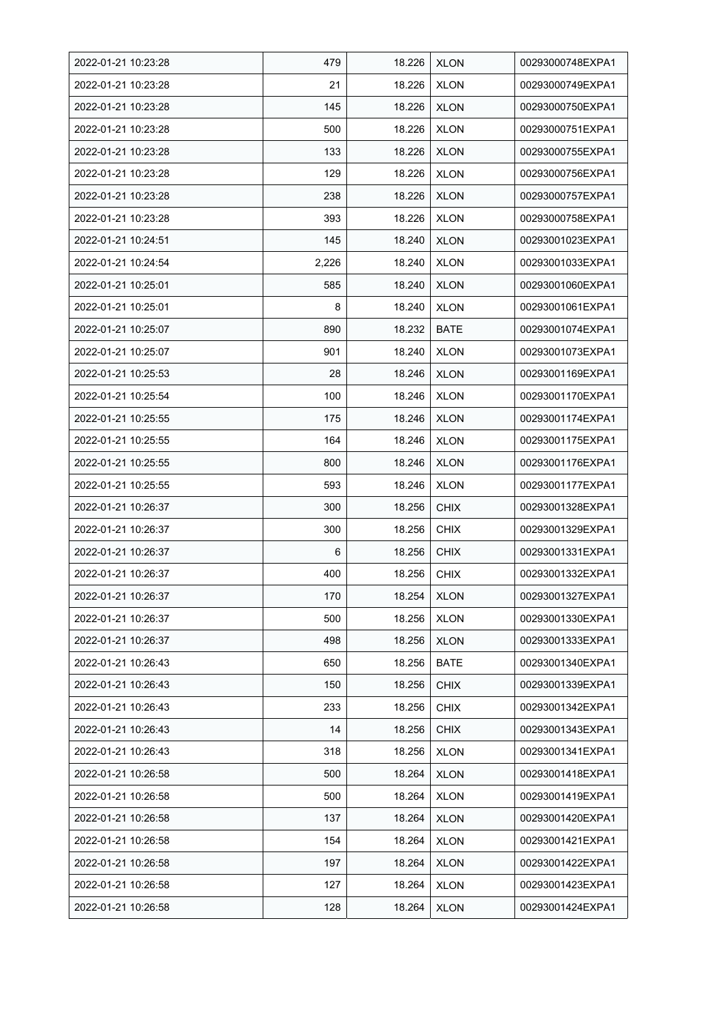| 2022-01-21 10:23:28 | 479   | 18.226 | <b>XLON</b> | 00293000748EXPA1 |
|---------------------|-------|--------|-------------|------------------|
| 2022-01-21 10:23:28 | 21    | 18.226 | <b>XLON</b> | 00293000749EXPA1 |
| 2022-01-21 10:23:28 | 145   | 18.226 | <b>XLON</b> | 00293000750EXPA1 |
| 2022-01-21 10:23:28 | 500   | 18.226 | <b>XLON</b> | 00293000751EXPA1 |
| 2022-01-21 10:23:28 | 133   | 18.226 | <b>XLON</b> | 00293000755EXPA1 |
| 2022-01-21 10:23:28 | 129   | 18.226 | <b>XLON</b> | 00293000756EXPA1 |
| 2022-01-21 10:23:28 | 238   | 18.226 | <b>XLON</b> | 00293000757EXPA1 |
| 2022-01-21 10:23:28 | 393   | 18.226 | <b>XLON</b> | 00293000758EXPA1 |
| 2022-01-21 10:24:51 | 145   | 18.240 | <b>XLON</b> | 00293001023EXPA1 |
| 2022-01-21 10:24:54 | 2,226 | 18.240 | <b>XLON</b> | 00293001033EXPA1 |
| 2022-01-21 10:25:01 | 585   | 18.240 | <b>XLON</b> | 00293001060EXPA1 |
| 2022-01-21 10:25:01 | 8     | 18.240 | <b>XLON</b> | 00293001061EXPA1 |
| 2022-01-21 10:25:07 | 890   | 18.232 | <b>BATE</b> | 00293001074EXPA1 |
| 2022-01-21 10:25:07 | 901   | 18.240 | <b>XLON</b> | 00293001073EXPA1 |
| 2022-01-21 10:25:53 | 28    | 18.246 | <b>XLON</b> | 00293001169EXPA1 |
| 2022-01-21 10:25:54 | 100   | 18.246 | <b>XLON</b> | 00293001170EXPA1 |
| 2022-01-21 10:25:55 | 175   | 18.246 | <b>XLON</b> | 00293001174EXPA1 |
| 2022-01-21 10:25:55 | 164   | 18.246 | <b>XLON</b> | 00293001175EXPA1 |
| 2022-01-21 10:25:55 | 800   | 18.246 | <b>XLON</b> | 00293001176EXPA1 |
| 2022-01-21 10:25:55 | 593   | 18.246 | <b>XLON</b> | 00293001177EXPA1 |
| 2022-01-21 10:26:37 | 300   | 18.256 | <b>CHIX</b> | 00293001328EXPA1 |
| 2022-01-21 10:26:37 | 300   | 18.256 | <b>CHIX</b> | 00293001329EXPA1 |
| 2022-01-21 10:26:37 | 6     | 18.256 | <b>CHIX</b> | 00293001331EXPA1 |
| 2022-01-21 10:26:37 | 400   | 18.256 | <b>CHIX</b> | 00293001332EXPA1 |
| 2022-01-21 10:26:37 | 170   | 18.254 | <b>XLON</b> | 00293001327EXPA1 |
| 2022-01-21 10:26:37 | 500   | 18.256 | <b>XLON</b> | 00293001330EXPA1 |
| 2022-01-21 10:26:37 | 498   | 18.256 | <b>XLON</b> | 00293001333EXPA1 |
| 2022-01-21 10:26:43 | 650   | 18.256 | <b>BATE</b> | 00293001340EXPA1 |
| 2022-01-21 10:26:43 | 150   | 18.256 | <b>CHIX</b> | 00293001339EXPA1 |
| 2022-01-21 10:26:43 | 233   | 18.256 | <b>CHIX</b> | 00293001342EXPA1 |
| 2022-01-21 10:26:43 | 14    | 18.256 | <b>CHIX</b> | 00293001343EXPA1 |
| 2022-01-21 10:26:43 | 318   | 18.256 | <b>XLON</b> | 00293001341EXPA1 |
| 2022-01-21 10:26:58 | 500   | 18.264 | <b>XLON</b> | 00293001418EXPA1 |
| 2022-01-21 10:26:58 | 500   | 18.264 | <b>XLON</b> | 00293001419EXPA1 |
| 2022-01-21 10:26:58 | 137   | 18.264 | <b>XLON</b> | 00293001420EXPA1 |
| 2022-01-21 10:26:58 | 154   | 18.264 | <b>XLON</b> | 00293001421EXPA1 |
| 2022-01-21 10:26:58 | 197   | 18.264 | <b>XLON</b> | 00293001422EXPA1 |
| 2022-01-21 10:26:58 | 127   | 18.264 | <b>XLON</b> | 00293001423EXPA1 |
| 2022-01-21 10:26:58 | 128   | 18.264 | <b>XLON</b> | 00293001424EXPA1 |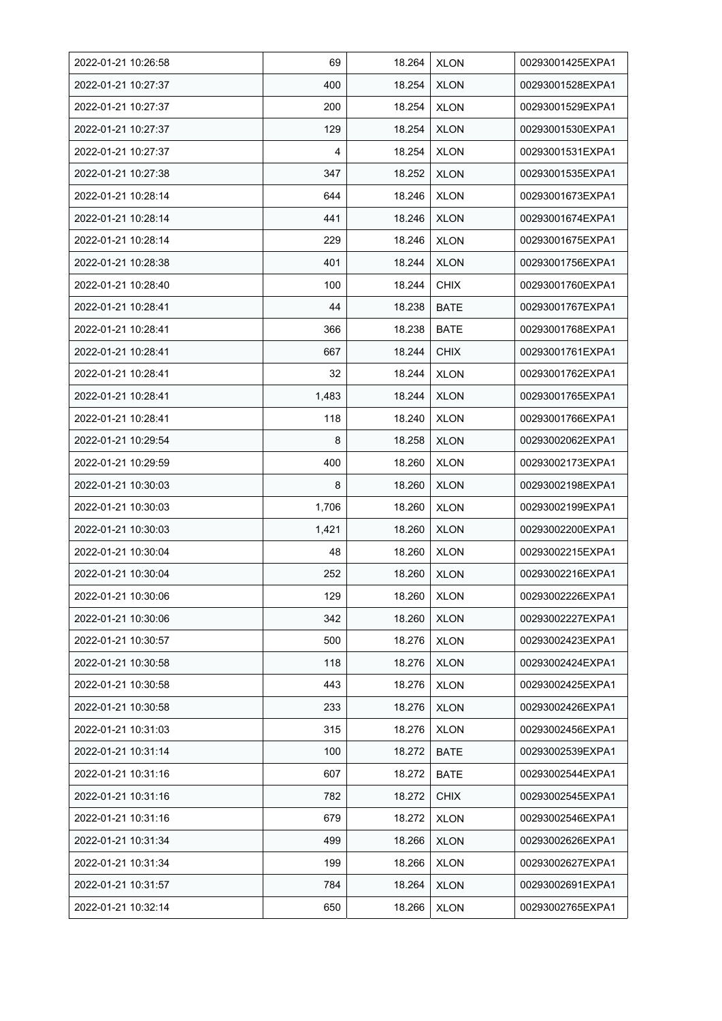| 2022-01-21 10:26:58 | 69    | 18.264 | <b>XLON</b> | 00293001425EXPA1 |
|---------------------|-------|--------|-------------|------------------|
| 2022-01-21 10:27:37 | 400   | 18.254 | <b>XLON</b> | 00293001528EXPA1 |
| 2022-01-21 10:27:37 | 200   | 18.254 | <b>XLON</b> | 00293001529EXPA1 |
| 2022-01-21 10:27:37 | 129   | 18.254 | <b>XLON</b> | 00293001530EXPA1 |
| 2022-01-21 10:27:37 | 4     | 18.254 | <b>XLON</b> | 00293001531EXPA1 |
| 2022-01-21 10:27:38 | 347   | 18.252 | <b>XLON</b> | 00293001535EXPA1 |
| 2022-01-21 10:28:14 | 644   | 18.246 | <b>XLON</b> | 00293001673EXPA1 |
| 2022-01-21 10:28:14 | 441   | 18.246 | <b>XLON</b> | 00293001674EXPA1 |
| 2022-01-21 10:28:14 | 229   | 18.246 | <b>XLON</b> | 00293001675EXPA1 |
| 2022-01-21 10:28:38 | 401   | 18.244 | <b>XLON</b> | 00293001756EXPA1 |
| 2022-01-21 10:28:40 | 100   | 18.244 | <b>CHIX</b> | 00293001760EXPA1 |
| 2022-01-21 10:28:41 | 44    | 18.238 | <b>BATE</b> | 00293001767EXPA1 |
| 2022-01-21 10:28:41 | 366   | 18.238 | <b>BATE</b> | 00293001768EXPA1 |
| 2022-01-21 10:28:41 | 667   | 18.244 | <b>CHIX</b> | 00293001761EXPA1 |
| 2022-01-21 10:28:41 | 32    | 18.244 | <b>XLON</b> | 00293001762EXPA1 |
| 2022-01-21 10:28:41 | 1,483 | 18.244 | <b>XLON</b> | 00293001765EXPA1 |
| 2022-01-21 10:28:41 | 118   | 18.240 | <b>XLON</b> | 00293001766EXPA1 |
| 2022-01-21 10:29:54 | 8     | 18.258 | XLON        | 00293002062EXPA1 |
| 2022-01-21 10:29:59 | 400   | 18.260 | <b>XLON</b> | 00293002173EXPA1 |
| 2022-01-21 10:30:03 | 8     | 18.260 | <b>XLON</b> | 00293002198EXPA1 |
| 2022-01-21 10:30:03 | 1,706 | 18.260 | <b>XLON</b> | 00293002199EXPA1 |
| 2022-01-21 10:30:03 | 1,421 | 18.260 | <b>XLON</b> | 00293002200EXPA1 |
| 2022-01-21 10:30:04 | 48    | 18.260 | <b>XLON</b> | 00293002215EXPA1 |
| 2022-01-21 10:30:04 | 252   | 18.260 | <b>XLON</b> | 00293002216EXPA1 |
| 2022-01-21 10:30:06 | 129   | 18.260 | <b>XLON</b> | 00293002226EXPA1 |
| 2022-01-21 10:30:06 | 342   | 18.260 | <b>XLON</b> | 00293002227EXPA1 |
| 2022-01-21 10:30:57 | 500   | 18.276 | <b>XLON</b> | 00293002423EXPA1 |
| 2022-01-21 10:30:58 | 118   | 18.276 | <b>XLON</b> | 00293002424EXPA1 |
| 2022-01-21 10:30:58 | 443   | 18.276 | <b>XLON</b> | 00293002425EXPA1 |
| 2022-01-21 10:30:58 | 233   | 18.276 | <b>XLON</b> | 00293002426EXPA1 |
| 2022-01-21 10:31:03 | 315   | 18.276 | <b>XLON</b> | 00293002456EXPA1 |
| 2022-01-21 10:31:14 | 100   | 18.272 | <b>BATE</b> | 00293002539EXPA1 |
| 2022-01-21 10:31:16 | 607   | 18.272 | <b>BATE</b> | 00293002544EXPA1 |
| 2022-01-21 10:31:16 | 782   | 18.272 | <b>CHIX</b> | 00293002545EXPA1 |
| 2022-01-21 10:31:16 | 679   | 18.272 | <b>XLON</b> | 00293002546EXPA1 |
| 2022-01-21 10:31:34 | 499   | 18.266 | <b>XLON</b> | 00293002626EXPA1 |
| 2022-01-21 10:31:34 | 199   | 18.266 | <b>XLON</b> | 00293002627EXPA1 |
| 2022-01-21 10:31:57 | 784   | 18.264 | <b>XLON</b> | 00293002691EXPA1 |
| 2022-01-21 10:32:14 | 650   | 18.266 | <b>XLON</b> | 00293002765EXPA1 |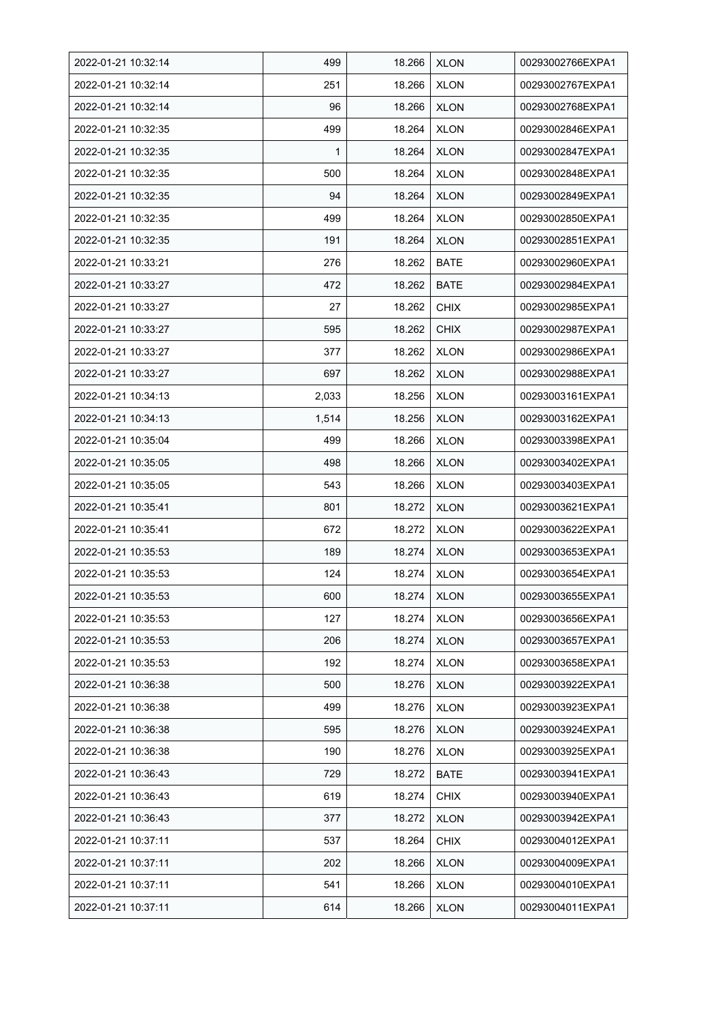| 2022-01-21 10:32:14 | 499   | 18.266 | <b>XLON</b> | 00293002766EXPA1 |
|---------------------|-------|--------|-------------|------------------|
| 2022-01-21 10:32:14 | 251   | 18.266 | <b>XLON</b> | 00293002767EXPA1 |
| 2022-01-21 10:32:14 | 96    | 18.266 | <b>XLON</b> | 00293002768EXPA1 |
| 2022-01-21 10:32:35 | 499   | 18.264 | <b>XLON</b> | 00293002846EXPA1 |
| 2022-01-21 10:32:35 | 1     | 18.264 | <b>XLON</b> | 00293002847EXPA1 |
| 2022-01-21 10:32:35 | 500   | 18.264 | <b>XLON</b> | 00293002848EXPA1 |
| 2022-01-21 10:32:35 | 94    | 18.264 | <b>XLON</b> | 00293002849EXPA1 |
| 2022-01-21 10:32:35 | 499   | 18.264 | <b>XLON</b> | 00293002850EXPA1 |
| 2022-01-21 10:32:35 | 191   | 18.264 | <b>XLON</b> | 00293002851EXPA1 |
| 2022-01-21 10:33:21 | 276   | 18.262 | BATE        | 00293002960EXPA1 |
| 2022-01-21 10:33:27 | 472   | 18.262 | <b>BATE</b> | 00293002984EXPA1 |
| 2022-01-21 10:33:27 | 27    | 18.262 | <b>CHIX</b> | 00293002985EXPA1 |
| 2022-01-21 10:33:27 | 595   | 18.262 | <b>CHIX</b> | 00293002987EXPA1 |
| 2022-01-21 10:33:27 | 377   | 18.262 | <b>XLON</b> | 00293002986EXPA1 |
| 2022-01-21 10:33:27 | 697   | 18.262 | <b>XLON</b> | 00293002988EXPA1 |
| 2022-01-21 10:34:13 | 2,033 | 18.256 | <b>XLON</b> | 00293003161EXPA1 |
| 2022-01-21 10:34:13 | 1,514 | 18.256 | <b>XLON</b> | 00293003162EXPA1 |
| 2022-01-21 10:35:04 | 499   | 18.266 | <b>XLON</b> | 00293003398EXPA1 |
| 2022-01-21 10:35:05 | 498   | 18.266 | <b>XLON</b> | 00293003402EXPA1 |
| 2022-01-21 10:35:05 | 543   | 18.266 | <b>XLON</b> | 00293003403EXPA1 |
| 2022-01-21 10:35:41 | 801   | 18.272 | <b>XLON</b> | 00293003621EXPA1 |
| 2022-01-21 10:35:41 | 672   | 18.272 | <b>XLON</b> | 00293003622EXPA1 |
| 2022-01-21 10:35:53 | 189   | 18.274 | <b>XLON</b> | 00293003653EXPA1 |
| 2022-01-21 10:35:53 | 124   | 18.274 | <b>XLON</b> | 00293003654EXPA1 |
| 2022-01-21 10:35:53 | 600   | 18.274 | <b>XLON</b> | 00293003655EXPA1 |
| 2022-01-21 10:35:53 | 127   | 18.274 | <b>XLON</b> | 00293003656EXPA1 |
| 2022-01-21 10:35:53 | 206   | 18.274 | <b>XLON</b> | 00293003657EXPA1 |
| 2022-01-21 10:35:53 | 192   | 18.274 | <b>XLON</b> | 00293003658EXPA1 |
| 2022-01-21 10:36:38 | 500   | 18.276 | <b>XLON</b> | 00293003922EXPA1 |
| 2022-01-21 10:36:38 | 499   | 18.276 | <b>XLON</b> | 00293003923EXPA1 |
| 2022-01-21 10:36:38 | 595   | 18.276 | <b>XLON</b> | 00293003924EXPA1 |
| 2022-01-21 10:36:38 | 190   | 18.276 | <b>XLON</b> | 00293003925EXPA1 |
| 2022-01-21 10:36:43 | 729   | 18.272 | <b>BATE</b> | 00293003941EXPA1 |
| 2022-01-21 10:36:43 | 619   | 18.274 | <b>CHIX</b> | 00293003940EXPA1 |
| 2022-01-21 10:36:43 | 377   | 18.272 | <b>XLON</b> | 00293003942EXPA1 |
| 2022-01-21 10:37:11 | 537   | 18.264 | <b>CHIX</b> | 00293004012EXPA1 |
| 2022-01-21 10:37:11 | 202   | 18.266 | <b>XLON</b> | 00293004009EXPA1 |
| 2022-01-21 10:37:11 | 541   | 18.266 | <b>XLON</b> | 00293004010EXPA1 |
| 2022-01-21 10:37:11 | 614   | 18.266 | <b>XLON</b> | 00293004011EXPA1 |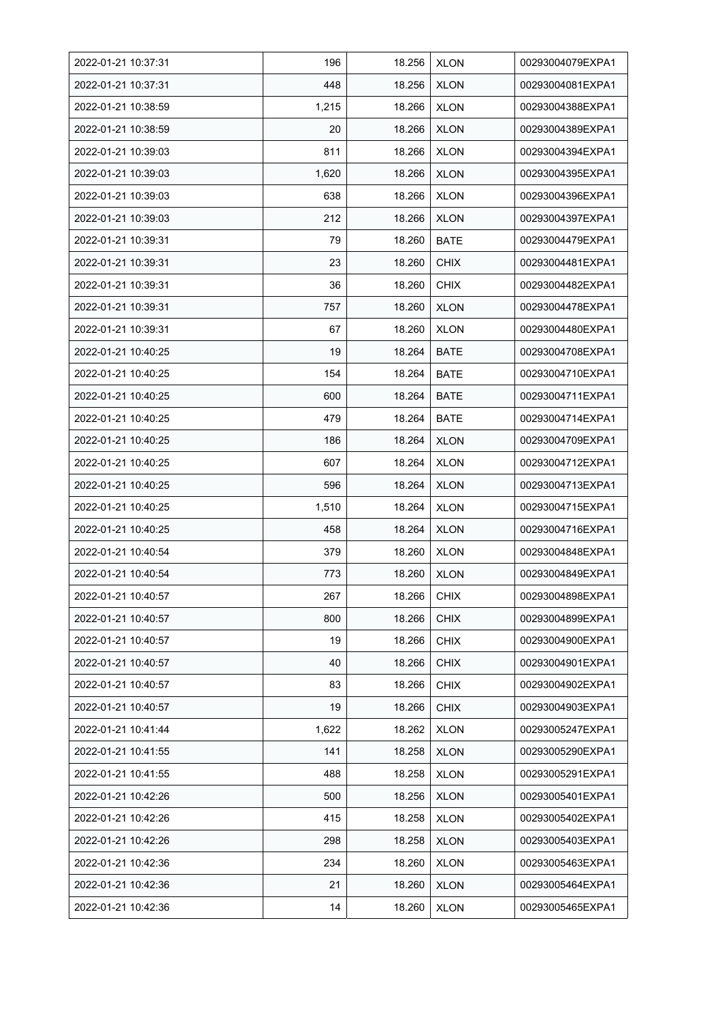| 2022-01-21 10:37:31 | 196   | 18.256 | <b>XLON</b> | 00293004079EXPA1 |
|---------------------|-------|--------|-------------|------------------|
| 2022-01-21 10:37:31 | 448   | 18.256 | <b>XLON</b> | 00293004081EXPA1 |
| 2022-01-21 10:38:59 | 1,215 | 18.266 | <b>XLON</b> | 00293004388EXPA1 |
| 2022-01-21 10:38:59 | 20    | 18.266 | <b>XLON</b> | 00293004389EXPA1 |
| 2022-01-21 10:39:03 | 811   | 18.266 | <b>XLON</b> | 00293004394EXPA1 |
| 2022-01-21 10:39:03 | 1,620 | 18.266 | <b>XLON</b> | 00293004395EXPA1 |
| 2022-01-21 10:39:03 | 638   | 18.266 | <b>XLON</b> | 00293004396EXPA1 |
| 2022-01-21 10:39:03 | 212   | 18.266 | <b>XLON</b> | 00293004397EXPA1 |
| 2022-01-21 10:39:31 | 79    | 18.260 | <b>BATE</b> | 00293004479EXPA1 |
| 2022-01-21 10:39:31 | 23    | 18.260 | <b>CHIX</b> | 00293004481EXPA1 |
| 2022-01-21 10:39:31 | 36    | 18.260 | <b>CHIX</b> | 00293004482EXPA1 |
| 2022-01-21 10:39:31 | 757   | 18.260 | <b>XLON</b> | 00293004478EXPA1 |
| 2022-01-21 10:39:31 | 67    | 18.260 | <b>XLON</b> | 00293004480EXPA1 |
| 2022-01-21 10:40:25 | 19    | 18.264 | BATE        | 00293004708EXPA1 |
| 2022-01-21 10:40:25 | 154   | 18.264 | <b>BATE</b> | 00293004710EXPA1 |
| 2022-01-21 10:40:25 | 600   | 18.264 | <b>BATE</b> | 00293004711EXPA1 |
| 2022-01-21 10:40:25 | 479   | 18.264 | <b>BATE</b> | 00293004714EXPA1 |
| 2022-01-21 10:40:25 | 186   | 18.264 | <b>XLON</b> | 00293004709EXPA1 |
| 2022-01-21 10:40:25 | 607   | 18.264 | <b>XLON</b> | 00293004712EXPA1 |
| 2022-01-21 10:40:25 | 596   | 18.264 | <b>XLON</b> | 00293004713EXPA1 |
| 2022-01-21 10:40:25 | 1,510 | 18.264 | <b>XLON</b> | 00293004715EXPA1 |
| 2022-01-21 10:40:25 | 458   | 18.264 | <b>XLON</b> | 00293004716EXPA1 |
| 2022-01-21 10:40:54 | 379   | 18.260 | <b>XLON</b> | 00293004848EXPA1 |
| 2022-01-21 10:40:54 | 773   | 18.260 | <b>XLON</b> | 00293004849EXPA1 |
| 2022-01-21 10:40:57 | 267   | 18.266 | <b>CHIX</b> | 00293004898EXPA1 |
| 2022-01-21 10:40:57 | 800   | 18.266 | <b>CHIX</b> | 00293004899EXPA1 |
| 2022-01-21 10:40:57 | 19    | 18.266 | <b>CHIX</b> | 00293004900EXPA1 |
| 2022-01-21 10:40:57 | 40    | 18.266 | <b>CHIX</b> | 00293004901EXPA1 |
| 2022-01-21 10:40:57 | 83    | 18.266 | <b>CHIX</b> | 00293004902EXPA1 |
| 2022-01-21 10:40:57 | 19    | 18.266 | <b>CHIX</b> | 00293004903EXPA1 |
| 2022-01-21 10:41:44 | 1,622 | 18.262 | <b>XLON</b> | 00293005247EXPA1 |
| 2022-01-21 10:41:55 | 141   | 18.258 | <b>XLON</b> | 00293005290EXPA1 |
| 2022-01-21 10:41:55 | 488   | 18.258 | <b>XLON</b> | 00293005291EXPA1 |
| 2022-01-21 10:42:26 | 500   | 18.256 | <b>XLON</b> | 00293005401EXPA1 |
| 2022-01-21 10:42:26 | 415   | 18.258 | <b>XLON</b> | 00293005402EXPA1 |
| 2022-01-21 10:42:26 | 298   | 18.258 | <b>XLON</b> | 00293005403EXPA1 |
| 2022-01-21 10:42:36 | 234   | 18.260 | <b>XLON</b> | 00293005463EXPA1 |
| 2022-01-21 10:42:36 | 21    | 18.260 | <b>XLON</b> | 00293005464EXPA1 |
| 2022-01-21 10:42:36 | 14    | 18.260 | <b>XLON</b> | 00293005465EXPA1 |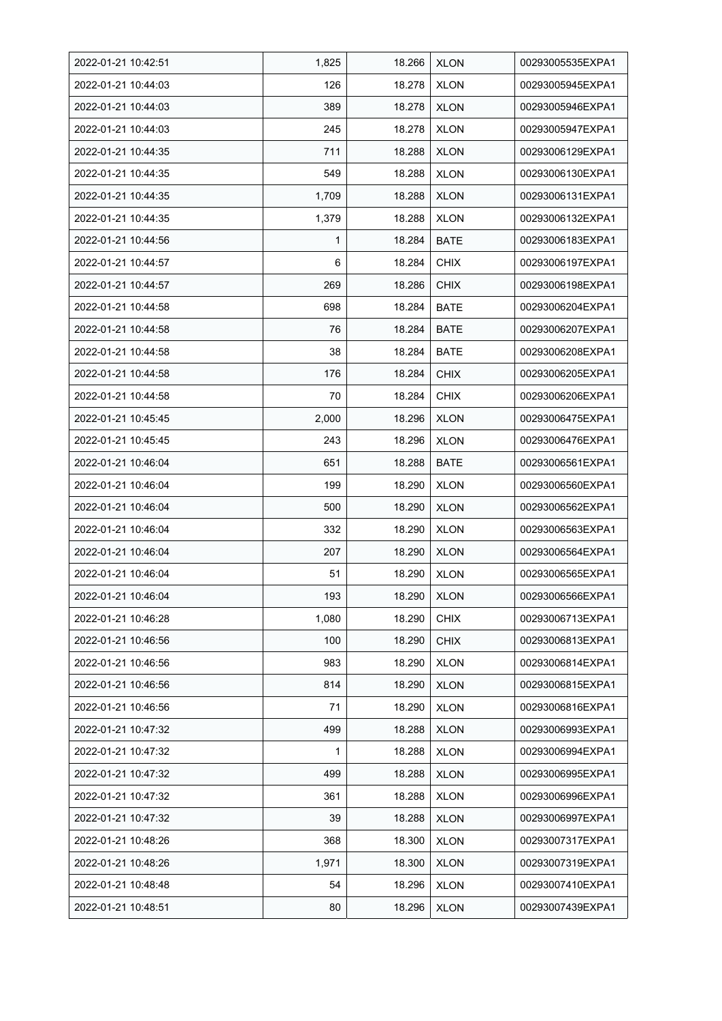| 2022-01-21 10:42:51 | 1,825        | 18.266 | <b>XLON</b> | 00293005535EXPA1 |
|---------------------|--------------|--------|-------------|------------------|
| 2022-01-21 10:44:03 | 126          | 18.278 | <b>XLON</b> | 00293005945EXPA1 |
| 2022-01-21 10:44:03 | 389          | 18.278 | <b>XLON</b> | 00293005946EXPA1 |
| 2022-01-21 10:44:03 | 245          | 18.278 | <b>XLON</b> | 00293005947EXPA1 |
| 2022-01-21 10:44:35 | 711          | 18.288 | <b>XLON</b> | 00293006129EXPA1 |
| 2022-01-21 10:44:35 | 549          | 18.288 | <b>XLON</b> | 00293006130EXPA1 |
| 2022-01-21 10:44:35 | 1,709        | 18.288 | <b>XLON</b> | 00293006131EXPA1 |
| 2022-01-21 10:44:35 | 1,379        | 18.288 | <b>XLON</b> | 00293006132EXPA1 |
| 2022-01-21 10:44:56 | $\mathbf{1}$ | 18.284 | <b>BATE</b> | 00293006183EXPA1 |
| 2022-01-21 10:44:57 | 6            | 18.284 | <b>CHIX</b> | 00293006197EXPA1 |
| 2022-01-21 10:44:57 | 269          | 18.286 | <b>CHIX</b> | 00293006198EXPA1 |
| 2022-01-21 10:44:58 | 698          | 18.284 | <b>BATE</b> | 00293006204EXPA1 |
| 2022-01-21 10:44:58 | 76           | 18.284 | <b>BATE</b> | 00293006207EXPA1 |
| 2022-01-21 10:44:58 | 38           | 18.284 | <b>BATE</b> | 00293006208EXPA1 |
| 2022-01-21 10:44:58 | 176          | 18.284 | <b>CHIX</b> | 00293006205EXPA1 |
| 2022-01-21 10:44:58 | 70           | 18.284 | <b>CHIX</b> | 00293006206EXPA1 |
| 2022-01-21 10:45:45 | 2,000        | 18.296 | <b>XLON</b> | 00293006475EXPA1 |
| 2022-01-21 10:45:45 | 243          | 18.296 | <b>XLON</b> | 00293006476EXPA1 |
| 2022-01-21 10:46:04 | 651          | 18.288 | BATE        | 00293006561EXPA1 |
| 2022-01-21 10:46:04 | 199          | 18.290 | <b>XLON</b> | 00293006560EXPA1 |
| 2022-01-21 10:46:04 | 500          | 18.290 | <b>XLON</b> | 00293006562EXPA1 |
| 2022-01-21 10:46:04 | 332          | 18.290 | <b>XLON</b> | 00293006563EXPA1 |
| 2022-01-21 10:46:04 | 207          | 18.290 | <b>XLON</b> | 00293006564EXPA1 |
| 2022-01-21 10:46:04 | 51           | 18.290 | <b>XLON</b> | 00293006565EXPA1 |
| 2022-01-21 10:46:04 | 193          | 18.290 | <b>XLON</b> | 00293006566EXPA1 |
| 2022-01-21 10:46:28 | 1,080        | 18.290 | <b>CHIX</b> | 00293006713EXPA1 |
| 2022-01-21 10:46:56 | 100          | 18.290 | <b>CHIX</b> | 00293006813EXPA1 |
| 2022-01-21 10:46:56 | 983          | 18.290 | <b>XLON</b> | 00293006814EXPA1 |
| 2022-01-21 10:46:56 | 814          | 18.290 | <b>XLON</b> | 00293006815EXPA1 |
| 2022-01-21 10:46:56 | 71           | 18.290 | <b>XLON</b> | 00293006816EXPA1 |
| 2022-01-21 10:47:32 | 499          | 18.288 | <b>XLON</b> | 00293006993EXPA1 |
| 2022-01-21 10:47:32 | 1            | 18.288 | <b>XLON</b> | 00293006994EXPA1 |
| 2022-01-21 10:47:32 | 499          | 18.288 | <b>XLON</b> | 00293006995EXPA1 |
| 2022-01-21 10:47:32 | 361          | 18.288 | <b>XLON</b> | 00293006996EXPA1 |
| 2022-01-21 10:47:32 | 39           | 18.288 | <b>XLON</b> | 00293006997EXPA1 |
| 2022-01-21 10:48:26 | 368          | 18.300 | <b>XLON</b> | 00293007317EXPA1 |
| 2022-01-21 10:48:26 | 1,971        | 18.300 | <b>XLON</b> | 00293007319EXPA1 |
| 2022-01-21 10:48:48 | 54           | 18.296 | <b>XLON</b> | 00293007410EXPA1 |
| 2022-01-21 10:48:51 | 80           | 18.296 | <b>XLON</b> | 00293007439EXPA1 |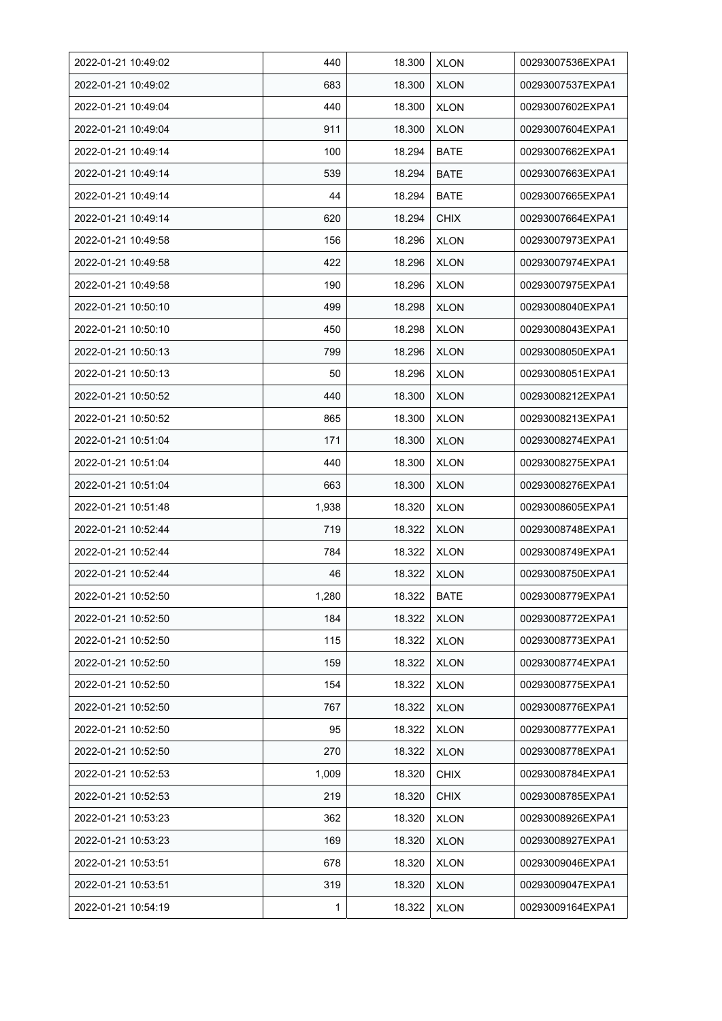| 2022-01-21 10:49:02 | 440   | 18.300 | <b>XLON</b> | 00293007536EXPA1 |
|---------------------|-------|--------|-------------|------------------|
| 2022-01-21 10:49:02 | 683   | 18.300 | <b>XLON</b> | 00293007537EXPA1 |
| 2022-01-21 10:49:04 | 440   | 18.300 | <b>XLON</b> | 00293007602EXPA1 |
| 2022-01-21 10:49:04 | 911   | 18.300 | <b>XLON</b> | 00293007604EXPA1 |
| 2022-01-21 10:49:14 | 100   | 18.294 | BATE        | 00293007662EXPA1 |
| 2022-01-21 10:49:14 | 539   | 18.294 | <b>BATE</b> | 00293007663EXPA1 |
| 2022-01-21 10:49:14 | 44    | 18.294 | <b>BATE</b> | 00293007665EXPA1 |
| 2022-01-21 10:49:14 | 620   | 18.294 | <b>CHIX</b> | 00293007664EXPA1 |
| 2022-01-21 10:49:58 | 156   | 18.296 | <b>XLON</b> | 00293007973EXPA1 |
| 2022-01-21 10:49:58 | 422   | 18.296 | <b>XLON</b> | 00293007974EXPA1 |
| 2022-01-21 10:49:58 | 190   | 18.296 | <b>XLON</b> | 00293007975EXPA1 |
| 2022-01-21 10:50:10 | 499   | 18.298 | <b>XLON</b> | 00293008040EXPA1 |
| 2022-01-21 10:50:10 | 450   | 18.298 | <b>XLON</b> | 00293008043EXPA1 |
| 2022-01-21 10:50:13 | 799   | 18.296 | <b>XLON</b> | 00293008050EXPA1 |
| 2022-01-21 10:50:13 | 50    | 18.296 | <b>XLON</b> | 00293008051EXPA1 |
| 2022-01-21 10:50:52 | 440   | 18.300 | <b>XLON</b> | 00293008212EXPA1 |
| 2022-01-21 10:50:52 | 865   | 18.300 | <b>XLON</b> | 00293008213EXPA1 |
| 2022-01-21 10:51:04 | 171   | 18.300 | <b>XLON</b> | 00293008274EXPA1 |
| 2022-01-21 10:51:04 | 440   | 18.300 | <b>XLON</b> | 00293008275EXPA1 |
| 2022-01-21 10:51:04 | 663   | 18.300 | <b>XLON</b> | 00293008276EXPA1 |
| 2022-01-21 10:51:48 | 1,938 | 18.320 | <b>XLON</b> | 00293008605EXPA1 |
| 2022-01-21 10:52:44 | 719   | 18.322 | <b>XLON</b> | 00293008748EXPA1 |
| 2022-01-21 10:52:44 | 784   | 18.322 | <b>XLON</b> | 00293008749EXPA1 |
| 2022-01-21 10:52:44 | 46    | 18.322 | <b>XLON</b> | 00293008750EXPA1 |
| 2022-01-21 10:52:50 | 1,280 | 18.322 | <b>BATE</b> | 00293008779EXPA1 |
| 2022-01-21 10:52:50 | 184   | 18.322 | <b>XLON</b> | 00293008772EXPA1 |
| 2022-01-21 10:52:50 | 115   | 18.322 | <b>XLON</b> | 00293008773EXPA1 |
| 2022-01-21 10:52:50 | 159   | 18.322 | <b>XLON</b> | 00293008774EXPA1 |
| 2022-01-21 10:52:50 | 154   | 18.322 | <b>XLON</b> | 00293008775EXPA1 |
| 2022-01-21 10:52:50 | 767   | 18.322 | <b>XLON</b> | 00293008776EXPA1 |
| 2022-01-21 10:52:50 | 95    | 18.322 | <b>XLON</b> | 00293008777EXPA1 |
| 2022-01-21 10:52:50 | 270   | 18.322 | <b>XLON</b> | 00293008778EXPA1 |
| 2022-01-21 10:52:53 | 1,009 | 18.320 | <b>CHIX</b> | 00293008784EXPA1 |
| 2022-01-21 10:52:53 | 219   | 18.320 | <b>CHIX</b> | 00293008785EXPA1 |
| 2022-01-21 10:53:23 | 362   | 18.320 | <b>XLON</b> | 00293008926EXPA1 |
| 2022-01-21 10:53:23 | 169   | 18.320 | <b>XLON</b> | 00293008927EXPA1 |
| 2022-01-21 10:53:51 | 678   | 18.320 | <b>XLON</b> | 00293009046EXPA1 |
| 2022-01-21 10:53:51 | 319   | 18.320 | <b>XLON</b> | 00293009047EXPA1 |
| 2022-01-21 10:54:19 | 1     | 18.322 | <b>XLON</b> | 00293009164EXPA1 |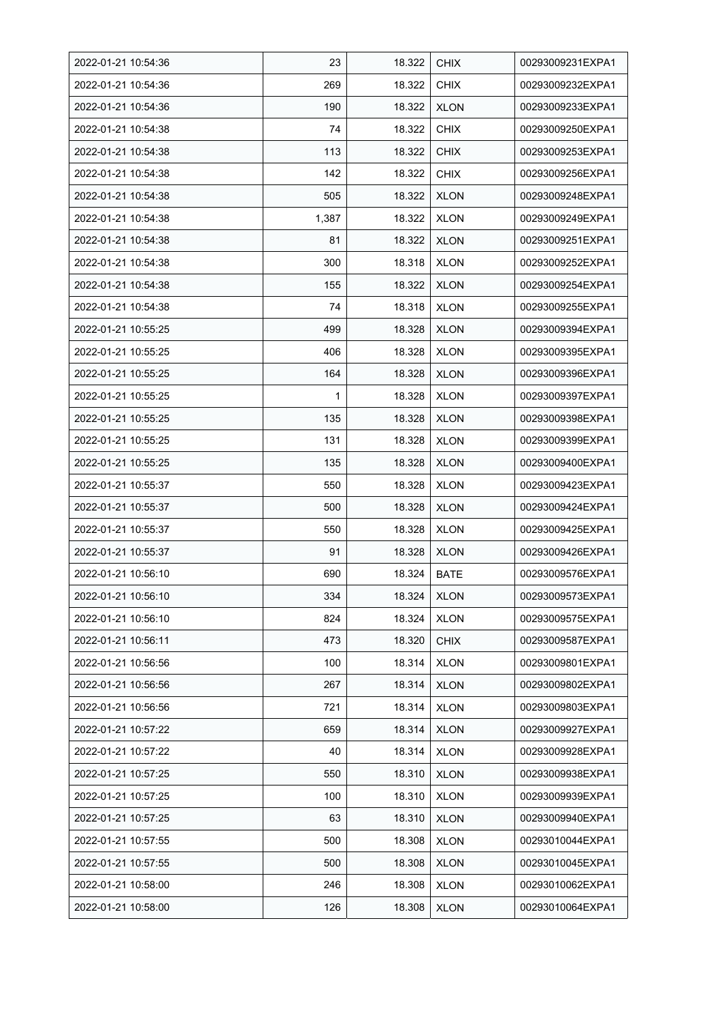| 2022-01-21 10:54:36 | 23    | 18.322 | <b>CHIX</b> | 00293009231EXPA1 |
|---------------------|-------|--------|-------------|------------------|
| 2022-01-21 10:54:36 | 269   | 18.322 | <b>CHIX</b> | 00293009232EXPA1 |
| 2022-01-21 10:54:36 | 190   | 18.322 | <b>XLON</b> | 00293009233EXPA1 |
| 2022-01-21 10:54:38 | 74    | 18.322 | <b>CHIX</b> | 00293009250EXPA1 |
| 2022-01-21 10:54:38 | 113   | 18.322 | <b>CHIX</b> | 00293009253EXPA1 |
| 2022-01-21 10:54:38 | 142   | 18.322 | <b>CHIX</b> | 00293009256EXPA1 |
| 2022-01-21 10:54:38 | 505   | 18.322 | <b>XLON</b> | 00293009248EXPA1 |
| 2022-01-21 10:54:38 | 1,387 | 18.322 | <b>XLON</b> | 00293009249EXPA1 |
| 2022-01-21 10:54:38 | 81    | 18.322 | <b>XLON</b> | 00293009251EXPA1 |
| 2022-01-21 10:54:38 | 300   | 18.318 | <b>XLON</b> | 00293009252EXPA1 |
| 2022-01-21 10:54:38 | 155   | 18.322 | <b>XLON</b> | 00293009254EXPA1 |
| 2022-01-21 10:54:38 | 74    | 18.318 | <b>XLON</b> | 00293009255EXPA1 |
| 2022-01-21 10:55:25 | 499   | 18.328 | <b>XLON</b> | 00293009394EXPA1 |
| 2022-01-21 10:55:25 | 406   | 18.328 | <b>XLON</b> | 00293009395EXPA1 |
| 2022-01-21 10:55:25 | 164   | 18.328 | <b>XLON</b> | 00293009396EXPA1 |
| 2022-01-21 10:55:25 | 1     | 18.328 | <b>XLON</b> | 00293009397EXPA1 |
| 2022-01-21 10:55:25 | 135   | 18.328 | <b>XLON</b> | 00293009398EXPA1 |
| 2022-01-21 10:55:25 | 131   | 18.328 | <b>XLON</b> | 00293009399EXPA1 |
| 2022-01-21 10:55:25 | 135   | 18.328 | <b>XLON</b> | 00293009400EXPA1 |
| 2022-01-21 10:55:37 | 550   | 18.328 | <b>XLON</b> | 00293009423EXPA1 |
| 2022-01-21 10:55:37 | 500   | 18.328 | <b>XLON</b> | 00293009424EXPA1 |
| 2022-01-21 10:55:37 | 550   | 18.328 | <b>XLON</b> | 00293009425EXPA1 |
| 2022-01-21 10:55:37 | 91    | 18.328 | <b>XLON</b> | 00293009426EXPA1 |
| 2022-01-21 10:56:10 | 690   | 18.324 | <b>BATE</b> | 00293009576EXPA1 |
| 2022-01-21 10:56:10 | 334   | 18.324 | <b>XLON</b> | 00293009573EXPA1 |
| 2022-01-21 10:56:10 | 824   | 18.324 | <b>XLON</b> | 00293009575EXPA1 |
| 2022-01-21 10:56:11 | 473   | 18.320 | <b>CHIX</b> | 00293009587EXPA1 |
| 2022-01-21 10:56:56 | 100   | 18.314 | <b>XLON</b> | 00293009801EXPA1 |
| 2022-01-21 10:56:56 | 267   | 18.314 | <b>XLON</b> | 00293009802EXPA1 |
| 2022-01-21 10:56:56 | 721   | 18.314 | <b>XLON</b> | 00293009803EXPA1 |
| 2022-01-21 10:57:22 | 659   | 18.314 | <b>XLON</b> | 00293009927EXPA1 |
| 2022-01-21 10:57:22 | 40    | 18.314 | <b>XLON</b> | 00293009928EXPA1 |
| 2022-01-21 10:57:25 | 550   | 18.310 | <b>XLON</b> | 00293009938EXPA1 |
| 2022-01-21 10:57:25 | 100   | 18.310 | <b>XLON</b> | 00293009939EXPA1 |
| 2022-01-21 10:57:25 | 63    | 18.310 | <b>XLON</b> | 00293009940EXPA1 |
| 2022-01-21 10:57:55 | 500   | 18.308 | <b>XLON</b> | 00293010044EXPA1 |
| 2022-01-21 10:57:55 | 500   | 18.308 | <b>XLON</b> | 00293010045EXPA1 |
| 2022-01-21 10:58:00 | 246   | 18.308 | <b>XLON</b> | 00293010062EXPA1 |
| 2022-01-21 10:58:00 | 126   | 18.308 | <b>XLON</b> | 00293010064EXPA1 |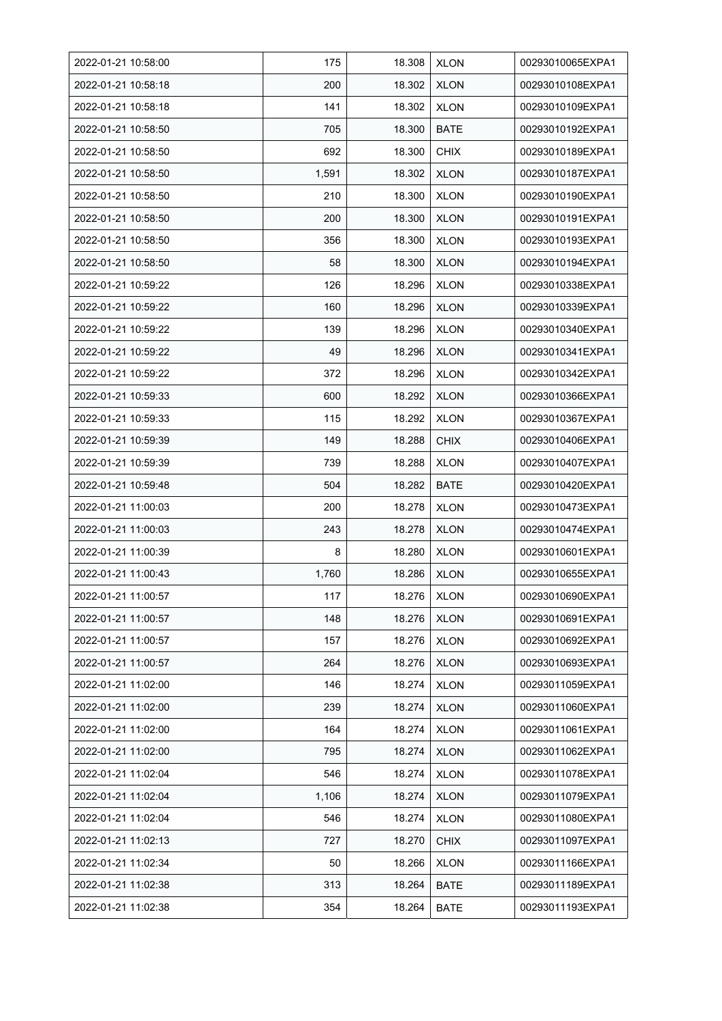| 2022-01-21 10:58:00 | 175   | 18.308 | <b>XLON</b> | 00293010065EXPA1 |
|---------------------|-------|--------|-------------|------------------|
| 2022-01-21 10:58:18 | 200   | 18.302 | <b>XLON</b> | 00293010108EXPA1 |
| 2022-01-21 10:58:18 | 141   | 18.302 | <b>XLON</b> | 00293010109EXPA1 |
| 2022-01-21 10:58:50 | 705   | 18.300 | <b>BATE</b> | 00293010192EXPA1 |
| 2022-01-21 10:58:50 | 692   | 18.300 | <b>CHIX</b> | 00293010189EXPA1 |
| 2022-01-21 10:58:50 | 1,591 | 18.302 | <b>XLON</b> | 00293010187EXPA1 |
| 2022-01-21 10:58:50 | 210   | 18.300 | <b>XLON</b> | 00293010190EXPA1 |
| 2022-01-21 10:58:50 | 200   | 18.300 | <b>XLON</b> | 00293010191EXPA1 |
| 2022-01-21 10:58:50 | 356   | 18.300 | <b>XLON</b> | 00293010193EXPA1 |
| 2022-01-21 10:58:50 | 58    | 18.300 | <b>XLON</b> | 00293010194EXPA1 |
| 2022-01-21 10:59:22 | 126   | 18.296 | <b>XLON</b> | 00293010338EXPA1 |
| 2022-01-21 10:59:22 | 160   | 18.296 | <b>XLON</b> | 00293010339EXPA1 |
| 2022-01-21 10:59:22 | 139   | 18.296 | <b>XLON</b> | 00293010340EXPA1 |
| 2022-01-21 10:59:22 | 49    | 18.296 | <b>XLON</b> | 00293010341EXPA1 |
| 2022-01-21 10:59:22 | 372   | 18.296 | <b>XLON</b> | 00293010342EXPA1 |
| 2022-01-21 10:59:33 | 600   | 18.292 | <b>XLON</b> | 00293010366EXPA1 |
| 2022-01-21 10:59:33 | 115   | 18.292 | <b>XLON</b> | 00293010367EXPA1 |
| 2022-01-21 10:59:39 | 149   | 18.288 | <b>CHIX</b> | 00293010406EXPA1 |
| 2022-01-21 10:59:39 | 739   | 18.288 | <b>XLON</b> | 00293010407EXPA1 |
| 2022-01-21 10:59:48 | 504   | 18.282 | <b>BATE</b> | 00293010420EXPA1 |
| 2022-01-21 11:00:03 | 200   | 18.278 | <b>XLON</b> | 00293010473EXPA1 |
| 2022-01-21 11:00:03 | 243   | 18.278 | <b>XLON</b> | 00293010474EXPA1 |
| 2022-01-21 11:00:39 | 8     | 18.280 | <b>XLON</b> | 00293010601EXPA1 |
| 2022-01-21 11:00:43 | 1,760 | 18.286 | <b>XLON</b> | 00293010655EXPA1 |
| 2022-01-21 11:00:57 | 117   | 18.276 | <b>XLON</b> | 00293010690EXPA1 |
| 2022-01-21 11:00:57 | 148   | 18.276 | <b>XLON</b> | 00293010691EXPA1 |
| 2022-01-21 11:00:57 | 157   | 18.276 | <b>XLON</b> | 00293010692EXPA1 |
| 2022-01-21 11:00:57 | 264   | 18.276 | <b>XLON</b> | 00293010693EXPA1 |
| 2022-01-21 11:02:00 | 146   | 18.274 | <b>XLON</b> | 00293011059EXPA1 |
| 2022-01-21 11:02:00 | 239   | 18.274 | <b>XLON</b> | 00293011060EXPA1 |
| 2022-01-21 11:02:00 | 164   | 18.274 | <b>XLON</b> | 00293011061EXPA1 |
| 2022-01-21 11:02:00 | 795   | 18.274 | <b>XLON</b> | 00293011062EXPA1 |
| 2022-01-21 11:02:04 | 546   | 18.274 | <b>XLON</b> | 00293011078EXPA1 |
| 2022-01-21 11:02:04 | 1,106 | 18.274 | <b>XLON</b> | 00293011079EXPA1 |
| 2022-01-21 11:02:04 | 546   | 18.274 | <b>XLON</b> | 00293011080EXPA1 |
| 2022-01-21 11:02:13 | 727   | 18.270 | <b>CHIX</b> | 00293011097EXPA1 |
| 2022-01-21 11:02:34 | 50    | 18.266 | <b>XLON</b> | 00293011166EXPA1 |
| 2022-01-21 11:02:38 | 313   | 18.264 | <b>BATE</b> | 00293011189EXPA1 |
| 2022-01-21 11:02:38 | 354   | 18.264 | <b>BATE</b> | 00293011193EXPA1 |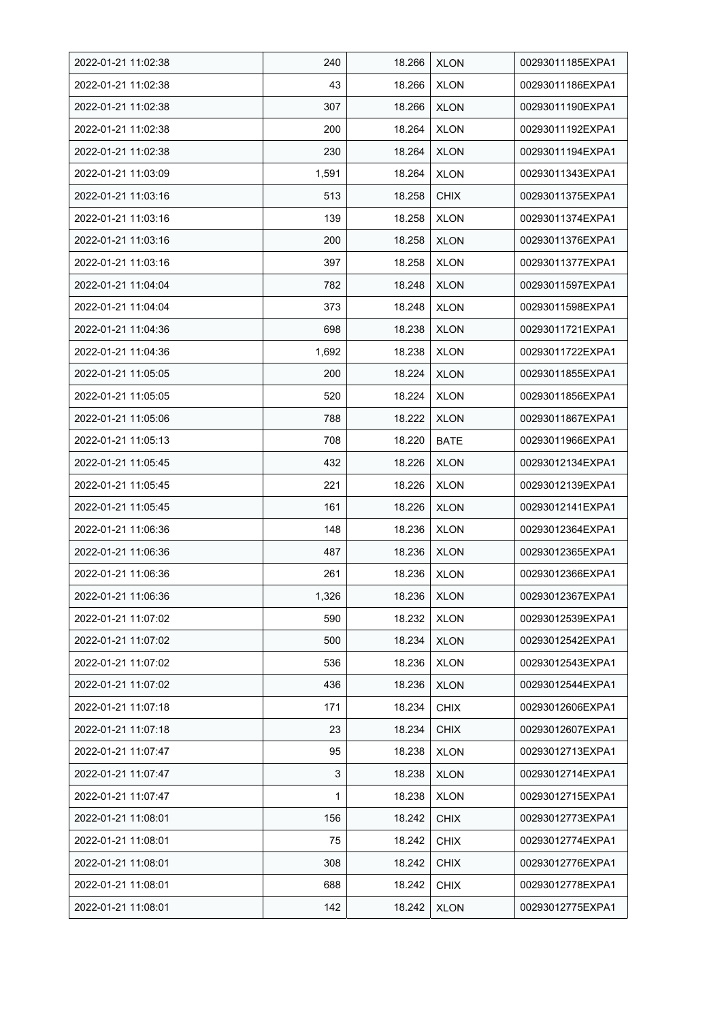| 2022-01-21 11:02:38 | 240   | 18.266 | <b>XLON</b> | 00293011185EXPA1 |
|---------------------|-------|--------|-------------|------------------|
| 2022-01-21 11:02:38 | 43    | 18.266 | <b>XLON</b> | 00293011186EXPA1 |
| 2022-01-21 11:02:38 | 307   | 18.266 | <b>XLON</b> | 00293011190EXPA1 |
| 2022-01-21 11:02:38 | 200   | 18.264 | <b>XLON</b> | 00293011192EXPA1 |
| 2022-01-21 11:02:38 | 230   | 18.264 | <b>XLON</b> | 00293011194EXPA1 |
| 2022-01-21 11:03:09 | 1,591 | 18.264 | <b>XLON</b> | 00293011343EXPA1 |
| 2022-01-21 11:03:16 | 513   | 18.258 | <b>CHIX</b> | 00293011375EXPA1 |
| 2022-01-21 11:03:16 | 139   | 18.258 | <b>XLON</b> | 00293011374EXPA1 |
| 2022-01-21 11:03:16 | 200   | 18.258 | <b>XLON</b> | 00293011376EXPA1 |
| 2022-01-21 11:03:16 | 397   | 18.258 | <b>XLON</b> | 00293011377EXPA1 |
| 2022-01-21 11:04:04 | 782   | 18.248 | <b>XLON</b> | 00293011597EXPA1 |
| 2022-01-21 11:04:04 | 373   | 18.248 | <b>XLON</b> | 00293011598EXPA1 |
| 2022-01-21 11:04:36 | 698   | 18.238 | <b>XLON</b> | 00293011721EXPA1 |
| 2022-01-21 11:04:36 | 1,692 | 18.238 | <b>XLON</b> | 00293011722EXPA1 |
| 2022-01-21 11:05:05 | 200   | 18.224 | <b>XLON</b> | 00293011855EXPA1 |
| 2022-01-21 11:05:05 | 520   | 18.224 | <b>XLON</b> | 00293011856EXPA1 |
| 2022-01-21 11:05:06 | 788   | 18.222 | <b>XLON</b> | 00293011867EXPA1 |
| 2022-01-21 11:05:13 | 708   | 18.220 | <b>BATE</b> | 00293011966EXPA1 |
| 2022-01-21 11:05:45 | 432   | 18.226 | <b>XLON</b> | 00293012134EXPA1 |
| 2022-01-21 11:05:45 | 221   | 18.226 | <b>XLON</b> | 00293012139EXPA1 |
| 2022-01-21 11:05:45 | 161   | 18.226 | <b>XLON</b> | 00293012141EXPA1 |
| 2022-01-21 11:06:36 | 148   | 18.236 | <b>XLON</b> | 00293012364EXPA1 |
| 2022-01-21 11:06:36 | 487   | 18.236 | <b>XLON</b> | 00293012365EXPA1 |
| 2022-01-21 11:06:36 | 261   | 18.236 | <b>XLON</b> | 00293012366EXPA1 |
| 2022-01-21 11:06:36 | 1,326 | 18.236 | <b>XLON</b> | 00293012367EXPA1 |
| 2022-01-21 11:07:02 | 590   | 18.232 | <b>XLON</b> | 00293012539EXPA1 |
| 2022-01-21 11:07:02 | 500   | 18.234 | <b>XLON</b> | 00293012542EXPA1 |
| 2022-01-21 11:07:02 | 536   | 18.236 | <b>XLON</b> | 00293012543EXPA1 |
| 2022-01-21 11:07:02 | 436   | 18.236 | <b>XLON</b> | 00293012544EXPA1 |
| 2022-01-21 11:07:18 | 171   | 18.234 | <b>CHIX</b> | 00293012606EXPA1 |
| 2022-01-21 11:07:18 | 23    | 18.234 | <b>CHIX</b> | 00293012607EXPA1 |
| 2022-01-21 11:07:47 | 95    | 18.238 | <b>XLON</b> | 00293012713EXPA1 |
| 2022-01-21 11:07:47 | 3     | 18.238 | <b>XLON</b> | 00293012714EXPA1 |
| 2022-01-21 11:07:47 | 1     | 18.238 | <b>XLON</b> | 00293012715EXPA1 |
| 2022-01-21 11:08:01 | 156   | 18.242 | <b>CHIX</b> | 00293012773EXPA1 |
| 2022-01-21 11:08:01 | 75    | 18.242 | <b>CHIX</b> | 00293012774EXPA1 |
| 2022-01-21 11:08:01 | 308   | 18.242 | <b>CHIX</b> | 00293012776EXPA1 |
| 2022-01-21 11:08:01 | 688   | 18.242 | <b>CHIX</b> | 00293012778EXPA1 |
| 2022-01-21 11:08:01 | 142   | 18.242 | <b>XLON</b> | 00293012775EXPA1 |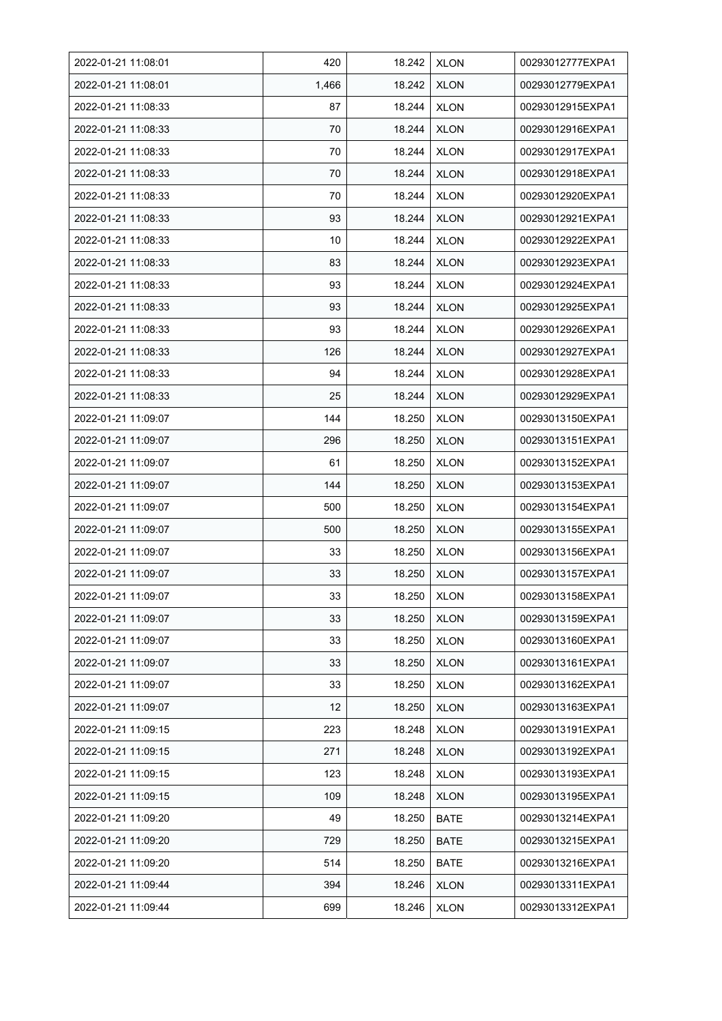| 2022-01-21 11:08:01 | 420   | 18.242 | <b>XLON</b> | 00293012777EXPA1 |
|---------------------|-------|--------|-------------|------------------|
| 2022-01-21 11:08:01 | 1,466 | 18.242 | <b>XLON</b> | 00293012779EXPA1 |
| 2022-01-21 11:08:33 | 87    | 18.244 | <b>XLON</b> | 00293012915EXPA1 |
| 2022-01-21 11:08:33 | 70    | 18.244 | <b>XLON</b> | 00293012916EXPA1 |
| 2022-01-21 11:08:33 | 70    | 18.244 | <b>XLON</b> | 00293012917EXPA1 |
| 2022-01-21 11:08:33 | 70    | 18.244 | <b>XLON</b> | 00293012918EXPA1 |
| 2022-01-21 11:08:33 | 70    | 18.244 | <b>XLON</b> | 00293012920EXPA1 |
| 2022-01-21 11:08:33 | 93    | 18.244 | <b>XLON</b> | 00293012921EXPA1 |
| 2022-01-21 11:08:33 | 10    | 18.244 | <b>XLON</b> | 00293012922EXPA1 |
| 2022-01-21 11:08:33 | 83    | 18.244 | <b>XLON</b> | 00293012923EXPA1 |
| 2022-01-21 11:08:33 | 93    | 18.244 | <b>XLON</b> | 00293012924EXPA1 |
| 2022-01-21 11:08:33 | 93    | 18.244 | <b>XLON</b> | 00293012925EXPA1 |
| 2022-01-21 11:08:33 | 93    | 18.244 | <b>XLON</b> | 00293012926EXPA1 |
| 2022-01-21 11:08:33 | 126   | 18.244 | <b>XLON</b> | 00293012927EXPA1 |
| 2022-01-21 11:08:33 | 94    | 18.244 | <b>XLON</b> | 00293012928EXPA1 |
| 2022-01-21 11:08:33 | 25    | 18.244 | <b>XLON</b> | 00293012929EXPA1 |
| 2022-01-21 11:09:07 | 144   | 18.250 | <b>XLON</b> | 00293013150EXPA1 |
| 2022-01-21 11:09:07 | 296   | 18.250 | <b>XLON</b> | 00293013151EXPA1 |
| 2022-01-21 11:09:07 | 61    | 18.250 | <b>XLON</b> | 00293013152EXPA1 |
| 2022-01-21 11:09:07 | 144   | 18.250 | <b>XLON</b> | 00293013153EXPA1 |
| 2022-01-21 11:09:07 | 500   | 18.250 | <b>XLON</b> | 00293013154EXPA1 |
| 2022-01-21 11:09:07 | 500   | 18.250 | <b>XLON</b> | 00293013155EXPA1 |
| 2022-01-21 11:09:07 | 33    | 18.250 | <b>XLON</b> | 00293013156EXPA1 |
| 2022-01-21 11:09:07 | 33    | 18.250 | <b>XLON</b> | 00293013157EXPA1 |
| 2022-01-21 11:09:07 | 33    | 18.250 | <b>XLON</b> | 00293013158EXPA1 |
| 2022-01-21 11:09:07 | 33    | 18.250 | <b>XLON</b> | 00293013159EXPA1 |
| 2022-01-21 11:09:07 | 33    | 18.250 | <b>XLON</b> | 00293013160EXPA1 |
| 2022-01-21 11:09:07 | 33    | 18.250 | <b>XLON</b> | 00293013161EXPA1 |
| 2022-01-21 11:09:07 | 33    | 18.250 | <b>XLON</b> | 00293013162EXPA1 |
| 2022-01-21 11:09:07 | 12    | 18.250 | <b>XLON</b> | 00293013163EXPA1 |
| 2022-01-21 11:09:15 | 223   | 18.248 | <b>XLON</b> | 00293013191EXPA1 |
| 2022-01-21 11:09:15 | 271   | 18.248 | <b>XLON</b> | 00293013192EXPA1 |
| 2022-01-21 11:09:15 | 123   | 18.248 | <b>XLON</b> | 00293013193EXPA1 |
| 2022-01-21 11:09:15 | 109   | 18.248 | <b>XLON</b> | 00293013195EXPA1 |
| 2022-01-21 11:09:20 | 49    | 18.250 | <b>BATE</b> | 00293013214EXPA1 |
| 2022-01-21 11:09:20 | 729   | 18.250 | <b>BATE</b> | 00293013215EXPA1 |
| 2022-01-21 11:09:20 | 514   | 18.250 | BATE        | 00293013216EXPA1 |
| 2022-01-21 11:09:44 | 394   | 18.246 | <b>XLON</b> | 00293013311EXPA1 |
| 2022-01-21 11:09:44 | 699   | 18.246 | <b>XLON</b> | 00293013312EXPA1 |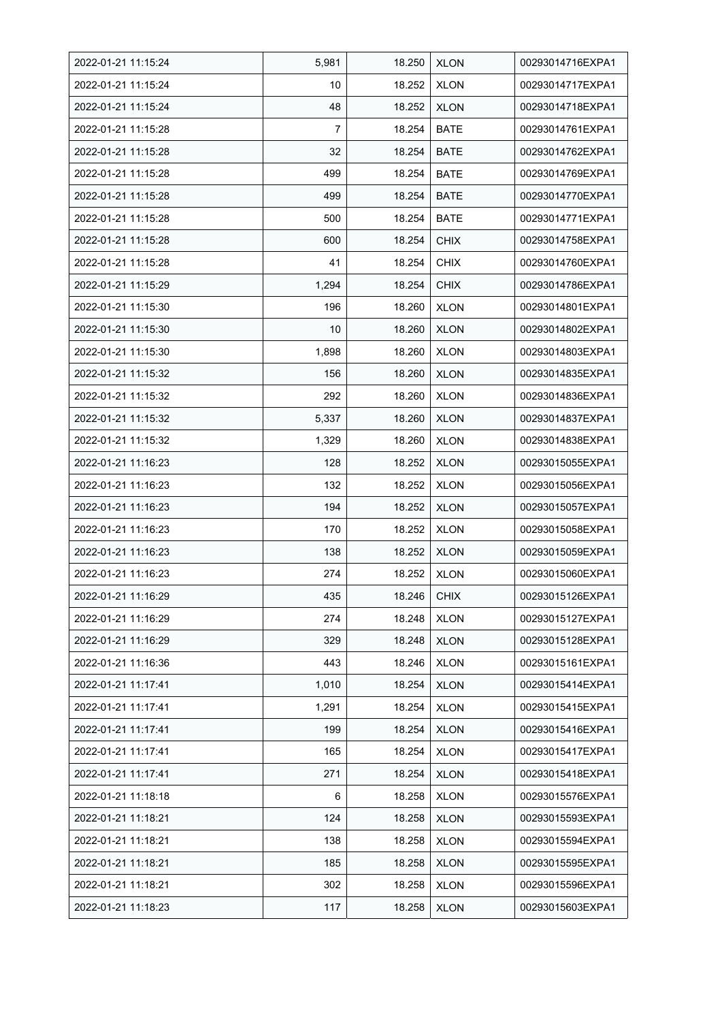| 2022-01-21 11:15:24 | 5,981           | 18.250 | <b>XLON</b> | 00293014716EXPA1 |
|---------------------|-----------------|--------|-------------|------------------|
| 2022-01-21 11:15:24 | 10              | 18.252 | <b>XLON</b> | 00293014717EXPA1 |
| 2022-01-21 11:15:24 | 48              | 18.252 | <b>XLON</b> | 00293014718EXPA1 |
| 2022-01-21 11:15:28 | 7               | 18.254 | <b>BATE</b> | 00293014761EXPA1 |
| 2022-01-21 11:15:28 | 32              | 18.254 | <b>BATE</b> | 00293014762EXPA1 |
| 2022-01-21 11:15:28 | 499             | 18.254 | <b>BATE</b> | 00293014769EXPA1 |
| 2022-01-21 11:15:28 | 499             | 18.254 | <b>BATE</b> | 00293014770EXPA1 |
| 2022-01-21 11:15:28 | 500             | 18.254 | <b>BATE</b> | 00293014771EXPA1 |
| 2022-01-21 11:15:28 | 600             | 18.254 | <b>CHIX</b> | 00293014758EXPA1 |
| 2022-01-21 11:15:28 | 41              | 18.254 | <b>CHIX</b> | 00293014760EXPA1 |
| 2022-01-21 11:15:29 | 1,294           | 18.254 | <b>CHIX</b> | 00293014786EXPA1 |
| 2022-01-21 11:15:30 | 196             | 18.260 | <b>XLON</b> | 00293014801EXPA1 |
| 2022-01-21 11:15:30 | 10 <sup>°</sup> | 18.260 | <b>XLON</b> | 00293014802EXPA1 |
| 2022-01-21 11:15:30 | 1,898           | 18.260 | <b>XLON</b> | 00293014803EXPA1 |
| 2022-01-21 11:15:32 | 156             | 18.260 | <b>XLON</b> | 00293014835EXPA1 |
| 2022-01-21 11:15:32 | 292             | 18.260 | <b>XLON</b> | 00293014836EXPA1 |
| 2022-01-21 11:15:32 | 5,337           | 18.260 | <b>XLON</b> | 00293014837EXPA1 |
| 2022-01-21 11:15:32 | 1,329           | 18.260 | <b>XLON</b> | 00293014838EXPA1 |
| 2022-01-21 11:16:23 | 128             | 18.252 | <b>XLON</b> | 00293015055EXPA1 |
| 2022-01-21 11:16:23 | 132             | 18.252 | <b>XLON</b> | 00293015056EXPA1 |
| 2022-01-21 11:16:23 | 194             | 18.252 | <b>XLON</b> | 00293015057EXPA1 |
| 2022-01-21 11:16:23 | 170             | 18.252 | <b>XLON</b> | 00293015058EXPA1 |
| 2022-01-21 11:16:23 | 138             | 18.252 | <b>XLON</b> | 00293015059EXPA1 |
| 2022-01-21 11:16:23 | 274             | 18.252 | <b>XLON</b> | 00293015060EXPA1 |
| 2022-01-21 11:16:29 | 435             | 18.246 | CHIX        | 00293015126EXPA1 |
| 2022-01-21 11:16:29 | 274             | 18.248 | <b>XLON</b> | 00293015127EXPA1 |
| 2022-01-21 11:16:29 | 329             | 18.248 | <b>XLON</b> | 00293015128EXPA1 |
| 2022-01-21 11:16:36 | 443             | 18.246 | <b>XLON</b> | 00293015161EXPA1 |
| 2022-01-21 11:17:41 | 1,010           | 18.254 | <b>XLON</b> | 00293015414EXPA1 |
| 2022-01-21 11:17:41 | 1,291           | 18.254 | <b>XLON</b> | 00293015415EXPA1 |
| 2022-01-21 11:17:41 | 199             | 18.254 | <b>XLON</b> | 00293015416EXPA1 |
| 2022-01-21 11:17:41 | 165             | 18.254 | <b>XLON</b> | 00293015417EXPA1 |
| 2022-01-21 11:17:41 | 271             | 18.254 | <b>XLON</b> | 00293015418EXPA1 |
| 2022-01-21 11:18:18 | 6               | 18.258 | <b>XLON</b> | 00293015576EXPA1 |
| 2022-01-21 11:18:21 | 124             | 18.258 | <b>XLON</b> | 00293015593EXPA1 |
| 2022-01-21 11:18:21 | 138             | 18.258 | <b>XLON</b> | 00293015594EXPA1 |
| 2022-01-21 11:18:21 | 185             | 18.258 | <b>XLON</b> | 00293015595EXPA1 |
| 2022-01-21 11:18:21 | 302             | 18.258 | <b>XLON</b> | 00293015596EXPA1 |
| 2022-01-21 11:18:23 | 117             | 18.258 | <b>XLON</b> | 00293015603EXPA1 |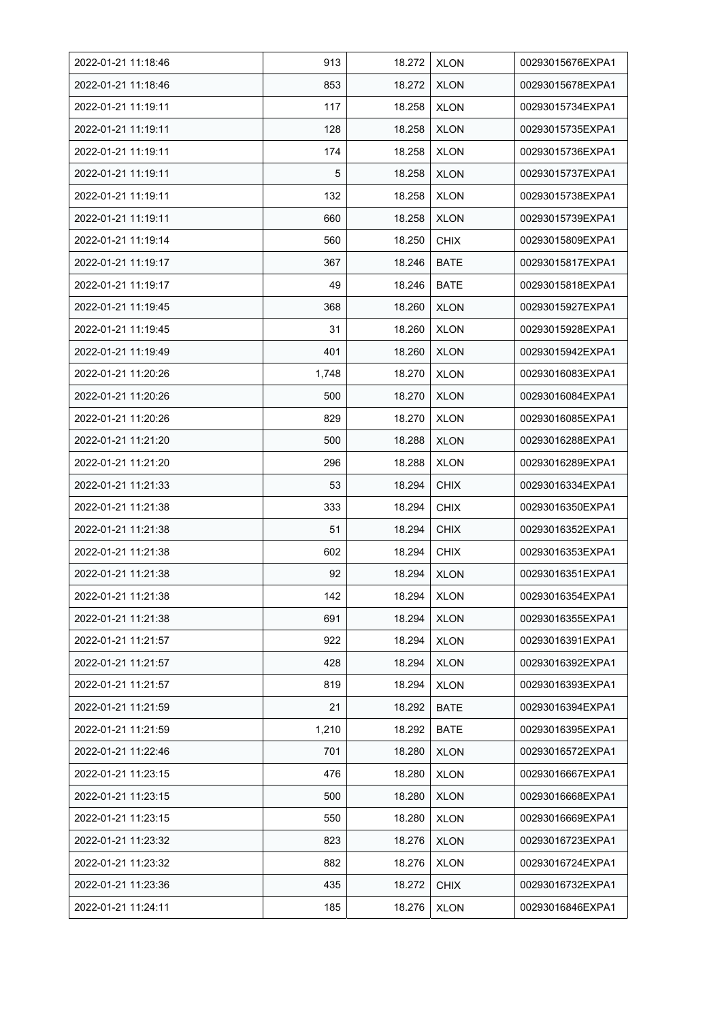| 2022-01-21 11:18:46 | 913   | 18.272 | <b>XLON</b> | 00293015676EXPA1 |
|---------------------|-------|--------|-------------|------------------|
| 2022-01-21 11:18:46 | 853   | 18.272 | <b>XLON</b> | 00293015678EXPA1 |
| 2022-01-21 11:19:11 | 117   | 18.258 | <b>XLON</b> | 00293015734EXPA1 |
| 2022-01-21 11:19:11 | 128   | 18.258 | <b>XLON</b> | 00293015735EXPA1 |
| 2022-01-21 11:19:11 | 174   | 18.258 | <b>XLON</b> | 00293015736EXPA1 |
| 2022-01-21 11:19:11 | 5     | 18.258 | <b>XLON</b> | 00293015737EXPA1 |
| 2022-01-21 11:19:11 | 132   | 18.258 | <b>XLON</b> | 00293015738EXPA1 |
| 2022-01-21 11:19:11 | 660   | 18.258 | <b>XLON</b> | 00293015739EXPA1 |
| 2022-01-21 11:19:14 | 560   | 18.250 | <b>CHIX</b> | 00293015809EXPA1 |
| 2022-01-21 11:19:17 | 367   | 18.246 | <b>BATE</b> | 00293015817EXPA1 |
| 2022-01-21 11:19:17 | 49    | 18.246 | <b>BATE</b> | 00293015818EXPA1 |
| 2022-01-21 11:19:45 | 368   | 18.260 | <b>XLON</b> | 00293015927EXPA1 |
| 2022-01-21 11:19:45 | 31    | 18.260 | <b>XLON</b> | 00293015928EXPA1 |
| 2022-01-21 11:19:49 | 401   | 18.260 | <b>XLON</b> | 00293015942EXPA1 |
| 2022-01-21 11:20:26 | 1,748 | 18.270 | <b>XLON</b> | 00293016083EXPA1 |
| 2022-01-21 11:20:26 | 500   | 18.270 | <b>XLON</b> | 00293016084EXPA1 |
| 2022-01-21 11:20:26 | 829   | 18.270 | <b>XLON</b> | 00293016085EXPA1 |
| 2022-01-21 11:21:20 | 500   | 18.288 | <b>XLON</b> | 00293016288EXPA1 |
| 2022-01-21 11:21:20 | 296   | 18.288 | <b>XLON</b> | 00293016289EXPA1 |
| 2022-01-21 11:21:33 | 53    | 18.294 | <b>CHIX</b> | 00293016334EXPA1 |
| 2022-01-21 11:21:38 | 333   | 18.294 | <b>CHIX</b> | 00293016350EXPA1 |
| 2022-01-21 11:21:38 | 51    | 18.294 | <b>CHIX</b> | 00293016352EXPA1 |
| 2022-01-21 11:21:38 | 602   | 18.294 | <b>CHIX</b> | 00293016353EXPA1 |
| 2022-01-21 11:21:38 | 92    | 18.294 | <b>XLON</b> | 00293016351EXPA1 |
| 2022-01-21 11:21:38 | 142   | 18.294 | <b>XLON</b> | 00293016354EXPA1 |
| 2022-01-21 11:21:38 | 691   | 18.294 | <b>XLON</b> | 00293016355EXPA1 |
| 2022-01-21 11:21:57 | 922   | 18.294 | <b>XLON</b> | 00293016391EXPA1 |
| 2022-01-21 11:21:57 | 428   | 18.294 | <b>XLON</b> | 00293016392EXPA1 |
| 2022-01-21 11:21:57 | 819   | 18.294 | <b>XLON</b> | 00293016393EXPA1 |
| 2022-01-21 11:21:59 | 21    | 18.292 | BATE        | 00293016394EXPA1 |
| 2022-01-21 11:21:59 | 1,210 | 18.292 | <b>BATE</b> | 00293016395EXPA1 |
| 2022-01-21 11:22:46 | 701   | 18.280 | <b>XLON</b> | 00293016572EXPA1 |
| 2022-01-21 11:23:15 | 476   | 18.280 | <b>XLON</b> | 00293016667EXPA1 |
| 2022-01-21 11:23:15 | 500   | 18.280 | <b>XLON</b> | 00293016668EXPA1 |
| 2022-01-21 11:23:15 | 550   | 18.280 | <b>XLON</b> | 00293016669EXPA1 |
| 2022-01-21 11:23:32 | 823   | 18.276 | <b>XLON</b> | 00293016723EXPA1 |
| 2022-01-21 11:23:32 | 882   | 18.276 | <b>XLON</b> | 00293016724EXPA1 |
| 2022-01-21 11:23:36 | 435   | 18.272 | <b>CHIX</b> | 00293016732EXPA1 |
| 2022-01-21 11:24:11 | 185   | 18.276 | <b>XLON</b> | 00293016846EXPA1 |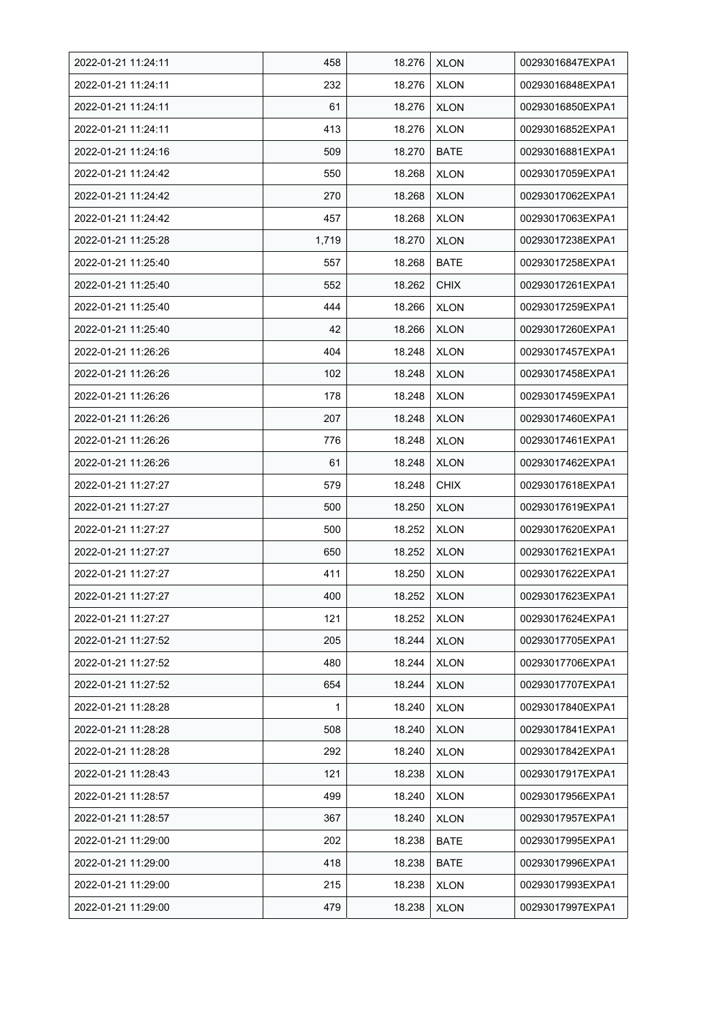| 2022-01-21 11:24:11 | 458   | 18.276 | <b>XLON</b> | 00293016847EXPA1 |
|---------------------|-------|--------|-------------|------------------|
| 2022-01-21 11:24:11 | 232   | 18.276 | <b>XLON</b> | 00293016848EXPA1 |
| 2022-01-21 11:24:11 | 61    | 18.276 | <b>XLON</b> | 00293016850EXPA1 |
| 2022-01-21 11:24:11 | 413   | 18.276 | <b>XLON</b> | 00293016852EXPA1 |
| 2022-01-21 11:24:16 | 509   | 18.270 | <b>BATE</b> | 00293016881EXPA1 |
| 2022-01-21 11:24:42 | 550   | 18.268 | <b>XLON</b> | 00293017059EXPA1 |
| 2022-01-21 11:24:42 | 270   | 18.268 | <b>XLON</b> | 00293017062EXPA1 |
| 2022-01-21 11:24:42 | 457   | 18.268 | <b>XLON</b> | 00293017063EXPA1 |
| 2022-01-21 11:25:28 | 1,719 | 18.270 | <b>XLON</b> | 00293017238EXPA1 |
| 2022-01-21 11:25:40 | 557   | 18.268 | <b>BATE</b> | 00293017258EXPA1 |
| 2022-01-21 11:25:40 | 552   | 18.262 | <b>CHIX</b> | 00293017261EXPA1 |
| 2022-01-21 11:25:40 | 444   | 18.266 | <b>XLON</b> | 00293017259EXPA1 |
| 2022-01-21 11:25:40 | 42    | 18.266 | <b>XLON</b> | 00293017260EXPA1 |
| 2022-01-21 11:26:26 | 404   | 18.248 | <b>XLON</b> | 00293017457EXPA1 |
| 2022-01-21 11:26:26 | 102   | 18.248 | <b>XLON</b> | 00293017458EXPA1 |
| 2022-01-21 11:26:26 | 178   | 18.248 | <b>XLON</b> | 00293017459EXPA1 |
| 2022-01-21 11:26:26 | 207   | 18.248 | <b>XLON</b> | 00293017460EXPA1 |
| 2022-01-21 11:26:26 | 776   | 18.248 | XLON        | 00293017461EXPA1 |
| 2022-01-21 11:26:26 | 61    | 18.248 | <b>XLON</b> | 00293017462EXPA1 |
| 2022-01-21 11:27:27 | 579   | 18.248 | <b>CHIX</b> | 00293017618EXPA1 |
| 2022-01-21 11:27:27 | 500   | 18.250 | <b>XLON</b> | 00293017619EXPA1 |
| 2022-01-21 11:27:27 | 500   | 18.252 | <b>XLON</b> | 00293017620EXPA1 |
| 2022-01-21 11:27:27 | 650   | 18.252 | <b>XLON</b> | 00293017621EXPA1 |
| 2022-01-21 11:27:27 | 411   | 18.250 | <b>XLON</b> | 00293017622EXPA1 |
| 2022-01-21 11:27:27 | 400   | 18.252 | <b>XLON</b> | 00293017623EXPA1 |
| 2022-01-21 11:27:27 | 121   | 18.252 | <b>XLON</b> | 00293017624EXPA1 |
| 2022-01-21 11:27:52 | 205   | 18.244 | <b>XLON</b> | 00293017705EXPA1 |
| 2022-01-21 11:27:52 | 480   | 18.244 | <b>XLON</b> | 00293017706EXPA1 |
| 2022-01-21 11:27:52 | 654   | 18.244 | <b>XLON</b> | 00293017707EXPA1 |
| 2022-01-21 11:28:28 | 1     | 18.240 | <b>XLON</b> | 00293017840EXPA1 |
| 2022-01-21 11:28:28 | 508   | 18.240 | <b>XLON</b> | 00293017841EXPA1 |
| 2022-01-21 11:28:28 | 292   | 18.240 | <b>XLON</b> | 00293017842EXPA1 |
| 2022-01-21 11:28:43 | 121   | 18.238 | <b>XLON</b> | 00293017917EXPA1 |
| 2022-01-21 11:28:57 | 499   | 18.240 | <b>XLON</b> | 00293017956EXPA1 |
| 2022-01-21 11:28:57 | 367   | 18.240 | <b>XLON</b> | 00293017957EXPA1 |
| 2022-01-21 11:29:00 | 202   | 18.238 | <b>BATE</b> | 00293017995EXPA1 |
| 2022-01-21 11:29:00 | 418   | 18.238 | <b>BATE</b> | 00293017996EXPA1 |
| 2022-01-21 11:29:00 | 215   | 18.238 | <b>XLON</b> | 00293017993EXPA1 |
| 2022-01-21 11:29:00 | 479   | 18.238 | <b>XLON</b> | 00293017997EXPA1 |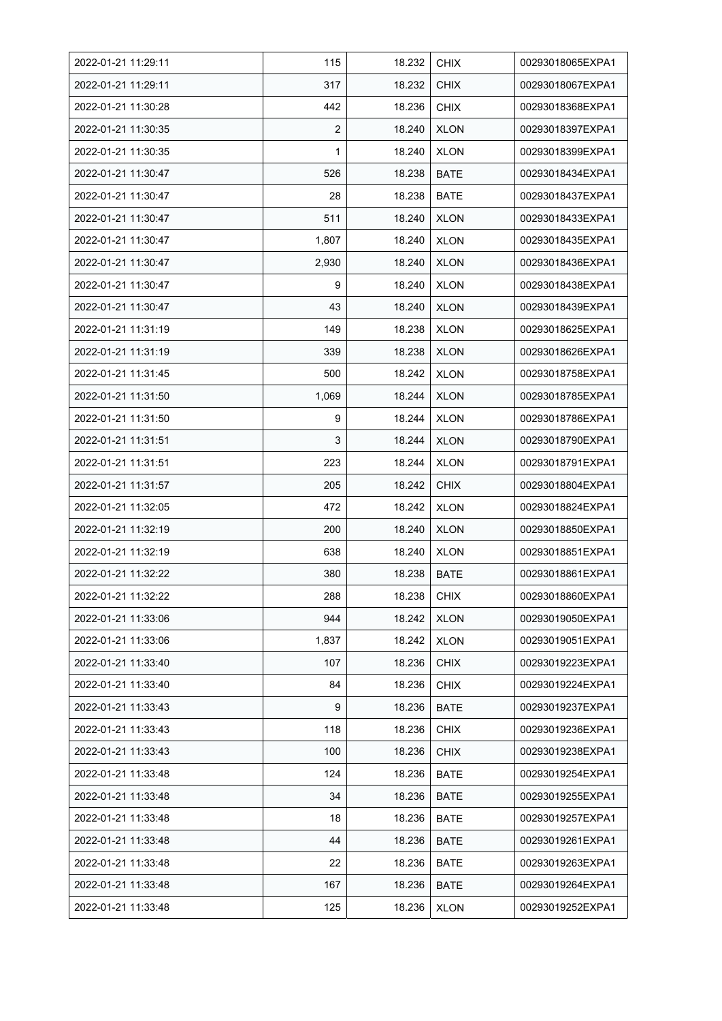| 2022-01-21 11:29:11 | 115            | 18.232 | <b>CHIX</b> | 00293018065EXPA1 |
|---------------------|----------------|--------|-------------|------------------|
| 2022-01-21 11:29:11 | 317            | 18.232 | <b>CHIX</b> | 00293018067EXPA1 |
| 2022-01-21 11:30:28 | 442            | 18.236 | <b>CHIX</b> | 00293018368EXPA1 |
| 2022-01-21 11:30:35 | $\overline{2}$ | 18.240 | <b>XLON</b> | 00293018397EXPA1 |
| 2022-01-21 11:30:35 | 1              | 18.240 | <b>XLON</b> | 00293018399EXPA1 |
| 2022-01-21 11:30:47 | 526            | 18.238 | <b>BATE</b> | 00293018434EXPA1 |
| 2022-01-21 11:30:47 | 28             | 18.238 | <b>BATE</b> | 00293018437EXPA1 |
| 2022-01-21 11:30:47 | 511            | 18.240 | <b>XLON</b> | 00293018433EXPA1 |
| 2022-01-21 11:30:47 | 1,807          | 18.240 | <b>XLON</b> | 00293018435EXPA1 |
| 2022-01-21 11:30:47 | 2,930          | 18.240 | <b>XLON</b> | 00293018436EXPA1 |
| 2022-01-21 11:30:47 | 9              | 18.240 | <b>XLON</b> | 00293018438EXPA1 |
| 2022-01-21 11:30:47 | 43             | 18.240 | <b>XLON</b> | 00293018439EXPA1 |
| 2022-01-21 11:31:19 | 149            | 18.238 | <b>XLON</b> | 00293018625EXPA1 |
| 2022-01-21 11:31:19 | 339            | 18.238 | <b>XLON</b> | 00293018626EXPA1 |
| 2022-01-21 11:31:45 | 500            | 18.242 | <b>XLON</b> | 00293018758EXPA1 |
| 2022-01-21 11:31:50 | 1,069          | 18.244 | <b>XLON</b> | 00293018785EXPA1 |
| 2022-01-21 11:31:50 | 9              | 18.244 | <b>XLON</b> | 00293018786EXPA1 |
| 2022-01-21 11:31:51 | 3              | 18.244 | <b>XLON</b> | 00293018790EXPA1 |
| 2022-01-21 11:31:51 | 223            | 18.244 | <b>XLON</b> | 00293018791EXPA1 |
| 2022-01-21 11:31:57 | 205            | 18.242 | <b>CHIX</b> | 00293018804EXPA1 |
| 2022-01-21 11:32:05 | 472            | 18.242 | <b>XLON</b> | 00293018824EXPA1 |
| 2022-01-21 11:32:19 | 200            | 18.240 | <b>XLON</b> | 00293018850EXPA1 |
| 2022-01-21 11:32:19 | 638            | 18.240 | <b>XLON</b> | 00293018851EXPA1 |
| 2022-01-21 11:32:22 | 380            | 18.238 | <b>BATE</b> | 00293018861EXPA1 |
| 2022-01-21 11:32:22 | 288            | 18.238 | <b>CHIX</b> | 00293018860EXPA1 |
| 2022-01-21 11:33:06 | 944            | 18.242 | <b>XLON</b> | 00293019050EXPA1 |
| 2022-01-21 11:33:06 | 1,837          | 18.242 | <b>XLON</b> | 00293019051EXPA1 |
| 2022-01-21 11:33:40 | 107            | 18.236 | <b>CHIX</b> | 00293019223EXPA1 |
| 2022-01-21 11:33:40 | 84             | 18.236 | <b>CHIX</b> | 00293019224EXPA1 |
| 2022-01-21 11:33:43 | 9              | 18.236 | <b>BATE</b> | 00293019237EXPA1 |
| 2022-01-21 11:33:43 | 118            | 18.236 | <b>CHIX</b> | 00293019236EXPA1 |
| 2022-01-21 11:33:43 | 100            | 18.236 | <b>CHIX</b> | 00293019238EXPA1 |
| 2022-01-21 11:33:48 | 124            | 18.236 | <b>BATE</b> | 00293019254EXPA1 |
| 2022-01-21 11:33:48 | 34             | 18.236 | <b>BATE</b> | 00293019255EXPA1 |
| 2022-01-21 11:33:48 | 18             | 18.236 | <b>BATE</b> | 00293019257EXPA1 |
| 2022-01-21 11:33:48 | 44             | 18.236 | <b>BATE</b> | 00293019261EXPA1 |
| 2022-01-21 11:33:48 | 22             | 18.236 | <b>BATE</b> | 00293019263EXPA1 |
| 2022-01-21 11:33:48 | 167            | 18.236 | <b>BATE</b> | 00293019264EXPA1 |
| 2022-01-21 11:33:48 | 125            | 18.236 | <b>XLON</b> | 00293019252EXPA1 |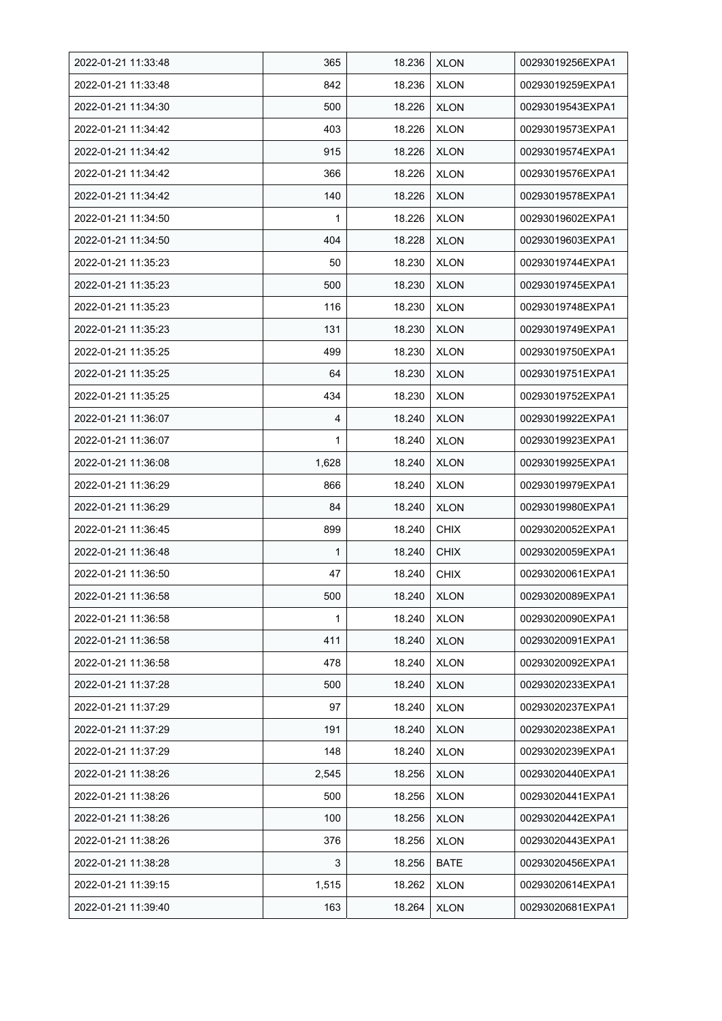| 2022-01-21 11:33:48 | 365   | 18.236 | <b>XLON</b> | 00293019256EXPA1 |
|---------------------|-------|--------|-------------|------------------|
| 2022-01-21 11:33:48 | 842   | 18.236 | <b>XLON</b> | 00293019259EXPA1 |
| 2022-01-21 11:34:30 | 500   | 18.226 | <b>XLON</b> | 00293019543EXPA1 |
| 2022-01-21 11:34:42 | 403   | 18.226 | <b>XLON</b> | 00293019573EXPA1 |
| 2022-01-21 11:34:42 | 915   | 18.226 | <b>XLON</b> | 00293019574EXPA1 |
| 2022-01-21 11:34:42 | 366   | 18.226 | <b>XLON</b> | 00293019576EXPA1 |
| 2022-01-21 11:34:42 | 140   | 18.226 | <b>XLON</b> | 00293019578EXPA1 |
| 2022-01-21 11:34:50 | 1     | 18.226 | <b>XLON</b> | 00293019602EXPA1 |
| 2022-01-21 11:34:50 | 404   | 18.228 | <b>XLON</b> | 00293019603EXPA1 |
| 2022-01-21 11:35:23 | 50    | 18.230 | <b>XLON</b> | 00293019744EXPA1 |
| 2022-01-21 11:35:23 | 500   | 18.230 | <b>XLON</b> | 00293019745EXPA1 |
| 2022-01-21 11:35:23 | 116   | 18.230 | <b>XLON</b> | 00293019748EXPA1 |
| 2022-01-21 11:35:23 | 131   | 18.230 | <b>XLON</b> | 00293019749EXPA1 |
| 2022-01-21 11:35:25 | 499   | 18.230 | <b>XLON</b> | 00293019750EXPA1 |
| 2022-01-21 11:35:25 | 64    | 18.230 | <b>XLON</b> | 00293019751EXPA1 |
| 2022-01-21 11:35:25 | 434   | 18.230 | <b>XLON</b> | 00293019752EXPA1 |
| 2022-01-21 11:36:07 | 4     | 18.240 | <b>XLON</b> | 00293019922EXPA1 |
| 2022-01-21 11:36:07 | 1     | 18.240 | <b>XLON</b> | 00293019923EXPA1 |
| 2022-01-21 11:36:08 | 1,628 | 18.240 | <b>XLON</b> | 00293019925EXPA1 |
| 2022-01-21 11:36:29 | 866   | 18.240 | <b>XLON</b> | 00293019979EXPA1 |
| 2022-01-21 11:36:29 | 84    | 18.240 | <b>XLON</b> | 00293019980EXPA1 |
| 2022-01-21 11:36:45 | 899   | 18.240 | <b>CHIX</b> | 00293020052EXPA1 |
| 2022-01-21 11:36:48 | 1     | 18.240 | <b>CHIX</b> | 00293020059EXPA1 |
| 2022-01-21 11:36:50 | 47    | 18.240 | <b>CHIX</b> | 00293020061EXPA1 |
| 2022-01-21 11:36:58 | 500   | 18.240 | <b>XLON</b> | 00293020089EXPA1 |
| 2022-01-21 11:36:58 | 1     | 18.240 | <b>XLON</b> | 00293020090EXPA1 |
| 2022-01-21 11:36:58 | 411   | 18.240 | <b>XLON</b> | 00293020091EXPA1 |
| 2022-01-21 11:36:58 | 478   | 18.240 | <b>XLON</b> | 00293020092EXPA1 |
| 2022-01-21 11:37:28 | 500   | 18.240 | <b>XLON</b> | 00293020233EXPA1 |
| 2022-01-21 11:37:29 | 97    | 18.240 | <b>XLON</b> | 00293020237EXPA1 |
| 2022-01-21 11:37:29 | 191   | 18.240 | <b>XLON</b> | 00293020238EXPA1 |
| 2022-01-21 11:37:29 | 148   | 18.240 | <b>XLON</b> | 00293020239EXPA1 |
| 2022-01-21 11:38:26 | 2,545 | 18.256 | <b>XLON</b> | 00293020440EXPA1 |
| 2022-01-21 11:38:26 | 500   | 18.256 | <b>XLON</b> | 00293020441EXPA1 |
| 2022-01-21 11:38:26 | 100   | 18.256 | <b>XLON</b> | 00293020442EXPA1 |
| 2022-01-21 11:38:26 | 376   | 18.256 | <b>XLON</b> | 00293020443EXPA1 |
| 2022-01-21 11:38:28 | 3     | 18.256 | BATE        | 00293020456EXPA1 |
| 2022-01-21 11:39:15 | 1,515 | 18.262 | <b>XLON</b> | 00293020614EXPA1 |
| 2022-01-21 11:39:40 | 163   | 18.264 | <b>XLON</b> | 00293020681EXPA1 |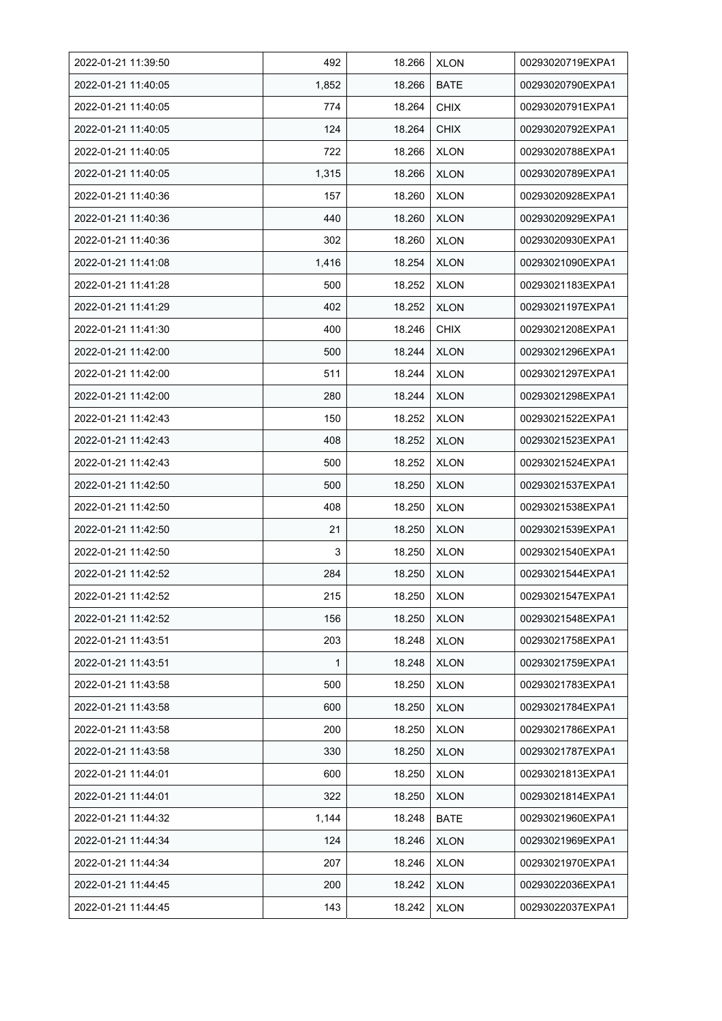| 2022-01-21 11:39:50 | 492   | 18.266 | <b>XLON</b> | 00293020719EXPA1 |
|---------------------|-------|--------|-------------|------------------|
| 2022-01-21 11:40:05 | 1,852 | 18.266 | <b>BATE</b> | 00293020790EXPA1 |
| 2022-01-21 11:40:05 | 774   | 18.264 | <b>CHIX</b> | 00293020791EXPA1 |
| 2022-01-21 11:40:05 | 124   | 18.264 | <b>CHIX</b> | 00293020792EXPA1 |
| 2022-01-21 11:40:05 | 722   | 18.266 | <b>XLON</b> | 00293020788EXPA1 |
| 2022-01-21 11:40:05 | 1,315 | 18.266 | <b>XLON</b> | 00293020789EXPA1 |
| 2022-01-21 11:40:36 | 157   | 18.260 | <b>XLON</b> | 00293020928EXPA1 |
| 2022-01-21 11:40:36 | 440   | 18.260 | <b>XLON</b> | 00293020929EXPA1 |
| 2022-01-21 11:40:36 | 302   | 18.260 | <b>XLON</b> | 00293020930EXPA1 |
| 2022-01-21 11:41:08 | 1,416 | 18.254 | <b>XLON</b> | 00293021090EXPA1 |
| 2022-01-21 11:41:28 | 500   | 18.252 | <b>XLON</b> | 00293021183EXPA1 |
| 2022-01-21 11:41:29 | 402   | 18.252 | <b>XLON</b> | 00293021197EXPA1 |
| 2022-01-21 11:41:30 | 400   | 18.246 | <b>CHIX</b> | 00293021208EXPA1 |
| 2022-01-21 11:42:00 | 500   | 18.244 | <b>XLON</b> | 00293021296EXPA1 |
| 2022-01-21 11:42:00 | 511   | 18.244 | <b>XLON</b> | 00293021297EXPA1 |
| 2022-01-21 11:42:00 | 280   | 18.244 | <b>XLON</b> | 00293021298EXPA1 |
| 2022-01-21 11:42:43 | 150   | 18.252 | <b>XLON</b> | 00293021522EXPA1 |
| 2022-01-21 11:42:43 | 408   | 18.252 | <b>XLON</b> | 00293021523EXPA1 |
| 2022-01-21 11:42:43 | 500   | 18.252 | <b>XLON</b> | 00293021524EXPA1 |
| 2022-01-21 11:42:50 | 500   | 18.250 | <b>XLON</b> | 00293021537EXPA1 |
| 2022-01-21 11:42:50 | 408   | 18.250 | <b>XLON</b> | 00293021538EXPA1 |
| 2022-01-21 11:42:50 | 21    | 18.250 | <b>XLON</b> | 00293021539EXPA1 |
| 2022-01-21 11:42:50 | 3     | 18.250 | <b>XLON</b> | 00293021540EXPA1 |
| 2022-01-21 11:42:52 | 284   | 18.250 | <b>XLON</b> | 00293021544EXPA1 |
| 2022-01-21 11:42:52 | 215   | 18.250 | <b>XLON</b> | 00293021547EXPA1 |
| 2022-01-21 11:42:52 | 156   | 18.250 | <b>XLON</b> | 00293021548EXPA1 |
| 2022-01-21 11:43.51 | 203   | 18.248 | <b>XLON</b> | 00293021758EXPA1 |
| 2022-01-21 11:43:51 | 1     | 18.248 | <b>XLON</b> | 00293021759EXPA1 |
| 2022-01-21 11:43:58 | 500   | 18.250 | <b>XLON</b> | 00293021783EXPA1 |
| 2022-01-21 11:43:58 | 600   | 18.250 | <b>XLON</b> | 00293021784EXPA1 |
| 2022-01-21 11:43:58 | 200   | 18.250 | <b>XLON</b> | 00293021786EXPA1 |
| 2022-01-21 11:43:58 | 330   | 18.250 | <b>XLON</b> | 00293021787EXPA1 |
| 2022-01-21 11:44:01 | 600   | 18.250 | <b>XLON</b> | 00293021813EXPA1 |
| 2022-01-21 11:44:01 | 322   | 18.250 | <b>XLON</b> | 00293021814EXPA1 |
| 2022-01-21 11:44:32 | 1,144 | 18.248 | <b>BATE</b> | 00293021960EXPA1 |
| 2022-01-21 11:44:34 | 124   | 18.246 | <b>XLON</b> | 00293021969EXPA1 |
| 2022-01-21 11:44:34 | 207   | 18.246 | <b>XLON</b> | 00293021970EXPA1 |
| 2022-01-21 11:44:45 | 200   | 18.242 | <b>XLON</b> | 00293022036EXPA1 |
| 2022-01-21 11:44:45 | 143   | 18.242 | <b>XLON</b> | 00293022037EXPA1 |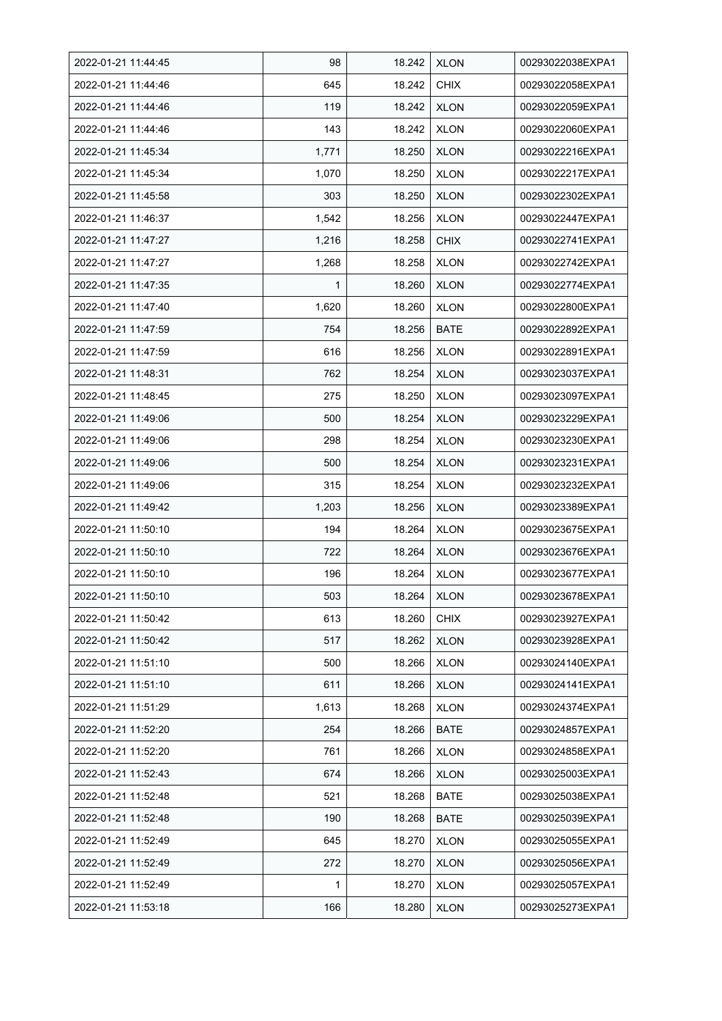| 2022-01-21 11:44:45 | 98    | 18.242 | <b>XLON</b> | 00293022038EXPA1 |
|---------------------|-------|--------|-------------|------------------|
| 2022-01-21 11:44:46 | 645   | 18.242 | <b>CHIX</b> | 00293022058EXPA1 |
| 2022-01-21 11:44:46 | 119   | 18.242 | <b>XLON</b> | 00293022059EXPA1 |
| 2022-01-21 11:44:46 | 143   | 18.242 | <b>XLON</b> | 00293022060EXPA1 |
| 2022-01-21 11:45:34 | 1,771 | 18.250 | <b>XLON</b> | 00293022216EXPA1 |
| 2022-01-21 11:45:34 | 1,070 | 18.250 | <b>XLON</b> | 00293022217EXPA1 |
| 2022-01-21 11:45:58 | 303   | 18.250 | <b>XLON</b> | 00293022302EXPA1 |
| 2022-01-21 11:46:37 | 1,542 | 18.256 | <b>XLON</b> | 00293022447EXPA1 |
| 2022-01-21 11:47:27 | 1,216 | 18.258 | <b>CHIX</b> | 00293022741EXPA1 |
| 2022-01-21 11:47:27 | 1,268 | 18.258 | <b>XLON</b> | 00293022742EXPA1 |
| 2022-01-21 11:47:35 | 1     | 18.260 | <b>XLON</b> | 00293022774EXPA1 |
| 2022-01-21 11:47:40 | 1,620 | 18.260 | <b>XLON</b> | 00293022800EXPA1 |
| 2022-01-21 11:47:59 | 754   | 18.256 | <b>BATE</b> | 00293022892EXPA1 |
| 2022-01-21 11:47:59 | 616   | 18.256 | <b>XLON</b> | 00293022891EXPA1 |
| 2022-01-21 11:48:31 | 762   | 18.254 | <b>XLON</b> | 00293023037EXPA1 |
| 2022-01-21 11:48:45 | 275   | 18.250 | <b>XLON</b> | 00293023097EXPA1 |
| 2022-01-21 11:49:06 | 500   | 18.254 | <b>XLON</b> | 00293023229EXPA1 |
| 2022-01-21 11:49:06 | 298   | 18.254 | <b>XLON</b> | 00293023230EXPA1 |
| 2022-01-21 11:49:06 | 500   | 18.254 | <b>XLON</b> | 00293023231EXPA1 |
| 2022-01-21 11:49:06 | 315   | 18.254 | <b>XLON</b> | 00293023232EXPA1 |
| 2022-01-21 11:49:42 | 1,203 | 18.256 | <b>XLON</b> | 00293023389EXPA1 |
| 2022-01-21 11:50:10 | 194   | 18.264 | <b>XLON</b> | 00293023675EXPA1 |
| 2022-01-21 11:50:10 | 722   | 18.264 | <b>XLON</b> | 00293023676EXPA1 |
| 2022-01-21 11:50:10 | 196   | 18.264 | <b>XLON</b> | 00293023677EXPA1 |
| 2022-01-21 11:50:10 | 503   | 18.264 | <b>XLON</b> | 00293023678EXPA1 |
| 2022-01-21 11:50:42 | 613   | 18.260 | <b>CHIX</b> | 00293023927EXPA1 |
| 2022-01-21 11:50:42 | 517   | 18.262 | <b>XLON</b> | 00293023928EXPA1 |
| 2022-01-21 11:51:10 | 500   | 18.266 | <b>XLON</b> | 00293024140EXPA1 |
| 2022-01-21 11:51:10 | 611   | 18.266 | <b>XLON</b> | 00293024141EXPA1 |
| 2022-01-21 11:51:29 | 1,613 | 18.268 | <b>XLON</b> | 00293024374EXPA1 |
| 2022-01-21 11:52:20 | 254   | 18.266 | <b>BATE</b> | 00293024857EXPA1 |
| 2022-01-21 11:52:20 | 761   | 18.266 | <b>XLON</b> | 00293024858EXPA1 |
| 2022-01-21 11:52:43 | 674   | 18.266 | <b>XLON</b> | 00293025003EXPA1 |
| 2022-01-21 11:52:48 | 521   | 18.268 | <b>BATE</b> | 00293025038EXPA1 |
| 2022-01-21 11:52:48 | 190   | 18.268 | <b>BATE</b> | 00293025039EXPA1 |
| 2022-01-21 11:52:49 | 645   | 18.270 | <b>XLON</b> | 00293025055EXPA1 |
| 2022-01-21 11:52:49 | 272   | 18.270 | <b>XLON</b> | 00293025056EXPA1 |
| 2022-01-21 11:52:49 | 1     | 18.270 | <b>XLON</b> | 00293025057EXPA1 |
| 2022-01-21 11:53:18 | 166   | 18.280 | <b>XLON</b> | 00293025273EXPA1 |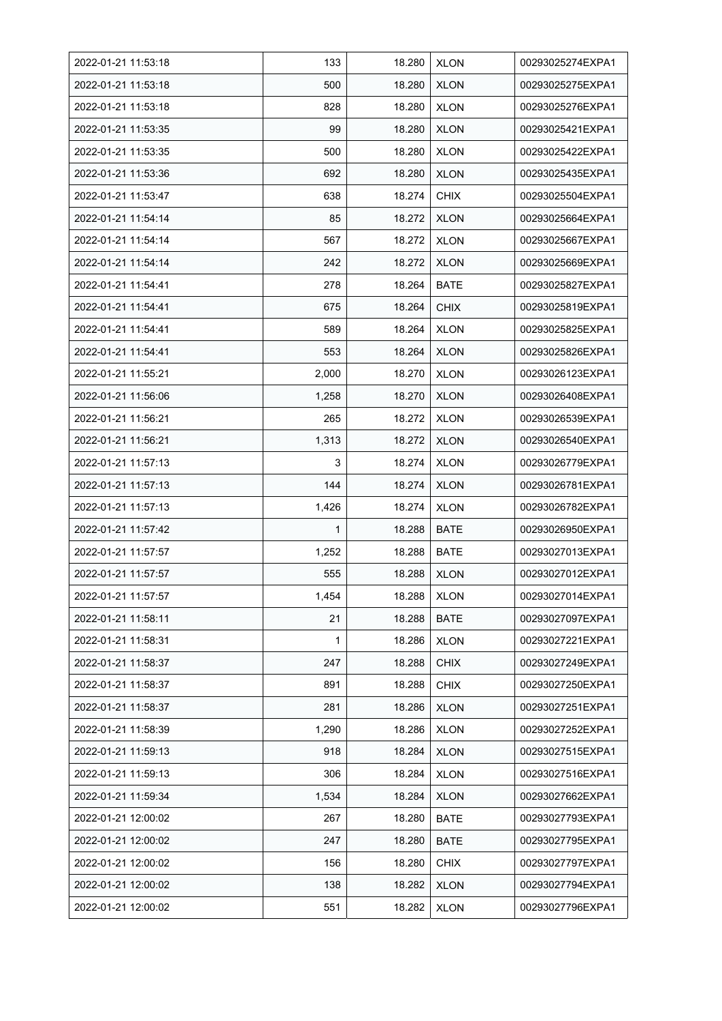| 2022-01-21 11:53:18 | 133   | 18.280 | <b>XLON</b> | 00293025274EXPA1 |
|---------------------|-------|--------|-------------|------------------|
| 2022-01-21 11:53:18 | 500   | 18.280 | <b>XLON</b> | 00293025275EXPA1 |
| 2022-01-21 11:53:18 | 828   | 18.280 | <b>XLON</b> | 00293025276EXPA1 |
| 2022-01-21 11:53:35 | 99    | 18.280 | <b>XLON</b> | 00293025421EXPA1 |
| 2022-01-21 11:53:35 | 500   | 18.280 | <b>XLON</b> | 00293025422EXPA1 |
| 2022-01-21 11:53:36 | 692   | 18.280 | <b>XLON</b> | 00293025435EXPA1 |
| 2022-01-21 11:53:47 | 638   | 18.274 | <b>CHIX</b> | 00293025504EXPA1 |
| 2022-01-21 11:54:14 | 85    | 18.272 | <b>XLON</b> | 00293025664EXPA1 |
| 2022-01-21 11:54:14 | 567   | 18.272 | <b>XLON</b> | 00293025667EXPA1 |
| 2022-01-21 11:54:14 | 242   | 18.272 | <b>XLON</b> | 00293025669EXPA1 |
| 2022-01-21 11:54:41 | 278   | 18.264 | <b>BATE</b> | 00293025827EXPA1 |
| 2022-01-21 11:54:41 | 675   | 18.264 | <b>CHIX</b> | 00293025819EXPA1 |
| 2022-01-21 11:54:41 | 589   | 18.264 | <b>XLON</b> | 00293025825EXPA1 |
| 2022-01-21 11:54:41 | 553   | 18.264 | <b>XLON</b> | 00293025826EXPA1 |
| 2022-01-21 11:55:21 | 2,000 | 18.270 | <b>XLON</b> | 00293026123EXPA1 |
| 2022-01-21 11:56:06 | 1,258 | 18.270 | <b>XLON</b> | 00293026408EXPA1 |
| 2022-01-21 11:56:21 | 265   | 18.272 | <b>XLON</b> | 00293026539EXPA1 |
| 2022-01-21 11:56:21 | 1,313 | 18.272 | <b>XLON</b> | 00293026540EXPA1 |
| 2022-01-21 11:57:13 | 3     | 18.274 | <b>XLON</b> | 00293026779EXPA1 |
| 2022-01-21 11:57:13 | 144   | 18.274 | <b>XLON</b> | 00293026781EXPA1 |
| 2022-01-21 11:57:13 | 1,426 | 18.274 | <b>XLON</b> | 00293026782EXPA1 |
| 2022-01-21 11:57:42 | 1     | 18.288 | <b>BATE</b> | 00293026950EXPA1 |
| 2022-01-21 11:57:57 | 1,252 | 18.288 | <b>BATE</b> | 00293027013EXPA1 |
| 2022-01-21 11:57:57 | 555   | 18.288 | <b>XLON</b> | 00293027012EXPA1 |
| 2022-01-21 11:57:57 | 1,454 | 18.288 | <b>XLON</b> | 00293027014EXPA1 |
| 2022-01-21 11:58:11 | 21    | 18.288 | BATE        | 00293027097EXPA1 |
| 2022-01-21 11:58:31 | 1     | 18.286 | <b>XLON</b> | 00293027221EXPA1 |
| 2022-01-21 11:58:37 | 247   | 18.288 | <b>CHIX</b> | 00293027249EXPA1 |
| 2022-01-21 11:58:37 | 891   | 18.288 | <b>CHIX</b> | 00293027250EXPA1 |
| 2022-01-21 11:58:37 | 281   | 18.286 | <b>XLON</b> | 00293027251EXPA1 |
| 2022-01-21 11:58:39 | 1,290 | 18.286 | <b>XLON</b> | 00293027252EXPA1 |
| 2022-01-21 11:59:13 | 918   | 18.284 | <b>XLON</b> | 00293027515EXPA1 |
| 2022-01-21 11:59:13 | 306   | 18.284 | <b>XLON</b> | 00293027516EXPA1 |
| 2022-01-21 11:59:34 | 1,534 | 18.284 | <b>XLON</b> | 00293027662EXPA1 |
| 2022-01-21 12:00:02 | 267   | 18.280 | BATE        | 00293027793EXPA1 |
| 2022-01-21 12:00:02 | 247   | 18.280 | <b>BATE</b> | 00293027795EXPA1 |
| 2022-01-21 12:00:02 | 156   | 18.280 | <b>CHIX</b> | 00293027797EXPA1 |
| 2022-01-21 12:00:02 | 138   | 18.282 | <b>XLON</b> | 00293027794EXPA1 |
| 2022-01-21 12:00:02 | 551   | 18.282 | <b>XLON</b> | 00293027796EXPA1 |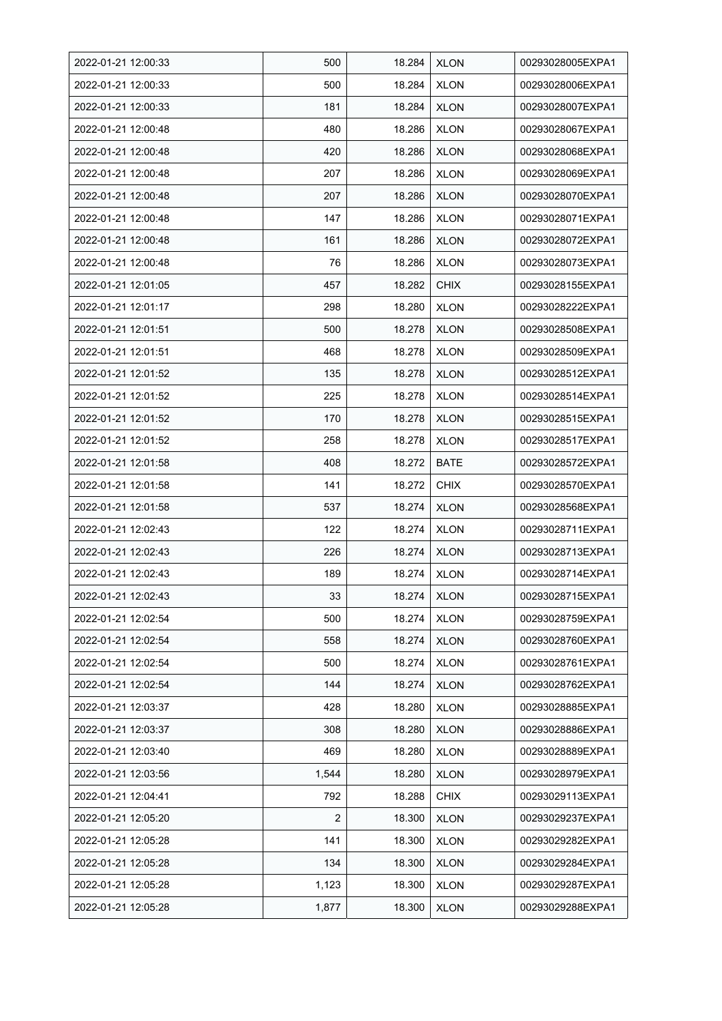| 2022-01-21 12:00:33 | 500   | 18.284 | <b>XLON</b> | 00293028005EXPA1 |
|---------------------|-------|--------|-------------|------------------|
| 2022-01-21 12:00:33 | 500   | 18.284 | <b>XLON</b> | 00293028006EXPA1 |
| 2022-01-21 12:00:33 | 181   | 18.284 | <b>XLON</b> | 00293028007EXPA1 |
| 2022-01-21 12:00:48 | 480   | 18.286 | <b>XLON</b> | 00293028067EXPA1 |
| 2022-01-21 12:00:48 | 420   | 18.286 | <b>XLON</b> | 00293028068EXPA1 |
| 2022-01-21 12:00:48 | 207   | 18.286 | <b>XLON</b> | 00293028069EXPA1 |
| 2022-01-21 12:00:48 | 207   | 18.286 | <b>XLON</b> | 00293028070EXPA1 |
| 2022-01-21 12:00:48 | 147   | 18.286 | <b>XLON</b> | 00293028071EXPA1 |
| 2022-01-21 12:00:48 | 161   | 18.286 | <b>XLON</b> | 00293028072EXPA1 |
| 2022-01-21 12:00:48 | 76    | 18.286 | <b>XLON</b> | 00293028073EXPA1 |
| 2022-01-21 12:01:05 | 457   | 18.282 | <b>CHIX</b> | 00293028155EXPA1 |
| 2022-01-21 12:01:17 | 298   | 18.280 | <b>XLON</b> | 00293028222EXPA1 |
| 2022-01-21 12:01:51 | 500   | 18.278 | <b>XLON</b> | 00293028508EXPA1 |
| 2022-01-21 12:01:51 | 468   | 18.278 | <b>XLON</b> | 00293028509EXPA1 |
| 2022-01-21 12:01:52 | 135   | 18.278 | <b>XLON</b> | 00293028512EXPA1 |
| 2022-01-21 12:01:52 | 225   | 18.278 | <b>XLON</b> | 00293028514EXPA1 |
| 2022-01-21 12:01:52 | 170   | 18.278 | <b>XLON</b> | 00293028515EXPA1 |
| 2022-01-21 12:01:52 | 258   | 18.278 | <b>XLON</b> | 00293028517EXPA1 |
| 2022-01-21 12:01:58 | 408   | 18.272 | BATE        | 00293028572EXPA1 |
| 2022-01-21 12:01:58 | 141   | 18.272 | <b>CHIX</b> | 00293028570EXPA1 |
| 2022-01-21 12:01:58 | 537   | 18.274 | <b>XLON</b> | 00293028568EXPA1 |
| 2022-01-21 12:02:43 | 122   | 18.274 | <b>XLON</b> | 00293028711EXPA1 |
| 2022-01-21 12:02:43 | 226   | 18.274 | <b>XLON</b> | 00293028713EXPA1 |
| 2022-01-21 12:02:43 | 189   | 18.274 | <b>XLON</b> | 00293028714EXPA1 |
| 2022-01-21 12:02:43 | 33    | 18.274 | <b>XLON</b> | 00293028715EXPA1 |
| 2022-01-21 12:02:54 | 500   | 18.274 | <b>XLON</b> | 00293028759EXPA1 |
| 2022-01-21 12:02:54 | 558   | 18.274 | <b>XLON</b> | 00293028760EXPA1 |
| 2022-01-21 12:02:54 | 500   | 18.274 | <b>XLON</b> | 00293028761EXPA1 |
| 2022-01-21 12:02:54 | 144   | 18.274 | <b>XLON</b> | 00293028762EXPA1 |
| 2022-01-21 12:03:37 | 428   | 18.280 | <b>XLON</b> | 00293028885EXPA1 |
| 2022-01-21 12:03:37 | 308   | 18.280 | <b>XLON</b> | 00293028886EXPA1 |
| 2022-01-21 12:03:40 | 469   | 18.280 | <b>XLON</b> | 00293028889EXPA1 |
| 2022-01-21 12:03:56 | 1,544 | 18.280 | <b>XLON</b> | 00293028979EXPA1 |
| 2022-01-21 12:04:41 | 792   | 18.288 | <b>CHIX</b> | 00293029113EXPA1 |
| 2022-01-21 12:05:20 | 2     | 18.300 | <b>XLON</b> | 00293029237EXPA1 |
| 2022-01-21 12:05:28 | 141   | 18.300 | <b>XLON</b> | 00293029282EXPA1 |
| 2022-01-21 12:05:28 | 134   | 18.300 | <b>XLON</b> | 00293029284EXPA1 |
| 2022-01-21 12:05:28 | 1,123 | 18.300 | <b>XLON</b> | 00293029287EXPA1 |
| 2022-01-21 12:05:28 | 1,877 | 18.300 | <b>XLON</b> | 00293029288EXPA1 |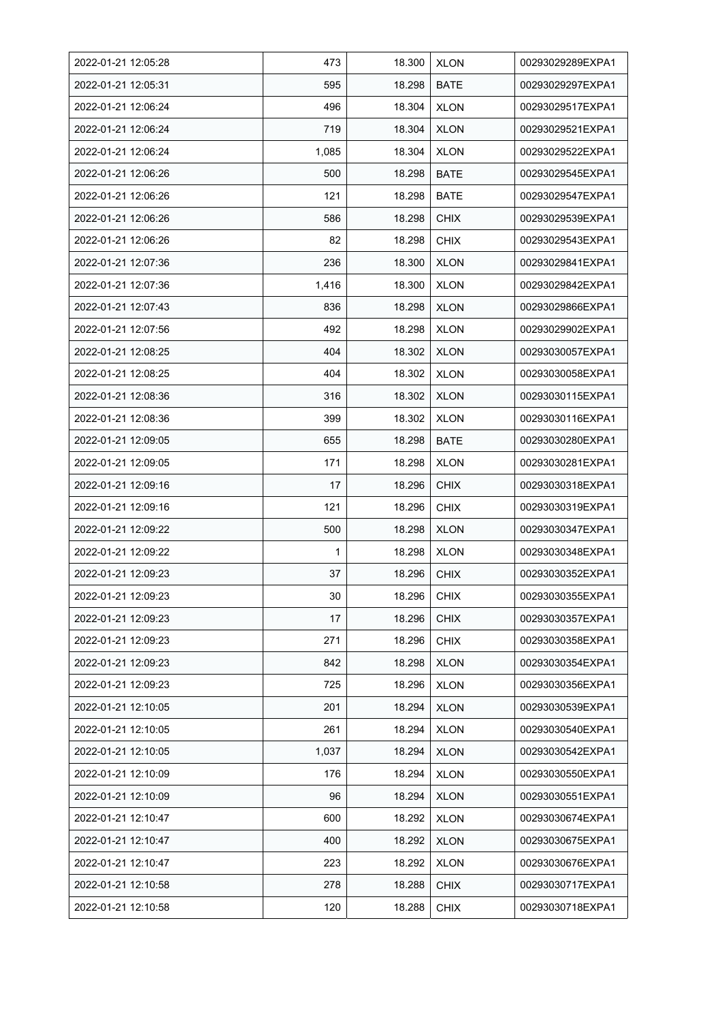| 2022-01-21 12:05:28 | 473   | 18.300 | <b>XLON</b> | 00293029289EXPA1 |
|---------------------|-------|--------|-------------|------------------|
| 2022-01-21 12:05:31 | 595   | 18.298 | <b>BATE</b> | 00293029297EXPA1 |
| 2022-01-21 12:06:24 | 496   | 18.304 | <b>XLON</b> | 00293029517EXPA1 |
| 2022-01-21 12:06:24 | 719   | 18.304 | <b>XLON</b> | 00293029521EXPA1 |
| 2022-01-21 12:06:24 | 1,085 | 18.304 | <b>XLON</b> | 00293029522EXPA1 |
| 2022-01-21 12:06:26 | 500   | 18.298 | <b>BATE</b> | 00293029545EXPA1 |
| 2022-01-21 12:06:26 | 121   | 18.298 | <b>BATE</b> | 00293029547EXPA1 |
| 2022-01-21 12:06:26 | 586   | 18.298 | <b>CHIX</b> | 00293029539EXPA1 |
| 2022-01-21 12:06:26 | 82    | 18.298 | <b>CHIX</b> | 00293029543EXPA1 |
| 2022-01-21 12:07:36 | 236   | 18.300 | <b>XLON</b> | 00293029841EXPA1 |
| 2022-01-21 12:07:36 | 1,416 | 18.300 | <b>XLON</b> | 00293029842EXPA1 |
| 2022-01-21 12:07:43 | 836   | 18.298 | <b>XLON</b> | 00293029866EXPA1 |
| 2022-01-21 12:07:56 | 492   | 18.298 | <b>XLON</b> | 00293029902EXPA1 |
| 2022-01-21 12:08:25 | 404   | 18.302 | <b>XLON</b> | 00293030057EXPA1 |
| 2022-01-21 12:08:25 | 404   | 18.302 | <b>XLON</b> | 00293030058EXPA1 |
| 2022-01-21 12:08:36 | 316   | 18.302 | <b>XLON</b> | 00293030115EXPA1 |
| 2022-01-21 12:08:36 | 399   | 18.302 | <b>XLON</b> | 00293030116EXPA1 |
| 2022-01-21 12:09:05 | 655   | 18.298 | BATE        | 00293030280EXPA1 |
| 2022-01-21 12:09:05 | 171   | 18.298 | <b>XLON</b> | 00293030281EXPA1 |
| 2022-01-21 12:09:16 | 17    | 18.296 | <b>CHIX</b> | 00293030318EXPA1 |
| 2022-01-21 12:09:16 | 121   | 18.296 | <b>CHIX</b> | 00293030319EXPA1 |
| 2022-01-21 12:09:22 | 500   | 18.298 | <b>XLON</b> | 00293030347EXPA1 |
| 2022-01-21 12:09:22 | 1     | 18.298 | <b>XLON</b> | 00293030348EXPA1 |
| 2022-01-21 12:09:23 | 37    | 18.296 | <b>CHIX</b> | 00293030352EXPA1 |
| 2022-01-21 12:09:23 | 30    | 18.296 | <b>CHIX</b> | 00293030355EXPA1 |
| 2022-01-21 12:09:23 | 17    | 18.296 | <b>CHIX</b> | 00293030357EXPA1 |
| 2022-01-21 12:09:23 | 271   | 18.296 | <b>CHIX</b> | 00293030358EXPA1 |
| 2022-01-21 12:09:23 | 842   | 18.298 | <b>XLON</b> | 00293030354EXPA1 |
| 2022-01-21 12:09:23 | 725   | 18.296 | <b>XLON</b> | 00293030356EXPA1 |
| 2022-01-21 12:10:05 | 201   | 18.294 | <b>XLON</b> | 00293030539EXPA1 |
| 2022-01-21 12:10:05 | 261   | 18.294 | <b>XLON</b> | 00293030540EXPA1 |
| 2022-01-21 12:10:05 | 1,037 | 18.294 | <b>XLON</b> | 00293030542EXPA1 |
| 2022-01-21 12:10:09 | 176   | 18.294 | <b>XLON</b> | 00293030550EXPA1 |
| 2022-01-21 12:10:09 | 96    | 18.294 | <b>XLON</b> | 00293030551EXPA1 |
| 2022-01-21 12:10:47 | 600   | 18.292 | <b>XLON</b> | 00293030674EXPA1 |
| 2022-01-21 12:10:47 | 400   | 18.292 | <b>XLON</b> | 00293030675EXPA1 |
| 2022-01-21 12:10:47 | 223   | 18.292 | <b>XLON</b> | 00293030676EXPA1 |
| 2022-01-21 12:10:58 | 278   | 18.288 | <b>CHIX</b> | 00293030717EXPA1 |
| 2022-01-21 12:10:58 | 120   | 18.288 | <b>CHIX</b> | 00293030718EXPA1 |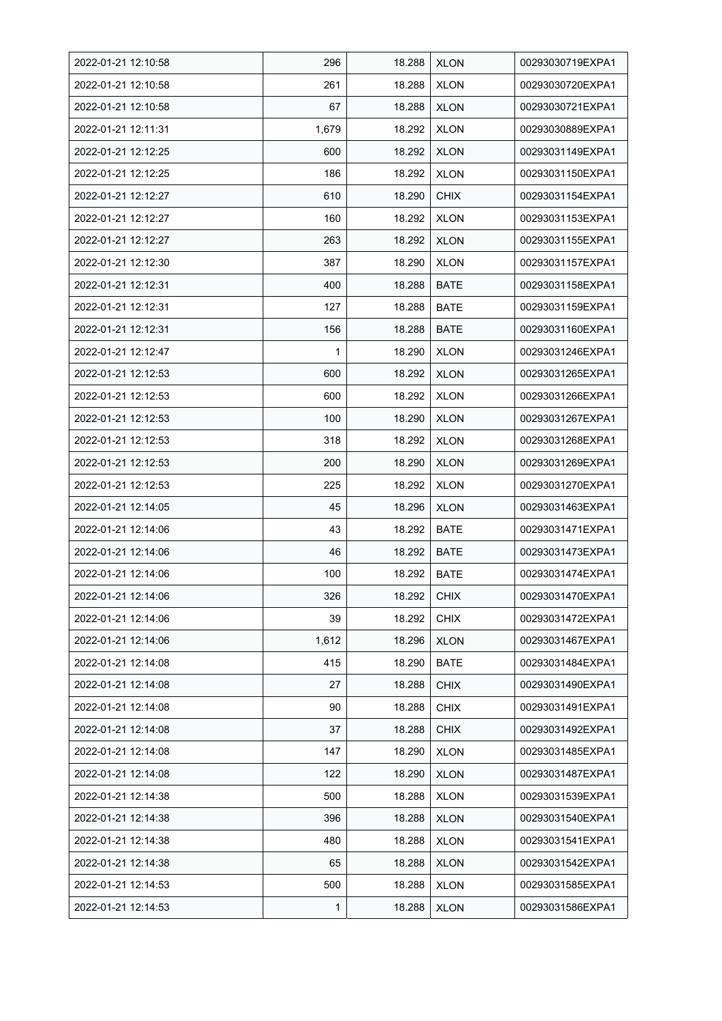| 2022-01-21 12:10:58 | 296   | 18.288 | <b>XLON</b> | 00293030719EXPA1 |
|---------------------|-------|--------|-------------|------------------|
| 2022-01-21 12:10:58 | 261   | 18.288 | <b>XLON</b> | 00293030720EXPA1 |
| 2022-01-21 12:10:58 | 67    | 18.288 | <b>XLON</b> | 00293030721EXPA1 |
| 2022-01-21 12:11:31 | 1,679 | 18.292 | <b>XLON</b> | 00293030889EXPA1 |
| 2022-01-21 12:12:25 | 600   | 18.292 | <b>XLON</b> | 00293031149EXPA1 |
| 2022-01-21 12:12:25 | 186   | 18.292 | <b>XLON</b> | 00293031150EXPA1 |
| 2022-01-21 12:12:27 | 610   | 18.290 | <b>CHIX</b> | 00293031154EXPA1 |
| 2022-01-21 12:12:27 | 160   | 18.292 | <b>XLON</b> | 00293031153EXPA1 |
| 2022-01-21 12:12:27 | 263   | 18.292 | <b>XLON</b> | 00293031155EXPA1 |
| 2022-01-21 12:12:30 | 387   | 18.290 | <b>XLON</b> | 00293031157EXPA1 |
| 2022-01-21 12:12:31 | 400   | 18.288 | <b>BATE</b> | 00293031158EXPA1 |
| 2022-01-21 12:12:31 | 127   | 18.288 | <b>BATE</b> | 00293031159EXPA1 |
| 2022-01-21 12:12:31 | 156   | 18.288 | <b>BATE</b> | 00293031160EXPA1 |
| 2022-01-21 12:12:47 | 1     | 18.290 | <b>XLON</b> | 00293031246EXPA1 |
| 2022-01-21 12:12:53 | 600   | 18.292 | <b>XLON</b> | 00293031265EXPA1 |
| 2022-01-21 12:12:53 | 600   | 18.292 | <b>XLON</b> | 00293031266EXPA1 |
| 2022-01-21 12:12:53 | 100   | 18.290 | <b>XLON</b> | 00293031267EXPA1 |
| 2022-01-21 12:12:53 | 318   | 18.292 | <b>XLON</b> | 00293031268EXPA1 |
| 2022-01-21 12:12:53 | 200   | 18.290 | <b>XLON</b> | 00293031269EXPA1 |
| 2022-01-21 12:12:53 | 225   | 18.292 | <b>XLON</b> | 00293031270EXPA1 |
| 2022-01-21 12:14:05 | 45    | 18.296 | <b>XLON</b> | 00293031463EXPA1 |
| 2022-01-21 12:14:06 | 43    | 18.292 | <b>BATE</b> | 00293031471EXPA1 |
| 2022-01-21 12:14:06 | 46    | 18.292 | <b>BATE</b> | 00293031473EXPA1 |
| 2022-01-21 12:14:06 | 100   | 18.292 | <b>BATE</b> | 00293031474EXPA1 |
| 2022-01-21 12:14:06 | 326   | 18.292 | <b>CHIX</b> | 00293031470EXPA1 |
| 2022-01-21 12:14:06 | 39    | 18.292 | <b>CHIX</b> | 00293031472EXPA1 |
| 2022-01-21 12:14:06 | 1,612 | 18.296 | <b>XLON</b> | 00293031467EXPA1 |
| 2022-01-21 12:14:08 | 415   | 18.290 | BATE        | 00293031484EXPA1 |
| 2022-01-21 12:14:08 | 27    | 18.288 | <b>CHIX</b> | 00293031490EXPA1 |
| 2022-01-21 12:14:08 | 90    | 18.288 | <b>CHIX</b> | 00293031491EXPA1 |
| 2022-01-21 12:14:08 | 37    | 18.288 | <b>CHIX</b> | 00293031492EXPA1 |
| 2022-01-21 12:14:08 | 147   | 18.290 | <b>XLON</b> | 00293031485EXPA1 |
| 2022-01-21 12:14:08 | 122   | 18.290 | <b>XLON</b> | 00293031487EXPA1 |
| 2022-01-21 12:14:38 | 500   | 18.288 | <b>XLON</b> | 00293031539EXPA1 |
| 2022-01-21 12:14:38 | 396   | 18.288 | <b>XLON</b> | 00293031540EXPA1 |
| 2022-01-21 12:14:38 | 480   | 18.288 | <b>XLON</b> | 00293031541EXPA1 |
| 2022-01-21 12:14:38 | 65    | 18.288 | <b>XLON</b> | 00293031542EXPA1 |
| 2022-01-21 12:14:53 | 500   | 18.288 | <b>XLON</b> | 00293031585EXPA1 |
| 2022-01-21 12:14:53 | 1     | 18.288 | <b>XLON</b> | 00293031586EXPA1 |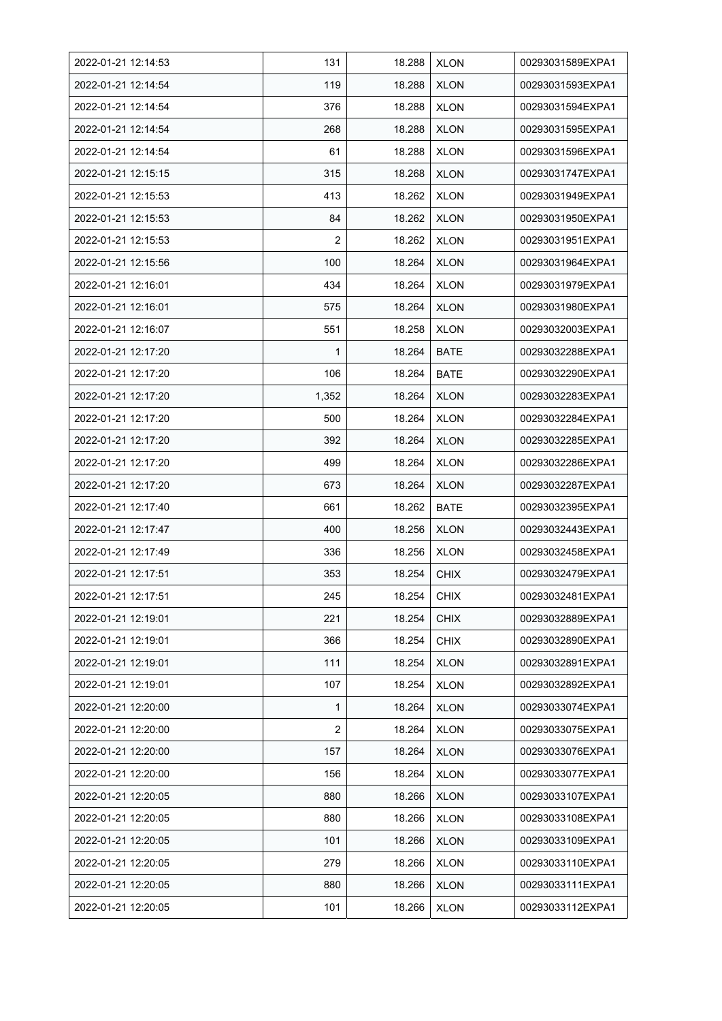| 2022-01-21 12:14:53 | 131            | 18.288 | <b>XLON</b> | 00293031589EXPA1 |
|---------------------|----------------|--------|-------------|------------------|
| 2022-01-21 12:14:54 | 119            | 18.288 | <b>XLON</b> | 00293031593EXPA1 |
| 2022-01-21 12:14:54 | 376            | 18.288 | <b>XLON</b> | 00293031594EXPA1 |
| 2022-01-21 12:14:54 | 268            | 18.288 | <b>XLON</b> | 00293031595EXPA1 |
| 2022-01-21 12:14:54 | 61             | 18.288 | <b>XLON</b> | 00293031596EXPA1 |
| 2022-01-21 12:15:15 | 315            | 18.268 | <b>XLON</b> | 00293031747EXPA1 |
| 2022-01-21 12:15:53 | 413            | 18.262 | <b>XLON</b> | 00293031949EXPA1 |
| 2022-01-21 12:15:53 | 84             | 18.262 | <b>XLON</b> | 00293031950EXPA1 |
| 2022-01-21 12:15:53 | $\overline{2}$ | 18.262 | <b>XLON</b> | 00293031951EXPA1 |
| 2022-01-21 12:15:56 | 100            | 18.264 | <b>XLON</b> | 00293031964EXPA1 |
| 2022-01-21 12:16:01 | 434            | 18.264 | <b>XLON</b> | 00293031979EXPA1 |
| 2022-01-21 12:16:01 | 575            | 18.264 | <b>XLON</b> | 00293031980EXPA1 |
| 2022-01-21 12:16:07 | 551            | 18.258 | <b>XLON</b> | 00293032003EXPA1 |
| 2022-01-21 12:17:20 | 1              | 18.264 | <b>BATE</b> | 00293032288EXPA1 |
| 2022-01-21 12:17:20 | 106            | 18.264 | <b>BATE</b> | 00293032290EXPA1 |
| 2022-01-21 12:17:20 | 1,352          | 18.264 | <b>XLON</b> | 00293032283EXPA1 |
| 2022-01-21 12:17:20 | 500            | 18.264 | <b>XLON</b> | 00293032284EXPA1 |
| 2022-01-21 12:17:20 | 392            | 18.264 | <b>XLON</b> | 00293032285EXPA1 |
| 2022-01-21 12:17:20 | 499            | 18.264 | <b>XLON</b> | 00293032286EXPA1 |
| 2022-01-21 12:17:20 | 673            | 18.264 | <b>XLON</b> | 00293032287EXPA1 |
| 2022-01-21 12:17:40 | 661            | 18.262 | <b>BATE</b> | 00293032395EXPA1 |
| 2022-01-21 12:17:47 | 400            | 18.256 | <b>XLON</b> | 00293032443EXPA1 |
| 2022-01-21 12:17:49 | 336            | 18.256 | <b>XLON</b> | 00293032458EXPA1 |
| 2022-01-21 12:17:51 | 353            | 18.254 | <b>CHIX</b> | 00293032479EXPA1 |
| 2022-01-21 12:17:51 | 245            | 18.254 | <b>CHIX</b> | 00293032481EXPA1 |
| 2022-01-21 12:19:01 | 221            | 18.254 | <b>CHIX</b> | 00293032889EXPA1 |
| 2022-01-21 12:19:01 | 366            | 18.254 | <b>CHIX</b> | 00293032890EXPA1 |
| 2022-01-21 12:19:01 | 111            | 18.254 | <b>XLON</b> | 00293032891EXPA1 |
| 2022-01-21 12:19:01 | 107            | 18.254 | <b>XLON</b> | 00293032892EXPA1 |
| 2022-01-21 12:20:00 | 1              | 18.264 | <b>XLON</b> | 00293033074EXPA1 |
| 2022-01-21 12:20:00 | 2              | 18.264 | <b>XLON</b> | 00293033075EXPA1 |
| 2022-01-21 12:20:00 | 157            | 18.264 | <b>XLON</b> | 00293033076EXPA1 |
| 2022-01-21 12:20:00 | 156            | 18.264 | <b>XLON</b> | 00293033077EXPA1 |
| 2022-01-21 12:20:05 | 880            | 18.266 | <b>XLON</b> | 00293033107EXPA1 |
| 2022-01-21 12:20:05 | 880            | 18.266 | <b>XLON</b> | 00293033108EXPA1 |
| 2022-01-21 12:20:05 | 101            | 18.266 | <b>XLON</b> | 00293033109EXPA1 |
| 2022-01-21 12:20:05 | 279            | 18.266 | <b>XLON</b> | 00293033110EXPA1 |
| 2022-01-21 12:20:05 | 880            | 18.266 | <b>XLON</b> | 00293033111EXPA1 |
| 2022-01-21 12:20:05 | 101            | 18.266 | <b>XLON</b> | 00293033112EXPA1 |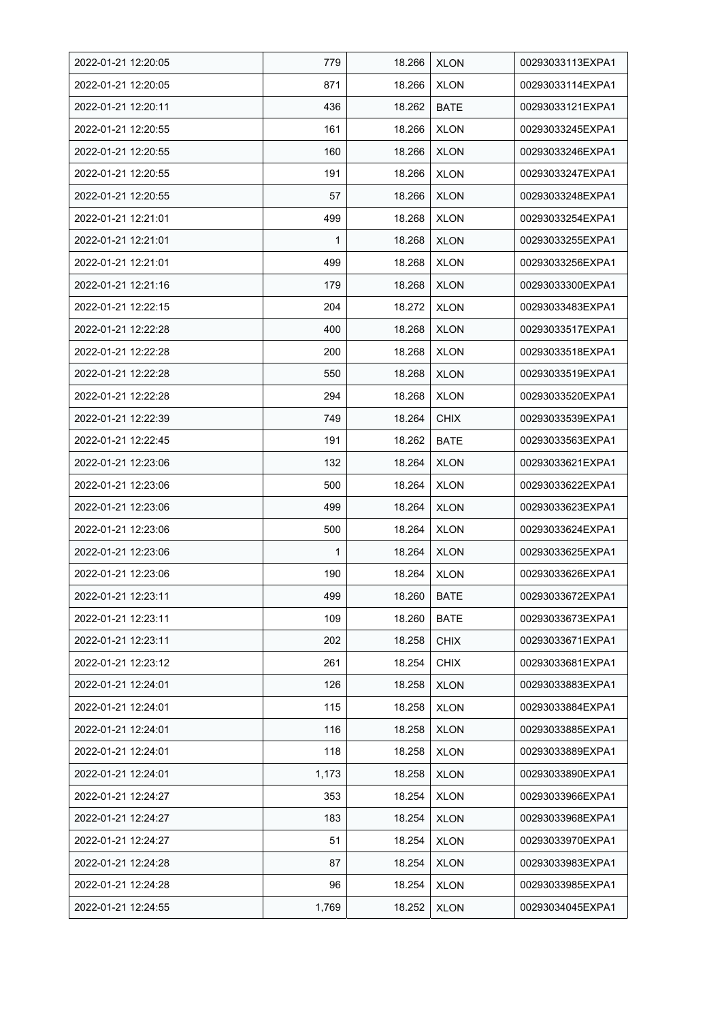| 2022-01-21 12:20:05 | 779          | 18.266 | <b>XLON</b> | 00293033113EXPA1 |
|---------------------|--------------|--------|-------------|------------------|
| 2022-01-21 12:20:05 | 871          | 18.266 | <b>XLON</b> | 00293033114EXPA1 |
| 2022-01-21 12:20:11 | 436          | 18.262 | <b>BATE</b> | 00293033121EXPA1 |
| 2022-01-21 12:20:55 | 161          | 18.266 | <b>XLON</b> | 00293033245EXPA1 |
| 2022-01-21 12:20:55 | 160          | 18.266 | <b>XLON</b> | 00293033246EXPA1 |
| 2022-01-21 12:20:55 | 191          | 18.266 | <b>XLON</b> | 00293033247EXPA1 |
| 2022-01-21 12:20:55 | 57           | 18.266 | <b>XLON</b> | 00293033248EXPA1 |
| 2022-01-21 12:21:01 | 499          | 18.268 | <b>XLON</b> | 00293033254EXPA1 |
| 2022-01-21 12:21:01 | $\mathbf{1}$ | 18.268 | <b>XLON</b> | 00293033255EXPA1 |
| 2022-01-21 12:21:01 | 499          | 18.268 | <b>XLON</b> | 00293033256EXPA1 |
| 2022-01-21 12:21:16 | 179          | 18.268 | <b>XLON</b> | 00293033300EXPA1 |
| 2022-01-21 12:22:15 | 204          | 18.272 | <b>XLON</b> | 00293033483EXPA1 |
| 2022-01-21 12:22:28 | 400          | 18.268 | <b>XLON</b> | 00293033517EXPA1 |
| 2022-01-21 12:22:28 | 200          | 18.268 | <b>XLON</b> | 00293033518EXPA1 |
| 2022-01-21 12:22:28 | 550          | 18.268 | <b>XLON</b> | 00293033519EXPA1 |
| 2022-01-21 12:22:28 | 294          | 18.268 | <b>XLON</b> | 00293033520EXPA1 |
| 2022-01-21 12:22:39 | 749          | 18.264 | <b>CHIX</b> | 00293033539EXPA1 |
| 2022-01-21 12:22:45 | 191          | 18.262 | BATE        | 00293033563EXPA1 |
| 2022-01-21 12:23:06 | 132          | 18.264 | <b>XLON</b> | 00293033621EXPA1 |
| 2022-01-21 12:23:06 | 500          | 18.264 | <b>XLON</b> | 00293033622EXPA1 |
| 2022-01-21 12:23:06 | 499          | 18.264 | <b>XLON</b> | 00293033623EXPA1 |
| 2022-01-21 12:23:06 | 500          | 18.264 | <b>XLON</b> | 00293033624EXPA1 |
| 2022-01-21 12:23:06 | 1            | 18.264 | <b>XLON</b> | 00293033625EXPA1 |
| 2022-01-21 12:23:06 | 190          | 18.264 | <b>XLON</b> | 00293033626EXPA1 |
| 2022-01-21 12:23:11 | 499          | 18.260 | <b>BATE</b> | 00293033672EXPA1 |
| 2022-01-21 12:23:11 | 109          | 18.260 | BATE        | 00293033673EXPA1 |
| 2022-01-21 12:23:11 | 202          | 18.258 | <b>CHIX</b> | 00293033671EXPA1 |
| 2022-01-21 12:23:12 | 261          | 18.254 | <b>CHIX</b> | 00293033681EXPA1 |
| 2022-01-21 12:24:01 | 126          | 18.258 | <b>XLON</b> | 00293033883EXPA1 |
| 2022-01-21 12:24:01 | 115          | 18.258 | <b>XLON</b> | 00293033884EXPA1 |
| 2022-01-21 12:24:01 | 116          | 18.258 | <b>XLON</b> | 00293033885EXPA1 |
| 2022-01-21 12:24:01 | 118          | 18.258 | <b>XLON</b> | 00293033889EXPA1 |
| 2022-01-21 12:24:01 | 1,173        | 18.258 | <b>XLON</b> | 00293033890EXPA1 |
| 2022-01-21 12:24:27 | 353          | 18.254 | <b>XLON</b> | 00293033966EXPA1 |
| 2022-01-21 12:24:27 | 183          | 18.254 | <b>XLON</b> | 00293033968EXPA1 |
| 2022-01-21 12:24:27 | 51           | 18.254 | <b>XLON</b> | 00293033970EXPA1 |
| 2022-01-21 12:24:28 | 87           | 18.254 | <b>XLON</b> | 00293033983EXPA1 |
| 2022-01-21 12:24:28 | 96           | 18.254 | <b>XLON</b> | 00293033985EXPA1 |
| 2022-01-21 12:24:55 | 1,769        | 18.252 | <b>XLON</b> | 00293034045EXPA1 |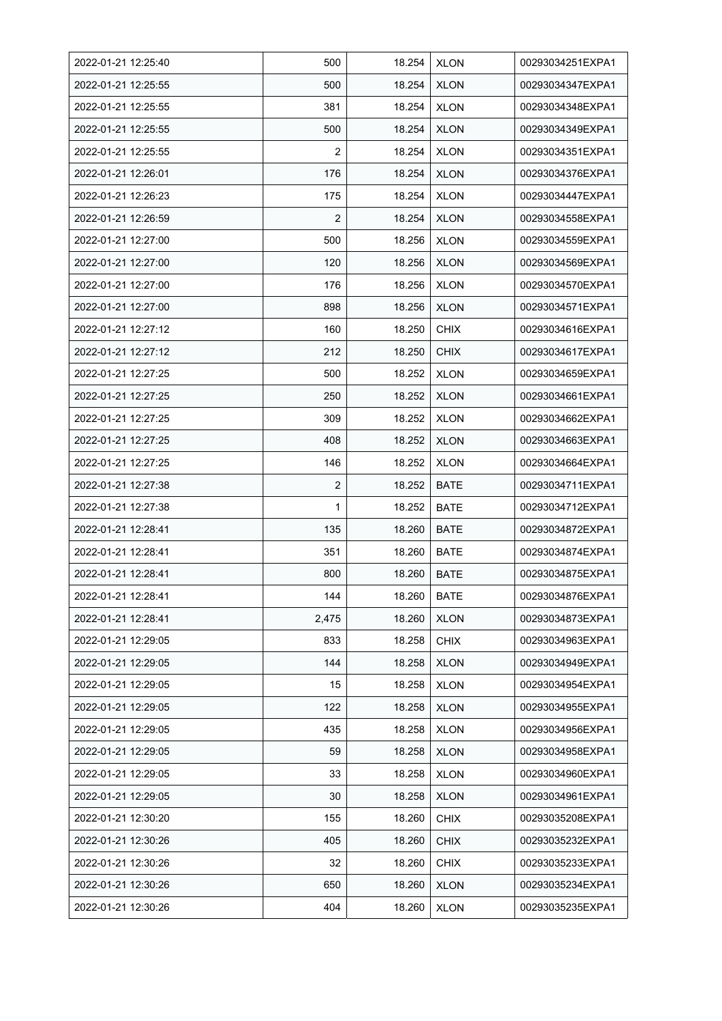| 2022-01-21 12:25:40 | 500            | 18.254 | <b>XLON</b> | 00293034251EXPA1 |
|---------------------|----------------|--------|-------------|------------------|
| 2022-01-21 12:25:55 | 500            | 18.254 | <b>XLON</b> | 00293034347EXPA1 |
| 2022-01-21 12:25:55 | 381            | 18.254 | <b>XLON</b> | 00293034348EXPA1 |
| 2022-01-21 12:25:55 | 500            | 18.254 | <b>XLON</b> | 00293034349EXPA1 |
| 2022-01-21 12:25:55 | $\overline{2}$ | 18.254 | <b>XLON</b> | 00293034351EXPA1 |
| 2022-01-21 12:26:01 | 176            | 18.254 | <b>XLON</b> | 00293034376EXPA1 |
| 2022-01-21 12:26:23 | 175            | 18.254 | <b>XLON</b> | 00293034447EXPA1 |
| 2022-01-21 12:26:59 | $\overline{2}$ | 18.254 | <b>XLON</b> | 00293034558EXPA1 |
| 2022-01-21 12:27:00 | 500            | 18.256 | <b>XLON</b> | 00293034559EXPA1 |
| 2022-01-21 12:27:00 | 120            | 18.256 | <b>XLON</b> | 00293034569EXPA1 |
| 2022-01-21 12:27:00 | 176            | 18.256 | <b>XLON</b> | 00293034570EXPA1 |
| 2022-01-21 12:27:00 | 898            | 18.256 | <b>XLON</b> | 00293034571EXPA1 |
| 2022-01-21 12:27:12 | 160            | 18.250 | <b>CHIX</b> | 00293034616EXPA1 |
| 2022-01-21 12:27:12 | 212            | 18.250 | <b>CHIX</b> | 00293034617EXPA1 |
| 2022-01-21 12:27:25 | 500            | 18.252 | <b>XLON</b> | 00293034659EXPA1 |
| 2022-01-21 12:27:25 | 250            | 18.252 | <b>XLON</b> | 00293034661EXPA1 |
| 2022-01-21 12:27:25 | 309            | 18.252 | <b>XLON</b> | 00293034662EXPA1 |
| 2022-01-21 12:27:25 | 408            | 18.252 | <b>XLON</b> | 00293034663EXPA1 |
| 2022-01-21 12:27:25 | 146            | 18.252 | <b>XLON</b> | 00293034664EXPA1 |
| 2022-01-21 12:27:38 | $\overline{2}$ | 18.252 | <b>BATE</b> | 00293034711EXPA1 |
| 2022-01-21 12:27:38 | 1              | 18.252 | <b>BATE</b> | 00293034712EXPA1 |
| 2022-01-21 12:28:41 | 135            | 18.260 | <b>BATE</b> | 00293034872EXPA1 |
| 2022-01-21 12:28:41 | 351            | 18.260 | <b>BATE</b> | 00293034874EXPA1 |
| 2022-01-21 12:28:41 | 800            | 18.260 | <b>BATE</b> | 00293034875EXPA1 |
| 2022-01-21 12:28:41 | 144            | 18.260 | <b>BATE</b> | 00293034876EXPA1 |
| 2022-01-21 12:28:41 | 2,475          | 18.260 | <b>XLON</b> | 00293034873EXPA1 |
| 2022-01-21 12:29:05 | 833            | 18.258 | <b>CHIX</b> | 00293034963EXPA1 |
| 2022-01-21 12:29:05 | 144            | 18.258 | <b>XLON</b> | 00293034949EXPA1 |
| 2022-01-21 12:29:05 | 15             | 18.258 | <b>XLON</b> | 00293034954EXPA1 |
| 2022-01-21 12:29:05 | 122            | 18.258 | <b>XLON</b> | 00293034955EXPA1 |
| 2022-01-21 12:29:05 | 435            | 18.258 | <b>XLON</b> | 00293034956EXPA1 |
| 2022-01-21 12:29:05 | 59             | 18.258 | <b>XLON</b> | 00293034958EXPA1 |
| 2022-01-21 12:29:05 | 33             | 18.258 | <b>XLON</b> | 00293034960EXPA1 |
| 2022-01-21 12:29:05 | 30             | 18.258 | <b>XLON</b> | 00293034961EXPA1 |
| 2022-01-21 12:30:20 | 155            | 18.260 | <b>CHIX</b> | 00293035208EXPA1 |
| 2022-01-21 12:30:26 | 405            | 18.260 | <b>CHIX</b> | 00293035232EXPA1 |
| 2022-01-21 12:30:26 | 32             | 18.260 | <b>CHIX</b> | 00293035233EXPA1 |
| 2022-01-21 12:30:26 | 650            | 18.260 | <b>XLON</b> | 00293035234EXPA1 |
| 2022-01-21 12:30:26 | 404            | 18.260 | <b>XLON</b> | 00293035235EXPA1 |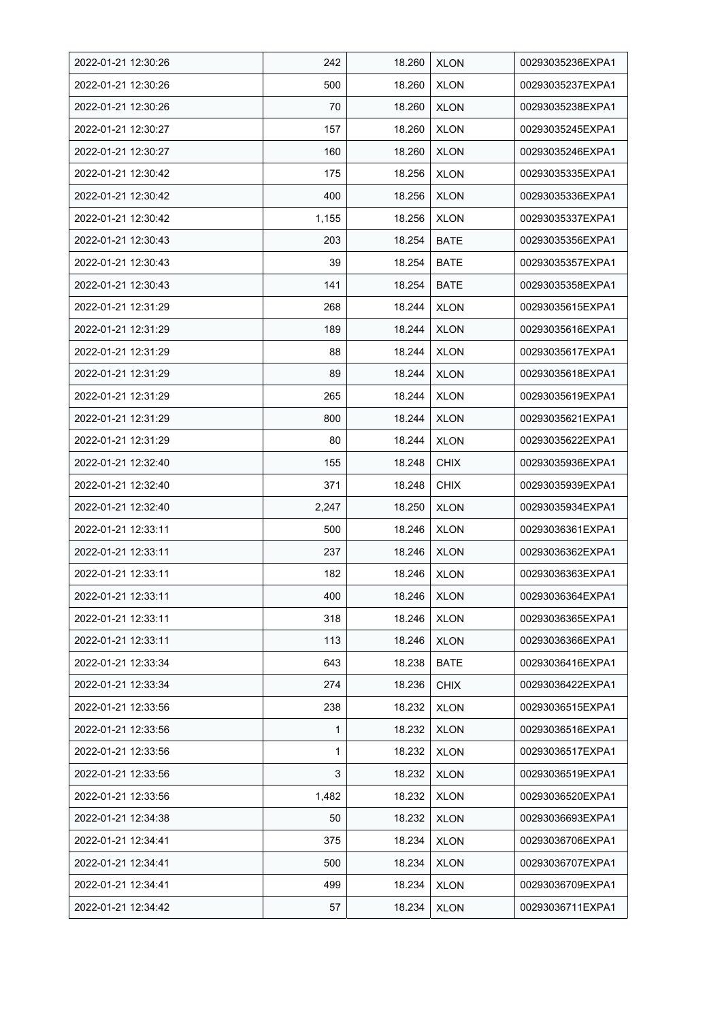| 2022-01-21 12:30:26 | 242   | 18.260 | <b>XLON</b> | 00293035236EXPA1 |
|---------------------|-------|--------|-------------|------------------|
| 2022-01-21 12:30:26 | 500   | 18.260 | <b>XLON</b> | 00293035237EXPA1 |
| 2022-01-21 12:30:26 | 70    | 18.260 | <b>XLON</b> | 00293035238EXPA1 |
| 2022-01-21 12:30:27 | 157   | 18.260 | <b>XLON</b> | 00293035245EXPA1 |
| 2022-01-21 12:30:27 | 160   | 18.260 | <b>XLON</b> | 00293035246EXPA1 |
| 2022-01-21 12:30:42 | 175   | 18.256 | <b>XLON</b> | 00293035335EXPA1 |
| 2022-01-21 12:30:42 | 400   | 18.256 | <b>XLON</b> | 00293035336EXPA1 |
| 2022-01-21 12:30:42 | 1,155 | 18.256 | <b>XLON</b> | 00293035337EXPA1 |
| 2022-01-21 12:30:43 | 203   | 18.254 | BATE        | 00293035356EXPA1 |
| 2022-01-21 12:30:43 | 39    | 18.254 | BATE        | 00293035357EXPA1 |
| 2022-01-21 12:30:43 | 141   | 18.254 | <b>BATE</b> | 00293035358EXPA1 |
| 2022-01-21 12:31:29 | 268   | 18.244 | <b>XLON</b> | 00293035615EXPA1 |
| 2022-01-21 12:31:29 | 189   | 18.244 | <b>XLON</b> | 00293035616EXPA1 |
| 2022-01-21 12:31:29 | 88    | 18.244 | <b>XLON</b> | 00293035617EXPA1 |
| 2022-01-21 12:31:29 | 89    | 18.244 | <b>XLON</b> | 00293035618EXPA1 |
| 2022-01-21 12:31:29 | 265   | 18.244 | <b>XLON</b> | 00293035619EXPA1 |
| 2022-01-21 12:31:29 | 800   | 18.244 | <b>XLON</b> | 00293035621EXPA1 |
| 2022-01-21 12:31:29 | 80    | 18.244 | <b>XLON</b> | 00293035622EXPA1 |
| 2022-01-21 12:32:40 | 155   | 18.248 | <b>CHIX</b> | 00293035936EXPA1 |
| 2022-01-21 12:32:40 | 371   | 18.248 | <b>CHIX</b> | 00293035939EXPA1 |
| 2022-01-21 12:32:40 | 2,247 | 18.250 | <b>XLON</b> | 00293035934EXPA1 |
| 2022-01-21 12:33:11 | 500   | 18.246 | <b>XLON</b> | 00293036361EXPA1 |
| 2022-01-21 12:33:11 | 237   | 18.246 | <b>XLON</b> | 00293036362EXPA1 |
| 2022-01-21 12:33:11 | 182   | 18.246 | <b>XLON</b> | 00293036363EXPA1 |
| 2022-01-21 12:33:11 | 400   | 18.246 | <b>XLON</b> | 00293036364EXPA1 |
| 2022-01-21 12:33:11 | 318   | 18.246 | <b>XLON</b> | 00293036365EXPA1 |
| 2022-01-21 12:33:11 | 113   | 18.246 | <b>XLON</b> | 00293036366EXPA1 |
| 2022-01-21 12:33:34 | 643   | 18.238 | BATE        | 00293036416EXPA1 |
| 2022-01-21 12:33:34 | 274   | 18.236 | <b>CHIX</b> | 00293036422EXPA1 |
| 2022-01-21 12:33:56 | 238   | 18.232 | <b>XLON</b> | 00293036515EXPA1 |
| 2022-01-21 12:33:56 | 1     | 18.232 | <b>XLON</b> | 00293036516EXPA1 |
| 2022-01-21 12:33:56 | 1     | 18.232 | <b>XLON</b> | 00293036517EXPA1 |
| 2022-01-21 12:33:56 | 3     | 18.232 | <b>XLON</b> | 00293036519EXPA1 |
| 2022-01-21 12:33:56 | 1,482 | 18.232 | <b>XLON</b> | 00293036520EXPA1 |
| 2022-01-21 12:34:38 | 50    | 18.232 | <b>XLON</b> | 00293036693EXPA1 |
| 2022-01-21 12:34:41 | 375   | 18.234 | <b>XLON</b> | 00293036706EXPA1 |
| 2022-01-21 12:34:41 | 500   | 18.234 | <b>XLON</b> | 00293036707EXPA1 |
| 2022-01-21 12:34:41 | 499   | 18.234 | <b>XLON</b> | 00293036709EXPA1 |
| 2022-01-21 12:34:42 | 57    | 18.234 | <b>XLON</b> | 00293036711EXPA1 |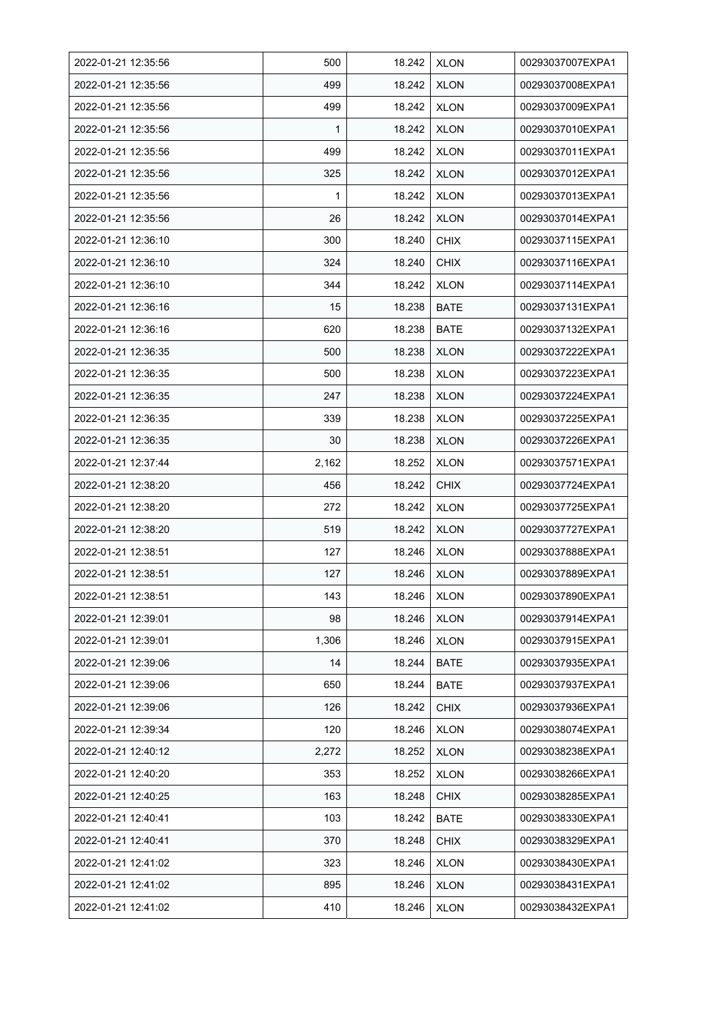| 2022-01-21 12:35:56 | 500          | 18.242 | <b>XLON</b> | 00293037007EXPA1 |
|---------------------|--------------|--------|-------------|------------------|
| 2022-01-21 12:35:56 | 499          | 18.242 | <b>XLON</b> | 00293037008EXPA1 |
| 2022-01-21 12:35:56 | 499          | 18.242 | <b>XLON</b> | 00293037009EXPA1 |
| 2022-01-21 12:35:56 | 1            | 18.242 | <b>XLON</b> | 00293037010EXPA1 |
| 2022-01-21 12:35:56 | 499          | 18.242 | <b>XLON</b> | 00293037011EXPA1 |
| 2022-01-21 12:35:56 | 325          | 18.242 | <b>XLON</b> | 00293037012EXPA1 |
| 2022-01-21 12:35:56 | $\mathbf{1}$ | 18.242 | <b>XLON</b> | 00293037013EXPA1 |
| 2022-01-21 12:35:56 | 26           | 18.242 | <b>XLON</b> | 00293037014EXPA1 |
| 2022-01-21 12:36:10 | 300          | 18.240 | <b>CHIX</b> | 00293037115EXPA1 |
| 2022-01-21 12:36:10 | 324          | 18.240 | <b>CHIX</b> | 00293037116EXPA1 |
| 2022-01-21 12:36:10 | 344          | 18.242 | <b>XLON</b> | 00293037114EXPA1 |
| 2022-01-21 12:36:16 | 15           | 18.238 | <b>BATE</b> | 00293037131EXPA1 |
| 2022-01-21 12:36:16 | 620          | 18.238 | <b>BATE</b> | 00293037132EXPA1 |
| 2022-01-21 12:36:35 | 500          | 18.238 | <b>XLON</b> | 00293037222EXPA1 |
| 2022-01-21 12:36:35 | 500          | 18.238 | <b>XLON</b> | 00293037223EXPA1 |
| 2022-01-21 12:36:35 | 247          | 18.238 | <b>XLON</b> | 00293037224EXPA1 |
| 2022-01-21 12:36:35 | 339          | 18.238 | <b>XLON</b> | 00293037225EXPA1 |
| 2022-01-21 12:36:35 | 30           | 18.238 | <b>XLON</b> | 00293037226EXPA1 |
| 2022-01-21 12:37:44 | 2,162        | 18.252 | <b>XLON</b> | 00293037571EXPA1 |
| 2022-01-21 12:38:20 | 456          | 18.242 | <b>CHIX</b> | 00293037724EXPA1 |
| 2022-01-21 12:38:20 | 272          | 18.242 | <b>XLON</b> | 00293037725EXPA1 |
| 2022-01-21 12:38:20 | 519          | 18.242 | <b>XLON</b> | 00293037727EXPA1 |
| 2022-01-21 12:38:51 | 127          | 18.246 | <b>XLON</b> | 00293037888EXPA1 |
| 2022-01-21 12:38:51 | 127          | 18.246 | <b>XLON</b> | 00293037889EXPA1 |
| 2022-01-21 12:38:51 | 143          | 18.246 | <b>XLON</b> | 00293037890EXPA1 |
| 2022-01-21 12:39:01 | 98           | 18.246 | <b>XLON</b> | 00293037914EXPA1 |
| 2022-01-21 12:39:01 | 1,306        | 18.246 | <b>XLON</b> | 00293037915EXPA1 |
| 2022-01-21 12:39:06 | 14           | 18.244 | BATE        | 00293037935EXPA1 |
| 2022-01-21 12:39:06 | 650          | 18.244 | <b>BATE</b> | 00293037937EXPA1 |
| 2022-01-21 12:39:06 | 126          | 18.242 | <b>CHIX</b> | 00293037936EXPA1 |
| 2022-01-21 12:39:34 | 120          | 18.246 | <b>XLON</b> | 00293038074EXPA1 |
| 2022-01-21 12:40:12 | 2,272        | 18.252 | <b>XLON</b> | 00293038238EXPA1 |
| 2022-01-21 12:40:20 | 353          | 18.252 | <b>XLON</b> | 00293038266EXPA1 |
| 2022-01-21 12:40:25 | 163          | 18.248 | <b>CHIX</b> | 00293038285EXPA1 |
| 2022-01-21 12:40:41 | 103          | 18.242 | BATE        | 00293038330EXPA1 |
| 2022-01-21 12:40:41 | 370          | 18.248 | <b>CHIX</b> | 00293038329EXPA1 |
| 2022-01-21 12:41:02 | 323          | 18.246 | <b>XLON</b> | 00293038430EXPA1 |
| 2022-01-21 12:41:02 | 895          | 18.246 | <b>XLON</b> | 00293038431EXPA1 |
| 2022-01-21 12:41:02 | 410          | 18.246 | <b>XLON</b> | 00293038432EXPA1 |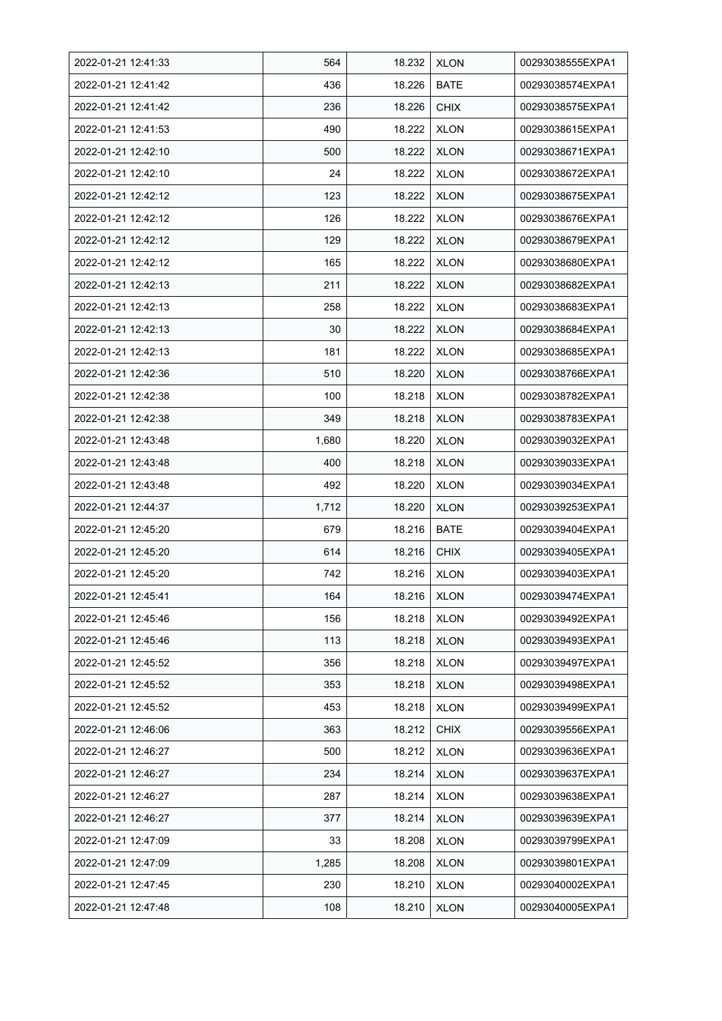| 2022-01-21 12:41:33 | 564   | 18.232 | <b>XLON</b> | 00293038555EXPA1 |
|---------------------|-------|--------|-------------|------------------|
| 2022-01-21 12:41:42 | 436   | 18.226 | <b>BATE</b> | 00293038574EXPA1 |
| 2022-01-21 12:41:42 | 236   | 18.226 | <b>CHIX</b> | 00293038575EXPA1 |
| 2022-01-21 12:41:53 | 490   | 18.222 | <b>XLON</b> | 00293038615EXPA1 |
| 2022-01-21 12:42:10 | 500   | 18.222 | <b>XLON</b> | 00293038671EXPA1 |
| 2022-01-21 12:42:10 | 24    | 18.222 | <b>XLON</b> | 00293038672EXPA1 |
| 2022-01-21 12:42:12 | 123   | 18.222 | <b>XLON</b> | 00293038675EXPA1 |
| 2022-01-21 12:42:12 | 126   | 18.222 | <b>XLON</b> | 00293038676EXPA1 |
| 2022-01-21 12:42:12 | 129   | 18.222 | <b>XLON</b> | 00293038679EXPA1 |
| 2022-01-21 12:42:12 | 165   | 18.222 | <b>XLON</b> | 00293038680EXPA1 |
| 2022-01-21 12:42:13 | 211   | 18.222 | <b>XLON</b> | 00293038682EXPA1 |
| 2022-01-21 12:42:13 | 258   | 18.222 | <b>XLON</b> | 00293038683EXPA1 |
| 2022-01-21 12:42:13 | 30    | 18.222 | <b>XLON</b> | 00293038684EXPA1 |
| 2022-01-21 12:42:13 | 181   | 18.222 | <b>XLON</b> | 00293038685EXPA1 |
| 2022-01-21 12:42:36 | 510   | 18.220 | <b>XLON</b> | 00293038766EXPA1 |
| 2022-01-21 12:42:38 | 100   | 18.218 | <b>XLON</b> | 00293038782EXPA1 |
| 2022-01-21 12:42:38 | 349   | 18.218 | <b>XLON</b> | 00293038783EXPA1 |
| 2022-01-21 12:43:48 | 1,680 | 18.220 | <b>XLON</b> | 00293039032EXPA1 |
| 2022-01-21 12:43:48 | 400   | 18.218 | <b>XLON</b> | 00293039033EXPA1 |
| 2022-01-21 12:43:48 | 492   | 18.220 | <b>XLON</b> | 00293039034EXPA1 |
| 2022-01-21 12:44:37 | 1,712 | 18.220 | <b>XLON</b> | 00293039253EXPA1 |
| 2022-01-21 12:45:20 | 679   | 18.216 | <b>BATE</b> | 00293039404EXPA1 |
| 2022-01-21 12:45:20 | 614   | 18.216 | <b>CHIX</b> | 00293039405EXPA1 |
| 2022-01-21 12:45:20 | 742   | 18.216 | <b>XLON</b> | 00293039403EXPA1 |
| 2022-01-21 12:45:41 | 164   | 18.216 | <b>XLON</b> | 00293039474EXPA1 |
| 2022-01-21 12:45:46 | 156   | 18.218 | <b>XLON</b> | 00293039492EXPA1 |
| 2022-01-21 12:45:46 | 113   | 18.218 | <b>XLON</b> | 00293039493EXPA1 |
| 2022-01-21 12:45:52 | 356   | 18.218 | <b>XLON</b> | 00293039497EXPA1 |
| 2022-01-21 12:45:52 | 353   | 18.218 | <b>XLON</b> | 00293039498EXPA1 |
| 2022-01-21 12:45:52 | 453   | 18.218 | <b>XLON</b> | 00293039499EXPA1 |
| 2022-01-21 12:46:06 | 363   | 18.212 | <b>CHIX</b> | 00293039556EXPA1 |
| 2022-01-21 12:46:27 | 500   | 18.212 | <b>XLON</b> | 00293039636EXPA1 |
| 2022-01-21 12:46:27 | 234   | 18.214 | <b>XLON</b> | 00293039637EXPA1 |
| 2022-01-21 12:46:27 | 287   | 18.214 | <b>XLON</b> | 00293039638EXPA1 |
| 2022-01-21 12:46:27 | 377   | 18.214 | <b>XLON</b> | 00293039639EXPA1 |
| 2022-01-21 12:47:09 | 33    | 18.208 | <b>XLON</b> | 00293039799EXPA1 |
| 2022-01-21 12:47:09 | 1,285 | 18.208 | <b>XLON</b> | 00293039801EXPA1 |
| 2022-01-21 12:47:45 | 230   | 18.210 | <b>XLON</b> | 00293040002EXPA1 |
| 2022-01-21 12:47:48 | 108   | 18.210 | <b>XLON</b> | 00293040005EXPA1 |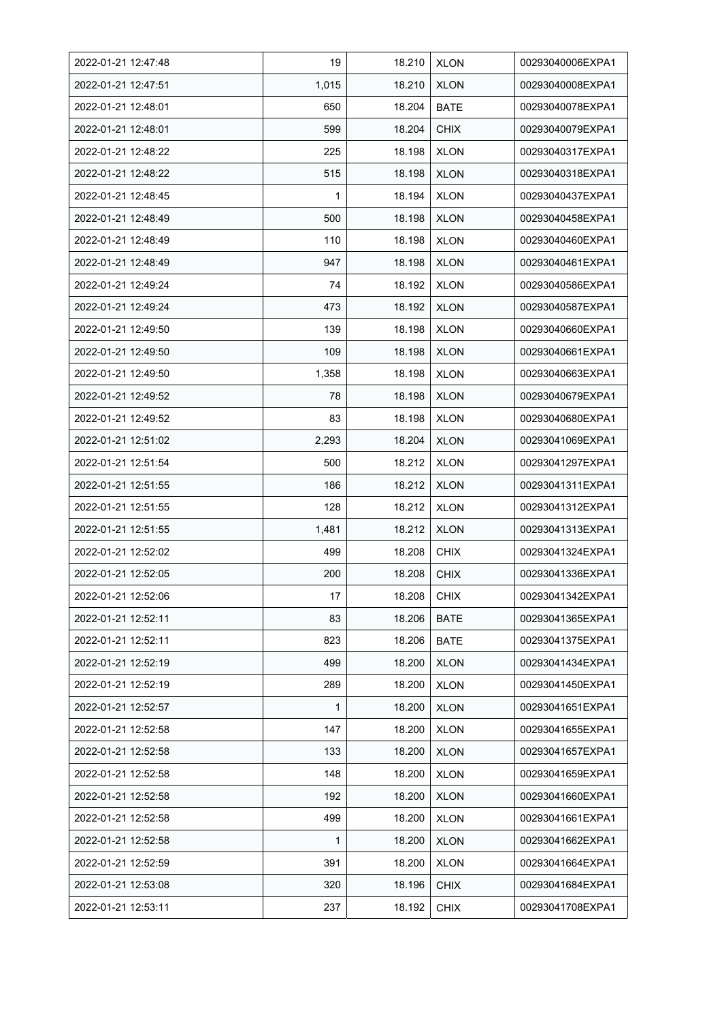| 2022-01-21 12:47:48 | 19           | 18.210 | <b>XLON</b> | 00293040006EXPA1 |
|---------------------|--------------|--------|-------------|------------------|
| 2022-01-21 12:47:51 | 1,015        | 18.210 | <b>XLON</b> | 00293040008EXPA1 |
| 2022-01-21 12:48:01 | 650          | 18.204 | <b>BATE</b> | 00293040078EXPA1 |
| 2022-01-21 12:48:01 | 599          | 18.204 | <b>CHIX</b> | 00293040079EXPA1 |
| 2022-01-21 12:48:22 | 225          | 18.198 | <b>XLON</b> | 00293040317EXPA1 |
| 2022-01-21 12:48:22 | 515          | 18.198 | <b>XLON</b> | 00293040318EXPA1 |
| 2022-01-21 12:48:45 | $\mathbf{1}$ | 18.194 | <b>XLON</b> | 00293040437EXPA1 |
| 2022-01-21 12:48:49 | 500          | 18.198 | <b>XLON</b> | 00293040458EXPA1 |
| 2022-01-21 12:48:49 | 110          | 18.198 | <b>XLON</b> | 00293040460EXPA1 |
| 2022-01-21 12:48:49 | 947          | 18.198 | <b>XLON</b> | 00293040461EXPA1 |
| 2022-01-21 12:49:24 | 74           | 18.192 | <b>XLON</b> | 00293040586EXPA1 |
| 2022-01-21 12:49:24 | 473          | 18.192 | <b>XLON</b> | 00293040587EXPA1 |
| 2022-01-21 12:49:50 | 139          | 18.198 | <b>XLON</b> | 00293040660EXPA1 |
| 2022-01-21 12:49:50 | 109          | 18.198 | <b>XLON</b> | 00293040661EXPA1 |
| 2022-01-21 12:49:50 | 1,358        | 18.198 | <b>XLON</b> | 00293040663EXPA1 |
| 2022-01-21 12:49:52 | 78           | 18.198 | <b>XLON</b> | 00293040679EXPA1 |
| 2022-01-21 12:49:52 | 83           | 18.198 | <b>XLON</b> | 00293040680EXPA1 |
| 2022-01-21 12:51:02 | 2,293        | 18.204 | <b>XLON</b> | 00293041069EXPA1 |
| 2022-01-21 12:51:54 | 500          | 18.212 | <b>XLON</b> | 00293041297EXPA1 |
| 2022-01-21 12:51:55 | 186          | 18.212 | <b>XLON</b> | 00293041311EXPA1 |
| 2022-01-21 12:51:55 | 128          | 18.212 | <b>XLON</b> | 00293041312EXPA1 |
| 2022-01-21 12:51:55 | 1,481        | 18.212 | <b>XLON</b> | 00293041313EXPA1 |
| 2022-01-21 12:52:02 | 499          | 18.208 | <b>CHIX</b> | 00293041324EXPA1 |
| 2022-01-21 12:52:05 | 200          | 18.208 | <b>CHIX</b> | 00293041336EXPA1 |
| 2022-01-21 12:52:06 | 17           | 18.208 | <b>CHIX</b> | 00293041342EXPA1 |
| 2022-01-21 12:52:11 | 83           | 18.206 | BATE        | 00293041365EXPA1 |
| 2022-01-21 12:52:11 | 823          | 18.206 | BATE        | 00293041375EXPA1 |
| 2022-01-21 12:52:19 | 499          | 18.200 | <b>XLON</b> | 00293041434EXPA1 |
| 2022-01-21 12:52:19 | 289          | 18.200 | <b>XLON</b> | 00293041450EXPA1 |
| 2022-01-21 12:52:57 | 1            | 18.200 | <b>XLON</b> | 00293041651EXPA1 |
| 2022-01-21 12:52:58 | 147          | 18.200 | <b>XLON</b> | 00293041655EXPA1 |
| 2022-01-21 12:52:58 | 133          | 18.200 | <b>XLON</b> | 00293041657EXPA1 |
| 2022-01-21 12:52:58 | 148          | 18.200 | <b>XLON</b> | 00293041659EXPA1 |
| 2022-01-21 12:52:58 | 192          | 18.200 | <b>XLON</b> | 00293041660EXPA1 |
| 2022-01-21 12:52:58 | 499          | 18.200 | <b>XLON</b> | 00293041661EXPA1 |
| 2022-01-21 12:52:58 | 1            | 18.200 | <b>XLON</b> | 00293041662EXPA1 |
| 2022-01-21 12:52:59 | 391          | 18.200 | <b>XLON</b> | 00293041664EXPA1 |
| 2022-01-21 12:53:08 | 320          | 18.196 | <b>CHIX</b> | 00293041684EXPA1 |
| 2022-01-21 12:53:11 | 237          | 18.192 | <b>CHIX</b> | 00293041708EXPA1 |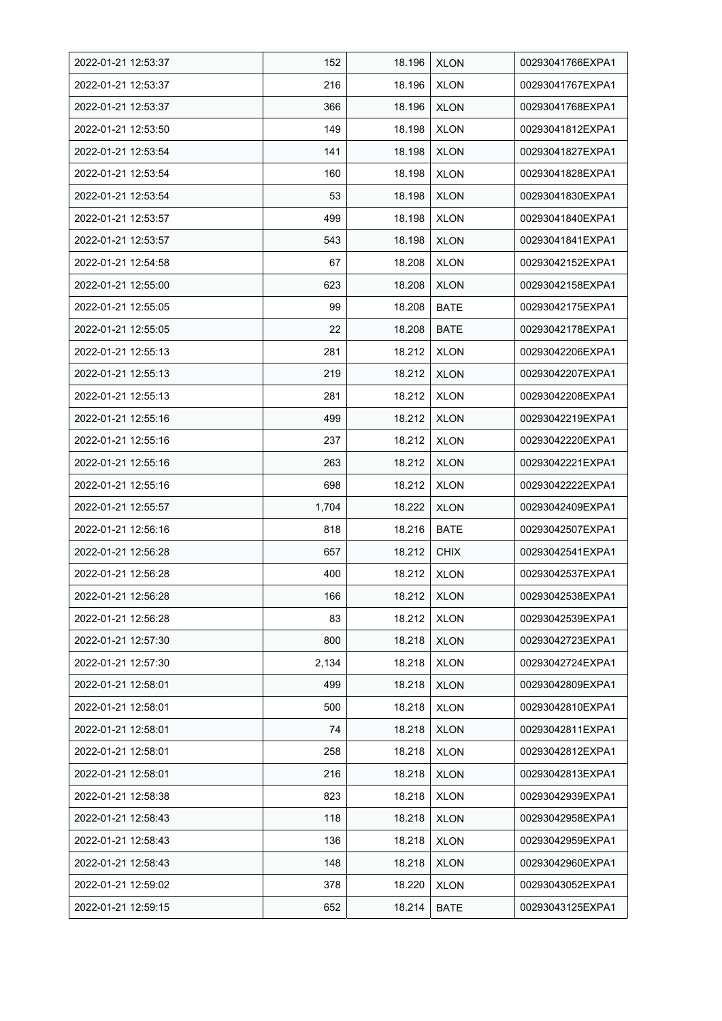| 2022-01-21 12:53:37 | 152   | 18.196 | <b>XLON</b> | 00293041766EXPA1 |
|---------------------|-------|--------|-------------|------------------|
| 2022-01-21 12:53:37 | 216   | 18.196 | <b>XLON</b> | 00293041767EXPA1 |
| 2022-01-21 12:53:37 | 366   | 18.196 | <b>XLON</b> | 00293041768EXPA1 |
| 2022-01-21 12:53:50 | 149   | 18.198 | <b>XLON</b> | 00293041812EXPA1 |
| 2022-01-21 12:53:54 | 141   | 18.198 | <b>XLON</b> | 00293041827EXPA1 |
| 2022-01-21 12:53:54 | 160   | 18.198 | <b>XLON</b> | 00293041828EXPA1 |
| 2022-01-21 12:53:54 | 53    | 18.198 | <b>XLON</b> | 00293041830EXPA1 |
| 2022-01-21 12:53:57 | 499   | 18.198 | <b>XLON</b> | 00293041840EXPA1 |
| 2022-01-21 12:53:57 | 543   | 18.198 | <b>XLON</b> | 00293041841EXPA1 |
| 2022-01-21 12:54:58 | 67    | 18.208 | <b>XLON</b> | 00293042152EXPA1 |
| 2022-01-21 12:55:00 | 623   | 18.208 | <b>XLON</b> | 00293042158EXPA1 |
| 2022-01-21 12:55:05 | 99    | 18.208 | <b>BATE</b> | 00293042175EXPA1 |
| 2022-01-21 12:55:05 | 22    | 18.208 | <b>BATE</b> | 00293042178EXPA1 |
| 2022-01-21 12:55:13 | 281   | 18.212 | <b>XLON</b> | 00293042206EXPA1 |
| 2022-01-21 12:55:13 | 219   | 18.212 | <b>XLON</b> | 00293042207EXPA1 |
| 2022-01-21 12:55:13 | 281   | 18.212 | <b>XLON</b> | 00293042208EXPA1 |
| 2022-01-21 12:55:16 | 499   | 18.212 | <b>XLON</b> | 00293042219EXPA1 |
| 2022-01-21 12:55:16 | 237   | 18.212 | <b>XLON</b> | 00293042220EXPA1 |
| 2022-01-21 12:55:16 | 263   | 18.212 | <b>XLON</b> | 00293042221EXPA1 |
| 2022-01-21 12:55:16 | 698   | 18.212 | <b>XLON</b> | 00293042222EXPA1 |
| 2022-01-21 12:55:57 | 1,704 | 18.222 | <b>XLON</b> | 00293042409EXPA1 |
| 2022-01-21 12:56:16 | 818   | 18.216 | <b>BATE</b> | 00293042507EXPA1 |
| 2022-01-21 12:56:28 | 657   | 18.212 | <b>CHIX</b> | 00293042541EXPA1 |
| 2022-01-21 12:56:28 | 400   | 18.212 | <b>XLON</b> | 00293042537EXPA1 |
| 2022-01-21 12:56:28 | 166   | 18.212 | <b>XLON</b> | 00293042538EXPA1 |
| 2022-01-21 12:56:28 | 83    | 18.212 | <b>XLON</b> | 00293042539EXPA1 |
| 2022-01-21 12:57:30 | 800   | 18.218 | <b>XLON</b> | 00293042723EXPA1 |
| 2022-01-21 12:57:30 | 2,134 | 18.218 | <b>XLON</b> | 00293042724EXPA1 |
| 2022-01-21 12:58:01 | 499   | 18.218 | <b>XLON</b> | 00293042809EXPA1 |
| 2022-01-21 12:58:01 | 500   | 18.218 | <b>XLON</b> | 00293042810EXPA1 |
| 2022-01-21 12:58:01 | 74    | 18.218 | <b>XLON</b> | 00293042811EXPA1 |
| 2022-01-21 12:58:01 | 258   | 18.218 | <b>XLON</b> | 00293042812EXPA1 |
| 2022-01-21 12:58:01 | 216   | 18.218 | <b>XLON</b> | 00293042813EXPA1 |
| 2022-01-21 12:58:38 | 823   | 18.218 | <b>XLON</b> | 00293042939EXPA1 |
| 2022-01-21 12:58:43 | 118   | 18.218 | <b>XLON</b> | 00293042958EXPA1 |
| 2022-01-21 12:58:43 | 136   | 18.218 | <b>XLON</b> | 00293042959EXPA1 |
| 2022-01-21 12:58:43 | 148   | 18.218 | <b>XLON</b> | 00293042960EXPA1 |
| 2022-01-21 12:59:02 | 378   | 18.220 | <b>XLON</b> | 00293043052EXPA1 |
| 2022-01-21 12:59:15 | 652   | 18.214 | <b>BATE</b> | 00293043125EXPA1 |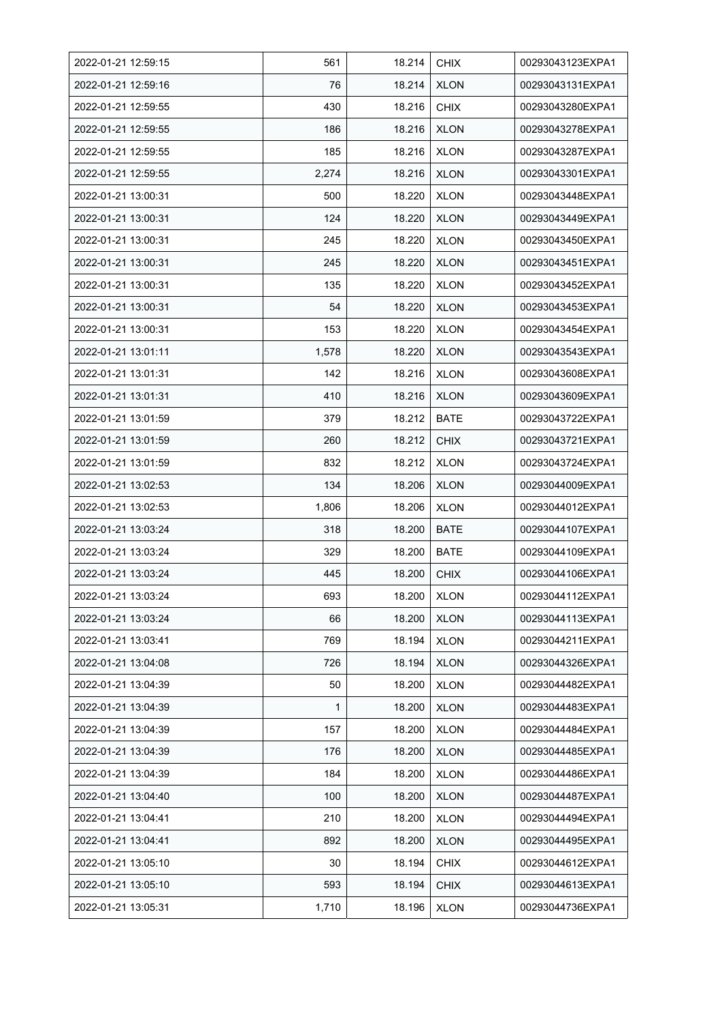| 2022-01-21 12:59:15 | 561   | 18.214 | <b>CHIX</b> | 00293043123EXPA1 |
|---------------------|-------|--------|-------------|------------------|
| 2022-01-21 12:59:16 | 76    | 18.214 | <b>XLON</b> | 00293043131EXPA1 |
| 2022-01-21 12:59:55 | 430   | 18.216 | <b>CHIX</b> | 00293043280EXPA1 |
| 2022-01-21 12:59:55 | 186   | 18.216 | <b>XLON</b> | 00293043278EXPA1 |
| 2022-01-21 12:59:55 | 185   | 18.216 | <b>XLON</b> | 00293043287EXPA1 |
| 2022-01-21 12:59:55 | 2,274 | 18.216 | <b>XLON</b> | 00293043301EXPA1 |
| 2022-01-21 13:00:31 | 500   | 18.220 | <b>XLON</b> | 00293043448EXPA1 |
| 2022-01-21 13:00:31 | 124   | 18.220 | <b>XLON</b> | 00293043449EXPA1 |
| 2022-01-21 13:00:31 | 245   | 18.220 | <b>XLON</b> | 00293043450EXPA1 |
| 2022-01-21 13:00:31 | 245   | 18.220 | <b>XLON</b> | 00293043451EXPA1 |
| 2022-01-21 13:00:31 | 135   | 18.220 | <b>XLON</b> | 00293043452EXPA1 |
| 2022-01-21 13:00:31 | 54    | 18.220 | <b>XLON</b> | 00293043453EXPA1 |
| 2022-01-21 13:00:31 | 153   | 18.220 | <b>XLON</b> | 00293043454EXPA1 |
| 2022-01-21 13:01:11 | 1,578 | 18.220 | <b>XLON</b> | 00293043543EXPA1 |
| 2022-01-21 13:01:31 | 142   | 18.216 | <b>XLON</b> | 00293043608EXPA1 |
| 2022-01-21 13:01:31 | 410   | 18.216 | <b>XLON</b> | 00293043609EXPA1 |
| 2022-01-21 13:01:59 | 379   | 18.212 | <b>BATE</b> | 00293043722EXPA1 |
| 2022-01-21 13:01:59 | 260   | 18.212 | <b>CHIX</b> | 00293043721EXPA1 |
| 2022-01-21 13:01:59 | 832   | 18.212 | <b>XLON</b> | 00293043724EXPA1 |
| 2022-01-21 13:02:53 | 134   | 18.206 | <b>XLON</b> | 00293044009EXPA1 |
| 2022-01-21 13:02:53 | 1,806 | 18.206 | <b>XLON</b> | 00293044012EXPA1 |
| 2022-01-21 13:03:24 | 318   | 18.200 | <b>BATE</b> | 00293044107EXPA1 |
| 2022-01-21 13:03:24 | 329   | 18.200 | <b>BATE</b> | 00293044109EXPA1 |
| 2022-01-21 13:03:24 | 445   | 18.200 | <b>CHIX</b> | 00293044106EXPA1 |
| 2022-01-21 13:03:24 | 693   | 18.200 | <b>XLON</b> | 00293044112EXPA1 |
| 2022-01-21 13:03:24 | 66    | 18.200 | <b>XLON</b> | 00293044113EXPA1 |
| 2022-01-21 13:03:41 | 769   | 18.194 | <b>XLON</b> | 00293044211EXPA1 |
| 2022-01-21 13:04:08 | 726   | 18.194 | <b>XLON</b> | 00293044326EXPA1 |
| 2022-01-21 13:04:39 | 50    | 18.200 | <b>XLON</b> | 00293044482EXPA1 |
| 2022-01-21 13:04:39 | 1     | 18.200 | <b>XLON</b> | 00293044483EXPA1 |
| 2022-01-21 13:04:39 | 157   | 18.200 | <b>XLON</b> | 00293044484EXPA1 |
| 2022-01-21 13:04:39 | 176   | 18.200 | <b>XLON</b> | 00293044485EXPA1 |
| 2022-01-21 13:04:39 | 184   | 18.200 | <b>XLON</b> | 00293044486EXPA1 |
| 2022-01-21 13:04:40 | 100   | 18.200 | <b>XLON</b> | 00293044487EXPA1 |
| 2022-01-21 13:04:41 | 210   | 18.200 | <b>XLON</b> | 00293044494EXPA1 |
| 2022-01-21 13:04:41 | 892   | 18.200 | <b>XLON</b> | 00293044495EXPA1 |
| 2022-01-21 13:05:10 | 30    | 18.194 | <b>CHIX</b> | 00293044612EXPA1 |
| 2022-01-21 13:05:10 | 593   | 18.194 | <b>CHIX</b> | 00293044613EXPA1 |
| 2022-01-21 13:05:31 | 1,710 | 18.196 | <b>XLON</b> | 00293044736EXPA1 |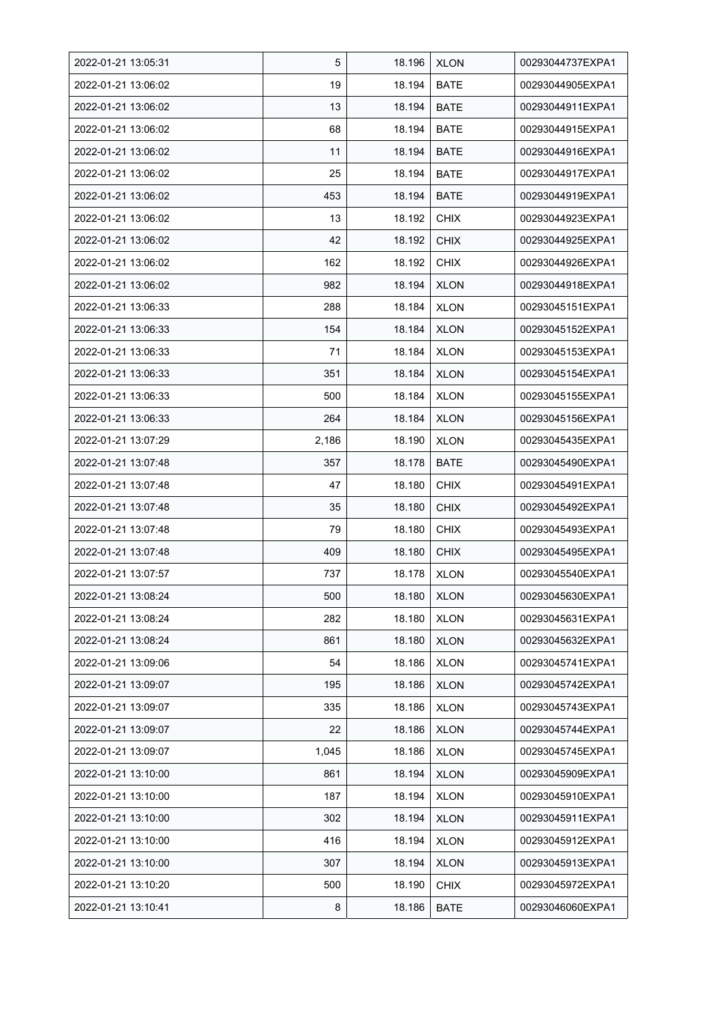| 2022-01-21 13:05:31 | 5     | 18.196 | <b>XLON</b> | 00293044737EXPA1 |
|---------------------|-------|--------|-------------|------------------|
| 2022-01-21 13:06:02 | 19    | 18.194 | <b>BATE</b> | 00293044905EXPA1 |
| 2022-01-21 13:06:02 | 13    | 18.194 | <b>BATE</b> | 00293044911EXPA1 |
| 2022-01-21 13:06:02 | 68    | 18.194 | <b>BATE</b> | 00293044915EXPA1 |
| 2022-01-21 13:06:02 | 11    | 18.194 | BATE        | 00293044916EXPA1 |
| 2022-01-21 13:06:02 | 25    | 18.194 | <b>BATE</b> | 00293044917EXPA1 |
| 2022-01-21 13:06:02 | 453   | 18.194 | <b>BATE</b> | 00293044919EXPA1 |
| 2022-01-21 13:06:02 | 13    | 18.192 | <b>CHIX</b> | 00293044923EXPA1 |
| 2022-01-21 13:06:02 | 42    | 18.192 | <b>CHIX</b> | 00293044925EXPA1 |
| 2022-01-21 13:06:02 | 162   | 18.192 | <b>CHIX</b> | 00293044926EXPA1 |
| 2022-01-21 13:06:02 | 982   | 18.194 | <b>XLON</b> | 00293044918EXPA1 |
| 2022-01-21 13:06:33 | 288   | 18.184 | <b>XLON</b> | 00293045151EXPA1 |
| 2022-01-21 13:06:33 | 154   | 18.184 | <b>XLON</b> | 00293045152EXPA1 |
| 2022-01-21 13:06:33 | 71    | 18.184 | <b>XLON</b> | 00293045153EXPA1 |
| 2022-01-21 13:06:33 | 351   | 18.184 | <b>XLON</b> | 00293045154EXPA1 |
| 2022-01-21 13:06:33 | 500   | 18.184 | <b>XLON</b> | 00293045155EXPA1 |
| 2022-01-21 13:06:33 | 264   | 18.184 | <b>XLON</b> | 00293045156EXPA1 |
| 2022-01-21 13:07:29 | 2,186 | 18.190 | <b>XLON</b> | 00293045435EXPA1 |
| 2022-01-21 13:07:48 | 357   | 18.178 | <b>BATE</b> | 00293045490EXPA1 |
| 2022-01-21 13:07:48 | 47    | 18.180 | <b>CHIX</b> | 00293045491EXPA1 |
| 2022-01-21 13:07:48 | 35    | 18.180 | <b>CHIX</b> | 00293045492EXPA1 |
| 2022-01-21 13:07:48 | 79    | 18.180 | <b>CHIX</b> | 00293045493EXPA1 |
| 2022-01-21 13:07:48 | 409   | 18.180 | <b>CHIX</b> | 00293045495EXPA1 |
| 2022-01-21 13:07:57 | 737   | 18.178 | <b>XLON</b> | 00293045540EXPA1 |
| 2022-01-21 13:08:24 | 500   | 18.180 | <b>XLON</b> | 00293045630EXPA1 |
| 2022-01-21 13:08:24 | 282   | 18.180 | <b>XLON</b> | 00293045631EXPA1 |
| 2022-01-21 13:08:24 | 861   | 18.180 | <b>XLON</b> | 00293045632EXPA1 |
| 2022-01-21 13:09:06 | 54    | 18.186 | <b>XLON</b> | 00293045741EXPA1 |
| 2022-01-21 13:09:07 | 195   | 18.186 | <b>XLON</b> | 00293045742EXPA1 |
| 2022-01-21 13:09:07 | 335   | 18.186 | <b>XLON</b> | 00293045743EXPA1 |
| 2022-01-21 13:09:07 | 22    | 18.186 | <b>XLON</b> | 00293045744EXPA1 |
| 2022-01-21 13:09:07 | 1,045 | 18.186 | <b>XLON</b> | 00293045745EXPA1 |
| 2022-01-21 13:10:00 | 861   | 18.194 | <b>XLON</b> | 00293045909EXPA1 |
| 2022-01-21 13:10:00 | 187   | 18.194 | <b>XLON</b> | 00293045910EXPA1 |
| 2022-01-21 13:10:00 | 302   | 18.194 | <b>XLON</b> | 00293045911EXPA1 |
| 2022-01-21 13:10:00 | 416   | 18.194 | <b>XLON</b> | 00293045912EXPA1 |
| 2022-01-21 13:10:00 | 307   | 18.194 | <b>XLON</b> | 00293045913EXPA1 |
| 2022-01-21 13:10:20 | 500   | 18.190 | <b>CHIX</b> | 00293045972EXPA1 |
| 2022-01-21 13:10:41 | 8     | 18.186 | <b>BATE</b> | 00293046060EXPA1 |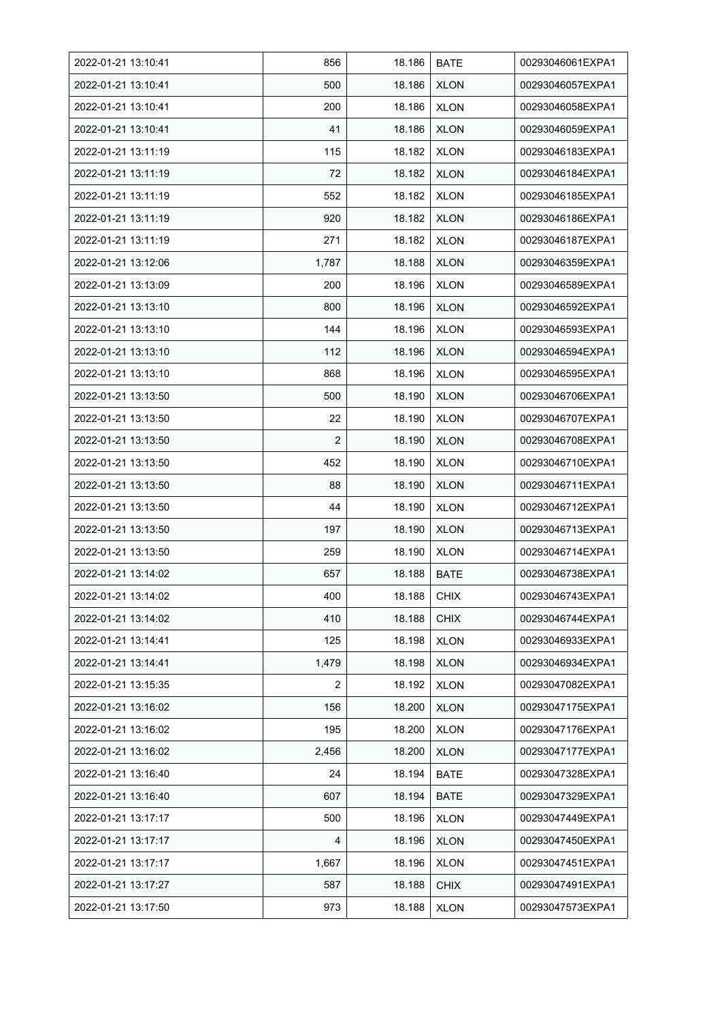| 2022-01-21 13:10:41 | 856   | 18.186 | <b>BATE</b> | 00293046061EXPA1 |
|---------------------|-------|--------|-------------|------------------|
| 2022-01-21 13:10:41 | 500   | 18.186 | <b>XLON</b> | 00293046057EXPA1 |
| 2022-01-21 13:10:41 | 200   | 18.186 | <b>XLON</b> | 00293046058EXPA1 |
| 2022-01-21 13:10:41 | 41    | 18.186 | <b>XLON</b> | 00293046059EXPA1 |
| 2022-01-21 13:11:19 | 115   | 18.182 | <b>XLON</b> | 00293046183EXPA1 |
| 2022-01-21 13:11:19 | 72    | 18.182 | <b>XLON</b> | 00293046184EXPA1 |
| 2022-01-21 13:11:19 | 552   | 18.182 | <b>XLON</b> | 00293046185EXPA1 |
| 2022-01-21 13:11:19 | 920   | 18.182 | <b>XLON</b> | 00293046186EXPA1 |
| 2022-01-21 13:11:19 | 271   | 18.182 | <b>XLON</b> | 00293046187EXPA1 |
| 2022-01-21 13:12:06 | 1,787 | 18.188 | <b>XLON</b> | 00293046359EXPA1 |
| 2022-01-21 13:13:09 | 200   | 18.196 | <b>XLON</b> | 00293046589EXPA1 |
| 2022-01-21 13:13:10 | 800   | 18.196 | <b>XLON</b> | 00293046592EXPA1 |
| 2022-01-21 13:13:10 | 144   | 18.196 | <b>XLON</b> | 00293046593EXPA1 |
| 2022-01-21 13:13:10 | 112   | 18.196 | <b>XLON</b> | 00293046594EXPA1 |
| 2022-01-21 13:13:10 | 868   | 18.196 | <b>XLON</b> | 00293046595EXPA1 |
| 2022-01-21 13:13:50 | 500   | 18.190 | <b>XLON</b> | 00293046706EXPA1 |
| 2022-01-21 13:13:50 | 22    | 18.190 | <b>XLON</b> | 00293046707EXPA1 |
| 2022-01-21 13:13:50 | 2     | 18.190 | <b>XLON</b> | 00293046708EXPA1 |
| 2022-01-21 13:13:50 | 452   | 18.190 | <b>XLON</b> | 00293046710EXPA1 |
| 2022-01-21 13:13:50 | 88    | 18.190 | <b>XLON</b> | 00293046711EXPA1 |
| 2022-01-21 13:13:50 | 44    | 18.190 | <b>XLON</b> | 00293046712EXPA1 |
| 2022-01-21 13:13:50 | 197   | 18.190 | <b>XLON</b> | 00293046713EXPA1 |
| 2022-01-21 13:13:50 | 259   | 18.190 | <b>XLON</b> | 00293046714EXPA1 |
| 2022-01-21 13:14:02 | 657   | 18.188 | <b>BATE</b> | 00293046738EXPA1 |
| 2022-01-21 13:14:02 | 400   | 18.188 | <b>CHIX</b> | 00293046743EXPA1 |
| 2022-01-21 13:14:02 | 410   | 18.188 | <b>CHIX</b> | 00293046744EXPA1 |
| 2022-01-21 13:14:41 | 125   | 18.198 | <b>XLON</b> | 00293046933EXPA1 |
| 2022-01-21 13:14:41 | 1,479 | 18.198 | <b>XLON</b> | 00293046934EXPA1 |
| 2022-01-21 13:15:35 | 2     | 18.192 | <b>XLON</b> | 00293047082EXPA1 |
| 2022-01-21 13:16:02 | 156   | 18.200 | <b>XLON</b> | 00293047175EXPA1 |
| 2022-01-21 13:16:02 | 195   | 18.200 | <b>XLON</b> | 00293047176EXPA1 |
| 2022-01-21 13:16:02 | 2,456 | 18.200 | <b>XLON</b> | 00293047177EXPA1 |
| 2022-01-21 13:16:40 | 24    | 18.194 | <b>BATE</b> | 00293047328EXPA1 |
| 2022-01-21 13:16:40 | 607   | 18.194 | <b>BATE</b> | 00293047329EXPA1 |
| 2022-01-21 13:17:17 | 500   | 18.196 | <b>XLON</b> | 00293047449EXPA1 |
| 2022-01-21 13:17:17 | 4     | 18.196 | <b>XLON</b> | 00293047450EXPA1 |
| 2022-01-21 13:17:17 | 1,667 | 18.196 | <b>XLON</b> | 00293047451EXPA1 |
| 2022-01-21 13:17:27 | 587   | 18.188 | <b>CHIX</b> | 00293047491EXPA1 |
| 2022-01-21 13:17:50 | 973   | 18.188 | <b>XLON</b> | 00293047573EXPA1 |
|                     |       |        |             |                  |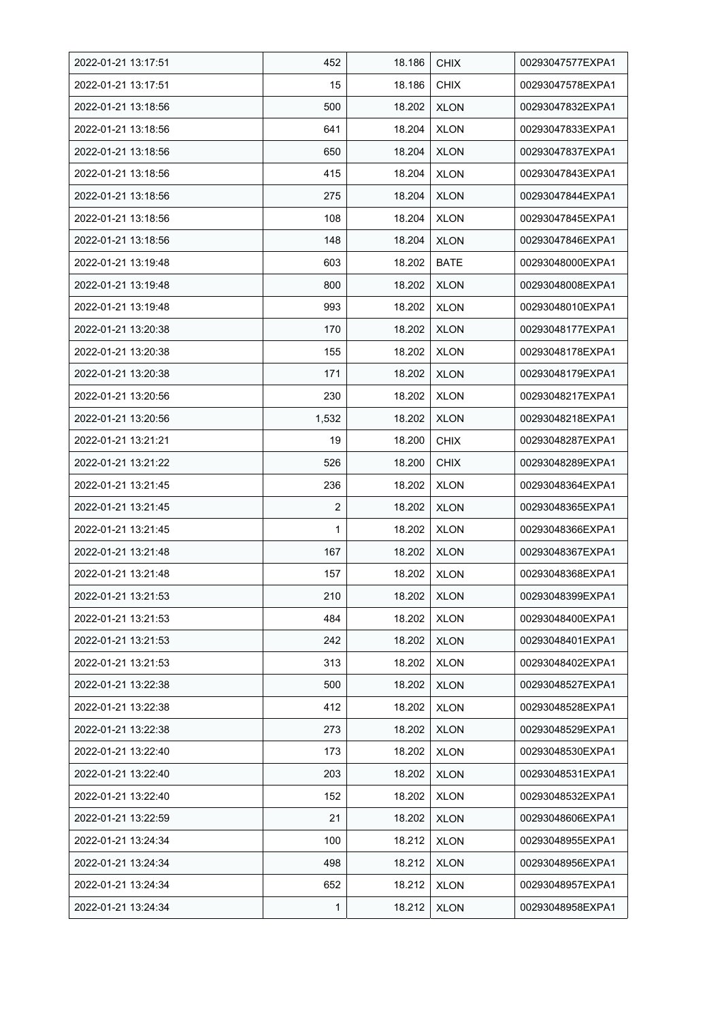| 2022-01-21 13:17:51 | 452            | 18.186 | <b>CHIX</b> | 00293047577EXPA1 |
|---------------------|----------------|--------|-------------|------------------|
| 2022-01-21 13:17:51 | 15             | 18.186 | <b>CHIX</b> | 00293047578EXPA1 |
| 2022-01-21 13:18:56 | 500            | 18.202 | <b>XLON</b> | 00293047832EXPA1 |
| 2022-01-21 13:18:56 | 641            | 18.204 | <b>XLON</b> | 00293047833EXPA1 |
| 2022-01-21 13:18:56 | 650            | 18.204 | <b>XLON</b> | 00293047837EXPA1 |
| 2022-01-21 13:18:56 | 415            | 18.204 | <b>XLON</b> | 00293047843EXPA1 |
| 2022-01-21 13:18:56 | 275            | 18.204 | <b>XLON</b> | 00293047844EXPA1 |
| 2022-01-21 13:18:56 | 108            | 18.204 | <b>XLON</b> | 00293047845EXPA1 |
| 2022-01-21 13:18:56 | 148            | 18.204 | <b>XLON</b> | 00293047846EXPA1 |
| 2022-01-21 13:19:48 | 603            | 18.202 | BATE        | 00293048000EXPA1 |
| 2022-01-21 13:19:48 | 800            | 18.202 | <b>XLON</b> | 00293048008EXPA1 |
| 2022-01-21 13:19:48 | 993            | 18.202 | <b>XLON</b> | 00293048010EXPA1 |
| 2022-01-21 13:20:38 | 170            | 18.202 | <b>XLON</b> | 00293048177EXPA1 |
| 2022-01-21 13:20:38 | 155            | 18.202 | <b>XLON</b> | 00293048178EXPA1 |
| 2022-01-21 13:20:38 | 171            | 18.202 | <b>XLON</b> | 00293048179EXPA1 |
| 2022-01-21 13:20:56 | 230            | 18.202 | <b>XLON</b> | 00293048217EXPA1 |
| 2022-01-21 13:20:56 | 1,532          | 18.202 | <b>XLON</b> | 00293048218EXPA1 |
| 2022-01-21 13:21:21 | 19             | 18.200 | <b>CHIX</b> | 00293048287EXPA1 |
| 2022-01-21 13:21:22 | 526            | 18.200 | <b>CHIX</b> | 00293048289EXPA1 |
| 2022-01-21 13:21:45 | 236            | 18.202 | <b>XLON</b> | 00293048364EXPA1 |
| 2022-01-21 13:21:45 | $\overline{2}$ | 18.202 | <b>XLON</b> | 00293048365EXPA1 |
| 2022-01-21 13:21:45 | 1              | 18.202 | <b>XLON</b> | 00293048366EXPA1 |
| 2022-01-21 13:21:48 | 167            | 18.202 | <b>XLON</b> | 00293048367EXPA1 |
| 2022-01-21 13:21:48 | 157            | 18.202 | <b>XLON</b> | 00293048368EXPA1 |
| 2022-01-21 13:21:53 | 210            | 18.202 | <b>XLON</b> | 00293048399EXPA1 |
| 2022-01-21 13:21:53 | 484            | 18.202 | <b>XLON</b> | 00293048400EXPA1 |
| 2022-01-21 13:21:53 | 242            | 18.202 | <b>XLON</b> | 00293048401EXPA1 |
| 2022-01-21 13:21:53 | 313            | 18.202 | <b>XLON</b> | 00293048402EXPA1 |
| 2022-01-21 13:22:38 | 500            | 18.202 | <b>XLON</b> | 00293048527EXPA1 |
| 2022-01-21 13:22:38 | 412            | 18.202 | <b>XLON</b> | 00293048528EXPA1 |
| 2022-01-21 13:22:38 | 273            | 18.202 | <b>XLON</b> | 00293048529EXPA1 |
| 2022-01-21 13:22:40 | 173            | 18.202 | <b>XLON</b> | 00293048530EXPA1 |
| 2022-01-21 13:22:40 | 203            | 18.202 | <b>XLON</b> | 00293048531EXPA1 |
| 2022-01-21 13:22:40 | 152            | 18.202 | <b>XLON</b> | 00293048532EXPA1 |
| 2022-01-21 13:22:59 | 21             | 18.202 | <b>XLON</b> | 00293048606EXPA1 |
| 2022-01-21 13:24:34 | 100            | 18.212 | <b>XLON</b> | 00293048955EXPA1 |
| 2022-01-21 13:24:34 | 498            | 18.212 | <b>XLON</b> | 00293048956EXPA1 |
| 2022-01-21 13:24:34 | 652            | 18.212 | <b>XLON</b> | 00293048957EXPA1 |
| 2022-01-21 13:24:34 | 1              | 18.212 | <b>XLON</b> | 00293048958EXPA1 |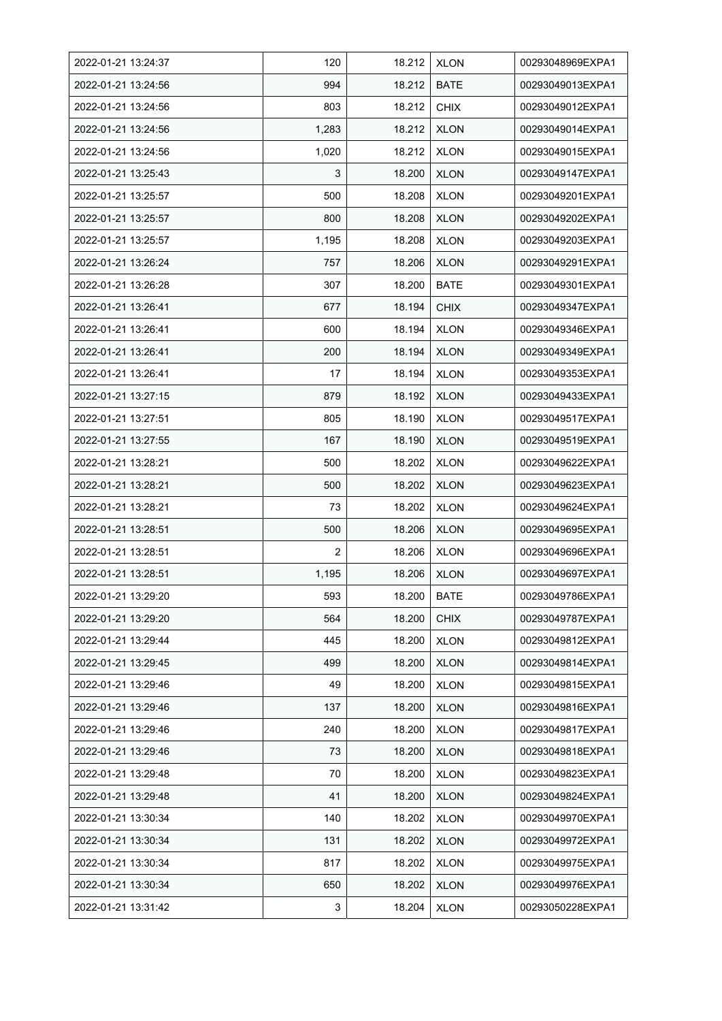| 2022-01-21 13:24:37 | 120            | 18.212 | <b>XLON</b> | 00293048969EXPA1 |
|---------------------|----------------|--------|-------------|------------------|
| 2022-01-21 13:24:56 | 994            | 18.212 | <b>BATE</b> | 00293049013EXPA1 |
| 2022-01-21 13:24:56 | 803            | 18.212 | <b>CHIX</b> | 00293049012EXPA1 |
| 2022-01-21 13:24:56 | 1,283          | 18.212 | <b>XLON</b> | 00293049014EXPA1 |
| 2022-01-21 13:24:56 | 1,020          | 18.212 | <b>XLON</b> | 00293049015EXPA1 |
| 2022-01-21 13:25:43 | 3              | 18.200 | <b>XLON</b> | 00293049147EXPA1 |
| 2022-01-21 13:25:57 | 500            | 18.208 | <b>XLON</b> | 00293049201EXPA1 |
| 2022-01-21 13:25:57 | 800            | 18.208 | <b>XLON</b> | 00293049202EXPA1 |
| 2022-01-21 13:25:57 | 1,195          | 18.208 | <b>XLON</b> | 00293049203EXPA1 |
| 2022-01-21 13:26:24 | 757            | 18.206 | <b>XLON</b> | 00293049291EXPA1 |
| 2022-01-21 13:26:28 | 307            | 18.200 | <b>BATE</b> | 00293049301EXPA1 |
| 2022-01-21 13:26:41 | 677            | 18.194 | <b>CHIX</b> | 00293049347EXPA1 |
| 2022-01-21 13:26:41 | 600            | 18.194 | <b>XLON</b> | 00293049346EXPA1 |
| 2022-01-21 13:26:41 | 200            | 18.194 | <b>XLON</b> | 00293049349EXPA1 |
| 2022-01-21 13:26:41 | 17             | 18.194 | <b>XLON</b> | 00293049353EXPA1 |
| 2022-01-21 13:27:15 | 879            | 18.192 | <b>XLON</b> | 00293049433EXPA1 |
| 2022-01-21 13:27:51 | 805            | 18.190 | <b>XLON</b> | 00293049517EXPA1 |
| 2022-01-21 13:27:55 | 167            | 18.190 | <b>XLON</b> | 00293049519EXPA1 |
| 2022-01-21 13:28:21 | 500            | 18.202 | <b>XLON</b> | 00293049622EXPA1 |
| 2022-01-21 13:28:21 | 500            | 18.202 | <b>XLON</b> | 00293049623EXPA1 |
| 2022-01-21 13:28:21 | 73             | 18.202 | <b>XLON</b> | 00293049624EXPA1 |
| 2022-01-21 13:28:51 | 500            | 18.206 | <b>XLON</b> | 00293049695EXPA1 |
| 2022-01-21 13:28:51 | $\overline{2}$ | 18.206 | <b>XLON</b> | 00293049696EXPA1 |
| 2022-01-21 13:28:51 | 1,195          | 18.206 | <b>XLON</b> | 00293049697EXPA1 |
| 2022-01-21 13:29:20 | 593            | 18.200 | <b>BATE</b> | 00293049786EXPA1 |
| 2022-01-21 13:29:20 | 564            | 18.200 | <b>CHIX</b> | 00293049787EXPA1 |
| 2022-01-21 13:29:44 | 445            | 18.200 | <b>XLON</b> | 00293049812EXPA1 |
| 2022-01-21 13:29:45 | 499            | 18.200 | <b>XLON</b> | 00293049814EXPA1 |
| 2022-01-21 13:29:46 | 49             | 18.200 | <b>XLON</b> | 00293049815EXPA1 |
| 2022-01-21 13:29:46 | 137            | 18.200 | <b>XLON</b> | 00293049816EXPA1 |
| 2022-01-21 13:29:46 | 240            | 18.200 | <b>XLON</b> | 00293049817EXPA1 |
| 2022-01-21 13:29:46 | 73             | 18.200 | <b>XLON</b> | 00293049818EXPA1 |
| 2022-01-21 13:29:48 | 70             | 18.200 | <b>XLON</b> | 00293049823EXPA1 |
| 2022-01-21 13:29:48 | 41             | 18.200 | <b>XLON</b> | 00293049824EXPA1 |
| 2022-01-21 13:30:34 | 140            | 18.202 | <b>XLON</b> | 00293049970EXPA1 |
| 2022-01-21 13:30:34 | 131            | 18.202 | <b>XLON</b> | 00293049972EXPA1 |
| 2022-01-21 13:30:34 | 817            | 18.202 | <b>XLON</b> | 00293049975EXPA1 |
| 2022-01-21 13:30:34 | 650            | 18.202 | <b>XLON</b> | 00293049976EXPA1 |
| 2022-01-21 13:31:42 | 3              | 18.204 | <b>XLON</b> | 00293050228EXPA1 |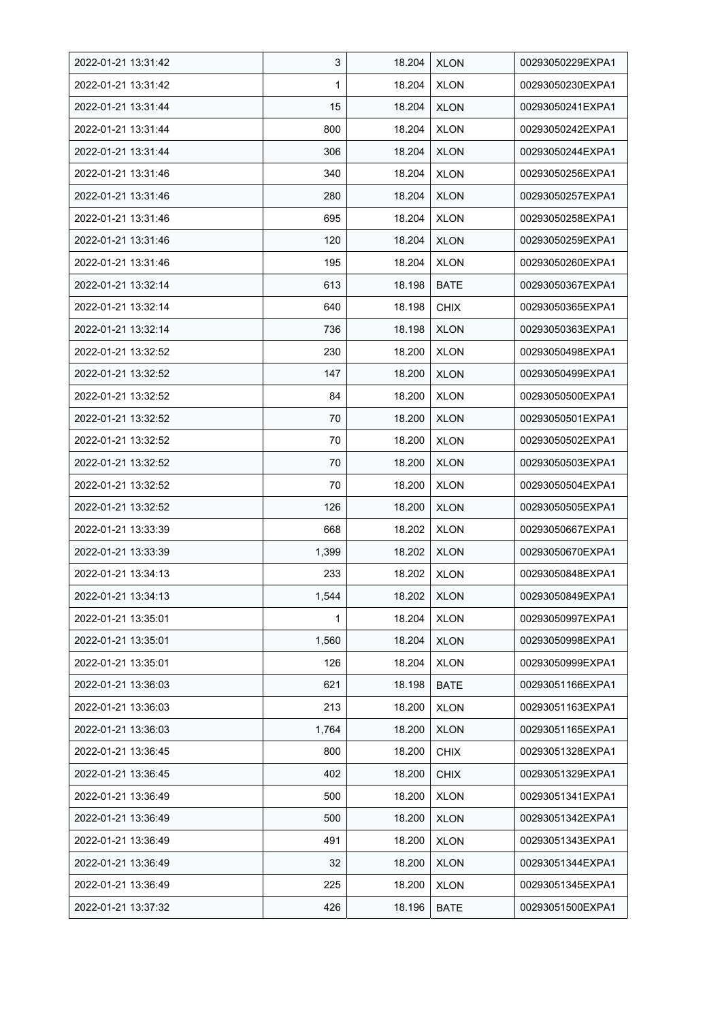| 2022-01-21 13:31:42 | 3     | 18.204 | <b>XLON</b> | 00293050229EXPA1 |
|---------------------|-------|--------|-------------|------------------|
| 2022-01-21 13:31:42 | 1     | 18.204 | <b>XLON</b> | 00293050230EXPA1 |
| 2022-01-21 13:31:44 | 15    | 18.204 | <b>XLON</b> | 00293050241EXPA1 |
| 2022-01-21 13:31:44 | 800   | 18.204 | <b>XLON</b> | 00293050242EXPA1 |
| 2022-01-21 13:31:44 | 306   | 18.204 | <b>XLON</b> | 00293050244EXPA1 |
| 2022-01-21 13:31:46 | 340   | 18.204 | <b>XLON</b> | 00293050256EXPA1 |
| 2022-01-21 13:31:46 | 280   | 18.204 | <b>XLON</b> | 00293050257EXPA1 |
| 2022-01-21 13:31:46 | 695   | 18.204 | <b>XLON</b> | 00293050258EXPA1 |
| 2022-01-21 13:31:46 | 120   | 18.204 | <b>XLON</b> | 00293050259EXPA1 |
| 2022-01-21 13:31:46 | 195   | 18.204 | <b>XLON</b> | 00293050260EXPA1 |
| 2022-01-21 13:32:14 | 613   | 18.198 | <b>BATE</b> | 00293050367EXPA1 |
| 2022-01-21 13:32:14 | 640   | 18.198 | <b>CHIX</b> | 00293050365EXPA1 |
| 2022-01-21 13:32:14 | 736   | 18.198 | <b>XLON</b> | 00293050363EXPA1 |
| 2022-01-21 13:32:52 | 230   | 18.200 | <b>XLON</b> | 00293050498EXPA1 |
| 2022-01-21 13:32:52 | 147   | 18.200 | <b>XLON</b> | 00293050499EXPA1 |
| 2022-01-21 13:32:52 | 84    | 18.200 | <b>XLON</b> | 00293050500EXPA1 |
| 2022-01-21 13:32:52 | 70    | 18.200 | <b>XLON</b> | 00293050501EXPA1 |
| 2022-01-21 13:32:52 | 70    | 18.200 | <b>XLON</b> | 00293050502EXPA1 |
| 2022-01-21 13:32:52 | 70    | 18.200 | <b>XLON</b> | 00293050503EXPA1 |
| 2022-01-21 13:32:52 | 70    | 18.200 | <b>XLON</b> | 00293050504EXPA1 |
| 2022-01-21 13:32:52 | 126   | 18.200 | <b>XLON</b> | 00293050505EXPA1 |
| 2022-01-21 13:33:39 | 668   | 18.202 | <b>XLON</b> | 00293050667EXPA1 |
| 2022-01-21 13:33:39 | 1,399 | 18.202 | <b>XLON</b> | 00293050670EXPA1 |
| 2022-01-21 13:34:13 | 233   | 18.202 | <b>XLON</b> | 00293050848EXPA1 |
| 2022-01-21 13:34:13 | 1,544 | 18.202 | <b>XLON</b> | 00293050849EXPA1 |
| 2022-01-21 13:35:01 | 1     | 18.204 | <b>XLON</b> | 00293050997EXPA1 |
| 2022-01-21 13:35:01 | 1,560 | 18.204 | <b>XLON</b> | 00293050998EXPA1 |
| 2022-01-21 13:35:01 | 126   | 18.204 | <b>XLON</b> | 00293050999EXPA1 |
| 2022-01-21 13:36:03 | 621   | 18.198 | <b>BATE</b> | 00293051166EXPA1 |
| 2022-01-21 13:36:03 | 213   | 18.200 | <b>XLON</b> | 00293051163EXPA1 |
| 2022-01-21 13:36:03 | 1,764 | 18.200 | <b>XLON</b> | 00293051165EXPA1 |
| 2022-01-21 13:36:45 | 800   | 18.200 | CHIX        | 00293051328EXPA1 |
| 2022-01-21 13:36:45 | 402   | 18.200 | <b>CHIX</b> | 00293051329EXPA1 |
| 2022-01-21 13:36:49 | 500   | 18.200 | <b>XLON</b> | 00293051341EXPA1 |
| 2022-01-21 13:36:49 | 500   | 18.200 | <b>XLON</b> | 00293051342EXPA1 |
| 2022-01-21 13:36:49 | 491   | 18.200 | <b>XLON</b> | 00293051343EXPA1 |
| 2022-01-21 13:36:49 | 32    | 18.200 | <b>XLON</b> | 00293051344EXPA1 |
| 2022-01-21 13:36:49 | 225   | 18.200 | <b>XLON</b> | 00293051345EXPA1 |
| 2022-01-21 13:37:32 | 426   | 18.196 | <b>BATE</b> | 00293051500EXPA1 |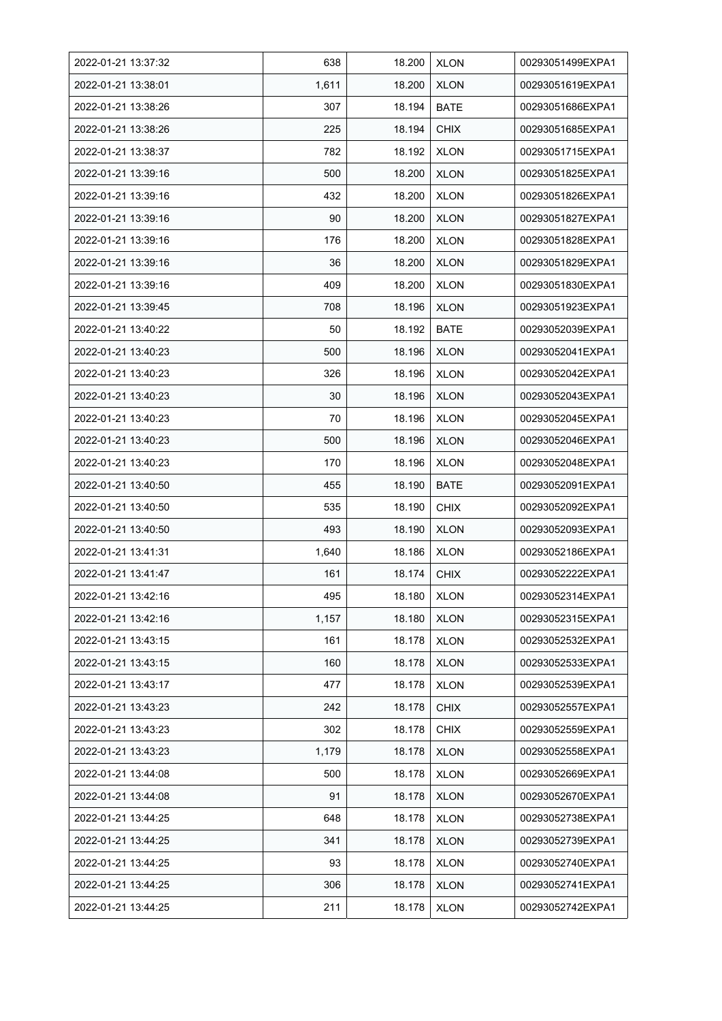| 2022-01-21 13:37:32 | 638   | 18.200 | <b>XLON</b> | 00293051499EXPA1 |
|---------------------|-------|--------|-------------|------------------|
| 2022-01-21 13:38:01 | 1,611 | 18.200 | <b>XLON</b> | 00293051619EXPA1 |
| 2022-01-21 13:38:26 | 307   | 18.194 | <b>BATE</b> | 00293051686EXPA1 |
| 2022-01-21 13:38:26 | 225   | 18.194 | <b>CHIX</b> | 00293051685EXPA1 |
| 2022-01-21 13:38:37 | 782   | 18.192 | <b>XLON</b> | 00293051715EXPA1 |
| 2022-01-21 13:39:16 | 500   | 18.200 | <b>XLON</b> | 00293051825EXPA1 |
| 2022-01-21 13:39:16 | 432   | 18.200 | <b>XLON</b> | 00293051826EXPA1 |
| 2022-01-21 13:39:16 | 90    | 18.200 | <b>XLON</b> | 00293051827EXPA1 |
| 2022-01-21 13:39:16 | 176   | 18.200 | <b>XLON</b> | 00293051828EXPA1 |
| 2022-01-21 13:39:16 | 36    | 18.200 | <b>XLON</b> | 00293051829EXPA1 |
| 2022-01-21 13:39:16 | 409   | 18.200 | <b>XLON</b> | 00293051830EXPA1 |
| 2022-01-21 13:39:45 | 708   | 18.196 | <b>XLON</b> | 00293051923EXPA1 |
| 2022-01-21 13:40:22 | 50    | 18.192 | <b>BATE</b> | 00293052039EXPA1 |
| 2022-01-21 13:40:23 | 500   | 18.196 | <b>XLON</b> | 00293052041EXPA1 |
| 2022-01-21 13:40:23 | 326   | 18.196 | <b>XLON</b> | 00293052042EXPA1 |
| 2022-01-21 13:40:23 | 30    | 18.196 | <b>XLON</b> | 00293052043EXPA1 |
| 2022-01-21 13:40:23 | 70    | 18.196 | <b>XLON</b> | 00293052045EXPA1 |
| 2022-01-21 13:40:23 | 500   | 18.196 | <b>XLON</b> | 00293052046EXPA1 |
| 2022-01-21 13:40:23 | 170   | 18.196 | <b>XLON</b> | 00293052048EXPA1 |
| 2022-01-21 13:40:50 | 455   | 18.190 | <b>BATE</b> | 00293052091EXPA1 |
| 2022-01-21 13:40:50 | 535   | 18.190 | <b>CHIX</b> | 00293052092EXPA1 |
| 2022-01-21 13:40:50 | 493   | 18.190 | <b>XLON</b> | 00293052093EXPA1 |
| 2022-01-21 13:41:31 | 1,640 | 18.186 | <b>XLON</b> | 00293052186EXPA1 |
| 2022-01-21 13:41:47 | 161   | 18.174 | <b>CHIX</b> | 00293052222EXPA1 |
| 2022-01-21 13:42:16 | 495   | 18.180 | <b>XLON</b> | 00293052314EXPA1 |
| 2022-01-21 13:42:16 | 1,157 | 18.180 | <b>XLON</b> | 00293052315EXPA1 |
| 2022-01-21 13:43:15 | 161   | 18.178 | <b>XLON</b> | 00293052532EXPA1 |
| 2022-01-21 13:43:15 | 160   | 18.178 | <b>XLON</b> | 00293052533EXPA1 |
| 2022-01-21 13:43:17 | 477   | 18.178 | <b>XLON</b> | 00293052539EXPA1 |
| 2022-01-21 13:43:23 | 242   | 18.178 | <b>CHIX</b> | 00293052557EXPA1 |
| 2022-01-21 13:43:23 | 302   | 18.178 | <b>CHIX</b> | 00293052559EXPA1 |
| 2022-01-21 13:43:23 | 1,179 | 18.178 | <b>XLON</b> | 00293052558EXPA1 |
| 2022-01-21 13:44:08 | 500   | 18.178 | <b>XLON</b> | 00293052669EXPA1 |
| 2022-01-21 13:44:08 | 91    | 18.178 | <b>XLON</b> | 00293052670EXPA1 |
| 2022-01-21 13:44:25 | 648   | 18.178 | <b>XLON</b> | 00293052738EXPA1 |
| 2022-01-21 13:44:25 | 341   | 18.178 | <b>XLON</b> | 00293052739EXPA1 |
| 2022-01-21 13:44:25 | 93    | 18.178 | <b>XLON</b> | 00293052740EXPA1 |
| 2022-01-21 13:44:25 | 306   | 18.178 | <b>XLON</b> | 00293052741EXPA1 |
| 2022-01-21 13:44:25 | 211   | 18.178 | <b>XLON</b> | 00293052742EXPA1 |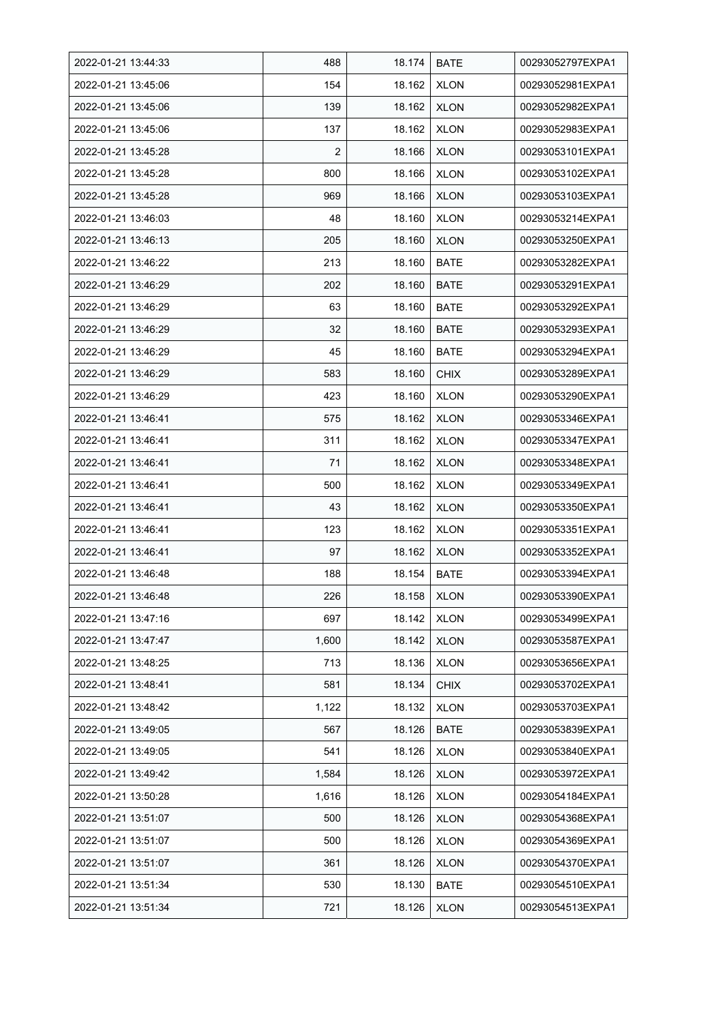| 2022-01-21 13:44:33 | 488            | 18.174 | <b>BATE</b> | 00293052797EXPA1 |
|---------------------|----------------|--------|-------------|------------------|
| 2022-01-21 13:45:06 | 154            | 18.162 | <b>XLON</b> | 00293052981EXPA1 |
| 2022-01-21 13:45:06 | 139            | 18.162 | <b>XLON</b> | 00293052982EXPA1 |
| 2022-01-21 13:45:06 | 137            | 18.162 | <b>XLON</b> | 00293052983EXPA1 |
| 2022-01-21 13:45:28 | $\overline{2}$ | 18.166 | <b>XLON</b> | 00293053101EXPA1 |
| 2022-01-21 13:45:28 | 800            | 18.166 | <b>XLON</b> | 00293053102EXPA1 |
| 2022-01-21 13:45:28 | 969            | 18.166 | <b>XLON</b> | 00293053103EXPA1 |
| 2022-01-21 13:46:03 | 48             | 18.160 | <b>XLON</b> | 00293053214EXPA1 |
| 2022-01-21 13:46:13 | 205            | 18.160 | <b>XLON</b> | 00293053250EXPA1 |
| 2022-01-21 13:46:22 | 213            | 18.160 | <b>BATE</b> | 00293053282EXPA1 |
| 2022-01-21 13:46:29 | 202            | 18.160 | <b>BATE</b> | 00293053291EXPA1 |
| 2022-01-21 13:46:29 | 63             | 18.160 | <b>BATE</b> | 00293053292EXPA1 |
| 2022-01-21 13:46:29 | 32             | 18.160 | <b>BATE</b> | 00293053293EXPA1 |
| 2022-01-21 13:46:29 | 45             | 18.160 | <b>BATE</b> | 00293053294EXPA1 |
| 2022-01-21 13:46:29 | 583            | 18.160 | <b>CHIX</b> | 00293053289EXPA1 |
| 2022-01-21 13:46:29 | 423            | 18.160 | <b>XLON</b> | 00293053290EXPA1 |
| 2022-01-21 13:46:41 | 575            | 18.162 | <b>XLON</b> | 00293053346EXPA1 |
| 2022-01-21 13:46:41 | 311            | 18.162 | <b>XLON</b> | 00293053347EXPA1 |
| 2022-01-21 13:46:41 | 71             | 18.162 | <b>XLON</b> | 00293053348EXPA1 |
| 2022-01-21 13:46:41 | 500            | 18.162 | <b>XLON</b> | 00293053349EXPA1 |
| 2022-01-21 13:46:41 | 43             | 18.162 | <b>XLON</b> | 00293053350EXPA1 |
| 2022-01-21 13:46:41 | 123            | 18.162 | <b>XLON</b> | 00293053351EXPA1 |
| 2022-01-21 13:46:41 | 97             | 18.162 | <b>XLON</b> | 00293053352EXPA1 |
| 2022-01-21 13:46:48 | 188            | 18.154 | <b>BATE</b> | 00293053394EXPA1 |
| 2022-01-21 13:46:48 | 226            | 18.158 | <b>XLON</b> | 00293053390EXPA1 |
| 2022-01-21 13:47:16 | 697            | 18.142 | <b>XLON</b> | 00293053499EXPA1 |
| 2022-01-21 13:47:47 | 1,600          | 18.142 | <b>XLON</b> | 00293053587EXPA1 |
| 2022-01-21 13:48:25 | 713            | 18.136 | <b>XLON</b> | 00293053656EXPA1 |
| 2022-01-21 13:48:41 | 581            | 18.134 | <b>CHIX</b> | 00293053702EXPA1 |
| 2022-01-21 13:48:42 | 1,122          | 18.132 | <b>XLON</b> | 00293053703EXPA1 |
| 2022-01-21 13:49:05 | 567            | 18.126 | <b>BATE</b> | 00293053839EXPA1 |
| 2022-01-21 13:49:05 | 541            | 18.126 | <b>XLON</b> | 00293053840EXPA1 |
| 2022-01-21 13:49:42 | 1,584          | 18.126 | <b>XLON</b> | 00293053972EXPA1 |
| 2022-01-21 13:50:28 | 1,616          | 18.126 | <b>XLON</b> | 00293054184EXPA1 |
| 2022-01-21 13:51:07 | 500            | 18.126 | <b>XLON</b> | 00293054368EXPA1 |
| 2022-01-21 13:51:07 | 500            | 18.126 | <b>XLON</b> | 00293054369EXPA1 |
| 2022-01-21 13:51:07 | 361            | 18.126 | <b>XLON</b> | 00293054370EXPA1 |
| 2022-01-21 13:51:34 | 530            | 18.130 | <b>BATE</b> | 00293054510EXPA1 |
| 2022-01-21 13:51:34 | 721            | 18.126 | <b>XLON</b> | 00293054513EXPA1 |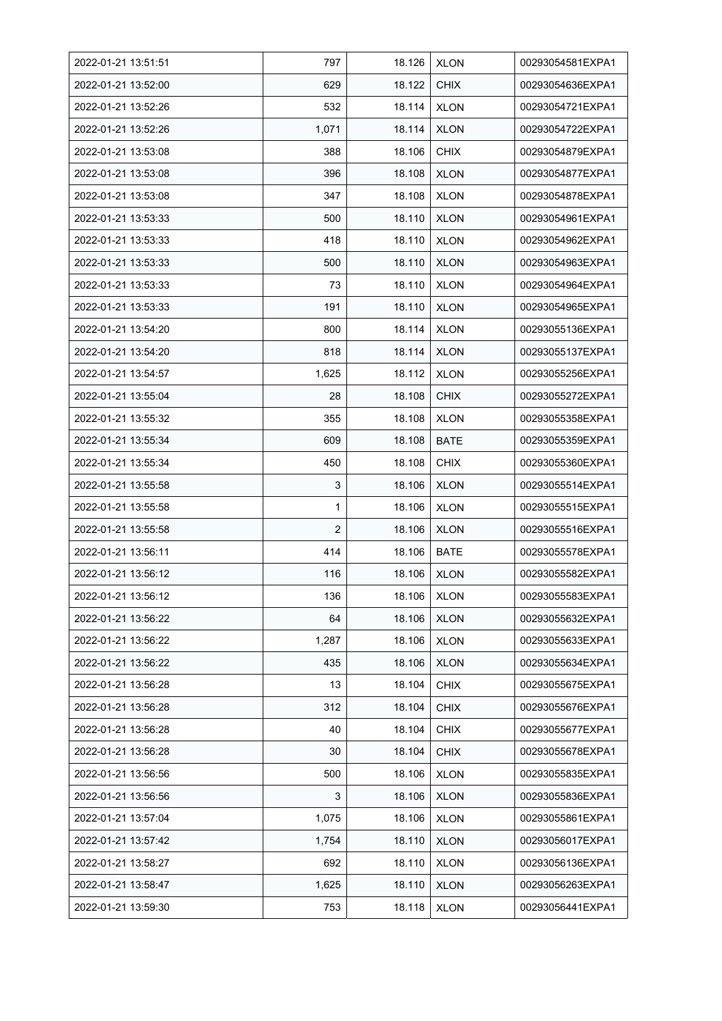| 2022-01-21 13:51:51 | 797            | 18.126 | <b>XLON</b> | 00293054581EXPA1 |
|---------------------|----------------|--------|-------------|------------------|
| 2022-01-21 13:52:00 | 629            | 18.122 | <b>CHIX</b> | 00293054636EXPA1 |
| 2022-01-21 13:52:26 | 532            | 18.114 | <b>XLON</b> | 00293054721EXPA1 |
| 2022-01-21 13:52:26 | 1,071          | 18.114 | <b>XLON</b> | 00293054722EXPA1 |
| 2022-01-21 13:53:08 | 388            | 18.106 | <b>CHIX</b> | 00293054879EXPA1 |
| 2022-01-21 13:53:08 | 396            | 18.108 | <b>XLON</b> | 00293054877EXPA1 |
| 2022-01-21 13:53:08 | 347            | 18.108 | <b>XLON</b> | 00293054878EXPA1 |
| 2022-01-21 13:53:33 | 500            | 18.110 | <b>XLON</b> | 00293054961EXPA1 |
| 2022-01-21 13:53:33 | 418            | 18.110 | <b>XLON</b> | 00293054962EXPA1 |
| 2022-01-21 13:53:33 | 500            | 18.110 | <b>XLON</b> | 00293054963EXPA1 |
| 2022-01-21 13:53:33 | 73             | 18.110 | <b>XLON</b> | 00293054964EXPA1 |
| 2022-01-21 13:53:33 | 191            | 18.110 | <b>XLON</b> | 00293054965EXPA1 |
| 2022-01-21 13:54:20 | 800            | 18.114 | <b>XLON</b> | 00293055136EXPA1 |
| 2022-01-21 13:54:20 | 818            | 18.114 | <b>XLON</b> | 00293055137EXPA1 |
| 2022-01-21 13:54:57 | 1,625          | 18.112 | <b>XLON</b> | 00293055256EXPA1 |
| 2022-01-21 13:55:04 | 28             | 18.108 | <b>CHIX</b> | 00293055272EXPA1 |
| 2022-01-21 13:55:32 | 355            | 18.108 | <b>XLON</b> | 00293055358EXPA1 |
| 2022-01-21 13:55:34 | 609            | 18.108 | BATE        | 00293055359EXPA1 |
| 2022-01-21 13:55:34 | 450            | 18.108 | <b>CHIX</b> | 00293055360EXPA1 |
| 2022-01-21 13:55:58 | 3              | 18.106 | <b>XLON</b> | 00293055514EXPA1 |
| 2022-01-21 13:55:58 | 1              | 18.106 | <b>XLON</b> | 00293055515EXPA1 |
| 2022-01-21 13:55:58 | $\overline{2}$ | 18.106 | <b>XLON</b> | 00293055516EXPA1 |
| 2022-01-21 13:56:11 | 414            | 18.106 | <b>BATE</b> | 00293055578EXPA1 |
| 2022-01-21 13:56:12 | 116            | 18.106 | <b>XLON</b> | 00293055582EXPA1 |
| 2022-01-21 13:56:12 | 136            | 18.106 | <b>XLON</b> | 00293055583EXPA1 |
| 2022-01-21 13:56:22 | 64             | 18.106 | <b>XLON</b> | 00293055632EXPA1 |
| 2022-01-21 13:56:22 | 1,287          | 18.106 | <b>XLON</b> | 00293055633EXPA1 |
| 2022-01-21 13:56:22 | 435            | 18.106 | <b>XLON</b> | 00293055634EXPA1 |
| 2022-01-21 13:56:28 | 13             | 18.104 | <b>CHIX</b> | 00293055675EXPA1 |
| 2022-01-21 13:56:28 | 312            | 18.104 | <b>CHIX</b> | 00293055676EXPA1 |
| 2022-01-21 13:56:28 | 40             | 18.104 | <b>CHIX</b> | 00293055677EXPA1 |
| 2022-01-21 13:56:28 | 30             | 18.104 | <b>CHIX</b> | 00293055678EXPA1 |
| 2022-01-21 13:56:56 | 500            | 18.106 | <b>XLON</b> | 00293055835EXPA1 |
| 2022-01-21 13:56:56 | 3              | 18.106 | <b>XLON</b> | 00293055836EXPA1 |
| 2022-01-21 13:57:04 | 1,075          | 18.106 | <b>XLON</b> | 00293055861EXPA1 |
| 2022-01-21 13:57:42 | 1,754          | 18.110 | <b>XLON</b> | 00293056017EXPA1 |
| 2022-01-21 13:58:27 | 692            | 18.110 | <b>XLON</b> | 00293056136EXPA1 |
| 2022-01-21 13:58:47 | 1,625          | 18.110 | <b>XLON</b> | 00293056263EXPA1 |
| 2022-01-21 13:59:30 | 753            | 18.118 | <b>XLON</b> | 00293056441EXPA1 |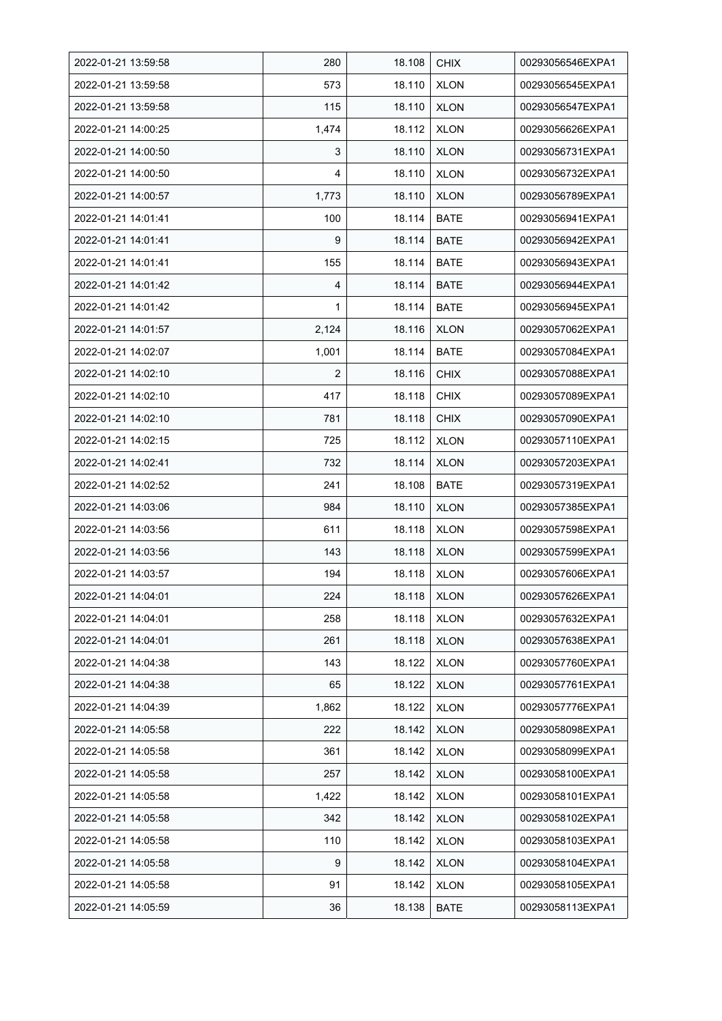| 2022-01-21 13:59:58 | 280            | 18.108 | <b>CHIX</b> | 00293056546EXPA1 |
|---------------------|----------------|--------|-------------|------------------|
| 2022-01-21 13:59:58 | 573            | 18.110 | <b>XLON</b> | 00293056545EXPA1 |
| 2022-01-21 13:59:58 | 115            | 18.110 | <b>XLON</b> | 00293056547EXPA1 |
| 2022-01-21 14:00:25 | 1,474          | 18.112 | <b>XLON</b> | 00293056626EXPA1 |
| 2022-01-21 14:00:50 | 3              | 18.110 | <b>XLON</b> | 00293056731EXPA1 |
| 2022-01-21 14:00:50 | 4              | 18.110 | <b>XLON</b> | 00293056732EXPA1 |
| 2022-01-21 14:00:57 | 1,773          | 18.110 | <b>XLON</b> | 00293056789EXPA1 |
| 2022-01-21 14:01:41 | 100            | 18.114 | <b>BATE</b> | 00293056941EXPA1 |
| 2022-01-21 14:01:41 | 9              | 18.114 | <b>BATE</b> | 00293056942EXPA1 |
| 2022-01-21 14:01:41 | 155            | 18.114 | <b>BATE</b> | 00293056943EXPA1 |
| 2022-01-21 14:01:42 | 4              | 18.114 | <b>BATE</b> | 00293056944EXPA1 |
| 2022-01-21 14:01:42 | 1              | 18.114 | <b>BATE</b> | 00293056945EXPA1 |
| 2022-01-21 14:01:57 | 2,124          | 18.116 | <b>XLON</b> | 00293057062EXPA1 |
| 2022-01-21 14:02:07 | 1,001          | 18.114 | <b>BATE</b> | 00293057084EXPA1 |
| 2022-01-21 14:02:10 | $\overline{2}$ | 18.116 | <b>CHIX</b> | 00293057088EXPA1 |
| 2022-01-21 14:02:10 | 417            | 18.118 | <b>CHIX</b> | 00293057089EXPA1 |
| 2022-01-21 14:02:10 | 781            | 18.118 | <b>CHIX</b> | 00293057090EXPA1 |
| 2022-01-21 14:02:15 | 725            | 18.112 | <b>XLON</b> | 00293057110EXPA1 |
| 2022-01-21 14:02:41 | 732            | 18.114 | <b>XLON</b> | 00293057203EXPA1 |
| 2022-01-21 14:02:52 | 241            | 18.108 | <b>BATE</b> | 00293057319EXPA1 |
| 2022-01-21 14:03:06 | 984            | 18.110 | <b>XLON</b> | 00293057385EXPA1 |
| 2022-01-21 14:03:56 | 611            | 18.118 | <b>XLON</b> | 00293057598EXPA1 |
| 2022-01-21 14:03:56 | 143            | 18.118 | <b>XLON</b> | 00293057599EXPA1 |
| 2022-01-21 14:03:57 | 194            | 18.118 | <b>XLON</b> | 00293057606EXPA1 |
| 2022-01-21 14:04:01 | 224            | 18.118 | <b>XLON</b> | 00293057626EXPA1 |
| 2022-01-21 14:04:01 | 258            | 18.118 | <b>XLON</b> | 00293057632EXPA1 |
| 2022-01-21 14:04:01 | 261            | 18.118 | <b>XLON</b> | 00293057638EXPA1 |
| 2022-01-21 14:04:38 | 143            | 18.122 | <b>XLON</b> | 00293057760EXPA1 |
| 2022-01-21 14:04:38 | 65             | 18.122 | <b>XLON</b> | 00293057761EXPA1 |
| 2022-01-21 14:04:39 | 1,862          | 18.122 | <b>XLON</b> | 00293057776EXPA1 |
| 2022-01-21 14:05:58 | 222            | 18.142 | <b>XLON</b> | 00293058098EXPA1 |
| 2022-01-21 14:05:58 | 361            | 18.142 | <b>XLON</b> | 00293058099EXPA1 |
| 2022-01-21 14:05:58 | 257            | 18.142 | <b>XLON</b> | 00293058100EXPA1 |
| 2022-01-21 14:05:58 | 1,422          | 18.142 | <b>XLON</b> | 00293058101EXPA1 |
| 2022-01-21 14:05:58 | 342            | 18.142 | <b>XLON</b> | 00293058102EXPA1 |
| 2022-01-21 14:05:58 | 110            | 18.142 | <b>XLON</b> | 00293058103EXPA1 |
| 2022-01-21 14:05:58 | 9              | 18.142 | <b>XLON</b> | 00293058104EXPA1 |
| 2022-01-21 14:05:58 | 91             | 18.142 | <b>XLON</b> | 00293058105EXPA1 |
| 2022-01-21 14:05:59 | 36             | 18.138 | <b>BATE</b> | 00293058113EXPA1 |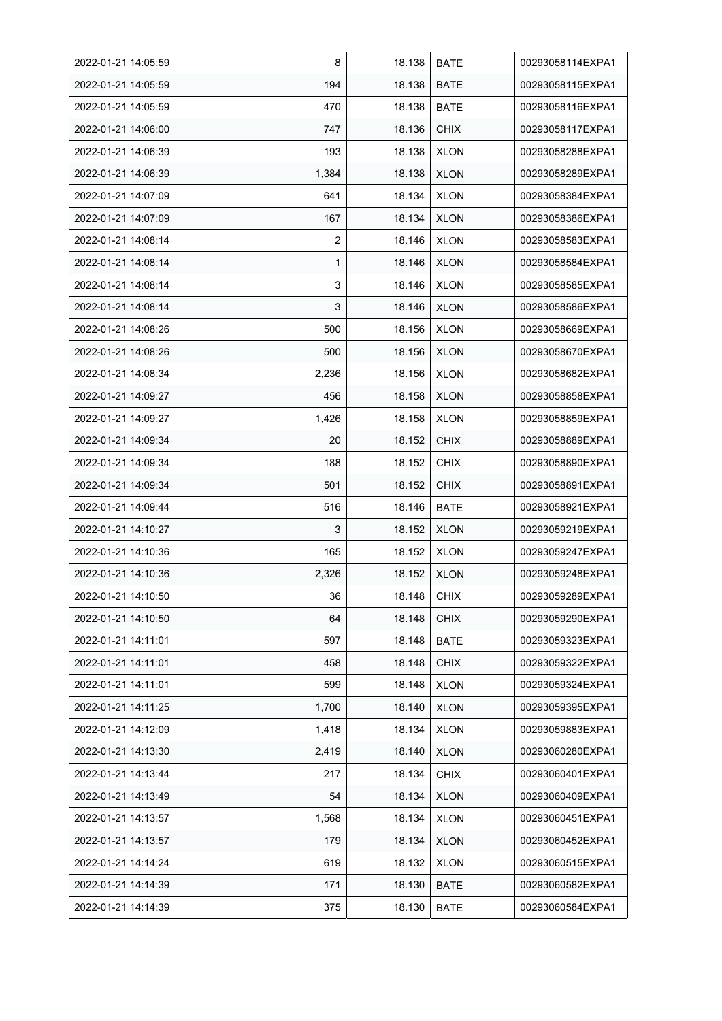| 2022-01-21 14:05:59 | 8              | 18.138 | <b>BATE</b> | 00293058114EXPA1 |
|---------------------|----------------|--------|-------------|------------------|
| 2022-01-21 14:05:59 | 194            | 18.138 | <b>BATE</b> | 00293058115EXPA1 |
| 2022-01-21 14:05:59 | 470            | 18.138 | <b>BATE</b> | 00293058116EXPA1 |
| 2022-01-21 14:06:00 | 747            | 18.136 | <b>CHIX</b> | 00293058117EXPA1 |
| 2022-01-21 14:06:39 | 193            | 18.138 | <b>XLON</b> | 00293058288EXPA1 |
| 2022-01-21 14:06:39 | 1,384          | 18.138 | <b>XLON</b> | 00293058289EXPA1 |
| 2022-01-21 14:07:09 | 641            | 18.134 | <b>XLON</b> | 00293058384EXPA1 |
| 2022-01-21 14:07:09 | 167            | 18.134 | <b>XLON</b> | 00293058386EXPA1 |
| 2022-01-21 14:08:14 | $\overline{2}$ | 18.146 | <b>XLON</b> | 00293058583EXPA1 |
| 2022-01-21 14:08:14 | 1              | 18.146 | <b>XLON</b> | 00293058584EXPA1 |
| 2022-01-21 14:08:14 | 3              | 18.146 | <b>XLON</b> | 00293058585EXPA1 |
| 2022-01-21 14:08:14 | 3              | 18.146 | <b>XLON</b> | 00293058586EXPA1 |
| 2022-01-21 14:08:26 | 500            | 18.156 | <b>XLON</b> | 00293058669EXPA1 |
| 2022-01-21 14:08:26 | 500            | 18.156 | <b>XLON</b> | 00293058670EXPA1 |
| 2022-01-21 14:08:34 | 2,236          | 18.156 | <b>XLON</b> | 00293058682EXPA1 |
| 2022-01-21 14:09:27 | 456            | 18.158 | <b>XLON</b> | 00293058858EXPA1 |
| 2022-01-21 14:09:27 | 1,426          | 18.158 | <b>XLON</b> | 00293058859EXPA1 |
| 2022-01-21 14:09:34 | 20             | 18.152 | <b>CHIX</b> | 00293058889EXPA1 |
| 2022-01-21 14:09:34 | 188            | 18.152 | <b>CHIX</b> | 00293058890EXPA1 |
| 2022-01-21 14:09:34 | 501            | 18.152 | <b>CHIX</b> | 00293058891EXPA1 |
| 2022-01-21 14:09:44 | 516            | 18.146 | <b>BATE</b> | 00293058921EXPA1 |
| 2022-01-21 14:10:27 | 3              | 18.152 | <b>XLON</b> | 00293059219EXPA1 |
| 2022-01-21 14:10:36 | 165            | 18.152 | <b>XLON</b> | 00293059247EXPA1 |
| 2022-01-21 14:10:36 | 2,326          | 18.152 | <b>XLON</b> | 00293059248EXPA1 |
| 2022-01-21 14:10:50 | 36             | 18.148 | <b>CHIX</b> | 00293059289EXPA1 |
| 2022-01-21 14:10:50 | 64             | 18.148 | <b>CHIX</b> | 00293059290EXPA1 |
| 2022-01-21 14:11:01 | 597            | 18.148 | <b>BATE</b> | 00293059323EXPA1 |
| 2022-01-21 14:11:01 | 458            | 18.148 | <b>CHIX</b> | 00293059322EXPA1 |
| 2022-01-21 14:11:01 | 599            | 18.148 | <b>XLON</b> | 00293059324EXPA1 |
| 2022-01-21 14:11:25 | 1,700          | 18.140 | <b>XLON</b> | 00293059395EXPA1 |
| 2022-01-21 14:12:09 | 1,418          | 18.134 | <b>XLON</b> | 00293059883EXPA1 |
| 2022-01-21 14:13:30 | 2,419          | 18.140 | <b>XLON</b> | 00293060280EXPA1 |
| 2022-01-21 14:13:44 | 217            | 18.134 | <b>CHIX</b> | 00293060401EXPA1 |
| 2022-01-21 14:13:49 | 54             | 18.134 | <b>XLON</b> | 00293060409EXPA1 |
| 2022-01-21 14:13:57 | 1,568          | 18.134 | <b>XLON</b> | 00293060451EXPA1 |
| 2022-01-21 14:13:57 | 179            | 18.134 | <b>XLON</b> | 00293060452EXPA1 |
| 2022-01-21 14:14:24 | 619            | 18.132 | <b>XLON</b> | 00293060515EXPA1 |
| 2022-01-21 14:14:39 | 171            | 18.130 | <b>BATE</b> | 00293060582EXPA1 |
| 2022-01-21 14:14:39 | 375            | 18.130 | <b>BATE</b> | 00293060584EXPA1 |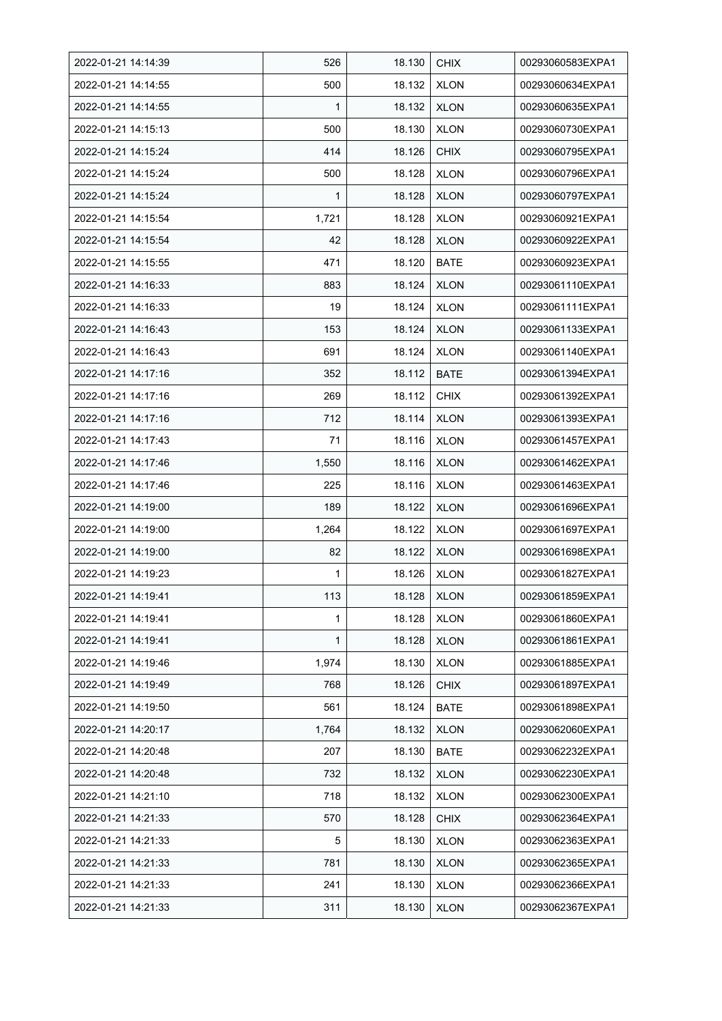| 2022-01-21 14:14:39 | 526   | 18.130 | <b>CHIX</b> | 00293060583EXPA1 |
|---------------------|-------|--------|-------------|------------------|
| 2022-01-21 14:14:55 | 500   | 18.132 | <b>XLON</b> | 00293060634EXPA1 |
| 2022-01-21 14:14:55 | 1     | 18.132 | <b>XLON</b> | 00293060635EXPA1 |
| 2022-01-21 14:15:13 | 500   | 18.130 | <b>XLON</b> | 00293060730EXPA1 |
| 2022-01-21 14:15:24 | 414   | 18.126 | <b>CHIX</b> | 00293060795EXPA1 |
| 2022-01-21 14:15:24 | 500   | 18.128 | <b>XLON</b> | 00293060796EXPA1 |
| 2022-01-21 14:15:24 | 1     | 18.128 | <b>XLON</b> | 00293060797EXPA1 |
| 2022-01-21 14:15:54 | 1,721 | 18.128 | <b>XLON</b> | 00293060921EXPA1 |
| 2022-01-21 14:15:54 | 42    | 18.128 | <b>XLON</b> | 00293060922EXPA1 |
| 2022-01-21 14:15:55 | 471   | 18.120 | <b>BATE</b> | 00293060923EXPA1 |
| 2022-01-21 14:16:33 | 883   | 18.124 | <b>XLON</b> | 00293061110EXPA1 |
| 2022-01-21 14:16:33 | 19    | 18.124 | <b>XLON</b> | 00293061111EXPA1 |
| 2022-01-21 14:16:43 | 153   | 18.124 | <b>XLON</b> | 00293061133EXPA1 |
| 2022-01-21 14:16:43 | 691   | 18.124 | <b>XLON</b> | 00293061140EXPA1 |
| 2022-01-21 14:17:16 | 352   | 18.112 | <b>BATE</b> | 00293061394EXPA1 |
| 2022-01-21 14:17:16 | 269   | 18.112 | <b>CHIX</b> | 00293061392EXPA1 |
| 2022-01-21 14:17:16 | 712   | 18.114 | <b>XLON</b> | 00293061393EXPA1 |
| 2022-01-21 14:17:43 | 71    | 18.116 | <b>XLON</b> | 00293061457EXPA1 |
| 2022-01-21 14:17:46 | 1,550 | 18.116 | <b>XLON</b> | 00293061462EXPA1 |
| 2022-01-21 14:17:46 | 225   | 18.116 | <b>XLON</b> | 00293061463EXPA1 |
| 2022-01-21 14:19:00 | 189   | 18.122 | <b>XLON</b> | 00293061696EXPA1 |
| 2022-01-21 14:19:00 | 1,264 | 18.122 | <b>XLON</b> | 00293061697EXPA1 |
| 2022-01-21 14:19:00 | 82    | 18.122 | <b>XLON</b> | 00293061698EXPA1 |
| 2022-01-21 14:19:23 | 1     | 18.126 | <b>XLON</b> | 00293061827EXPA1 |
| 2022-01-21 14:19:41 | 113   | 18.128 | <b>XLON</b> | 00293061859EXPA1 |
| 2022-01-21 14:19:41 | 1     | 18.128 | <b>XLON</b> | 00293061860EXPA1 |
| 2022-01-21 14:19:41 | 1     | 18.128 | <b>XLON</b> | 00293061861EXPA1 |
| 2022-01-21 14:19:46 | 1,974 | 18.130 | <b>XLON</b> | 00293061885EXPA1 |
| 2022-01-21 14:19:49 | 768   | 18.126 | <b>CHIX</b> | 00293061897EXPA1 |
| 2022-01-21 14:19:50 | 561   | 18.124 | <b>BATE</b> | 00293061898EXPA1 |
| 2022-01-21 14:20:17 | 1,764 | 18.132 | <b>XLON</b> | 00293062060EXPA1 |
| 2022-01-21 14:20:48 | 207   | 18.130 | BATE        | 00293062232EXPA1 |
| 2022-01-21 14:20:48 | 732   | 18.132 | <b>XLON</b> | 00293062230EXPA1 |
| 2022-01-21 14:21:10 | 718   | 18.132 | <b>XLON</b> | 00293062300EXPA1 |
| 2022-01-21 14:21:33 | 570   | 18.128 | <b>CHIX</b> | 00293062364EXPA1 |
| 2022-01-21 14:21:33 | 5     | 18.130 | <b>XLON</b> | 00293062363EXPA1 |
| 2022-01-21 14:21:33 | 781   | 18.130 | <b>XLON</b> | 00293062365EXPA1 |
| 2022-01-21 14:21:33 | 241   | 18.130 | <b>XLON</b> | 00293062366EXPA1 |
| 2022-01-21 14:21:33 | 311   | 18.130 | <b>XLON</b> | 00293062367EXPA1 |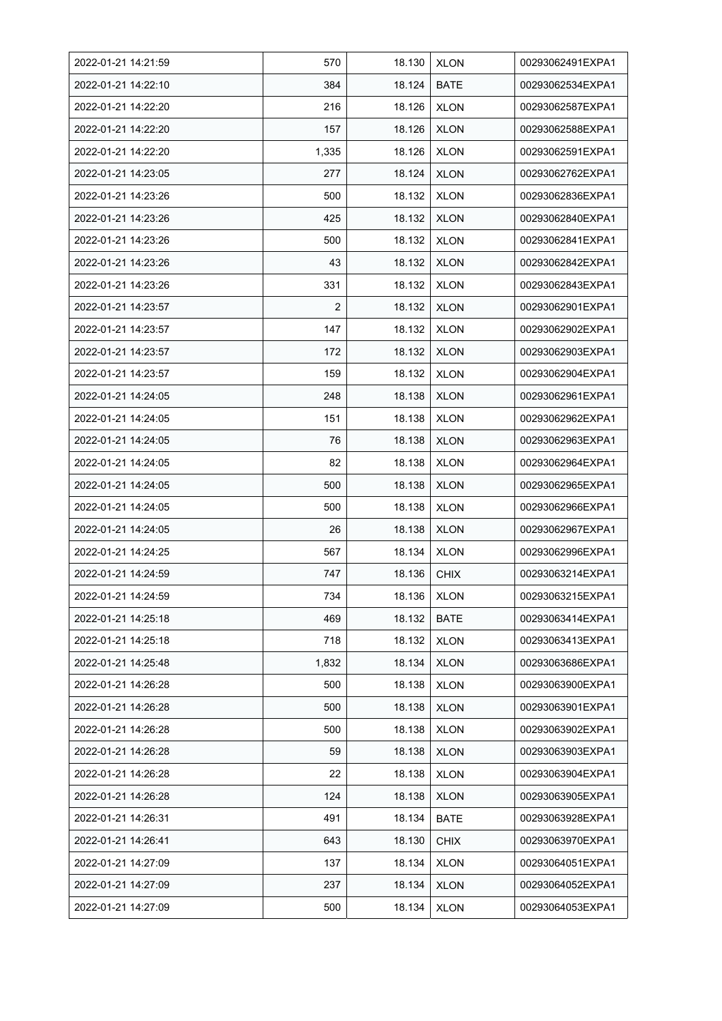| 2022-01-21 14:21:59 | 570            | 18.130 | <b>XLON</b> | 00293062491EXPA1 |
|---------------------|----------------|--------|-------------|------------------|
| 2022-01-21 14:22:10 | 384            | 18.124 | <b>BATE</b> | 00293062534EXPA1 |
| 2022-01-21 14:22:20 | 216            | 18.126 | <b>XLON</b> | 00293062587EXPA1 |
| 2022-01-21 14:22:20 | 157            | 18.126 | <b>XLON</b> | 00293062588EXPA1 |
| 2022-01-21 14:22:20 | 1,335          | 18.126 | <b>XLON</b> | 00293062591EXPA1 |
| 2022-01-21 14:23:05 | 277            | 18.124 | <b>XLON</b> | 00293062762EXPA1 |
| 2022-01-21 14:23:26 | 500            | 18.132 | <b>XLON</b> | 00293062836EXPA1 |
| 2022-01-21 14:23:26 | 425            | 18.132 | <b>XLON</b> | 00293062840EXPA1 |
| 2022-01-21 14:23:26 | 500            | 18.132 | <b>XLON</b> | 00293062841EXPA1 |
| 2022-01-21 14:23:26 | 43             | 18.132 | <b>XLON</b> | 00293062842EXPA1 |
| 2022-01-21 14:23:26 | 331            | 18.132 | <b>XLON</b> | 00293062843EXPA1 |
| 2022-01-21 14:23:57 | $\overline{2}$ | 18.132 | <b>XLON</b> | 00293062901EXPA1 |
| 2022-01-21 14:23:57 | 147            | 18.132 | <b>XLON</b> | 00293062902EXPA1 |
| 2022-01-21 14:23:57 | 172            | 18.132 | <b>XLON</b> | 00293062903EXPA1 |
| 2022-01-21 14:23:57 | 159            | 18.132 | <b>XLON</b> | 00293062904EXPA1 |
| 2022-01-21 14:24:05 | 248            | 18.138 | <b>XLON</b> | 00293062961EXPA1 |
| 2022-01-21 14:24:05 | 151            | 18.138 | <b>XLON</b> | 00293062962EXPA1 |
| 2022-01-21 14:24:05 | 76             | 18.138 | <b>XLON</b> | 00293062963EXPA1 |
| 2022-01-21 14:24:05 | 82             | 18.138 | <b>XLON</b> | 00293062964EXPA1 |
| 2022-01-21 14:24:05 | 500            | 18.138 | <b>XLON</b> | 00293062965EXPA1 |
| 2022-01-21 14:24:05 | 500            | 18.138 | <b>XLON</b> | 00293062966EXPA1 |
| 2022-01-21 14:24:05 | 26             | 18.138 | <b>XLON</b> | 00293062967EXPA1 |
| 2022-01-21 14:24:25 | 567            | 18.134 | <b>XLON</b> | 00293062996EXPA1 |
| 2022-01-21 14:24:59 | 747            | 18.136 | <b>CHIX</b> | 00293063214EXPA1 |
| 2022-01-21 14:24:59 | 734            | 18.136 | <b>XLON</b> | 00293063215EXPA1 |
| 2022-01-21 14:25:18 | 469            | 18.132 | BATE        | 00293063414EXPA1 |
| 2022-01-21 14:25:18 | 718            | 18.132 | <b>XLON</b> | 00293063413EXPA1 |
| 2022-01-21 14:25:48 | 1,832          | 18.134 | <b>XLON</b> | 00293063686EXPA1 |
| 2022-01-21 14:26:28 | 500            | 18.138 | <b>XLON</b> | 00293063900EXPA1 |
| 2022-01-21 14:26:28 | 500            | 18.138 | <b>XLON</b> | 00293063901EXPA1 |
| 2022-01-21 14:26:28 | 500            | 18.138 | <b>XLON</b> | 00293063902EXPA1 |
| 2022-01-21 14:26:28 | 59             | 18.138 | <b>XLON</b> | 00293063903EXPA1 |
| 2022-01-21 14:26:28 | 22             | 18.138 | <b>XLON</b> | 00293063904EXPA1 |
| 2022-01-21 14:26:28 | 124            | 18.138 | <b>XLON</b> | 00293063905EXPA1 |
| 2022-01-21 14:26:31 | 491            | 18.134 | BATE        | 00293063928EXPA1 |
| 2022-01-21 14:26:41 | 643            | 18.130 | <b>CHIX</b> | 00293063970EXPA1 |
| 2022-01-21 14:27:09 | 137            | 18.134 | <b>XLON</b> | 00293064051EXPA1 |
| 2022-01-21 14:27:09 | 237            | 18.134 | <b>XLON</b> | 00293064052EXPA1 |
| 2022-01-21 14:27:09 | 500            | 18.134 | <b>XLON</b> | 00293064053EXPA1 |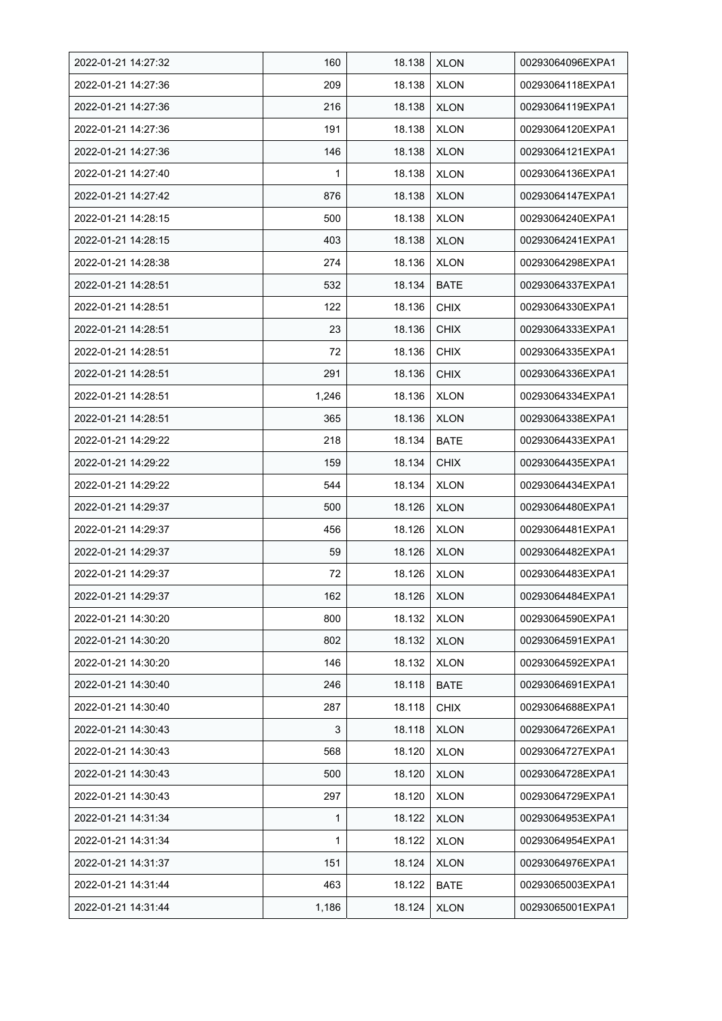| 2022-01-21 14:27:32 | 160   | 18.138 | <b>XLON</b> | 00293064096EXPA1 |
|---------------------|-------|--------|-------------|------------------|
| 2022-01-21 14:27:36 | 209   | 18.138 | <b>XLON</b> | 00293064118EXPA1 |
| 2022-01-21 14:27:36 | 216   | 18.138 | <b>XLON</b> | 00293064119EXPA1 |
| 2022-01-21 14:27:36 | 191   | 18.138 | <b>XLON</b> | 00293064120EXPA1 |
| 2022-01-21 14:27:36 | 146   | 18.138 | <b>XLON</b> | 00293064121EXPA1 |
| 2022-01-21 14:27:40 | 1     | 18.138 | <b>XLON</b> | 00293064136EXPA1 |
| 2022-01-21 14:27:42 | 876   | 18.138 | <b>XLON</b> | 00293064147EXPA1 |
| 2022-01-21 14:28:15 | 500   | 18.138 | <b>XLON</b> | 00293064240EXPA1 |
| 2022-01-21 14:28:15 | 403   | 18.138 | <b>XLON</b> | 00293064241EXPA1 |
| 2022-01-21 14:28:38 | 274   | 18.136 | <b>XLON</b> | 00293064298EXPA1 |
| 2022-01-21 14:28:51 | 532   | 18.134 | <b>BATE</b> | 00293064337EXPA1 |
| 2022-01-21 14:28:51 | 122   | 18.136 | <b>CHIX</b> | 00293064330EXPA1 |
| 2022-01-21 14:28:51 | 23    | 18.136 | <b>CHIX</b> | 00293064333EXPA1 |
| 2022-01-21 14:28:51 | 72    | 18.136 | <b>CHIX</b> | 00293064335EXPA1 |
| 2022-01-21 14:28:51 | 291   | 18.136 | <b>CHIX</b> | 00293064336EXPA1 |
| 2022-01-21 14:28:51 | 1,246 | 18.136 | <b>XLON</b> | 00293064334EXPA1 |
| 2022-01-21 14:28:51 | 365   | 18.136 | <b>XLON</b> | 00293064338EXPA1 |
| 2022-01-21 14:29:22 | 218   | 18.134 | <b>BATE</b> | 00293064433EXPA1 |
| 2022-01-21 14:29:22 | 159   | 18.134 | <b>CHIX</b> | 00293064435EXPA1 |
| 2022-01-21 14:29:22 | 544   | 18.134 | <b>XLON</b> | 00293064434EXPA1 |
| 2022-01-21 14:29:37 | 500   | 18.126 | <b>XLON</b> | 00293064480EXPA1 |
| 2022-01-21 14:29:37 | 456   | 18.126 | <b>XLON</b> | 00293064481EXPA1 |
| 2022-01-21 14:29:37 | 59    | 18.126 | <b>XLON</b> | 00293064482EXPA1 |
| 2022-01-21 14:29:37 | 72    | 18.126 | <b>XLON</b> | 00293064483EXPA1 |
| 2022-01-21 14:29:37 | 162   | 18.126 | <b>XLON</b> | 00293064484EXPA1 |
| 2022-01-21 14:30:20 | 800   | 18.132 | <b>XLON</b> | 00293064590EXPA1 |
| 2022-01-21 14:30:20 | 802   | 18.132 | <b>XLON</b> | 00293064591EXPA1 |
| 2022-01-21 14:30:20 | 146   | 18.132 | <b>XLON</b> | 00293064592EXPA1 |
| 2022-01-21 14:30:40 | 246   | 18.118 | BATE        | 00293064691EXPA1 |
| 2022-01-21 14:30:40 | 287   | 18.118 | <b>CHIX</b> | 00293064688EXPA1 |
| 2022-01-21 14:30:43 | 3     | 18.118 | <b>XLON</b> | 00293064726EXPA1 |
| 2022-01-21 14:30:43 | 568   | 18.120 | <b>XLON</b> | 00293064727EXPA1 |
| 2022-01-21 14:30:43 | 500   | 18.120 | <b>XLON</b> | 00293064728EXPA1 |
| 2022-01-21 14:30:43 | 297   | 18.120 | <b>XLON</b> | 00293064729EXPA1 |
| 2022-01-21 14:31:34 | 1     | 18.122 | <b>XLON</b> | 00293064953EXPA1 |
| 2022-01-21 14:31:34 | 1     | 18.122 | <b>XLON</b> | 00293064954EXPA1 |
| 2022-01-21 14:31:37 | 151   | 18.124 | <b>XLON</b> | 00293064976EXPA1 |
| 2022-01-21 14:31:44 | 463   | 18.122 | <b>BATE</b> | 00293065003EXPA1 |
| 2022-01-21 14:31:44 | 1,186 | 18.124 | <b>XLON</b> | 00293065001EXPA1 |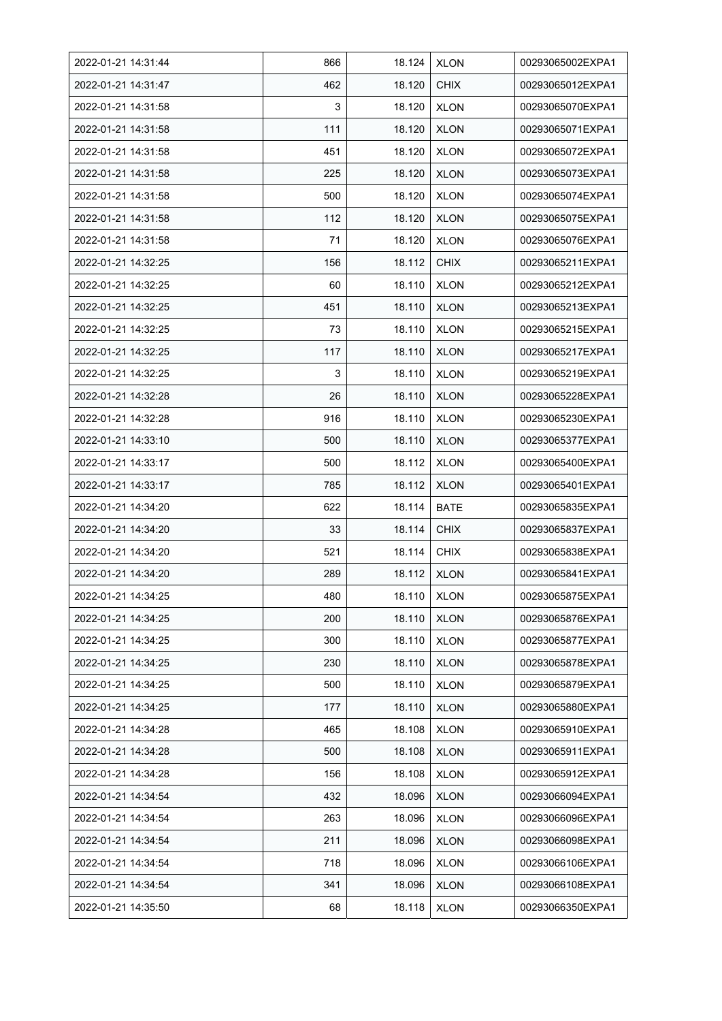| 2022-01-21 14:31:44 | 866 | 18.124 | <b>XLON</b> | 00293065002EXPA1 |
|---------------------|-----|--------|-------------|------------------|
| 2022-01-21 14:31:47 | 462 | 18.120 | <b>CHIX</b> | 00293065012EXPA1 |
| 2022-01-21 14:31:58 | 3   | 18.120 | <b>XLON</b> | 00293065070EXPA1 |
| 2022-01-21 14:31:58 | 111 | 18.120 | <b>XLON</b> | 00293065071EXPA1 |
| 2022-01-21 14:31:58 | 451 | 18.120 | <b>XLON</b> | 00293065072EXPA1 |
| 2022-01-21 14:31:58 | 225 | 18.120 | <b>XLON</b> | 00293065073EXPA1 |
| 2022-01-21 14:31:58 | 500 | 18.120 | <b>XLON</b> | 00293065074EXPA1 |
| 2022-01-21 14:31:58 | 112 | 18.120 | <b>XLON</b> | 00293065075EXPA1 |
| 2022-01-21 14:31:58 | 71  | 18.120 | <b>XLON</b> | 00293065076EXPA1 |
| 2022-01-21 14:32:25 | 156 | 18.112 | <b>CHIX</b> | 00293065211EXPA1 |
| 2022-01-21 14:32:25 | 60  | 18.110 | <b>XLON</b> | 00293065212EXPA1 |
| 2022-01-21 14:32:25 | 451 | 18.110 | <b>XLON</b> | 00293065213EXPA1 |
| 2022-01-21 14:32:25 | 73  | 18.110 | <b>XLON</b> | 00293065215EXPA1 |
| 2022-01-21 14:32:25 | 117 | 18.110 | <b>XLON</b> | 00293065217EXPA1 |
| 2022-01-21 14:32:25 | 3   | 18.110 | <b>XLON</b> | 00293065219EXPA1 |
| 2022-01-21 14:32:28 | 26  | 18.110 | <b>XLON</b> | 00293065228EXPA1 |
| 2022-01-21 14:32:28 | 916 | 18.110 | <b>XLON</b> | 00293065230EXPA1 |
| 2022-01-21 14:33:10 | 500 | 18.110 | <b>XLON</b> | 00293065377EXPA1 |
| 2022-01-21 14:33:17 | 500 | 18.112 | <b>XLON</b> | 00293065400EXPA1 |
| 2022-01-21 14:33:17 | 785 | 18.112 | <b>XLON</b> | 00293065401EXPA1 |
| 2022-01-21 14:34:20 | 622 | 18.114 | <b>BATE</b> | 00293065835EXPA1 |
| 2022-01-21 14:34:20 | 33  | 18.114 | <b>CHIX</b> | 00293065837EXPA1 |
| 2022-01-21 14:34:20 | 521 | 18.114 | <b>CHIX</b> | 00293065838EXPA1 |
| 2022-01-21 14:34:20 | 289 | 18.112 | <b>XLON</b> | 00293065841EXPA1 |
| 2022-01-21 14:34:25 | 480 | 18.110 | <b>XLON</b> | 00293065875EXPA1 |
| 2022-01-21 14:34:25 | 200 | 18.110 | <b>XLON</b> | 00293065876EXPA1 |
| 2022-01-21 14:34:25 | 300 | 18.110 | <b>XLON</b> | 00293065877EXPA1 |
| 2022-01-21 14:34:25 | 230 | 18.110 | <b>XLON</b> | 00293065878EXPA1 |
| 2022-01-21 14:34:25 | 500 | 18.110 | <b>XLON</b> | 00293065879EXPA1 |
| 2022-01-21 14:34:25 | 177 | 18.110 | <b>XLON</b> | 00293065880EXPA1 |
| 2022-01-21 14:34:28 | 465 | 18.108 | <b>XLON</b> | 00293065910EXPA1 |
| 2022-01-21 14:34:28 | 500 | 18.108 | <b>XLON</b> | 00293065911EXPA1 |
| 2022-01-21 14:34:28 | 156 | 18.108 | <b>XLON</b> | 00293065912EXPA1 |
| 2022-01-21 14:34:54 | 432 | 18.096 | <b>XLON</b> | 00293066094EXPA1 |
| 2022-01-21 14:34:54 | 263 | 18.096 | <b>XLON</b> | 00293066096EXPA1 |
| 2022-01-21 14:34:54 | 211 | 18.096 | <b>XLON</b> | 00293066098EXPA1 |
| 2022-01-21 14:34:54 | 718 | 18.096 | <b>XLON</b> | 00293066106EXPA1 |
| 2022-01-21 14:34:54 | 341 | 18.096 | <b>XLON</b> | 00293066108EXPA1 |
| 2022-01-21 14:35:50 | 68  | 18.118 | <b>XLON</b> | 00293066350EXPA1 |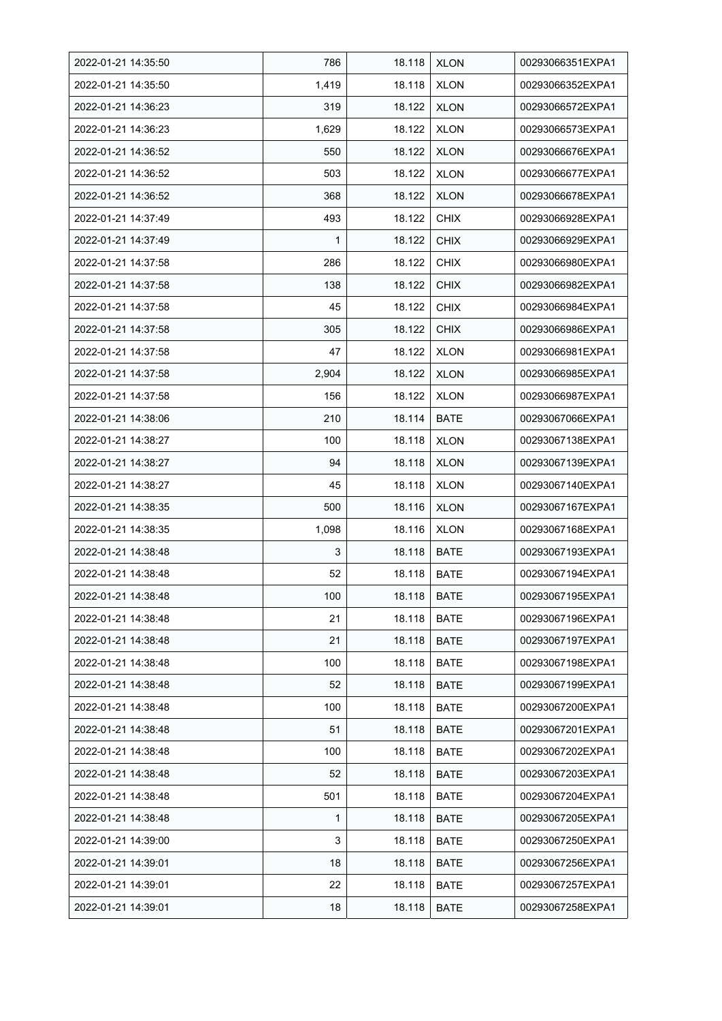| 2022-01-21 14:35:50 | 786          | 18.118 | <b>XLON</b> | 00293066351EXPA1 |
|---------------------|--------------|--------|-------------|------------------|
| 2022-01-21 14:35:50 | 1,419        | 18.118 | <b>XLON</b> | 00293066352EXPA1 |
| 2022-01-21 14:36:23 | 319          | 18.122 | <b>XLON</b> | 00293066572EXPA1 |
| 2022-01-21 14:36:23 | 1,629        | 18.122 | <b>XLON</b> | 00293066573EXPA1 |
| 2022-01-21 14:36:52 | 550          | 18.122 | <b>XLON</b> | 00293066676EXPA1 |
| 2022-01-21 14:36:52 | 503          | 18.122 | <b>XLON</b> | 00293066677EXPA1 |
| 2022-01-21 14:36:52 | 368          | 18.122 | <b>XLON</b> | 00293066678EXPA1 |
| 2022-01-21 14:37:49 | 493          | 18.122 | <b>CHIX</b> | 00293066928EXPA1 |
| 2022-01-21 14:37:49 | $\mathbf{1}$ | 18.122 | <b>CHIX</b> | 00293066929EXPA1 |
| 2022-01-21 14:37:58 | 286          | 18.122 | <b>CHIX</b> | 00293066980EXPA1 |
| 2022-01-21 14:37:58 | 138          | 18.122 | <b>CHIX</b> | 00293066982EXPA1 |
| 2022-01-21 14:37:58 | 45           | 18.122 | <b>CHIX</b> | 00293066984EXPA1 |
| 2022-01-21 14:37:58 | 305          | 18.122 | <b>CHIX</b> | 00293066986EXPA1 |
| 2022-01-21 14:37:58 | 47           | 18.122 | XLON        | 00293066981EXPA1 |
| 2022-01-21 14:37:58 | 2,904        | 18.122 | <b>XLON</b> | 00293066985EXPA1 |
| 2022-01-21 14:37:58 | 156          | 18.122 | <b>XLON</b> | 00293066987EXPA1 |
| 2022-01-21 14:38:06 | 210          | 18.114 | <b>BATE</b> | 00293067066EXPA1 |
| 2022-01-21 14:38:27 | 100          | 18.118 | <b>XLON</b> | 00293067138EXPA1 |
| 2022-01-21 14:38:27 | 94           | 18.118 | <b>XLON</b> | 00293067139EXPA1 |
| 2022-01-21 14:38:27 | 45           | 18.118 | <b>XLON</b> | 00293067140EXPA1 |
| 2022-01-21 14:38:35 | 500          | 18.116 | <b>XLON</b> | 00293067167EXPA1 |
| 2022-01-21 14:38:35 | 1,098        | 18.116 | <b>XLON</b> | 00293067168EXPA1 |
| 2022-01-21 14:38:48 | 3            | 18.118 | <b>BATE</b> | 00293067193EXPA1 |
| 2022-01-21 14:38:48 | 52           | 18.118 | <b>BATE</b> | 00293067194EXPA1 |
| 2022-01-21 14:38:48 | 100          | 18.118 | <b>BATE</b> | 00293067195EXPA1 |
| 2022-01-21 14:38:48 | 21           | 18.118 | <b>BATE</b> | 00293067196EXPA1 |
| 2022-01-21 14:38:48 | 21           | 18.118 | <b>BATE</b> | 00293067197EXPA1 |
| 2022-01-21 14:38:48 | 100          | 18.118 | <b>BATE</b> | 00293067198EXPA1 |
| 2022-01-21 14:38:48 | 52           | 18.118 | <b>BATE</b> | 00293067199EXPA1 |
| 2022-01-21 14:38:48 | 100          | 18.118 | <b>BATE</b> | 00293067200EXPA1 |
| 2022-01-21 14:38:48 | 51           | 18.118 | <b>BATE</b> | 00293067201EXPA1 |
| 2022-01-21 14:38:48 | 100          | 18.118 | <b>BATE</b> | 00293067202EXPA1 |
| 2022-01-21 14:38:48 | 52           | 18.118 | <b>BATE</b> | 00293067203EXPA1 |
| 2022-01-21 14:38:48 | 501          | 18.118 | <b>BATE</b> | 00293067204EXPA1 |
| 2022-01-21 14:38:48 | 1            | 18.118 | BATE        | 00293067205EXPA1 |
| 2022-01-21 14:39:00 | 3            | 18.118 | BATE        | 00293067250EXPA1 |
| 2022-01-21 14:39:01 | 18           | 18.118 | BATE        | 00293067256EXPA1 |
| 2022-01-21 14:39:01 | 22           | 18.118 | <b>BATE</b> | 00293067257EXPA1 |
| 2022-01-21 14:39:01 | 18           | 18.118 | <b>BATE</b> | 00293067258EXPA1 |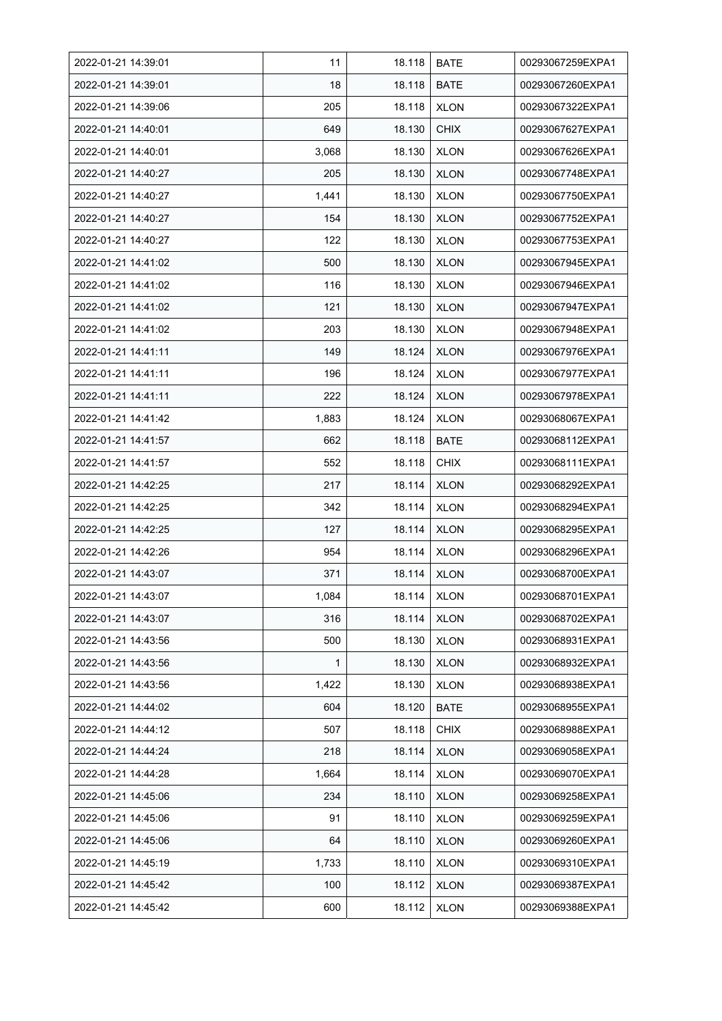| 2022-01-21 14:39:01 | 11    | 18.118 | <b>BATE</b> | 00293067259EXPA1 |
|---------------------|-------|--------|-------------|------------------|
| 2022-01-21 14:39:01 | 18    | 18.118 | <b>BATE</b> | 00293067260EXPA1 |
| 2022-01-21 14:39:06 | 205   | 18.118 | <b>XLON</b> | 00293067322EXPA1 |
| 2022-01-21 14:40:01 | 649   | 18.130 | <b>CHIX</b> | 00293067627EXPA1 |
| 2022-01-21 14:40:01 | 3,068 | 18.130 | <b>XLON</b> | 00293067626EXPA1 |
| 2022-01-21 14:40:27 | 205   | 18.130 | <b>XLON</b> | 00293067748EXPA1 |
| 2022-01-21 14:40:27 | 1,441 | 18.130 | <b>XLON</b> | 00293067750EXPA1 |
| 2022-01-21 14:40:27 | 154   | 18.130 | <b>XLON</b> | 00293067752EXPA1 |
| 2022-01-21 14:40:27 | 122   | 18.130 | <b>XLON</b> | 00293067753EXPA1 |
| 2022-01-21 14:41:02 | 500   | 18.130 | <b>XLON</b> | 00293067945EXPA1 |
| 2022-01-21 14:41:02 | 116   | 18.130 | <b>XLON</b> | 00293067946EXPA1 |
| 2022-01-21 14:41:02 | 121   | 18.130 | <b>XLON</b> | 00293067947EXPA1 |
| 2022-01-21 14:41:02 | 203   | 18.130 | <b>XLON</b> | 00293067948EXPA1 |
| 2022-01-21 14:41:11 | 149   | 18.124 | <b>XLON</b> | 00293067976EXPA1 |
| 2022-01-21 14:41:11 | 196   | 18.124 | <b>XLON</b> | 00293067977EXPA1 |
| 2022-01-21 14:41:11 | 222   | 18.124 | <b>XLON</b> | 00293067978EXPA1 |
| 2022-01-21 14:41:42 | 1,883 | 18.124 | <b>XLON</b> | 00293068067EXPA1 |
| 2022-01-21 14:41:57 | 662   | 18.118 | <b>BATE</b> | 00293068112EXPA1 |
| 2022-01-21 14:41:57 | 552   | 18.118 | <b>CHIX</b> | 00293068111EXPA1 |
| 2022-01-21 14:42:25 | 217   | 18.114 | <b>XLON</b> | 00293068292EXPA1 |
| 2022-01-21 14:42:25 | 342   | 18.114 | <b>XLON</b> | 00293068294EXPA1 |
| 2022-01-21 14:42:25 | 127   | 18.114 | <b>XLON</b> | 00293068295EXPA1 |
| 2022-01-21 14:42:26 | 954   | 18.114 | <b>XLON</b> | 00293068296EXPA1 |
| 2022-01-21 14:43:07 | 371   | 18.114 | <b>XLON</b> | 00293068700EXPA1 |
| 2022-01-21 14:43:07 | 1,084 | 18.114 | <b>XLON</b> | 00293068701EXPA1 |
| 2022-01-21 14:43:07 | 316   | 18.114 | <b>XLON</b> | 00293068702EXPA1 |
| 2022-01-21 14:43:56 | 500   | 18.130 | <b>XLON</b> | 00293068931EXPA1 |
| 2022-01-21 14:43:56 | 1     | 18.130 | <b>XLON</b> | 00293068932EXPA1 |
| 2022-01-21 14:43:56 | 1,422 | 18.130 | <b>XLON</b> | 00293068938EXPA1 |
| 2022-01-21 14:44:02 | 604   | 18.120 | <b>BATE</b> | 00293068955EXPA1 |
| 2022-01-21 14:44:12 | 507   | 18.118 | <b>CHIX</b> | 00293068988EXPA1 |
| 2022-01-21 14:44:24 | 218   | 18.114 | <b>XLON</b> | 00293069058EXPA1 |
| 2022-01-21 14:44:28 | 1,664 | 18.114 | <b>XLON</b> | 00293069070EXPA1 |
| 2022-01-21 14:45:06 | 234   | 18.110 | <b>XLON</b> | 00293069258EXPA1 |
| 2022-01-21 14:45:06 | 91    | 18.110 | <b>XLON</b> | 00293069259EXPA1 |
| 2022-01-21 14:45:06 | 64    | 18.110 | <b>XLON</b> | 00293069260EXPA1 |
| 2022-01-21 14:45:19 | 1,733 | 18.110 | <b>XLON</b> | 00293069310EXPA1 |
| 2022-01-21 14:45:42 | 100   | 18.112 | <b>XLON</b> | 00293069387EXPA1 |
| 2022-01-21 14:45:42 | 600   | 18.112 | <b>XLON</b> | 00293069388EXPA1 |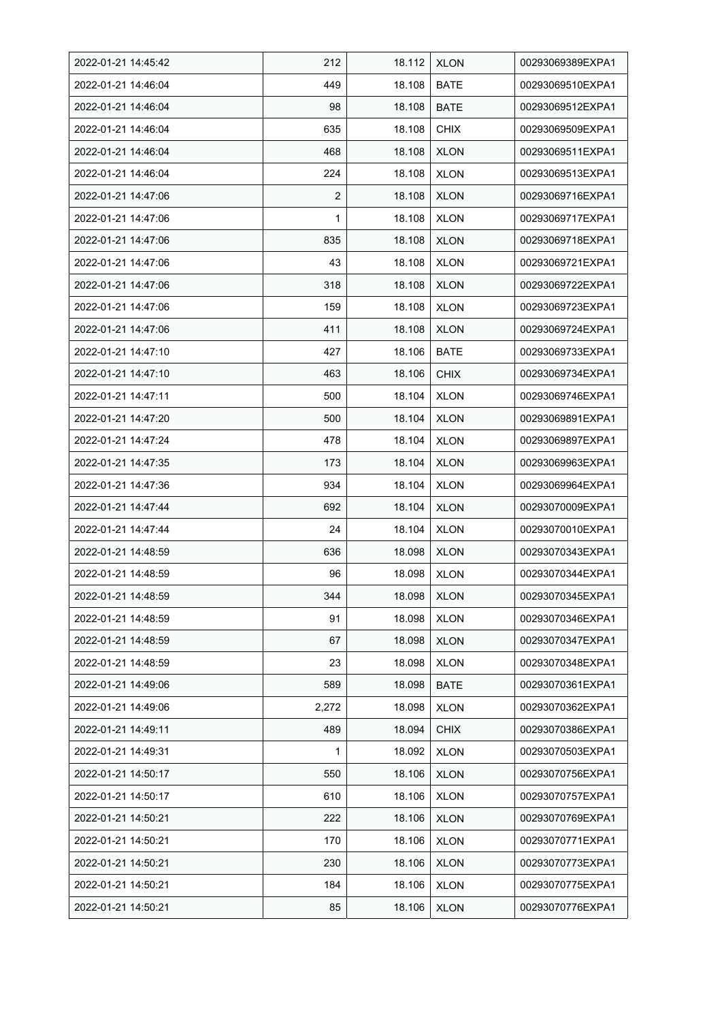| 2022-01-21 14:45:42 | 212   | 18.112 | <b>XLON</b> | 00293069389EXPA1 |
|---------------------|-------|--------|-------------|------------------|
| 2022-01-21 14:46:04 | 449   | 18.108 | <b>BATE</b> | 00293069510EXPA1 |
| 2022-01-21 14:46:04 | 98    | 18.108 | <b>BATE</b> | 00293069512EXPA1 |
| 2022-01-21 14:46:04 | 635   | 18.108 | <b>CHIX</b> | 00293069509EXPA1 |
| 2022-01-21 14:46:04 | 468   | 18.108 | <b>XLON</b> | 00293069511EXPA1 |
| 2022-01-21 14:46:04 | 224   | 18.108 | <b>XLON</b> | 00293069513EXPA1 |
| 2022-01-21 14:47:06 | 2     | 18.108 | <b>XLON</b> | 00293069716EXPA1 |
| 2022-01-21 14:47:06 | 1     | 18.108 | <b>XLON</b> | 00293069717EXPA1 |
| 2022-01-21 14:47:06 | 835   | 18.108 | <b>XLON</b> | 00293069718EXPA1 |
| 2022-01-21 14:47:06 | 43    | 18.108 | <b>XLON</b> | 00293069721EXPA1 |
| 2022-01-21 14:47:06 | 318   | 18.108 | <b>XLON</b> | 00293069722EXPA1 |
| 2022-01-21 14:47:06 | 159   | 18.108 | <b>XLON</b> | 00293069723EXPA1 |
| 2022-01-21 14:47:06 | 411   | 18.108 | <b>XLON</b> | 00293069724EXPA1 |
| 2022-01-21 14:47:10 | 427   | 18.106 | <b>BATE</b> | 00293069733EXPA1 |
| 2022-01-21 14:47:10 | 463   | 18.106 | <b>CHIX</b> | 00293069734EXPA1 |
| 2022-01-21 14:47:11 | 500   | 18.104 | <b>XLON</b> | 00293069746EXPA1 |
| 2022-01-21 14:47:20 | 500   | 18.104 | <b>XLON</b> | 00293069891EXPA1 |
| 2022-01-21 14:47:24 | 478   | 18.104 | <b>XLON</b> | 00293069897EXPA1 |
| 2022-01-21 14:47:35 | 173   | 18.104 | <b>XLON</b> | 00293069963EXPA1 |
| 2022-01-21 14:47:36 | 934   | 18.104 | <b>XLON</b> | 00293069964EXPA1 |
| 2022-01-21 14:47:44 | 692   | 18.104 | <b>XLON</b> | 00293070009EXPA1 |
| 2022-01-21 14:47:44 | 24    | 18.104 | <b>XLON</b> | 00293070010EXPA1 |
| 2022-01-21 14:48:59 | 636   | 18.098 | <b>XLON</b> | 00293070343EXPA1 |
| 2022-01-21 14:48:59 | 96    | 18.098 | <b>XLON</b> | 00293070344EXPA1 |
| 2022-01-21 14:48:59 | 344   | 18.098 | <b>XLON</b> | 00293070345EXPA1 |
| 2022-01-21 14:48:59 | 91    | 18.098 | <b>XLON</b> | 00293070346EXPA1 |
| 2022-01-21 14:48:59 | 67    | 18.098 | <b>XLON</b> | 00293070347EXPA1 |
| 2022-01-21 14:48:59 | 23    | 18.098 | <b>XLON</b> | 00293070348EXPA1 |
| 2022-01-21 14:49:06 | 589   | 18.098 | <b>BATE</b> | 00293070361EXPA1 |
| 2022-01-21 14:49:06 | 2,272 | 18.098 | <b>XLON</b> | 00293070362EXPA1 |
| 2022-01-21 14:49:11 | 489   | 18.094 | <b>CHIX</b> | 00293070386EXPA1 |
| 2022-01-21 14:49:31 | 1     | 18.092 | <b>XLON</b> | 00293070503EXPA1 |
| 2022-01-21 14:50:17 | 550   | 18.106 | <b>XLON</b> | 00293070756EXPA1 |
| 2022-01-21 14:50:17 | 610   | 18.106 | <b>XLON</b> | 00293070757EXPA1 |
| 2022-01-21 14:50:21 | 222   | 18.106 | <b>XLON</b> | 00293070769EXPA1 |
| 2022-01-21 14:50:21 | 170   | 18.106 | <b>XLON</b> | 00293070771EXPA1 |
| 2022-01-21 14:50:21 | 230   | 18.106 | <b>XLON</b> | 00293070773EXPA1 |
| 2022-01-21 14:50:21 | 184   | 18.106 | <b>XLON</b> | 00293070775EXPA1 |
| 2022-01-21 14:50:21 | 85    | 18.106 | <b>XLON</b> | 00293070776EXPA1 |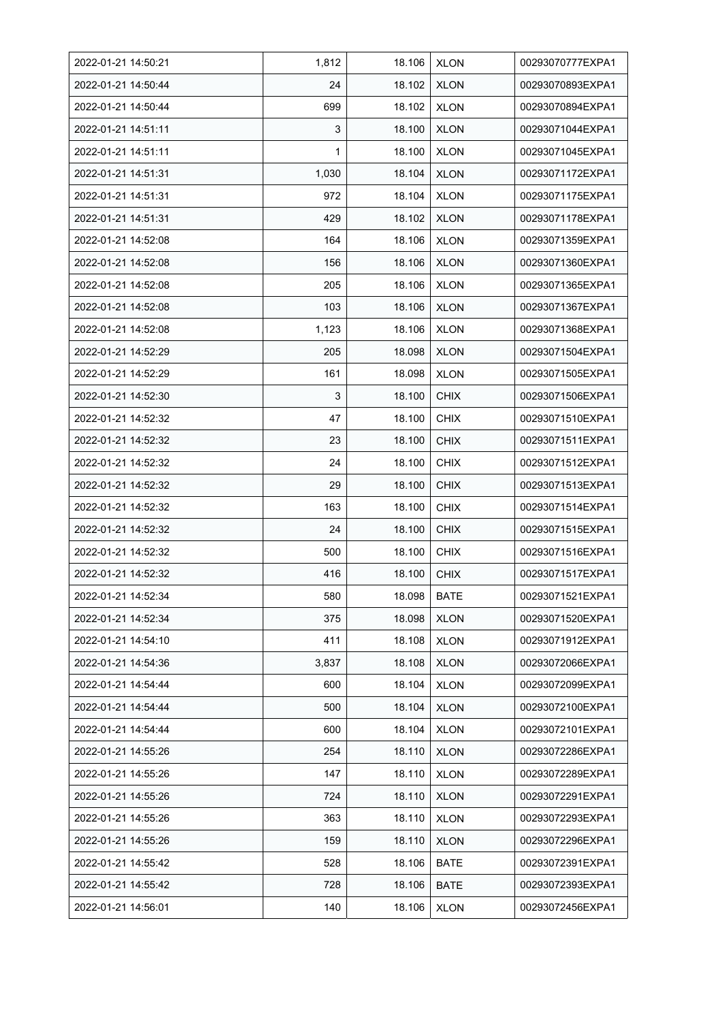| 2022-01-21 14:50:21 | 1,812 | 18.106 | <b>XLON</b> | 00293070777EXPA1 |
|---------------------|-------|--------|-------------|------------------|
| 2022-01-21 14:50:44 | 24    | 18.102 | <b>XLON</b> | 00293070893EXPA1 |
| 2022-01-21 14:50:44 | 699   | 18.102 | <b>XLON</b> | 00293070894EXPA1 |
| 2022-01-21 14:51:11 | 3     | 18.100 | <b>XLON</b> | 00293071044EXPA1 |
| 2022-01-21 14:51:11 | 1     | 18.100 | <b>XLON</b> | 00293071045EXPA1 |
| 2022-01-21 14:51:31 | 1,030 | 18.104 | <b>XLON</b> | 00293071172EXPA1 |
| 2022-01-21 14:51:31 | 972   | 18.104 | <b>XLON</b> | 00293071175EXPA1 |
| 2022-01-21 14:51:31 | 429   | 18.102 | <b>XLON</b> | 00293071178EXPA1 |
| 2022-01-21 14:52:08 | 164   | 18.106 | <b>XLON</b> | 00293071359EXPA1 |
| 2022-01-21 14:52:08 | 156   | 18.106 | <b>XLON</b> | 00293071360EXPA1 |
| 2022-01-21 14:52:08 | 205   | 18.106 | <b>XLON</b> | 00293071365EXPA1 |
| 2022-01-21 14:52:08 | 103   | 18.106 | <b>XLON</b> | 00293071367EXPA1 |
| 2022-01-21 14:52:08 | 1,123 | 18.106 | <b>XLON</b> | 00293071368EXPA1 |
| 2022-01-21 14:52:29 | 205   | 18.098 | <b>XLON</b> | 00293071504EXPA1 |
| 2022-01-21 14:52:29 | 161   | 18.098 | <b>XLON</b> | 00293071505EXPA1 |
| 2022-01-21 14:52:30 | 3     | 18.100 | <b>CHIX</b> | 00293071506EXPA1 |
| 2022-01-21 14:52:32 | 47    | 18.100 | <b>CHIX</b> | 00293071510EXPA1 |
| 2022-01-21 14:52:32 | 23    | 18.100 | <b>CHIX</b> | 00293071511EXPA1 |
| 2022-01-21 14:52:32 | 24    | 18.100 | <b>CHIX</b> | 00293071512EXPA1 |
| 2022-01-21 14:52:32 | 29    | 18.100 | <b>CHIX</b> | 00293071513EXPA1 |
| 2022-01-21 14:52:32 | 163   | 18.100 | <b>CHIX</b> | 00293071514EXPA1 |
| 2022-01-21 14:52:32 | 24    | 18.100 | <b>CHIX</b> | 00293071515EXPA1 |
| 2022-01-21 14:52:32 | 500   | 18.100 | <b>CHIX</b> | 00293071516EXPA1 |
| 2022-01-21 14:52:32 | 416   | 18.100 | <b>CHIX</b> | 00293071517EXPA1 |
| 2022-01-21 14:52:34 | 580   | 18.098 | <b>BATE</b> | 00293071521EXPA1 |
| 2022-01-21 14:52:34 | 375   | 18.098 | <b>XLON</b> | 00293071520EXPA1 |
| 2022-01-21 14:54:10 | 411   | 18.108 | <b>XLON</b> | 00293071912EXPA1 |
| 2022-01-21 14:54:36 | 3,837 | 18.108 | <b>XLON</b> | 00293072066EXPA1 |
| 2022-01-21 14:54:44 | 600   | 18.104 | <b>XLON</b> | 00293072099EXPA1 |
| 2022-01-21 14:54:44 | 500   | 18.104 | <b>XLON</b> | 00293072100EXPA1 |
| 2022-01-21 14:54:44 | 600   | 18.104 | <b>XLON</b> | 00293072101EXPA1 |
| 2022-01-21 14:55:26 | 254   | 18.110 | <b>XLON</b> | 00293072286EXPA1 |
| 2022-01-21 14:55:26 | 147   | 18.110 | <b>XLON</b> | 00293072289EXPA1 |
| 2022-01-21 14:55:26 | 724   | 18.110 | <b>XLON</b> | 00293072291EXPA1 |
| 2022-01-21 14:55:26 | 363   | 18.110 | <b>XLON</b> | 00293072293EXPA1 |
| 2022-01-21 14:55:26 | 159   | 18.110 | <b>XLON</b> | 00293072296EXPA1 |
| 2022-01-21 14:55:42 | 528   | 18.106 | BATE        | 00293072391EXPA1 |
| 2022-01-21 14:55:42 | 728   | 18.106 | <b>BATE</b> | 00293072393EXPA1 |
| 2022-01-21 14:56:01 | 140   | 18.106 | <b>XLON</b> | 00293072456EXPA1 |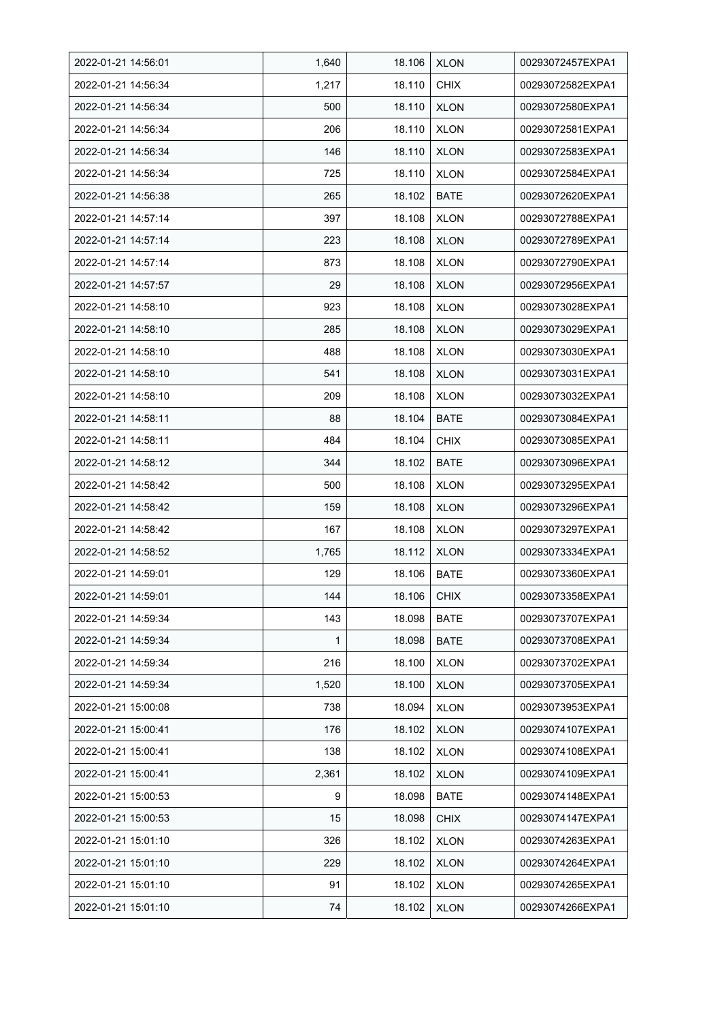| 2022-01-21 14:56:01 | 1,640 | 18.106 | <b>XLON</b> | 00293072457EXPA1 |
|---------------------|-------|--------|-------------|------------------|
| 2022-01-21 14:56:34 | 1,217 | 18.110 | <b>CHIX</b> | 00293072582EXPA1 |
| 2022-01-21 14:56:34 | 500   | 18.110 | <b>XLON</b> | 00293072580EXPA1 |
| 2022-01-21 14:56:34 | 206   | 18.110 | <b>XLON</b> | 00293072581EXPA1 |
| 2022-01-21 14:56:34 | 146   | 18.110 | <b>XLON</b> | 00293072583EXPA1 |
| 2022-01-21 14:56:34 | 725   | 18.110 | <b>XLON</b> | 00293072584EXPA1 |
| 2022-01-21 14:56:38 | 265   | 18.102 | <b>BATE</b> | 00293072620EXPA1 |
| 2022-01-21 14:57:14 | 397   | 18.108 | <b>XLON</b> | 00293072788EXPA1 |
| 2022-01-21 14:57:14 | 223   | 18.108 | <b>XLON</b> | 00293072789EXPA1 |
| 2022-01-21 14:57:14 | 873   | 18.108 | <b>XLON</b> | 00293072790EXPA1 |
| 2022-01-21 14:57:57 | 29    | 18.108 | <b>XLON</b> | 00293072956EXPA1 |
| 2022-01-21 14:58:10 | 923   | 18.108 | <b>XLON</b> | 00293073028EXPA1 |
| 2022-01-21 14:58:10 | 285   | 18.108 | <b>XLON</b> | 00293073029EXPA1 |
| 2022-01-21 14:58:10 | 488   | 18.108 | <b>XLON</b> | 00293073030EXPA1 |
| 2022-01-21 14:58:10 | 541   | 18.108 | <b>XLON</b> | 00293073031EXPA1 |
| 2022-01-21 14:58:10 | 209   | 18.108 | <b>XLON</b> | 00293073032EXPA1 |
| 2022-01-21 14:58:11 | 88    | 18.104 | <b>BATE</b> | 00293073084EXPA1 |
| 2022-01-21 14:58:11 | 484   | 18.104 | <b>CHIX</b> | 00293073085EXPA1 |
| 2022-01-21 14:58:12 | 344   | 18.102 | <b>BATE</b> | 00293073096EXPA1 |
| 2022-01-21 14:58:42 | 500   | 18.108 | <b>XLON</b> | 00293073295EXPA1 |
| 2022-01-21 14:58:42 | 159   | 18.108 | <b>XLON</b> | 00293073296EXPA1 |
| 2022-01-21 14:58:42 | 167   | 18.108 | <b>XLON</b> | 00293073297EXPA1 |
| 2022-01-21 14:58:52 | 1,765 | 18.112 | <b>XLON</b> | 00293073334EXPA1 |
| 2022-01-21 14:59:01 | 129   | 18.106 | <b>BATE</b> | 00293073360EXPA1 |
| 2022-01-21 14:59:01 | 144   | 18.106 | CHIX        | 00293073358EXPA1 |
| 2022-01-21 14:59:34 | 143   | 18.098 | <b>BATE</b> | 00293073707EXPA1 |
| 2022-01-21 14:59:34 | 1     | 18.098 | <b>BATE</b> | 00293073708EXPA1 |
| 2022-01-21 14:59:34 | 216   | 18.100 | <b>XLON</b> | 00293073702EXPA1 |
| 2022-01-21 14:59:34 | 1,520 | 18.100 | <b>XLON</b> | 00293073705EXPA1 |
| 2022-01-21 15:00:08 | 738   | 18.094 | <b>XLON</b> | 00293073953EXPA1 |
| 2022-01-21 15:00:41 | 176   | 18.102 | <b>XLON</b> | 00293074107EXPA1 |
| 2022-01-21 15:00:41 | 138   | 18.102 | <b>XLON</b> | 00293074108EXPA1 |
| 2022-01-21 15:00:41 | 2,361 | 18.102 | <b>XLON</b> | 00293074109EXPA1 |
| 2022-01-21 15:00:53 | 9     | 18.098 | <b>BATE</b> | 00293074148EXPA1 |
| 2022-01-21 15:00:53 | 15    | 18.098 | <b>CHIX</b> | 00293074147EXPA1 |
| 2022-01-21 15:01:10 | 326   | 18.102 | <b>XLON</b> | 00293074263EXPA1 |
| 2022-01-21 15:01:10 | 229   | 18.102 | <b>XLON</b> | 00293074264EXPA1 |
| 2022-01-21 15:01:10 | 91    | 18.102 | <b>XLON</b> | 00293074265EXPA1 |
| 2022-01-21 15:01:10 | 74    | 18.102 | <b>XLON</b> | 00293074266EXPA1 |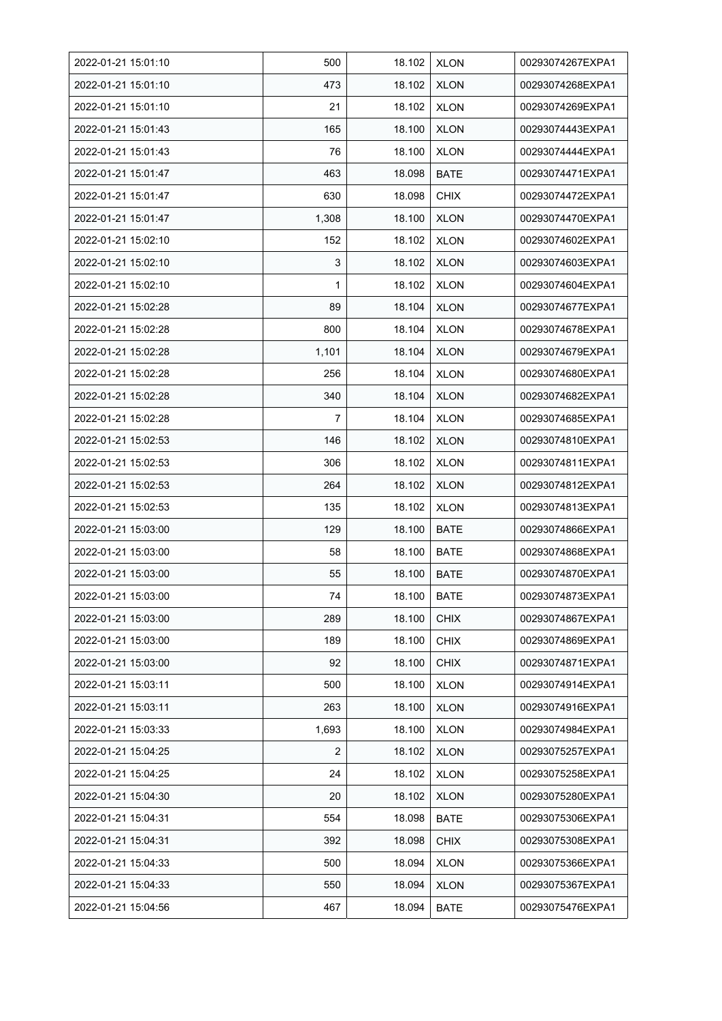| 2022-01-21 15:01:10 | 500   | 18.102 | <b>XLON</b> | 00293074267EXPA1 |
|---------------------|-------|--------|-------------|------------------|
| 2022-01-21 15:01:10 | 473   | 18.102 | <b>XLON</b> | 00293074268EXPA1 |
| 2022-01-21 15:01:10 | 21    | 18.102 | <b>XLON</b> | 00293074269EXPA1 |
| 2022-01-21 15:01:43 | 165   | 18.100 | <b>XLON</b> | 00293074443EXPA1 |
| 2022-01-21 15:01:43 | 76    | 18.100 | <b>XLON</b> | 00293074444EXPA1 |
| 2022-01-21 15:01:47 | 463   | 18.098 | <b>BATE</b> | 00293074471EXPA1 |
| 2022-01-21 15:01:47 | 630   | 18.098 | <b>CHIX</b> | 00293074472EXPA1 |
| 2022-01-21 15:01:47 | 1,308 | 18.100 | <b>XLON</b> | 00293074470EXPA1 |
| 2022-01-21 15:02:10 | 152   | 18.102 | <b>XLON</b> | 00293074602EXPA1 |
| 2022-01-21 15:02:10 | 3     | 18.102 | <b>XLON</b> | 00293074603EXPA1 |
| 2022-01-21 15:02:10 | 1     | 18.102 | <b>XLON</b> | 00293074604EXPA1 |
| 2022-01-21 15:02:28 | 89    | 18.104 | <b>XLON</b> | 00293074677EXPA1 |
| 2022-01-21 15:02:28 | 800   | 18.104 | <b>XLON</b> | 00293074678EXPA1 |
| 2022-01-21 15:02:28 | 1,101 | 18.104 | <b>XLON</b> | 00293074679EXPA1 |
| 2022-01-21 15:02:28 | 256   | 18.104 | <b>XLON</b> | 00293074680EXPA1 |
| 2022-01-21 15:02:28 | 340   | 18.104 | <b>XLON</b> | 00293074682EXPA1 |
| 2022-01-21 15:02:28 | 7     | 18.104 | <b>XLON</b> | 00293074685EXPA1 |
| 2022-01-21 15:02:53 | 146   | 18.102 | <b>XLON</b> | 00293074810EXPA1 |
| 2022-01-21 15:02:53 | 306   | 18.102 | <b>XLON</b> | 00293074811EXPA1 |
| 2022-01-21 15:02:53 | 264   | 18.102 | <b>XLON</b> | 00293074812EXPA1 |
| 2022-01-21 15:02:53 | 135   | 18.102 | <b>XLON</b> | 00293074813EXPA1 |
| 2022-01-21 15:03:00 | 129   | 18.100 | <b>BATE</b> | 00293074866EXPA1 |
| 2022-01-21 15:03:00 | 58    | 18.100 | <b>BATE</b> | 00293074868EXPA1 |
| 2022-01-21 15:03:00 | 55    | 18.100 | <b>BATE</b> | 00293074870EXPA1 |
| 2022-01-21 15:03:00 | 74    | 18.100 | <b>BATE</b> | 00293074873EXPA1 |
| 2022-01-21 15:03:00 | 289   | 18.100 | <b>CHIX</b> | 00293074867EXPA1 |
| 2022-01-21 15:03:00 | 189   | 18.100 | <b>CHIX</b> | 00293074869EXPA1 |
| 2022-01-21 15:03:00 | 92    | 18.100 | <b>CHIX</b> | 00293074871EXPA1 |
| 2022-01-21 15:03:11 | 500   | 18.100 | <b>XLON</b> | 00293074914EXPA1 |
| 2022-01-21 15:03:11 | 263   | 18.100 | <b>XLON</b> | 00293074916EXPA1 |
| 2022-01-21 15:03:33 | 1,693 | 18.100 | <b>XLON</b> | 00293074984EXPA1 |
| 2022-01-21 15:04:25 | 2     | 18.102 | <b>XLON</b> | 00293075257EXPA1 |
| 2022-01-21 15:04:25 | 24    | 18.102 | <b>XLON</b> | 00293075258EXPA1 |
| 2022-01-21 15:04:30 | 20    | 18.102 | <b>XLON</b> | 00293075280EXPA1 |
| 2022-01-21 15:04:31 | 554   | 18.098 | <b>BATE</b> | 00293075306EXPA1 |
| 2022-01-21 15:04:31 | 392   | 18.098 | <b>CHIX</b> | 00293075308EXPA1 |
| 2022-01-21 15:04:33 | 500   | 18.094 | <b>XLON</b> | 00293075366EXPA1 |
| 2022-01-21 15:04:33 | 550   | 18.094 | <b>XLON</b> | 00293075367EXPA1 |
| 2022-01-21 15:04:56 | 467   | 18.094 | <b>BATE</b> | 00293075476EXPA1 |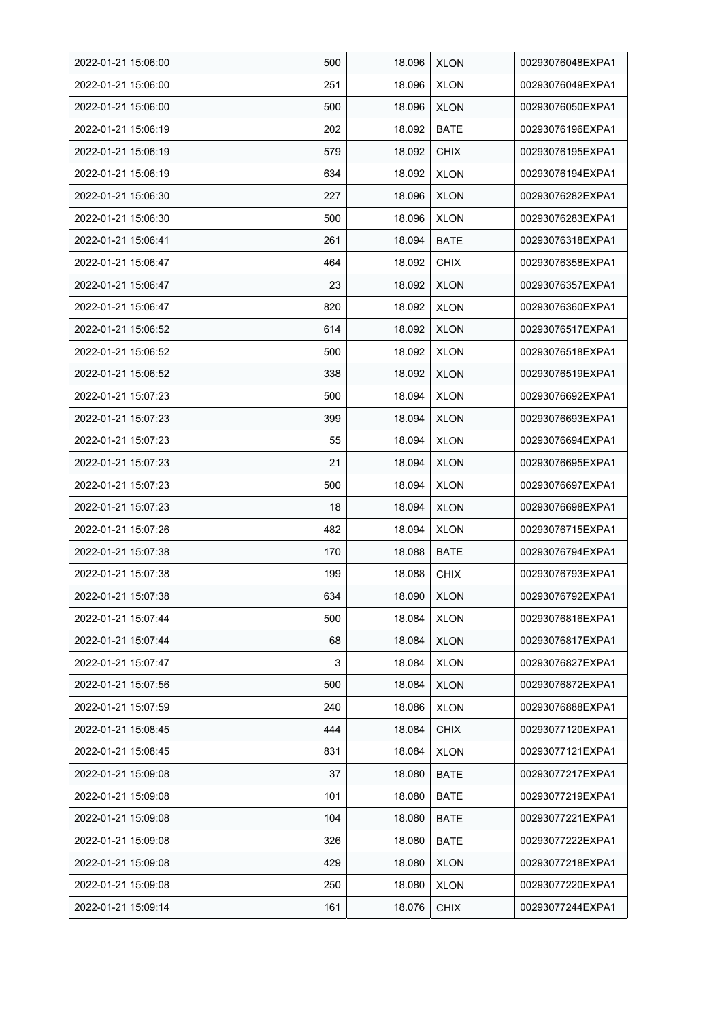| 2022-01-21 15:06:00 | 500 | 18.096 | <b>XLON</b> | 00293076048EXPA1 |
|---------------------|-----|--------|-------------|------------------|
| 2022-01-21 15:06:00 | 251 | 18.096 | <b>XLON</b> | 00293076049EXPA1 |
| 2022-01-21 15:06:00 | 500 | 18.096 | <b>XLON</b> | 00293076050EXPA1 |
| 2022-01-21 15:06:19 | 202 | 18.092 | <b>BATE</b> | 00293076196EXPA1 |
| 2022-01-21 15:06:19 | 579 | 18.092 | <b>CHIX</b> | 00293076195EXPA1 |
| 2022-01-21 15:06:19 | 634 | 18.092 | <b>XLON</b> | 00293076194EXPA1 |
| 2022-01-21 15:06:30 | 227 | 18.096 | <b>XLON</b> | 00293076282EXPA1 |
| 2022-01-21 15:06:30 | 500 | 18.096 | <b>XLON</b> | 00293076283EXPA1 |
| 2022-01-21 15:06:41 | 261 | 18.094 | <b>BATE</b> | 00293076318EXPA1 |
| 2022-01-21 15:06:47 | 464 | 18.092 | <b>CHIX</b> | 00293076358EXPA1 |
| 2022-01-21 15:06:47 | 23  | 18.092 | <b>XLON</b> | 00293076357EXPA1 |
| 2022-01-21 15:06:47 | 820 | 18.092 | <b>XLON</b> | 00293076360EXPA1 |
| 2022-01-21 15:06:52 | 614 | 18.092 | <b>XLON</b> | 00293076517EXPA1 |
| 2022-01-21 15:06:52 | 500 | 18.092 | <b>XLON</b> | 00293076518EXPA1 |
| 2022-01-21 15:06:52 | 338 | 18.092 | <b>XLON</b> | 00293076519EXPA1 |
| 2022-01-21 15:07:23 | 500 | 18.094 | <b>XLON</b> | 00293076692EXPA1 |
| 2022-01-21 15:07:23 | 399 | 18.094 | <b>XLON</b> | 00293076693EXPA1 |
| 2022-01-21 15:07:23 | 55  | 18.094 | <b>XLON</b> | 00293076694EXPA1 |
| 2022-01-21 15:07:23 | 21  | 18.094 | <b>XLON</b> | 00293076695EXPA1 |
| 2022-01-21 15:07:23 | 500 | 18.094 | <b>XLON</b> | 00293076697EXPA1 |
| 2022-01-21 15:07:23 | 18  | 18.094 | <b>XLON</b> | 00293076698EXPA1 |
| 2022-01-21 15:07:26 | 482 | 18.094 | <b>XLON</b> | 00293076715EXPA1 |
| 2022-01-21 15:07:38 | 170 | 18.088 | <b>BATE</b> | 00293076794EXPA1 |
| 2022-01-21 15:07:38 | 199 | 18.088 | <b>CHIX</b> | 00293076793EXPA1 |
| 2022-01-21 15:07:38 | 634 | 18.090 | <b>XLON</b> | 00293076792EXPA1 |
| 2022-01-21 15:07:44 | 500 | 18.084 | <b>XLON</b> | 00293076816EXPA1 |
| 2022-01-21 15:07:44 | 68  | 18.084 | <b>XLON</b> | 00293076817EXPA1 |
| 2022-01-21 15:07:47 | 3   | 18.084 | <b>XLON</b> | 00293076827EXPA1 |
| 2022-01-21 15:07:56 | 500 | 18.084 | <b>XLON</b> | 00293076872EXPA1 |
| 2022-01-21 15:07:59 | 240 | 18.086 | <b>XLON</b> | 00293076888EXPA1 |
| 2022-01-21 15:08:45 | 444 | 18.084 | <b>CHIX</b> | 00293077120EXPA1 |
| 2022-01-21 15:08:45 | 831 | 18.084 | <b>XLON</b> | 00293077121EXPA1 |
| 2022-01-21 15:09:08 | 37  | 18.080 | <b>BATE</b> | 00293077217EXPA1 |
| 2022-01-21 15:09:08 | 101 | 18.080 | <b>BATE</b> | 00293077219EXPA1 |
| 2022-01-21 15:09:08 | 104 | 18.080 | BATE        | 00293077221EXPA1 |
| 2022-01-21 15:09:08 | 326 | 18.080 | <b>BATE</b> | 00293077222EXPA1 |
| 2022-01-21 15:09:08 | 429 | 18.080 | <b>XLON</b> | 00293077218EXPA1 |
| 2022-01-21 15:09:08 | 250 | 18.080 | <b>XLON</b> | 00293077220EXPA1 |
| 2022-01-21 15:09:14 | 161 | 18.076 | <b>CHIX</b> | 00293077244EXPA1 |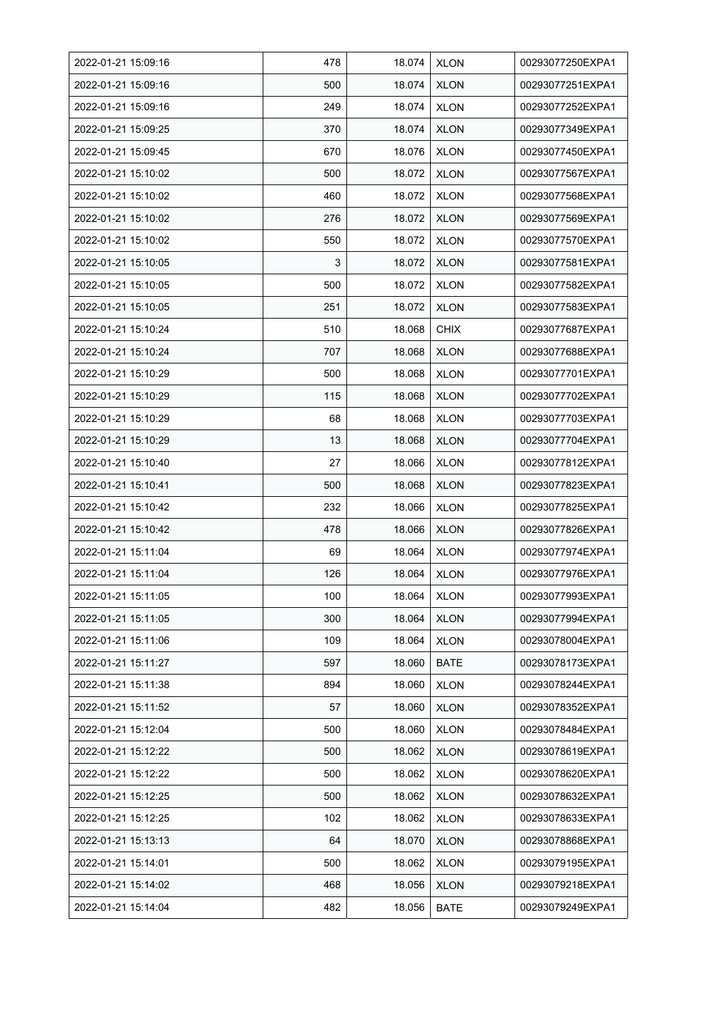| 2022-01-21 15:09:16 | 478 | 18.074 | <b>XLON</b> | 00293077250EXPA1 |
|---------------------|-----|--------|-------------|------------------|
| 2022-01-21 15:09:16 | 500 | 18.074 | <b>XLON</b> | 00293077251EXPA1 |
| 2022-01-21 15:09:16 | 249 | 18.074 | <b>XLON</b> | 00293077252EXPA1 |
| 2022-01-21 15:09:25 | 370 | 18.074 | <b>XLON</b> | 00293077349EXPA1 |
| 2022-01-21 15:09:45 | 670 | 18.076 | <b>XLON</b> | 00293077450EXPA1 |
| 2022-01-21 15:10:02 | 500 | 18.072 | <b>XLON</b> | 00293077567EXPA1 |
| 2022-01-21 15:10:02 | 460 | 18.072 | <b>XLON</b> | 00293077568EXPA1 |
| 2022-01-21 15:10:02 | 276 | 18.072 | <b>XLON</b> | 00293077569EXPA1 |
| 2022-01-21 15:10:02 | 550 | 18.072 | <b>XLON</b> | 00293077570EXPA1 |
| 2022-01-21 15:10:05 | 3   | 18.072 | <b>XLON</b> | 00293077581EXPA1 |
| 2022-01-21 15:10:05 | 500 | 18.072 | <b>XLON</b> | 00293077582EXPA1 |
| 2022-01-21 15:10:05 | 251 | 18.072 | <b>XLON</b> | 00293077583EXPA1 |
| 2022-01-21 15:10:24 | 510 | 18.068 | <b>CHIX</b> | 00293077687EXPA1 |
| 2022-01-21 15:10:24 | 707 | 18.068 | <b>XLON</b> | 00293077688EXPA1 |
| 2022-01-21 15:10:29 | 500 | 18.068 | <b>XLON</b> | 00293077701EXPA1 |
| 2022-01-21 15:10:29 | 115 | 18.068 | <b>XLON</b> | 00293077702EXPA1 |
| 2022-01-21 15:10:29 | 68  | 18.068 | <b>XLON</b> | 00293077703EXPA1 |
| 2022-01-21 15:10:29 | 13  | 18.068 | <b>XLON</b> | 00293077704EXPA1 |
| 2022-01-21 15:10:40 | 27  | 18.066 | <b>XLON</b> | 00293077812EXPA1 |
| 2022-01-21 15:10:41 | 500 | 18.068 | <b>XLON</b> | 00293077823EXPA1 |
| 2022-01-21 15:10:42 | 232 | 18.066 | <b>XLON</b> | 00293077825EXPA1 |
| 2022-01-21 15:10:42 | 478 | 18.066 | <b>XLON</b> | 00293077826EXPA1 |
| 2022-01-21 15:11:04 | 69  | 18.064 | <b>XLON</b> | 00293077974EXPA1 |
| 2022-01-21 15:11:04 | 126 | 18.064 | <b>XLON</b> | 00293077976EXPA1 |
| 2022-01-21 15:11:05 | 100 | 18.064 | <b>XLON</b> | 00293077993EXPA1 |
| 2022-01-21 15:11:05 | 300 | 18.064 | <b>XLON</b> | 00293077994EXPA1 |
| 2022-01-21 15:11:06 | 109 | 18.064 | <b>XLON</b> | 00293078004EXPA1 |
| 2022-01-21 15:11:27 | 597 | 18.060 | <b>BATE</b> | 00293078173EXPA1 |
| 2022-01-21 15:11:38 | 894 | 18.060 | <b>XLON</b> | 00293078244EXPA1 |
| 2022-01-21 15:11:52 | 57  | 18.060 | <b>XLON</b> | 00293078352EXPA1 |
| 2022-01-21 15:12:04 | 500 | 18.060 | <b>XLON</b> | 00293078484EXPA1 |
| 2022-01-21 15:12:22 | 500 | 18.062 | <b>XLON</b> | 00293078619EXPA1 |
| 2022-01-21 15:12:22 | 500 | 18.062 | <b>XLON</b> | 00293078620EXPA1 |
| 2022-01-21 15:12:25 | 500 | 18.062 | <b>XLON</b> | 00293078632EXPA1 |
| 2022-01-21 15:12:25 | 102 | 18.062 | <b>XLON</b> | 00293078633EXPA1 |
| 2022-01-21 15:13:13 | 64  | 18.070 | <b>XLON</b> | 00293078868EXPA1 |
| 2022-01-21 15:14:01 | 500 | 18.062 | <b>XLON</b> | 00293079195EXPA1 |
| 2022-01-21 15:14:02 | 468 | 18.056 | <b>XLON</b> | 00293079218EXPA1 |
| 2022-01-21 15:14:04 | 482 | 18.056 | <b>BATE</b> | 00293079249EXPA1 |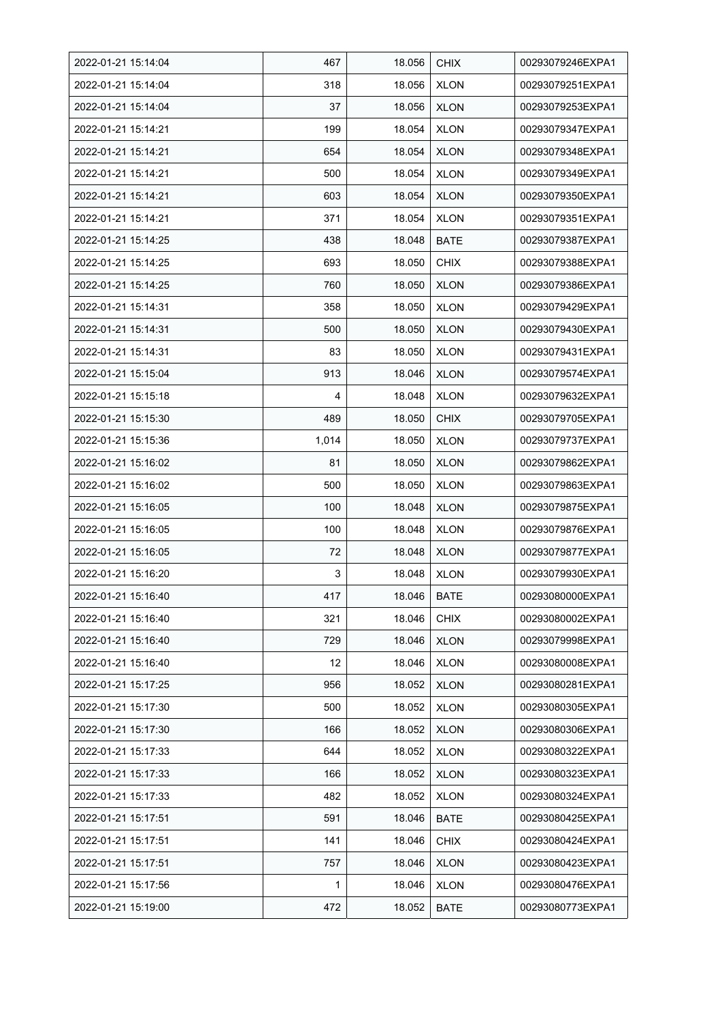| 2022-01-21 15:14:04 | 467   | 18.056 | <b>CHIX</b> | 00293079246EXPA1 |
|---------------------|-------|--------|-------------|------------------|
| 2022-01-21 15:14:04 | 318   | 18.056 | <b>XLON</b> | 00293079251EXPA1 |
| 2022-01-21 15:14:04 | 37    | 18.056 | <b>XLON</b> | 00293079253EXPA1 |
| 2022-01-21 15:14:21 | 199   | 18.054 | <b>XLON</b> | 00293079347EXPA1 |
| 2022-01-21 15:14:21 | 654   | 18.054 | <b>XLON</b> | 00293079348EXPA1 |
| 2022-01-21 15:14:21 | 500   | 18.054 | <b>XLON</b> | 00293079349EXPA1 |
| 2022-01-21 15:14:21 | 603   | 18.054 | <b>XLON</b> | 00293079350EXPA1 |
| 2022-01-21 15:14:21 | 371   | 18.054 | <b>XLON</b> | 00293079351EXPA1 |
| 2022-01-21 15:14:25 | 438   | 18.048 | <b>BATE</b> | 00293079387EXPA1 |
| 2022-01-21 15:14:25 | 693   | 18.050 | <b>CHIX</b> | 00293079388EXPA1 |
| 2022-01-21 15:14:25 | 760   | 18.050 | <b>XLON</b> | 00293079386EXPA1 |
| 2022-01-21 15:14:31 | 358   | 18.050 | <b>XLON</b> | 00293079429EXPA1 |
| 2022-01-21 15:14:31 | 500   | 18.050 | <b>XLON</b> | 00293079430EXPA1 |
| 2022-01-21 15:14:31 | 83    | 18.050 | <b>XLON</b> | 00293079431EXPA1 |
| 2022-01-21 15:15:04 | 913   | 18.046 | <b>XLON</b> | 00293079574EXPA1 |
| 2022-01-21 15:15:18 | 4     | 18.048 | <b>XLON</b> | 00293079632EXPA1 |
| 2022-01-21 15:15:30 | 489   | 18.050 | <b>CHIX</b> | 00293079705EXPA1 |
| 2022-01-21 15:15:36 | 1,014 | 18.050 | <b>XLON</b> | 00293079737EXPA1 |
| 2022-01-21 15:16:02 | 81    | 18.050 | <b>XLON</b> | 00293079862EXPA1 |
| 2022-01-21 15:16:02 | 500   | 18.050 | <b>XLON</b> | 00293079863EXPA1 |
| 2022-01-21 15:16:05 | 100   | 18.048 | <b>XLON</b> | 00293079875EXPA1 |
| 2022-01-21 15:16:05 | 100   | 18.048 | <b>XLON</b> | 00293079876EXPA1 |
| 2022-01-21 15:16:05 | 72    | 18.048 | <b>XLON</b> | 00293079877EXPA1 |
| 2022-01-21 15:16:20 | 3     | 18.048 | <b>XLON</b> | 00293079930EXPA1 |
| 2022-01-21 15:16:40 | 417   | 18.046 | <b>BATE</b> | 00293080000EXPA1 |
| 2022-01-21 15:16:40 | 321   | 18.046 | <b>CHIX</b> | 00293080002EXPA1 |
| 2022-01-21 15:16:40 | 729   | 18.046 | <b>XLON</b> | 00293079998EXPA1 |
| 2022-01-21 15:16:40 | 12    | 18.046 | <b>XLON</b> | 00293080008EXPA1 |
| 2022-01-21 15:17:25 | 956   | 18.052 | <b>XLON</b> | 00293080281EXPA1 |
| 2022-01-21 15:17:30 | 500   | 18.052 | <b>XLON</b> | 00293080305EXPA1 |
| 2022-01-21 15:17:30 | 166   | 18.052 | <b>XLON</b> | 00293080306EXPA1 |
| 2022-01-21 15:17:33 | 644   | 18.052 | <b>XLON</b> | 00293080322EXPA1 |
| 2022-01-21 15:17:33 | 166   | 18.052 | <b>XLON</b> | 00293080323EXPA1 |
| 2022-01-21 15:17:33 | 482   | 18.052 | <b>XLON</b> | 00293080324EXPA1 |
| 2022-01-21 15:17:51 | 591   | 18.046 | <b>BATE</b> | 00293080425EXPA1 |
| 2022-01-21 15:17:51 | 141   | 18.046 | <b>CHIX</b> | 00293080424EXPA1 |
| 2022-01-21 15:17:51 | 757   | 18.046 | <b>XLON</b> | 00293080423EXPA1 |
| 2022-01-21 15:17:56 | 1     | 18.046 | <b>XLON</b> | 00293080476EXPA1 |
| 2022-01-21 15:19:00 | 472   | 18.052 | <b>BATE</b> | 00293080773EXPA1 |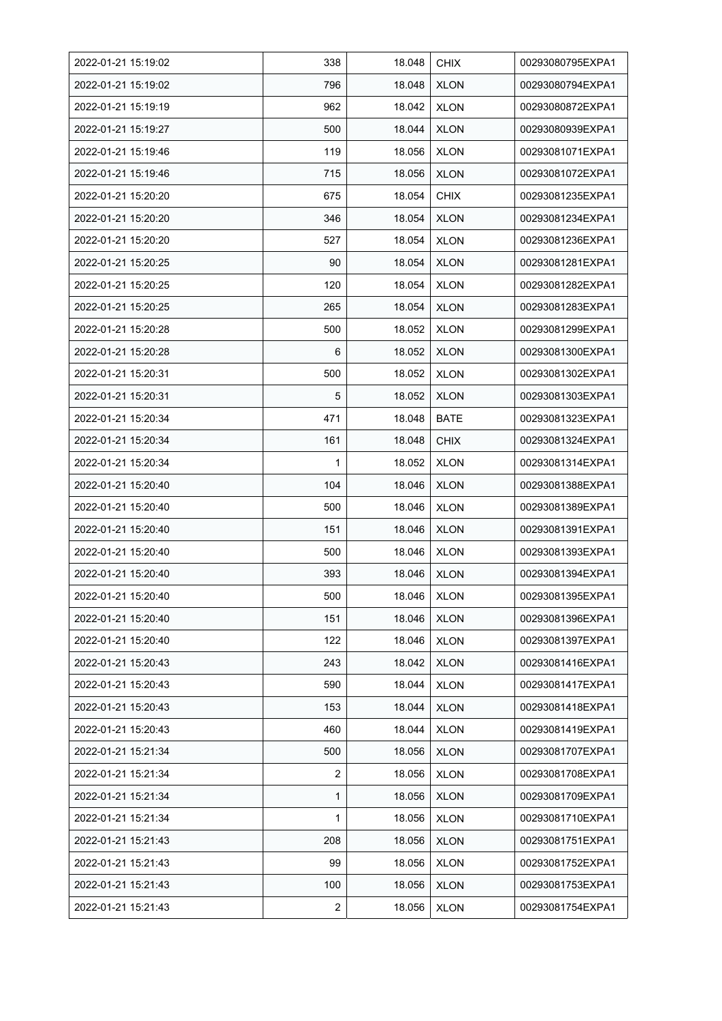| 2022-01-21 15:19:02 | 338 | 18.048 | <b>CHIX</b> | 00293080795EXPA1 |
|---------------------|-----|--------|-------------|------------------|
| 2022-01-21 15:19:02 | 796 | 18.048 | <b>XLON</b> | 00293080794EXPA1 |
| 2022-01-21 15:19:19 | 962 | 18.042 | <b>XLON</b> | 00293080872EXPA1 |
| 2022-01-21 15:19:27 | 500 | 18.044 | <b>XLON</b> | 00293080939EXPA1 |
| 2022-01-21 15:19:46 | 119 | 18.056 | <b>XLON</b> | 00293081071EXPA1 |
| 2022-01-21 15:19:46 | 715 | 18.056 | <b>XLON</b> | 00293081072EXPA1 |
| 2022-01-21 15:20:20 | 675 | 18.054 | <b>CHIX</b> | 00293081235EXPA1 |
| 2022-01-21 15:20:20 | 346 | 18.054 | <b>XLON</b> | 00293081234EXPA1 |
| 2022-01-21 15:20:20 | 527 | 18.054 | <b>XLON</b> | 00293081236EXPA1 |
| 2022-01-21 15:20:25 | 90  | 18.054 | <b>XLON</b> | 00293081281EXPA1 |
| 2022-01-21 15:20:25 | 120 | 18.054 | <b>XLON</b> | 00293081282EXPA1 |
| 2022-01-21 15:20:25 | 265 | 18.054 | <b>XLON</b> | 00293081283EXPA1 |
| 2022-01-21 15:20:28 | 500 | 18.052 | <b>XLON</b> | 00293081299EXPA1 |
| 2022-01-21 15:20:28 | 6   | 18.052 | <b>XLON</b> | 00293081300EXPA1 |
| 2022-01-21 15:20:31 | 500 | 18.052 | <b>XLON</b> | 00293081302EXPA1 |
| 2022-01-21 15:20:31 | 5   | 18.052 | <b>XLON</b> | 00293081303EXPA1 |
| 2022-01-21 15:20:34 | 471 | 18.048 | <b>BATE</b> | 00293081323EXPA1 |
| 2022-01-21 15:20:34 | 161 | 18.048 | <b>CHIX</b> | 00293081324EXPA1 |
| 2022-01-21 15:20:34 | 1   | 18.052 | <b>XLON</b> | 00293081314EXPA1 |
| 2022-01-21 15:20:40 | 104 | 18.046 | <b>XLON</b> | 00293081388EXPA1 |
| 2022-01-21 15:20:40 | 500 | 18.046 | <b>XLON</b> | 00293081389EXPA1 |
| 2022-01-21 15:20:40 | 151 | 18.046 | <b>XLON</b> | 00293081391EXPA1 |
| 2022-01-21 15:20:40 | 500 | 18.046 | <b>XLON</b> | 00293081393EXPA1 |
| 2022-01-21 15:20:40 | 393 | 18.046 | <b>XLON</b> | 00293081394EXPA1 |
| 2022-01-21 15:20:40 | 500 | 18.046 | <b>XLON</b> | 00293081395EXPA1 |
| 2022-01-21 15:20:40 | 151 | 18.046 | <b>XLON</b> | 00293081396EXPA1 |
| 2022-01-21 15:20:40 | 122 | 18.046 | <b>XLON</b> | 00293081397EXPA1 |
| 2022-01-21 15:20:43 | 243 | 18.042 | <b>XLON</b> | 00293081416EXPA1 |
| 2022-01-21 15:20:43 | 590 | 18.044 | <b>XLON</b> | 00293081417EXPA1 |
| 2022-01-21 15:20:43 | 153 | 18.044 | <b>XLON</b> | 00293081418EXPA1 |
| 2022-01-21 15:20:43 | 460 | 18.044 | <b>XLON</b> | 00293081419EXPA1 |
| 2022-01-21 15:21:34 | 500 | 18.056 | <b>XLON</b> | 00293081707EXPA1 |
| 2022-01-21 15:21:34 | 2   | 18.056 | <b>XLON</b> | 00293081708EXPA1 |
| 2022-01-21 15:21:34 | 1   | 18.056 | <b>XLON</b> | 00293081709EXPA1 |
| 2022-01-21 15:21:34 | 1   | 18.056 | <b>XLON</b> | 00293081710EXPA1 |
| 2022-01-21 15:21:43 | 208 | 18.056 | <b>XLON</b> | 00293081751EXPA1 |
| 2022-01-21 15:21:43 | 99  | 18.056 | <b>XLON</b> | 00293081752EXPA1 |
| 2022-01-21 15:21:43 | 100 | 18.056 | <b>XLON</b> | 00293081753EXPA1 |
| 2022-01-21 15:21:43 | 2   | 18.056 | <b>XLON</b> | 00293081754EXPA1 |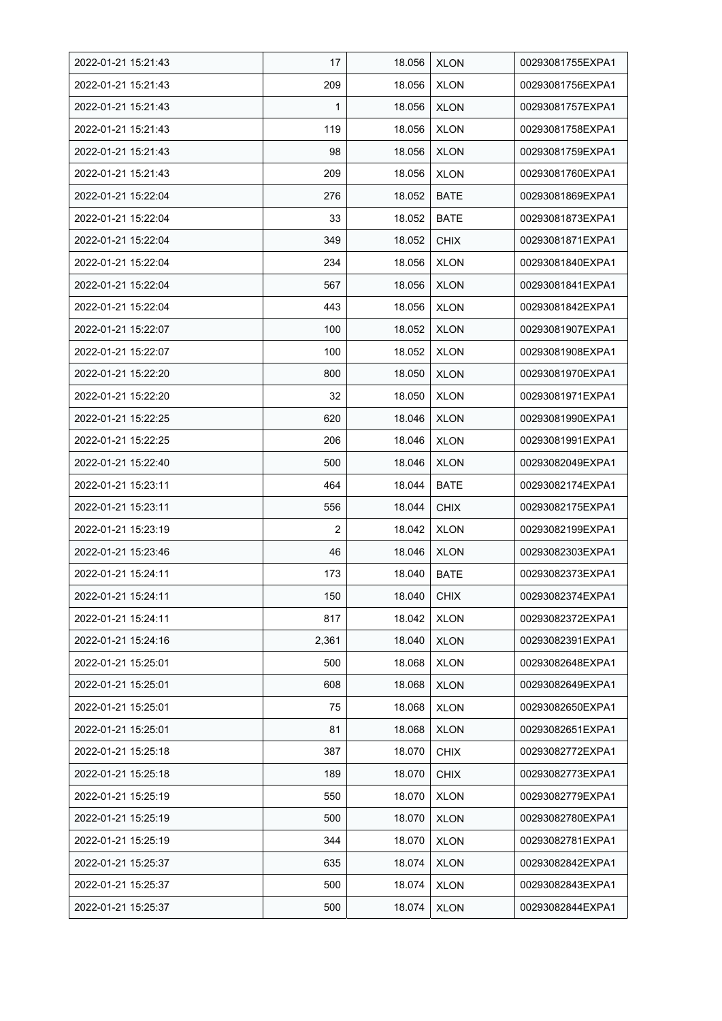| 2022-01-21 15:21:43 | 17    | 18.056 | <b>XLON</b> | 00293081755EXPA1 |
|---------------------|-------|--------|-------------|------------------|
| 2022-01-21 15:21:43 | 209   | 18.056 | <b>XLON</b> | 00293081756EXPA1 |
| 2022-01-21 15:21:43 | 1     | 18.056 | <b>XLON</b> | 00293081757EXPA1 |
| 2022-01-21 15:21:43 | 119   | 18.056 | <b>XLON</b> | 00293081758EXPA1 |
| 2022-01-21 15:21:43 | 98    | 18.056 | <b>XLON</b> | 00293081759EXPA1 |
| 2022-01-21 15:21:43 | 209   | 18.056 | <b>XLON</b> | 00293081760EXPA1 |
| 2022-01-21 15:22:04 | 276   | 18.052 | <b>BATE</b> | 00293081869EXPA1 |
| 2022-01-21 15:22:04 | 33    | 18.052 | <b>BATE</b> | 00293081873EXPA1 |
| 2022-01-21 15:22:04 | 349   | 18.052 | <b>CHIX</b> | 00293081871EXPA1 |
| 2022-01-21 15:22:04 | 234   | 18.056 | <b>XLON</b> | 00293081840EXPA1 |
| 2022-01-21 15:22:04 | 567   | 18.056 | <b>XLON</b> | 00293081841EXPA1 |
| 2022-01-21 15:22:04 | 443   | 18.056 | <b>XLON</b> | 00293081842EXPA1 |
| 2022-01-21 15:22:07 | 100   | 18.052 | <b>XLON</b> | 00293081907EXPA1 |
| 2022-01-21 15:22:07 | 100   | 18.052 | <b>XLON</b> | 00293081908EXPA1 |
| 2022-01-21 15:22:20 | 800   | 18.050 | <b>XLON</b> | 00293081970EXPA1 |
| 2022-01-21 15:22:20 | 32    | 18.050 | <b>XLON</b> | 00293081971EXPA1 |
| 2022-01-21 15:22:25 | 620   | 18.046 | <b>XLON</b> | 00293081990EXPA1 |
| 2022-01-21 15:22:25 | 206   | 18.046 | <b>XLON</b> | 00293081991EXPA1 |
| 2022-01-21 15:22:40 | 500   | 18.046 | XLON        | 00293082049EXPA1 |
| 2022-01-21 15:23:11 | 464   | 18.044 | <b>BATE</b> | 00293082174EXPA1 |
| 2022-01-21 15:23:11 | 556   | 18.044 | <b>CHIX</b> | 00293082175EXPA1 |
| 2022-01-21 15:23:19 | 2     | 18.042 | <b>XLON</b> | 00293082199EXPA1 |
| 2022-01-21 15:23:46 | 46    | 18.046 | <b>XLON</b> | 00293082303EXPA1 |
| 2022-01-21 15:24:11 | 173   | 18.040 | <b>BATE</b> | 00293082373EXPA1 |
| 2022-01-21 15:24:11 | 150   | 18.040 | <b>CHIX</b> | 00293082374EXPA1 |
| 2022-01-21 15:24:11 | 817   | 18.042 | <b>XLON</b> | 00293082372EXPA1 |
| 2022-01-21 15:24:16 | 2,361 | 18.040 | <b>XLON</b> | 00293082391EXPA1 |
| 2022-01-21 15:25:01 | 500   | 18.068 | <b>XLON</b> | 00293082648EXPA1 |
| 2022-01-21 15:25:01 | 608   | 18.068 | <b>XLON</b> | 00293082649EXPA1 |
| 2022-01-21 15:25:01 | 75    | 18.068 | <b>XLON</b> | 00293082650EXPA1 |
| 2022-01-21 15:25:01 | 81    | 18.068 | <b>XLON</b> | 00293082651EXPA1 |
| 2022-01-21 15:25:18 | 387   | 18.070 | <b>CHIX</b> | 00293082772EXPA1 |
| 2022-01-21 15:25:18 | 189   | 18.070 | <b>CHIX</b> | 00293082773EXPA1 |
| 2022-01-21 15:25:19 | 550   | 18.070 | <b>XLON</b> | 00293082779EXPA1 |
| 2022-01-21 15:25:19 | 500   | 18.070 | <b>XLON</b> | 00293082780EXPA1 |
| 2022-01-21 15:25:19 | 344   | 18.070 | <b>XLON</b> | 00293082781EXPA1 |
| 2022-01-21 15:25:37 | 635   | 18.074 | <b>XLON</b> | 00293082842EXPA1 |
| 2022-01-21 15:25:37 | 500   | 18.074 | XLON        | 00293082843EXPA1 |
| 2022-01-21 15:25:37 | 500   | 18.074 | <b>XLON</b> | 00293082844EXPA1 |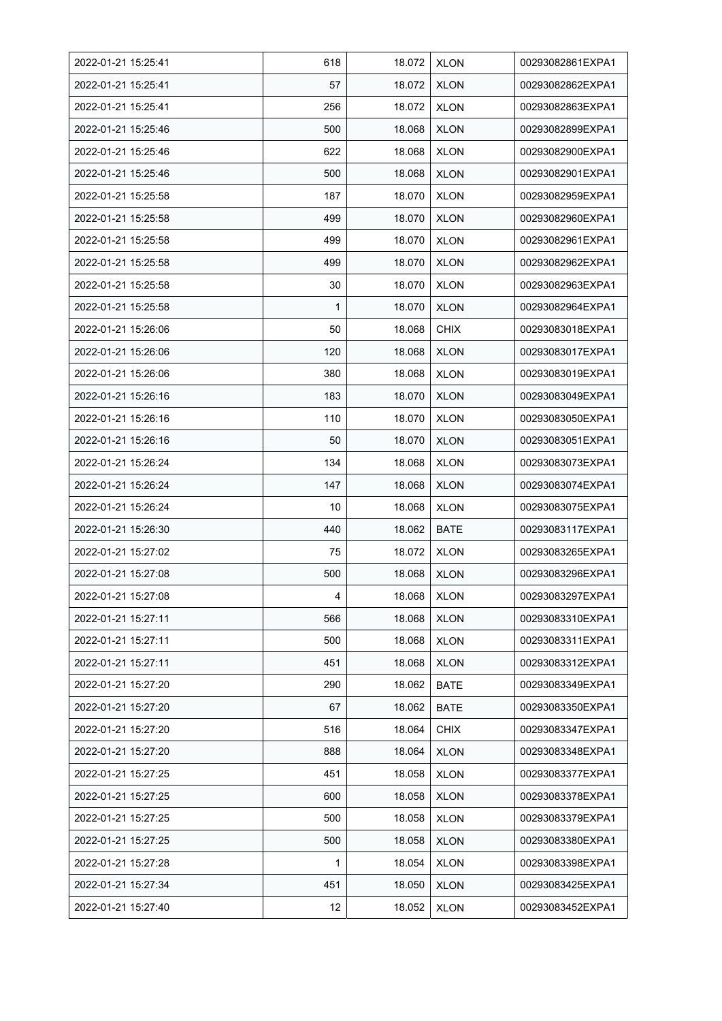| 2022-01-21 15:25:41 | 618 | 18.072 | <b>XLON</b> | 00293082861EXPA1 |
|---------------------|-----|--------|-------------|------------------|
| 2022-01-21 15:25:41 | 57  | 18.072 | <b>XLON</b> | 00293082862EXPA1 |
| 2022-01-21 15:25:41 | 256 | 18.072 | <b>XLON</b> | 00293082863EXPA1 |
| 2022-01-21 15:25:46 | 500 | 18.068 | <b>XLON</b> | 00293082899EXPA1 |
| 2022-01-21 15:25:46 | 622 | 18.068 | <b>XLON</b> | 00293082900EXPA1 |
| 2022-01-21 15:25:46 | 500 | 18.068 | <b>XLON</b> | 00293082901EXPA1 |
| 2022-01-21 15:25:58 | 187 | 18.070 | <b>XLON</b> | 00293082959EXPA1 |
| 2022-01-21 15:25:58 | 499 | 18.070 | <b>XLON</b> | 00293082960EXPA1 |
| 2022-01-21 15:25:58 | 499 | 18.070 | <b>XLON</b> | 00293082961EXPA1 |
| 2022-01-21 15:25:58 | 499 | 18.070 | <b>XLON</b> | 00293082962EXPA1 |
| 2022-01-21 15:25:58 | 30  | 18.070 | <b>XLON</b> | 00293082963EXPA1 |
| 2022-01-21 15:25:58 | 1   | 18.070 | <b>XLON</b> | 00293082964EXPA1 |
| 2022-01-21 15:26:06 | 50  | 18.068 | <b>CHIX</b> | 00293083018EXPA1 |
| 2022-01-21 15:26:06 | 120 | 18.068 | <b>XLON</b> | 00293083017EXPA1 |
| 2022-01-21 15:26:06 | 380 | 18.068 | <b>XLON</b> | 00293083019EXPA1 |
| 2022-01-21 15:26:16 | 183 | 18.070 | <b>XLON</b> | 00293083049EXPA1 |
| 2022-01-21 15:26:16 | 110 | 18.070 | <b>XLON</b> | 00293083050EXPA1 |
| 2022-01-21 15:26:16 | 50  | 18.070 | <b>XLON</b> | 00293083051EXPA1 |
| 2022-01-21 15:26:24 | 134 | 18.068 | <b>XLON</b> | 00293083073EXPA1 |
| 2022-01-21 15:26:24 | 147 | 18.068 | <b>XLON</b> | 00293083074EXPA1 |
| 2022-01-21 15:26:24 | 10  | 18.068 | <b>XLON</b> | 00293083075EXPA1 |
| 2022-01-21 15:26:30 | 440 | 18.062 | <b>BATE</b> | 00293083117EXPA1 |
| 2022-01-21 15:27:02 | 75  | 18.072 | <b>XLON</b> | 00293083265EXPA1 |
| 2022-01-21 15:27:08 | 500 | 18.068 | <b>XLON</b> | 00293083296EXPA1 |
| 2022-01-21 15:27:08 | 4   | 18.068 | <b>XLON</b> | 00293083297EXPA1 |
| 2022-01-21 15:27:11 | 566 | 18.068 | <b>XLON</b> | 00293083310EXPA1 |
| 2022-01-21 15:27:11 | 500 | 18.068 | <b>XLON</b> | 00293083311EXPA1 |
| 2022-01-21 15:27:11 | 451 | 18.068 | <b>XLON</b> | 00293083312EXPA1 |
| 2022-01-21 15:27:20 | 290 | 18.062 | <b>BATE</b> | 00293083349EXPA1 |
| 2022-01-21 15:27:20 | 67  | 18.062 | <b>BATE</b> | 00293083350EXPA1 |
| 2022-01-21 15:27:20 | 516 | 18.064 | <b>CHIX</b> | 00293083347EXPA1 |
| 2022-01-21 15:27:20 | 888 | 18.064 | <b>XLON</b> | 00293083348EXPA1 |
| 2022-01-21 15:27:25 | 451 | 18.058 | <b>XLON</b> | 00293083377EXPA1 |
| 2022-01-21 15:27:25 | 600 | 18.058 | <b>XLON</b> | 00293083378EXPA1 |
| 2022-01-21 15:27:25 | 500 | 18.058 | <b>XLON</b> | 00293083379EXPA1 |
| 2022-01-21 15:27:25 | 500 | 18.058 | <b>XLON</b> | 00293083380EXPA1 |
| 2022-01-21 15:27:28 | 1   | 18.054 | <b>XLON</b> | 00293083398EXPA1 |
| 2022-01-21 15:27:34 | 451 | 18.050 | <b>XLON</b> | 00293083425EXPA1 |
| 2022-01-21 15:27:40 | 12  | 18.052 | <b>XLON</b> | 00293083452EXPA1 |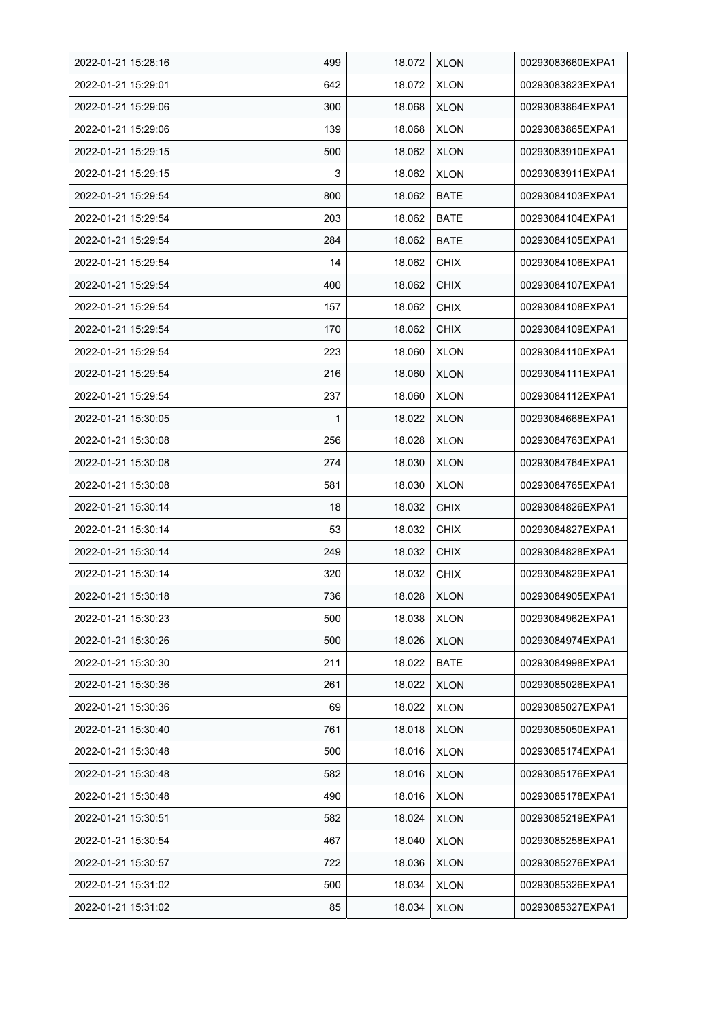| 2022-01-21 15:28:16 | 499 | 18.072 | <b>XLON</b> | 00293083660EXPA1 |
|---------------------|-----|--------|-------------|------------------|
| 2022-01-21 15:29:01 | 642 | 18.072 | <b>XLON</b> | 00293083823EXPA1 |
| 2022-01-21 15:29:06 | 300 | 18.068 | <b>XLON</b> | 00293083864EXPA1 |
| 2022-01-21 15:29:06 | 139 | 18.068 | <b>XLON</b> | 00293083865EXPA1 |
| 2022-01-21 15:29:15 | 500 | 18.062 | <b>XLON</b> | 00293083910EXPA1 |
| 2022-01-21 15:29:15 | 3   | 18.062 | <b>XLON</b> | 00293083911EXPA1 |
| 2022-01-21 15:29:54 | 800 | 18.062 | BATE        | 00293084103EXPA1 |
| 2022-01-21 15:29:54 | 203 | 18.062 | <b>BATE</b> | 00293084104EXPA1 |
| 2022-01-21 15:29:54 | 284 | 18.062 | <b>BATE</b> | 00293084105EXPA1 |
| 2022-01-21 15:29:54 | 14  | 18.062 | <b>CHIX</b> | 00293084106EXPA1 |
| 2022-01-21 15:29:54 | 400 | 18.062 | <b>CHIX</b> | 00293084107EXPA1 |
| 2022-01-21 15:29:54 | 157 | 18.062 | <b>CHIX</b> | 00293084108EXPA1 |
| 2022-01-21 15:29:54 | 170 | 18.062 | <b>CHIX</b> | 00293084109EXPA1 |
| 2022-01-21 15:29:54 | 223 | 18.060 | <b>XLON</b> | 00293084110EXPA1 |
| 2022-01-21 15:29:54 | 216 | 18.060 | <b>XLON</b> | 00293084111EXPA1 |
| 2022-01-21 15:29:54 | 237 | 18.060 | <b>XLON</b> | 00293084112EXPA1 |
| 2022-01-21 15:30:05 | 1   | 18.022 | <b>XLON</b> | 00293084668EXPA1 |
| 2022-01-21 15:30:08 | 256 | 18.028 | <b>XLON</b> | 00293084763EXPA1 |
| 2022-01-21 15:30:08 | 274 | 18.030 | <b>XLON</b> | 00293084764EXPA1 |
| 2022-01-21 15:30:08 | 581 | 18.030 | <b>XLON</b> | 00293084765EXPA1 |
| 2022-01-21 15:30:14 | 18  | 18.032 | <b>CHIX</b> | 00293084826EXPA1 |
| 2022-01-21 15:30:14 | 53  | 18.032 | <b>CHIX</b> | 00293084827EXPA1 |
| 2022-01-21 15:30:14 | 249 | 18.032 | <b>CHIX</b> | 00293084828EXPA1 |
| 2022-01-21 15:30:14 | 320 | 18.032 | <b>CHIX</b> | 00293084829EXPA1 |
| 2022-01-21 15:30:18 | 736 | 18.028 | <b>XLON</b> | 00293084905EXPA1 |
| 2022-01-21 15:30:23 | 500 | 18.038 | <b>XLON</b> | 00293084962EXPA1 |
| 2022-01-21 15:30:26 | 500 | 18.026 | <b>XLON</b> | 00293084974EXPA1 |
| 2022-01-21 15:30:30 | 211 | 18.022 | BATE        | 00293084998EXPA1 |
| 2022-01-21 15:30:36 | 261 | 18.022 | <b>XLON</b> | 00293085026EXPA1 |
| 2022-01-21 15:30:36 | 69  | 18.022 | <b>XLON</b> | 00293085027EXPA1 |
| 2022-01-21 15:30:40 | 761 | 18.018 | <b>XLON</b> | 00293085050EXPA1 |
| 2022-01-21 15:30:48 | 500 | 18.016 | <b>XLON</b> | 00293085174EXPA1 |
| 2022-01-21 15:30:48 | 582 | 18.016 | <b>XLON</b> | 00293085176EXPA1 |
| 2022-01-21 15:30:48 | 490 | 18.016 | <b>XLON</b> | 00293085178EXPA1 |
| 2022-01-21 15:30:51 | 582 | 18.024 | <b>XLON</b> | 00293085219EXPA1 |
| 2022-01-21 15:30:54 | 467 | 18.040 | <b>XLON</b> | 00293085258EXPA1 |
| 2022-01-21 15:30:57 | 722 | 18.036 | <b>XLON</b> | 00293085276EXPA1 |
| 2022-01-21 15:31:02 | 500 | 18.034 | <b>XLON</b> | 00293085326EXPA1 |
| 2022-01-21 15:31:02 | 85  | 18.034 | <b>XLON</b> | 00293085327EXPA1 |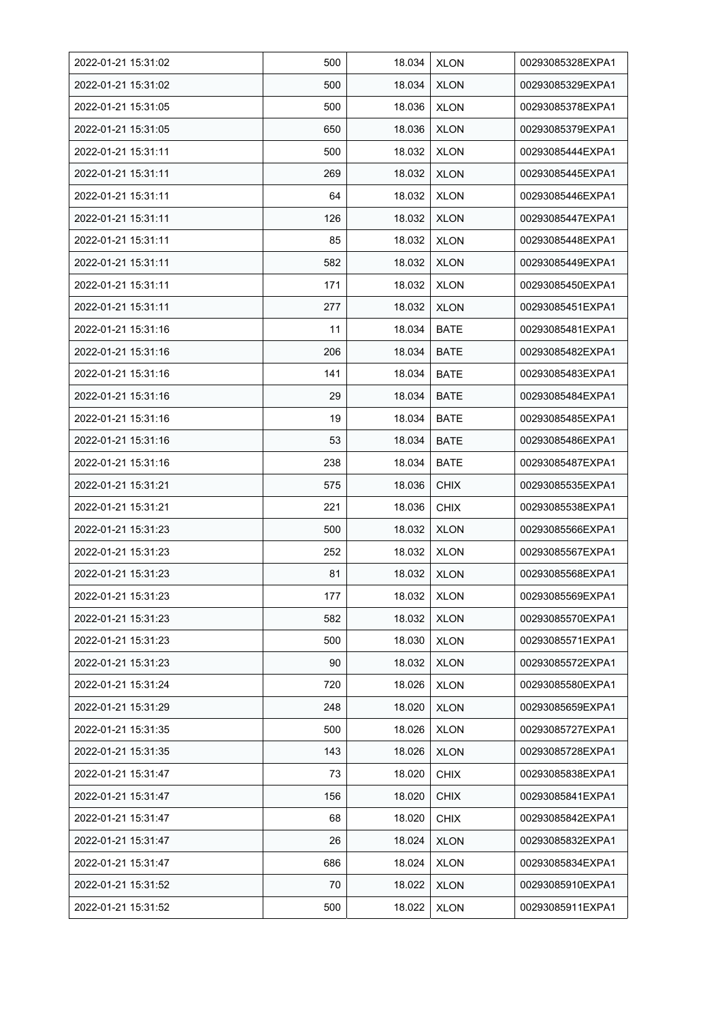| 2022-01-21 15:31:02 | 500 | 18.034 | <b>XLON</b> | 00293085328EXPA1 |
|---------------------|-----|--------|-------------|------------------|
| 2022-01-21 15:31:02 | 500 | 18.034 | <b>XLON</b> | 00293085329EXPA1 |
| 2022-01-21 15:31:05 | 500 | 18.036 | <b>XLON</b> | 00293085378EXPA1 |
| 2022-01-21 15:31:05 | 650 | 18.036 | <b>XLON</b> | 00293085379EXPA1 |
| 2022-01-21 15:31:11 | 500 | 18.032 | <b>XLON</b> | 00293085444EXPA1 |
| 2022-01-21 15:31:11 | 269 | 18.032 | <b>XLON</b> | 00293085445EXPA1 |
| 2022-01-21 15:31:11 | 64  | 18.032 | <b>XLON</b> | 00293085446EXPA1 |
| 2022-01-21 15:31:11 | 126 | 18.032 | <b>XLON</b> | 00293085447EXPA1 |
| 2022-01-21 15:31:11 | 85  | 18.032 | <b>XLON</b> | 00293085448EXPA1 |
| 2022-01-21 15:31:11 | 582 | 18.032 | <b>XLON</b> | 00293085449EXPA1 |
| 2022-01-21 15:31:11 | 171 | 18.032 | <b>XLON</b> | 00293085450EXPA1 |
| 2022-01-21 15:31:11 | 277 | 18.032 | <b>XLON</b> | 00293085451EXPA1 |
| 2022-01-21 15:31:16 | 11  | 18.034 | <b>BATE</b> | 00293085481EXPA1 |
| 2022-01-21 15:31:16 | 206 | 18.034 | <b>BATE</b> | 00293085482EXPA1 |
| 2022-01-21 15:31:16 | 141 | 18.034 | <b>BATE</b> | 00293085483EXPA1 |
| 2022-01-21 15:31:16 | 29  | 18.034 | <b>BATE</b> | 00293085484EXPA1 |
| 2022-01-21 15:31:16 | 19  | 18.034 | <b>BATE</b> | 00293085485EXPA1 |
| 2022-01-21 15:31:16 | 53  | 18.034 | <b>BATE</b> | 00293085486EXPA1 |
| 2022-01-21 15:31:16 | 238 | 18.034 | <b>BATE</b> | 00293085487EXPA1 |
| 2022-01-21 15:31:21 | 575 | 18.036 | <b>CHIX</b> | 00293085535EXPA1 |
| 2022-01-21 15:31:21 | 221 | 18.036 | <b>CHIX</b> | 00293085538EXPA1 |
| 2022-01-21 15:31:23 | 500 | 18.032 | <b>XLON</b> | 00293085566EXPA1 |
| 2022-01-21 15:31:23 | 252 | 18.032 | <b>XLON</b> | 00293085567EXPA1 |
| 2022-01-21 15:31:23 | 81  | 18.032 | <b>XLON</b> | 00293085568EXPA1 |
| 2022-01-21 15:31:23 | 177 | 18.032 | <b>XLON</b> | 00293085569EXPA1 |
| 2022-01-21 15:31:23 | 582 | 18.032 | <b>XLON</b> | 00293085570EXPA1 |
| 2022-01-21 15:31:23 | 500 | 18.030 | <b>XLON</b> | 00293085571EXPA1 |
| 2022-01-21 15:31:23 | 90  | 18.032 | <b>XLON</b> | 00293085572EXPA1 |
| 2022-01-21 15:31:24 | 720 | 18.026 | <b>XLON</b> | 00293085580EXPA1 |
| 2022-01-21 15:31:29 | 248 | 18.020 | <b>XLON</b> | 00293085659EXPA1 |
| 2022-01-21 15:31:35 | 500 | 18.026 | <b>XLON</b> | 00293085727EXPA1 |
| 2022-01-21 15:31:35 | 143 | 18.026 | <b>XLON</b> | 00293085728EXPA1 |
| 2022-01-21 15:31:47 | 73  | 18.020 | <b>CHIX</b> | 00293085838EXPA1 |
| 2022-01-21 15:31:47 | 156 | 18.020 | <b>CHIX</b> | 00293085841EXPA1 |
| 2022-01-21 15:31:47 | 68  | 18.020 | <b>CHIX</b> | 00293085842EXPA1 |
| 2022-01-21 15:31:47 | 26  | 18.024 | <b>XLON</b> | 00293085832EXPA1 |
| 2022-01-21 15:31:47 | 686 | 18.024 | <b>XLON</b> | 00293085834EXPA1 |
| 2022-01-21 15:31:52 | 70  | 18.022 | <b>XLON</b> | 00293085910EXPA1 |
| 2022-01-21 15:31:52 | 500 | 18.022 | <b>XLON</b> | 00293085911EXPA1 |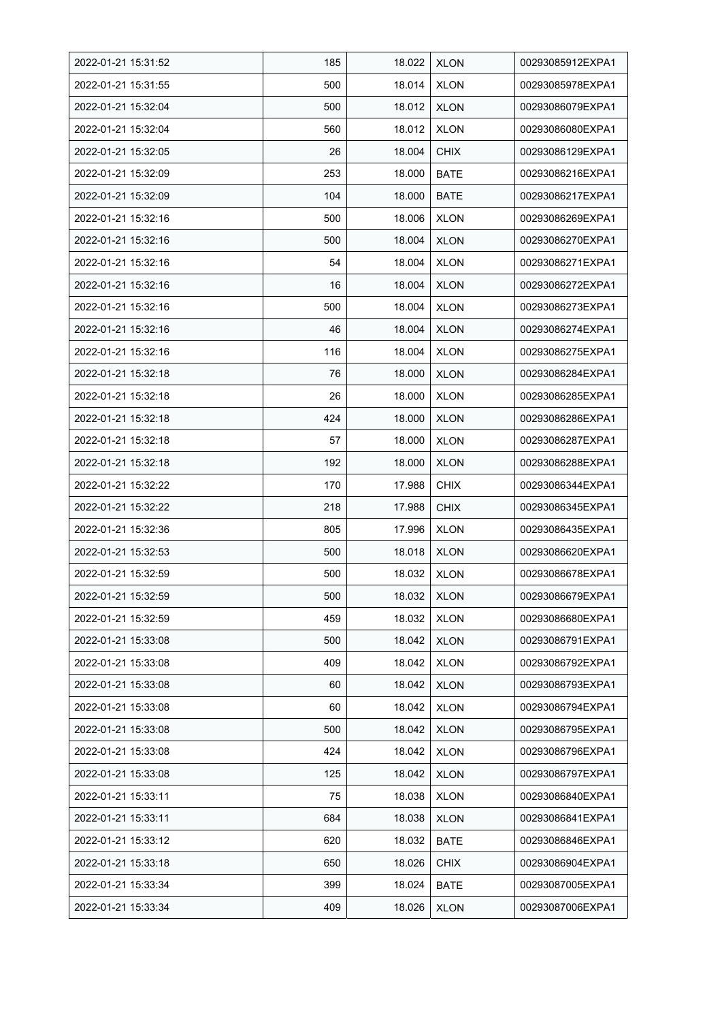| 2022-01-21 15:31:52 | 185 | 18.022 | <b>XLON</b> | 00293085912EXPA1 |
|---------------------|-----|--------|-------------|------------------|
| 2022-01-21 15:31:55 | 500 | 18.014 | <b>XLON</b> | 00293085978EXPA1 |
| 2022-01-21 15:32:04 | 500 | 18.012 | <b>XLON</b> | 00293086079EXPA1 |
| 2022-01-21 15:32:04 | 560 | 18.012 | <b>XLON</b> | 00293086080EXPA1 |
| 2022-01-21 15:32:05 | 26  | 18.004 | <b>CHIX</b> | 00293086129EXPA1 |
| 2022-01-21 15:32:09 | 253 | 18.000 | <b>BATE</b> | 00293086216EXPA1 |
| 2022-01-21 15:32:09 | 104 | 18.000 | <b>BATE</b> | 00293086217EXPA1 |
| 2022-01-21 15:32:16 | 500 | 18.006 | <b>XLON</b> | 00293086269EXPA1 |
| 2022-01-21 15:32:16 | 500 | 18.004 | <b>XLON</b> | 00293086270EXPA1 |
| 2022-01-21 15:32:16 | 54  | 18.004 | <b>XLON</b> | 00293086271EXPA1 |
| 2022-01-21 15:32:16 | 16  | 18.004 | <b>XLON</b> | 00293086272EXPA1 |
| 2022-01-21 15:32:16 | 500 | 18.004 | <b>XLON</b> | 00293086273EXPA1 |
| 2022-01-21 15:32:16 | 46  | 18.004 | <b>XLON</b> | 00293086274EXPA1 |
| 2022-01-21 15:32:16 | 116 | 18.004 | <b>XLON</b> | 00293086275EXPA1 |
| 2022-01-21 15:32:18 | 76  | 18.000 | <b>XLON</b> | 00293086284EXPA1 |
| 2022-01-21 15:32:18 | 26  | 18.000 | <b>XLON</b> | 00293086285EXPA1 |
| 2022-01-21 15:32:18 | 424 | 18.000 | <b>XLON</b> | 00293086286EXPA1 |
| 2022-01-21 15:32:18 | 57  | 18.000 | <b>XLON</b> | 00293086287EXPA1 |
| 2022-01-21 15:32:18 | 192 | 18.000 | <b>XLON</b> | 00293086288EXPA1 |
| 2022-01-21 15:32:22 | 170 | 17.988 | <b>CHIX</b> | 00293086344EXPA1 |
| 2022-01-21 15:32:22 | 218 | 17.988 | <b>CHIX</b> | 00293086345EXPA1 |
| 2022-01-21 15:32:36 | 805 | 17.996 | <b>XLON</b> | 00293086435EXPA1 |
| 2022-01-21 15:32:53 | 500 | 18.018 | <b>XLON</b> | 00293086620EXPA1 |
| 2022-01-21 15:32:59 | 500 | 18.032 | <b>XLON</b> | 00293086678EXPA1 |
| 2022-01-21 15:32:59 | 500 | 18.032 | <b>XLON</b> | 00293086679EXPA1 |
| 2022-01-21 15:32:59 | 459 | 18.032 | <b>XLON</b> | 00293086680EXPA1 |
| 2022-01-21 15:33:08 | 500 | 18.042 | <b>XLON</b> | 00293086791EXPA1 |
| 2022-01-21 15:33:08 | 409 | 18.042 | <b>XLON</b> | 00293086792EXPA1 |
| 2022-01-21 15:33:08 | 60  | 18.042 | <b>XLON</b> | 00293086793EXPA1 |
| 2022-01-21 15:33:08 | 60  | 18.042 | <b>XLON</b> | 00293086794EXPA1 |
| 2022-01-21 15:33:08 | 500 | 18.042 | <b>XLON</b> | 00293086795EXPA1 |
| 2022-01-21 15:33:08 | 424 | 18.042 | <b>XLON</b> | 00293086796EXPA1 |
| 2022-01-21 15:33:08 | 125 | 18.042 | <b>XLON</b> | 00293086797EXPA1 |
| 2022-01-21 15:33:11 | 75  | 18.038 | <b>XLON</b> | 00293086840EXPA1 |
| 2022-01-21 15:33:11 | 684 | 18.038 | <b>XLON</b> | 00293086841EXPA1 |
| 2022-01-21 15:33:12 | 620 | 18.032 | <b>BATE</b> | 00293086846EXPA1 |
| 2022-01-21 15:33:18 | 650 | 18.026 | <b>CHIX</b> | 00293086904EXPA1 |
| 2022-01-21 15:33:34 | 399 | 18.024 | <b>BATE</b> | 00293087005EXPA1 |
| 2022-01-21 15:33:34 | 409 | 18.026 | <b>XLON</b> | 00293087006EXPA1 |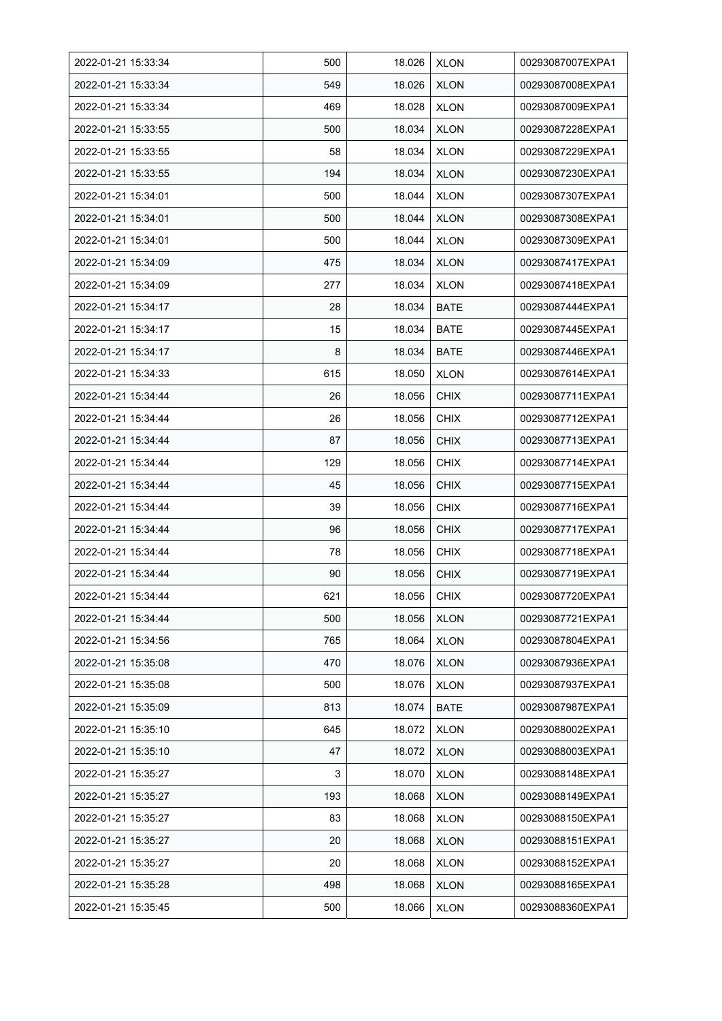| 2022-01-21 15:33:34 | 500 | 18.026 | <b>XLON</b> | 00293087007EXPA1 |
|---------------------|-----|--------|-------------|------------------|
| 2022-01-21 15:33:34 | 549 | 18.026 | <b>XLON</b> | 00293087008EXPA1 |
| 2022-01-21 15:33:34 | 469 | 18.028 | <b>XLON</b> | 00293087009EXPA1 |
| 2022-01-21 15:33:55 | 500 | 18.034 | <b>XLON</b> | 00293087228EXPA1 |
| 2022-01-21 15:33:55 | 58  | 18.034 | <b>XLON</b> | 00293087229EXPA1 |
| 2022-01-21 15:33:55 | 194 | 18.034 | <b>XLON</b> | 00293087230EXPA1 |
| 2022-01-21 15:34:01 | 500 | 18.044 | <b>XLON</b> | 00293087307EXPA1 |
| 2022-01-21 15:34:01 | 500 | 18.044 | <b>XLON</b> | 00293087308EXPA1 |
| 2022-01-21 15:34:01 | 500 | 18.044 | <b>XLON</b> | 00293087309EXPA1 |
| 2022-01-21 15:34:09 | 475 | 18.034 | <b>XLON</b> | 00293087417EXPA1 |
| 2022-01-21 15:34:09 | 277 | 18.034 | <b>XLON</b> | 00293087418EXPA1 |
| 2022-01-21 15:34:17 | 28  | 18.034 | <b>BATE</b> | 00293087444EXPA1 |
| 2022-01-21 15:34:17 | 15  | 18.034 | <b>BATE</b> | 00293087445EXPA1 |
| 2022-01-21 15:34:17 | 8   | 18.034 | <b>BATE</b> | 00293087446EXPA1 |
| 2022-01-21 15:34:33 | 615 | 18.050 | <b>XLON</b> | 00293087614EXPA1 |
| 2022-01-21 15:34:44 | 26  | 18.056 | <b>CHIX</b> | 00293087711EXPA1 |
| 2022-01-21 15:34:44 | 26  | 18.056 | <b>CHIX</b> | 00293087712EXPA1 |
| 2022-01-21 15:34:44 | 87  | 18.056 | <b>CHIX</b> | 00293087713EXPA1 |
| 2022-01-21 15:34:44 | 129 | 18.056 | <b>CHIX</b> | 00293087714EXPA1 |
| 2022-01-21 15:34:44 | 45  | 18.056 | <b>CHIX</b> | 00293087715EXPA1 |
| 2022-01-21 15:34:44 | 39  | 18.056 | <b>CHIX</b> | 00293087716EXPA1 |
| 2022-01-21 15:34:44 | 96  | 18.056 | <b>CHIX</b> | 00293087717EXPA1 |
| 2022-01-21 15:34:44 | 78  | 18.056 | <b>CHIX</b> | 00293087718EXPA1 |
| 2022-01-21 15:34:44 | 90  | 18.056 | <b>CHIX</b> | 00293087719EXPA1 |
| 2022-01-21 15:34:44 | 621 | 18.056 | <b>CHIX</b> | 00293087720EXPA1 |
| 2022-01-21 15:34:44 | 500 | 18.056 | <b>XLON</b> | 00293087721EXPA1 |
| 2022-01-21 15:34:56 | 765 | 18.064 | <b>XLON</b> | 00293087804EXPA1 |
| 2022-01-21 15:35:08 | 470 | 18.076 | <b>XLON</b> | 00293087936EXPA1 |
| 2022-01-21 15:35:08 | 500 | 18.076 | <b>XLON</b> | 00293087937EXPA1 |
| 2022-01-21 15:35:09 | 813 | 18.074 | <b>BATE</b> | 00293087987EXPA1 |
| 2022-01-21 15:35:10 | 645 | 18.072 | <b>XLON</b> | 00293088002EXPA1 |
| 2022-01-21 15:35:10 | 47  | 18.072 | <b>XLON</b> | 00293088003EXPA1 |
| 2022-01-21 15:35:27 | 3   | 18.070 | <b>XLON</b> | 00293088148EXPA1 |
| 2022-01-21 15:35:27 | 193 | 18.068 | <b>XLON</b> | 00293088149EXPA1 |
| 2022-01-21 15:35:27 | 83  | 18.068 | <b>XLON</b> | 00293088150EXPA1 |
| 2022-01-21 15:35:27 | 20  | 18.068 | <b>XLON</b> | 00293088151EXPA1 |
| 2022-01-21 15:35:27 | 20  | 18.068 | <b>XLON</b> | 00293088152EXPA1 |
| 2022-01-21 15:35:28 | 498 | 18.068 | <b>XLON</b> | 00293088165EXPA1 |
| 2022-01-21 15:35:45 | 500 | 18.066 | <b>XLON</b> | 00293088360EXPA1 |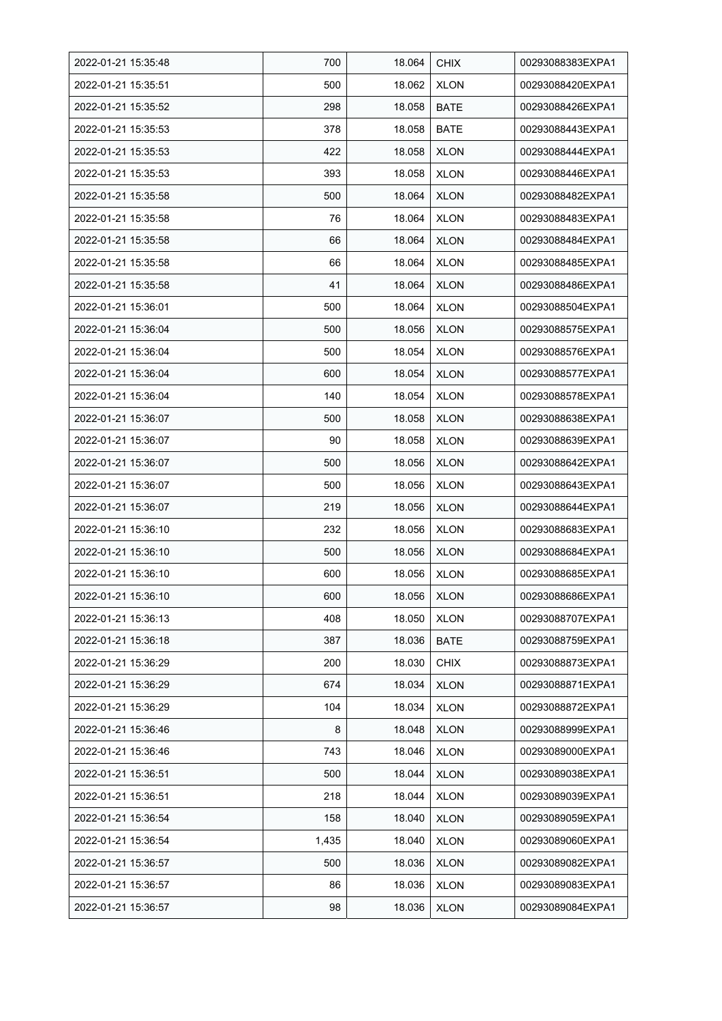| 2022-01-21 15:35:48 | 700   | 18.064 | <b>CHIX</b> | 00293088383EXPA1 |
|---------------------|-------|--------|-------------|------------------|
| 2022-01-21 15:35:51 | 500   | 18.062 | <b>XLON</b> | 00293088420EXPA1 |
| 2022-01-21 15:35:52 | 298   | 18.058 | <b>BATE</b> | 00293088426EXPA1 |
| 2022-01-21 15:35:53 | 378   | 18.058 | <b>BATE</b> | 00293088443EXPA1 |
| 2022-01-21 15:35:53 | 422   | 18.058 | <b>XLON</b> | 00293088444EXPA1 |
| 2022-01-21 15:35:53 | 393   | 18.058 | <b>XLON</b> | 00293088446EXPA1 |
| 2022-01-21 15:35:58 | 500   | 18.064 | <b>XLON</b> | 00293088482EXPA1 |
| 2022-01-21 15:35:58 | 76    | 18.064 | <b>XLON</b> | 00293088483EXPA1 |
| 2022-01-21 15:35:58 | 66    | 18.064 | <b>XLON</b> | 00293088484EXPA1 |
| 2022-01-21 15:35:58 | 66    | 18.064 | <b>XLON</b> | 00293088485EXPA1 |
| 2022-01-21 15:35:58 | 41    | 18.064 | <b>XLON</b> | 00293088486EXPA1 |
| 2022-01-21 15:36:01 | 500   | 18.064 | <b>XLON</b> | 00293088504EXPA1 |
| 2022-01-21 15:36:04 | 500   | 18.056 | <b>XLON</b> | 00293088575EXPA1 |
| 2022-01-21 15:36:04 | 500   | 18.054 | <b>XLON</b> | 00293088576EXPA1 |
| 2022-01-21 15:36:04 | 600   | 18.054 | <b>XLON</b> | 00293088577EXPA1 |
| 2022-01-21 15:36:04 | 140   | 18.054 | <b>XLON</b> | 00293088578EXPA1 |
| 2022-01-21 15:36:07 | 500   | 18.058 | <b>XLON</b> | 00293088638EXPA1 |
| 2022-01-21 15:36:07 | 90    | 18.058 | <b>XLON</b> | 00293088639EXPA1 |
| 2022-01-21 15:36:07 | 500   | 18.056 | <b>XLON</b> | 00293088642EXPA1 |
| 2022-01-21 15:36:07 | 500   | 18.056 | <b>XLON</b> | 00293088643EXPA1 |
| 2022-01-21 15:36:07 | 219   | 18.056 | <b>XLON</b> | 00293088644EXPA1 |
| 2022-01-21 15:36:10 | 232   | 18.056 | <b>XLON</b> | 00293088683EXPA1 |
| 2022-01-21 15:36:10 | 500   | 18.056 | <b>XLON</b> | 00293088684EXPA1 |
| 2022-01-21 15:36:10 | 600   | 18.056 | <b>XLON</b> | 00293088685EXPA1 |
| 2022-01-21 15:36:10 | 600   | 18.056 | <b>XLON</b> | 00293088686EXPA1 |
| 2022-01-21 15:36:13 | 408   | 18.050 | <b>XLON</b> | 00293088707EXPA1 |
| 2022-01-21 15:36:18 | 387   | 18.036 | <b>BATE</b> | 00293088759EXPA1 |
| 2022-01-21 15:36:29 | 200   | 18.030 | <b>CHIX</b> | 00293088873EXPA1 |
| 2022-01-21 15:36:29 | 674   | 18.034 | <b>XLON</b> | 00293088871EXPA1 |
| 2022-01-21 15:36:29 | 104   | 18.034 | <b>XLON</b> | 00293088872EXPA1 |
| 2022-01-21 15:36:46 | 8     | 18.048 | <b>XLON</b> | 00293088999EXPA1 |
| 2022-01-21 15:36:46 | 743   | 18.046 | <b>XLON</b> | 00293089000EXPA1 |
| 2022-01-21 15:36:51 | 500   | 18.044 | <b>XLON</b> | 00293089038EXPA1 |
| 2022-01-21 15:36:51 | 218   | 18.044 | <b>XLON</b> | 00293089039EXPA1 |
| 2022-01-21 15:36:54 | 158   | 18.040 | <b>XLON</b> | 00293089059EXPA1 |
| 2022-01-21 15:36:54 | 1,435 | 18.040 | <b>XLON</b> | 00293089060EXPA1 |
| 2022-01-21 15:36:57 | 500   | 18.036 | <b>XLON</b> | 00293089082EXPA1 |
| 2022-01-21 15:36:57 | 86    | 18.036 | <b>XLON</b> | 00293089083EXPA1 |
| 2022-01-21 15:36:57 | 98    | 18.036 | <b>XLON</b> | 00293089084EXPA1 |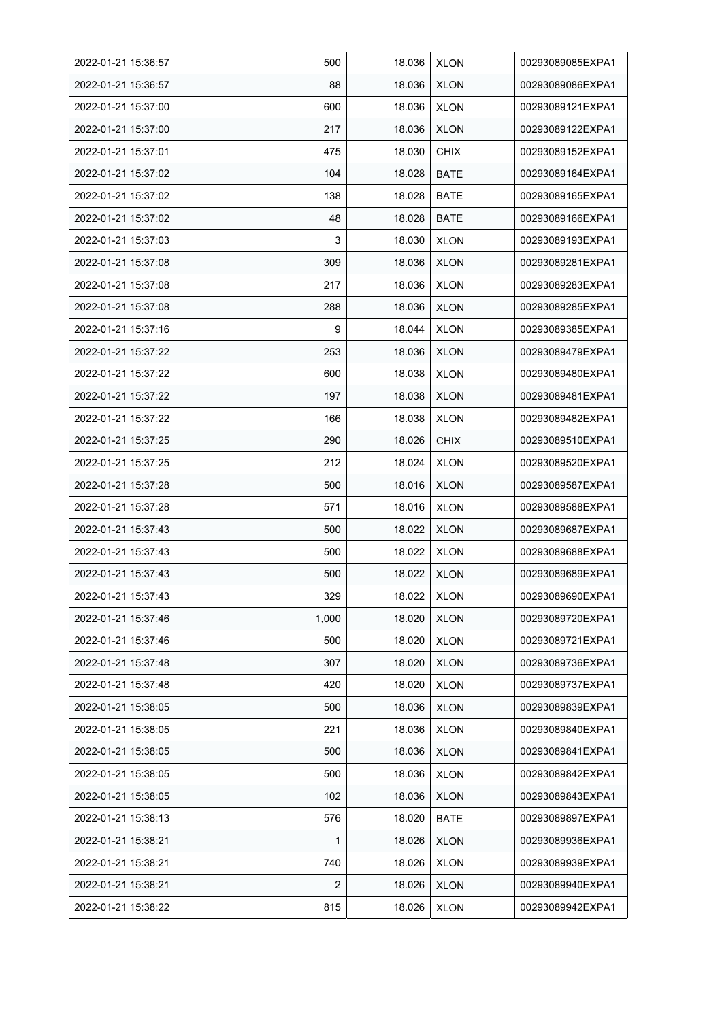| 2022-01-21 15:36:57 | 500   | 18.036 | <b>XLON</b> | 00293089085EXPA1 |
|---------------------|-------|--------|-------------|------------------|
| 2022-01-21 15:36:57 | 88    | 18.036 | <b>XLON</b> | 00293089086EXPA1 |
| 2022-01-21 15:37:00 | 600   | 18.036 | <b>XLON</b> | 00293089121EXPA1 |
| 2022-01-21 15:37:00 | 217   | 18.036 | <b>XLON</b> | 00293089122EXPA1 |
| 2022-01-21 15:37:01 | 475   | 18.030 | <b>CHIX</b> | 00293089152EXPA1 |
| 2022-01-21 15:37:02 | 104   | 18.028 | <b>BATE</b> | 00293089164EXPA1 |
| 2022-01-21 15:37:02 | 138   | 18.028 | <b>BATE</b> | 00293089165EXPA1 |
| 2022-01-21 15:37:02 | 48    | 18.028 | <b>BATE</b> | 00293089166EXPA1 |
| 2022-01-21 15:37:03 | 3     | 18.030 | <b>XLON</b> | 00293089193EXPA1 |
| 2022-01-21 15:37:08 | 309   | 18.036 | <b>XLON</b> | 00293089281EXPA1 |
| 2022-01-21 15:37:08 | 217   | 18.036 | <b>XLON</b> | 00293089283EXPA1 |
| 2022-01-21 15:37:08 | 288   | 18.036 | <b>XLON</b> | 00293089285EXPA1 |
| 2022-01-21 15:37:16 | 9     | 18.044 | <b>XLON</b> | 00293089385EXPA1 |
| 2022-01-21 15:37:22 | 253   | 18.036 | <b>XLON</b> | 00293089479EXPA1 |
| 2022-01-21 15:37:22 | 600   | 18.038 | <b>XLON</b> | 00293089480EXPA1 |
| 2022-01-21 15:37:22 | 197   | 18.038 | <b>XLON</b> | 00293089481EXPA1 |
| 2022-01-21 15:37:22 | 166   | 18.038 | <b>XLON</b> | 00293089482EXPA1 |
| 2022-01-21 15:37:25 | 290   | 18.026 | <b>CHIX</b> | 00293089510EXPA1 |
| 2022-01-21 15:37:25 | 212   | 18.024 | <b>XLON</b> | 00293089520EXPA1 |
| 2022-01-21 15:37:28 | 500   | 18.016 | <b>XLON</b> | 00293089587EXPA1 |
| 2022-01-21 15:37:28 | 571   | 18.016 | <b>XLON</b> | 00293089588EXPA1 |
| 2022-01-21 15:37:43 | 500   | 18.022 | <b>XLON</b> | 00293089687EXPA1 |
| 2022-01-21 15:37:43 | 500   | 18.022 | <b>XLON</b> | 00293089688EXPA1 |
| 2022-01-21 15:37:43 | 500   | 18.022 | <b>XLON</b> | 00293089689EXPA1 |
| 2022-01-21 15:37:43 | 329   | 18.022 | <b>XLON</b> | 00293089690EXPA1 |
| 2022-01-21 15:37:46 | 1,000 | 18.020 | <b>XLON</b> | 00293089720EXPA1 |
| 2022-01-21 15:37:46 | 500   | 18.020 | <b>XLON</b> | 00293089721EXPA1 |
| 2022-01-21 15:37:48 | 307   | 18.020 | <b>XLON</b> | 00293089736EXPA1 |
| 2022-01-21 15:37:48 | 420   | 18.020 | <b>XLON</b> | 00293089737EXPA1 |
| 2022-01-21 15:38:05 | 500   | 18.036 | <b>XLON</b> | 00293089839EXPA1 |
| 2022-01-21 15:38:05 | 221   | 18.036 | <b>XLON</b> | 00293089840EXPA1 |
| 2022-01-21 15:38:05 | 500   | 18.036 | <b>XLON</b> | 00293089841EXPA1 |
| 2022-01-21 15:38:05 | 500   | 18.036 | <b>XLON</b> | 00293089842EXPA1 |
| 2022-01-21 15:38:05 | 102   | 18.036 | <b>XLON</b> | 00293089843EXPA1 |
| 2022-01-21 15:38:13 | 576   | 18.020 | BATE        | 00293089897EXPA1 |
| 2022-01-21 15:38:21 | 1     | 18.026 | <b>XLON</b> | 00293089936EXPA1 |
| 2022-01-21 15:38:21 | 740   | 18.026 | <b>XLON</b> | 00293089939EXPA1 |
| 2022-01-21 15:38:21 | 2     | 18.026 | <b>XLON</b> | 00293089940EXPA1 |
| 2022-01-21 15:38:22 | 815   | 18.026 | <b>XLON</b> | 00293089942EXPA1 |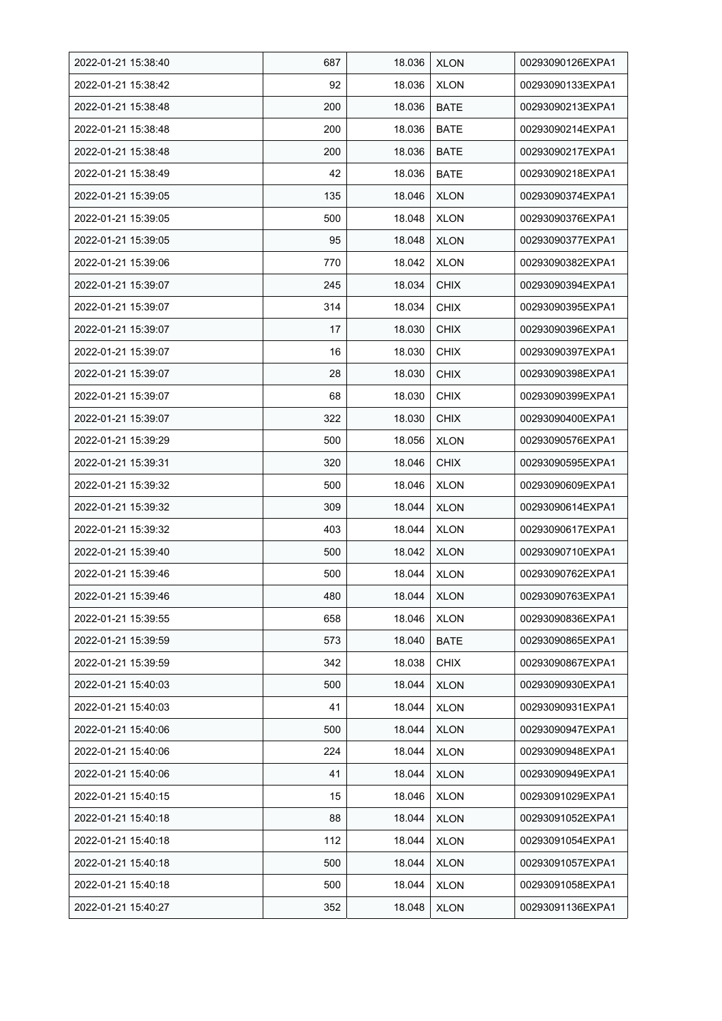| 2022-01-21 15:38:40 | 687 | 18.036 | <b>XLON</b> | 00293090126EXPA1 |
|---------------------|-----|--------|-------------|------------------|
| 2022-01-21 15:38:42 | 92  | 18.036 | <b>XLON</b> | 00293090133EXPA1 |
| 2022-01-21 15:38:48 | 200 | 18.036 | <b>BATE</b> | 00293090213EXPA1 |
| 2022-01-21 15:38:48 | 200 | 18.036 | <b>BATE</b> | 00293090214EXPA1 |
| 2022-01-21 15:38:48 | 200 | 18.036 | <b>BATE</b> | 00293090217EXPA1 |
| 2022-01-21 15:38:49 | 42  | 18.036 | <b>BATE</b> | 00293090218EXPA1 |
| 2022-01-21 15:39:05 | 135 | 18.046 | <b>XLON</b> | 00293090374EXPA1 |
| 2022-01-21 15:39:05 | 500 | 18.048 | <b>XLON</b> | 00293090376EXPA1 |
| 2022-01-21 15:39:05 | 95  | 18.048 | <b>XLON</b> | 00293090377EXPA1 |
| 2022-01-21 15:39:06 | 770 | 18.042 | <b>XLON</b> | 00293090382EXPA1 |
| 2022-01-21 15:39:07 | 245 | 18.034 | <b>CHIX</b> | 00293090394EXPA1 |
| 2022-01-21 15:39:07 | 314 | 18.034 | <b>CHIX</b> | 00293090395EXPA1 |
| 2022-01-21 15:39:07 | 17  | 18.030 | <b>CHIX</b> | 00293090396EXPA1 |
| 2022-01-21 15:39:07 | 16  | 18.030 | <b>CHIX</b> | 00293090397EXPA1 |
| 2022-01-21 15:39:07 | 28  | 18.030 | <b>CHIX</b> | 00293090398EXPA1 |
| 2022-01-21 15:39:07 | 68  | 18.030 | <b>CHIX</b> | 00293090399EXPA1 |
| 2022-01-21 15:39:07 | 322 | 18.030 | <b>CHIX</b> | 00293090400EXPA1 |
| 2022-01-21 15:39:29 | 500 | 18.056 | <b>XLON</b> | 00293090576EXPA1 |
| 2022-01-21 15:39:31 | 320 | 18.046 | <b>CHIX</b> | 00293090595EXPA1 |
| 2022-01-21 15:39:32 | 500 | 18.046 | <b>XLON</b> | 00293090609EXPA1 |
| 2022-01-21 15:39:32 | 309 | 18.044 | <b>XLON</b> | 00293090614EXPA1 |
| 2022-01-21 15:39:32 | 403 | 18.044 | <b>XLON</b> | 00293090617EXPA1 |
| 2022-01-21 15:39:40 | 500 | 18.042 | <b>XLON</b> | 00293090710EXPA1 |
| 2022-01-21 15:39:46 | 500 | 18.044 | <b>XLON</b> | 00293090762EXPA1 |
| 2022-01-21 15:39:46 | 480 | 18.044 | <b>XLON</b> | 00293090763EXPA1 |
| 2022-01-21 15:39:55 | 658 | 18.046 | <b>XLON</b> | 00293090836EXPA1 |
| 2022-01-21 15:39:59 | 573 | 18.040 | BATE        | 00293090865EXPA1 |
| 2022-01-21 15:39:59 | 342 | 18.038 | <b>CHIX</b> | 00293090867EXPA1 |
| 2022-01-21 15:40:03 | 500 | 18.044 | <b>XLON</b> | 00293090930EXPA1 |
| 2022-01-21 15:40:03 | 41  | 18.044 | <b>XLON</b> | 00293090931EXPA1 |
| 2022-01-21 15:40:06 | 500 | 18.044 | <b>XLON</b> | 00293090947EXPA1 |
| 2022-01-21 15:40:06 | 224 | 18.044 | <b>XLON</b> | 00293090948EXPA1 |
| 2022-01-21 15:40:06 | 41  | 18.044 | <b>XLON</b> | 00293090949EXPA1 |
| 2022-01-21 15:40:15 | 15  | 18.046 | <b>XLON</b> | 00293091029EXPA1 |
| 2022-01-21 15:40:18 | 88  | 18.044 | <b>XLON</b> | 00293091052EXPA1 |
| 2022-01-21 15:40:18 | 112 | 18.044 | <b>XLON</b> | 00293091054EXPA1 |
| 2022-01-21 15:40:18 | 500 | 18.044 | <b>XLON</b> | 00293091057EXPA1 |
| 2022-01-21 15:40:18 | 500 | 18.044 | <b>XLON</b> | 00293091058EXPA1 |
| 2022-01-21 15:40:27 | 352 | 18.048 | <b>XLON</b> | 00293091136EXPA1 |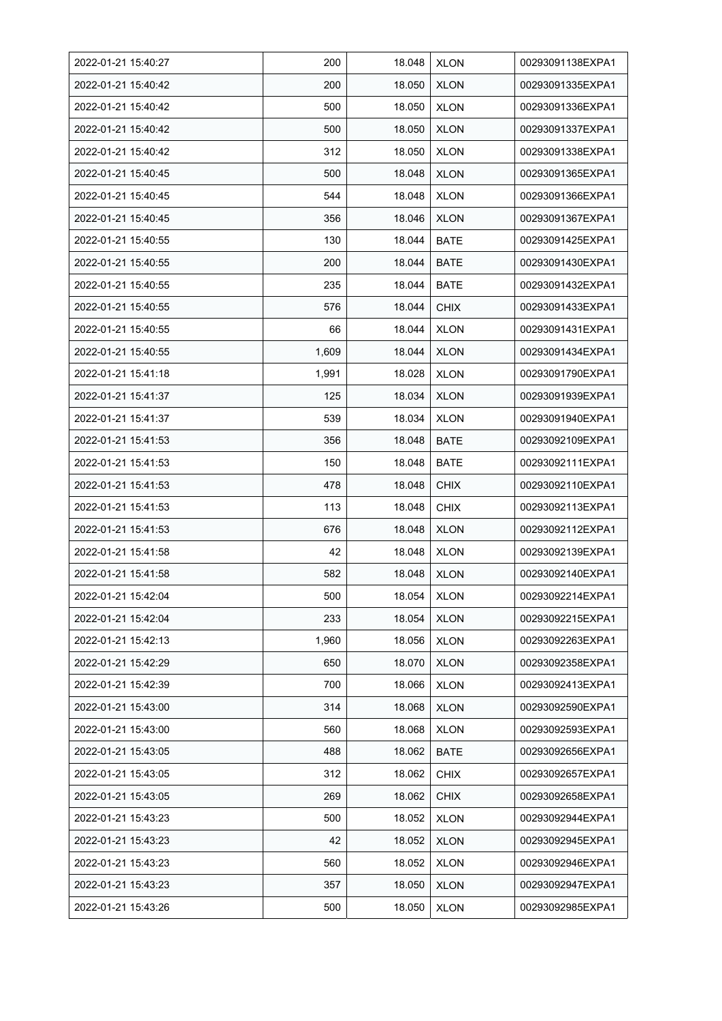| 2022-01-21 15:40:27 | 200   | 18.048 | <b>XLON</b> | 00293091138EXPA1 |
|---------------------|-------|--------|-------------|------------------|
| 2022-01-21 15:40:42 | 200   | 18.050 | <b>XLON</b> | 00293091335EXPA1 |
| 2022-01-21 15:40:42 | 500   | 18.050 | <b>XLON</b> | 00293091336EXPA1 |
| 2022-01-21 15:40:42 | 500   | 18.050 | <b>XLON</b> | 00293091337EXPA1 |
| 2022-01-21 15:40:42 | 312   | 18.050 | <b>XLON</b> | 00293091338EXPA1 |
| 2022-01-21 15:40:45 | 500   | 18.048 | <b>XLON</b> | 00293091365EXPA1 |
| 2022-01-21 15:40:45 | 544   | 18.048 | <b>XLON</b> | 00293091366EXPA1 |
| 2022-01-21 15:40:45 | 356   | 18.046 | <b>XLON</b> | 00293091367EXPA1 |
| 2022-01-21 15:40:55 | 130   | 18.044 | <b>BATE</b> | 00293091425EXPA1 |
| 2022-01-21 15:40:55 | 200   | 18.044 | <b>BATE</b> | 00293091430EXPA1 |
| 2022-01-21 15:40:55 | 235   | 18.044 | <b>BATE</b> | 00293091432EXPA1 |
| 2022-01-21 15:40:55 | 576   | 18.044 | <b>CHIX</b> | 00293091433EXPA1 |
| 2022-01-21 15:40:55 | 66    | 18.044 | <b>XLON</b> | 00293091431EXPA1 |
| 2022-01-21 15:40:55 | 1,609 | 18.044 | <b>XLON</b> | 00293091434EXPA1 |
| 2022-01-21 15:41:18 | 1,991 | 18.028 | <b>XLON</b> | 00293091790EXPA1 |
| 2022-01-21 15:41:37 | 125   | 18.034 | <b>XLON</b> | 00293091939EXPA1 |
| 2022-01-21 15:41:37 | 539   | 18.034 | <b>XLON</b> | 00293091940EXPA1 |
| 2022-01-21 15:41:53 | 356   | 18.048 | BATE        | 00293092109EXPA1 |
| 2022-01-21 15:41:53 | 150   | 18.048 | <b>BATE</b> | 00293092111EXPA1 |
| 2022-01-21 15:41:53 | 478   | 18.048 | <b>CHIX</b> | 00293092110EXPA1 |
| 2022-01-21 15:41:53 | 113   | 18.048 | <b>CHIX</b> | 00293092113EXPA1 |
| 2022-01-21 15:41:53 | 676   | 18.048 | <b>XLON</b> | 00293092112EXPA1 |
| 2022-01-21 15:41:58 | 42    | 18.048 | <b>XLON</b> | 00293092139EXPA1 |
| 2022-01-21 15:41:58 | 582   | 18.048 | <b>XLON</b> | 00293092140EXPA1 |
| 2022-01-21 15:42:04 | 500   | 18.054 | <b>XLON</b> | 00293092214EXPA1 |
| 2022-01-21 15:42:04 | 233   | 18.054 | <b>XLON</b> | 00293092215EXPA1 |
| 2022-01-21 15:42:13 | 1,960 | 18.056 | <b>XLON</b> | 00293092263EXPA1 |
| 2022-01-21 15:42:29 | 650   | 18.070 | <b>XLON</b> | 00293092358EXPA1 |
| 2022-01-21 15:42:39 | 700   | 18.066 | <b>XLON</b> | 00293092413EXPA1 |
| 2022-01-21 15:43:00 | 314   | 18.068 | <b>XLON</b> | 00293092590EXPA1 |
| 2022-01-21 15:43:00 | 560   | 18.068 | <b>XLON</b> | 00293092593EXPA1 |
| 2022-01-21 15:43:05 | 488   | 18.062 | BATE        | 00293092656EXPA1 |
| 2022-01-21 15:43:05 | 312   | 18.062 | <b>CHIX</b> | 00293092657EXPA1 |
| 2022-01-21 15:43:05 | 269   | 18.062 | <b>CHIX</b> | 00293092658EXPA1 |
| 2022-01-21 15:43:23 | 500   | 18.052 | <b>XLON</b> | 00293092944EXPA1 |
| 2022-01-21 15:43:23 | 42    | 18.052 | <b>XLON</b> | 00293092945EXPA1 |
| 2022-01-21 15:43:23 | 560   | 18.052 | <b>XLON</b> | 00293092946EXPA1 |
| 2022-01-21 15:43:23 | 357   | 18.050 | <b>XLON</b> | 00293092947EXPA1 |
| 2022-01-21 15:43:26 | 500   | 18.050 | <b>XLON</b> | 00293092985EXPA1 |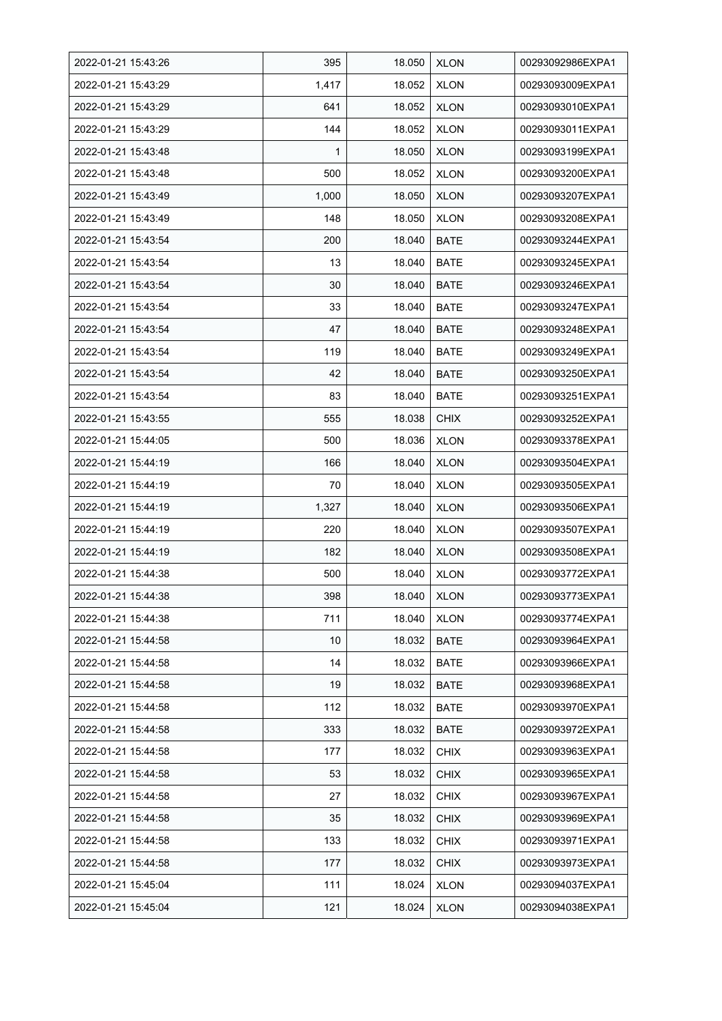| 2022-01-21 15:43:26 | 395   | 18.050 | <b>XLON</b> | 00293092986EXPA1 |
|---------------------|-------|--------|-------------|------------------|
| 2022-01-21 15:43:29 | 1,417 | 18.052 | <b>XLON</b> | 00293093009EXPA1 |
| 2022-01-21 15:43:29 | 641   | 18.052 | <b>XLON</b> | 00293093010EXPA1 |
| 2022-01-21 15:43:29 | 144   | 18.052 | <b>XLON</b> | 00293093011EXPA1 |
| 2022-01-21 15:43:48 | 1     | 18.050 | <b>XLON</b> | 00293093199EXPA1 |
| 2022-01-21 15:43:48 | 500   | 18.052 | <b>XLON</b> | 00293093200EXPA1 |
| 2022-01-21 15:43:49 | 1,000 | 18.050 | <b>XLON</b> | 00293093207EXPA1 |
| 2022-01-21 15:43:49 | 148   | 18.050 | <b>XLON</b> | 00293093208EXPA1 |
| 2022-01-21 15:43:54 | 200   | 18.040 | <b>BATE</b> | 00293093244EXPA1 |
| 2022-01-21 15:43:54 | 13    | 18.040 | <b>BATE</b> | 00293093245EXPA1 |
| 2022-01-21 15:43:54 | 30    | 18.040 | <b>BATE</b> | 00293093246EXPA1 |
| 2022-01-21 15:43:54 | 33    | 18.040 | <b>BATE</b> | 00293093247EXPA1 |
| 2022-01-21 15:43:54 | 47    | 18.040 | <b>BATE</b> | 00293093248EXPA1 |
| 2022-01-21 15:43:54 | 119   | 18.040 | <b>BATE</b> | 00293093249EXPA1 |
| 2022-01-21 15:43:54 | 42    | 18.040 | <b>BATE</b> | 00293093250EXPA1 |
| 2022-01-21 15:43:54 | 83    | 18.040 | <b>BATE</b> | 00293093251EXPA1 |
| 2022-01-21 15:43:55 | 555   | 18.038 | <b>CHIX</b> | 00293093252EXPA1 |
| 2022-01-21 15:44:05 | 500   | 18.036 | <b>XLON</b> | 00293093378EXPA1 |
| 2022-01-21 15:44:19 | 166   | 18.040 | <b>XLON</b> | 00293093504EXPA1 |
| 2022-01-21 15:44:19 | 70    | 18.040 | <b>XLON</b> | 00293093505EXPA1 |
| 2022-01-21 15:44:19 | 1,327 | 18.040 | <b>XLON</b> | 00293093506EXPA1 |
| 2022-01-21 15:44:19 | 220   | 18.040 | <b>XLON</b> | 00293093507EXPA1 |
| 2022-01-21 15:44:19 | 182   | 18.040 | <b>XLON</b> | 00293093508EXPA1 |
| 2022-01-21 15:44:38 | 500   | 18.040 | <b>XLON</b> | 00293093772EXPA1 |
| 2022-01-21 15:44:38 | 398   | 18.040 | <b>XLON</b> | 00293093773EXPA1 |
| 2022-01-21 15:44:38 | 711   | 18.040 | <b>XLON</b> | 00293093774EXPA1 |
| 2022-01-21 15:44:58 | 10    | 18.032 | <b>BATE</b> | 00293093964EXPA1 |
| 2022-01-21 15:44:58 | 14    | 18.032 | <b>BATE</b> | 00293093966EXPA1 |
| 2022-01-21 15:44:58 | 19    | 18.032 | <b>BATE</b> | 00293093968EXPA1 |
| 2022-01-21 15:44:58 | 112   | 18.032 | <b>BATE</b> | 00293093970EXPA1 |
| 2022-01-21 15:44:58 | 333   | 18.032 | <b>BATE</b> | 00293093972EXPA1 |
| 2022-01-21 15:44:58 | 177   | 18.032 | <b>CHIX</b> | 00293093963EXPA1 |
| 2022-01-21 15:44:58 | 53    | 18.032 | <b>CHIX</b> | 00293093965EXPA1 |
| 2022-01-21 15:44:58 | 27    | 18.032 | <b>CHIX</b> | 00293093967EXPA1 |
| 2022-01-21 15:44:58 | 35    | 18.032 | <b>CHIX</b> | 00293093969EXPA1 |
| 2022-01-21 15:44:58 | 133   | 18.032 | <b>CHIX</b> | 00293093971EXPA1 |
| 2022-01-21 15:44:58 | 177   | 18.032 | <b>CHIX</b> | 00293093973EXPA1 |
| 2022-01-21 15:45:04 | 111   | 18.024 | <b>XLON</b> | 00293094037EXPA1 |
| 2022-01-21 15:45:04 | 121   | 18.024 | <b>XLON</b> | 00293094038EXPA1 |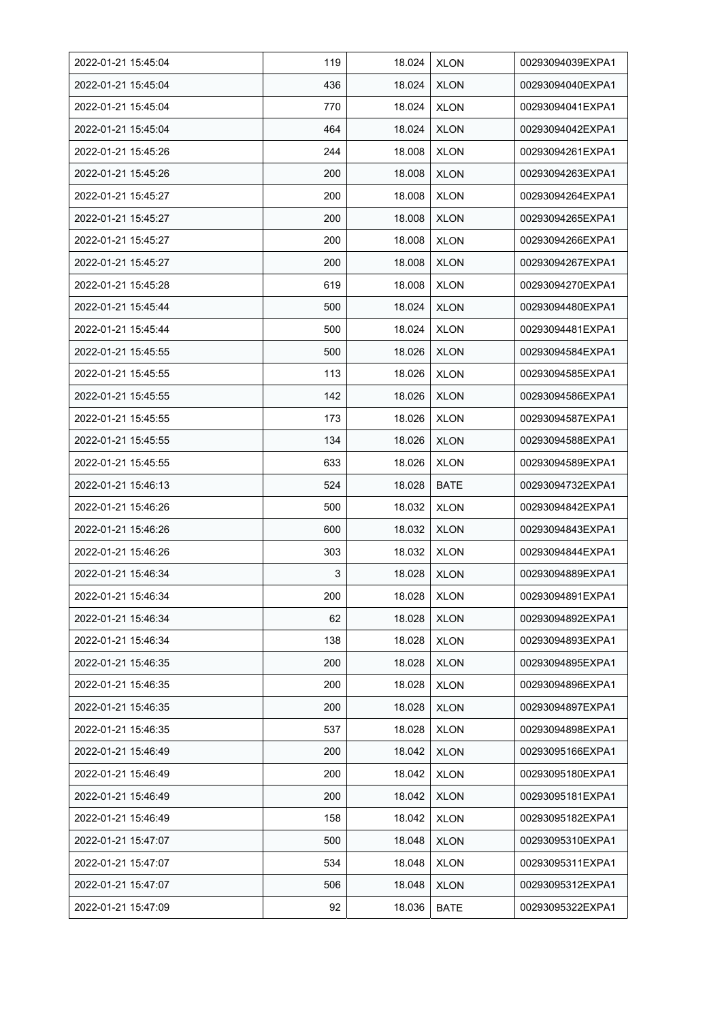| 2022-01-21 15:45:04 | 119 | 18.024 | <b>XLON</b> | 00293094039EXPA1 |
|---------------------|-----|--------|-------------|------------------|
| 2022-01-21 15:45:04 | 436 | 18.024 | <b>XLON</b> | 00293094040EXPA1 |
| 2022-01-21 15:45:04 | 770 | 18.024 | <b>XLON</b> | 00293094041EXPA1 |
| 2022-01-21 15:45:04 | 464 | 18.024 | <b>XLON</b> | 00293094042EXPA1 |
| 2022-01-21 15:45:26 | 244 | 18.008 | <b>XLON</b> | 00293094261EXPA1 |
| 2022-01-21 15:45:26 | 200 | 18.008 | <b>XLON</b> | 00293094263EXPA1 |
| 2022-01-21 15:45:27 | 200 | 18.008 | <b>XLON</b> | 00293094264EXPA1 |
| 2022-01-21 15:45:27 | 200 | 18.008 | <b>XLON</b> | 00293094265EXPA1 |
| 2022-01-21 15:45:27 | 200 | 18.008 | <b>XLON</b> | 00293094266EXPA1 |
| 2022-01-21 15:45:27 | 200 | 18.008 | <b>XLON</b> | 00293094267EXPA1 |
| 2022-01-21 15:45:28 | 619 | 18.008 | <b>XLON</b> | 00293094270EXPA1 |
| 2022-01-21 15:45:44 | 500 | 18.024 | <b>XLON</b> | 00293094480EXPA1 |
| 2022-01-21 15:45:44 | 500 | 18.024 | <b>XLON</b> | 00293094481EXPA1 |
| 2022-01-21 15:45:55 | 500 | 18.026 | <b>XLON</b> | 00293094584EXPA1 |
| 2022-01-21 15:45:55 | 113 | 18.026 | <b>XLON</b> | 00293094585EXPA1 |
| 2022-01-21 15:45:55 | 142 | 18.026 | <b>XLON</b> | 00293094586EXPA1 |
| 2022-01-21 15:45:55 | 173 | 18.026 | <b>XLON</b> | 00293094587EXPA1 |
| 2022-01-21 15:45:55 | 134 | 18.026 | <b>XLON</b> | 00293094588EXPA1 |
| 2022-01-21 15:45:55 | 633 | 18.026 | <b>XLON</b> | 00293094589EXPA1 |
| 2022-01-21 15:46:13 | 524 | 18.028 | <b>BATE</b> | 00293094732EXPA1 |
| 2022-01-21 15:46:26 | 500 | 18.032 | <b>XLON</b> | 00293094842EXPA1 |
| 2022-01-21 15:46:26 | 600 | 18.032 | <b>XLON</b> | 00293094843EXPA1 |
| 2022-01-21 15:46:26 | 303 | 18.032 | <b>XLON</b> | 00293094844EXPA1 |
| 2022-01-21 15:46:34 | 3   | 18.028 | <b>XLON</b> | 00293094889EXPA1 |
| 2022-01-21 15:46:34 | 200 | 18.028 | <b>XLON</b> | 00293094891EXPA1 |
| 2022-01-21 15:46:34 | 62  | 18.028 | <b>XLON</b> | 00293094892EXPA1 |
| 2022-01-21 15:46:34 | 138 | 18.028 | <b>XLON</b> | 00293094893EXPA1 |
| 2022-01-21 15:46:35 | 200 | 18.028 | <b>XLON</b> | 00293094895EXPA1 |
| 2022-01-21 15:46:35 | 200 | 18.028 | <b>XLON</b> | 00293094896EXPA1 |
| 2022-01-21 15:46:35 | 200 | 18.028 | <b>XLON</b> | 00293094897EXPA1 |
| 2022-01-21 15:46:35 | 537 | 18.028 | <b>XLON</b> | 00293094898EXPA1 |
| 2022-01-21 15:46:49 | 200 | 18.042 | <b>XLON</b> | 00293095166EXPA1 |
| 2022-01-21 15:46:49 | 200 | 18.042 | <b>XLON</b> | 00293095180EXPA1 |
| 2022-01-21 15:46:49 | 200 | 18.042 | <b>XLON</b> | 00293095181EXPA1 |
| 2022-01-21 15:46:49 | 158 | 18.042 | <b>XLON</b> | 00293095182EXPA1 |
| 2022-01-21 15:47:07 | 500 | 18.048 | <b>XLON</b> | 00293095310EXPA1 |
| 2022-01-21 15:47:07 | 534 | 18.048 | <b>XLON</b> | 00293095311EXPA1 |
| 2022-01-21 15:47:07 | 506 | 18.048 | <b>XLON</b> | 00293095312EXPA1 |
| 2022-01-21 15:47:09 | 92  | 18.036 | <b>BATE</b> | 00293095322EXPA1 |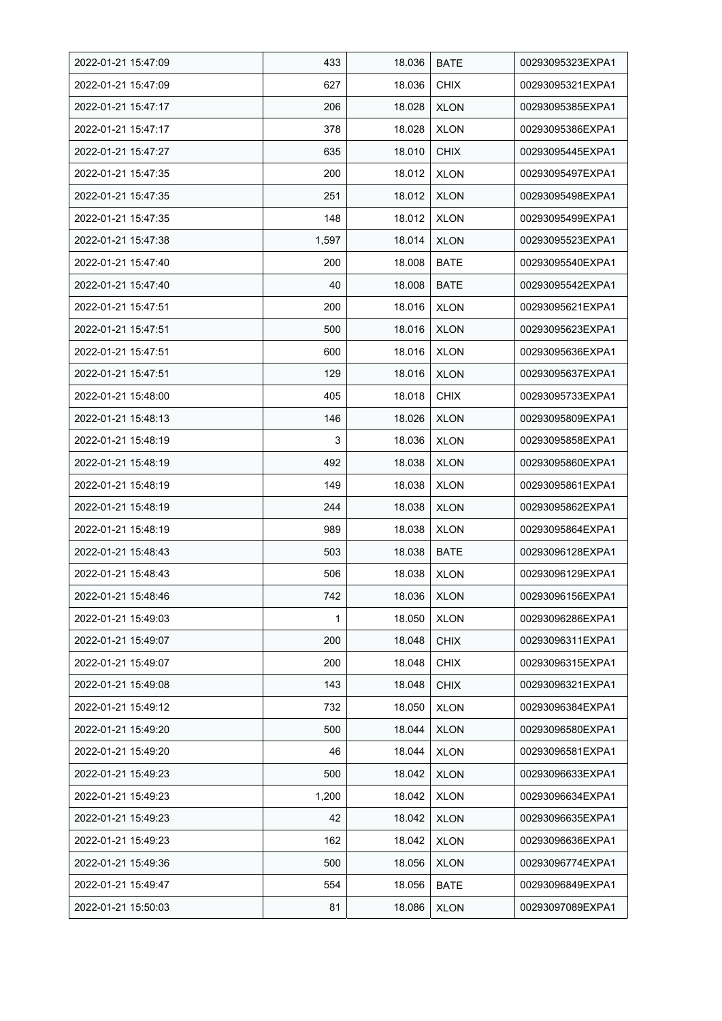| 2022-01-21 15:47:09 | 433   | 18.036 | <b>BATE</b> | 00293095323EXPA1 |
|---------------------|-------|--------|-------------|------------------|
| 2022-01-21 15:47:09 | 627   | 18.036 | <b>CHIX</b> | 00293095321EXPA1 |
| 2022-01-21 15:47:17 | 206   | 18.028 | <b>XLON</b> | 00293095385EXPA1 |
| 2022-01-21 15:47:17 | 378   | 18.028 | <b>XLON</b> | 00293095386EXPA1 |
| 2022-01-21 15:47:27 | 635   | 18.010 | <b>CHIX</b> | 00293095445EXPA1 |
| 2022-01-21 15:47:35 | 200   | 18.012 | <b>XLON</b> | 00293095497EXPA1 |
| 2022-01-21 15:47:35 | 251   | 18.012 | <b>XLON</b> | 00293095498EXPA1 |
| 2022-01-21 15:47:35 | 148   | 18.012 | <b>XLON</b> | 00293095499EXPA1 |
| 2022-01-21 15:47:38 | 1,597 | 18.014 | <b>XLON</b> | 00293095523EXPA1 |
| 2022-01-21 15:47:40 | 200   | 18.008 | BATE        | 00293095540EXPA1 |
| 2022-01-21 15:47:40 | 40    | 18.008 | <b>BATE</b> | 00293095542EXPA1 |
| 2022-01-21 15:47:51 | 200   | 18.016 | <b>XLON</b> | 00293095621EXPA1 |
| 2022-01-21 15:47:51 | 500   | 18.016 | <b>XLON</b> | 00293095623EXPA1 |
| 2022-01-21 15:47:51 | 600   | 18.016 | <b>XLON</b> | 00293095636EXPA1 |
| 2022-01-21 15:47:51 | 129   | 18.016 | <b>XLON</b> | 00293095637EXPA1 |
| 2022-01-21 15:48:00 | 405   | 18.018 | <b>CHIX</b> | 00293095733EXPA1 |
| 2022-01-21 15:48:13 | 146   | 18.026 | <b>XLON</b> | 00293095809EXPA1 |
| 2022-01-21 15:48:19 | 3     | 18.036 | <b>XLON</b> | 00293095858EXPA1 |
| 2022-01-21 15:48:19 | 492   | 18.038 | <b>XLON</b> | 00293095860EXPA1 |
| 2022-01-21 15:48:19 | 149   | 18.038 | <b>XLON</b> | 00293095861EXPA1 |
| 2022-01-21 15:48:19 | 244   | 18.038 | <b>XLON</b> | 00293095862EXPA1 |
| 2022-01-21 15:48:19 | 989   | 18.038 | <b>XLON</b> | 00293095864EXPA1 |
| 2022-01-21 15:48:43 | 503   | 18.038 | <b>BATE</b> | 00293096128EXPA1 |
| 2022-01-21 15:48:43 | 506   | 18.038 | <b>XLON</b> | 00293096129EXPA1 |
| 2022-01-21 15:48:46 | 742   | 18.036 | <b>XLON</b> | 00293096156EXPA1 |
| 2022-01-21 15:49:03 | 1     | 18.050 | <b>XLON</b> | 00293096286EXPA1 |
| 2022-01-21 15:49:07 | 200   | 18.048 | <b>CHIX</b> | 00293096311EXPA1 |
| 2022-01-21 15:49:07 | 200   | 18.048 | <b>CHIX</b> | 00293096315EXPA1 |
| 2022-01-21 15:49:08 | 143   | 18.048 | <b>CHIX</b> | 00293096321EXPA1 |
| 2022-01-21 15:49:12 | 732   | 18.050 | <b>XLON</b> | 00293096384EXPA1 |
| 2022-01-21 15:49:20 | 500   | 18.044 | <b>XLON</b> | 00293096580EXPA1 |
| 2022-01-21 15:49:20 | 46    | 18.044 | <b>XLON</b> | 00293096581EXPA1 |
| 2022-01-21 15:49:23 | 500   | 18.042 | <b>XLON</b> | 00293096633EXPA1 |
| 2022-01-21 15:49:23 | 1,200 | 18.042 | <b>XLON</b> | 00293096634EXPA1 |
| 2022-01-21 15:49:23 | 42    | 18.042 | <b>XLON</b> | 00293096635EXPA1 |
| 2022-01-21 15:49:23 | 162   | 18.042 | <b>XLON</b> | 00293096636EXPA1 |
| 2022-01-21 15:49:36 | 500   | 18.056 | <b>XLON</b> | 00293096774EXPA1 |
| 2022-01-21 15:49:47 | 554   | 18.056 | <b>BATE</b> | 00293096849EXPA1 |
| 2022-01-21 15:50:03 | 81    | 18.086 | <b>XLON</b> | 00293097089EXPA1 |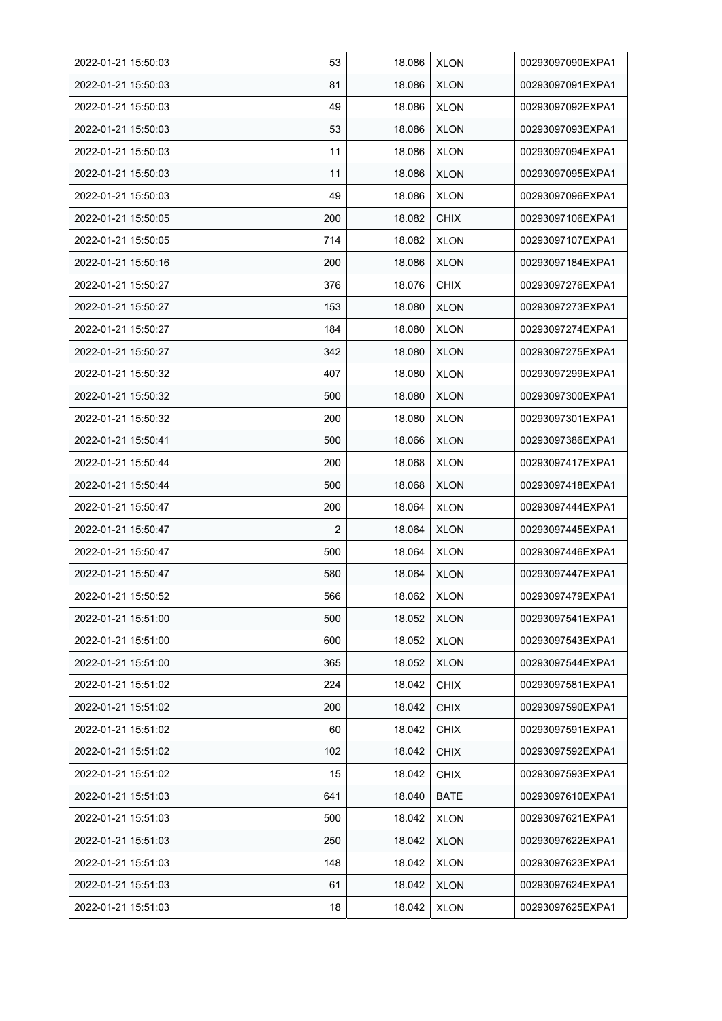| 2022-01-21 15:50:03 | 53             | 18.086 | <b>XLON</b> | 00293097090EXPA1 |
|---------------------|----------------|--------|-------------|------------------|
| 2022-01-21 15:50:03 | 81             | 18.086 | <b>XLON</b> | 00293097091EXPA1 |
| 2022-01-21 15:50:03 | 49             | 18.086 | <b>XLON</b> | 00293097092EXPA1 |
| 2022-01-21 15:50:03 | 53             | 18.086 | <b>XLON</b> | 00293097093EXPA1 |
| 2022-01-21 15:50:03 | 11             | 18.086 | <b>XLON</b> | 00293097094EXPA1 |
| 2022-01-21 15:50:03 | 11             | 18.086 | <b>XLON</b> | 00293097095EXPA1 |
| 2022-01-21 15:50:03 | 49             | 18.086 | <b>XLON</b> | 00293097096EXPA1 |
| 2022-01-21 15:50:05 | 200            | 18.082 | <b>CHIX</b> | 00293097106EXPA1 |
| 2022-01-21 15:50:05 | 714            | 18.082 | <b>XLON</b> | 00293097107EXPA1 |
| 2022-01-21 15:50:16 | 200            | 18.086 | <b>XLON</b> | 00293097184EXPA1 |
| 2022-01-21 15:50:27 | 376            | 18.076 | <b>CHIX</b> | 00293097276EXPA1 |
| 2022-01-21 15:50:27 | 153            | 18.080 | <b>XLON</b> | 00293097273EXPA1 |
| 2022-01-21 15:50:27 | 184            | 18.080 | <b>XLON</b> | 00293097274EXPA1 |
| 2022-01-21 15:50:27 | 342            | 18.080 | <b>XLON</b> | 00293097275EXPA1 |
| 2022-01-21 15:50:32 | 407            | 18.080 | <b>XLON</b> | 00293097299EXPA1 |
| 2022-01-21 15:50:32 | 500            | 18.080 | <b>XLON</b> | 00293097300EXPA1 |
| 2022-01-21 15:50:32 | 200            | 18.080 | <b>XLON</b> | 00293097301EXPA1 |
| 2022-01-21 15:50:41 | 500            | 18.066 | <b>XLON</b> | 00293097386EXPA1 |
| 2022-01-21 15:50:44 | 200            | 18.068 | <b>XLON</b> | 00293097417EXPA1 |
| 2022-01-21 15:50:44 | 500            | 18.068 | <b>XLON</b> | 00293097418EXPA1 |
| 2022-01-21 15:50:47 | 200            | 18.064 | <b>XLON</b> | 00293097444EXPA1 |
| 2022-01-21 15:50:47 | $\overline{2}$ | 18.064 | <b>XLON</b> | 00293097445EXPA1 |
| 2022-01-21 15:50:47 | 500            | 18.064 | <b>XLON</b> | 00293097446EXPA1 |
| 2022-01-21 15:50:47 | 580            | 18.064 | <b>XLON</b> | 00293097447EXPA1 |
| 2022-01-21 15:50:52 | 566            | 18.062 | <b>XLON</b> | 00293097479EXPA1 |
| 2022-01-21 15:51:00 | 500            | 18.052 | <b>XLON</b> | 00293097541EXPA1 |
| 2022-01-21 15:51:00 | 600            | 18.052 | <b>XLON</b> | 00293097543EXPA1 |
| 2022-01-21 15:51:00 | 365            | 18.052 | <b>XLON</b> | 00293097544EXPA1 |
| 2022-01-21 15:51:02 | 224            | 18.042 | <b>CHIX</b> | 00293097581EXPA1 |
| 2022-01-21 15:51:02 | 200            | 18.042 | <b>CHIX</b> | 00293097590EXPA1 |
| 2022-01-21 15:51:02 | 60             | 18.042 | <b>CHIX</b> | 00293097591EXPA1 |
| 2022-01-21 15:51:02 | 102            | 18.042 | <b>CHIX</b> | 00293097592EXPA1 |
| 2022-01-21 15:51:02 | 15             | 18.042 | <b>CHIX</b> | 00293097593EXPA1 |
| 2022-01-21 15:51:03 | 641            | 18.040 | <b>BATE</b> | 00293097610EXPA1 |
| 2022-01-21 15:51:03 | 500            | 18.042 | <b>XLON</b> | 00293097621EXPA1 |
| 2022-01-21 15:51:03 | 250            | 18.042 | <b>XLON</b> | 00293097622EXPA1 |
| 2022-01-21 15:51:03 | 148            | 18.042 | <b>XLON</b> | 00293097623EXPA1 |
| 2022-01-21 15:51:03 | 61             | 18.042 | <b>XLON</b> | 00293097624EXPA1 |
| 2022-01-21 15:51:03 | 18             | 18.042 | <b>XLON</b> | 00293097625EXPA1 |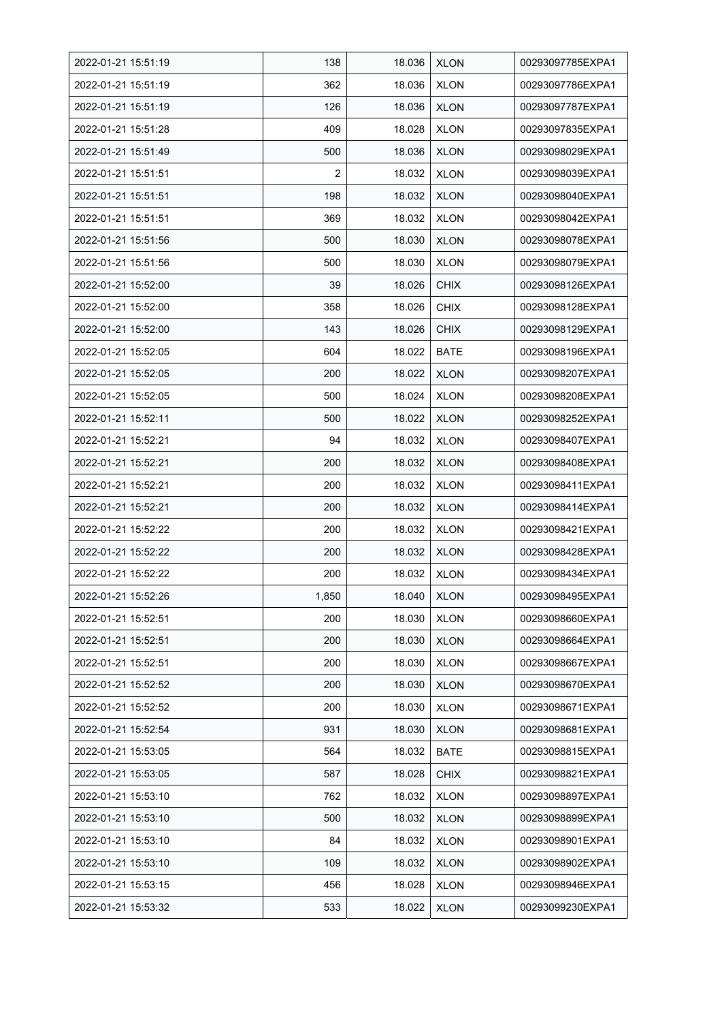| 2022-01-21 15:51:19 | 138   | 18.036 | <b>XLON</b> | 00293097785EXPA1 |
|---------------------|-------|--------|-------------|------------------|
| 2022-01-21 15:51:19 | 362   | 18.036 | <b>XLON</b> | 00293097786EXPA1 |
| 2022-01-21 15:51:19 | 126   | 18.036 | <b>XLON</b> | 00293097787EXPA1 |
| 2022-01-21 15:51:28 | 409   | 18.028 | <b>XLON</b> | 00293097835EXPA1 |
| 2022-01-21 15:51:49 | 500   | 18.036 | <b>XLON</b> | 00293098029EXPA1 |
| 2022-01-21 15:51:51 | 2     | 18.032 | <b>XLON</b> | 00293098039EXPA1 |
| 2022-01-21 15:51:51 | 198   | 18.032 | <b>XLON</b> | 00293098040EXPA1 |
| 2022-01-21 15:51:51 | 369   | 18.032 | <b>XLON</b> | 00293098042EXPA1 |
| 2022-01-21 15:51:56 | 500   | 18.030 | <b>XLON</b> | 00293098078EXPA1 |
| 2022-01-21 15:51:56 | 500   | 18.030 | <b>XLON</b> | 00293098079EXPA1 |
| 2022-01-21 15:52:00 | 39    | 18.026 | <b>CHIX</b> | 00293098126EXPA1 |
| 2022-01-21 15:52:00 | 358   | 18.026 | <b>CHIX</b> | 00293098128EXPA1 |
| 2022-01-21 15:52:00 | 143   | 18.026 | <b>CHIX</b> | 00293098129EXPA1 |
| 2022-01-21 15:52:05 | 604   | 18.022 | <b>BATE</b> | 00293098196EXPA1 |
| 2022-01-21 15:52:05 | 200   | 18.022 | <b>XLON</b> | 00293098207EXPA1 |
| 2022-01-21 15:52:05 | 500   | 18.024 | <b>XLON</b> | 00293098208EXPA1 |
| 2022-01-21 15:52:11 | 500   | 18.022 | <b>XLON</b> | 00293098252EXPA1 |
| 2022-01-21 15:52:21 | 94    | 18.032 | <b>XLON</b> | 00293098407EXPA1 |
| 2022-01-21 15:52:21 | 200   | 18.032 | <b>XLON</b> | 00293098408EXPA1 |
| 2022-01-21 15:52:21 | 200   | 18.032 | <b>XLON</b> | 00293098411EXPA1 |
| 2022-01-21 15.52.21 | 200   | 18.032 | <b>XLON</b> | 00293098414EXPA1 |
| 2022-01-21 15:52:22 | 200   | 18.032 | <b>XLON</b> | 00293098421EXPA1 |
| 2022-01-21 15:52:22 | 200   | 18.032 | <b>XLON</b> | 00293098428EXPA1 |
| 2022-01-21 15:52:22 | 200   | 18.032 | <b>XLON</b> | 00293098434EXPA1 |
| 2022-01-21 15:52:26 | 1,850 | 18.040 | <b>XLON</b> | 00293098495EXPA1 |
| 2022-01-21 15:52:51 | 200   | 18.030 | <b>XLON</b> | 00293098660EXPA1 |
| 2022-01-21 15:52:51 | 200   | 18.030 | <b>XLON</b> | 00293098664EXPA1 |
| 2022-01-21 15:52:51 | 200   | 18.030 | <b>XLON</b> | 00293098667EXPA1 |
| 2022-01-21 15:52:52 | 200   | 18.030 | <b>XLON</b> | 00293098670EXPA1 |
| 2022-01-21 15:52:52 | 200   | 18.030 | <b>XLON</b> | 00293098671EXPA1 |
| 2022-01-21 15:52:54 | 931   | 18.030 | <b>XLON</b> | 00293098681EXPA1 |
| 2022-01-21 15:53:05 | 564   | 18.032 | BATE        | 00293098815EXPA1 |
| 2022-01-21 15:53:05 | 587   | 18.028 | <b>CHIX</b> | 00293098821EXPA1 |
| 2022-01-21 15:53:10 | 762   | 18.032 | <b>XLON</b> | 00293098897EXPA1 |
| 2022-01-21 15:53:10 | 500   | 18.032 | <b>XLON</b> | 00293098899EXPA1 |
| 2022-01-21 15:53:10 | 84    | 18.032 | <b>XLON</b> | 00293098901EXPA1 |
| 2022-01-21 15:53:10 | 109   | 18.032 | <b>XLON</b> | 00293098902EXPA1 |
| 2022-01-21 15:53:15 | 456   | 18.028 | <b>XLON</b> | 00293098946EXPA1 |
| 2022-01-21 15:53:32 | 533   | 18.022 | <b>XLON</b> | 00293099230EXPA1 |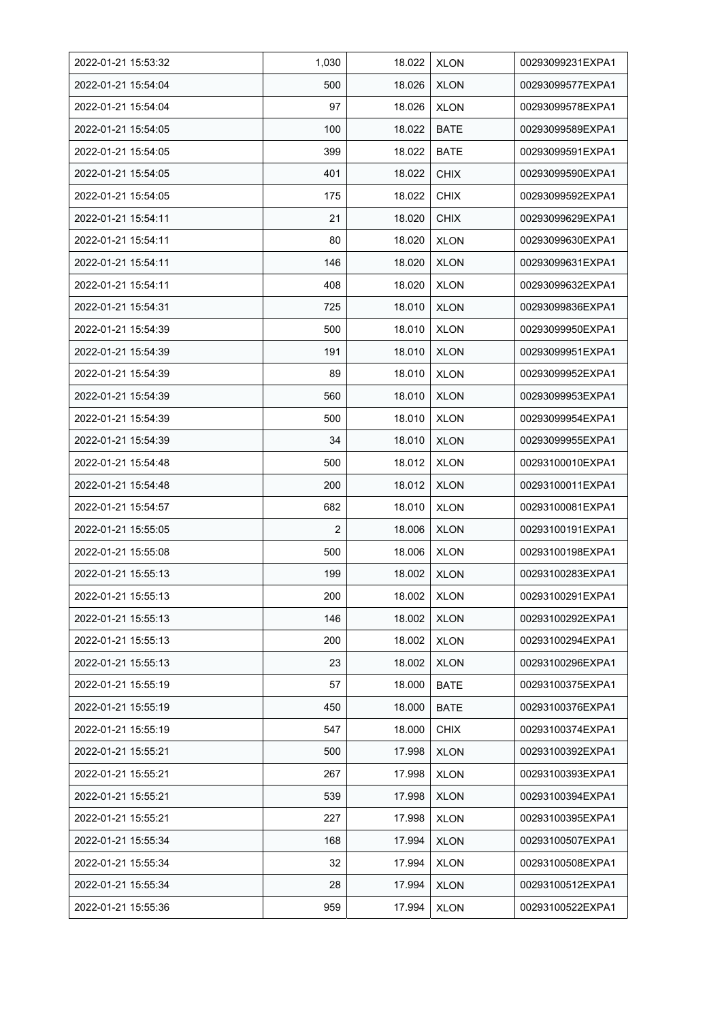| 2022-01-21 15:53:32 | 1,030 | 18.022 | <b>XLON</b> | 00293099231EXPA1 |
|---------------------|-------|--------|-------------|------------------|
| 2022-01-21 15:54:04 | 500   | 18.026 | <b>XLON</b> | 00293099577EXPA1 |
| 2022-01-21 15:54:04 | 97    | 18.026 | <b>XLON</b> | 00293099578EXPA1 |
| 2022-01-21 15:54:05 | 100   | 18.022 | <b>BATE</b> | 00293099589EXPA1 |
| 2022-01-21 15:54:05 | 399   | 18.022 | <b>BATE</b> | 00293099591EXPA1 |
| 2022-01-21 15:54:05 | 401   | 18.022 | <b>CHIX</b> | 00293099590EXPA1 |
| 2022-01-21 15:54:05 | 175   | 18.022 | <b>CHIX</b> | 00293099592EXPA1 |
| 2022-01-21 15:54:11 | 21    | 18.020 | <b>CHIX</b> | 00293099629EXPA1 |
| 2022-01-21 15:54:11 | 80    | 18.020 | <b>XLON</b> | 00293099630EXPA1 |
| 2022-01-21 15:54:11 | 146   | 18.020 | <b>XLON</b> | 00293099631EXPA1 |
| 2022-01-21 15:54:11 | 408   | 18.020 | <b>XLON</b> | 00293099632EXPA1 |
| 2022-01-21 15:54:31 | 725   | 18.010 | <b>XLON</b> | 00293099836EXPA1 |
| 2022-01-21 15:54:39 | 500   | 18.010 | <b>XLON</b> | 00293099950EXPA1 |
| 2022-01-21 15:54:39 | 191   | 18.010 | <b>XLON</b> | 00293099951EXPA1 |
| 2022-01-21 15:54:39 | 89    | 18.010 | <b>XLON</b> | 00293099952EXPA1 |
| 2022-01-21 15:54:39 | 560   | 18.010 | <b>XLON</b> | 00293099953EXPA1 |
| 2022-01-21 15:54:39 | 500   | 18.010 | <b>XLON</b> | 00293099954EXPA1 |
| 2022-01-21 15:54:39 | 34    | 18.010 | <b>XLON</b> | 00293099955EXPA1 |
| 2022-01-21 15:54:48 | 500   | 18.012 | <b>XLON</b> | 00293100010EXPA1 |
| 2022-01-21 15:54:48 | 200   | 18.012 | <b>XLON</b> | 00293100011EXPA1 |
| 2022-01-21 15:54:57 | 682   | 18.010 | <b>XLON</b> | 00293100081EXPA1 |
| 2022-01-21 15:55:05 | 2     | 18.006 | <b>XLON</b> | 00293100191EXPA1 |
| 2022-01-21 15:55:08 | 500   | 18.006 | <b>XLON</b> | 00293100198EXPA1 |
| 2022-01-21 15:55:13 | 199   | 18.002 | <b>XLON</b> | 00293100283EXPA1 |
| 2022-01-21 15:55:13 | 200   | 18.002 | <b>XLON</b> | 00293100291EXPA1 |
| 2022-01-21 15:55:13 | 146   | 18.002 | <b>XLON</b> | 00293100292EXPA1 |
| 2022-01-21 15:55:13 | 200   | 18.002 | <b>XLON</b> | 00293100294EXPA1 |
| 2022-01-21 15:55:13 | 23    | 18.002 | <b>XLON</b> | 00293100296EXPA1 |
| 2022-01-21 15:55:19 | 57    | 18.000 | <b>BATE</b> | 00293100375EXPA1 |
| 2022-01-21 15:55:19 | 450   | 18.000 | <b>BATE</b> | 00293100376EXPA1 |
| 2022-01-21 15:55:19 | 547   | 18.000 | <b>CHIX</b> | 00293100374EXPA1 |
| 2022-01-21 15:55:21 | 500   | 17.998 | <b>XLON</b> | 00293100392EXPA1 |
| 2022-01-21 15:55:21 | 267   | 17.998 | <b>XLON</b> | 00293100393EXPA1 |
| 2022-01-21 15:55:21 | 539   | 17.998 | <b>XLON</b> | 00293100394EXPA1 |
| 2022-01-21 15:55:21 | 227   | 17.998 | <b>XLON</b> | 00293100395EXPA1 |
| 2022-01-21 15:55:34 | 168   | 17.994 | <b>XLON</b> | 00293100507EXPA1 |
| 2022-01-21 15:55:34 | 32    | 17.994 | <b>XLON</b> | 00293100508EXPA1 |
| 2022-01-21 15:55:34 | 28    | 17.994 | <b>XLON</b> | 00293100512EXPA1 |
| 2022-01-21 15:55:36 | 959   | 17.994 | <b>XLON</b> | 00293100522EXPA1 |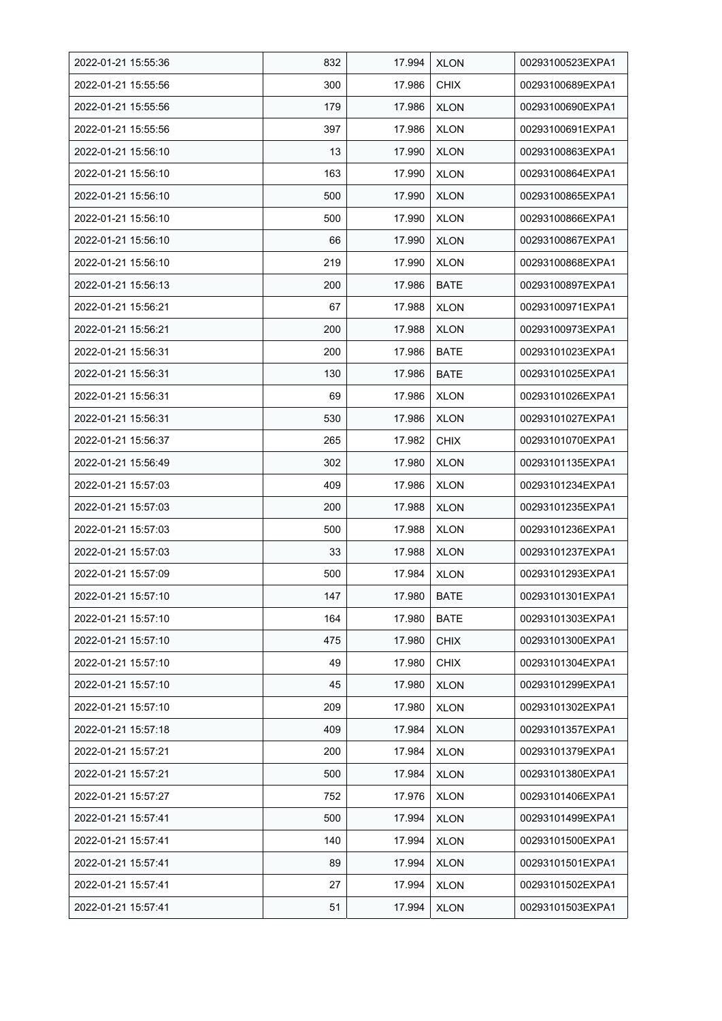| 2022-01-21 15:55:36 | 832 | 17.994 | <b>XLON</b> | 00293100523EXPA1 |
|---------------------|-----|--------|-------------|------------------|
| 2022-01-21 15:55:56 | 300 | 17.986 | <b>CHIX</b> | 00293100689EXPA1 |
| 2022-01-21 15:55:56 | 179 | 17.986 | <b>XLON</b> | 00293100690EXPA1 |
| 2022-01-21 15:55:56 | 397 | 17.986 | <b>XLON</b> | 00293100691EXPA1 |
| 2022-01-21 15:56:10 | 13  | 17.990 | <b>XLON</b> | 00293100863EXPA1 |
| 2022-01-21 15:56:10 | 163 | 17.990 | <b>XLON</b> | 00293100864EXPA1 |
| 2022-01-21 15:56:10 | 500 | 17.990 | <b>XLON</b> | 00293100865EXPA1 |
| 2022-01-21 15:56:10 | 500 | 17.990 | <b>XLON</b> | 00293100866EXPA1 |
| 2022-01-21 15:56:10 | 66  | 17.990 | <b>XLON</b> | 00293100867EXPA1 |
| 2022-01-21 15:56:10 | 219 | 17.990 | <b>XLON</b> | 00293100868EXPA1 |
| 2022-01-21 15:56:13 | 200 | 17.986 | <b>BATE</b> | 00293100897EXPA1 |
| 2022-01-21 15:56:21 | 67  | 17.988 | <b>XLON</b> | 00293100971EXPA1 |
| 2022-01-21 15:56:21 | 200 | 17.988 | <b>XLON</b> | 00293100973EXPA1 |
| 2022-01-21 15.56.31 | 200 | 17.986 | <b>BATE</b> | 00293101023EXPA1 |
| 2022-01-21 15:56:31 | 130 | 17.986 | <b>BATE</b> | 00293101025EXPA1 |
| 2022-01-21 15:56:31 | 69  | 17.986 | <b>XLON</b> | 00293101026EXPA1 |
| 2022-01-21 15:56:31 | 530 | 17.986 | <b>XLON</b> | 00293101027EXPA1 |
| 2022-01-21 15:56:37 | 265 | 17.982 | <b>CHIX</b> | 00293101070EXPA1 |
| 2022-01-21 15:56:49 | 302 | 17.980 | <b>XLON</b> | 00293101135EXPA1 |
| 2022-01-21 15:57:03 | 409 | 17.986 | <b>XLON</b> | 00293101234EXPA1 |
| 2022-01-21 15:57:03 | 200 | 17.988 | <b>XLON</b> | 00293101235EXPA1 |
| 2022-01-21 15:57:03 | 500 | 17.988 | <b>XLON</b> | 00293101236EXPA1 |
| 2022-01-21 15:57:03 | 33  | 17.988 | <b>XLON</b> | 00293101237EXPA1 |
| 2022-01-21 15:57:09 | 500 | 17.984 | <b>XLON</b> | 00293101293EXPA1 |
| 2022-01-21 15:57:10 | 147 | 17.980 | <b>BATE</b> | 00293101301EXPA1 |
| 2022-01-21 15:57:10 | 164 | 17.980 | <b>BATE</b> | 00293101303EXPA1 |
| 2022-01-21 15:57:10 | 475 | 17.980 | <b>CHIX</b> | 00293101300EXPA1 |
| 2022-01-21 15:57:10 | 49  | 17.980 | <b>CHIX</b> | 00293101304EXPA1 |
| 2022-01-21 15:57:10 | 45  | 17.980 | <b>XLON</b> | 00293101299EXPA1 |
| 2022-01-21 15:57:10 | 209 | 17.980 | <b>XLON</b> | 00293101302EXPA1 |
| 2022-01-21 15:57:18 | 409 | 17.984 | <b>XLON</b> | 00293101357EXPA1 |
| 2022-01-21 15:57:21 | 200 | 17.984 | <b>XLON</b> | 00293101379EXPA1 |
| 2022-01-21 15:57:21 | 500 | 17.984 | <b>XLON</b> | 00293101380EXPA1 |
| 2022-01-21 15:57:27 | 752 | 17.976 | <b>XLON</b> | 00293101406EXPA1 |
| 2022-01-21 15:57:41 | 500 | 17.994 | <b>XLON</b> | 00293101499EXPA1 |
| 2022-01-21 15:57:41 | 140 | 17.994 | <b>XLON</b> | 00293101500EXPA1 |
| 2022-01-21 15:57:41 | 89  | 17.994 | <b>XLON</b> | 00293101501EXPA1 |
| 2022-01-21 15:57:41 | 27  | 17.994 | <b>XLON</b> | 00293101502EXPA1 |
| 2022-01-21 15:57:41 | 51  | 17.994 | <b>XLON</b> | 00293101503EXPA1 |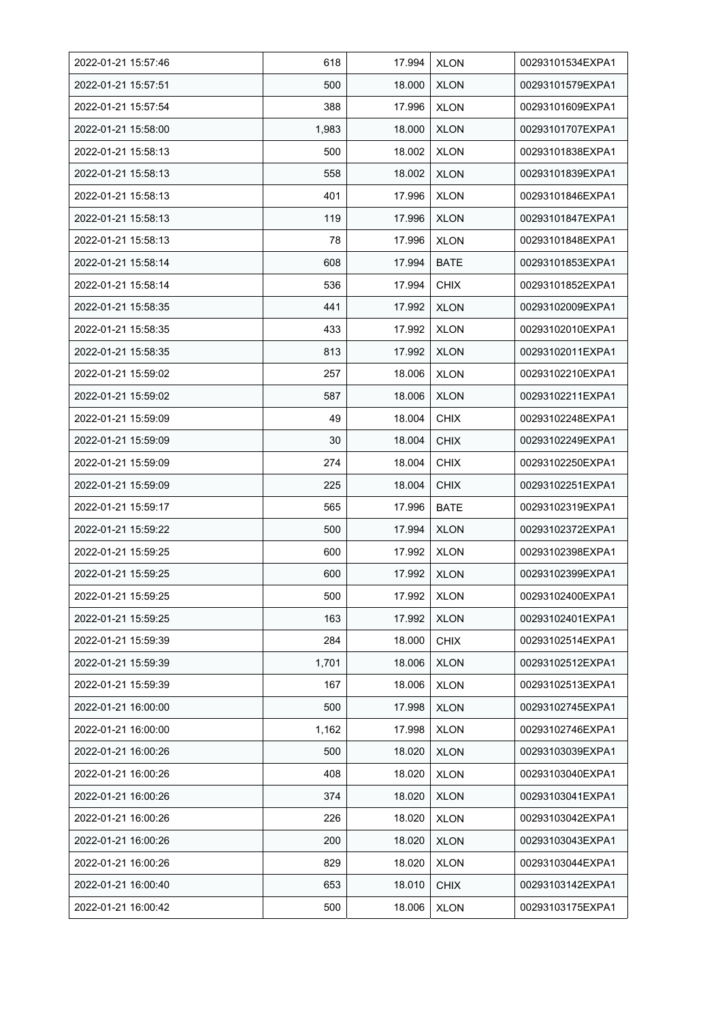| 2022-01-21 15:57:46 | 618   | 17.994 | <b>XLON</b> | 00293101534EXPA1 |
|---------------------|-------|--------|-------------|------------------|
| 2022-01-21 15:57:51 | 500   | 18.000 | <b>XLON</b> | 00293101579EXPA1 |
| 2022-01-21 15:57:54 | 388   | 17.996 | <b>XLON</b> | 00293101609EXPA1 |
| 2022-01-21 15:58:00 | 1,983 | 18.000 | <b>XLON</b> | 00293101707EXPA1 |
| 2022-01-21 15:58:13 | 500   | 18.002 | <b>XLON</b> | 00293101838EXPA1 |
| 2022-01-21 15:58:13 | 558   | 18.002 | <b>XLON</b> | 00293101839EXPA1 |
| 2022-01-21 15:58:13 | 401   | 17.996 | <b>XLON</b> | 00293101846EXPA1 |
| 2022-01-21 15:58:13 | 119   | 17.996 | <b>XLON</b> | 00293101847EXPA1 |
| 2022-01-21 15:58:13 | 78    | 17.996 | <b>XLON</b> | 00293101848EXPA1 |
| 2022-01-21 15:58:14 | 608   | 17.994 | <b>BATE</b> | 00293101853EXPA1 |
| 2022-01-21 15:58:14 | 536   | 17.994 | <b>CHIX</b> | 00293101852EXPA1 |
| 2022-01-21 15:58:35 | 441   | 17.992 | <b>XLON</b> | 00293102009EXPA1 |
| 2022-01-21 15:58:35 | 433   | 17.992 | <b>XLON</b> | 00293102010EXPA1 |
| 2022-01-21 15:58:35 | 813   | 17.992 | <b>XLON</b> | 00293102011EXPA1 |
| 2022-01-21 15:59:02 | 257   | 18.006 | <b>XLON</b> | 00293102210EXPA1 |
| 2022-01-21 15:59:02 | 587   | 18.006 | <b>XLON</b> | 00293102211EXPA1 |
| 2022-01-21 15:59:09 | 49    | 18.004 | <b>CHIX</b> | 00293102248EXPA1 |
| 2022-01-21 15:59:09 | 30    | 18.004 | <b>CHIX</b> | 00293102249EXPA1 |
| 2022-01-21 15:59:09 | 274   | 18.004 | <b>CHIX</b> | 00293102250EXPA1 |
| 2022-01-21 15:59:09 | 225   | 18.004 | <b>CHIX</b> | 00293102251EXPA1 |
| 2022-01-21 15:59:17 | 565   | 17.996 | <b>BATE</b> | 00293102319EXPA1 |
| 2022-01-21 15:59:22 | 500   | 17.994 | <b>XLON</b> | 00293102372EXPA1 |
| 2022-01-21 15:59:25 | 600   | 17.992 | <b>XLON</b> | 00293102398EXPA1 |
| 2022-01-21 15:59:25 | 600   | 17.992 | <b>XLON</b> | 00293102399EXPA1 |
| 2022-01-21 15:59:25 | 500   | 17.992 | <b>XLON</b> | 00293102400EXPA1 |
| 2022-01-21 15:59:25 | 163   | 17.992 | <b>XLON</b> | 00293102401EXPA1 |
| 2022-01-21 15:59:39 | 284   | 18.000 | <b>CHIX</b> | 00293102514EXPA1 |
| 2022-01-21 15:59:39 | 1,701 | 18.006 | <b>XLON</b> | 00293102512EXPA1 |
| 2022-01-21 15:59:39 | 167   | 18.006 | <b>XLON</b> | 00293102513EXPA1 |
| 2022-01-21 16:00:00 | 500   | 17.998 | <b>XLON</b> | 00293102745EXPA1 |
| 2022-01-21 16:00:00 | 1,162 | 17.998 | <b>XLON</b> | 00293102746EXPA1 |
| 2022-01-21 16:00:26 | 500   | 18.020 | <b>XLON</b> | 00293103039EXPA1 |
| 2022-01-21 16:00:26 | 408   | 18.020 | <b>XLON</b> | 00293103040EXPA1 |
| 2022-01-21 16:00:26 | 374   | 18.020 | <b>XLON</b> | 00293103041EXPA1 |
| 2022-01-21 16:00:26 | 226   | 18.020 | <b>XLON</b> | 00293103042EXPA1 |
| 2022-01-21 16:00:26 | 200   | 18.020 | <b>XLON</b> | 00293103043EXPA1 |
| 2022-01-21 16:00:26 | 829   | 18.020 | <b>XLON</b> | 00293103044EXPA1 |
| 2022-01-21 16:00:40 | 653   | 18.010 | <b>CHIX</b> | 00293103142EXPA1 |
| 2022-01-21 16:00:42 | 500   | 18.006 | <b>XLON</b> | 00293103175EXPA1 |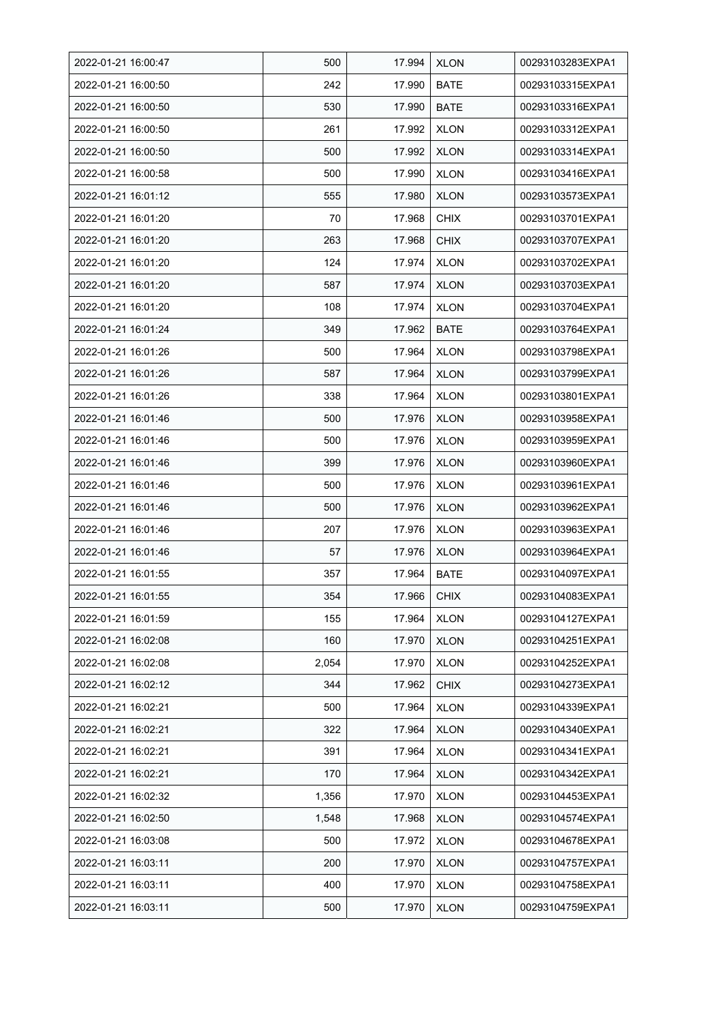| 2022-01-21 16:00:47 | 500   | 17.994 | <b>XLON</b> | 00293103283EXPA1 |
|---------------------|-------|--------|-------------|------------------|
| 2022-01-21 16:00:50 | 242   | 17.990 | <b>BATE</b> | 00293103315EXPA1 |
| 2022-01-21 16:00:50 | 530   | 17.990 | <b>BATE</b> | 00293103316EXPA1 |
| 2022-01-21 16:00:50 | 261   | 17.992 | <b>XLON</b> | 00293103312EXPA1 |
| 2022-01-21 16:00:50 | 500   | 17.992 | <b>XLON</b> | 00293103314EXPA1 |
| 2022-01-21 16:00:58 | 500   | 17.990 | <b>XLON</b> | 00293103416EXPA1 |
| 2022-01-21 16:01:12 | 555   | 17.980 | <b>XLON</b> | 00293103573EXPA1 |
| 2022-01-21 16:01:20 | 70    | 17.968 | <b>CHIX</b> | 00293103701EXPA1 |
| 2022-01-21 16:01:20 | 263   | 17.968 | <b>CHIX</b> | 00293103707EXPA1 |
| 2022-01-21 16:01:20 | 124   | 17.974 | <b>XLON</b> | 00293103702EXPA1 |
| 2022-01-21 16:01:20 | 587   | 17.974 | <b>XLON</b> | 00293103703EXPA1 |
| 2022-01-21 16:01:20 | 108   | 17.974 | <b>XLON</b> | 00293103704EXPA1 |
| 2022-01-21 16:01:24 | 349   | 17.962 | <b>BATE</b> | 00293103764EXPA1 |
| 2022-01-21 16:01:26 | 500   | 17.964 | <b>XLON</b> | 00293103798EXPA1 |
| 2022-01-21 16:01:26 | 587   | 17.964 | <b>XLON</b> | 00293103799EXPA1 |
| 2022-01-21 16:01:26 | 338   | 17.964 | <b>XLON</b> | 00293103801EXPA1 |
| 2022-01-21 16:01:46 | 500   | 17.976 | <b>XLON</b> | 00293103958EXPA1 |
| 2022-01-21 16:01:46 | 500   | 17.976 | <b>XLON</b> | 00293103959EXPA1 |
| 2022-01-21 16:01:46 | 399   | 17.976 | <b>XLON</b> | 00293103960EXPA1 |
| 2022-01-21 16:01:46 | 500   | 17.976 | <b>XLON</b> | 00293103961EXPA1 |
| 2022-01-21 16:01:46 | 500   | 17.976 | <b>XLON</b> | 00293103962EXPA1 |
| 2022-01-21 16:01:46 | 207   | 17.976 | <b>XLON</b> | 00293103963EXPA1 |
| 2022-01-21 16:01:46 | 57    | 17.976 | <b>XLON</b> | 00293103964EXPA1 |
| 2022-01-21 16:01:55 | 357   | 17.964 | <b>BATE</b> | 00293104097EXPA1 |
| 2022-01-21 16:01:55 | 354   | 17.966 | <b>CHIX</b> | 00293104083EXPA1 |
| 2022-01-21 16:01:59 | 155   | 17.964 | <b>XLON</b> | 00293104127EXPA1 |
| 2022-01-21 16:02:08 | 160   | 17.970 | <b>XLON</b> | 00293104251EXPA1 |
| 2022-01-21 16:02:08 | 2,054 | 17.970 | <b>XLON</b> | 00293104252EXPA1 |
| 2022-01-21 16:02:12 | 344   | 17.962 | <b>CHIX</b> | 00293104273EXPA1 |
| 2022-01-21 16:02:21 | 500   | 17.964 | <b>XLON</b> | 00293104339EXPA1 |
| 2022-01-21 16:02:21 | 322   | 17.964 | <b>XLON</b> | 00293104340EXPA1 |
| 2022-01-21 16:02:21 | 391   | 17.964 | <b>XLON</b> | 00293104341EXPA1 |
| 2022-01-21 16:02:21 | 170   | 17.964 | <b>XLON</b> | 00293104342EXPA1 |
| 2022-01-21 16:02:32 | 1,356 | 17.970 | <b>XLON</b> | 00293104453EXPA1 |
| 2022-01-21 16:02:50 | 1,548 | 17.968 | <b>XLON</b> | 00293104574EXPA1 |
| 2022-01-21 16:03:08 | 500   | 17.972 | <b>XLON</b> | 00293104678EXPA1 |
| 2022-01-21 16:03:11 | 200   | 17.970 | <b>XLON</b> | 00293104757EXPA1 |
| 2022-01-21 16:03:11 | 400   | 17.970 | <b>XLON</b> | 00293104758EXPA1 |
| 2022-01-21 16:03:11 | 500   | 17.970 | <b>XLON</b> | 00293104759EXPA1 |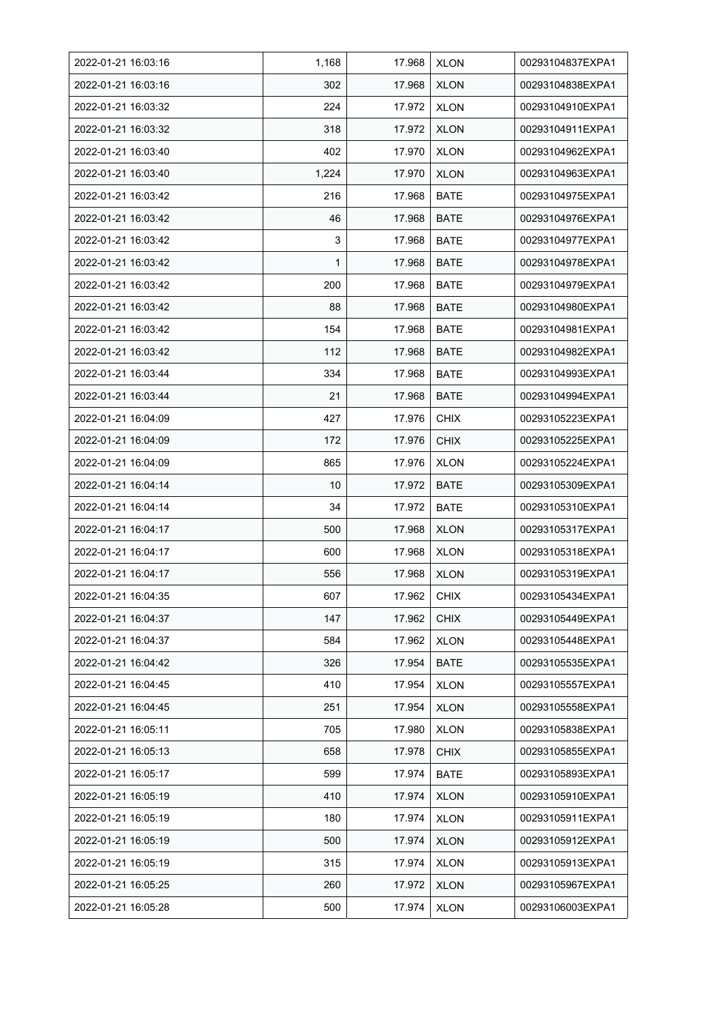| 2022-01-21 16:03:16 | 1,168 | 17.968 | <b>XLON</b> | 00293104837EXPA1 |
|---------------------|-------|--------|-------------|------------------|
| 2022-01-21 16:03:16 | 302   | 17.968 | <b>XLON</b> | 00293104838EXPA1 |
| 2022-01-21 16:03:32 | 224   | 17.972 | <b>XLON</b> | 00293104910EXPA1 |
| 2022-01-21 16:03:32 | 318   | 17.972 | <b>XLON</b> | 00293104911EXPA1 |
| 2022-01-21 16:03:40 | 402   | 17.970 | <b>XLON</b> | 00293104962EXPA1 |
| 2022-01-21 16:03:40 | 1,224 | 17.970 | <b>XLON</b> | 00293104963EXPA1 |
| 2022-01-21 16:03:42 | 216   | 17.968 | <b>BATE</b> | 00293104975EXPA1 |
| 2022-01-21 16:03:42 | 46    | 17.968 | <b>BATE</b> | 00293104976EXPA1 |
| 2022-01-21 16:03:42 | 3     | 17.968 | <b>BATE</b> | 00293104977EXPA1 |
| 2022-01-21 16:03:42 | 1     | 17.968 | <b>BATE</b> | 00293104978EXPA1 |
| 2022-01-21 16:03:42 | 200   | 17.968 | <b>BATE</b> | 00293104979EXPA1 |
| 2022-01-21 16:03:42 | 88    | 17.968 | <b>BATE</b> | 00293104980EXPA1 |
| 2022-01-21 16:03:42 | 154   | 17.968 | BATE        | 00293104981EXPA1 |
| 2022-01-21 16:03:42 | 112   | 17.968 | BATE        | 00293104982EXPA1 |
| 2022-01-21 16:03:44 | 334   | 17.968 | <b>BATE</b> | 00293104993EXPA1 |
| 2022-01-21 16:03:44 | 21    | 17.968 | <b>BATE</b> | 00293104994EXPA1 |
| 2022-01-21 16:04:09 | 427   | 17.976 | <b>CHIX</b> | 00293105223EXPA1 |
| 2022-01-21 16:04:09 | 172   | 17.976 | <b>CHIX</b> | 00293105225EXPA1 |
| 2022-01-21 16:04:09 | 865   | 17.976 | <b>XLON</b> | 00293105224EXPA1 |
| 2022-01-21 16:04:14 | 10    | 17.972 | <b>BATE</b> | 00293105309EXPA1 |
| 2022-01-21 16:04:14 | 34    | 17.972 | <b>BATE</b> | 00293105310EXPA1 |
| 2022-01-21 16:04:17 | 500   | 17.968 | <b>XLON</b> | 00293105317EXPA1 |
| 2022-01-21 16:04:17 | 600   | 17.968 | <b>XLON</b> | 00293105318EXPA1 |
| 2022-01-21 16:04:17 | 556   | 17.968 | <b>XLON</b> | 00293105319EXPA1 |
| 2022-01-21 16:04:35 | 607   | 17.962 | <b>CHIX</b> | 00293105434EXPA1 |
| 2022-01-21 16:04:37 | 147   | 17.962 | <b>CHIX</b> | 00293105449EXPA1 |
| 2022-01-21 16:04:37 | 584   | 17.962 | <b>XLON</b> | 00293105448EXPA1 |
| 2022-01-21 16:04:42 | 326   | 17.954 | <b>BATE</b> | 00293105535EXPA1 |
| 2022-01-21 16:04:45 | 410   | 17.954 | <b>XLON</b> | 00293105557EXPA1 |
| 2022-01-21 16:04:45 | 251   | 17.954 | <b>XLON</b> | 00293105558EXPA1 |
| 2022-01-21 16:05:11 | 705   | 17.980 | <b>XLON</b> | 00293105838EXPA1 |
| 2022-01-21 16:05:13 | 658   | 17.978 | <b>CHIX</b> | 00293105855EXPA1 |
| 2022-01-21 16:05:17 | 599   | 17.974 | <b>BATE</b> | 00293105893EXPA1 |
| 2022-01-21 16:05:19 | 410   | 17.974 | <b>XLON</b> | 00293105910EXPA1 |
| 2022-01-21 16:05:19 | 180   | 17.974 | <b>XLON</b> | 00293105911EXPA1 |
| 2022-01-21 16:05:19 | 500   | 17.974 | <b>XLON</b> | 00293105912EXPA1 |
| 2022-01-21 16:05:19 | 315   | 17.974 | <b>XLON</b> | 00293105913EXPA1 |
| 2022-01-21 16:05:25 | 260   | 17.972 | <b>XLON</b> | 00293105967EXPA1 |
| 2022-01-21 16:05:28 | 500   | 17.974 | <b>XLON</b> | 00293106003EXPA1 |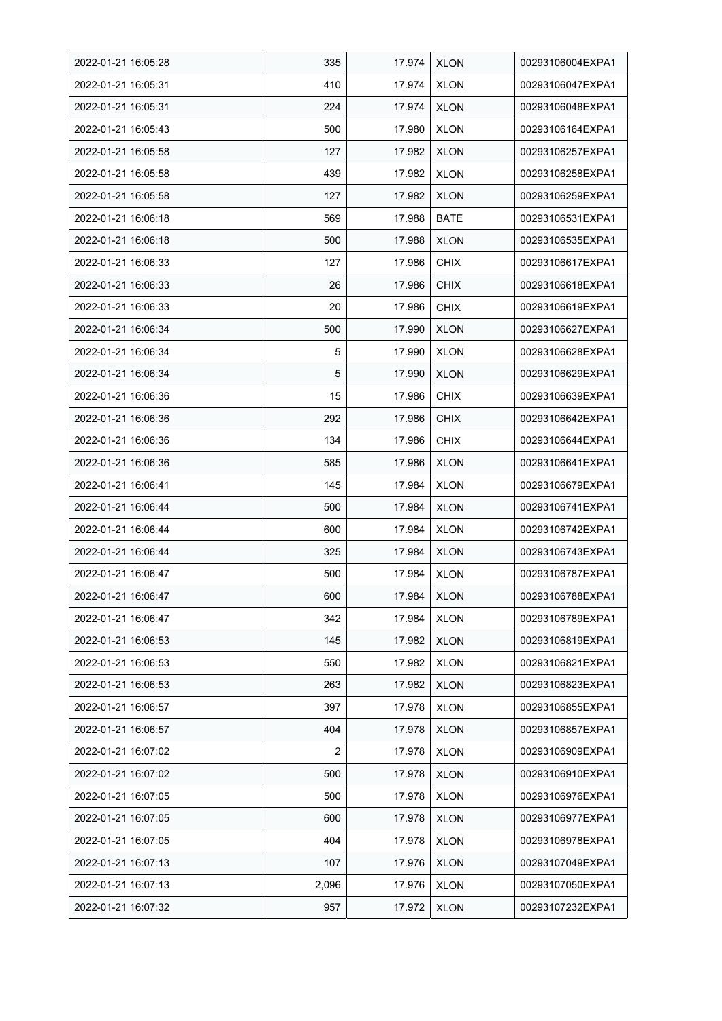| 2022-01-21 16:05:28 | 335   | 17.974 | <b>XLON</b> | 00293106004EXPA1 |
|---------------------|-------|--------|-------------|------------------|
| 2022-01-21 16:05:31 | 410   | 17.974 | <b>XLON</b> | 00293106047EXPA1 |
| 2022-01-21 16:05:31 | 224   | 17.974 | <b>XLON</b> | 00293106048EXPA1 |
| 2022-01-21 16:05:43 | 500   | 17.980 | <b>XLON</b> | 00293106164EXPA1 |
| 2022-01-21 16:05:58 | 127   | 17.982 | <b>XLON</b> | 00293106257EXPA1 |
| 2022-01-21 16:05:58 | 439   | 17.982 | <b>XLON</b> | 00293106258EXPA1 |
| 2022-01-21 16:05:58 | 127   | 17.982 | <b>XLON</b> | 00293106259EXPA1 |
| 2022-01-21 16:06:18 | 569   | 17.988 | <b>BATE</b> | 00293106531EXPA1 |
| 2022-01-21 16:06:18 | 500   | 17.988 | <b>XLON</b> | 00293106535EXPA1 |
| 2022-01-21 16:06:33 | 127   | 17.986 | <b>CHIX</b> | 00293106617EXPA1 |
| 2022-01-21 16:06:33 | 26    | 17.986 | <b>CHIX</b> | 00293106618EXPA1 |
| 2022-01-21 16:06:33 | 20    | 17.986 | <b>CHIX</b> | 00293106619EXPA1 |
| 2022-01-21 16:06:34 | 500   | 17.990 | <b>XLON</b> | 00293106627EXPA1 |
| 2022-01-21 16:06:34 | 5     | 17.990 | <b>XLON</b> | 00293106628EXPA1 |
| 2022-01-21 16:06:34 | 5     | 17.990 | <b>XLON</b> | 00293106629EXPA1 |
| 2022-01-21 16:06:36 | 15    | 17.986 | <b>CHIX</b> | 00293106639EXPA1 |
| 2022-01-21 16:06:36 | 292   | 17.986 | <b>CHIX</b> | 00293106642EXPA1 |
| 2022-01-21 16:06:36 | 134   | 17.986 | <b>CHIX</b> | 00293106644EXPA1 |
| 2022-01-21 16:06:36 | 585   | 17.986 | <b>XLON</b> | 00293106641EXPA1 |
| 2022-01-21 16:06:41 | 145   | 17.984 | <b>XLON</b> | 00293106679EXPA1 |
| 2022-01-21 16:06:44 | 500   | 17.984 | <b>XLON</b> | 00293106741EXPA1 |
| 2022-01-21 16:06:44 | 600   | 17.984 | <b>XLON</b> | 00293106742EXPA1 |
| 2022-01-21 16:06:44 | 325   | 17.984 | <b>XLON</b> | 00293106743EXPA1 |
| 2022-01-21 16:06:47 | 500   | 17.984 | <b>XLON</b> | 00293106787EXPA1 |
| 2022-01-21 16:06:47 | 600   | 17.984 | <b>XLON</b> | 00293106788EXPA1 |
| 2022-01-21 16:06:47 | 342   | 17.984 | <b>XLON</b> | 00293106789EXPA1 |
| 2022-01-21 16:06:53 | 145   | 17.982 | <b>XLON</b> | 00293106819EXPA1 |
| 2022-01-21 16:06:53 | 550   | 17.982 | <b>XLON</b> | 00293106821EXPA1 |
| 2022-01-21 16:06:53 | 263   | 17.982 | <b>XLON</b> | 00293106823EXPA1 |
| 2022-01-21 16:06:57 | 397   | 17.978 | <b>XLON</b> | 00293106855EXPA1 |
| 2022-01-21 16:06:57 | 404   | 17.978 | <b>XLON</b> | 00293106857EXPA1 |
| 2022-01-21 16:07:02 | 2     | 17.978 | <b>XLON</b> | 00293106909EXPA1 |
| 2022-01-21 16:07:02 | 500   | 17.978 | <b>XLON</b> | 00293106910EXPA1 |
| 2022-01-21 16:07:05 | 500   | 17.978 | <b>XLON</b> | 00293106976EXPA1 |
| 2022-01-21 16:07:05 | 600   | 17.978 | <b>XLON</b> | 00293106977EXPA1 |
| 2022-01-21 16:07:05 | 404   | 17.978 | <b>XLON</b> | 00293106978EXPA1 |
| 2022-01-21 16:07:13 | 107   | 17.976 | <b>XLON</b> | 00293107049EXPA1 |
| 2022-01-21 16:07:13 | 2,096 | 17.976 | XLON        | 00293107050EXPA1 |
| 2022-01-21 16:07:32 | 957   | 17.972 | <b>XLON</b> | 00293107232EXPA1 |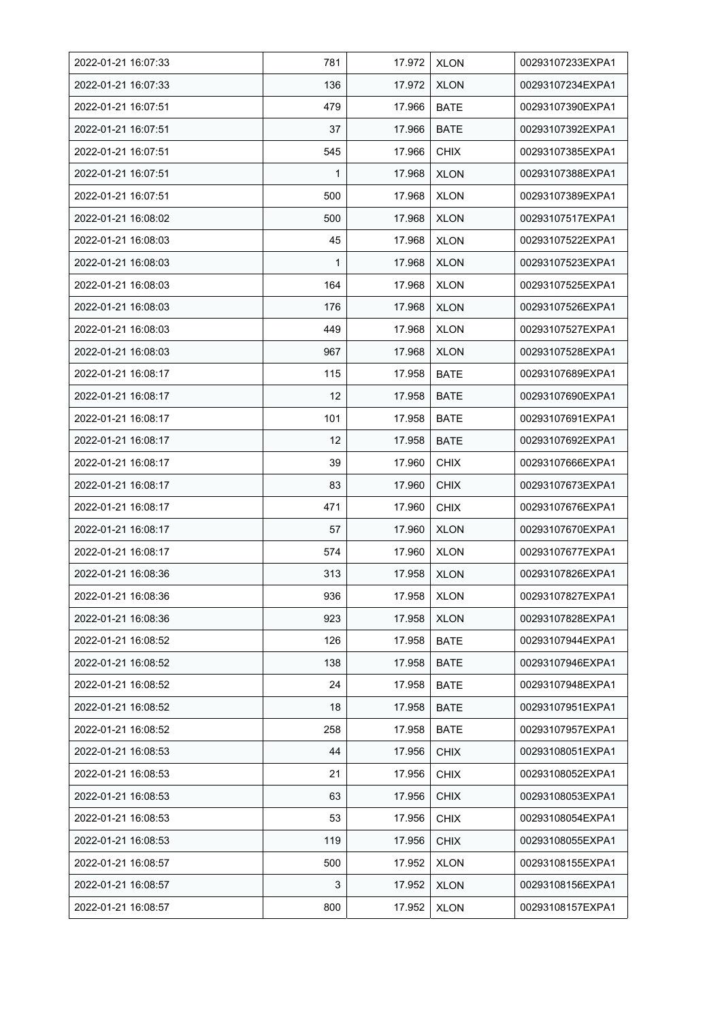| 2022-01-21 16:07:33 | 781 | 17.972 | <b>XLON</b> | 00293107233EXPA1 |
|---------------------|-----|--------|-------------|------------------|
| 2022-01-21 16:07:33 | 136 | 17.972 | <b>XLON</b> | 00293107234EXPA1 |
| 2022-01-21 16:07:51 | 479 | 17.966 | <b>BATE</b> | 00293107390EXPA1 |
| 2022-01-21 16:07:51 | 37  | 17.966 | <b>BATE</b> | 00293107392EXPA1 |
| 2022-01-21 16:07:51 | 545 | 17.966 | <b>CHIX</b> | 00293107385EXPA1 |
| 2022-01-21 16:07:51 | 1   | 17.968 | <b>XLON</b> | 00293107388EXPA1 |
| 2022-01-21 16.07.51 | 500 | 17.968 | <b>XLON</b> | 00293107389EXPA1 |
| 2022-01-21 16:08:02 | 500 | 17.968 | <b>XLON</b> | 00293107517EXPA1 |
| 2022-01-21 16:08:03 | 45  | 17.968 | <b>XLON</b> | 00293107522EXPA1 |
| 2022-01-21 16:08:03 | 1   | 17.968 | <b>XLON</b> | 00293107523EXPA1 |
| 2022-01-21 16:08:03 | 164 | 17.968 | <b>XLON</b> | 00293107525EXPA1 |
| 2022-01-21 16:08:03 | 176 | 17.968 | <b>XLON</b> | 00293107526EXPA1 |
| 2022-01-21 16:08:03 | 449 | 17.968 | <b>XLON</b> | 00293107527EXPA1 |
| 2022-01-21 16:08:03 | 967 | 17.968 | <b>XLON</b> | 00293107528EXPA1 |
| 2022-01-21 16:08:17 | 115 | 17.958 | <b>BATE</b> | 00293107689EXPA1 |
| 2022-01-21 16:08:17 | 12  | 17.958 | <b>BATE</b> | 00293107690EXPA1 |
| 2022-01-21 16:08:17 | 101 | 17.958 | <b>BATE</b> | 00293107691EXPA1 |
| 2022-01-21 16:08:17 | 12  | 17.958 | <b>BATE</b> | 00293107692EXPA1 |
| 2022-01-21 16:08:17 | 39  | 17.960 | <b>CHIX</b> | 00293107666EXPA1 |
| 2022-01-21 16:08:17 | 83  | 17.960 | <b>CHIX</b> | 00293107673EXPA1 |
| 2022-01-21 16:08:17 | 471 | 17.960 | <b>CHIX</b> | 00293107676EXPA1 |
| 2022-01-21 16:08:17 | 57  | 17.960 | <b>XLON</b> | 00293107670EXPA1 |
| 2022-01-21 16:08:17 | 574 | 17.960 | <b>XLON</b> | 00293107677EXPA1 |
| 2022-01-21 16:08:36 | 313 | 17.958 | <b>XLON</b> | 00293107826EXPA1 |
| 2022-01-21 16:08:36 | 936 | 17.958 | <b>XLON</b> | 00293107827EXPA1 |
| 2022-01-21 16:08:36 | 923 | 17.958 | <b>XLON</b> | 00293107828EXPA1 |
| 2022-01-21 16:08:52 | 126 | 17.958 | <b>BATE</b> | 00293107944EXPA1 |
| 2022-01-21 16:08:52 | 138 | 17.958 | BATE        | 00293107946EXPA1 |
| 2022-01-21 16:08:52 | 24  | 17.958 | <b>BATE</b> | 00293107948EXPA1 |
| 2022-01-21 16:08:52 | 18  | 17.958 | <b>BATE</b> | 00293107951EXPA1 |
| 2022-01-21 16:08:52 | 258 | 17.958 | <b>BATE</b> | 00293107957EXPA1 |
| 2022-01-21 16:08:53 | 44  | 17.956 | <b>CHIX</b> | 00293108051EXPA1 |
| 2022-01-21 16:08:53 | 21  | 17.956 | <b>CHIX</b> | 00293108052EXPA1 |
| 2022-01-21 16:08:53 | 63  | 17.956 | <b>CHIX</b> | 00293108053EXPA1 |
| 2022-01-21 16:08:53 | 53  | 17.956 | <b>CHIX</b> | 00293108054EXPA1 |
| 2022-01-21 16:08:53 | 119 | 17.956 | <b>CHIX</b> | 00293108055EXPA1 |
| 2022-01-21 16:08:57 | 500 | 17.952 | <b>XLON</b> | 00293108155EXPA1 |
| 2022-01-21 16:08:57 | 3   | 17.952 | <b>XLON</b> | 00293108156EXPA1 |
| 2022-01-21 16:08:57 | 800 | 17.952 | <b>XLON</b> | 00293108157EXPA1 |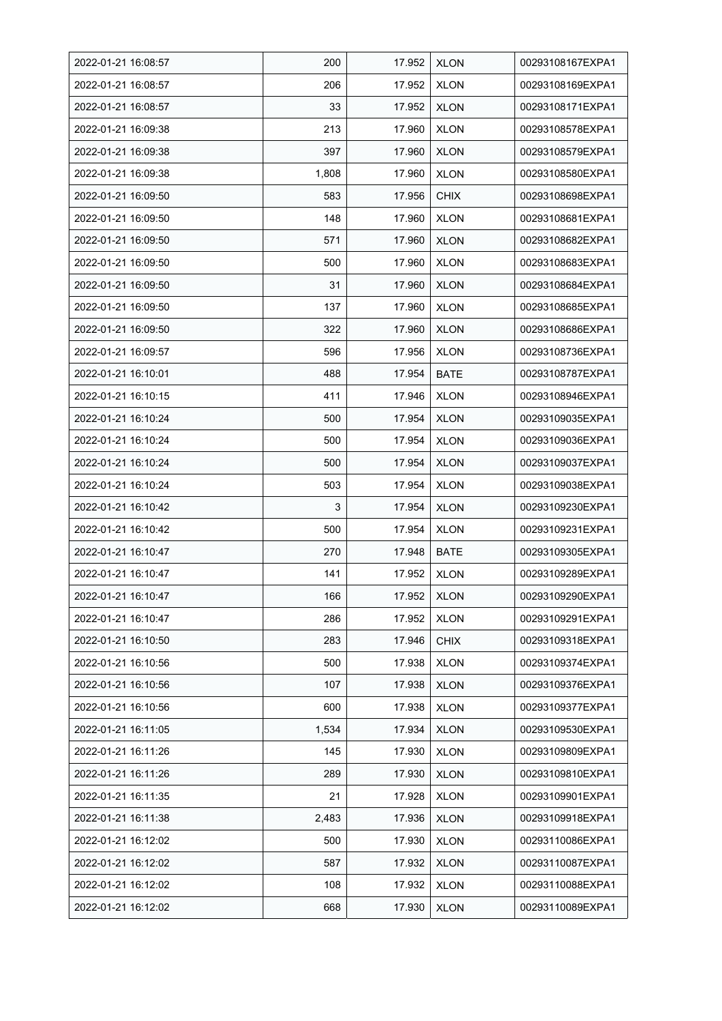| 2022-01-21 16:08:57 | 200   | 17.952 | <b>XLON</b> | 00293108167EXPA1 |
|---------------------|-------|--------|-------------|------------------|
| 2022-01-21 16:08:57 | 206   | 17.952 | <b>XLON</b> | 00293108169EXPA1 |
| 2022-01-21 16:08:57 | 33    | 17.952 | <b>XLON</b> | 00293108171EXPA1 |
| 2022-01-21 16:09:38 | 213   | 17.960 | <b>XLON</b> | 00293108578EXPA1 |
| 2022-01-21 16:09:38 | 397   | 17.960 | <b>XLON</b> | 00293108579EXPA1 |
| 2022-01-21 16:09:38 | 1,808 | 17.960 | <b>XLON</b> | 00293108580EXPA1 |
| 2022-01-21 16:09:50 | 583   | 17.956 | <b>CHIX</b> | 00293108698EXPA1 |
| 2022-01-21 16:09:50 | 148   | 17.960 | <b>XLON</b> | 00293108681EXPA1 |
| 2022-01-21 16:09:50 | 571   | 17.960 | <b>XLON</b> | 00293108682EXPA1 |
| 2022-01-21 16:09:50 | 500   | 17.960 | <b>XLON</b> | 00293108683EXPA1 |
| 2022-01-21 16:09:50 | 31    | 17.960 | <b>XLON</b> | 00293108684EXPA1 |
| 2022-01-21 16:09:50 | 137   | 17.960 | <b>XLON</b> | 00293108685EXPA1 |
| 2022-01-21 16:09:50 | 322   | 17.960 | <b>XLON</b> | 00293108686EXPA1 |
| 2022-01-21 16:09:57 | 596   | 17.956 | <b>XLON</b> | 00293108736EXPA1 |
| 2022-01-21 16:10:01 | 488   | 17.954 | <b>BATE</b> | 00293108787EXPA1 |
| 2022-01-21 16:10:15 | 411   | 17.946 | <b>XLON</b> | 00293108946EXPA1 |
| 2022-01-21 16:10:24 | 500   | 17.954 | <b>XLON</b> | 00293109035EXPA1 |
| 2022-01-21 16:10:24 | 500   | 17.954 | <b>XLON</b> | 00293109036EXPA1 |
| 2022-01-21 16:10:24 | 500   | 17.954 | <b>XLON</b> | 00293109037EXPA1 |
| 2022-01-21 16:10:24 | 503   | 17.954 | <b>XLON</b> | 00293109038EXPA1 |
| 2022-01-21 16:10:42 | 3     | 17.954 | <b>XLON</b> | 00293109230EXPA1 |
| 2022-01-21 16:10:42 | 500   | 17.954 | <b>XLON</b> | 00293109231EXPA1 |
| 2022-01-21 16:10:47 | 270   | 17.948 | <b>BATE</b> | 00293109305EXPA1 |
| 2022-01-21 16:10:47 | 141   | 17.952 | <b>XLON</b> | 00293109289EXPA1 |
| 2022-01-21 16:10:47 | 166   | 17.952 | <b>XLON</b> | 00293109290EXPA1 |
| 2022-01-21 16:10:47 | 286   | 17.952 | <b>XLON</b> | 00293109291EXPA1 |
| 2022-01-21 16:10:50 | 283   | 17.946 | <b>CHIX</b> | 00293109318EXPA1 |
| 2022-01-21 16:10:56 | 500   | 17.938 | <b>XLON</b> | 00293109374EXPA1 |
| 2022-01-21 16:10:56 | 107   | 17.938 | <b>XLON</b> | 00293109376EXPA1 |
| 2022-01-21 16:10:56 | 600   | 17.938 | <b>XLON</b> | 00293109377EXPA1 |
| 2022-01-21 16:11:05 | 1,534 | 17.934 | <b>XLON</b> | 00293109530EXPA1 |
| 2022-01-21 16:11:26 | 145   | 17.930 | <b>XLON</b> | 00293109809EXPA1 |
| 2022-01-21 16:11:26 | 289   | 17.930 | <b>XLON</b> | 00293109810EXPA1 |
| 2022-01-21 16:11:35 | 21    | 17.928 | <b>XLON</b> | 00293109901EXPA1 |
| 2022-01-21 16:11:38 | 2,483 | 17.936 | <b>XLON</b> | 00293109918EXPA1 |
| 2022-01-21 16:12:02 | 500   | 17.930 | <b>XLON</b> | 00293110086EXPA1 |
| 2022-01-21 16:12:02 | 587   | 17.932 | <b>XLON</b> | 00293110087EXPA1 |
| 2022-01-21 16:12:02 | 108   | 17.932 | <b>XLON</b> | 00293110088EXPA1 |
| 2022-01-21 16:12:02 | 668   | 17.930 | <b>XLON</b> | 00293110089EXPA1 |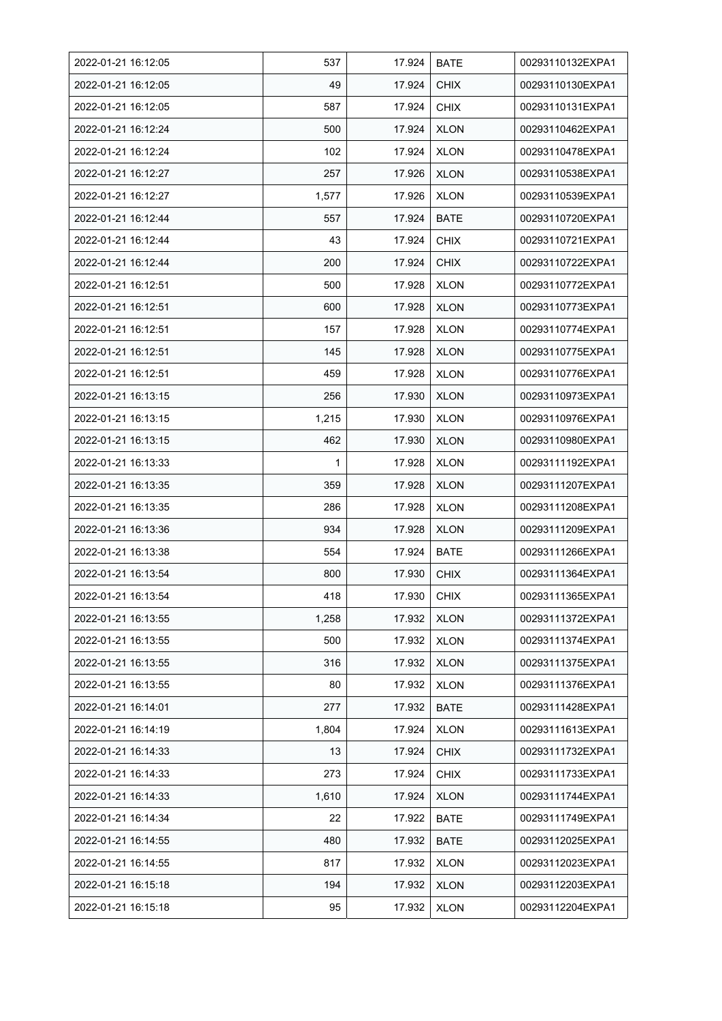| 2022-01-21 16:12:05 | 537   | 17.924 | <b>BATE</b> | 00293110132EXPA1 |
|---------------------|-------|--------|-------------|------------------|
| 2022-01-21 16:12:05 | 49    | 17.924 | <b>CHIX</b> | 00293110130EXPA1 |
| 2022-01-21 16:12:05 | 587   | 17.924 | <b>CHIX</b> | 00293110131EXPA1 |
| 2022-01-21 16:12:24 | 500   | 17.924 | <b>XLON</b> | 00293110462EXPA1 |
| 2022-01-21 16:12:24 | 102   | 17.924 | <b>XLON</b> | 00293110478EXPA1 |
| 2022-01-21 16:12:27 | 257   | 17.926 | <b>XLON</b> | 00293110538EXPA1 |
| 2022-01-21 16:12:27 | 1,577 | 17.926 | <b>XLON</b> | 00293110539EXPA1 |
| 2022-01-21 16:12:44 | 557   | 17.924 | <b>BATE</b> | 00293110720EXPA1 |
| 2022-01-21 16:12:44 | 43    | 17.924 | <b>CHIX</b> | 00293110721EXPA1 |
| 2022-01-21 16:12:44 | 200   | 17.924 | <b>CHIX</b> | 00293110722EXPA1 |
| 2022-01-21 16:12:51 | 500   | 17.928 | <b>XLON</b> | 00293110772EXPA1 |
| 2022-01-21 16:12:51 | 600   | 17.928 | <b>XLON</b> | 00293110773EXPA1 |
| 2022-01-21 16:12:51 | 157   | 17.928 | <b>XLON</b> | 00293110774EXPA1 |
| 2022-01-21 16:12:51 | 145   | 17.928 | <b>XLON</b> | 00293110775EXPA1 |
| 2022-01-21 16:12:51 | 459   | 17.928 | <b>XLON</b> | 00293110776EXPA1 |
| 2022-01-21 16:13:15 | 256   | 17.930 | <b>XLON</b> | 00293110973EXPA1 |
| 2022-01-21 16:13:15 | 1,215 | 17.930 | <b>XLON</b> | 00293110976EXPA1 |
| 2022-01-21 16:13:15 | 462   | 17.930 | <b>XLON</b> | 00293110980EXPA1 |
| 2022-01-21 16:13:33 | 1     | 17.928 | <b>XLON</b> | 00293111192EXPA1 |
| 2022-01-21 16:13:35 | 359   | 17.928 | <b>XLON</b> | 00293111207EXPA1 |
| 2022-01-21 16:13:35 | 286   | 17.928 | <b>XLON</b> | 00293111208EXPA1 |
| 2022-01-21 16:13:36 | 934   | 17.928 | <b>XLON</b> | 00293111209EXPA1 |
| 2022-01-21 16:13:38 | 554   | 17.924 | <b>BATE</b> | 00293111266EXPA1 |
| 2022-01-21 16:13:54 | 800   | 17.930 | <b>CHIX</b> | 00293111364EXPA1 |
| 2022-01-21 16:13:54 | 418   | 17.930 | <b>CHIX</b> | 00293111365EXPA1 |
| 2022-01-21 16:13:55 | 1,258 | 17.932 | <b>XLON</b> | 00293111372EXPA1 |
| 2022-01-21 16:13:55 | 500   | 17.932 | <b>XLON</b> | 00293111374EXPA1 |
| 2022-01-21 16:13:55 | 316   | 17.932 | <b>XLON</b> | 00293111375EXPA1 |
| 2022-01-21 16:13:55 | 80    | 17.932 | <b>XLON</b> | 00293111376EXPA1 |
| 2022-01-21 16:14:01 | 277   | 17.932 | <b>BATE</b> | 00293111428EXPA1 |
| 2022-01-21 16:14:19 | 1,804 | 17.924 | <b>XLON</b> | 00293111613EXPA1 |
| 2022-01-21 16:14:33 | 13    | 17.924 | <b>CHIX</b> | 00293111732EXPA1 |
| 2022-01-21 16:14:33 | 273   | 17.924 | <b>CHIX</b> | 00293111733EXPA1 |
| 2022-01-21 16:14:33 | 1,610 | 17.924 | <b>XLON</b> | 00293111744EXPA1 |
| 2022-01-21 16:14:34 | 22    | 17.922 | BATE        | 00293111749EXPA1 |
| 2022-01-21 16:14:55 | 480   | 17.932 | <b>BATE</b> | 00293112025EXPA1 |
| 2022-01-21 16:14:55 | 817   | 17.932 | <b>XLON</b> | 00293112023EXPA1 |
| 2022-01-21 16:15:18 | 194   | 17.932 | <b>XLON</b> | 00293112203EXPA1 |
| 2022-01-21 16:15:18 | 95    | 17.932 | <b>XLON</b> | 00293112204EXPA1 |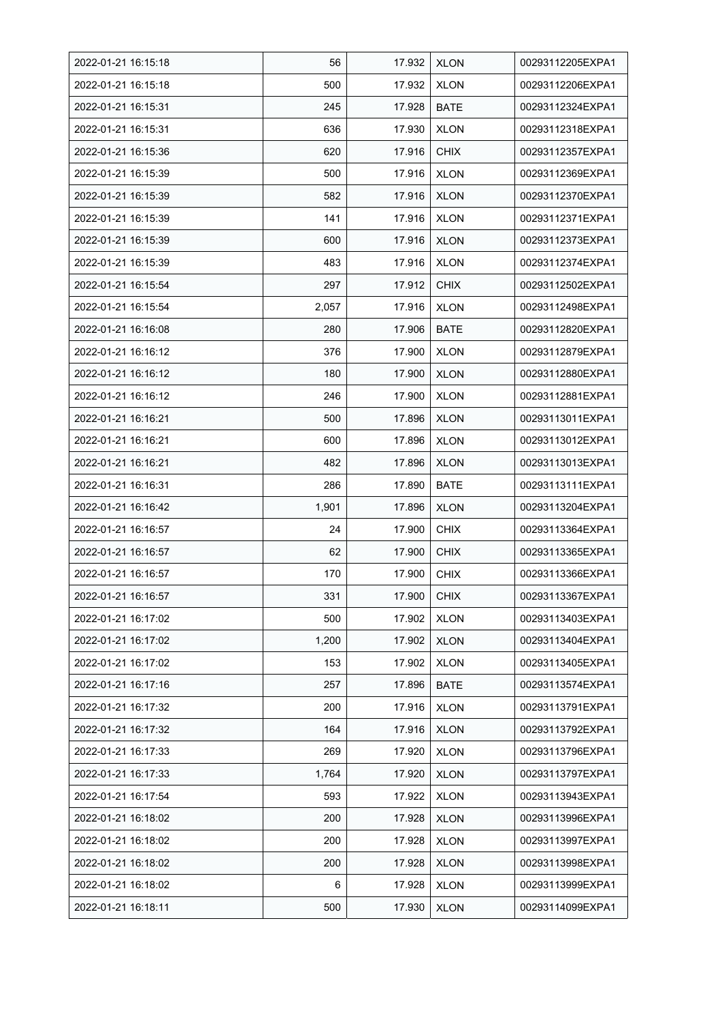| 2022-01-21 16:15:18 | 56    | 17.932 | <b>XLON</b> | 00293112205EXPA1 |
|---------------------|-------|--------|-------------|------------------|
| 2022-01-21 16:15:18 | 500   | 17.932 | <b>XLON</b> | 00293112206EXPA1 |
| 2022-01-21 16:15:31 | 245   | 17.928 | <b>BATE</b> | 00293112324EXPA1 |
| 2022-01-21 16:15:31 | 636   | 17.930 | <b>XLON</b> | 00293112318EXPA1 |
| 2022-01-21 16:15:36 | 620   | 17.916 | <b>CHIX</b> | 00293112357EXPA1 |
| 2022-01-21 16:15:39 | 500   | 17.916 | <b>XLON</b> | 00293112369EXPA1 |
| 2022-01-21 16:15:39 | 582   | 17.916 | <b>XLON</b> | 00293112370EXPA1 |
| 2022-01-21 16:15:39 | 141   | 17.916 | <b>XLON</b> | 00293112371EXPA1 |
| 2022-01-21 16:15:39 | 600   | 17.916 | <b>XLON</b> | 00293112373EXPA1 |
| 2022-01-21 16:15:39 | 483   | 17.916 | <b>XLON</b> | 00293112374EXPA1 |
| 2022-01-21 16:15:54 | 297   | 17.912 | <b>CHIX</b> | 00293112502EXPA1 |
| 2022-01-21 16:15:54 | 2,057 | 17.916 | <b>XLON</b> | 00293112498EXPA1 |
| 2022-01-21 16:16:08 | 280   | 17.906 | <b>BATE</b> | 00293112820EXPA1 |
| 2022-01-21 16:16:12 | 376   | 17.900 | <b>XLON</b> | 00293112879EXPA1 |
| 2022-01-21 16:16:12 | 180   | 17.900 | <b>XLON</b> | 00293112880EXPA1 |
| 2022-01-21 16:16:12 | 246   | 17.900 | <b>XLON</b> | 00293112881EXPA1 |
| 2022-01-21 16:16:21 | 500   | 17.896 | <b>XLON</b> | 00293113011EXPA1 |
| 2022-01-21 16:16:21 | 600   | 17.896 | <b>XLON</b> | 00293113012EXPA1 |
| 2022-01-21 16:16:21 | 482   | 17.896 | <b>XLON</b> | 00293113013EXPA1 |
| 2022-01-21 16:16:31 | 286   | 17.890 | <b>BATE</b> | 00293113111EXPA1 |
| 2022-01-21 16:16:42 | 1,901 | 17.896 | <b>XLON</b> | 00293113204EXPA1 |
| 2022-01-21 16:16:57 | 24    | 17.900 | <b>CHIX</b> | 00293113364EXPA1 |
| 2022-01-21 16:16:57 | 62    | 17.900 | <b>CHIX</b> | 00293113365EXPA1 |
| 2022-01-21 16:16:57 | 170   | 17.900 | <b>CHIX</b> | 00293113366EXPA1 |
| 2022-01-21 16:16:57 | 331   | 17.900 | <b>CHIX</b> | 00293113367EXPA1 |
| 2022-01-21 16:17:02 | 500   | 17.902 | <b>XLON</b> | 00293113403EXPA1 |
| 2022-01-21 16:17:02 | 1,200 | 17.902 | <b>XLON</b> | 00293113404EXPA1 |
| 2022-01-21 16:17:02 | 153   | 17.902 | <b>XLON</b> | 00293113405EXPA1 |
| 2022-01-21 16:17:16 | 257   | 17.896 | <b>BATE</b> | 00293113574EXPA1 |
| 2022-01-21 16:17:32 | 200   | 17.916 | <b>XLON</b> | 00293113791EXPA1 |
| 2022-01-21 16:17:32 | 164   | 17.916 | <b>XLON</b> | 00293113792EXPA1 |
| 2022-01-21 16:17:33 | 269   | 17.920 | <b>XLON</b> | 00293113796EXPA1 |
| 2022-01-21 16:17:33 | 1,764 | 17.920 | <b>XLON</b> | 00293113797EXPA1 |
| 2022-01-21 16:17:54 | 593   | 17.922 | <b>XLON</b> | 00293113943EXPA1 |
| 2022-01-21 16:18:02 | 200   | 17.928 | <b>XLON</b> | 00293113996EXPA1 |
| 2022-01-21 16:18:02 | 200   | 17.928 | <b>XLON</b> | 00293113997EXPA1 |
| 2022-01-21 16:18:02 | 200   | 17.928 | <b>XLON</b> | 00293113998EXPA1 |
| 2022-01-21 16:18:02 | 6     | 17.928 | <b>XLON</b> | 00293113999EXPA1 |
| 2022-01-21 16:18:11 | 500   | 17.930 | <b>XLON</b> | 00293114099EXPA1 |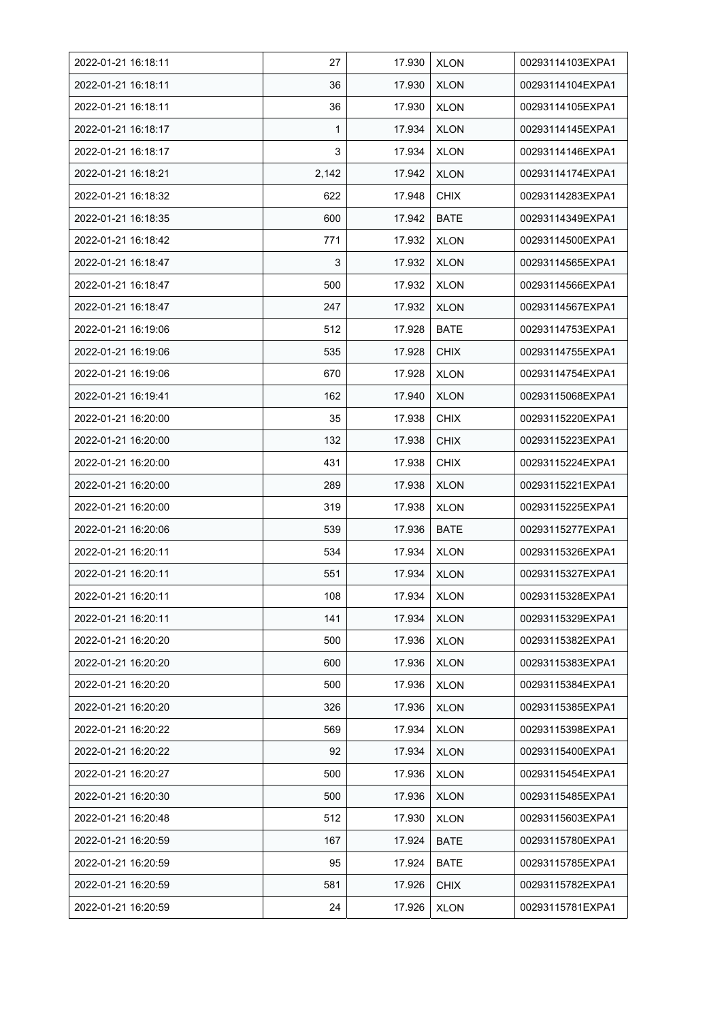| 2022-01-21 16:18:11 | 27    | 17.930 | <b>XLON</b> | 00293114103EXPA1 |
|---------------------|-------|--------|-------------|------------------|
| 2022-01-21 16:18:11 | 36    | 17.930 | <b>XLON</b> | 00293114104EXPA1 |
| 2022-01-21 16:18:11 | 36    | 17.930 | <b>XLON</b> | 00293114105EXPA1 |
| 2022-01-21 16:18:17 | 1     | 17.934 | <b>XLON</b> | 00293114145EXPA1 |
| 2022-01-21 16:18:17 | 3     | 17.934 | <b>XLON</b> | 00293114146EXPA1 |
| 2022-01-21 16:18:21 | 2,142 | 17.942 | <b>XLON</b> | 00293114174EXPA1 |
| 2022-01-21 16:18:32 | 622   | 17.948 | <b>CHIX</b> | 00293114283EXPA1 |
| 2022-01-21 16:18:35 | 600   | 17.942 | <b>BATE</b> | 00293114349EXPA1 |
| 2022-01-21 16:18:42 | 771   | 17.932 | <b>XLON</b> | 00293114500EXPA1 |
| 2022-01-21 16:18:47 | 3     | 17.932 | <b>XLON</b> | 00293114565EXPA1 |
| 2022-01-21 16:18:47 | 500   | 17.932 | <b>XLON</b> | 00293114566EXPA1 |
| 2022-01-21 16:18:47 | 247   | 17.932 | <b>XLON</b> | 00293114567EXPA1 |
| 2022-01-21 16:19:06 | 512   | 17.928 | <b>BATE</b> | 00293114753EXPA1 |
| 2022-01-21 16:19:06 | 535   | 17.928 | <b>CHIX</b> | 00293114755EXPA1 |
| 2022-01-21 16:19:06 | 670   | 17.928 | <b>XLON</b> | 00293114754EXPA1 |
| 2022-01-21 16:19:41 | 162   | 17.940 | <b>XLON</b> | 00293115068EXPA1 |
| 2022-01-21 16:20:00 | 35    | 17.938 | <b>CHIX</b> | 00293115220EXPA1 |
| 2022-01-21 16:20:00 | 132   | 17.938 | <b>CHIX</b> | 00293115223EXPA1 |
| 2022-01-21 16:20:00 | 431   | 17.938 | <b>CHIX</b> | 00293115224EXPA1 |
| 2022-01-21 16:20:00 | 289   | 17.938 | <b>XLON</b> | 00293115221EXPA1 |
| 2022-01-21 16:20:00 | 319   | 17.938 | <b>XLON</b> | 00293115225EXPA1 |
| 2022-01-21 16:20:06 | 539   | 17.936 | <b>BATE</b> | 00293115277EXPA1 |
| 2022-01-21 16:20:11 | 534   | 17.934 | <b>XLON</b> | 00293115326EXPA1 |
| 2022-01-21 16:20:11 | 551   | 17.934 | <b>XLON</b> | 00293115327EXPA1 |
| 2022-01-21 16:20:11 | 108   | 17.934 | <b>XLON</b> | 00293115328EXPA1 |
| 2022-01-21 16:20:11 | 141   | 17.934 | <b>XLON</b> | 00293115329EXPA1 |
| 2022-01-21 16:20:20 | 500   | 17.936 | <b>XLON</b> | 00293115382EXPA1 |
| 2022-01-21 16:20:20 | 600   | 17.936 | <b>XLON</b> | 00293115383EXPA1 |
| 2022-01-21 16:20:20 | 500   | 17.936 | <b>XLON</b> | 00293115384EXPA1 |
| 2022-01-21 16:20:20 | 326   | 17.936 | <b>XLON</b> | 00293115385EXPA1 |
| 2022-01-21 16:20:22 | 569   | 17.934 | <b>XLON</b> | 00293115398EXPA1 |
| 2022-01-21 16:20:22 | 92    | 17.934 | <b>XLON</b> | 00293115400EXPA1 |
| 2022-01-21 16:20:27 | 500   | 17.936 | <b>XLON</b> | 00293115454EXPA1 |
| 2022-01-21 16:20:30 | 500   | 17.936 | <b>XLON</b> | 00293115485EXPA1 |
| 2022-01-21 16:20:48 | 512   | 17.930 | <b>XLON</b> | 00293115603EXPA1 |
| 2022-01-21 16:20:59 | 167   | 17.924 | BATE        | 00293115780EXPA1 |
| 2022-01-21 16:20:59 | 95    | 17.924 | <b>BATE</b> | 00293115785EXPA1 |
| 2022-01-21 16:20:59 | 581   | 17.926 | <b>CHIX</b> | 00293115782EXPA1 |
| 2022-01-21 16:20:59 | 24    | 17.926 | <b>XLON</b> | 00293115781EXPA1 |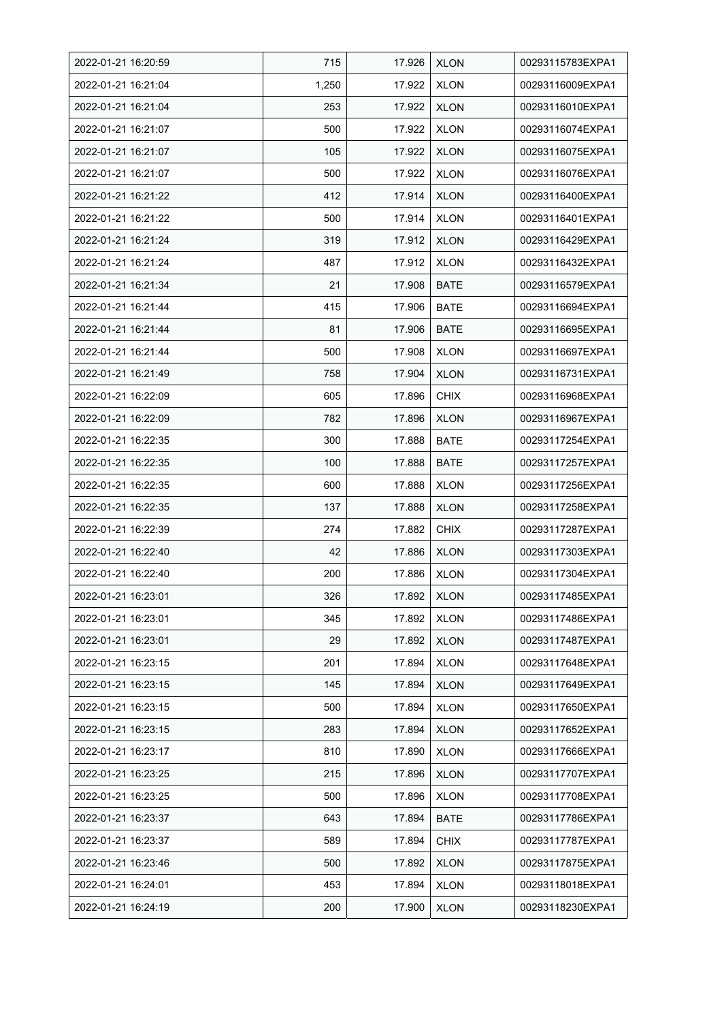| 2022-01-21 16:20:59 | 715   | 17.926 | <b>XLON</b> | 00293115783EXPA1 |
|---------------------|-------|--------|-------------|------------------|
| 2022-01-21 16:21:04 | 1,250 | 17.922 | <b>XLON</b> | 00293116009EXPA1 |
| 2022-01-21 16:21:04 | 253   | 17.922 | <b>XLON</b> | 00293116010EXPA1 |
| 2022-01-21 16:21:07 | 500   | 17.922 | <b>XLON</b> | 00293116074EXPA1 |
| 2022-01-21 16:21:07 | 105   | 17.922 | <b>XLON</b> | 00293116075EXPA1 |
| 2022-01-21 16:21:07 | 500   | 17.922 | <b>XLON</b> | 00293116076EXPA1 |
| 2022-01-21 16:21:22 | 412   | 17.914 | <b>XLON</b> | 00293116400EXPA1 |
| 2022-01-21 16:21:22 | 500   | 17.914 | <b>XLON</b> | 00293116401EXPA1 |
| 2022-01-21 16:21:24 | 319   | 17.912 | <b>XLON</b> | 00293116429EXPA1 |
| 2022-01-21 16:21:24 | 487   | 17.912 | <b>XLON</b> | 00293116432EXPA1 |
| 2022-01-21 16:21:34 | 21    | 17.908 | <b>BATE</b> | 00293116579EXPA1 |
| 2022-01-21 16:21:44 | 415   | 17.906 | <b>BATE</b> | 00293116694EXPA1 |
| 2022-01-21 16:21:44 | 81    | 17.906 | <b>BATE</b> | 00293116695EXPA1 |
| 2022-01-21 16:21:44 | 500   | 17.908 | <b>XLON</b> | 00293116697EXPA1 |
| 2022-01-21 16:21:49 | 758   | 17.904 | <b>XLON</b> | 00293116731EXPA1 |
| 2022-01-21 16:22:09 | 605   | 17.896 | <b>CHIX</b> | 00293116968EXPA1 |
| 2022-01-21 16:22:09 | 782   | 17.896 | <b>XLON</b> | 00293116967EXPA1 |
| 2022-01-21 16:22:35 | 300   | 17.888 | <b>BATE</b> | 00293117254EXPA1 |
| 2022-01-21 16:22:35 | 100   | 17.888 | <b>BATE</b> | 00293117257EXPA1 |
| 2022-01-21 16:22:35 | 600   | 17.888 | <b>XLON</b> | 00293117256EXPA1 |
| 2022-01-21 16:22:35 | 137   | 17.888 | <b>XLON</b> | 00293117258EXPA1 |
| 2022-01-21 16:22:39 | 274   | 17.882 | <b>CHIX</b> | 00293117287EXPA1 |
| 2022-01-21 16:22:40 | 42    | 17.886 | <b>XLON</b> | 00293117303EXPA1 |
| 2022-01-21 16:22:40 | 200   | 17.886 | <b>XLON</b> | 00293117304EXPA1 |
| 2022-01-21 16:23:01 | 326   | 17.892 | <b>XLON</b> | 00293117485EXPA1 |
| 2022-01-21 16:23:01 | 345   | 17.892 | <b>XLON</b> | 00293117486EXPA1 |
| 2022-01-21 16:23:01 | 29    | 17.892 | <b>XLON</b> | 00293117487EXPA1 |
| 2022-01-21 16:23:15 | 201   | 17.894 | <b>XLON</b> | 00293117648EXPA1 |
| 2022-01-21 16:23:15 | 145   | 17.894 | <b>XLON</b> | 00293117649EXPA1 |
| 2022-01-21 16:23:15 | 500   | 17.894 | <b>XLON</b> | 00293117650EXPA1 |
| 2022-01-21 16:23:15 | 283   | 17.894 | <b>XLON</b> | 00293117652EXPA1 |
| 2022-01-21 16:23:17 | 810   | 17.890 | <b>XLON</b> | 00293117666EXPA1 |
| 2022-01-21 16:23:25 | 215   | 17.896 | <b>XLON</b> | 00293117707EXPA1 |
| 2022-01-21 16:23:25 | 500   | 17.896 | <b>XLON</b> | 00293117708EXPA1 |
| 2022-01-21 16:23:37 | 643   | 17.894 | BATE        | 00293117786EXPA1 |
| 2022-01-21 16:23:37 | 589   | 17.894 | <b>CHIX</b> | 00293117787EXPA1 |
| 2022-01-21 16:23:46 | 500   | 17.892 | <b>XLON</b> | 00293117875EXPA1 |
| 2022-01-21 16:24:01 | 453   | 17.894 | <b>XLON</b> | 00293118018EXPA1 |
| 2022-01-21 16:24:19 | 200   | 17.900 | <b>XLON</b> | 00293118230EXPA1 |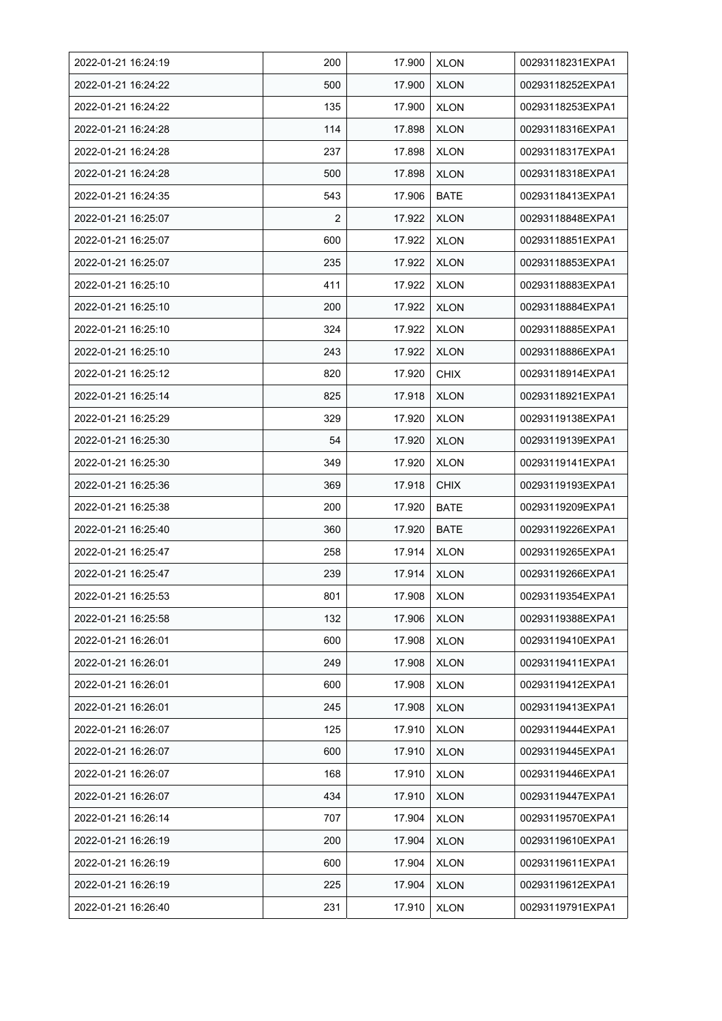| 2022-01-21 16:24:19 | 200            | 17.900 | <b>XLON</b> | 00293118231EXPA1 |
|---------------------|----------------|--------|-------------|------------------|
| 2022-01-21 16:24:22 | 500            | 17.900 | <b>XLON</b> | 00293118252EXPA1 |
| 2022-01-21 16:24:22 | 135            | 17.900 | <b>XLON</b> | 00293118253EXPA1 |
| 2022-01-21 16:24:28 | 114            | 17.898 | <b>XLON</b> | 00293118316EXPA1 |
| 2022-01-21 16:24:28 | 237            | 17.898 | <b>XLON</b> | 00293118317EXPA1 |
| 2022-01-21 16:24:28 | 500            | 17.898 | <b>XLON</b> | 00293118318EXPA1 |
| 2022-01-21 16:24:35 | 543            | 17.906 | <b>BATE</b> | 00293118413EXPA1 |
| 2022-01-21 16:25:07 | $\overline{2}$ | 17.922 | <b>XLON</b> | 00293118848EXPA1 |
| 2022-01-21 16:25:07 | 600            | 17.922 | <b>XLON</b> | 00293118851EXPA1 |
| 2022-01-21 16:25:07 | 235            | 17.922 | <b>XLON</b> | 00293118853EXPA1 |
| 2022-01-21 16:25:10 | 411            | 17.922 | <b>XLON</b> | 00293118883EXPA1 |
| 2022-01-21 16:25:10 | 200            | 17.922 | <b>XLON</b> | 00293118884EXPA1 |
| 2022-01-21 16:25:10 | 324            | 17.922 | <b>XLON</b> | 00293118885EXPA1 |
| 2022-01-21 16:25:10 | 243            | 17.922 | <b>XLON</b> | 00293118886EXPA1 |
| 2022-01-21 16:25:12 | 820            | 17.920 | <b>CHIX</b> | 00293118914EXPA1 |
| 2022-01-21 16:25:14 | 825            | 17.918 | <b>XLON</b> | 00293118921EXPA1 |
| 2022-01-21 16:25:29 | 329            | 17.920 | <b>XLON</b> | 00293119138EXPA1 |
| 2022-01-21 16:25:30 | 54             | 17.920 | <b>XLON</b> | 00293119139EXPA1 |
| 2022-01-21 16:25:30 | 349            | 17.920 | <b>XLON</b> | 00293119141EXPA1 |
| 2022-01-21 16:25:36 | 369            | 17.918 | <b>CHIX</b> | 00293119193EXPA1 |
| 2022-01-21 16:25:38 | 200            | 17.920 | <b>BATE</b> | 00293119209EXPA1 |
| 2022-01-21 16:25:40 | 360            | 17.920 | <b>BATE</b> | 00293119226EXPA1 |
| 2022-01-21 16:25:47 | 258            | 17.914 | <b>XLON</b> | 00293119265EXPA1 |
| 2022-01-21 16:25:47 | 239            | 17.914 | <b>XLON</b> | 00293119266EXPA1 |
| 2022-01-21 16:25:53 | 801            | 17.908 | <b>XLON</b> | 00293119354EXPA1 |
| 2022-01-21 16:25:58 | 132            | 17.906 | <b>XLON</b> | 00293119388EXPA1 |
| 2022-01-21 16:26:01 | 600            | 17.908 | <b>XLON</b> | 00293119410EXPA1 |
| 2022-01-21 16:26:01 | 249            | 17.908 | <b>XLON</b> | 00293119411EXPA1 |
| 2022-01-21 16:26:01 | 600            | 17.908 | <b>XLON</b> | 00293119412EXPA1 |
| 2022-01-21 16:26:01 | 245            | 17.908 | <b>XLON</b> | 00293119413EXPA1 |
| 2022-01-21 16:26:07 | 125            | 17.910 | <b>XLON</b> | 00293119444EXPA1 |
| 2022-01-21 16:26:07 | 600            | 17.910 | <b>XLON</b> | 00293119445EXPA1 |
| 2022-01-21 16:26:07 | 168            | 17.910 | <b>XLON</b> | 00293119446EXPA1 |
| 2022-01-21 16:26:07 | 434            | 17.910 | <b>XLON</b> | 00293119447EXPA1 |
| 2022-01-21 16:26:14 | 707            | 17.904 | <b>XLON</b> | 00293119570EXPA1 |
| 2022-01-21 16:26:19 | 200            | 17.904 | <b>XLON</b> | 00293119610EXPA1 |
| 2022-01-21 16:26:19 | 600            | 17.904 | <b>XLON</b> | 00293119611EXPA1 |
| 2022-01-21 16:26:19 | 225            | 17.904 | <b>XLON</b> | 00293119612EXPA1 |
| 2022-01-21 16:26:40 | 231            | 17.910 | <b>XLON</b> | 00293119791EXPA1 |
|                     |                |        |             |                  |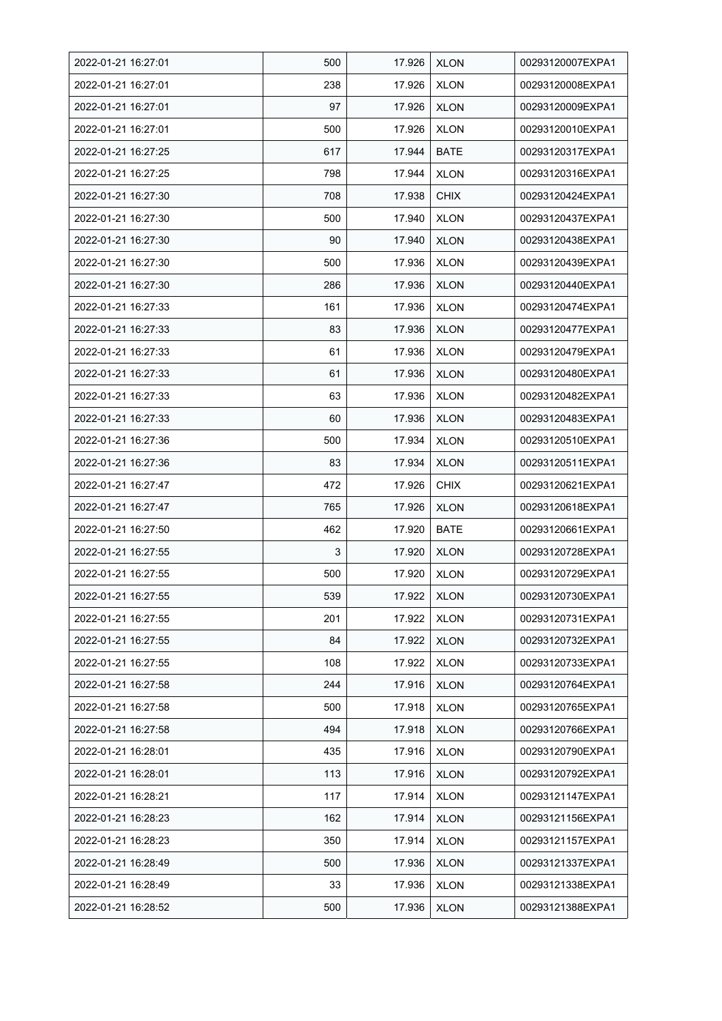| 2022-01-21 16:27:01 | 500 | 17.926 | <b>XLON</b> | 00293120007EXPA1 |
|---------------------|-----|--------|-------------|------------------|
| 2022-01-21 16:27:01 | 238 | 17.926 | <b>XLON</b> | 00293120008EXPA1 |
| 2022-01-21 16:27:01 | 97  | 17.926 | <b>XLON</b> | 00293120009EXPA1 |
| 2022-01-21 16:27:01 | 500 | 17.926 | <b>XLON</b> | 00293120010EXPA1 |
| 2022-01-21 16:27:25 | 617 | 17.944 | <b>BATE</b> | 00293120317EXPA1 |
| 2022-01-21 16:27:25 | 798 | 17.944 | <b>XLON</b> | 00293120316EXPA1 |
| 2022-01-21 16:27:30 | 708 | 17.938 | <b>CHIX</b> | 00293120424EXPA1 |
| 2022-01-21 16:27:30 | 500 | 17.940 | <b>XLON</b> | 00293120437EXPA1 |
| 2022-01-21 16:27:30 | 90  | 17.940 | <b>XLON</b> | 00293120438EXPA1 |
| 2022-01-21 16:27:30 | 500 | 17.936 | <b>XLON</b> | 00293120439EXPA1 |
| 2022-01-21 16:27:30 | 286 | 17.936 | <b>XLON</b> | 00293120440EXPA1 |
| 2022-01-21 16:27:33 | 161 | 17.936 | <b>XLON</b> | 00293120474EXPA1 |
| 2022-01-21 16:27:33 | 83  | 17.936 | <b>XLON</b> | 00293120477EXPA1 |
| 2022-01-21 16:27:33 | 61  | 17.936 | <b>XLON</b> | 00293120479EXPA1 |
| 2022-01-21 16:27:33 | 61  | 17.936 | <b>XLON</b> | 00293120480EXPA1 |
| 2022-01-21 16:27:33 | 63  | 17.936 | <b>XLON</b> | 00293120482EXPA1 |
| 2022-01-21 16:27:33 | 60  | 17.936 | <b>XLON</b> | 00293120483EXPA1 |
| 2022-01-21 16:27:36 | 500 | 17.934 | <b>XLON</b> | 00293120510EXPA1 |
| 2022-01-21 16:27:36 | 83  | 17.934 | <b>XLON</b> | 00293120511EXPA1 |
| 2022-01-21 16:27:47 | 472 | 17.926 | <b>CHIX</b> | 00293120621EXPA1 |
| 2022-01-21 16:27:47 | 765 | 17.926 | <b>XLON</b> | 00293120618EXPA1 |
| 2022-01-21 16:27:50 | 462 | 17.920 | <b>BATE</b> | 00293120661EXPA1 |
| 2022-01-21 16:27:55 | 3   | 17.920 | <b>XLON</b> | 00293120728EXPA1 |
| 2022-01-21 16:27:55 | 500 | 17.920 | <b>XLON</b> | 00293120729EXPA1 |
| 2022-01-21 16:27:55 | 539 | 17.922 | <b>XLON</b> | 00293120730EXPA1 |
| 2022-01-21 16:27:55 | 201 | 17.922 | <b>XLON</b> | 00293120731EXPA1 |
| 2022-01-21 16:27:55 | 84  | 17.922 | <b>XLON</b> | 00293120732EXPA1 |
| 2022-01-21 16:27:55 | 108 | 17.922 | <b>XLON</b> | 00293120733EXPA1 |
| 2022-01-21 16:27:58 | 244 | 17.916 | <b>XLON</b> | 00293120764EXPA1 |
| 2022-01-21 16:27:58 | 500 | 17.918 | <b>XLON</b> | 00293120765EXPA1 |
| 2022-01-21 16:27:58 | 494 | 17.918 | <b>XLON</b> | 00293120766EXPA1 |
| 2022-01-21 16:28:01 | 435 | 17.916 | <b>XLON</b> | 00293120790EXPA1 |
| 2022-01-21 16:28:01 | 113 | 17.916 | <b>XLON</b> | 00293120792EXPA1 |
| 2022-01-21 16:28:21 | 117 | 17.914 | <b>XLON</b> | 00293121147EXPA1 |
| 2022-01-21 16:28:23 | 162 | 17.914 | <b>XLON</b> | 00293121156EXPA1 |
| 2022-01-21 16:28:23 | 350 | 17.914 | <b>XLON</b> | 00293121157EXPA1 |
| 2022-01-21 16:28:49 | 500 | 17.936 | <b>XLON</b> | 00293121337EXPA1 |
| 2022-01-21 16:28:49 | 33  | 17.936 | <b>XLON</b> | 00293121338EXPA1 |
| 2022-01-21 16:28:52 | 500 | 17.936 | <b>XLON</b> | 00293121388EXPA1 |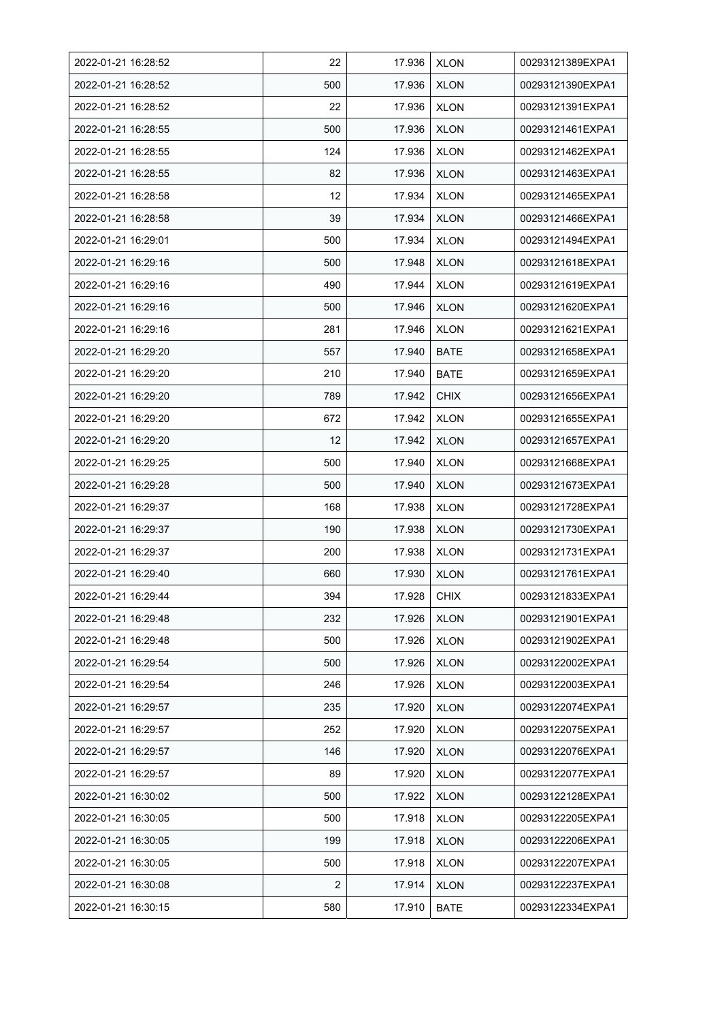| 2022-01-21 16:28:52 | 22                | 17.936 | <b>XLON</b> | 00293121389EXPA1 |
|---------------------|-------------------|--------|-------------|------------------|
| 2022-01-21 16:28:52 | 500               | 17.936 | <b>XLON</b> | 00293121390EXPA1 |
| 2022-01-21 16:28:52 | 22                | 17.936 | <b>XLON</b> | 00293121391EXPA1 |
| 2022-01-21 16:28:55 | 500               | 17.936 | <b>XLON</b> | 00293121461EXPA1 |
| 2022-01-21 16:28:55 | 124               | 17.936 | <b>XLON</b> | 00293121462EXPA1 |
| 2022-01-21 16:28:55 | 82                | 17.936 | <b>XLON</b> | 00293121463EXPA1 |
| 2022-01-21 16:28:58 | $12 \overline{ }$ | 17.934 | <b>XLON</b> | 00293121465EXPA1 |
| 2022-01-21 16:28:58 | 39                | 17.934 | <b>XLON</b> | 00293121466EXPA1 |
| 2022-01-21 16:29:01 | 500               | 17.934 | <b>XLON</b> | 00293121494EXPA1 |
| 2022-01-21 16:29:16 | 500               | 17.948 | <b>XLON</b> | 00293121618EXPA1 |
| 2022-01-21 16:29:16 | 490               | 17.944 | <b>XLON</b> | 00293121619EXPA1 |
| 2022-01-21 16:29:16 | 500               | 17.946 | <b>XLON</b> | 00293121620EXPA1 |
| 2022-01-21 16:29:16 | 281               | 17.946 | <b>XLON</b> | 00293121621EXPA1 |
| 2022-01-21 16:29:20 | 557               | 17.940 | <b>BATE</b> | 00293121658EXPA1 |
| 2022-01-21 16:29:20 | 210               | 17.940 | <b>BATE</b> | 00293121659EXPA1 |
| 2022-01-21 16:29:20 | 789               | 17.942 | <b>CHIX</b> | 00293121656EXPA1 |
| 2022-01-21 16:29:20 | 672               | 17.942 | <b>XLON</b> | 00293121655EXPA1 |
| 2022-01-21 16:29:20 | 12                | 17.942 | XLON        | 00293121657EXPA1 |
| 2022-01-21 16:29:25 | 500               | 17.940 | <b>XLON</b> | 00293121668EXPA1 |
| 2022-01-21 16:29:28 | 500               | 17.940 | <b>XLON</b> | 00293121673EXPA1 |
| 2022-01-21 16:29:37 | 168               | 17.938 | <b>XLON</b> | 00293121728EXPA1 |
| 2022-01-21 16:29:37 | 190               | 17.938 | <b>XLON</b> | 00293121730EXPA1 |
| 2022-01-21 16:29:37 | 200               | 17.938 | <b>XLON</b> | 00293121731EXPA1 |
| 2022-01-21 16:29:40 | 660               | 17.930 | <b>XLON</b> | 00293121761EXPA1 |
| 2022-01-21 16:29:44 | 394               | 17.928 | <b>CHIX</b> | 00293121833EXPA1 |
| 2022-01-21 16:29:48 | 232               | 17.926 | <b>XLON</b> | 00293121901EXPA1 |
| 2022-01-21 16:29:48 | 500               | 17.926 | <b>XLON</b> | 00293121902EXPA1 |
| 2022-01-21 16:29:54 | 500               | 17.926 | <b>XLON</b> | 00293122002EXPA1 |
| 2022-01-21 16:29:54 | 246               | 17.926 | <b>XLON</b> | 00293122003EXPA1 |
| 2022-01-21 16:29:57 | 235               | 17.920 | <b>XLON</b> | 00293122074EXPA1 |
| 2022-01-21 16:29:57 | 252               | 17.920 | <b>XLON</b> | 00293122075EXPA1 |
| 2022-01-21 16:29:57 | 146               | 17.920 | <b>XLON</b> | 00293122076EXPA1 |
| 2022-01-21 16:29:57 | 89                | 17.920 | <b>XLON</b> | 00293122077EXPA1 |
| 2022-01-21 16:30:02 | 500               | 17.922 | <b>XLON</b> | 00293122128EXPA1 |
| 2022-01-21 16:30:05 | 500               | 17.918 | <b>XLON</b> | 00293122205EXPA1 |
| 2022-01-21 16:30:05 | 199               | 17.918 | <b>XLON</b> | 00293122206EXPA1 |
| 2022-01-21 16:30:05 | 500               | 17.918 | <b>XLON</b> | 00293122207EXPA1 |
| 2022-01-21 16:30:08 | 2                 | 17.914 | <b>XLON</b> | 00293122237EXPA1 |
| 2022-01-21 16:30:15 | 580               | 17.910 | <b>BATE</b> | 00293122334EXPA1 |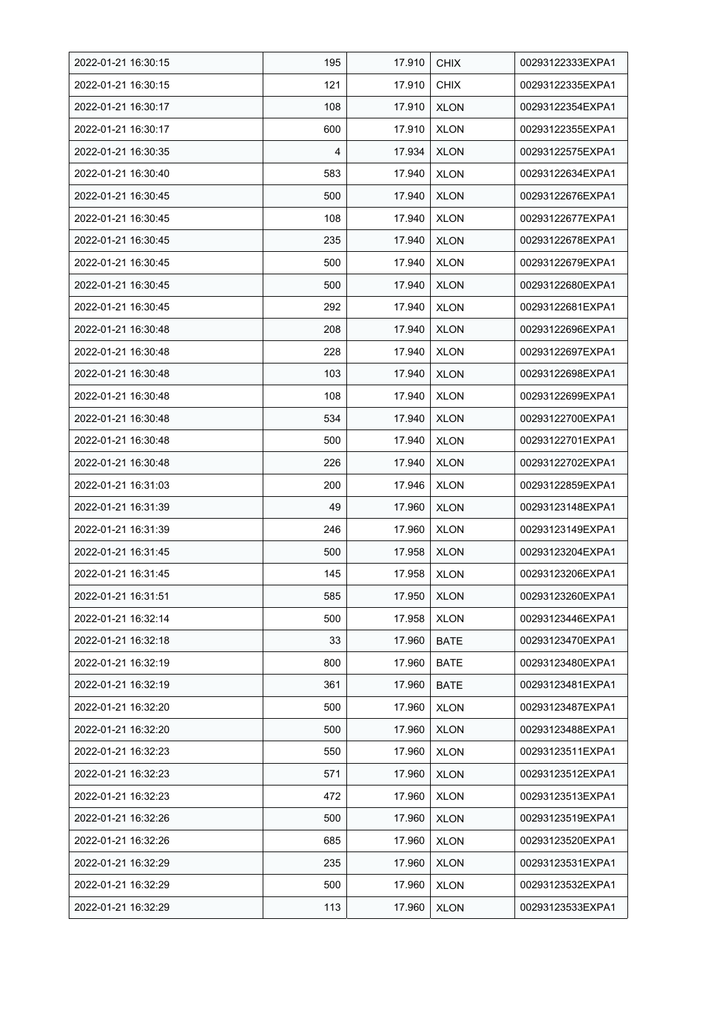| 2022-01-21 16:30:15 | 195 | 17.910 | <b>CHIX</b> | 00293122333EXPA1 |
|---------------------|-----|--------|-------------|------------------|
| 2022-01-21 16:30:15 | 121 | 17.910 | <b>CHIX</b> | 00293122335EXPA1 |
| 2022-01-21 16:30:17 | 108 | 17.910 | <b>XLON</b> | 00293122354EXPA1 |
| 2022-01-21 16:30:17 | 600 | 17.910 | <b>XLON</b> | 00293122355EXPA1 |
| 2022-01-21 16:30:35 | 4   | 17.934 | <b>XLON</b> | 00293122575EXPA1 |
| 2022-01-21 16:30:40 | 583 | 17.940 | <b>XLON</b> | 00293122634EXPA1 |
| 2022-01-21 16:30:45 | 500 | 17.940 | <b>XLON</b> | 00293122676EXPA1 |
| 2022-01-21 16:30:45 | 108 | 17.940 | <b>XLON</b> | 00293122677EXPA1 |
| 2022-01-21 16:30:45 | 235 | 17.940 | <b>XLON</b> | 00293122678EXPA1 |
| 2022-01-21 16:30:45 | 500 | 17.940 | <b>XLON</b> | 00293122679EXPA1 |
| 2022-01-21 16:30:45 | 500 | 17.940 | <b>XLON</b> | 00293122680EXPA1 |
| 2022-01-21 16:30:45 | 292 | 17.940 | <b>XLON</b> | 00293122681EXPA1 |
| 2022-01-21 16:30:48 | 208 | 17.940 | <b>XLON</b> | 00293122696EXPA1 |
| 2022-01-21 16:30:48 | 228 | 17.940 | <b>XLON</b> | 00293122697EXPA1 |
| 2022-01-21 16:30:48 | 103 | 17.940 | <b>XLON</b> | 00293122698EXPA1 |
| 2022-01-21 16:30:48 | 108 | 17.940 | <b>XLON</b> | 00293122699EXPA1 |
| 2022-01-21 16:30:48 | 534 | 17.940 | <b>XLON</b> | 00293122700EXPA1 |
| 2022-01-21 16:30:48 | 500 | 17.940 | XLON        | 00293122701EXPA1 |
| 2022-01-21 16:30:48 | 226 | 17.940 | <b>XLON</b> | 00293122702EXPA1 |
| 2022-01-21 16:31:03 | 200 | 17.946 | <b>XLON</b> | 00293122859EXPA1 |
| 2022-01-21 16:31:39 | 49  | 17.960 | <b>XLON</b> | 00293123148EXPA1 |
| 2022-01-21 16:31:39 | 246 | 17.960 | <b>XLON</b> | 00293123149EXPA1 |
| 2022-01-21 16:31:45 | 500 | 17.958 | <b>XLON</b> | 00293123204EXPA1 |
| 2022-01-21 16:31:45 | 145 | 17.958 | <b>XLON</b> | 00293123206EXPA1 |
| 2022-01-21 16:31:51 | 585 | 17.950 | <b>XLON</b> | 00293123260EXPA1 |
| 2022-01-21 16:32:14 | 500 | 17.958 | <b>XLON</b> | 00293123446EXPA1 |
| 2022-01-21 16:32:18 | 33  | 17.960 | <b>BATE</b> | 00293123470EXPA1 |
| 2022-01-21 16:32:19 | 800 | 17.960 | <b>BATE</b> | 00293123480EXPA1 |
| 2022-01-21 16:32:19 | 361 | 17.960 | <b>BATE</b> | 00293123481EXPA1 |
| 2022-01-21 16:32:20 | 500 | 17.960 | <b>XLON</b> | 00293123487EXPA1 |
| 2022-01-21 16:32:20 | 500 | 17.960 | <b>XLON</b> | 00293123488EXPA1 |
| 2022-01-21 16:32:23 | 550 | 17.960 | <b>XLON</b> | 00293123511EXPA1 |
| 2022-01-21 16:32:23 | 571 | 17.960 | <b>XLON</b> | 00293123512EXPA1 |
| 2022-01-21 16:32:23 | 472 | 17.960 | <b>XLON</b> | 00293123513EXPA1 |
| 2022-01-21 16:32:26 | 500 | 17.960 | <b>XLON</b> | 00293123519EXPA1 |
| 2022-01-21 16:32:26 | 685 | 17.960 | <b>XLON</b> | 00293123520EXPA1 |
| 2022-01-21 16:32:29 | 235 | 17.960 | <b>XLON</b> | 00293123531EXPA1 |
| 2022-01-21 16:32:29 | 500 | 17.960 | <b>XLON</b> | 00293123532EXPA1 |
| 2022-01-21 16:32:29 | 113 | 17.960 | <b>XLON</b> | 00293123533EXPA1 |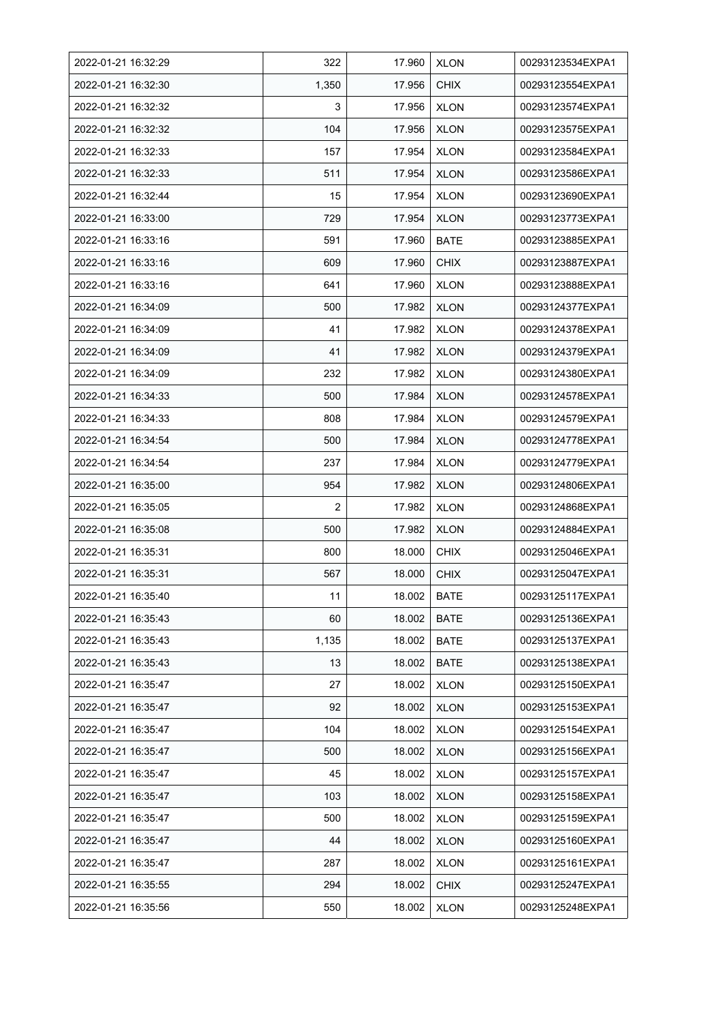| 2022-01-21 16:32:29 | 322   | 17.960 | <b>XLON</b> | 00293123534EXPA1 |
|---------------------|-------|--------|-------------|------------------|
| 2022-01-21 16:32:30 | 1,350 | 17.956 | <b>CHIX</b> | 00293123554EXPA1 |
| 2022-01-21 16:32:32 | 3     | 17.956 | <b>XLON</b> | 00293123574EXPA1 |
| 2022-01-21 16:32:32 | 104   | 17.956 | <b>XLON</b> | 00293123575EXPA1 |
| 2022-01-21 16:32:33 | 157   | 17.954 | <b>XLON</b> | 00293123584EXPA1 |
| 2022-01-21 16:32:33 | 511   | 17.954 | <b>XLON</b> | 00293123586EXPA1 |
| 2022-01-21 16:32:44 | 15    | 17.954 | <b>XLON</b> | 00293123690EXPA1 |
| 2022-01-21 16:33:00 | 729   | 17.954 | <b>XLON</b> | 00293123773EXPA1 |
| 2022-01-21 16:33:16 | 591   | 17.960 | <b>BATE</b> | 00293123885EXPA1 |
| 2022-01-21 16:33:16 | 609   | 17.960 | <b>CHIX</b> | 00293123887EXPA1 |
| 2022-01-21 16:33:16 | 641   | 17.960 | <b>XLON</b> | 00293123888EXPA1 |
| 2022-01-21 16:34:09 | 500   | 17.982 | <b>XLON</b> | 00293124377EXPA1 |
| 2022-01-21 16:34:09 | 41    | 17.982 | <b>XLON</b> | 00293124378EXPA1 |
| 2022-01-21 16:34:09 | 41    | 17.982 | <b>XLON</b> | 00293124379EXPA1 |
| 2022-01-21 16:34:09 | 232   | 17.982 | <b>XLON</b> | 00293124380EXPA1 |
| 2022-01-21 16:34:33 | 500   | 17.984 | <b>XLON</b> | 00293124578EXPA1 |
| 2022-01-21 16:34:33 | 808   | 17.984 | <b>XLON</b> | 00293124579EXPA1 |
| 2022-01-21 16:34:54 | 500   | 17.984 | <b>XLON</b> | 00293124778EXPA1 |
| 2022-01-21 16:34:54 | 237   | 17.984 | <b>XLON</b> | 00293124779EXPA1 |
| 2022-01-21 16:35:00 | 954   | 17.982 | XLON        | 00293124806EXPA1 |
| 2022-01-21 16:35:05 | 2     | 17.982 | <b>XLON</b> | 00293124868EXPA1 |
| 2022-01-21 16:35:08 | 500   | 17.982 | <b>XLON</b> | 00293124884EXPA1 |
| 2022-01-21 16:35:31 | 800   | 18.000 | <b>CHIX</b> | 00293125046EXPA1 |
| 2022-01-21 16:35:31 | 567   | 18.000 | <b>CHIX</b> | 00293125047EXPA1 |
| 2022-01-21 16:35:40 | 11    | 18.002 | <b>BATE</b> | 00293125117EXPA1 |
| 2022-01-21 16:35:43 | 60    | 18.002 | <b>BATE</b> | 00293125136EXPA1 |
| 2022-01-21 16:35:43 | 1,135 | 18.002 | <b>BATE</b> | 00293125137EXPA1 |
| 2022-01-21 16:35:43 | 13    | 18.002 | <b>BATE</b> | 00293125138EXPA1 |
| 2022-01-21 16:35:47 | 27    | 18.002 | <b>XLON</b> | 00293125150EXPA1 |
| 2022-01-21 16:35:47 | 92    | 18.002 | <b>XLON</b> | 00293125153EXPA1 |
| 2022-01-21 16:35:47 | 104   | 18.002 | <b>XLON</b> | 00293125154EXPA1 |
| 2022-01-21 16:35:47 | 500   | 18.002 | <b>XLON</b> | 00293125156EXPA1 |
| 2022-01-21 16:35:47 | 45    | 18.002 | <b>XLON</b> | 00293125157EXPA1 |
| 2022-01-21 16:35:47 | 103   | 18.002 | <b>XLON</b> | 00293125158EXPA1 |
| 2022-01-21 16:35:47 | 500   | 18.002 | <b>XLON</b> | 00293125159EXPA1 |
| 2022-01-21 16:35:47 | 44    | 18.002 | <b>XLON</b> | 00293125160EXPA1 |
| 2022-01-21 16:35:47 | 287   | 18.002 | <b>XLON</b> | 00293125161EXPA1 |
| 2022-01-21 16:35:55 | 294   | 18.002 | <b>CHIX</b> | 00293125247EXPA1 |
| 2022-01-21 16:35:56 | 550   | 18.002 | <b>XLON</b> | 00293125248EXPA1 |
|                     |       |        |             |                  |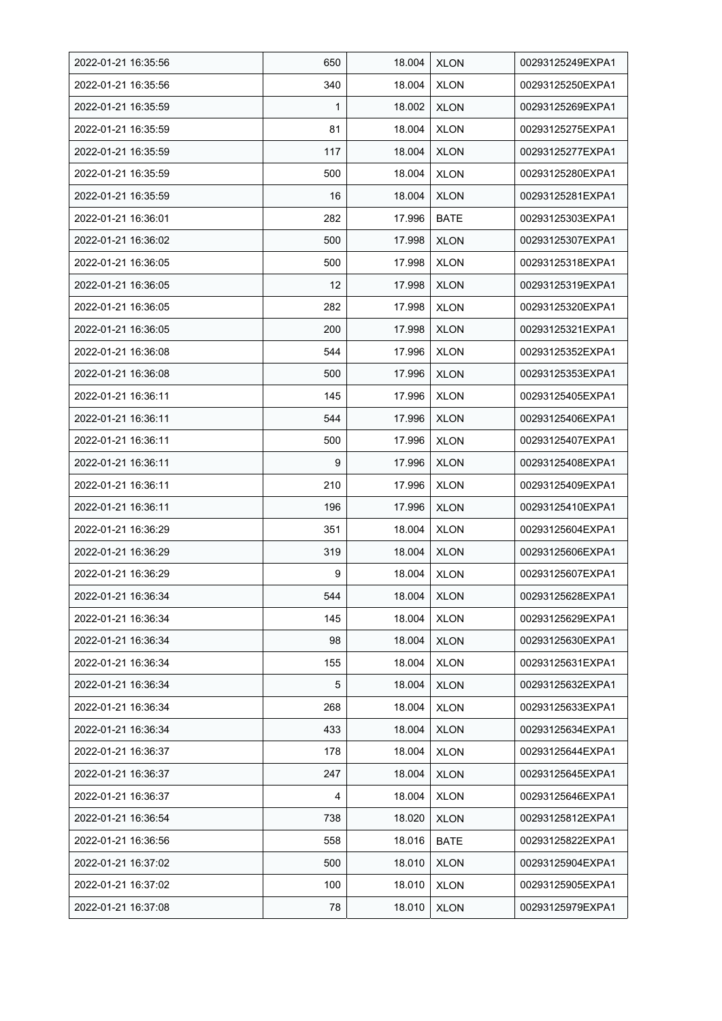| 2022-01-21 16:35:56 | 650 | 18.004 | <b>XLON</b> | 00293125249EXPA1 |
|---------------------|-----|--------|-------------|------------------|
| 2022-01-21 16:35:56 | 340 | 18.004 | <b>XLON</b> | 00293125250EXPA1 |
| 2022-01-21 16:35:59 | 1   | 18.002 | <b>XLON</b> | 00293125269EXPA1 |
| 2022-01-21 16:35:59 | 81  | 18.004 | <b>XLON</b> | 00293125275EXPA1 |
| 2022-01-21 16:35:59 | 117 | 18.004 | <b>XLON</b> | 00293125277EXPA1 |
| 2022-01-21 16:35:59 | 500 | 18.004 | <b>XLON</b> | 00293125280EXPA1 |
| 2022-01-21 16:35:59 | 16  | 18.004 | <b>XLON</b> | 00293125281EXPA1 |
| 2022-01-21 16:36:01 | 282 | 17.996 | <b>BATE</b> | 00293125303EXPA1 |
| 2022-01-21 16:36:02 | 500 | 17.998 | <b>XLON</b> | 00293125307EXPA1 |
| 2022-01-21 16:36:05 | 500 | 17.998 | <b>XLON</b> | 00293125318EXPA1 |
| 2022-01-21 16:36:05 | 12  | 17.998 | <b>XLON</b> | 00293125319EXPA1 |
| 2022-01-21 16:36:05 | 282 | 17.998 | <b>XLON</b> | 00293125320EXPA1 |
| 2022-01-21 16:36:05 | 200 | 17.998 | <b>XLON</b> | 00293125321EXPA1 |
| 2022-01-21 16:36:08 | 544 | 17.996 | <b>XLON</b> | 00293125352EXPA1 |
| 2022-01-21 16:36:08 | 500 | 17.996 | <b>XLON</b> | 00293125353EXPA1 |
| 2022-01-21 16:36:11 | 145 | 17.996 | <b>XLON</b> | 00293125405EXPA1 |
| 2022-01-21 16:36:11 | 544 | 17.996 | <b>XLON</b> | 00293125406EXPA1 |
| 2022-01-21 16:36:11 | 500 | 17.996 | XLON        | 00293125407EXPA1 |
| 2022-01-21 16:36:11 | 9   | 17.996 | <b>XLON</b> | 00293125408EXPA1 |
| 2022-01-21 16:36:11 | 210 | 17.996 | <b>XLON</b> | 00293125409EXPA1 |
| 2022-01-21 16:36:11 | 196 | 17.996 | <b>XLON</b> | 00293125410EXPA1 |
| 2022-01-21 16:36:29 | 351 | 18.004 | <b>XLON</b> | 00293125604EXPA1 |
| 2022-01-21 16:36:29 | 319 | 18.004 | <b>XLON</b> | 00293125606EXPA1 |
| 2022-01-21 16:36:29 | 9   | 18.004 | <b>XLON</b> | 00293125607EXPA1 |
| 2022-01-21 16:36:34 | 544 | 18.004 | <b>XLON</b> | 00293125628EXPA1 |
| 2022-01-21 16:36:34 | 145 | 18.004 | <b>XLON</b> | 00293125629EXPA1 |
| 2022-01-21 16:36:34 | 98  | 18.004 | <b>XLON</b> | 00293125630EXPA1 |
| 2022-01-21 16:36:34 | 155 | 18.004 | <b>XLON</b> | 00293125631EXPA1 |
| 2022-01-21 16:36:34 | 5   | 18.004 | <b>XLON</b> | 00293125632EXPA1 |
| 2022-01-21 16:36:34 | 268 | 18.004 | <b>XLON</b> | 00293125633EXPA1 |
| 2022-01-21 16:36:34 | 433 | 18.004 | <b>XLON</b> | 00293125634EXPA1 |
| 2022-01-21 16:36:37 | 178 | 18.004 | <b>XLON</b> | 00293125644EXPA1 |
| 2022-01-21 16:36:37 | 247 | 18.004 | <b>XLON</b> | 00293125645EXPA1 |
| 2022-01-21 16:36:37 | 4   | 18.004 | <b>XLON</b> | 00293125646EXPA1 |
| 2022-01-21 16:36:54 | 738 | 18.020 | <b>XLON</b> | 00293125812EXPA1 |
| 2022-01-21 16:36:56 | 558 | 18.016 | <b>BATE</b> | 00293125822EXPA1 |
| 2022-01-21 16:37:02 | 500 | 18.010 | <b>XLON</b> | 00293125904EXPA1 |
| 2022-01-21 16:37:02 | 100 | 18.010 | <b>XLON</b> | 00293125905EXPA1 |
| 2022-01-21 16:37:08 | 78  | 18.010 | <b>XLON</b> | 00293125979EXPA1 |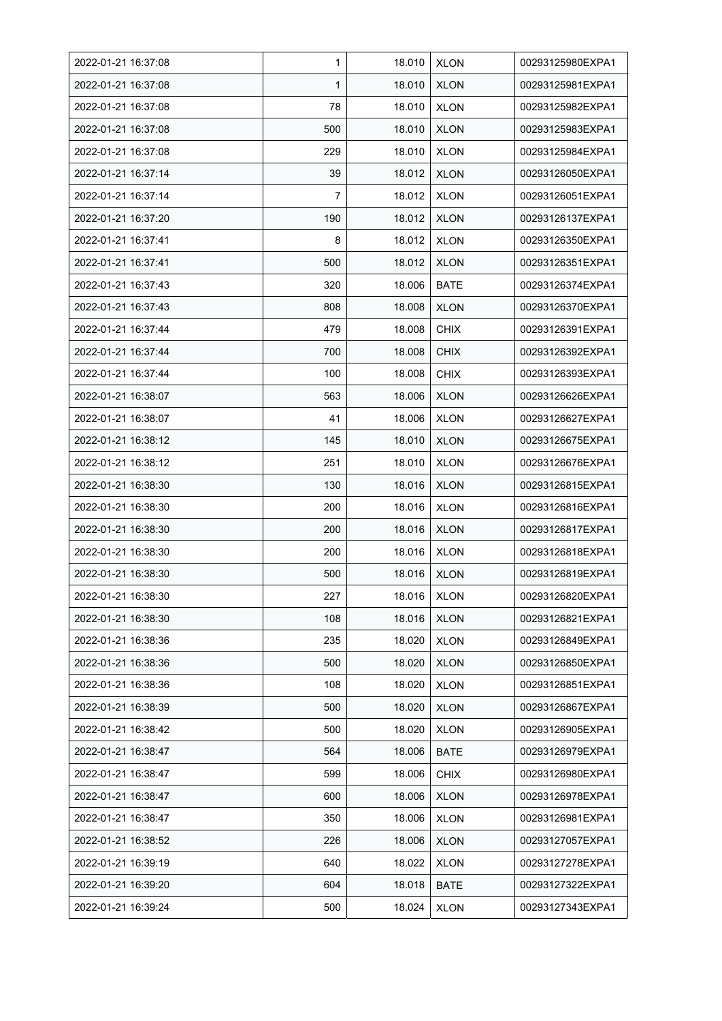| 2022-01-21 16:37:08 | 1   | 18.010 | <b>XLON</b> | 00293125980EXPA1 |
|---------------------|-----|--------|-------------|------------------|
| 2022-01-21 16:37:08 | 1   | 18.010 | <b>XLON</b> | 00293125981EXPA1 |
| 2022-01-21 16:37:08 | 78  | 18.010 | <b>XLON</b> | 00293125982EXPA1 |
| 2022-01-21 16:37:08 | 500 | 18.010 | <b>XLON</b> | 00293125983EXPA1 |
| 2022-01-21 16:37:08 | 229 | 18.010 | <b>XLON</b> | 00293125984EXPA1 |
| 2022-01-21 16:37:14 | 39  | 18.012 | <b>XLON</b> | 00293126050EXPA1 |
| 2022-01-21 16:37:14 | 7   | 18.012 | <b>XLON</b> | 00293126051EXPA1 |
| 2022-01-21 16:37:20 | 190 | 18.012 | <b>XLON</b> | 00293126137EXPA1 |
| 2022-01-21 16:37:41 | 8   | 18.012 | <b>XLON</b> | 00293126350EXPA1 |
| 2022-01-21 16:37:41 | 500 | 18.012 | <b>XLON</b> | 00293126351EXPA1 |
| 2022-01-21 16:37:43 | 320 | 18.006 | <b>BATE</b> | 00293126374EXPA1 |
| 2022-01-21 16:37:43 | 808 | 18.008 | <b>XLON</b> | 00293126370EXPA1 |
| 2022-01-21 16:37:44 | 479 | 18.008 | <b>CHIX</b> | 00293126391EXPA1 |
| 2022-01-21 16:37:44 | 700 | 18.008 | <b>CHIX</b> | 00293126392EXPA1 |
| 2022-01-21 16:37:44 | 100 | 18.008 | <b>CHIX</b> | 00293126393EXPA1 |
| 2022-01-21 16:38:07 | 563 | 18.006 | <b>XLON</b> | 00293126626EXPA1 |
| 2022-01-21 16:38:07 | 41  | 18.006 | <b>XLON</b> | 00293126627EXPA1 |
| 2022-01-21 16:38:12 | 145 | 18.010 | <b>XLON</b> | 00293126675EXPA1 |
| 2022-01-21 16:38:12 | 251 | 18.010 | <b>XLON</b> | 00293126676EXPA1 |
| 2022-01-21 16:38:30 | 130 | 18.016 | <b>XLON</b> | 00293126815EXPA1 |
| 2022-01-21 16:38:30 | 200 | 18.016 | <b>XLON</b> | 00293126816EXPA1 |
| 2022-01-21 16:38:30 | 200 | 18.016 | <b>XLON</b> | 00293126817EXPA1 |
| 2022-01-21 16:38:30 | 200 | 18.016 | <b>XLON</b> | 00293126818EXPA1 |
| 2022-01-21 16:38:30 | 500 | 18.016 | <b>XLON</b> | 00293126819EXPA1 |
| 2022-01-21 16:38:30 | 227 | 18.016 | <b>XLON</b> | 00293126820EXPA1 |
| 2022-01-21 16:38:30 | 108 | 18.016 | <b>XLON</b> | 00293126821EXPA1 |
| 2022-01-21 16:38:36 | 235 | 18.020 | <b>XLON</b> | 00293126849EXPA1 |
| 2022-01-21 16:38:36 | 500 | 18.020 | <b>XLON</b> | 00293126850EXPA1 |
| 2022-01-21 16:38:36 | 108 | 18.020 | <b>XLON</b> | 00293126851EXPA1 |
| 2022-01-21 16:38:39 | 500 | 18.020 | <b>XLON</b> | 00293126867EXPA1 |
| 2022-01-21 16:38:42 | 500 | 18.020 | <b>XLON</b> | 00293126905EXPA1 |
| 2022-01-21 16:38:47 | 564 | 18.006 | <b>BATE</b> | 00293126979EXPA1 |
| 2022-01-21 16:38:47 | 599 | 18.006 | <b>CHIX</b> | 00293126980EXPA1 |
| 2022-01-21 16:38:47 | 600 | 18.006 | <b>XLON</b> | 00293126978EXPA1 |
| 2022-01-21 16:38:47 | 350 | 18.006 | <b>XLON</b> | 00293126981EXPA1 |
| 2022-01-21 16:38:52 | 226 | 18.006 | <b>XLON</b> | 00293127057EXPA1 |
| 2022-01-21 16:39:19 | 640 | 18.022 | <b>XLON</b> | 00293127278EXPA1 |
| 2022-01-21 16:39:20 | 604 | 18.018 | <b>BATE</b> | 00293127322EXPA1 |
| 2022-01-21 16:39:24 | 500 | 18.024 | <b>XLON</b> | 00293127343EXPA1 |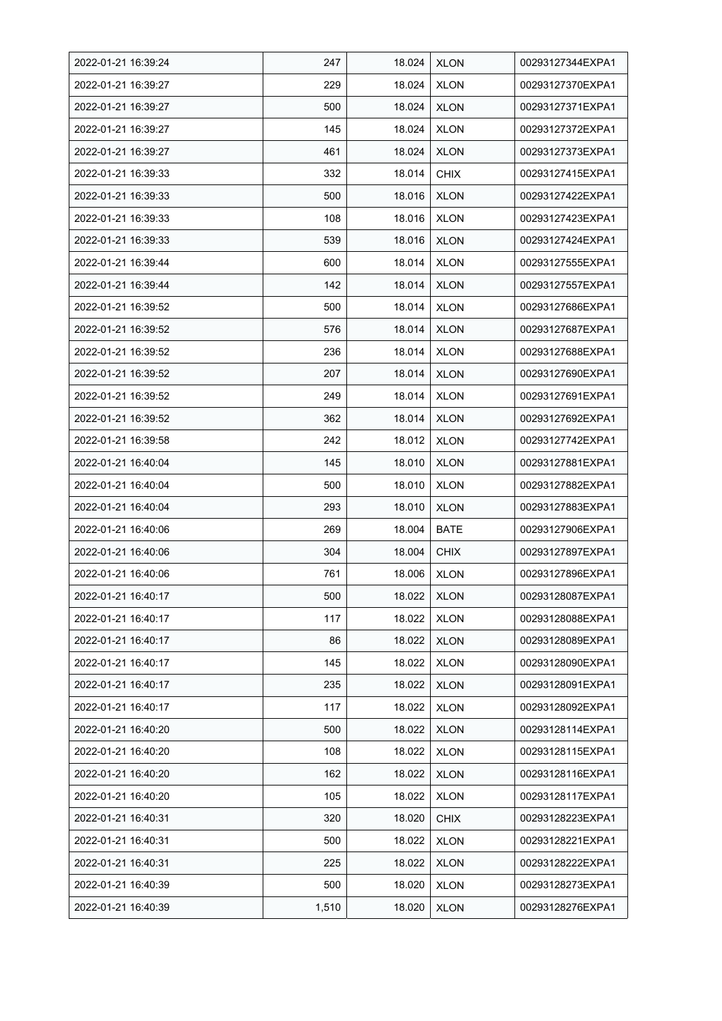| 2022-01-21 16:39:24 | 247   | 18.024 | <b>XLON</b> | 00293127344EXPA1 |
|---------------------|-------|--------|-------------|------------------|
| 2022-01-21 16:39:27 | 229   | 18.024 | <b>XLON</b> | 00293127370EXPA1 |
| 2022-01-21 16:39:27 | 500   | 18.024 | <b>XLON</b> | 00293127371EXPA1 |
| 2022-01-21 16:39:27 | 145   | 18.024 | <b>XLON</b> | 00293127372EXPA1 |
| 2022-01-21 16:39:27 | 461   | 18.024 | <b>XLON</b> | 00293127373EXPA1 |
| 2022-01-21 16:39:33 | 332   | 18.014 | <b>CHIX</b> | 00293127415EXPA1 |
| 2022-01-21 16:39:33 | 500   | 18.016 | <b>XLON</b> | 00293127422EXPA1 |
| 2022-01-21 16:39:33 | 108   | 18.016 | <b>XLON</b> | 00293127423EXPA1 |
| 2022-01-21 16:39:33 | 539   | 18.016 | <b>XLON</b> | 00293127424EXPA1 |
| 2022-01-21 16:39:44 | 600   | 18.014 | <b>XLON</b> | 00293127555EXPA1 |
| 2022-01-21 16:39:44 | 142   | 18.014 | <b>XLON</b> | 00293127557EXPA1 |
| 2022-01-21 16:39:52 | 500   | 18.014 | <b>XLON</b> | 00293127686EXPA1 |
| 2022-01-21 16:39:52 | 576   | 18.014 | <b>XLON</b> | 00293127687EXPA1 |
| 2022-01-21 16:39:52 | 236   | 18.014 | <b>XLON</b> | 00293127688EXPA1 |
| 2022-01-21 16:39:52 | 207   | 18.014 | <b>XLON</b> | 00293127690EXPA1 |
| 2022-01-21 16:39:52 | 249   | 18.014 | <b>XLON</b> | 00293127691EXPA1 |
| 2022-01-21 16:39:52 | 362   | 18.014 | <b>XLON</b> | 00293127692EXPA1 |
| 2022-01-21 16:39:58 | 242   | 18.012 | XLON        | 00293127742EXPA1 |
| 2022-01-21 16:40:04 | 145   | 18.010 | <b>XLON</b> | 00293127881EXPA1 |
| 2022-01-21 16:40:04 | 500   | 18.010 | <b>XLON</b> | 00293127882EXPA1 |
| 2022-01-21 16:40:04 | 293   | 18.010 | <b>XLON</b> | 00293127883EXPA1 |
| 2022-01-21 16:40:06 | 269   | 18.004 | <b>BATE</b> | 00293127906EXPA1 |
| 2022-01-21 16:40:06 | 304   | 18.004 | <b>CHIX</b> | 00293127897EXPA1 |
| 2022-01-21 16:40:06 | 761   | 18.006 | <b>XLON</b> | 00293127896EXPA1 |
| 2022-01-21 16:40:17 | 500   | 18.022 | <b>XLON</b> | 00293128087EXPA1 |
| 2022-01-21 16:40:17 | 117   | 18.022 | <b>XLON</b> | 00293128088EXPA1 |
| 2022-01-21 16:40:17 | 86    | 18.022 | <b>XLON</b> | 00293128089EXPA1 |
| 2022-01-21 16:40:17 | 145   | 18.022 | <b>XLON</b> | 00293128090EXPA1 |
| 2022-01-21 16:40:17 | 235   | 18.022 | <b>XLON</b> | 00293128091EXPA1 |
| 2022-01-21 16:40:17 | 117   | 18.022 | <b>XLON</b> | 00293128092EXPA1 |
| 2022-01-21 16:40:20 | 500   | 18.022 | <b>XLON</b> | 00293128114EXPA1 |
| 2022-01-21 16:40:20 | 108   | 18.022 | <b>XLON</b> | 00293128115EXPA1 |
| 2022-01-21 16:40:20 | 162   | 18.022 | <b>XLON</b> | 00293128116EXPA1 |
| 2022-01-21 16:40:20 | 105   | 18.022 | <b>XLON</b> | 00293128117EXPA1 |
| 2022-01-21 16:40:31 | 320   | 18.020 | <b>CHIX</b> | 00293128223EXPA1 |
| 2022-01-21 16:40:31 | 500   | 18.022 | <b>XLON</b> | 00293128221EXPA1 |
| 2022-01-21 16:40:31 | 225   | 18.022 | <b>XLON</b> | 00293128222EXPA1 |
| 2022-01-21 16:40:39 | 500   | 18.020 | <b>XLON</b> | 00293128273EXPA1 |
| 2022-01-21 16:40:39 | 1,510 | 18.020 | <b>XLON</b> | 00293128276EXPA1 |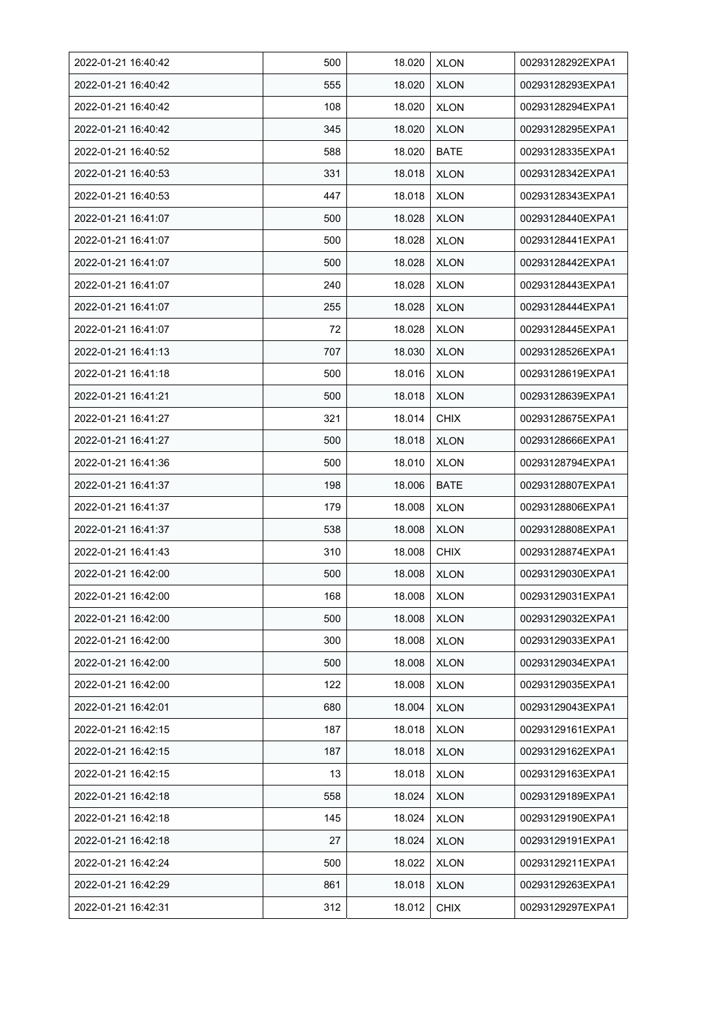| 2022-01-21 16:40:42 | 500 | 18.020 | <b>XLON</b> | 00293128292EXPA1 |
|---------------------|-----|--------|-------------|------------------|
| 2022-01-21 16:40:42 | 555 | 18.020 | <b>XLON</b> | 00293128293EXPA1 |
| 2022-01-21 16:40:42 | 108 | 18.020 | <b>XLON</b> | 00293128294EXPA1 |
| 2022-01-21 16:40:42 | 345 | 18.020 | <b>XLON</b> | 00293128295EXPA1 |
| 2022-01-21 16:40:52 | 588 | 18.020 | <b>BATE</b> | 00293128335EXPA1 |
| 2022-01-21 16:40:53 | 331 | 18.018 | <b>XLON</b> | 00293128342EXPA1 |
| 2022-01-21 16:40:53 | 447 | 18.018 | <b>XLON</b> | 00293128343EXPA1 |
| 2022-01-21 16:41:07 | 500 | 18.028 | <b>XLON</b> | 00293128440EXPA1 |
| 2022-01-21 16:41:07 | 500 | 18.028 | <b>XLON</b> | 00293128441EXPA1 |
| 2022-01-21 16:41:07 | 500 | 18.028 | <b>XLON</b> | 00293128442EXPA1 |
| 2022-01-21 16:41:07 | 240 | 18.028 | <b>XLON</b> | 00293128443EXPA1 |
| 2022-01-21 16:41:07 | 255 | 18.028 | <b>XLON</b> | 00293128444EXPA1 |
| 2022-01-21 16:41:07 | 72  | 18.028 | <b>XLON</b> | 00293128445EXPA1 |
| 2022-01-21 16:41:13 | 707 | 18.030 | <b>XLON</b> | 00293128526EXPA1 |
| 2022-01-21 16:41:18 | 500 | 18.016 | <b>XLON</b> | 00293128619EXPA1 |
| 2022-01-21 16:41:21 | 500 | 18.018 | <b>XLON</b> | 00293128639EXPA1 |
| 2022-01-21 16:41:27 | 321 | 18.014 | <b>CHIX</b> | 00293128675EXPA1 |
| 2022-01-21 16:41:27 | 500 | 18.018 | <b>XLON</b> | 00293128666EXPA1 |
| 2022-01-21 16:41:36 | 500 | 18.010 | <b>XLON</b> | 00293128794EXPA1 |
| 2022-01-21 16:41:37 | 198 | 18.006 | <b>BATE</b> | 00293128807EXPA1 |
| 2022-01-21 16:41:37 | 179 | 18.008 | <b>XLON</b> | 00293128806EXPA1 |
| 2022-01-21 16:41:37 | 538 | 18.008 | <b>XLON</b> | 00293128808EXPA1 |
| 2022-01-21 16:41:43 | 310 | 18.008 | <b>CHIX</b> | 00293128874EXPA1 |
| 2022-01-21 16:42:00 | 500 | 18.008 | <b>XLON</b> | 00293129030EXPA1 |
| 2022-01-21 16:42:00 | 168 | 18.008 | <b>XLON</b> | 00293129031EXPA1 |
| 2022-01-21 16:42:00 | 500 | 18.008 | <b>XLON</b> | 00293129032EXPA1 |
| 2022-01-21 16:42:00 | 300 | 18.008 | <b>XLON</b> | 00293129033EXPA1 |
| 2022-01-21 16:42:00 | 500 | 18.008 | <b>XLON</b> | 00293129034EXPA1 |
| 2022-01-21 16:42:00 | 122 | 18.008 | <b>XLON</b> | 00293129035EXPA1 |
| 2022-01-21 16:42:01 | 680 | 18.004 | <b>XLON</b> | 00293129043EXPA1 |
| 2022-01-21 16:42:15 | 187 | 18.018 | <b>XLON</b> | 00293129161EXPA1 |
| 2022-01-21 16:42:15 | 187 | 18.018 | <b>XLON</b> | 00293129162EXPA1 |
| 2022-01-21 16:42:15 | 13  | 18.018 | <b>XLON</b> | 00293129163EXPA1 |
| 2022-01-21 16:42:18 | 558 | 18.024 | <b>XLON</b> | 00293129189EXPA1 |
| 2022-01-21 16:42:18 | 145 | 18.024 | <b>XLON</b> | 00293129190EXPA1 |
| 2022-01-21 16:42:18 | 27  | 18.024 | <b>XLON</b> | 00293129191EXPA1 |
| 2022-01-21 16:42:24 | 500 | 18.022 | <b>XLON</b> | 00293129211EXPA1 |
| 2022-01-21 16:42:29 | 861 | 18.018 | <b>XLON</b> | 00293129263EXPA1 |
| 2022-01-21 16:42:31 | 312 | 18.012 | <b>CHIX</b> | 00293129297EXPA1 |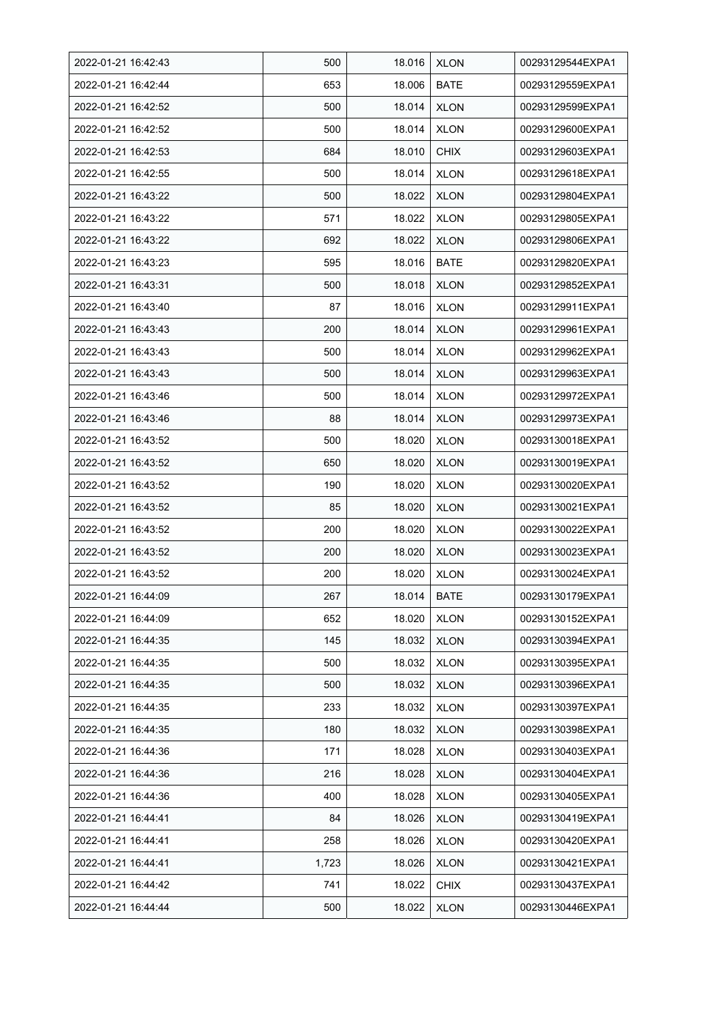| 2022-01-21 16:42:43 | 500   | 18.016 | <b>XLON</b> | 00293129544EXPA1 |
|---------------------|-------|--------|-------------|------------------|
| 2022-01-21 16:42:44 | 653   | 18.006 | <b>BATE</b> | 00293129559EXPA1 |
| 2022-01-21 16:42:52 | 500   | 18.014 | <b>XLON</b> | 00293129599EXPA1 |
| 2022-01-21 16:42:52 | 500   | 18.014 | <b>XLON</b> | 00293129600EXPA1 |
| 2022-01-21 16:42:53 | 684   | 18.010 | <b>CHIX</b> | 00293129603EXPA1 |
| 2022-01-21 16:42:55 | 500   | 18.014 | <b>XLON</b> | 00293129618EXPA1 |
| 2022-01-21 16:43:22 | 500   | 18.022 | <b>XLON</b> | 00293129804EXPA1 |
| 2022-01-21 16:43:22 | 571   | 18.022 | <b>XLON</b> | 00293129805EXPA1 |
| 2022-01-21 16:43:22 | 692   | 18.022 | <b>XLON</b> | 00293129806EXPA1 |
| 2022-01-21 16:43:23 | 595   | 18.016 | BATE        | 00293129820EXPA1 |
| 2022-01-21 16:43:31 | 500   | 18.018 | <b>XLON</b> | 00293129852EXPA1 |
| 2022-01-21 16:43:40 | 87    | 18.016 | <b>XLON</b> | 00293129911EXPA1 |
| 2022-01-21 16:43:43 | 200   | 18.014 | <b>XLON</b> | 00293129961EXPA1 |
| 2022-01-21 16:43:43 | 500   | 18.014 | <b>XLON</b> | 00293129962EXPA1 |
| 2022-01-21 16:43:43 | 500   | 18.014 | <b>XLON</b> | 00293129963EXPA1 |
| 2022-01-21 16:43:46 | 500   | 18.014 | <b>XLON</b> | 00293129972EXPA1 |
| 2022-01-21 16:43:46 | 88    | 18.014 | <b>XLON</b> | 00293129973EXPA1 |
| 2022-01-21 16:43:52 | 500   | 18.020 | <b>XLON</b> | 00293130018EXPA1 |
| 2022-01-21 16:43:52 | 650   | 18.020 | <b>XLON</b> | 00293130019EXPA1 |
| 2022-01-21 16:43:52 | 190   | 18.020 | <b>XLON</b> | 00293130020EXPA1 |
| 2022-01-21 16:43:52 | 85    | 18.020 | <b>XLON</b> | 00293130021EXPA1 |
| 2022-01-21 16:43:52 | 200   | 18.020 | <b>XLON</b> | 00293130022EXPA1 |
| 2022-01-21 16:43:52 | 200   | 18.020 | <b>XLON</b> | 00293130023EXPA1 |
| 2022-01-21 16:43:52 | 200   | 18.020 | <b>XLON</b> | 00293130024EXPA1 |
| 2022-01-21 16:44:09 | 267   | 18.014 | <b>BATE</b> | 00293130179EXPA1 |
| 2022-01-21 16:44:09 | 652   | 18.020 | <b>XLON</b> | 00293130152EXPA1 |
| 2022-01-21 16:44:35 | 145   | 18.032 | <b>XLON</b> | 00293130394EXPA1 |
| 2022-01-21 16:44:35 | 500   | 18.032 | <b>XLON</b> | 00293130395EXPA1 |
| 2022-01-21 16:44:35 | 500   | 18.032 | <b>XLON</b> | 00293130396EXPA1 |
| 2022-01-21 16:44:35 | 233   | 18.032 | <b>XLON</b> | 00293130397EXPA1 |
| 2022-01-21 16:44:35 | 180   | 18.032 | <b>XLON</b> | 00293130398EXPA1 |
| 2022-01-21 16:44:36 | 171   | 18.028 | <b>XLON</b> | 00293130403EXPA1 |
| 2022-01-21 16:44:36 | 216   | 18.028 | <b>XLON</b> | 00293130404EXPA1 |
| 2022-01-21 16:44:36 | 400   | 18.028 | <b>XLON</b> | 00293130405EXPA1 |
| 2022-01-21 16:44:41 | 84    | 18.026 | <b>XLON</b> | 00293130419EXPA1 |
| 2022-01-21 16:44:41 | 258   | 18.026 | <b>XLON</b> | 00293130420EXPA1 |
| 2022-01-21 16:44:41 | 1,723 | 18.026 | <b>XLON</b> | 00293130421EXPA1 |
| 2022-01-21 16:44:42 | 741   | 18.022 | <b>CHIX</b> | 00293130437EXPA1 |
| 2022-01-21 16:44:44 | 500   | 18.022 | <b>XLON</b> | 00293130446EXPA1 |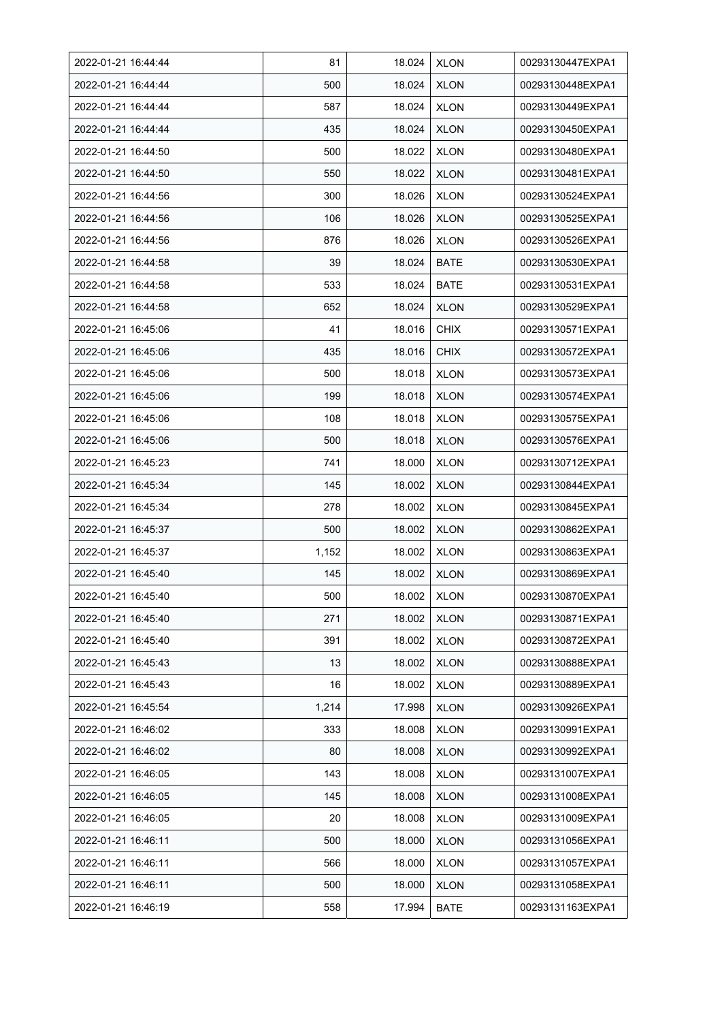| 2022-01-21 16:44:44 | 81    | 18.024 | <b>XLON</b> | 00293130447EXPA1 |
|---------------------|-------|--------|-------------|------------------|
| 2022-01-21 16:44:44 | 500   | 18.024 | <b>XLON</b> | 00293130448EXPA1 |
| 2022-01-21 16:44:44 | 587   | 18.024 | <b>XLON</b> | 00293130449EXPA1 |
| 2022-01-21 16:44:44 | 435   | 18.024 | <b>XLON</b> | 00293130450EXPA1 |
| 2022-01-21 16:44:50 | 500   | 18.022 | <b>XLON</b> | 00293130480EXPA1 |
| 2022-01-21 16:44:50 | 550   | 18.022 | <b>XLON</b> | 00293130481EXPA1 |
| 2022-01-21 16:44:56 | 300   | 18.026 | <b>XLON</b> | 00293130524EXPA1 |
| 2022-01-21 16:44:56 | 106   | 18.026 | <b>XLON</b> | 00293130525EXPA1 |
| 2022-01-21 16:44:56 | 876   | 18.026 | <b>XLON</b> | 00293130526EXPA1 |
| 2022-01-21 16:44:58 | 39    | 18.024 | <b>BATE</b> | 00293130530EXPA1 |
| 2022-01-21 16:44:58 | 533   | 18.024 | <b>BATE</b> | 00293130531EXPA1 |
| 2022-01-21 16:44:58 | 652   | 18.024 | <b>XLON</b> | 00293130529EXPA1 |
| 2022-01-21 16:45:06 | 41    | 18.016 | <b>CHIX</b> | 00293130571EXPA1 |
| 2022-01-21 16:45:06 | 435   | 18.016 | <b>CHIX</b> | 00293130572EXPA1 |
| 2022-01-21 16:45:06 | 500   | 18.018 | <b>XLON</b> | 00293130573EXPA1 |
| 2022-01-21 16:45:06 | 199   | 18.018 | <b>XLON</b> | 00293130574EXPA1 |
| 2022-01-21 16:45:06 | 108   | 18.018 | <b>XLON</b> | 00293130575EXPA1 |
| 2022-01-21 16:45:06 | 500   | 18.018 | XLON        | 00293130576EXPA1 |
| 2022-01-21 16:45:23 | 741   | 18.000 | <b>XLON</b> | 00293130712EXPA1 |
| 2022-01-21 16:45:34 | 145   | 18.002 | <b>XLON</b> | 00293130844EXPA1 |
| 2022-01-21 16:45:34 | 278   | 18.002 | <b>XLON</b> | 00293130845EXPA1 |
| 2022-01-21 16:45:37 | 500   | 18.002 | <b>XLON</b> | 00293130862EXPA1 |
| 2022-01-21 16:45:37 | 1,152 | 18.002 | <b>XLON</b> | 00293130863EXPA1 |
| 2022-01-21 16:45:40 | 145   | 18.002 | <b>XLON</b> | 00293130869EXPA1 |
| 2022-01-21 16:45:40 | 500   | 18.002 | <b>XLON</b> | 00293130870EXPA1 |
| 2022-01-21 16:45:40 | 271   | 18.002 | <b>XLON</b> | 00293130871EXPA1 |
| 2022-01-21 16:45:40 | 391   | 18.002 | <b>XLON</b> | 00293130872EXPA1 |
| 2022-01-21 16:45:43 | 13    | 18.002 | <b>XLON</b> | 00293130888EXPA1 |
| 2022-01-21 16:45:43 | 16    | 18.002 | <b>XLON</b> | 00293130889EXPA1 |
| 2022-01-21 16:45:54 | 1,214 | 17.998 | <b>XLON</b> | 00293130926EXPA1 |
| 2022-01-21 16:46:02 | 333   | 18.008 | <b>XLON</b> | 00293130991EXPA1 |
| 2022-01-21 16:46:02 | 80    | 18.008 | <b>XLON</b> | 00293130992EXPA1 |
| 2022-01-21 16:46:05 | 143   | 18.008 | <b>XLON</b> | 00293131007EXPA1 |
| 2022-01-21 16:46:05 | 145   | 18.008 | <b>XLON</b> | 00293131008EXPA1 |
| 2022-01-21 16:46:05 | 20    | 18.008 | <b>XLON</b> | 00293131009EXPA1 |
| 2022-01-21 16:46:11 | 500   | 18.000 | <b>XLON</b> | 00293131056EXPA1 |
| 2022-01-21 16:46:11 | 566   | 18.000 | <b>XLON</b> | 00293131057EXPA1 |
| 2022-01-21 16:46:11 | 500   | 18.000 | <b>XLON</b> | 00293131058EXPA1 |
| 2022-01-21 16:46:19 | 558   | 17.994 | <b>BATE</b> | 00293131163EXPA1 |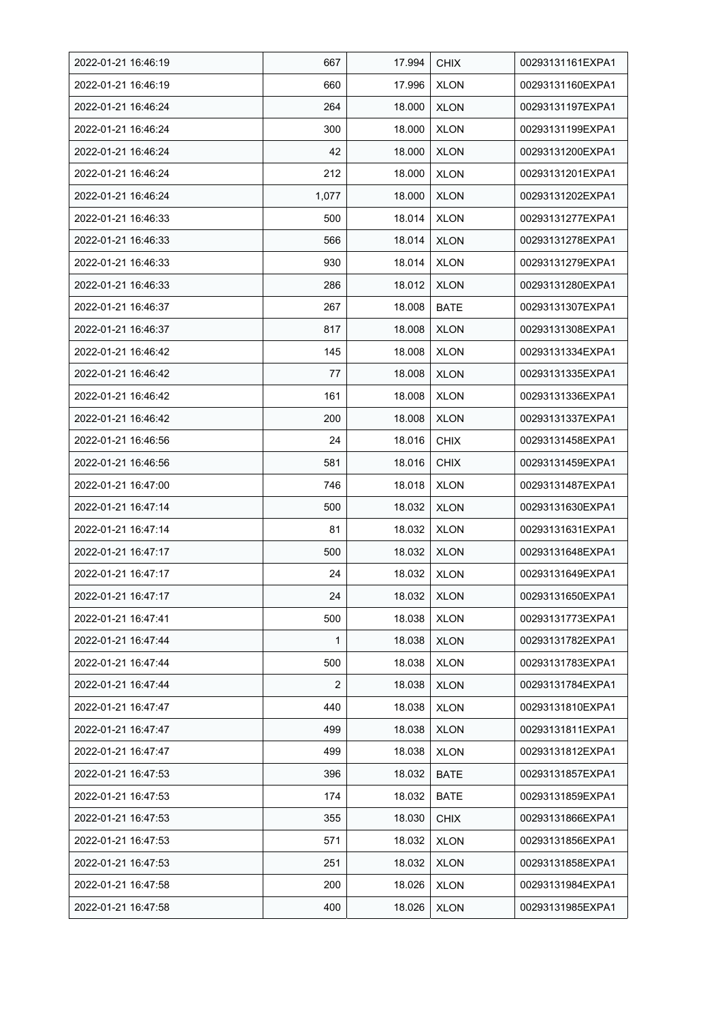| 2022-01-21 16:46:19 | 667            | 17.994 | <b>CHIX</b> | 00293131161EXPA1 |
|---------------------|----------------|--------|-------------|------------------|
| 2022-01-21 16:46:19 | 660            | 17.996 | <b>XLON</b> | 00293131160EXPA1 |
| 2022-01-21 16:46:24 | 264            | 18.000 | <b>XLON</b> | 00293131197EXPA1 |
| 2022-01-21 16:46:24 | 300            | 18.000 | <b>XLON</b> | 00293131199EXPA1 |
| 2022-01-21 16:46:24 | 42             | 18.000 | <b>XLON</b> | 00293131200EXPA1 |
| 2022-01-21 16:46:24 | 212            | 18.000 | <b>XLON</b> | 00293131201EXPA1 |
| 2022-01-21 16:46:24 | 1,077          | 18.000 | <b>XLON</b> | 00293131202EXPA1 |
| 2022-01-21 16:46:33 | 500            | 18.014 | <b>XLON</b> | 00293131277EXPA1 |
| 2022-01-21 16:46:33 | 566            | 18.014 | <b>XLON</b> | 00293131278EXPA1 |
| 2022-01-21 16:46:33 | 930            | 18.014 | <b>XLON</b> | 00293131279EXPA1 |
| 2022-01-21 16:46:33 | 286            | 18.012 | <b>XLON</b> | 00293131280EXPA1 |
| 2022-01-21 16:46:37 | 267            | 18.008 | <b>BATE</b> | 00293131307EXPA1 |
| 2022-01-21 16:46:37 | 817            | 18.008 | <b>XLON</b> | 00293131308EXPA1 |
| 2022-01-21 16:46:42 | 145            | 18.008 | <b>XLON</b> | 00293131334EXPA1 |
| 2022-01-21 16:46:42 | 77             | 18.008 | <b>XLON</b> | 00293131335EXPA1 |
| 2022-01-21 16:46:42 | 161            | 18.008 | <b>XLON</b> | 00293131336EXPA1 |
| 2022-01-21 16:46:42 | 200            | 18.008 | <b>XLON</b> | 00293131337EXPA1 |
| 2022-01-21 16:46:56 | 24             | 18.016 | <b>CHIX</b> | 00293131458EXPA1 |
| 2022-01-21 16:46:56 | 581            | 18.016 | <b>CHIX</b> | 00293131459EXPA1 |
| 2022-01-21 16:47:00 | 746            | 18.018 | <b>XLON</b> | 00293131487EXPA1 |
| 2022-01-21 16:47:14 | 500            | 18.032 | <b>XLON</b> | 00293131630EXPA1 |
| 2022-01-21 16:47:14 | 81             | 18.032 | <b>XLON</b> | 00293131631EXPA1 |
| 2022-01-21 16:47:17 | 500            | 18.032 | <b>XLON</b> | 00293131648EXPA1 |
| 2022-01-21 16:47:17 | 24             | 18.032 | <b>XLON</b> | 00293131649EXPA1 |
| 2022-01-21 16:47:17 | 24             | 18.032 | <b>XLON</b> | 00293131650EXPA1 |
| 2022-01-21 16:47:41 | 500            | 18.038 | <b>XLON</b> | 00293131773EXPA1 |
| 2022-01-21 16:47:44 | 1              | 18.038 | <b>XLON</b> | 00293131782EXPA1 |
| 2022-01-21 16:47:44 | 500            | 18.038 | <b>XLON</b> | 00293131783EXPA1 |
| 2022-01-21 16:47:44 | $\overline{2}$ | 18.038 | <b>XLON</b> | 00293131784EXPA1 |
| 2022-01-21 16:47:47 | 440            | 18.038 | <b>XLON</b> | 00293131810EXPA1 |
| 2022-01-21 16:47:47 | 499            | 18.038 | <b>XLON</b> | 00293131811EXPA1 |
| 2022-01-21 16:47:47 | 499            | 18.038 | <b>XLON</b> | 00293131812EXPA1 |
| 2022-01-21 16:47:53 | 396            | 18.032 | <b>BATE</b> | 00293131857EXPA1 |
| 2022-01-21 16:47:53 | 174            | 18.032 | <b>BATE</b> | 00293131859EXPA1 |
| 2022-01-21 16:47:53 | 355            | 18.030 | <b>CHIX</b> | 00293131866EXPA1 |
| 2022-01-21 16:47:53 | 571            | 18.032 | <b>XLON</b> | 00293131856EXPA1 |
| 2022-01-21 16:47:53 | 251            | 18.032 | <b>XLON</b> | 00293131858EXPA1 |
| 2022-01-21 16:47:58 | 200            | 18.026 | <b>XLON</b> | 00293131984EXPA1 |
| 2022-01-21 16:47:58 | 400            | 18.026 | <b>XLON</b> | 00293131985EXPA1 |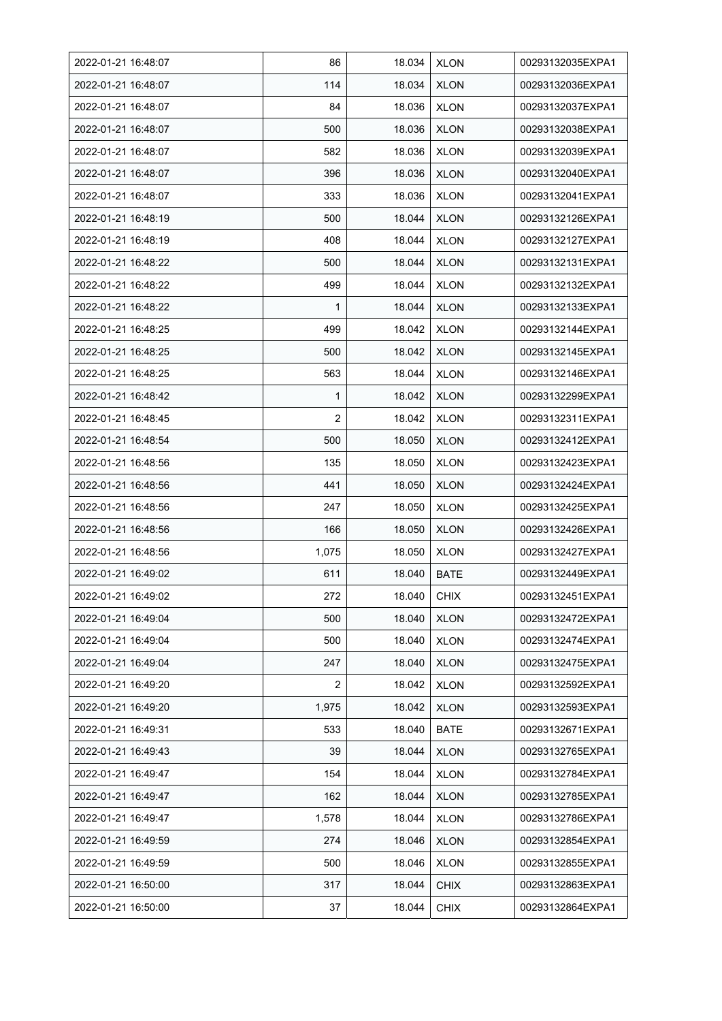| 2022-01-21 16:48:07 | 86             | 18.034 | <b>XLON</b> | 00293132035EXPA1 |
|---------------------|----------------|--------|-------------|------------------|
| 2022-01-21 16:48:07 | 114            | 18.034 | <b>XLON</b> | 00293132036EXPA1 |
| 2022-01-21 16:48:07 | 84             | 18.036 | <b>XLON</b> | 00293132037EXPA1 |
| 2022-01-21 16:48:07 | 500            | 18.036 | <b>XLON</b> | 00293132038EXPA1 |
| 2022-01-21 16:48:07 | 582            | 18.036 | <b>XLON</b> | 00293132039EXPA1 |
| 2022-01-21 16:48:07 | 396            | 18.036 | <b>XLON</b> | 00293132040EXPA1 |
| 2022-01-21 16:48:07 | 333            | 18.036 | <b>XLON</b> | 00293132041EXPA1 |
| 2022-01-21 16:48:19 | 500            | 18.044 | <b>XLON</b> | 00293132126EXPA1 |
| 2022-01-21 16:48:19 | 408            | 18.044 | <b>XLON</b> | 00293132127EXPA1 |
| 2022-01-21 16:48:22 | 500            | 18.044 | <b>XLON</b> | 00293132131EXPA1 |
| 2022-01-21 16:48:22 | 499            | 18.044 | <b>XLON</b> | 00293132132EXPA1 |
| 2022-01-21 16:48:22 | 1              | 18.044 | <b>XLON</b> | 00293132133EXPA1 |
| 2022-01-21 16:48:25 | 499            | 18.042 | <b>XLON</b> | 00293132144EXPA1 |
| 2022-01-21 16:48:25 | 500            | 18.042 | <b>XLON</b> | 00293132145EXPA1 |
| 2022-01-21 16:48:25 | 563            | 18.044 | <b>XLON</b> | 00293132146EXPA1 |
| 2022-01-21 16:48:42 | 1              | 18.042 | <b>XLON</b> | 00293132299EXPA1 |
| 2022-01-21 16:48:45 | 2              | 18.042 | XLON        | 00293132311EXPA1 |
| 2022-01-21 16:48:54 | 500            | 18.050 | <b>XLON</b> | 00293132412EXPA1 |
| 2022-01-21 16:48:56 | 135            | 18.050 | <b>XLON</b> | 00293132423EXPA1 |
| 2022-01-21 16:48:56 | 441            | 18.050 | <b>XLON</b> | 00293132424EXPA1 |
| 2022-01-21 16:48:56 | 247            | 18.050 | <b>XLON</b> | 00293132425EXPA1 |
| 2022-01-21 16:48:56 | 166            | 18.050 | <b>XLON</b> | 00293132426EXPA1 |
| 2022-01-21 16:48:56 | 1,075          | 18.050 | <b>XLON</b> | 00293132427EXPA1 |
| 2022-01-21 16:49:02 | 611            | 18.040 | <b>BATE</b> | 00293132449EXPA1 |
| 2022-01-21 16:49:02 | 272            | 18.040 | <b>CHIX</b> | 00293132451EXPA1 |
| 2022-01-21 16:49:04 | 500            | 18.040 | <b>XLON</b> | 00293132472EXPA1 |
| 2022-01-21 16:49:04 | 500            | 18.040 | <b>XLON</b> | 00293132474EXPA1 |
| 2022-01-21 16:49:04 | 247            | 18.040 | <b>XLON</b> | 00293132475EXPA1 |
| 2022-01-21 16:49:20 | $\overline{2}$ | 18.042 | <b>XLON</b> | 00293132592EXPA1 |
| 2022-01-21 16:49:20 | 1,975          | 18.042 | <b>XLON</b> | 00293132593EXPA1 |
| 2022-01-21 16:49:31 | 533            | 18.040 | <b>BATE</b> | 00293132671EXPA1 |
| 2022-01-21 16:49:43 | 39             | 18.044 | <b>XLON</b> | 00293132765EXPA1 |
| 2022-01-21 16:49:47 | 154            | 18.044 | <b>XLON</b> | 00293132784EXPA1 |
| 2022-01-21 16:49:47 | 162            | 18.044 | <b>XLON</b> | 00293132785EXPA1 |
| 2022-01-21 16:49:47 | 1,578          | 18.044 | <b>XLON</b> | 00293132786EXPA1 |
| 2022-01-21 16:49:59 | 274            | 18.046 | XLON        | 00293132854EXPA1 |
| 2022-01-21 16:49:59 | 500            | 18.046 | <b>XLON</b> | 00293132855EXPA1 |
| 2022-01-21 16:50:00 | 317            | 18.044 | <b>CHIX</b> | 00293132863EXPA1 |
| 2022-01-21 16:50:00 | 37             | 18.044 | <b>CHIX</b> | 00293132864EXPA1 |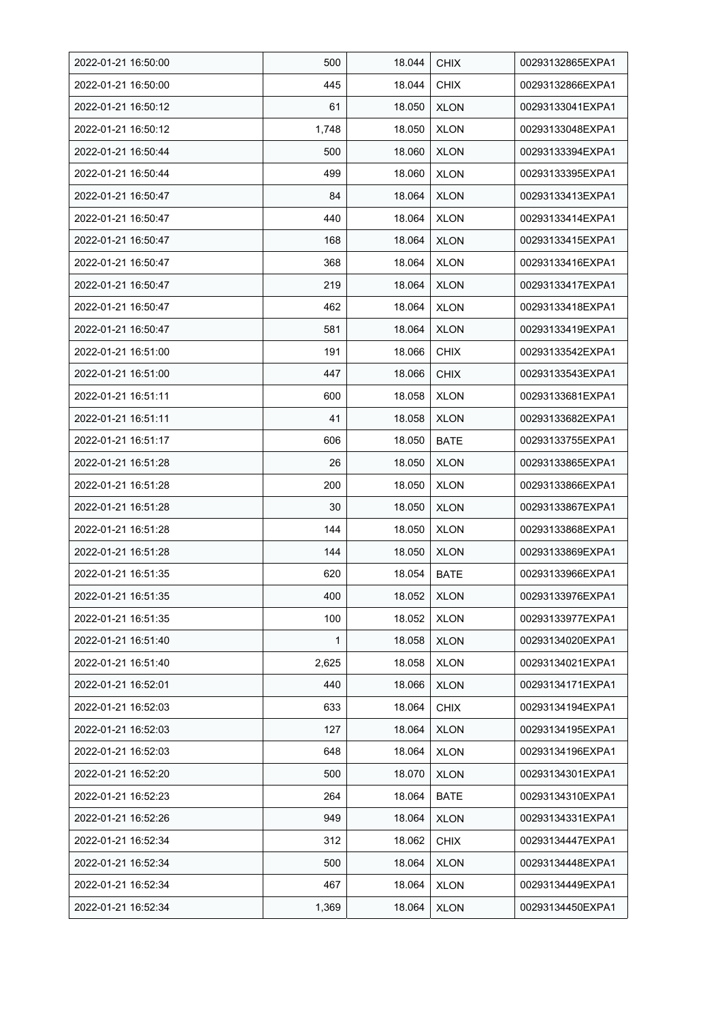| 2022-01-21 16:50:00 | 500          | 18.044 | <b>CHIX</b> | 00293132865EXPA1 |
|---------------------|--------------|--------|-------------|------------------|
| 2022-01-21 16:50:00 | 445          | 18.044 | <b>CHIX</b> | 00293132866EXPA1 |
| 2022-01-21 16:50:12 | 61           | 18.050 | <b>XLON</b> | 00293133041EXPA1 |
| 2022-01-21 16:50:12 | 1,748        | 18.050 | <b>XLON</b> | 00293133048EXPA1 |
| 2022-01-21 16:50:44 | 500          | 18.060 | <b>XLON</b> | 00293133394EXPA1 |
| 2022-01-21 16:50:44 | 499          | 18.060 | <b>XLON</b> | 00293133395EXPA1 |
| 2022-01-21 16:50:47 | 84           | 18.064 | <b>XLON</b> | 00293133413EXPA1 |
| 2022-01-21 16:50:47 | 440          | 18.064 | <b>XLON</b> | 00293133414EXPA1 |
| 2022-01-21 16:50:47 | 168          | 18.064 | <b>XLON</b> | 00293133415EXPA1 |
| 2022-01-21 16:50:47 | 368          | 18.064 | <b>XLON</b> | 00293133416EXPA1 |
| 2022-01-21 16:50:47 | 219          | 18.064 | <b>XLON</b> | 00293133417EXPA1 |
| 2022-01-21 16:50:47 | 462          | 18.064 | <b>XLON</b> | 00293133418EXPA1 |
| 2022-01-21 16:50:47 | 581          | 18.064 | <b>XLON</b> | 00293133419EXPA1 |
| 2022-01-21 16:51:00 | 191          | 18.066 | <b>CHIX</b> | 00293133542EXPA1 |
| 2022-01-21 16:51:00 | 447          | 18.066 | <b>CHIX</b> | 00293133543EXPA1 |
| 2022-01-21 16:51:11 | 600          | 18.058 | <b>XLON</b> | 00293133681EXPA1 |
| 2022-01-21 16:51:11 | 41           | 18.058 | <b>XLON</b> | 00293133682EXPA1 |
| 2022-01-21 16:51:17 | 606          | 18.050 | BATE        | 00293133755EXPA1 |
| 2022-01-21 16:51:28 | 26           | 18.050 | <b>XLON</b> | 00293133865EXPA1 |
| 2022-01-21 16:51:28 | 200          | 18.050 | <b>XLON</b> | 00293133866EXPA1 |
| 2022-01-21 16:51:28 | 30           | 18.050 | <b>XLON</b> | 00293133867EXPA1 |
| 2022-01-21 16:51:28 | 144          | 18.050 | <b>XLON</b> | 00293133868EXPA1 |
| 2022-01-21 16:51:28 | 144          | 18.050 | <b>XLON</b> | 00293133869EXPA1 |
| 2022-01-21 16:51:35 | 620          | 18.054 | <b>BATE</b> | 00293133966EXPA1 |
| 2022-01-21 16:51:35 | 400          | 18.052 | <b>XLON</b> | 00293133976EXPA1 |
| 2022-01-21 16:51:35 | 100          | 18.052 | <b>XLON</b> | 00293133977EXPA1 |
| 2022-01-21 16:51:40 | $\mathbf{1}$ | 18.058 | <b>XLON</b> | 00293134020EXPA1 |
| 2022-01-21 16:51:40 | 2,625        | 18.058 | <b>XLON</b> | 00293134021EXPA1 |
| 2022-01-21 16:52:01 | 440          | 18.066 | <b>XLON</b> | 00293134171EXPA1 |
| 2022-01-21 16:52:03 | 633          | 18.064 | <b>CHIX</b> | 00293134194EXPA1 |
| 2022-01-21 16:52:03 | 127          | 18.064 | <b>XLON</b> | 00293134195EXPA1 |
| 2022-01-21 16:52:03 | 648          | 18.064 | <b>XLON</b> | 00293134196EXPA1 |
| 2022-01-21 16:52:20 | 500          | 18.070 | <b>XLON</b> | 00293134301EXPA1 |
| 2022-01-21 16:52:23 | 264          | 18.064 | <b>BATE</b> | 00293134310EXPA1 |
| 2022-01-21 16:52:26 | 949          | 18.064 | <b>XLON</b> | 00293134331EXPA1 |
| 2022-01-21 16:52:34 | 312          | 18.062 | <b>CHIX</b> | 00293134447EXPA1 |
| 2022-01-21 16:52:34 | 500          | 18.064 | <b>XLON</b> | 00293134448EXPA1 |
| 2022-01-21 16:52:34 | 467          | 18.064 | <b>XLON</b> | 00293134449EXPA1 |
| 2022-01-21 16:52:34 | 1,369        | 18.064 | <b>XLON</b> | 00293134450EXPA1 |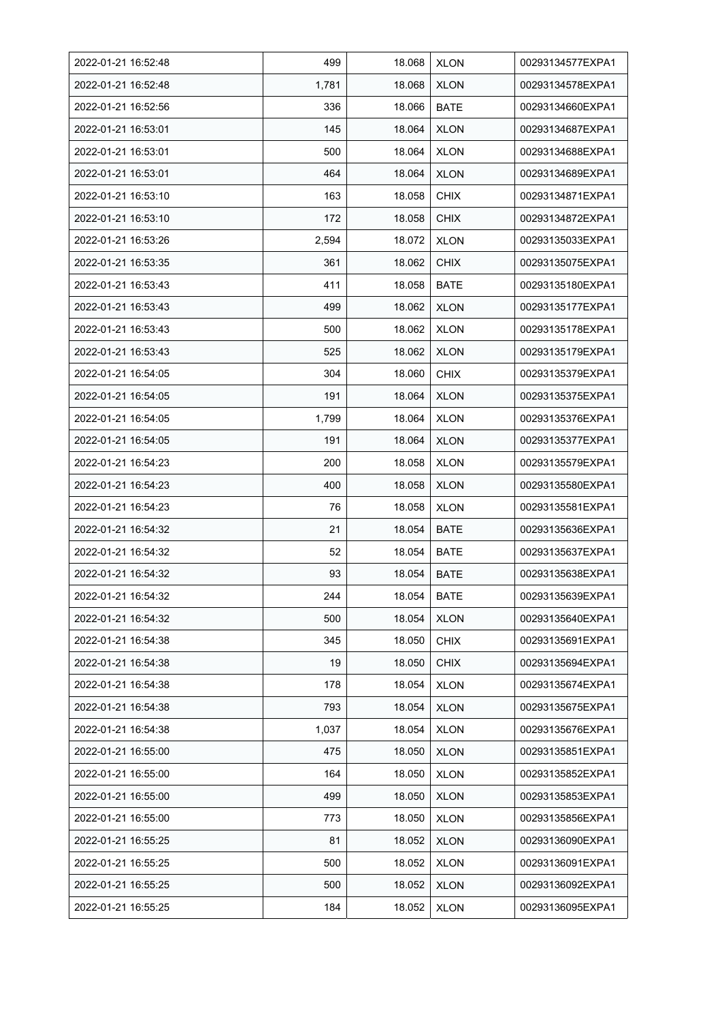| 2022-01-21 16:52:48 | 499   | 18.068 | <b>XLON</b> | 00293134577EXPA1 |
|---------------------|-------|--------|-------------|------------------|
| 2022-01-21 16:52:48 | 1,781 | 18.068 | <b>XLON</b> | 00293134578EXPA1 |
| 2022-01-21 16:52:56 | 336   | 18.066 | <b>BATE</b> | 00293134660EXPA1 |
| 2022-01-21 16:53:01 | 145   | 18.064 | <b>XLON</b> | 00293134687EXPA1 |
| 2022-01-21 16:53:01 | 500   | 18.064 | <b>XLON</b> | 00293134688EXPA1 |
| 2022-01-21 16:53:01 | 464   | 18.064 | <b>XLON</b> | 00293134689EXPA1 |
| 2022-01-21 16:53:10 | 163   | 18.058 | <b>CHIX</b> | 00293134871EXPA1 |
| 2022-01-21 16:53:10 | 172   | 18.058 | <b>CHIX</b> | 00293134872EXPA1 |
| 2022-01-21 16:53:26 | 2,594 | 18.072 | <b>XLON</b> | 00293135033EXPA1 |
| 2022-01-21 16:53:35 | 361   | 18.062 | <b>CHIX</b> | 00293135075EXPA1 |
| 2022-01-21 16:53:43 | 411   | 18.058 | <b>BATE</b> | 00293135180EXPA1 |
| 2022-01-21 16:53:43 | 499   | 18.062 | <b>XLON</b> | 00293135177EXPA1 |
| 2022-01-21 16:53:43 | 500   | 18.062 | <b>XLON</b> | 00293135178EXPA1 |
| 2022-01-21 16:53:43 | 525   | 18.062 | <b>XLON</b> | 00293135179EXPA1 |
| 2022-01-21 16:54:05 | 304   | 18.060 | <b>CHIX</b> | 00293135379EXPA1 |
| 2022-01-21 16:54:05 | 191   | 18.064 | <b>XLON</b> | 00293135375EXPA1 |
| 2022-01-21 16:54:05 | 1,799 | 18.064 | <b>XLON</b> | 00293135376EXPA1 |
| 2022-01-21 16:54:05 | 191   | 18.064 | <b>XLON</b> | 00293135377EXPA1 |
| 2022-01-21 16:54:23 | 200   | 18.058 | <b>XLON</b> | 00293135579EXPA1 |
| 2022-01-21 16:54:23 | 400   | 18.058 | <b>XLON</b> | 00293135580EXPA1 |
| 2022-01-21 16:54:23 | 76    | 18.058 | <b>XLON</b> | 00293135581EXPA1 |
| 2022-01-21 16:54:32 | 21    | 18.054 | <b>BATE</b> | 00293135636EXPA1 |
| 2022-01-21 16:54:32 | 52    | 18.054 | <b>BATE</b> | 00293135637EXPA1 |
| 2022-01-21 16:54:32 | 93    | 18.054 | <b>BATE</b> | 00293135638EXPA1 |
| 2022-01-21 16:54:32 | 244   | 18.054 | <b>BATE</b> | 00293135639EXPA1 |
| 2022-01-21 16:54:32 | 500   | 18.054 | <b>XLON</b> | 00293135640EXPA1 |
| 2022-01-21 16:54:38 | 345   | 18.050 | <b>CHIX</b> | 00293135691EXPA1 |
| 2022-01-21 16:54:38 | 19    | 18.050 | <b>CHIX</b> | 00293135694EXPA1 |
| 2022-01-21 16:54:38 | 178   | 18.054 | <b>XLON</b> | 00293135674EXPA1 |
| 2022-01-21 16:54:38 | 793   | 18.054 | <b>XLON</b> | 00293135675EXPA1 |
| 2022-01-21 16:54:38 | 1,037 | 18.054 | <b>XLON</b> | 00293135676EXPA1 |
| 2022-01-21 16:55:00 | 475   | 18.050 | <b>XLON</b> | 00293135851EXPA1 |
| 2022-01-21 16:55:00 | 164   | 18.050 | <b>XLON</b> | 00293135852EXPA1 |
| 2022-01-21 16:55:00 | 499   | 18.050 | <b>XLON</b> | 00293135853EXPA1 |
| 2022-01-21 16:55:00 | 773   | 18.050 | <b>XLON</b> | 00293135856EXPA1 |
| 2022-01-21 16:55:25 | 81    | 18.052 | <b>XLON</b> | 00293136090EXPA1 |
| 2022-01-21 16:55:25 | 500   | 18.052 | <b>XLON</b> | 00293136091EXPA1 |
| 2022-01-21 16:55:25 | 500   | 18.052 | <b>XLON</b> | 00293136092EXPA1 |
| 2022-01-21 16:55:25 | 184   | 18.052 | <b>XLON</b> | 00293136095EXPA1 |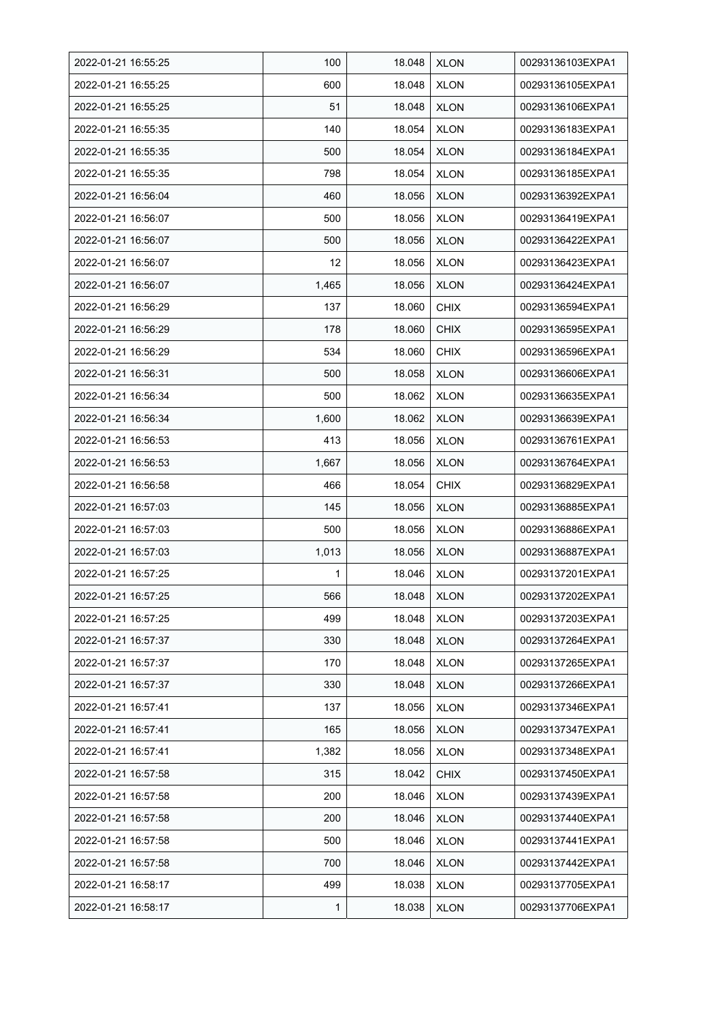| 2022-01-21 16:55:25 | 100   | 18.048 | <b>XLON</b> | 00293136103EXPA1 |
|---------------------|-------|--------|-------------|------------------|
| 2022-01-21 16:55:25 | 600   | 18.048 | <b>XLON</b> | 00293136105EXPA1 |
| 2022-01-21 16:55:25 | 51    | 18.048 | <b>XLON</b> | 00293136106EXPA1 |
| 2022-01-21 16:55:35 | 140   | 18.054 | <b>XLON</b> | 00293136183EXPA1 |
| 2022-01-21 16:55:35 | 500   | 18.054 | <b>XLON</b> | 00293136184EXPA1 |
| 2022-01-21 16:55:35 | 798   | 18.054 | <b>XLON</b> | 00293136185EXPA1 |
| 2022-01-21 16:56:04 | 460   | 18.056 | <b>XLON</b> | 00293136392EXPA1 |
| 2022-01-21 16:56:07 | 500   | 18.056 | <b>XLON</b> | 00293136419EXPA1 |
| 2022-01-21 16:56:07 | 500   | 18.056 | <b>XLON</b> | 00293136422EXPA1 |
| 2022-01-21 16:56:07 | 12    | 18.056 | <b>XLON</b> | 00293136423EXPA1 |
| 2022-01-21 16:56:07 | 1,465 | 18.056 | <b>XLON</b> | 00293136424EXPA1 |
| 2022-01-21 16:56:29 | 137   | 18.060 | <b>CHIX</b> | 00293136594EXPA1 |
| 2022-01-21 16:56:29 | 178   | 18.060 | <b>CHIX</b> | 00293136595EXPA1 |
| 2022-01-21 16:56:29 | 534   | 18.060 | <b>CHIX</b> | 00293136596EXPA1 |
| 2022-01-21 16:56:31 | 500   | 18.058 | <b>XLON</b> | 00293136606EXPA1 |
| 2022-01-21 16:56:34 | 500   | 18.062 | <b>XLON</b> | 00293136635EXPA1 |
| 2022-01-21 16:56:34 | 1,600 | 18.062 | <b>XLON</b> | 00293136639EXPA1 |
| 2022-01-21 16:56:53 | 413   | 18.056 | <b>XLON</b> | 00293136761EXPA1 |
| 2022-01-21 16:56:53 | 1,667 | 18.056 | <b>XLON</b> | 00293136764EXPA1 |
| 2022-01-21 16:56:58 | 466   | 18.054 | <b>CHIX</b> | 00293136829EXPA1 |
| 2022-01-21 16:57:03 | 145   | 18.056 | <b>XLON</b> | 00293136885EXPA1 |
| 2022-01-21 16:57:03 | 500   | 18.056 | <b>XLON</b> | 00293136886EXPA1 |
| 2022-01-21 16:57:03 | 1,013 | 18.056 | <b>XLON</b> | 00293136887EXPA1 |
| 2022-01-21 16:57:25 | 1     | 18.046 | <b>XLON</b> | 00293137201EXPA1 |
| 2022-01-21 16:57:25 | 566   | 18.048 | <b>XLON</b> | 00293137202EXPA1 |
| 2022-01-21 16:57:25 | 499   | 18.048 | <b>XLON</b> | 00293137203EXPA1 |
| 2022-01-21 16:57:37 | 330   | 18.048 | <b>XLON</b> | 00293137264EXPA1 |
| 2022-01-21 16:57:37 | 170   | 18.048 | <b>XLON</b> | 00293137265EXPA1 |
| 2022-01-21 16:57:37 | 330   | 18.048 | <b>XLON</b> | 00293137266EXPA1 |
| 2022-01-21 16:57:41 | 137   | 18.056 | <b>XLON</b> | 00293137346EXPA1 |
| 2022-01-21 16:57:41 | 165   | 18.056 | <b>XLON</b> | 00293137347EXPA1 |
| 2022-01-21 16:57:41 | 1,382 | 18.056 | <b>XLON</b> | 00293137348EXPA1 |
| 2022-01-21 16:57:58 | 315   | 18.042 | <b>CHIX</b> | 00293137450EXPA1 |
| 2022-01-21 16:57:58 | 200   | 18.046 | <b>XLON</b> | 00293137439EXPA1 |
| 2022-01-21 16:57:58 | 200   | 18.046 | <b>XLON</b> | 00293137440EXPA1 |
| 2022-01-21 16:57:58 | 500   | 18.046 | <b>XLON</b> | 00293137441EXPA1 |
| 2022-01-21 16:57:58 | 700   | 18.046 | <b>XLON</b> | 00293137442EXPA1 |
| 2022-01-21 16:58:17 | 499   | 18.038 | <b>XLON</b> | 00293137705EXPA1 |
| 2022-01-21 16:58:17 | 1     | 18.038 | <b>XLON</b> | 00293137706EXPA1 |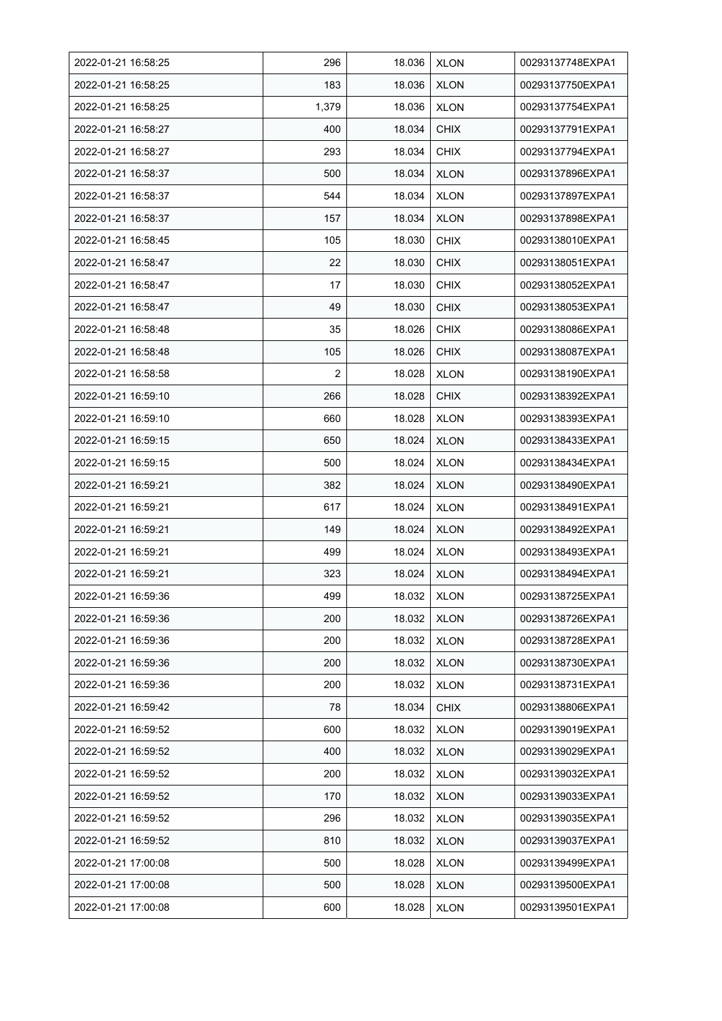| 2022-01-21 16:58:25 | 296            | 18.036 | <b>XLON</b> | 00293137748EXPA1 |
|---------------------|----------------|--------|-------------|------------------|
| 2022-01-21 16:58:25 | 183            | 18.036 | <b>XLON</b> | 00293137750EXPA1 |
| 2022-01-21 16:58:25 | 1,379          | 18.036 | <b>XLON</b> | 00293137754EXPA1 |
| 2022-01-21 16:58:27 | 400            | 18.034 | <b>CHIX</b> | 00293137791EXPA1 |
| 2022-01-21 16:58:27 | 293            | 18.034 | <b>CHIX</b> | 00293137794EXPA1 |
| 2022-01-21 16:58:37 | 500            | 18.034 | <b>XLON</b> | 00293137896EXPA1 |
| 2022-01-21 16:58:37 | 544            | 18.034 | <b>XLON</b> | 00293137897EXPA1 |
| 2022-01-21 16:58:37 | 157            | 18.034 | <b>XLON</b> | 00293137898EXPA1 |
| 2022-01-21 16:58:45 | 105            | 18.030 | <b>CHIX</b> | 00293138010EXPA1 |
| 2022-01-21 16:58:47 | 22             | 18.030 | <b>CHIX</b> | 00293138051EXPA1 |
| 2022-01-21 16:58:47 | 17             | 18.030 | <b>CHIX</b> | 00293138052EXPA1 |
| 2022-01-21 16:58:47 | 49             | 18.030 | <b>CHIX</b> | 00293138053EXPA1 |
| 2022-01-21 16:58:48 | 35             | 18.026 | <b>CHIX</b> | 00293138086EXPA1 |
| 2022-01-21 16:58:48 | 105            | 18.026 | <b>CHIX</b> | 00293138087EXPA1 |
| 2022-01-21 16:58:58 | $\overline{2}$ | 18.028 | <b>XLON</b> | 00293138190EXPA1 |
| 2022-01-21 16:59:10 | 266            | 18.028 | <b>CHIX</b> | 00293138392EXPA1 |
| 2022-01-21 16:59:10 | 660            | 18.028 | <b>XLON</b> | 00293138393EXPA1 |
| 2022-01-21 16:59:15 | 650            | 18.024 | <b>XLON</b> | 00293138433EXPA1 |
| 2022-01-21 16:59:15 | 500            | 18.024 | <b>XLON</b> | 00293138434EXPA1 |
| 2022-01-21 16.59.21 | 382            | 18.024 | <b>XLON</b> | 00293138490EXPA1 |
| 2022-01-21 16:59:21 | 617            | 18.024 | <b>XLON</b> | 00293138491EXPA1 |
| 2022-01-21 16:59:21 | 149            | 18.024 | <b>XLON</b> | 00293138492EXPA1 |
| 2022-01-21 16:59:21 | 499            | 18.024 | <b>XLON</b> | 00293138493EXPA1 |
| 2022-01-21 16.59.21 | 323            | 18.024 | <b>XLON</b> | 00293138494EXPA1 |
| 2022-01-21 16:59:36 | 499            | 18.032 | <b>XLON</b> | 00293138725EXPA1 |
| 2022-01-21 16:59:36 | 200            | 18.032 | <b>XLON</b> | 00293138726EXPA1 |
| 2022-01-21 16:59:36 | 200            | 18.032 | <b>XLON</b> | 00293138728EXPA1 |
| 2022-01-21 16:59:36 | 200            | 18.032 | <b>XLON</b> | 00293138730EXPA1 |
| 2022-01-21 16:59:36 | 200            | 18.032 | <b>XLON</b> | 00293138731EXPA1 |
| 2022-01-21 16:59:42 | 78             | 18.034 | <b>CHIX</b> | 00293138806EXPA1 |
| 2022-01-21 16:59:52 | 600            | 18.032 | <b>XLON</b> | 00293139019EXPA1 |
| 2022-01-21 16:59:52 | 400            | 18.032 | <b>XLON</b> | 00293139029EXPA1 |
| 2022-01-21 16:59:52 | 200            | 18.032 | <b>XLON</b> | 00293139032EXPA1 |
| 2022-01-21 16:59:52 | 170            | 18.032 | <b>XLON</b> | 00293139033EXPA1 |
| 2022-01-21 16:59:52 | 296            | 18.032 | <b>XLON</b> | 00293139035EXPA1 |
| 2022-01-21 16:59:52 | 810            | 18.032 | <b>XLON</b> | 00293139037EXPA1 |
| 2022-01-21 17:00:08 | 500            | 18.028 | <b>XLON</b> | 00293139499EXPA1 |
| 2022-01-21 17:00:08 | 500            | 18.028 | <b>XLON</b> | 00293139500EXPA1 |
| 2022-01-21 17:00:08 | 600            | 18.028 | <b>XLON</b> | 00293139501EXPA1 |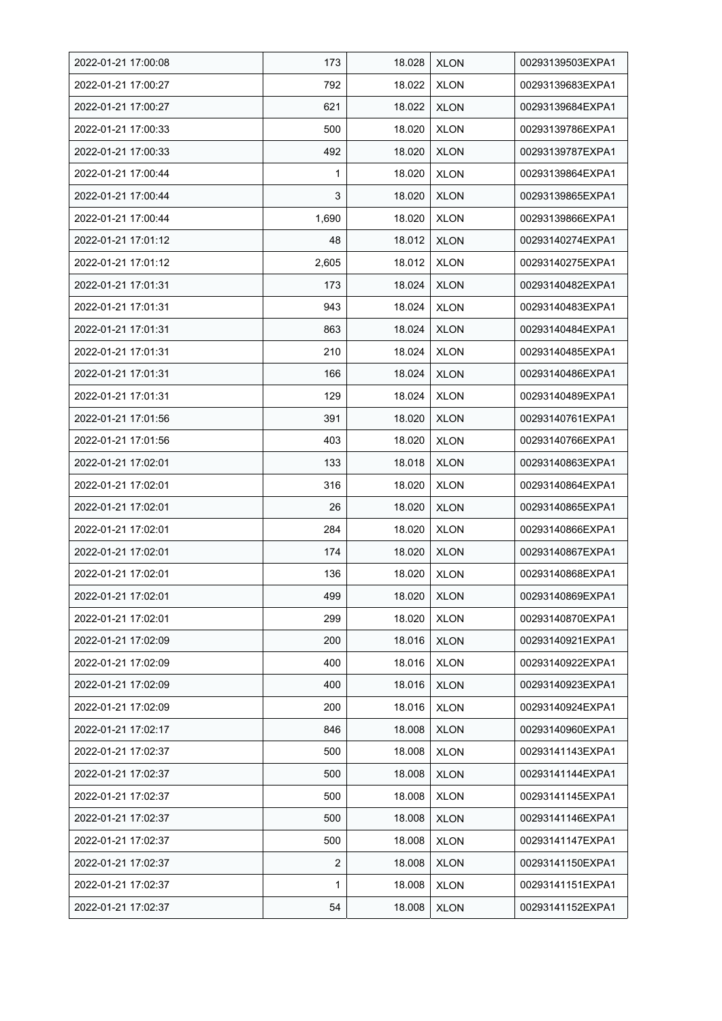| 2022-01-21 17:00:08 | 173   | 18.028 | <b>XLON</b> | 00293139503EXPA1 |
|---------------------|-------|--------|-------------|------------------|
| 2022-01-21 17:00:27 | 792   | 18.022 | <b>XLON</b> | 00293139683EXPA1 |
| 2022-01-21 17:00:27 | 621   | 18.022 | <b>XLON</b> | 00293139684EXPA1 |
| 2022-01-21 17:00:33 | 500   | 18.020 | <b>XLON</b> | 00293139786EXPA1 |
| 2022-01-21 17:00:33 | 492   | 18.020 | <b>XLON</b> | 00293139787EXPA1 |
| 2022-01-21 17:00:44 | 1     | 18.020 | <b>XLON</b> | 00293139864EXPA1 |
| 2022-01-21 17:00:44 | 3     | 18.020 | <b>XLON</b> | 00293139865EXPA1 |
| 2022-01-21 17:00:44 | 1,690 | 18.020 | <b>XLON</b> | 00293139866EXPA1 |
| 2022-01-21 17:01:12 | 48    | 18.012 | <b>XLON</b> | 00293140274EXPA1 |
| 2022-01-21 17:01:12 | 2,605 | 18.012 | <b>XLON</b> | 00293140275EXPA1 |
| 2022-01-21 17:01:31 | 173   | 18.024 | <b>XLON</b> | 00293140482EXPA1 |
| 2022-01-21 17:01:31 | 943   | 18.024 | <b>XLON</b> | 00293140483EXPA1 |
| 2022-01-21 17:01:31 | 863   | 18.024 | <b>XLON</b> | 00293140484EXPA1 |
| 2022-01-21 17:01:31 | 210   | 18.024 | <b>XLON</b> | 00293140485EXPA1 |
| 2022-01-21 17:01:31 | 166   | 18.024 | <b>XLON</b> | 00293140486EXPA1 |
| 2022-01-21 17:01:31 | 129   | 18.024 | <b>XLON</b> | 00293140489EXPA1 |
| 2022-01-21 17:01:56 | 391   | 18.020 | <b>XLON</b> | 00293140761EXPA1 |
| 2022-01-21 17:01:56 | 403   | 18.020 | <b>XLON</b> | 00293140766EXPA1 |
| 2022-01-21 17:02:01 | 133   | 18.018 | <b>XLON</b> | 00293140863EXPA1 |
| 2022-01-21 17:02:01 | 316   | 18.020 | <b>XLON</b> | 00293140864EXPA1 |
| 2022-01-21 17:02:01 | 26    | 18.020 | <b>XLON</b> | 00293140865EXPA1 |
| 2022-01-21 17:02:01 | 284   | 18.020 | <b>XLON</b> | 00293140866EXPA1 |
| 2022-01-21 17:02:01 | 174   | 18.020 | <b>XLON</b> | 00293140867EXPA1 |
| 2022-01-21 17:02:01 | 136   | 18.020 | <b>XLON</b> | 00293140868EXPA1 |
| 2022-01-21 17:02:01 | 499   | 18.020 | <b>XLON</b> | 00293140869EXPA1 |
| 2022-01-21 17:02:01 | 299   | 18.020 | <b>XLON</b> | 00293140870EXPA1 |
| 2022-01-21 17:02:09 | 200   | 18.016 | <b>XLON</b> | 00293140921EXPA1 |
| 2022-01-21 17:02:09 | 400   | 18.016 | <b>XLON</b> | 00293140922EXPA1 |
| 2022-01-21 17:02:09 | 400   | 18.016 | <b>XLON</b> | 00293140923EXPA1 |
| 2022-01-21 17:02:09 | 200   | 18.016 | <b>XLON</b> | 00293140924EXPA1 |
| 2022-01-21 17:02:17 | 846   | 18.008 | <b>XLON</b> | 00293140960EXPA1 |
| 2022-01-21 17:02:37 | 500   | 18.008 | <b>XLON</b> | 00293141143EXPA1 |
| 2022-01-21 17:02:37 | 500   | 18.008 | <b>XLON</b> | 00293141144EXPA1 |
| 2022-01-21 17:02:37 | 500   | 18.008 | <b>XLON</b> | 00293141145EXPA1 |
| 2022-01-21 17:02:37 | 500   | 18.008 | <b>XLON</b> | 00293141146EXPA1 |
| 2022-01-21 17:02:37 | 500   | 18.008 | <b>XLON</b> | 00293141147EXPA1 |
| 2022-01-21 17:02:37 | 2     | 18.008 | <b>XLON</b> | 00293141150EXPA1 |
| 2022-01-21 17:02:37 | 1     | 18.008 | <b>XLON</b> | 00293141151EXPA1 |
| 2022-01-21 17:02:37 | 54    | 18.008 | <b>XLON</b> | 00293141152EXPA1 |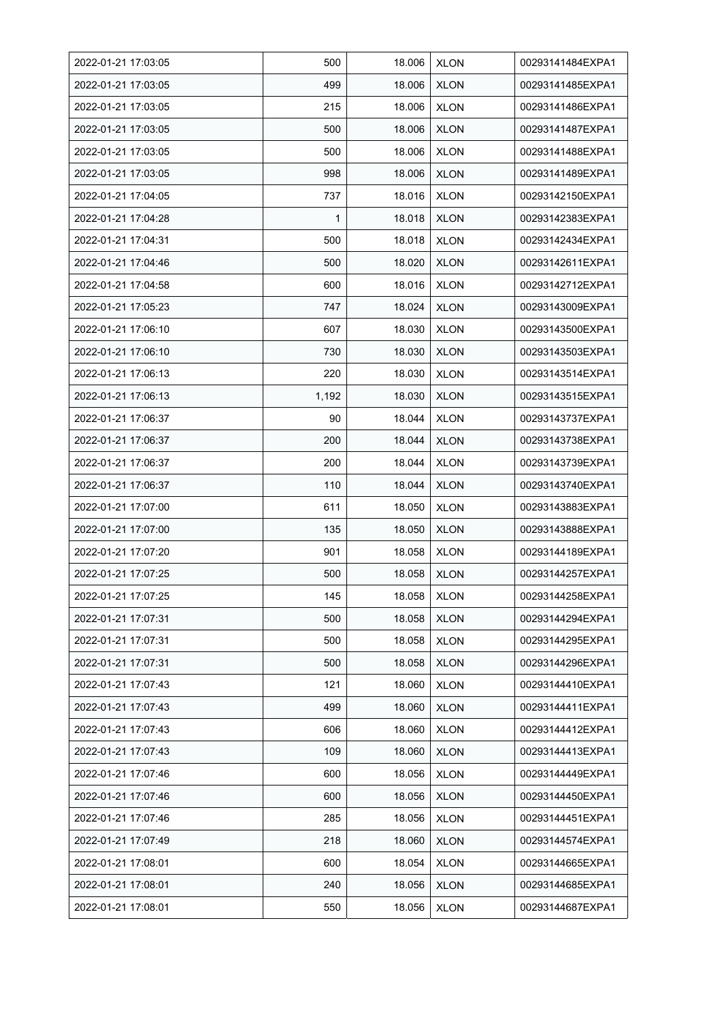| 2022-01-21 17:03:05 | 500   | 18.006 | <b>XLON</b> | 00293141484EXPA1 |
|---------------------|-------|--------|-------------|------------------|
| 2022-01-21 17:03:05 | 499   | 18.006 | <b>XLON</b> | 00293141485EXPA1 |
| 2022-01-21 17:03:05 | 215   | 18.006 | <b>XLON</b> | 00293141486EXPA1 |
| 2022-01-21 17:03:05 | 500   | 18.006 | <b>XLON</b> | 00293141487EXPA1 |
| 2022-01-21 17:03:05 | 500   | 18.006 | <b>XLON</b> | 00293141488EXPA1 |
| 2022-01-21 17:03:05 | 998   | 18.006 | <b>XLON</b> | 00293141489EXPA1 |
| 2022-01-21 17:04:05 | 737   | 18.016 | <b>XLON</b> | 00293142150EXPA1 |
| 2022-01-21 17:04:28 | 1     | 18.018 | <b>XLON</b> | 00293142383EXPA1 |
| 2022-01-21 17:04:31 | 500   | 18.018 | <b>XLON</b> | 00293142434EXPA1 |
| 2022-01-21 17:04:46 | 500   | 18.020 | <b>XLON</b> | 00293142611EXPA1 |
| 2022-01-21 17:04:58 | 600   | 18.016 | <b>XLON</b> | 00293142712EXPA1 |
| 2022-01-21 17:05:23 | 747   | 18.024 | <b>XLON</b> | 00293143009EXPA1 |
| 2022-01-21 17:06:10 | 607   | 18.030 | <b>XLON</b> | 00293143500EXPA1 |
| 2022-01-21 17:06:10 | 730   | 18.030 | <b>XLON</b> | 00293143503EXPA1 |
| 2022-01-21 17:06:13 | 220   | 18.030 | <b>XLON</b> | 00293143514EXPA1 |
| 2022-01-21 17:06:13 | 1,192 | 18.030 | <b>XLON</b> | 00293143515EXPA1 |
| 2022-01-21 17:06:37 | 90    | 18.044 | <b>XLON</b> | 00293143737EXPA1 |
| 2022-01-21 17:06:37 | 200   | 18.044 | <b>XLON</b> | 00293143738EXPA1 |
| 2022-01-21 17:06:37 | 200   | 18.044 | <b>XLON</b> | 00293143739EXPA1 |
| 2022-01-21 17:06:37 | 110   | 18.044 | <b>XLON</b> | 00293143740EXPA1 |
| 2022-01-21 17:07:00 | 611   | 18.050 | <b>XLON</b> | 00293143883EXPA1 |
| 2022-01-21 17:07:00 | 135   | 18.050 | <b>XLON</b> | 00293143888EXPA1 |
| 2022-01-21 17:07:20 | 901   | 18.058 | <b>XLON</b> | 00293144189EXPA1 |
| 2022-01-21 17:07:25 | 500   | 18.058 | <b>XLON</b> | 00293144257EXPA1 |
| 2022-01-21 17:07:25 | 145   | 18.058 | <b>XLON</b> | 00293144258EXPA1 |
| 2022-01-21 17:07:31 | 500   | 18.058 | <b>XLON</b> | 00293144294EXPA1 |
| 2022-01-21 17:07:31 | 500   | 18.058 | <b>XLON</b> | 00293144295EXPA1 |
| 2022-01-21 17:07:31 | 500   | 18.058 | <b>XLON</b> | 00293144296EXPA1 |
| 2022-01-21 17:07:43 | 121   | 18.060 | <b>XLON</b> | 00293144410EXPA1 |
| 2022-01-21 17:07:43 | 499   | 18.060 | <b>XLON</b> | 00293144411EXPA1 |
| 2022-01-21 17:07:43 | 606   | 18.060 | <b>XLON</b> | 00293144412EXPA1 |
| 2022-01-21 17:07:43 | 109   | 18.060 | <b>XLON</b> | 00293144413EXPA1 |
| 2022-01-21 17:07:46 | 600   | 18.056 | <b>XLON</b> | 00293144449EXPA1 |
| 2022-01-21 17:07:46 | 600   | 18.056 | <b>XLON</b> | 00293144450EXPA1 |
| 2022-01-21 17:07:46 | 285   | 18.056 | <b>XLON</b> | 00293144451EXPA1 |
| 2022-01-21 17:07:49 | 218   | 18.060 | <b>XLON</b> | 00293144574EXPA1 |
| 2022-01-21 17:08:01 | 600   | 18.054 | <b>XLON</b> | 00293144665EXPA1 |
| 2022-01-21 17:08:01 | 240   | 18.056 | <b>XLON</b> | 00293144685EXPA1 |
| 2022-01-21 17:08:01 | 550   | 18.056 | <b>XLON</b> | 00293144687EXPA1 |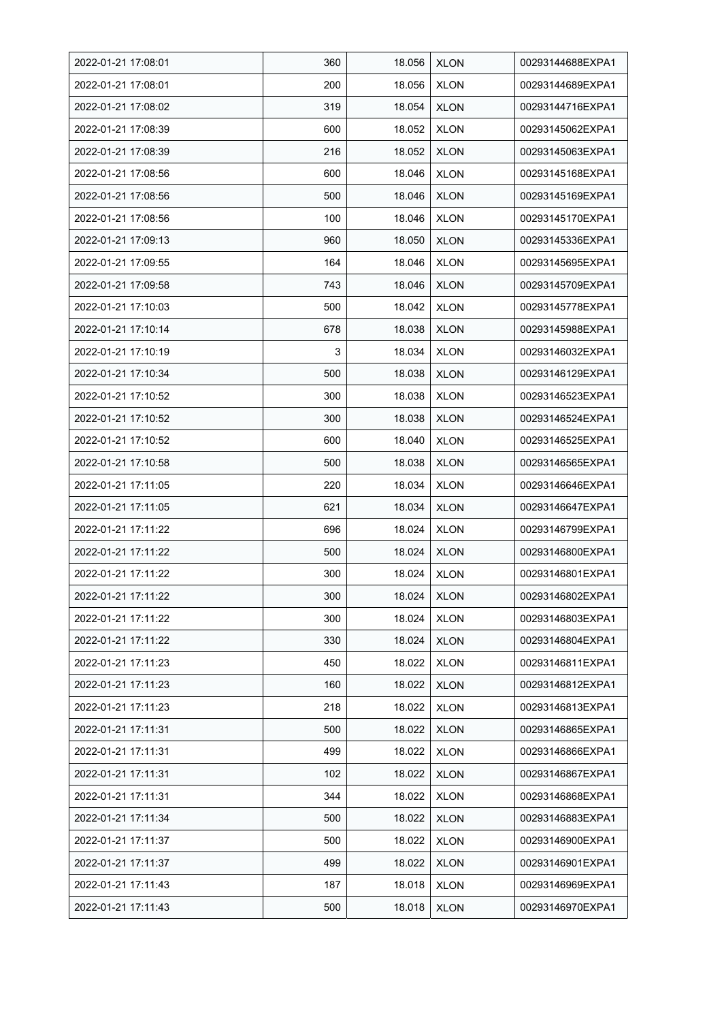| 2022-01-21 17:08:01 | 360 | 18.056 | <b>XLON</b> | 00293144688EXPA1 |
|---------------------|-----|--------|-------------|------------------|
| 2022-01-21 17:08:01 | 200 | 18.056 | <b>XLON</b> | 00293144689EXPA1 |
| 2022-01-21 17:08:02 | 319 | 18.054 | <b>XLON</b> | 00293144716EXPA1 |
| 2022-01-21 17:08:39 | 600 | 18.052 | <b>XLON</b> | 00293145062EXPA1 |
| 2022-01-21 17:08:39 | 216 | 18.052 | <b>XLON</b> | 00293145063EXPA1 |
| 2022-01-21 17:08:56 | 600 | 18.046 | <b>XLON</b> | 00293145168EXPA1 |
| 2022-01-21 17:08:56 | 500 | 18.046 | <b>XLON</b> | 00293145169EXPA1 |
| 2022-01-21 17:08:56 | 100 | 18.046 | <b>XLON</b> | 00293145170EXPA1 |
| 2022-01-21 17:09:13 | 960 | 18.050 | <b>XLON</b> | 00293145336EXPA1 |
| 2022-01-21 17:09:55 | 164 | 18.046 | <b>XLON</b> | 00293145695EXPA1 |
| 2022-01-21 17:09:58 | 743 | 18.046 | <b>XLON</b> | 00293145709EXPA1 |
| 2022-01-21 17:10:03 | 500 | 18.042 | <b>XLON</b> | 00293145778EXPA1 |
| 2022-01-21 17:10:14 | 678 | 18.038 | <b>XLON</b> | 00293145988EXPA1 |
| 2022-01-21 17:10:19 | 3   | 18.034 | <b>XLON</b> | 00293146032EXPA1 |
| 2022-01-21 17:10:34 | 500 | 18.038 | <b>XLON</b> | 00293146129EXPA1 |
| 2022-01-21 17:10:52 | 300 | 18.038 | <b>XLON</b> | 00293146523EXPA1 |
| 2022-01-21 17:10:52 | 300 | 18.038 | <b>XLON</b> | 00293146524EXPA1 |
| 2022-01-21 17:10:52 | 600 | 18.040 | <b>XLON</b> | 00293146525EXPA1 |
| 2022-01-21 17:10:58 | 500 | 18.038 | <b>XLON</b> | 00293146565EXPA1 |
| 2022-01-21 17:11:05 | 220 | 18.034 | <b>XLON</b> | 00293146646EXPA1 |
| 2022-01-21 17:11:05 | 621 | 18.034 | <b>XLON</b> | 00293146647EXPA1 |
| 2022-01-21 17:11:22 | 696 | 18.024 | <b>XLON</b> | 00293146799EXPA1 |
| 2022-01-21 17:11:22 | 500 | 18.024 | <b>XLON</b> | 00293146800EXPA1 |
| 2022-01-21 17:11:22 | 300 | 18.024 | <b>XLON</b> | 00293146801EXPA1 |
| 2022-01-21 17:11:22 | 300 | 18.024 | <b>XLON</b> | 00293146802EXPA1 |
| 2022-01-21 17:11:22 | 300 | 18.024 | <b>XLON</b> | 00293146803EXPA1 |
| 2022-01-21 17:11:22 | 330 | 18.024 | <b>XLON</b> | 00293146804EXPA1 |
| 2022-01-21 17:11:23 | 450 | 18.022 | <b>XLON</b> | 00293146811EXPA1 |
| 2022-01-21 17:11:23 | 160 | 18.022 | <b>XLON</b> | 00293146812EXPA1 |
| 2022-01-21 17:11:23 | 218 | 18.022 | <b>XLON</b> | 00293146813EXPA1 |
| 2022-01-21 17:11:31 | 500 | 18.022 | <b>XLON</b> | 00293146865EXPA1 |
| 2022-01-21 17:11:31 | 499 | 18.022 | <b>XLON</b> | 00293146866EXPA1 |
| 2022-01-21 17:11:31 | 102 | 18.022 | <b>XLON</b> | 00293146867EXPA1 |
| 2022-01-21 17:11:31 | 344 | 18.022 | <b>XLON</b> | 00293146868EXPA1 |
| 2022-01-21 17:11:34 | 500 | 18.022 | <b>XLON</b> | 00293146883EXPA1 |
| 2022-01-21 17:11:37 | 500 | 18.022 | XLON        | 00293146900EXPA1 |
| 2022-01-21 17:11:37 | 499 | 18.022 | <b>XLON</b> | 00293146901EXPA1 |
| 2022-01-21 17:11:43 | 187 | 18.018 | <b>XLON</b> | 00293146969EXPA1 |
| 2022-01-21 17:11:43 | 500 | 18.018 | <b>XLON</b> | 00293146970EXPA1 |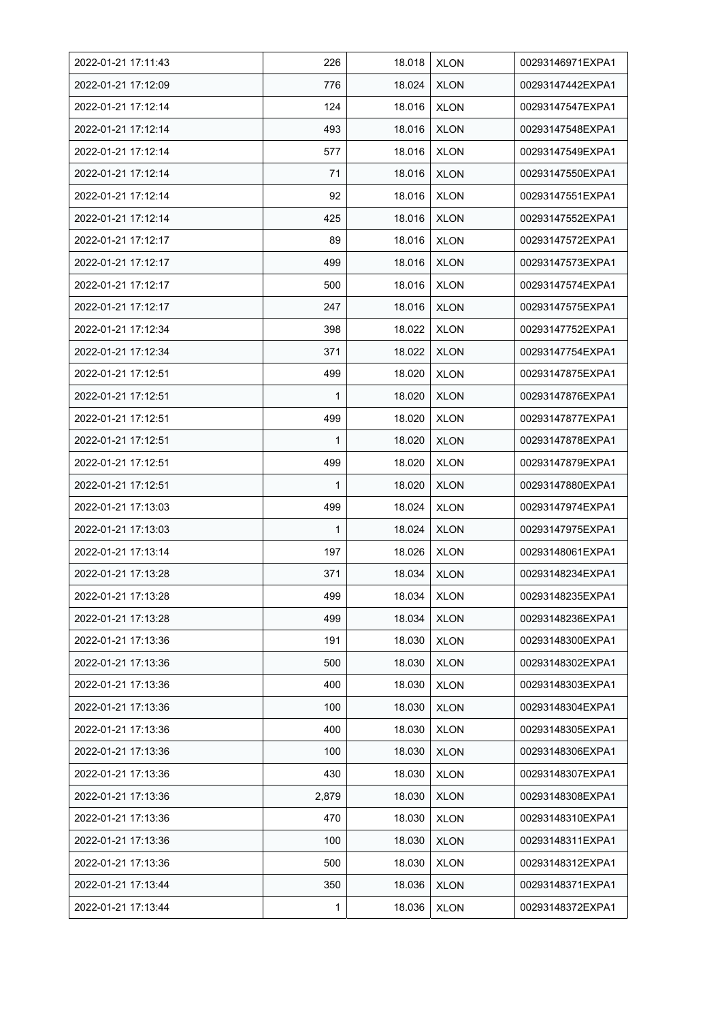| 2022-01-21 17:11:43 | 226   | 18.018 | <b>XLON</b> | 00293146971EXPA1 |
|---------------------|-------|--------|-------------|------------------|
| 2022-01-21 17:12:09 | 776   | 18.024 | <b>XLON</b> | 00293147442EXPA1 |
| 2022-01-21 17:12:14 | 124   | 18.016 | <b>XLON</b> | 00293147547EXPA1 |
| 2022-01-21 17:12:14 | 493   | 18.016 | <b>XLON</b> | 00293147548EXPA1 |
| 2022-01-21 17:12:14 | 577   | 18.016 | <b>XLON</b> | 00293147549EXPA1 |
| 2022-01-21 17:12:14 | 71    | 18.016 | <b>XLON</b> | 00293147550EXPA1 |
| 2022-01-21 17:12:14 | 92    | 18.016 | <b>XLON</b> | 00293147551EXPA1 |
| 2022-01-21 17:12:14 | 425   | 18.016 | <b>XLON</b> | 00293147552EXPA1 |
| 2022-01-21 17:12:17 | 89    | 18.016 | <b>XLON</b> | 00293147572EXPA1 |
| 2022-01-21 17:12:17 | 499   | 18.016 | <b>XLON</b> | 00293147573EXPA1 |
| 2022-01-21 17:12:17 | 500   | 18.016 | <b>XLON</b> | 00293147574EXPA1 |
| 2022-01-21 17:12:17 | 247   | 18.016 | <b>XLON</b> | 00293147575EXPA1 |
| 2022-01-21 17:12:34 | 398   | 18.022 | <b>XLON</b> | 00293147752EXPA1 |
| 2022-01-21 17:12:34 | 371   | 18.022 | <b>XLON</b> | 00293147754EXPA1 |
| 2022-01-21 17:12:51 | 499   | 18.020 | <b>XLON</b> | 00293147875EXPA1 |
| 2022-01-21 17:12:51 | 1     | 18.020 | <b>XLON</b> | 00293147876EXPA1 |
| 2022-01-21 17:12:51 | 499   | 18.020 | <b>XLON</b> | 00293147877EXPA1 |
| 2022-01-21 17:12:51 | 1     | 18.020 | <b>XLON</b> | 00293147878EXPA1 |
| 2022-01-21 17:12:51 | 499   | 18.020 | <b>XLON</b> | 00293147879EXPA1 |
| 2022-01-21 17:12:51 | 1     | 18.020 | <b>XLON</b> | 00293147880EXPA1 |
| 2022-01-21 17:13:03 | 499   | 18.024 | <b>XLON</b> | 00293147974EXPA1 |
| 2022-01-21 17:13:03 | 1     | 18.024 | <b>XLON</b> | 00293147975EXPA1 |
| 2022-01-21 17:13:14 | 197   | 18.026 | <b>XLON</b> | 00293148061EXPA1 |
| 2022-01-21 17:13:28 | 371   | 18.034 | <b>XLON</b> | 00293148234EXPA1 |
| 2022-01-21 17:13:28 | 499   | 18.034 | <b>XLON</b> | 00293148235EXPA1 |
| 2022-01-21 17:13:28 | 499   | 18.034 | <b>XLON</b> | 00293148236EXPA1 |
| 2022-01-21 17:13:36 | 191   | 18.030 | <b>XLON</b> | 00293148300EXPA1 |
| 2022-01-21 17:13:36 | 500   | 18.030 | <b>XLON</b> | 00293148302EXPA1 |
| 2022-01-21 17:13:36 | 400   | 18.030 | <b>XLON</b> | 00293148303EXPA1 |
| 2022-01-21 17:13:36 | 100   | 18.030 | <b>XLON</b> | 00293148304EXPA1 |
| 2022-01-21 17:13:36 | 400   | 18.030 | <b>XLON</b> | 00293148305EXPA1 |
| 2022-01-21 17:13:36 | 100   | 18.030 | <b>XLON</b> | 00293148306EXPA1 |
| 2022-01-21 17:13:36 | 430   | 18.030 | <b>XLON</b> | 00293148307EXPA1 |
| 2022-01-21 17:13:36 | 2,879 | 18.030 | <b>XLON</b> | 00293148308EXPA1 |
| 2022-01-21 17:13:36 | 470   | 18.030 | <b>XLON</b> | 00293148310EXPA1 |
| 2022-01-21 17:13:36 | 100   | 18.030 | <b>XLON</b> | 00293148311EXPA1 |
| 2022-01-21 17:13:36 | 500   | 18.030 | <b>XLON</b> | 00293148312EXPA1 |
| 2022-01-21 17:13:44 | 350   | 18.036 | <b>XLON</b> | 00293148371EXPA1 |
| 2022-01-21 17:13:44 | 1     | 18.036 | <b>XLON</b> | 00293148372EXPA1 |
|                     |       |        |             |                  |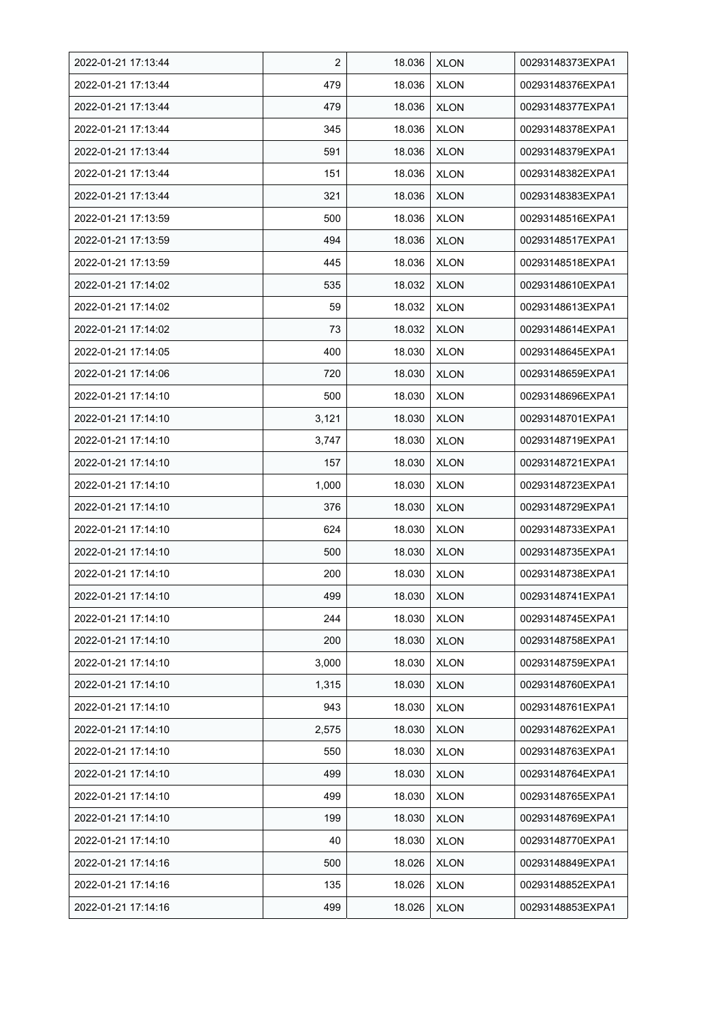| 2022-01-21 17:13:44 | $\overline{2}$ | 18.036 | <b>XLON</b> | 00293148373EXPA1 |
|---------------------|----------------|--------|-------------|------------------|
| 2022-01-21 17:13:44 | 479            | 18.036 | <b>XLON</b> | 00293148376EXPA1 |
| 2022-01-21 17:13:44 | 479            | 18.036 | <b>XLON</b> | 00293148377EXPA1 |
| 2022-01-21 17:13:44 | 345            | 18.036 | <b>XLON</b> | 00293148378EXPA1 |
| 2022-01-21 17:13:44 | 591            | 18.036 | <b>XLON</b> | 00293148379EXPA1 |
| 2022-01-21 17:13:44 | 151            | 18.036 | <b>XLON</b> | 00293148382EXPA1 |
| 2022-01-21 17:13:44 | 321            | 18.036 | <b>XLON</b> | 00293148383EXPA1 |
| 2022-01-21 17:13:59 | 500            | 18.036 | <b>XLON</b> | 00293148516EXPA1 |
| 2022-01-21 17:13:59 | 494            | 18.036 | <b>XLON</b> | 00293148517EXPA1 |
| 2022-01-21 17:13:59 | 445            | 18.036 | <b>XLON</b> | 00293148518EXPA1 |
| 2022-01-21 17:14:02 | 535            | 18.032 | <b>XLON</b> | 00293148610EXPA1 |
| 2022-01-21 17:14:02 | 59             | 18.032 | <b>XLON</b> | 00293148613EXPA1 |
| 2022-01-21 17:14:02 | 73             | 18.032 | <b>XLON</b> | 00293148614EXPA1 |
| 2022-01-21 17:14:05 | 400            | 18.030 | <b>XLON</b> | 00293148645EXPA1 |
| 2022-01-21 17:14:06 | 720            | 18.030 | <b>XLON</b> | 00293148659EXPA1 |
| 2022-01-21 17:14:10 | 500            | 18.030 | <b>XLON</b> | 00293148696EXPA1 |
| 2022-01-21 17:14:10 | 3,121          | 18.030 | <b>XLON</b> | 00293148701EXPA1 |
| 2022-01-21 17:14:10 | 3,747          | 18.030 | <b>XLON</b> | 00293148719EXPA1 |
| 2022-01-21 17:14:10 | 157            | 18.030 | <b>XLON</b> | 00293148721EXPA1 |
| 2022-01-21 17:14:10 | 1,000          | 18.030 | <b>XLON</b> | 00293148723EXPA1 |
| 2022-01-21 17:14:10 | 376            | 18.030 | <b>XLON</b> | 00293148729EXPA1 |
| 2022-01-21 17:14:10 | 624            | 18.030 | <b>XLON</b> | 00293148733EXPA1 |
| 2022-01-21 17:14:10 | 500            | 18.030 | <b>XLON</b> | 00293148735EXPA1 |
| 2022-01-21 17:14:10 | 200            | 18.030 | <b>XLON</b> | 00293148738EXPA1 |
| 2022-01-21 17:14:10 | 499            | 18.030 | <b>XLON</b> | 00293148741EXPA1 |
| 2022-01-21 17:14:10 | 244            | 18.030 | <b>XLON</b> | 00293148745EXPA1 |
| 2022-01-21 17:14:10 | 200            | 18.030 | <b>XLON</b> | 00293148758EXPA1 |
| 2022-01-21 17:14:10 | 3,000          | 18.030 | <b>XLON</b> | 00293148759EXPA1 |
| 2022-01-21 17:14:10 | 1,315          | 18.030 | <b>XLON</b> | 00293148760EXPA1 |
| 2022-01-21 17:14:10 | 943            | 18.030 | <b>XLON</b> | 00293148761EXPA1 |
| 2022-01-21 17:14:10 | 2,575          | 18.030 | <b>XLON</b> | 00293148762EXPA1 |
| 2022-01-21 17:14:10 | 550            | 18.030 | <b>XLON</b> | 00293148763EXPA1 |
| 2022-01-21 17:14:10 | 499            | 18.030 | <b>XLON</b> | 00293148764EXPA1 |
| 2022-01-21 17:14:10 | 499            | 18.030 | <b>XLON</b> | 00293148765EXPA1 |
| 2022-01-21 17:14:10 | 199            | 18.030 | <b>XLON</b> | 00293148769EXPA1 |
| 2022-01-21 17:14:10 | 40             | 18.030 | XLON        | 00293148770EXPA1 |
| 2022-01-21 17:14:16 | 500            | 18.026 | <b>XLON</b> | 00293148849EXPA1 |
| 2022-01-21 17:14:16 | 135            | 18.026 | <b>XLON</b> | 00293148852EXPA1 |
| 2022-01-21 17:14:16 | 499            | 18.026 | <b>XLON</b> | 00293148853EXPA1 |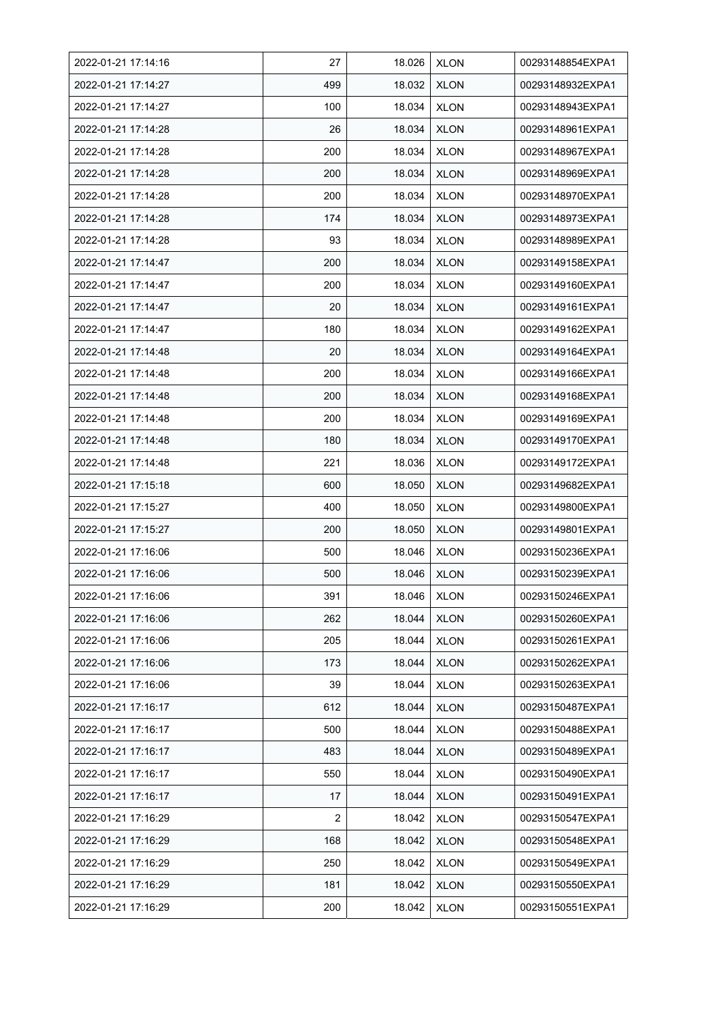| 2022-01-21 17:14:16 | 27  | 18.026 | <b>XLON</b> | 00293148854EXPA1 |
|---------------------|-----|--------|-------------|------------------|
| 2022-01-21 17:14:27 | 499 | 18.032 | <b>XLON</b> | 00293148932EXPA1 |
| 2022-01-21 17:14:27 | 100 | 18.034 | <b>XLON</b> | 00293148943EXPA1 |
| 2022-01-21 17:14:28 | 26  | 18.034 | <b>XLON</b> | 00293148961EXPA1 |
| 2022-01-21 17:14:28 | 200 | 18.034 | <b>XLON</b> | 00293148967EXPA1 |
| 2022-01-21 17:14:28 | 200 | 18.034 | <b>XLON</b> | 00293148969EXPA1 |
| 2022-01-21 17:14:28 | 200 | 18.034 | <b>XLON</b> | 00293148970EXPA1 |
| 2022-01-21 17:14:28 | 174 | 18.034 | <b>XLON</b> | 00293148973EXPA1 |
| 2022-01-21 17:14:28 | 93  | 18.034 | <b>XLON</b> | 00293148989EXPA1 |
| 2022-01-21 17:14:47 | 200 | 18.034 | <b>XLON</b> | 00293149158EXPA1 |
| 2022-01-21 17:14:47 | 200 | 18.034 | <b>XLON</b> | 00293149160EXPA1 |
| 2022-01-21 17:14:47 | 20  | 18.034 | <b>XLON</b> | 00293149161EXPA1 |
| 2022-01-21 17:14:47 | 180 | 18.034 | <b>XLON</b> | 00293149162EXPA1 |
| 2022-01-21 17:14:48 | 20  | 18.034 | <b>XLON</b> | 00293149164EXPA1 |
| 2022-01-21 17:14:48 | 200 | 18.034 | <b>XLON</b> | 00293149166EXPA1 |
| 2022-01-21 17:14:48 | 200 | 18.034 | <b>XLON</b> | 00293149168EXPA1 |
| 2022-01-21 17:14:48 | 200 | 18.034 | <b>XLON</b> | 00293149169EXPA1 |
| 2022-01-21 17:14:48 | 180 | 18.034 | <b>XLON</b> | 00293149170EXPA1 |
| 2022-01-21 17:14:48 | 221 | 18.036 | <b>XLON</b> | 00293149172EXPA1 |
| 2022-01-21 17:15:18 | 600 | 18.050 | <b>XLON</b> | 00293149682EXPA1 |
| 2022-01-21 17:15:27 | 400 | 18.050 | <b>XLON</b> | 00293149800EXPA1 |
| 2022-01-21 17:15:27 | 200 | 18.050 | <b>XLON</b> | 00293149801EXPA1 |
| 2022-01-21 17:16:06 | 500 | 18.046 | <b>XLON</b> | 00293150236EXPA1 |
| 2022-01-21 17:16:06 | 500 | 18.046 | <b>XLON</b> | 00293150239EXPA1 |
| 2022-01-21 17:16:06 | 391 | 18.046 | <b>XLON</b> | 00293150246EXPA1 |
| 2022-01-21 17:16:06 | 262 | 18.044 | <b>XLON</b> | 00293150260EXPA1 |
| 2022-01-21 17:16:06 | 205 | 18.044 | <b>XLON</b> | 00293150261EXPA1 |
| 2022-01-21 17:16:06 | 173 | 18.044 | <b>XLON</b> | 00293150262EXPA1 |
| 2022-01-21 17:16:06 | 39  | 18.044 | <b>XLON</b> | 00293150263EXPA1 |
| 2022-01-21 17:16:17 | 612 | 18.044 | <b>XLON</b> | 00293150487EXPA1 |
| 2022-01-21 17:16:17 | 500 | 18.044 | <b>XLON</b> | 00293150488EXPA1 |
| 2022-01-21 17:16:17 | 483 | 18.044 | <b>XLON</b> | 00293150489EXPA1 |
| 2022-01-21 17:16:17 | 550 | 18.044 | <b>XLON</b> | 00293150490EXPA1 |
| 2022-01-21 17:16:17 | 17  | 18.044 | <b>XLON</b> | 00293150491EXPA1 |
| 2022-01-21 17:16:29 | 2   | 18.042 | <b>XLON</b> | 00293150547EXPA1 |
| 2022-01-21 17:16:29 | 168 | 18.042 | <b>XLON</b> | 00293150548EXPA1 |
| 2022-01-21 17:16:29 | 250 | 18.042 | <b>XLON</b> | 00293150549EXPA1 |
| 2022-01-21 17:16:29 | 181 | 18.042 | <b>XLON</b> | 00293150550EXPA1 |
| 2022-01-21 17:16:29 | 200 | 18.042 | <b>XLON</b> | 00293150551EXPA1 |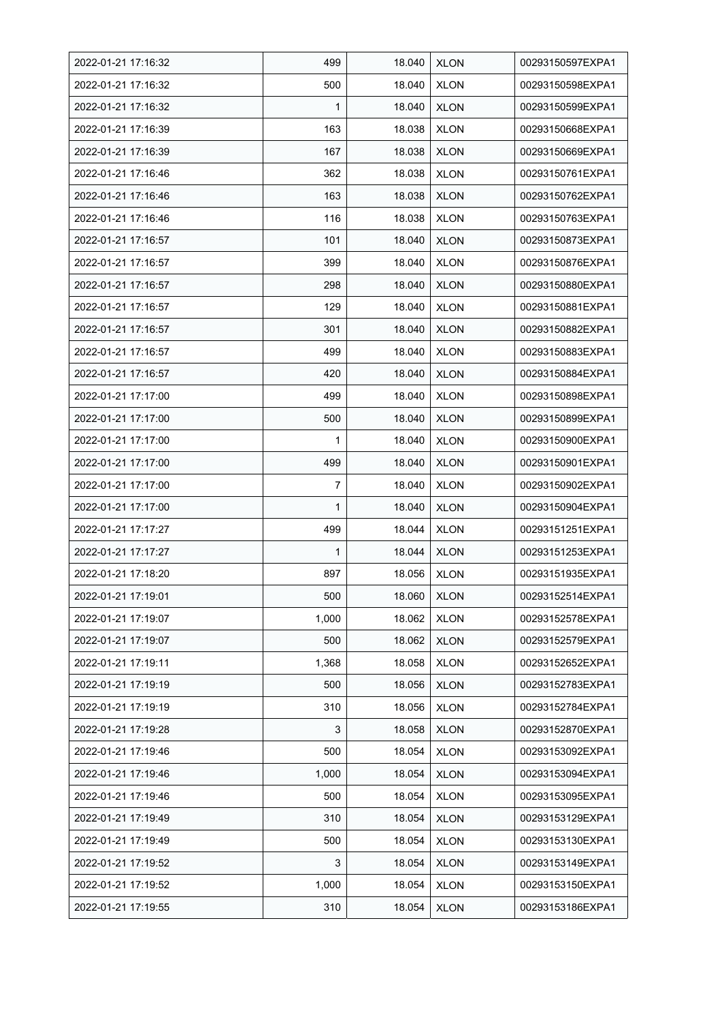| 2022-01-21 17:16:32 | 499   | 18.040 | <b>XLON</b> | 00293150597EXPA1 |
|---------------------|-------|--------|-------------|------------------|
| 2022-01-21 17:16:32 | 500   | 18.040 | <b>XLON</b> | 00293150598EXPA1 |
| 2022-01-21 17:16:32 | 1     | 18.040 | <b>XLON</b> | 00293150599EXPA1 |
| 2022-01-21 17:16:39 | 163   | 18.038 | <b>XLON</b> | 00293150668EXPA1 |
| 2022-01-21 17:16:39 | 167   | 18.038 | <b>XLON</b> | 00293150669EXPA1 |
| 2022-01-21 17:16:46 | 362   | 18.038 | <b>XLON</b> | 00293150761EXPA1 |
| 2022-01-21 17:16:46 | 163   | 18.038 | <b>XLON</b> | 00293150762EXPA1 |
| 2022-01-21 17:16:46 | 116   | 18.038 | <b>XLON</b> | 00293150763EXPA1 |
| 2022-01-21 17:16:57 | 101   | 18.040 | <b>XLON</b> | 00293150873EXPA1 |
| 2022-01-21 17:16:57 | 399   | 18.040 | <b>XLON</b> | 00293150876EXPA1 |
| 2022-01-21 17:16:57 | 298   | 18.040 | <b>XLON</b> | 00293150880EXPA1 |
| 2022-01-21 17:16:57 | 129   | 18.040 | <b>XLON</b> | 00293150881EXPA1 |
| 2022-01-21 17:16:57 | 301   | 18.040 | <b>XLON</b> | 00293150882EXPA1 |
| 2022-01-21 17:16:57 | 499   | 18.040 | <b>XLON</b> | 00293150883EXPA1 |
| 2022-01-21 17:16:57 | 420   | 18.040 | <b>XLON</b> | 00293150884EXPA1 |
| 2022-01-21 17:17:00 | 499   | 18.040 | <b>XLON</b> | 00293150898EXPA1 |
| 2022-01-21 17:17:00 | 500   | 18.040 | <b>XLON</b> | 00293150899EXPA1 |
| 2022-01-21 17:17:00 | 1     | 18.040 | <b>XLON</b> | 00293150900EXPA1 |
| 2022-01-21 17:17:00 | 499   | 18.040 | <b>XLON</b> | 00293150901EXPA1 |
| 2022-01-21 17:17:00 | 7     | 18.040 | <b>XLON</b> | 00293150902EXPA1 |
| 2022-01-21 17:17:00 | 1     | 18.040 | <b>XLON</b> | 00293150904EXPA1 |
| 2022-01-21 17:17:27 | 499   | 18.044 | <b>XLON</b> | 00293151251EXPA1 |
| 2022-01-21 17:17:27 | 1     | 18.044 | <b>XLON</b> | 00293151253EXPA1 |
| 2022-01-21 17:18:20 | 897   | 18.056 | <b>XLON</b> | 00293151935EXPA1 |
| 2022-01-21 17:19:01 | 500   | 18.060 | <b>XLON</b> | 00293152514EXPA1 |
| 2022-01-21 17:19:07 | 1,000 | 18.062 | <b>XLON</b> | 00293152578EXPA1 |
| 2022-01-21 17:19:07 | 500   | 18.062 | <b>XLON</b> | 00293152579EXPA1 |
| 2022-01-21 17:19:11 | 1,368 | 18.058 | <b>XLON</b> | 00293152652EXPA1 |
| 2022-01-21 17:19:19 | 500   | 18.056 | <b>XLON</b> | 00293152783EXPA1 |
| 2022-01-21 17:19:19 | 310   | 18.056 | <b>XLON</b> | 00293152784EXPA1 |
| 2022-01-21 17:19:28 | 3     | 18.058 | <b>XLON</b> | 00293152870EXPA1 |
| 2022-01-21 17:19:46 | 500   | 18.054 | <b>XLON</b> | 00293153092EXPA1 |
| 2022-01-21 17:19:46 | 1,000 | 18.054 | <b>XLON</b> | 00293153094EXPA1 |
| 2022-01-21 17:19:46 | 500   | 18.054 | <b>XLON</b> | 00293153095EXPA1 |
| 2022-01-21 17:19:49 | 310   | 18.054 | <b>XLON</b> | 00293153129EXPA1 |
| 2022-01-21 17:19:49 | 500   | 18.054 | <b>XLON</b> | 00293153130EXPA1 |
| 2022-01-21 17:19:52 | 3     | 18.054 | <b>XLON</b> | 00293153149EXPA1 |
| 2022-01-21 17:19:52 | 1,000 | 18.054 | <b>XLON</b> | 00293153150EXPA1 |
| 2022-01-21 17:19:55 | 310   | 18.054 | <b>XLON</b> | 00293153186EXPA1 |